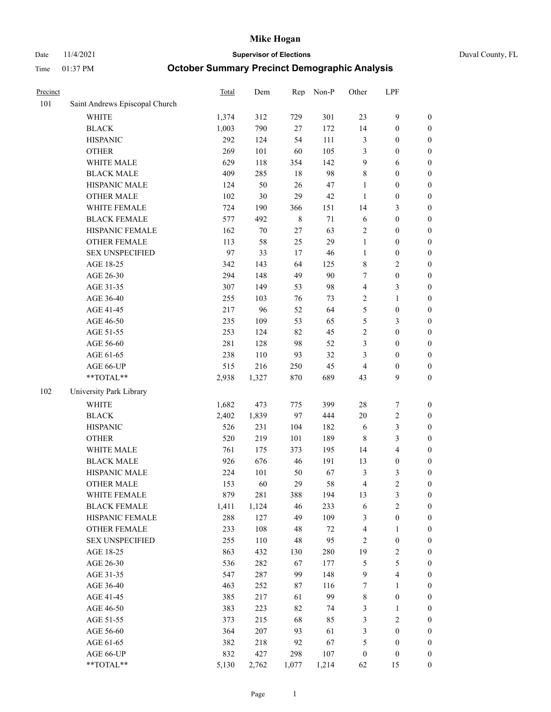Date 11/4/2021 **Supervisor of Elections** Duval County, FL

| Precinct |                                | Total | Dem   | Rep         | Non-P | Other            | LPF                     |                  |
|----------|--------------------------------|-------|-------|-------------|-------|------------------|-------------------------|------------------|
| 101      | Saint Andrews Episcopal Church |       |       |             |       |                  |                         |                  |
|          | <b>WHITE</b>                   | 1,374 | 312   | 729         | 301   | 23               | $\mathbf{9}$            | 0                |
|          | <b>BLACK</b>                   | 1,003 | 790   | 27          | 172   | 14               | $\boldsymbol{0}$        | $\boldsymbol{0}$ |
|          | <b>HISPANIC</b>                | 292   | 124   | 54          | 111   | 3                | $\boldsymbol{0}$        | $\boldsymbol{0}$ |
|          | <b>OTHER</b>                   | 269   | 101   | 60          | 105   | 3                | $\boldsymbol{0}$        | $\boldsymbol{0}$ |
|          | WHITE MALE                     | 629   | 118   | 354         | 142   | 9                | 6                       | $\boldsymbol{0}$ |
|          | <b>BLACK MALE</b>              | 409   | 285   | 18          | 98    | 8                | $\boldsymbol{0}$        | $\boldsymbol{0}$ |
|          | HISPANIC MALE                  | 124   | 50    | 26          | 47    | $\mathbf{1}$     | $\boldsymbol{0}$        | $\boldsymbol{0}$ |
|          | <b>OTHER MALE</b>              | 102   | 30    | 29          | 42    | $\mathbf{1}$     | $\boldsymbol{0}$        | $\boldsymbol{0}$ |
|          | WHITE FEMALE                   | 724   | 190   | 366         | 151   | 14               | $\mathfrak{Z}$          | $\boldsymbol{0}$ |
|          | <b>BLACK FEMALE</b>            | 577   | 492   | $\,$ 8 $\,$ | 71    | 6                | $\boldsymbol{0}$        | $\boldsymbol{0}$ |
|          | HISPANIC FEMALE                | 162   | 70    | 27          | 63    | 2                | $\boldsymbol{0}$        | $\boldsymbol{0}$ |
|          | <b>OTHER FEMALE</b>            | 113   | 58    | 25          | 29    | $\mathbf{1}$     | $\boldsymbol{0}$        | $\boldsymbol{0}$ |
|          | <b>SEX UNSPECIFIED</b>         | 97    | 33    | 17          | 46    | $\mathbf{1}$     | $\boldsymbol{0}$        | $\boldsymbol{0}$ |
|          | AGE 18-25                      | 342   | 143   | 64          | 125   | 8                | $\sqrt{2}$              | $\boldsymbol{0}$ |
|          | AGE 26-30                      | 294   | 148   | 49          | 90    | 7                | $\boldsymbol{0}$        | $\boldsymbol{0}$ |
|          | AGE 31-35                      | 307   | 149   | 53          | 98    | 4                | $\mathfrak{Z}$          | $\boldsymbol{0}$ |
|          | AGE 36-40                      | 255   | 103   | 76          | 73    | 2                | $\mathbf{1}$            | $\boldsymbol{0}$ |
|          | AGE 41-45                      | 217   | 96    | 52          | 64    | 5                | $\boldsymbol{0}$        | $\boldsymbol{0}$ |
|          | AGE 46-50                      | 235   | 109   | 53          | 65    | 5                | $\mathfrak{Z}$          | $\boldsymbol{0}$ |
|          | AGE 51-55                      | 253   | 124   | 82          | 45    | $\sqrt{2}$       | $\boldsymbol{0}$        | $\boldsymbol{0}$ |
|          | AGE 56-60                      | 281   | 128   | 98          | 52    | 3                | $\boldsymbol{0}$        | 0                |
|          | AGE 61-65                      | 238   | 110   | 93          | 32    | 3                | $\boldsymbol{0}$        | $\boldsymbol{0}$ |
|          | AGE 66-UP                      | 515   | 216   | 250         | 45    | $\overline{4}$   | $\boldsymbol{0}$        | $\boldsymbol{0}$ |
|          | $**TOTAL**$                    | 2,938 | 1,327 | 870         | 689   | 43               | 9                       | $\boldsymbol{0}$ |
| 102      | University Park Library        |       |       |             |       |                  |                         |                  |
|          | <b>WHITE</b>                   | 1,682 | 473   | 775         | 399   | 28               | $\boldsymbol{7}$        | $\boldsymbol{0}$ |
|          | <b>BLACK</b>                   | 2,402 | 1,839 | 97          | 444   | 20               | $\sqrt{2}$              | $\boldsymbol{0}$ |
|          | <b>HISPANIC</b>                | 526   | 231   | 104         | 182   | 6                | $\mathfrak{Z}$          | $\boldsymbol{0}$ |
|          | <b>OTHER</b>                   | 520   | 219   | 101         | 189   | $\,$ 8 $\,$      | $\mathfrak{Z}$          | $\boldsymbol{0}$ |
|          | WHITE MALE                     | 761   | 175   | 373         | 195   | 14               | $\overline{\mathbf{4}}$ | $\boldsymbol{0}$ |
|          | <b>BLACK MALE</b>              | 926   | 676   | 46          | 191   | 13               | $\boldsymbol{0}$        | $\boldsymbol{0}$ |
|          | HISPANIC MALE                  | 224   | 101   | 50          | 67    | 3                | $\mathfrak{Z}$          | $\boldsymbol{0}$ |
|          | <b>OTHER MALE</b>              | 153   | 60    | 29          | 58    | $\overline{4}$   | $\overline{c}$          | $\boldsymbol{0}$ |
|          | WHITE FEMALE                   | 879   | 281   | 388         | 194   | 13               | 3                       | 0                |
|          | <b>BLACK FEMALE</b>            | 1,411 | 1,124 | 46          | 233   | 6                | $\sqrt{2}$              | $\boldsymbol{0}$ |
|          | HISPANIC FEMALE                | 288   | 127   | 49          | 109   | 3                | $\boldsymbol{0}$        | $\overline{0}$   |
|          | <b>OTHER FEMALE</b>            | 233   | 108   | 48          | 72    | $\overline{4}$   | $\mathbf{1}$            | $\overline{0}$   |
|          | <b>SEX UNSPECIFIED</b>         | 255   | 110   | 48          | 95    | 2                | $\boldsymbol{0}$        | 0                |
|          | AGE 18-25                      | 863   | 432   | 130         | 280   | 19               | $\sqrt{2}$              | 0                |
|          | AGE 26-30                      | 536   | 282   | 67          | 177   | 5                | $\mathfrak s$           | 0                |
|          | AGE 31-35                      | 547   | 287   | 99          | 148   | 9                | $\overline{\mathbf{4}}$ | 0                |
|          | AGE 36-40                      | 463   | 252   | 87          | 116   | 7                | $\mathbf{1}$            | 0                |
|          | AGE 41-45                      | 385   | 217   | 61          | 99    | 8                | $\boldsymbol{0}$        | 0                |
|          | AGE 46-50                      | 383   | 223   | 82          | 74    | 3                | $\mathbf{1}$            | 0                |
|          | AGE 51-55                      | 373   | 215   | 68          | 85    | 3                | $\sqrt{2}$              | 0                |
|          | AGE 56-60                      | 364   | 207   | 93          | 61    | 3                | $\boldsymbol{0}$        | $\overline{0}$   |
|          | AGE 61-65                      | 382   | 218   | 92          | 67    | 5                | $\boldsymbol{0}$        | $\boldsymbol{0}$ |
|          | AGE 66-UP                      | 832   | 427   | 298         | 107   | $\boldsymbol{0}$ | $\boldsymbol{0}$        | $\boldsymbol{0}$ |
|          | **TOTAL**                      | 5,130 | 2,762 | 1,077       | 1,214 | 62               | 15                      | $\boldsymbol{0}$ |
|          |                                |       |       |             |       |                  |                         |                  |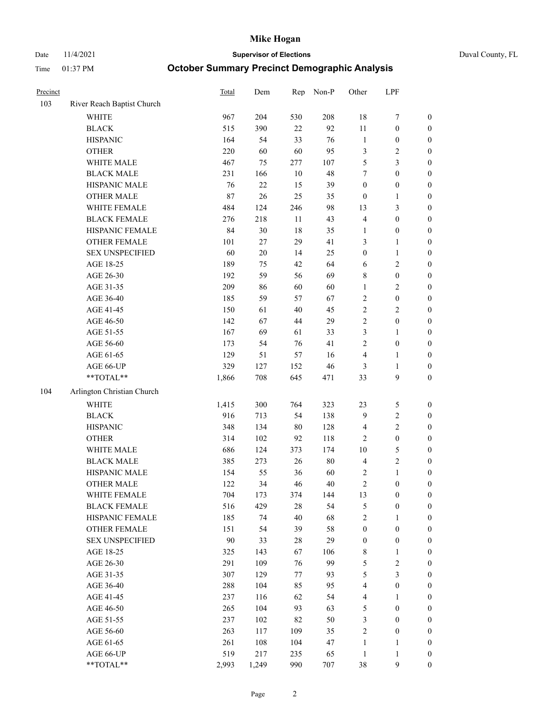Date 11/4/2021 **Supervisor of Elections** Duval County, FL

| Precinct |                            | <b>Total</b> | Dem    | Rep    | Non-P  | Other                   | LPF              |                  |
|----------|----------------------------|--------------|--------|--------|--------|-------------------------|------------------|------------------|
| 103      | River Reach Baptist Church |              |        |        |        |                         |                  |                  |
|          | <b>WHITE</b>               | 967          | 204    | 530    | 208    | $18\,$                  | $\boldsymbol{7}$ | 0                |
|          | <b>BLACK</b>               | 515          | 390    | 22     | 92     | 11                      | $\boldsymbol{0}$ | $\boldsymbol{0}$ |
|          | <b>HISPANIC</b>            | 164          | 54     | 33     | 76     | $1\,$                   | $\boldsymbol{0}$ | $\boldsymbol{0}$ |
|          | <b>OTHER</b>               | 220          | 60     | 60     | 95     | 3                       | $\sqrt{2}$       | $\boldsymbol{0}$ |
|          | WHITE MALE                 | 467          | 75     | 277    | 107    | 5                       | $\mathfrak{Z}$   | $\boldsymbol{0}$ |
|          | <b>BLACK MALE</b>          | 231          | 166    | 10     | 48     | 7                       | $\boldsymbol{0}$ | $\boldsymbol{0}$ |
|          | HISPANIC MALE              | 76           | 22     | 15     | 39     | $\boldsymbol{0}$        | $\boldsymbol{0}$ | $\boldsymbol{0}$ |
|          | <b>OTHER MALE</b>          | $87\,$       | 26     | 25     | 35     | $\boldsymbol{0}$        | $\mathbf{1}$     | $\boldsymbol{0}$ |
|          | WHITE FEMALE               | 484          | 124    | 246    | 98     | 13                      | $\mathfrak{Z}$   | $\boldsymbol{0}$ |
|          | <b>BLACK FEMALE</b>        | 276          | 218    | 11     | 43     | $\overline{4}$          | $\boldsymbol{0}$ | $\boldsymbol{0}$ |
|          | HISPANIC FEMALE            | 84           | 30     | 18     | 35     | 1                       | $\boldsymbol{0}$ | 0                |
|          | OTHER FEMALE               | 101          | 27     | 29     | 41     | 3                       | $\mathbf{1}$     | $\boldsymbol{0}$ |
|          | <b>SEX UNSPECIFIED</b>     | 60           | $20\,$ | 14     | 25     | $\boldsymbol{0}$        | $\mathbf{1}$     | $\boldsymbol{0}$ |
|          | AGE 18-25                  | 189          | 75     | 42     | 64     | 6                       | $\sqrt{2}$       | $\boldsymbol{0}$ |
|          | AGE 26-30                  | 192          | 59     | 56     | 69     | 8                       | $\boldsymbol{0}$ | $\boldsymbol{0}$ |
|          | AGE 31-35                  | 209          | 86     | 60     | 60     | $\mathbf{1}$            | $\sqrt{2}$       | $\boldsymbol{0}$ |
|          | AGE 36-40                  | 185          | 59     | 57     | 67     | 2                       | $\boldsymbol{0}$ | $\boldsymbol{0}$ |
|          | AGE 41-45                  | 150          | 61     | $40\,$ | 45     | $\sqrt{2}$              | $\overline{2}$   | $\boldsymbol{0}$ |
|          | AGE 46-50                  | 142          | 67     | 44     | 29     | $\overline{c}$          | $\boldsymbol{0}$ | $\boldsymbol{0}$ |
|          | AGE 51-55                  | 167          | 69     | 61     | 33     | 3                       | $\mathbf{1}$     | $\boldsymbol{0}$ |
|          | AGE 56-60                  | 173          | 54     | 76     | 41     | $\overline{c}$          | $\boldsymbol{0}$ | 0                |
|          | AGE 61-65                  | 129          | 51     | 57     | 16     | $\overline{4}$          | $\mathbf{1}$     | 0                |
|          | AGE 66-UP                  | 329          | 127    | 152    | 46     | 3                       | $\mathbf{1}$     | $\boldsymbol{0}$ |
|          | $**TOTAL**$                | 1,866        | 708    | 645    | 471    | 33                      | $\boldsymbol{9}$ | $\boldsymbol{0}$ |
| 104      | Arlington Christian Church |              |        |        |        |                         |                  |                  |
|          | <b>WHITE</b>               | 1,415        | 300    | 764    | 323    | 23                      | 5                | $\boldsymbol{0}$ |
|          | <b>BLACK</b>               | 916          | 713    | 54     | 138    | 9                       | $\sqrt{2}$       | $\boldsymbol{0}$ |
|          | <b>HISPANIC</b>            | 348          | 134    | $80\,$ | 128    | $\overline{4}$          | $\sqrt{2}$       | $\boldsymbol{0}$ |
|          | <b>OTHER</b>               | 314          | 102    | 92     | 118    | $\overline{c}$          | $\boldsymbol{0}$ | $\boldsymbol{0}$ |
|          | WHITE MALE                 | 686          | 124    | 373    | 174    | $10\,$                  | $\mathfrak{S}$   | $\boldsymbol{0}$ |
|          | <b>BLACK MALE</b>          | 385          | 273    | 26     | $80\,$ | $\overline{4}$          | $\overline{2}$   | $\boldsymbol{0}$ |
|          | HISPANIC MALE              | 154          | 55     | 36     | 60     | 2                       | $\mathbf{1}$     | $\boldsymbol{0}$ |
|          | <b>OTHER MALE</b>          | 122          | 34     | 46     | 40     | $\sqrt{2}$              | $\boldsymbol{0}$ | $\boldsymbol{0}$ |
|          | WHITE FEMALE               | 704          | 173    | 374    | 144    | 13                      | $\boldsymbol{0}$ | 0                |
|          | <b>BLACK FEMALE</b>        | 516          | 429    | 28     | 54     | 5                       | $\boldsymbol{0}$ | $\boldsymbol{0}$ |
|          | HISPANIC FEMALE            | 185          | 74     | 40     | 68     | $\mathfrak{2}$          | $\mathbf{1}$     | $\overline{0}$   |
|          | <b>OTHER FEMALE</b>        | 151          | 54     | 39     | 58     | $\boldsymbol{0}$        | $\boldsymbol{0}$ | $\overline{0}$   |
|          | <b>SEX UNSPECIFIED</b>     | 90           | 33     | $28\,$ | 29     | $\boldsymbol{0}$        | $\boldsymbol{0}$ | 0                |
|          | AGE 18-25                  | 325          | 143    | 67     | 106    | $\,$ 8 $\,$             | $\mathbf{1}$     | $\theta$         |
|          | AGE 26-30                  | 291          | 109    | 76     | 99     | 5                       | $\sqrt{2}$       | 0                |
|          | AGE 31-35                  | 307          | 129    | 77     | 93     | 5                       | $\mathfrak{Z}$   | 0                |
|          | AGE 36-40                  | 288          | 104    | 85     | 95     | 4                       | $\boldsymbol{0}$ | 0                |
|          | AGE 41-45                  | 237          | 116    | 62     | 54     | $\overline{\mathbf{4}}$ | $\mathbf{1}$     | 0                |
|          | AGE 46-50                  | 265          | 104    | 93     | 63     | 5                       | $\boldsymbol{0}$ | 0                |
|          | AGE 51-55                  | 237          | 102    | 82     | 50     | 3                       | $\boldsymbol{0}$ | 0                |
|          | AGE 56-60                  | 263          | 117    | 109    | 35     | $\overline{c}$          | $\boldsymbol{0}$ | $\overline{0}$   |
|          | AGE 61-65                  | 261          | 108    | 104    | 47     | $\mathbf{1}$            | $\mathbf{1}$     | $\boldsymbol{0}$ |
|          | AGE 66-UP                  | 519          | 217    | 235    | 65     | $\mathbf{1}$            | $\mathbf{1}$     | $\boldsymbol{0}$ |
|          | **TOTAL**                  | 2,993        | 1,249  | 990    | 707    | 38                      | $\mathbf{9}$     | $\boldsymbol{0}$ |
|          |                            |              |        |        |        |                         |                  |                  |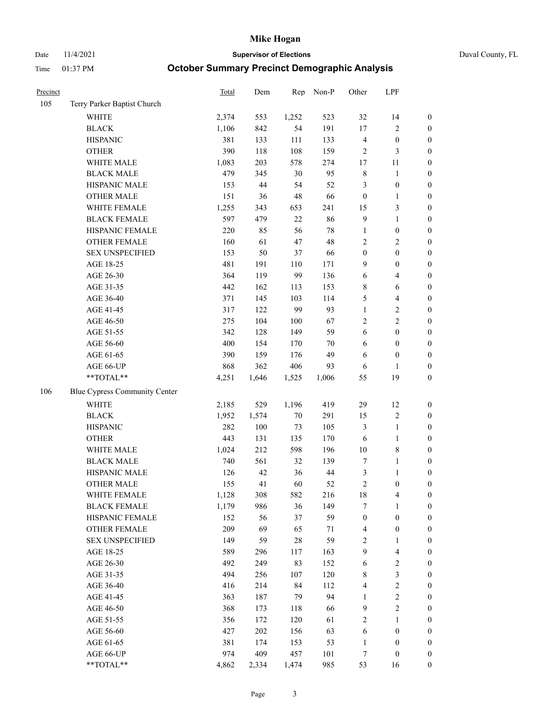Date 11/4/2021 **Supervisor of Elections** Duval County, FL

| Precinct |                               | Total | Dem   | Rep     | Non-P  | Other            | LPF                     |                  |
|----------|-------------------------------|-------|-------|---------|--------|------------------|-------------------------|------------------|
| 105      | Terry Parker Baptist Church   |       |       |         |        |                  |                         |                  |
|          | <b>WHITE</b>                  | 2,374 | 553   | 1,252   | 523    | 32               | 14                      | $\boldsymbol{0}$ |
|          | <b>BLACK</b>                  | 1,106 | 842   | 54      | 191    | $17\,$           | $\sqrt{2}$              | $\boldsymbol{0}$ |
|          | <b>HISPANIC</b>               | 381   | 133   | 111     | 133    | $\overline{4}$   | $\boldsymbol{0}$        | $\boldsymbol{0}$ |
|          | <b>OTHER</b>                  | 390   | 118   | 108     | 159    | $\overline{2}$   | $\mathfrak{Z}$          | $\boldsymbol{0}$ |
|          | WHITE MALE                    | 1,083 | 203   | 578     | 274    | 17               | 11                      | $\boldsymbol{0}$ |
|          | <b>BLACK MALE</b>             | 479   | 345   | 30      | 95     | $\,$ 8 $\,$      | $\mathbf{1}$            | $\boldsymbol{0}$ |
|          | HISPANIC MALE                 | 153   | 44    | 54      | 52     | 3                | $\boldsymbol{0}$        | $\boldsymbol{0}$ |
|          | <b>OTHER MALE</b>             | 151   | 36    | 48      | 66     | $\boldsymbol{0}$ | $\mathbf{1}$            | $\boldsymbol{0}$ |
|          | WHITE FEMALE                  | 1,255 | 343   | 653     | 241    | 15               | $\mathfrak{Z}$          | $\boldsymbol{0}$ |
|          | <b>BLACK FEMALE</b>           | 597   | 479   | $22\,$  | 86     | $\overline{9}$   | $\mathbf{1}$            | $\boldsymbol{0}$ |
|          | HISPANIC FEMALE               | 220   | 85    | 56      | $78\,$ | 1                | $\boldsymbol{0}$        | 0                |
|          | OTHER FEMALE                  | 160   | 61    | $47\,$  | 48     | $\mathbf{2}$     | $\sqrt{2}$              | $\boldsymbol{0}$ |
|          | <b>SEX UNSPECIFIED</b>        | 153   | 50    | 37      | 66     | $\boldsymbol{0}$ | $\boldsymbol{0}$        | $\boldsymbol{0}$ |
|          | AGE 18-25                     | 481   | 191   | 110     | 171    | 9                | $\boldsymbol{0}$        | $\boldsymbol{0}$ |
|          | AGE 26-30                     | 364   | 119   | 99      | 136    | 6                | $\overline{\mathbf{4}}$ | $\boldsymbol{0}$ |
|          | AGE 31-35                     | 442   | 162   | 113     | 153    | 8                | 6                       | $\boldsymbol{0}$ |
|          | AGE 36-40                     | 371   | 145   | 103     | 114    | 5                | $\overline{\mathbf{4}}$ | $\boldsymbol{0}$ |
|          | AGE 41-45                     | 317   | 122   | 99      | 93     | $\mathbf{1}$     | $\sqrt{2}$              | $\boldsymbol{0}$ |
|          | AGE 46-50                     | 275   | 104   | $100\,$ | 67     | $\mathbf{2}$     | $\overline{2}$          | $\boldsymbol{0}$ |
|          | AGE 51-55                     | 342   | 128   | 149     | 59     | 6                | $\boldsymbol{0}$        | $\boldsymbol{0}$ |
|          | AGE 56-60                     | 400   | 154   | 170     | 70     | 6                | $\boldsymbol{0}$        | 0                |
|          | AGE 61-65                     | 390   | 159   | 176     | 49     | 6                | $\boldsymbol{0}$        | 0                |
|          | AGE 66-UP                     | 868   | 362   | 406     | 93     | 6                | $\mathbf{1}$            | $\boldsymbol{0}$ |
|          | $**TOTAL**$                   | 4,251 | 1,646 | 1,525   | 1,006  | 55               | 19                      | $\boldsymbol{0}$ |
| 106      | Blue Cypress Community Center |       |       |         |        |                  |                         |                  |
|          | <b>WHITE</b>                  | 2,185 | 529   | 1,196   | 419    | 29               | 12                      | $\boldsymbol{0}$ |
|          | <b>BLACK</b>                  | 1,952 | 1,574 | $70\,$  | 291    | 15               | $\sqrt{2}$              | $\boldsymbol{0}$ |
|          | <b>HISPANIC</b>               | 282   | 100   | 73      | 105    | 3                | $\mathbf{1}$            | $\boldsymbol{0}$ |
|          | <b>OTHER</b>                  | 443   | 131   | 135     | 170    | 6                | $\mathbf{1}$            | $\boldsymbol{0}$ |
|          | WHITE MALE                    | 1,024 | 212   | 598     | 196    | 10               | $\,$ 8 $\,$             | $\boldsymbol{0}$ |
|          | <b>BLACK MALE</b>             | 740   | 561   | 32      | 139    | 7                | $\mathbf{1}$            | $\boldsymbol{0}$ |
|          | HISPANIC MALE                 | 126   | 42    | 36      | 44     | 3                | 1                       | $\boldsymbol{0}$ |
|          | <b>OTHER MALE</b>             | 155   | 41    | 60      | 52     | $\sqrt{2}$       | $\boldsymbol{0}$        | $\boldsymbol{0}$ |
|          | WHITE FEMALE                  | 1,128 | 308   | 582     | 216    | 18               | 4                       | 0                |
|          | <b>BLACK FEMALE</b>           | 1,179 | 986   | 36      | 149    | 7                | $\mathbf{1}$            | $\boldsymbol{0}$ |
|          | HISPANIC FEMALE               | 152   | 56    | 37      | 59     | $\boldsymbol{0}$ | $\boldsymbol{0}$        | $\overline{0}$   |
|          | <b>OTHER FEMALE</b>           | 209   | 69    | 65      | 71     | $\overline{4}$   | $\boldsymbol{0}$        | $\overline{0}$   |
|          | <b>SEX UNSPECIFIED</b>        | 149   | 59    | $28\,$  | 59     | 2                | $\mathbf{1}$            | 0                |
|          | AGE 18-25                     | 589   | 296   | 117     | 163    | 9                | $\overline{\mathbf{4}}$ | 0                |
|          | AGE 26-30                     | 492   | 249   | 83      | 152    | 6                | $\sqrt{2}$              | 0                |
|          | AGE 31-35                     | 494   | 256   | 107     | 120    | 8                | $\mathfrak{Z}$          | 0                |
|          | AGE 36-40                     | 416   | 214   | 84      | 112    | 4                | $\sqrt{2}$              | 0                |
|          | AGE 41-45                     | 363   | 187   | 79      | 94     | $\mathbf{1}$     | $\sqrt{2}$              | 0                |
|          | AGE 46-50                     | 368   | 173   | 118     | 66     | $\overline{9}$   | $\sqrt{2}$              | 0                |
|          | AGE 51-55                     | 356   | 172   | 120     | 61     | $\sqrt{2}$       | $\mathbf{1}$            | $\boldsymbol{0}$ |
|          | AGE 56-60                     | 427   | 202   | 156     | 63     | 6                | $\boldsymbol{0}$        | $\boldsymbol{0}$ |
|          | AGE 61-65                     | 381   | 174   | 153     | 53     | $\mathbf{1}$     | $\boldsymbol{0}$        | $\overline{0}$   |
|          | AGE 66-UP                     | 974   | 409   | 457     | 101    | 7                | $\boldsymbol{0}$        | $\boldsymbol{0}$ |
|          | **TOTAL**                     | 4,862 | 2,334 | 1,474   | 985    | 53               | 16                      | $\boldsymbol{0}$ |
|          |                               |       |       |         |        |                  |                         |                  |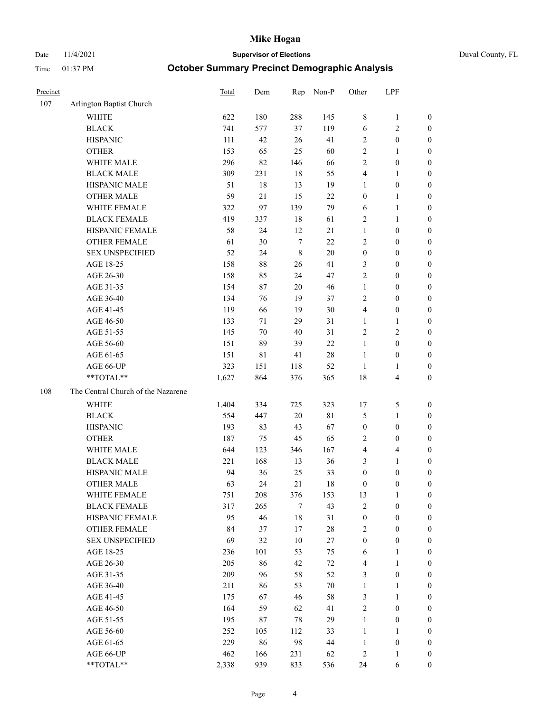Date 11/4/2021 **Supervisor of Elections** Duval County, FL

| Precinct |                                        | <b>Total</b> | Dem        | Rep           | Non-P        | Other                              | LPF                                  |                                      |
|----------|----------------------------------------|--------------|------------|---------------|--------------|------------------------------------|--------------------------------------|--------------------------------------|
| 107      | Arlington Baptist Church               |              |            |               |              |                                    |                                      |                                      |
|          | <b>WHITE</b>                           | 622          | 180        | 288           | 145          | 8                                  | $\mathbf{1}$                         | 0                                    |
|          | <b>BLACK</b>                           | 741          | 577        | 37            | 119          | $\sqrt{6}$                         | $\sqrt{2}$                           | 0                                    |
|          | <b>HISPANIC</b>                        | 111          | 42         | $26\,$        | 41           | $\mathfrak{2}$                     | $\boldsymbol{0}$                     | $\boldsymbol{0}$                     |
|          | <b>OTHER</b>                           | 153          | 65         | 25            | 60           | $\overline{c}$                     | $\mathbf{1}$                         | $\boldsymbol{0}$                     |
|          | WHITE MALE                             | 296          | 82         | 146           | 66           | 2                                  | $\boldsymbol{0}$                     | $\boldsymbol{0}$                     |
|          | <b>BLACK MALE</b>                      | 309          | 231        | 18            | 55           | 4                                  | $\mathbf{1}$                         | $\boldsymbol{0}$                     |
|          | HISPANIC MALE                          | 51           | 18         | 13            | 19           | $\mathbf{1}$                       | $\boldsymbol{0}$                     | $\boldsymbol{0}$                     |
|          | <b>OTHER MALE</b>                      | 59           | 21         | 15            | 22           | $\boldsymbol{0}$                   | $\mathbf{1}$                         | $\boldsymbol{0}$                     |
|          | WHITE FEMALE                           | 322          | 97         | 139           | 79           | 6                                  | $\mathbf{1}$                         | $\boldsymbol{0}$                     |
|          | <b>BLACK FEMALE</b>                    | 419          | 337        | 18            | 61           | 2                                  | $\mathbf{1}$                         | 0                                    |
|          | HISPANIC FEMALE                        | 58           | 24         | 12            | 21           | $\mathbf{1}$                       | $\boldsymbol{0}$                     | 0                                    |
|          | <b>OTHER FEMALE</b>                    | 61           | 30         | $\tau$        | 22           | $\mathbf{2}$                       | $\boldsymbol{0}$                     | $\boldsymbol{0}$                     |
|          | <b>SEX UNSPECIFIED</b>                 | 52           | 24         | $\,$ 8 $\,$   | 20           | $\boldsymbol{0}$                   | $\boldsymbol{0}$                     | $\boldsymbol{0}$                     |
|          | AGE 18-25                              | 158          | 88         | 26            | 41           | 3                                  | $\boldsymbol{0}$                     | $\boldsymbol{0}$                     |
|          | AGE 26-30                              | 158          | 85         | 24            | 47           | 2                                  | $\boldsymbol{0}$                     | $\boldsymbol{0}$                     |
|          | AGE 31-35                              | 154          | 87         | $20\,$        | 46           | $\mathbf{1}$                       | $\boldsymbol{0}$                     | $\boldsymbol{0}$                     |
|          | AGE 36-40                              | 134          | 76         | 19            | 37           | $\overline{c}$                     | $\boldsymbol{0}$                     | $\boldsymbol{0}$                     |
|          | AGE 41-45                              | 119          | 66         | 19            | 30           | 4                                  | $\boldsymbol{0}$                     | $\boldsymbol{0}$                     |
|          | AGE 46-50                              | 133          | 71         | 29            | 31           | 1                                  | $\mathbf{1}$                         | $\boldsymbol{0}$                     |
|          | AGE 51-55                              | 145          | $70\,$     | 40            | 31           | 2                                  | $\sqrt{2}$                           | $\boldsymbol{0}$                     |
|          | AGE 56-60                              | 151          | 89         | 39            | 22           | $\mathbf{1}$                       | $\boldsymbol{0}$                     | 0                                    |
|          | AGE 61-65                              | 151          | 81         | 41            | $28\,$       | $\mathbf{1}$                       | $\boldsymbol{0}$                     | 0                                    |
|          | AGE 66-UP                              | 323          | 151        | 118           | 52           | $\mathbf{1}$                       | $\mathbf{1}$                         | $\boldsymbol{0}$                     |
|          | **TOTAL**                              | 1,627        | 864        | 376           | 365          | 18                                 | $\overline{\mathbf{4}}$              | $\boldsymbol{0}$                     |
| 108      | The Central Church of the Nazarene     |              |            |               |              |                                    |                                      |                                      |
|          | <b>WHITE</b>                           | 1,404        |            |               | 323          |                                    | $\mathfrak{S}$                       |                                      |
|          | <b>BLACK</b>                           | 554          | 334<br>447 | 725<br>$20\,$ | 81           | 17                                 |                                      | $\boldsymbol{0}$                     |
|          | <b>HISPANIC</b>                        | 193          | 83         | 43            | 67           | 5                                  | $\mathbf{1}$<br>$\boldsymbol{0}$     | $\boldsymbol{0}$<br>$\boldsymbol{0}$ |
|          |                                        |              |            |               | 65           | $\boldsymbol{0}$<br>$\overline{c}$ | $\boldsymbol{0}$                     |                                      |
|          | <b>OTHER</b>                           | 187          | 75         | 45            |              |                                    |                                      | $\boldsymbol{0}$                     |
|          | WHITE MALE<br><b>BLACK MALE</b>        | 644          | 123        | 346           | 167          | 4                                  | $\overline{\mathbf{4}}$              | $\boldsymbol{0}$                     |
|          |                                        | 221          | 168        | 13            | 36           | 3                                  | $\mathbf{1}$                         | $\boldsymbol{0}$                     |
|          | HISPANIC MALE<br><b>OTHER MALE</b>     | 94           | 36<br>24   | 25<br>21      | 33<br>18     | $\boldsymbol{0}$                   | $\boldsymbol{0}$                     | 0                                    |
|          |                                        | 63           |            |               |              | $\boldsymbol{0}$                   | $\boldsymbol{0}$                     | $\boldsymbol{0}$                     |
|          | WHITE FEMALE<br><b>BLACK FEMALE</b>    | 751<br>317   | 208<br>265 | 376<br>7      | 153<br>43    | 13<br>$\mathbf{2}$                 | 1<br>$\boldsymbol{0}$                | 0                                    |
|          | HISPANIC FEMALE                        | 95           | 46         | $18\,$        | 31           |                                    | $\boldsymbol{0}$                     | $\boldsymbol{0}$<br>$\overline{0}$   |
|          |                                        |              |            |               |              | $\boldsymbol{0}$                   |                                      |                                      |
|          | OTHER FEMALE<br><b>SEX UNSPECIFIED</b> | 84<br>69     | 37         | $17\,$<br>10  | $28\,$       | 2<br>$\boldsymbol{0}$              | $\boldsymbol{0}$<br>$\boldsymbol{0}$ | $\overline{0}$                       |
|          |                                        |              | 32         |               | 27           |                                    |                                      | 0                                    |
|          | AGE 18-25                              | 236          | 101        | 53            | 75           | 6                                  | $\mathbf{1}$                         | 0                                    |
|          | AGE 26-30                              | 205<br>209   | 86<br>96   | 42<br>58      | $72\,$<br>52 | 4                                  | $\mathbf{1}$                         | 0<br>0                               |
|          | AGE 31-35                              |              |            |               |              | 3                                  | $\boldsymbol{0}$                     |                                      |
|          | AGE 36-40                              | 211<br>175   | 86<br>67   | 53<br>46      | $70\,$<br>58 | $\mathbf{1}$                       | $\mathbf{1}$                         | 0                                    |
|          | AGE 41-45                              |              |            |               |              | 3                                  | $\mathbf{1}$                         | 0                                    |
|          | AGE 46-50                              | 164          | 59         | 62            | 41           | $\mathbf{2}$                       | $\boldsymbol{0}$                     | 0                                    |
|          | AGE 51-55                              | 195          | 87         | $78\,$        | 29           | $\mathbf{1}$                       | $\boldsymbol{0}$                     | 0                                    |
|          | AGE 56-60                              | 252          | 105        | 112           | 33           | $\mathbf{1}$                       | $\mathbf{1}$                         | $\overline{0}$                       |
|          | AGE 61-65<br>AGE 66-UP                 | 229          | 86         | 98            | 44           | $\mathbf{1}$                       | $\boldsymbol{0}$                     | $\overline{0}$                       |
|          |                                        | 462          | 166        | 231           | 62           | 2                                  | $\mathbf{1}$                         | $\boldsymbol{0}$                     |
|          | **TOTAL**                              | 2,338        | 939        | 833           | 536          | 24                                 | 6                                    | $\boldsymbol{0}$                     |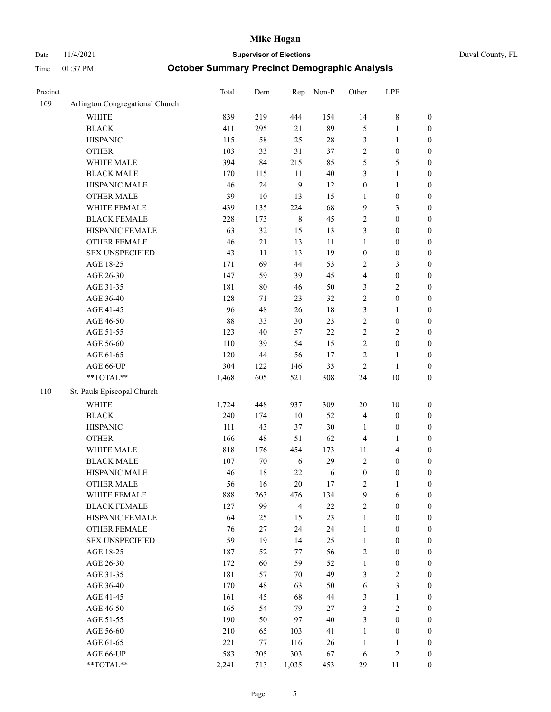Date 11/4/2021 **Supervisor of Elections** Duval County, FL

| Precinct |                                 | Total  | Dem    | Rep            | Non-P  | Other            | LPF                     |                  |
|----------|---------------------------------|--------|--------|----------------|--------|------------------|-------------------------|------------------|
| 109      | Arlington Congregational Church |        |        |                |        |                  |                         |                  |
|          | <b>WHITE</b>                    | 839    | 219    | 444            | 154    | 14               | $\,8\,$                 | 0                |
|          | <b>BLACK</b>                    | 411    | 295    | $21\,$         | 89     | $\mathfrak s$    | $\mathbf{1}$            | 0                |
|          | <b>HISPANIC</b>                 | 115    | 58     | 25             | $28\,$ | 3                | $\mathbf{1}$            | $\boldsymbol{0}$ |
|          | <b>OTHER</b>                    | 103    | 33     | 31             | 37     | $\sqrt{2}$       | $\boldsymbol{0}$        | $\boldsymbol{0}$ |
|          | WHITE MALE                      | 394    | 84     | 215            | 85     | 5                | 5                       | $\boldsymbol{0}$ |
|          | <b>BLACK MALE</b>               | 170    | 115    | 11             | $40\,$ | 3                | $\mathbf{1}$            | $\boldsymbol{0}$ |
|          | HISPANIC MALE                   | 46     | 24     | 9              | 12     | $\boldsymbol{0}$ | $\mathbf{1}$            | $\boldsymbol{0}$ |
|          | <b>OTHER MALE</b>               | 39     | $10\,$ | 13             | 15     | $\mathbf{1}$     | $\boldsymbol{0}$        | $\boldsymbol{0}$ |
|          | WHITE FEMALE                    | 439    | 135    | 224            | 68     | 9                | $\mathfrak{Z}$          | $\boldsymbol{0}$ |
|          | <b>BLACK FEMALE</b>             | 228    | 173    | $\,$ 8 $\,$    | 45     | 2                | $\boldsymbol{0}$        | $\boldsymbol{0}$ |
|          | HISPANIC FEMALE                 | 63     | 32     | 15             | 13     | 3                | $\boldsymbol{0}$        | $\boldsymbol{0}$ |
|          | OTHER FEMALE                    | 46     | $21\,$ | 13             | 11     | $\mathbf{1}$     | $\boldsymbol{0}$        | $\boldsymbol{0}$ |
|          | <b>SEX UNSPECIFIED</b>          | 43     | 11     | 13             | 19     | $\boldsymbol{0}$ | $\boldsymbol{0}$        | $\boldsymbol{0}$ |
|          | AGE 18-25                       | 171    | 69     | 44             | 53     | 2                | $\mathfrak{Z}$          | $\boldsymbol{0}$ |
|          | AGE 26-30                       | 147    | 59     | 39             | 45     | 4                | $\boldsymbol{0}$        | $\boldsymbol{0}$ |
|          | AGE 31-35                       | 181    | $80\,$ | 46             | 50     | 3                | $\sqrt{2}$              | $\boldsymbol{0}$ |
|          | AGE 36-40                       | 128    | 71     | 23             | 32     | $\overline{c}$   | $\boldsymbol{0}$        | $\boldsymbol{0}$ |
|          | AGE 41-45                       | 96     | 48     | 26             | $18\,$ | 3                | $\mathbf{1}$            | $\boldsymbol{0}$ |
|          | AGE 46-50                       | $88\,$ | 33     | 30             | 23     | $\sqrt{2}$       | $\boldsymbol{0}$        | $\boldsymbol{0}$ |
|          | AGE 51-55                       | 123    | 40     | 57             | $22\,$ | $\sqrt{2}$       | $\sqrt{2}$              | $\boldsymbol{0}$ |
|          | AGE 56-60                       | 110    | 39     | 54             | 15     | $\sqrt{2}$       | $\boldsymbol{0}$        | 0                |
|          | AGE 61-65                       | 120    | 44     | 56             | $17\,$ | $\sqrt{2}$       | $\mathbf{1}$            | 0                |
|          | AGE 66-UP                       | 304    | 122    | 146            | 33     | $\sqrt{2}$       | $\mathbf{1}$            | $\boldsymbol{0}$ |
|          | **TOTAL**                       | 1,468  | 605    | 521            | 308    | 24               | $10\,$                  | $\boldsymbol{0}$ |
| 110      | St. Pauls Episcopal Church      |        |        |                |        |                  |                         |                  |
|          | <b>WHITE</b>                    | 1,724  | 448    | 937            | 309    | $20\,$           | $10\,$                  | $\boldsymbol{0}$ |
|          | <b>BLACK</b>                    | 240    | 174    | 10             | 52     | 4                | $\boldsymbol{0}$        | $\boldsymbol{0}$ |
|          | <b>HISPANIC</b>                 | 111    | 43     | 37             | 30     | $\mathbf{1}$     | $\boldsymbol{0}$        | $\boldsymbol{0}$ |
|          | <b>OTHER</b>                    | 166    | 48     | 51             | 62     | 4                | $\mathbf{1}$            | $\boldsymbol{0}$ |
|          | WHITE MALE                      | 818    | 176    | 454            | 173    | 11               | $\overline{\mathbf{4}}$ | $\boldsymbol{0}$ |
|          | <b>BLACK MALE</b>               | 107    | $70\,$ | 6              | 29     | $\mathfrak{2}$   | $\boldsymbol{0}$        | $\boldsymbol{0}$ |
|          | HISPANIC MALE                   | 46     | $18\,$ | $22\,$         | 6      | $\boldsymbol{0}$ | $\boldsymbol{0}$        | $\boldsymbol{0}$ |
|          | <b>OTHER MALE</b>               | 56     | 16     | 20             | 17     | 2                | $\mathbf{1}$            | $\boldsymbol{0}$ |
|          | WHITE FEMALE                    | 888    | 263    | 476            | 134    | 9                | 6                       | 0                |
|          | <b>BLACK FEMALE</b>             | 127    | 99     | $\overline{4}$ | 22     | 2                | $\boldsymbol{0}$        | $\overline{0}$   |
|          | HISPANIC FEMALE                 | 64     | 25     | 15             | 23     | $\mathbf{1}$     | $\boldsymbol{0}$        | $\overline{0}$   |
|          | OTHER FEMALE                    | 76     | 27     | 24             | 24     | $\mathbf{1}$     | $\boldsymbol{0}$        | $\overline{0}$   |
|          | <b>SEX UNSPECIFIED</b>          | 59     | 19     | 14             | 25     | $\mathbf{1}$     | $\boldsymbol{0}$        | 0                |
|          | AGE 18-25                       | 187    | 52     | 77             | 56     | 2                | $\boldsymbol{0}$        | $\theta$         |
|          | AGE 26-30                       | 172    | 60     | 59             | 52     | $\mathbf{1}$     | $\boldsymbol{0}$        | 0                |
|          | AGE 31-35                       | 181    | 57     | 70             | 49     | 3                | $\sqrt{2}$              | 0                |
|          | AGE 36-40                       | 170    | 48     | 63             | 50     | 6                | $\mathfrak{Z}$          | 0                |
|          | AGE 41-45                       | 161    | 45     | 68             | 44     | 3                | $\mathbf{1}$            | 0                |
|          | AGE 46-50                       | 165    | 54     | 79             | 27     | 3                | $\sqrt{2}$              | 0                |
|          | AGE 51-55                       | 190    | 50     | 97             | 40     | 3                | $\boldsymbol{0}$        | 0                |
|          | AGE 56-60                       | 210    | 65     | 103            | 41     | $\mathbf{1}$     | $\boldsymbol{0}$        | $\overline{0}$   |
|          | AGE 61-65                       | 221    | 77     | 116            | 26     | $\mathbf{1}$     | $\mathbf{1}$            | $\overline{0}$   |
|          | AGE 66-UP                       | 583    | 205    | 303            | 67     | 6                | $\sqrt{2}$              | 0                |
|          | **TOTAL**                       | 2,241  | 713    | 1,035          | 453    | 29               | 11                      | $\boldsymbol{0}$ |
|          |                                 |        |        |                |        |                  |                         |                  |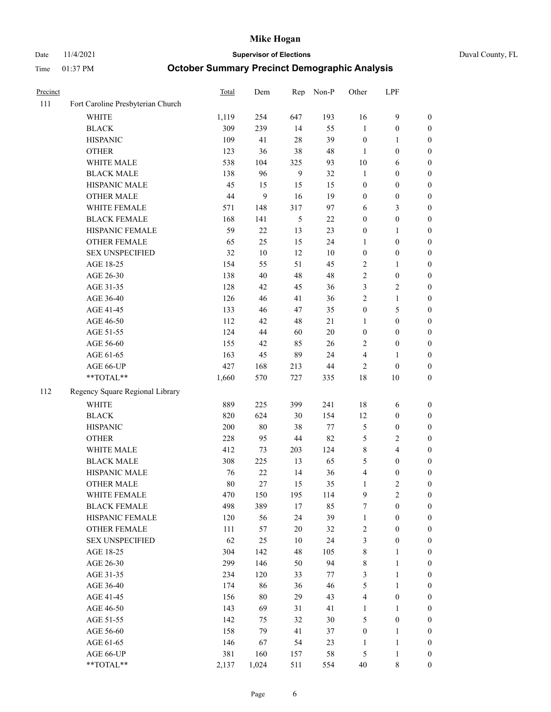Date 11/4/2021 **Supervisor of Elections** Duval County, FL

| Precinct |                                   | Total  | Dem    | Rep | Non-P  | Other                   | LPF              |                  |
|----------|-----------------------------------|--------|--------|-----|--------|-------------------------|------------------|------------------|
| 111      | Fort Caroline Presbyterian Church |        |        |     |        |                         |                  |                  |
|          | <b>WHITE</b>                      | 1,119  | 254    | 647 | 193    | 16                      | $\mathbf{9}$     | 0                |
|          | <b>BLACK</b>                      | 309    | 239    | 14  | 55     | 1                       | $\boldsymbol{0}$ | 0                |
|          | <b>HISPANIC</b>                   | 109    | 41     | 28  | 39     | $\boldsymbol{0}$        | $\mathbf{1}$     | $\boldsymbol{0}$ |
|          | <b>OTHER</b>                      | 123    | 36     | 38  | 48     | 1                       | $\boldsymbol{0}$ | $\boldsymbol{0}$ |
|          | WHITE MALE                        | 538    | 104    | 325 | 93     | 10                      | 6                | $\boldsymbol{0}$ |
|          | <b>BLACK MALE</b>                 | 138    | 96     | 9   | 32     | $\mathbf{1}$            | $\boldsymbol{0}$ | $\boldsymbol{0}$ |
|          | HISPANIC MALE                     | 45     | 15     | 15  | 15     | $\boldsymbol{0}$        | $\boldsymbol{0}$ | $\boldsymbol{0}$ |
|          | <b>OTHER MALE</b>                 | $44\,$ | 9      | 16  | 19     | $\boldsymbol{0}$        | $\boldsymbol{0}$ | $\boldsymbol{0}$ |
|          | WHITE FEMALE                      | 571    | 148    | 317 | 97     | 6                       | $\mathfrak{Z}$   | $\boldsymbol{0}$ |
|          | <b>BLACK FEMALE</b>               | 168    | 141    | 5   | $22\,$ | $\boldsymbol{0}$        | $\boldsymbol{0}$ | 0                |
|          | HISPANIC FEMALE                   | 59     | 22     | 13  | 23     | $\boldsymbol{0}$        | $\mathbf{1}$     | 0                |
|          | OTHER FEMALE                      | 65     | 25     | 15  | 24     | 1                       | $\boldsymbol{0}$ | $\boldsymbol{0}$ |
|          | <b>SEX UNSPECIFIED</b>            | 32     | $10\,$ | 12  | $10\,$ | $\boldsymbol{0}$        | $\boldsymbol{0}$ | $\boldsymbol{0}$ |
|          | AGE 18-25                         | 154    | 55     | 51  | 45     | $\sqrt{2}$              | 1                | $\boldsymbol{0}$ |
|          | AGE 26-30                         | 138    | 40     | 48  | 48     | $\overline{c}$          | $\boldsymbol{0}$ | $\boldsymbol{0}$ |
|          | AGE 31-35                         | 128    | 42     | 45  | 36     | 3                       | $\sqrt{2}$       | $\boldsymbol{0}$ |
|          | AGE 36-40                         | 126    | 46     | 41  | 36     | $\overline{c}$          | $\mathbf{1}$     | $\boldsymbol{0}$ |
|          | AGE 41-45                         | 133    | 46     | 47  | 35     | $\boldsymbol{0}$        | $\mathfrak{S}$   | $\boldsymbol{0}$ |
|          | AGE 46-50                         | 112    | 42     | 48  | 21     | 1                       | $\boldsymbol{0}$ | $\boldsymbol{0}$ |
|          | AGE 51-55                         | 124    | 44     | 60  | $20\,$ | $\boldsymbol{0}$        | $\boldsymbol{0}$ | $\boldsymbol{0}$ |
|          | AGE 56-60                         | 155    | 42     | 85  | 26     | 2                       | $\boldsymbol{0}$ | 0                |
|          | AGE 61-65                         | 163    | 45     | 89  | 24     | 4                       | $\mathbf{1}$     | 0                |
|          | AGE 66-UP                         | 427    | 168    | 213 | $44\,$ | $\overline{2}$          | $\boldsymbol{0}$ | $\boldsymbol{0}$ |
|          | **TOTAL**                         | 1,660  | 570    | 727 | 335    | 18                      | $10\,$           | $\boldsymbol{0}$ |
| 112      | Regency Square Regional Library   |        |        |     |        |                         |                  |                  |
|          | <b>WHITE</b>                      | 889    | 225    | 399 | 241    | 18                      | 6                | $\boldsymbol{0}$ |
|          | <b>BLACK</b>                      | 820    | 624    | 30  | 154    | 12                      | $\boldsymbol{0}$ | $\boldsymbol{0}$ |
|          | <b>HISPANIC</b>                   | 200    | $80\,$ | 38  | 77     | 5                       | $\boldsymbol{0}$ | $\boldsymbol{0}$ |
|          | <b>OTHER</b>                      | 228    | 95     | 44  | 82     | 5                       | $\sqrt{2}$       | $\boldsymbol{0}$ |
|          | WHITE MALE                        | 412    | 73     | 203 | 124    | 8                       | $\overline{4}$   | $\boldsymbol{0}$ |
|          | <b>BLACK MALE</b>                 | 308    | 225    | 13  | 65     | 5                       | $\boldsymbol{0}$ | $\boldsymbol{0}$ |
|          | HISPANIC MALE                     | 76     | $22\,$ | 14  | 36     | 4                       | $\boldsymbol{0}$ | $\boldsymbol{0}$ |
|          | <b>OTHER MALE</b>                 | 80     | 27     | 15  | 35     | $\mathbf{1}$            | $\mathbf{2}$     | $\boldsymbol{0}$ |
|          | WHITE FEMALE                      | 470    | 150    | 195 | 114    | 9                       | 2                | 0                |
|          | <b>BLACK FEMALE</b>               | 498    | 389    | 17  | 85     | 7                       | $\boldsymbol{0}$ | $\boldsymbol{0}$ |
|          | HISPANIC FEMALE                   | 120    | 56     | 24  | 39     | $\mathbf{1}$            | $\boldsymbol{0}$ | $\overline{0}$   |
|          | OTHER FEMALE                      | 111    | 57     | 20  | 32     | $\overline{c}$          | $\boldsymbol{0}$ | $\overline{0}$   |
|          | <b>SEX UNSPECIFIED</b>            | 62     | 25     | 10  | 24     | 3                       | $\boldsymbol{0}$ | 0                |
|          | AGE 18-25                         | 304    | 142    | 48  | 105    | $\,$ 8 $\,$             | $\mathbf{1}$     | 0                |
|          | AGE 26-30                         | 299    | 146    | 50  | 94     | 8                       | $\mathbf{1}$     | 0                |
|          | AGE 31-35                         | 234    | 120    | 33  | $77\,$ | 3                       | $\mathbf{1}$     | 0                |
|          | AGE 36-40                         | 174    | 86     | 36  | 46     | 5                       | $\mathbf{1}$     | 0                |
|          | AGE 41-45                         | 156    | $80\,$ | 29  | 43     | $\overline{\mathbf{4}}$ | $\boldsymbol{0}$ | 0                |
|          | AGE 46-50                         | 143    | 69     | 31  | 41     | $\mathbf{1}$            | $\mathbf{1}$     | 0                |
|          | AGE 51-55                         | 142    | 75     | 32  | 30     | 5                       | $\boldsymbol{0}$ | 0                |
|          | AGE 56-60                         | 158    | 79     | 41  | 37     | $\boldsymbol{0}$        | $\mathbf{1}$     | $\boldsymbol{0}$ |
|          | AGE 61-65                         | 146    | 67     | 54  | 23     | 1                       | $\mathbf{1}$     | $\boldsymbol{0}$ |
|          | AGE 66-UP                         | 381    | 160    | 157 | 58     | 5                       | $\mathbf{1}$     | $\boldsymbol{0}$ |
|          | **TOTAL**                         | 2,137  | 1,024  | 511 | 554    | 40                      | $8\,$            | $\boldsymbol{0}$ |
|          |                                   |        |        |     |        |                         |                  |                  |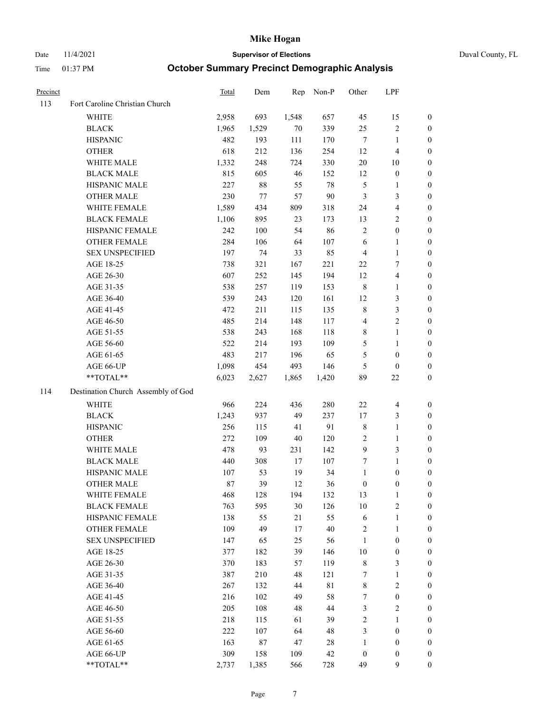Date 11/4/2021 **Supervisor of Elections** Duval County, FL

| Precinct |                                    | <b>Total</b> | Dem    | Rep   | Non-P  | Other            | LPF                     |                  |
|----------|------------------------------------|--------------|--------|-------|--------|------------------|-------------------------|------------------|
| 113      | Fort Caroline Christian Church     |              |        |       |        |                  |                         |                  |
|          | <b>WHITE</b>                       | 2,958        | 693    | 1,548 | 657    | 45               | 15                      | 0                |
|          | <b>BLACK</b>                       | 1,965        | 1,529  | 70    | 339    | 25               | $\sqrt{2}$              | 0                |
|          | <b>HISPANIC</b>                    | 482          | 193    | 111   | 170    | $\tau$           | $\mathbf{1}$            | $\boldsymbol{0}$ |
|          | <b>OTHER</b>                       | 618          | 212    | 136   | 254    | 12               | $\overline{\mathbf{4}}$ | $\boldsymbol{0}$ |
|          | WHITE MALE                         | 1,332        | 248    | 724   | 330    | $20\,$           | 10                      | $\boldsymbol{0}$ |
|          | <b>BLACK MALE</b>                  | 815          | 605    | 46    | 152    | 12               | $\boldsymbol{0}$        | $\boldsymbol{0}$ |
|          | HISPANIC MALE                      | 227          | $88\,$ | 55    | $78\,$ | 5                | $\mathbf{1}$            | $\boldsymbol{0}$ |
|          | <b>OTHER MALE</b>                  | 230          | 77     | 57    | $90\,$ | $\mathfrak{Z}$   | $\mathfrak{Z}$          | $\boldsymbol{0}$ |
|          | WHITE FEMALE                       | 1,589        | 434    | 809   | 318    | 24               | $\overline{4}$          | $\boldsymbol{0}$ |
|          | <b>BLACK FEMALE</b>                | 1,106        | 895    | 23    | 173    | 13               | $\sqrt{2}$              | 0                |
|          | HISPANIC FEMALE                    | 242          | 100    | 54    | 86     | $\sqrt{2}$       | $\boldsymbol{0}$        | 0                |
|          | OTHER FEMALE                       | 284          | 106    | 64    | 107    | 6                | $\mathbf{1}$            | 0                |
|          | <b>SEX UNSPECIFIED</b>             | 197          | 74     | 33    | 85     | $\overline{4}$   | $\mathbf{1}$            | $\boldsymbol{0}$ |
|          | AGE 18-25                          | 738          | 321    | 167   | 221    | 22               | $\tau$                  | $\boldsymbol{0}$ |
|          | AGE 26-30                          | 607          | 252    | 145   | 194    | 12               | $\overline{\mathbf{4}}$ | $\boldsymbol{0}$ |
|          | AGE 31-35                          | 538          | 257    | 119   | 153    | $\,$ 8 $\,$      | $\mathbf{1}$            | $\boldsymbol{0}$ |
|          | AGE 36-40                          | 539          | 243    | 120   | 161    | 12               | $\mathfrak{Z}$          | $\boldsymbol{0}$ |
|          | AGE 41-45                          | 472          | 211    | 115   | 135    | 8                | $\mathfrak{Z}$          | $\overline{0}$   |
|          | AGE 46-50                          | 485          | 214    | 148   | 117    | $\overline{4}$   | $\overline{2}$          | $\boldsymbol{0}$ |
|          | AGE 51-55                          | 538          | 243    | 168   | 118    | 8                | $\mathbf{1}$            | 0                |
|          | AGE 56-60                          | 522          | 214    | 193   | 109    | 5                | $\mathbf{1}$            | 0                |
|          | AGE 61-65                          | 483          | 217    | 196   | 65     | 5                | $\boldsymbol{0}$        | 0                |
|          | AGE 66-UP                          | 1,098        | 454    | 493   | 146    | 5                | $\boldsymbol{0}$        | $\boldsymbol{0}$ |
|          | **TOTAL**                          | 6,023        | 2,627  | 1,865 | 1,420  | 89               | $22\,$                  | $\boldsymbol{0}$ |
| 114      | Destination Church Assembly of God |              |        |       |        |                  |                         |                  |
|          | <b>WHITE</b>                       | 966          | 224    | 436   | 280    | $22\,$           | $\overline{\mathbf{4}}$ | $\boldsymbol{0}$ |
|          | <b>BLACK</b>                       | 1,243        | 937    | 49    | 237    | $17$             | $\mathfrak{Z}$          | $\boldsymbol{0}$ |
|          | <b>HISPANIC</b>                    | 256          | 115    | 41    | 91     | 8                | $\mathbf{1}$            | $\boldsymbol{0}$ |
|          | <b>OTHER</b>                       | 272          | 109    | 40    | 120    | $\sqrt{2}$       | $\mathbf{1}$            | $\boldsymbol{0}$ |
|          | WHITE MALE                         | 478          | 93     | 231   | 142    | $\mathbf{9}$     | $\mathfrak{Z}$          | $\boldsymbol{0}$ |
|          | <b>BLACK MALE</b>                  | 440          | 308    | 17    | 107    | 7                | $\mathbf{1}$            | $\boldsymbol{0}$ |
|          | HISPANIC MALE                      | 107          | 53     | 19    | 34     | $\mathbf{1}$     | $\boldsymbol{0}$        | 0                |
|          | <b>OTHER MALE</b>                  | 87           | 39     | 12    | 36     | $\boldsymbol{0}$ | $\boldsymbol{0}$        | 0                |
|          | WHITE FEMALE                       | 468          | 128    | 194   | 132    | 13               | 1                       | 0                |
|          | <b>BLACK FEMALE</b>                | 763          | 595    | 30    | 126    | 10               | $\sqrt{2}$              | $\overline{0}$   |
|          | HISPANIC FEMALE                    | 138          | 55     | 21    | 55     | 6                | $\mathbf{1}$            | $\overline{0}$   |
|          | OTHER FEMALE                       | 109          | 49     | 17    | 40     | $\overline{c}$   | $\mathbf{1}$            | $\overline{0}$   |
|          | <b>SEX UNSPECIFIED</b>             | 147          | 65     | 25    | 56     | $\mathbf{1}$     | $\boldsymbol{0}$        | 0                |
|          | AGE 18-25                          | 377          | 182    | 39    | 146    | 10               | $\boldsymbol{0}$        | 0                |
|          | AGE 26-30                          | 370          | 183    | 57    | 119    | 8                | $\mathfrak{Z}$          | 0                |
|          | AGE 31-35                          | 387          | 210    | 48    | 121    | 7                | $\mathbf{1}$            | 0                |
|          | AGE 36-40                          | 267          | 132    | 44    | 81     | 8                | $\sqrt{2}$              | 0                |
|          | AGE 41-45                          | 216          | 102    | 49    | 58     | 7                | $\boldsymbol{0}$        | 0                |
|          | AGE 46-50                          | 205          | 108    | 48    | 44     | 3                | $\sqrt{2}$              | 0                |
|          | AGE 51-55                          | 218          | 115    | 61    | 39     | 2                | $\mathbf{1}$            | 0                |
|          | AGE 56-60                          | 222          | 107    | 64    | 48     | 3                | $\boldsymbol{0}$        | $\overline{0}$   |
|          | AGE 61-65                          | 163          | $87\,$ | 47    | 28     | $\mathbf{1}$     | $\boldsymbol{0}$        | $\overline{0}$   |
|          | AGE 66-UP                          | 309          | 158    | 109   | 42     | $\boldsymbol{0}$ | $\boldsymbol{0}$        | 0                |
|          | **TOTAL**                          | 2,737        | 1,385  | 566   | 728    | 49               | 9                       | $\overline{0}$   |
|          |                                    |              |        |       |        |                  |                         |                  |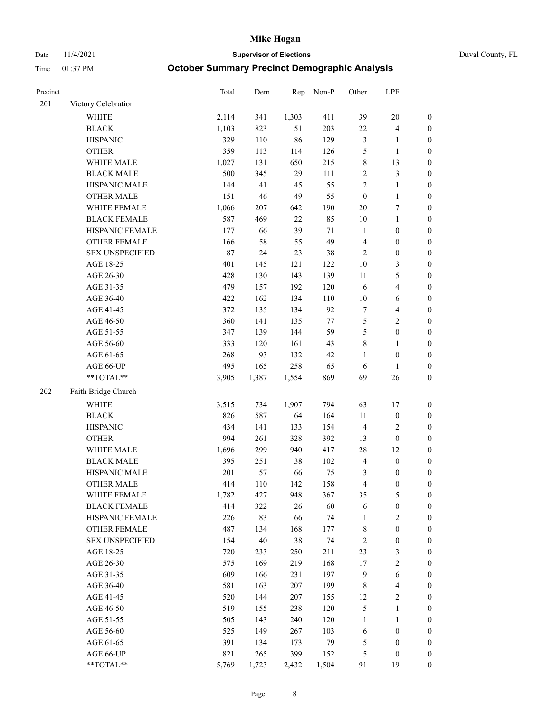Date 11/4/2021 **Supervisor of Elections** Duval County, FL

| Precinct |                        | Total | Dem     | Rep    | Non-P  | Other            | LPF                     |                  |
|----------|------------------------|-------|---------|--------|--------|------------------|-------------------------|------------------|
| 201      | Victory Celebration    |       |         |        |        |                  |                         |                  |
|          | <b>WHITE</b>           | 2,114 | 341     | 1,303  | 411    | 39               | $20\,$                  | 0                |
|          | <b>BLACK</b>           | 1,103 | 823     | 51     | 203    | $22\,$           | $\overline{\mathbf{4}}$ | $\boldsymbol{0}$ |
|          | <b>HISPANIC</b>        | 329   | 110     | 86     | 129    | 3                | $\mathbf{1}$            | $\boldsymbol{0}$ |
|          | <b>OTHER</b>           | 359   | 113     | 114    | 126    | 5                | $\mathbf{1}$            | $\boldsymbol{0}$ |
|          | WHITE MALE             | 1,027 | 131     | 650    | 215    | 18               | 13                      | $\boldsymbol{0}$ |
|          | <b>BLACK MALE</b>      | 500   | 345     | 29     | 111    | 12               | $\mathfrak{Z}$          | $\boldsymbol{0}$ |
|          | HISPANIC MALE          | 144   | 41      | 45     | 55     | $\sqrt{2}$       | $\mathbf{1}$            | $\boldsymbol{0}$ |
|          | <b>OTHER MALE</b>      | 151   | 46      | 49     | 55     | $\boldsymbol{0}$ | $\mathbf{1}$            | $\boldsymbol{0}$ |
|          | WHITE FEMALE           | 1,066 | $207\,$ | 642    | 190    | $20\,$           | $\boldsymbol{7}$        | $\boldsymbol{0}$ |
|          | <b>BLACK FEMALE</b>    | 587   | 469     | $22\,$ | 85     | 10               | $\mathbf{1}$            | 0                |
|          | HISPANIC FEMALE        | 177   | 66      | 39     | 71     | $\mathbf{1}$     | $\boldsymbol{0}$        | 0                |
|          | OTHER FEMALE           | 166   | 58      | 55     | 49     | $\overline{4}$   | $\boldsymbol{0}$        | $\boldsymbol{0}$ |
|          | <b>SEX UNSPECIFIED</b> | 87    | 24      | 23     | 38     | $\sqrt{2}$       | $\boldsymbol{0}$        | $\boldsymbol{0}$ |
|          | AGE 18-25              | 401   | 145     | 121    | 122    | $10\,$           | $\mathfrak{Z}$          | $\boldsymbol{0}$ |
|          | AGE 26-30              | 428   | 130     | 143    | 139    | $11\,$           | $\mathfrak{S}$          | $\boldsymbol{0}$ |
|          | AGE 31-35              | 479   | 157     | 192    | 120    | 6                | $\overline{\mathbf{4}}$ | $\boldsymbol{0}$ |
|          | AGE 36-40              | 422   | 162     | 134    | 110    | 10               | 6                       | $\boldsymbol{0}$ |
|          | AGE 41-45              | 372   | 135     | 134    | 92     | $\tau$           | $\overline{\mathbf{4}}$ | $\boldsymbol{0}$ |
|          | AGE 46-50              | 360   | 141     | 135    | $77\,$ | 5                | $\overline{2}$          | $\boldsymbol{0}$ |
|          | AGE 51-55              | 347   | 139     | 144    | 59     | 5                | $\boldsymbol{0}$        | $\boldsymbol{0}$ |
|          | AGE 56-60              | 333   | 120     | 161    | 43     | $\,$ $\,$        | $\mathbf{1}$            | 0                |
|          | AGE 61-65              | 268   | 93      | 132    | 42     | $\mathbf{1}$     | $\boldsymbol{0}$        | $\boldsymbol{0}$ |
|          | AGE 66-UP              | 495   | 165     | 258    | 65     | 6                | $\mathbf{1}$            | $\boldsymbol{0}$ |
|          | $**TOTAL**$            | 3,905 | 1,387   | 1,554  | 869    | 69               | $26\,$                  | $\boldsymbol{0}$ |
|          |                        |       |         |        |        |                  |                         |                  |
| 202      | Faith Bridge Church    |       |         |        |        |                  |                         |                  |
|          | <b>WHITE</b>           | 3,515 | 734     | 1,907  | 794    | 63               | 17                      | $\boldsymbol{0}$ |
|          | <b>BLACK</b>           | 826   | 587     | 64     | 164    | $11\,$           | $\boldsymbol{0}$        | $\boldsymbol{0}$ |
|          | <b>HISPANIC</b>        | 434   | 141     | 133    | 154    | $\overline{4}$   | $\sqrt{2}$              | $\boldsymbol{0}$ |
|          | <b>OTHER</b>           | 994   | 261     | 328    | 392    | 13               | $\boldsymbol{0}$        | $\boldsymbol{0}$ |
|          | WHITE MALE             | 1,696 | 299     | 940    | 417    | 28               | 12                      | $\boldsymbol{0}$ |
|          | <b>BLACK MALE</b>      | 395   | 251     | 38     | 102    | $\overline{4}$   | $\boldsymbol{0}$        | $\boldsymbol{0}$ |
|          | HISPANIC MALE          | 201   | 57      | 66     | 75     | 3                | $\boldsymbol{0}$        | $\boldsymbol{0}$ |
|          | <b>OTHER MALE</b>      | 414   | 110     | 142    | 158    | 4                | $\boldsymbol{0}$        | $\boldsymbol{0}$ |
|          | WHITE FEMALE           | 1,782 | 427     | 948    | 367    | 35               | 5                       | 0                |
|          | <b>BLACK FEMALE</b>    | 414   | 322     | 26     | 60     | 6                | $\boldsymbol{0}$        | $\boldsymbol{0}$ |
|          | HISPANIC FEMALE        | 226   | 83      | 66     | 74     | $\mathbf{1}$     | $\sqrt{2}$              | $\overline{0}$   |
|          | <b>OTHER FEMALE</b>    | 487   | 134     | 168    | 177    | 8                | $\boldsymbol{0}$        | $\overline{0}$   |
|          | <b>SEX UNSPECIFIED</b> | 154   | 40      | 38     | 74     | $\overline{c}$   | $\boldsymbol{0}$        | 0                |
|          | AGE 18-25              | 720   | 233     | 250    | 211    | 23               | $\mathfrak{Z}$          | $\overline{0}$   |
|          | AGE 26-30              | 575   | 169     | 219    | 168    | 17               | $\sqrt{2}$              | 0                |
|          | AGE 31-35              | 609   | 166     | 231    | 197    | $\overline{9}$   | $\sqrt{6}$              | 0                |
|          | AGE 36-40              | 581   | 163     | 207    | 199    | $\,$ 8 $\,$      | $\overline{\mathbf{4}}$ | 0                |
|          | AGE 41-45              | 520   | 144     | 207    | 155    | 12               | $\sqrt{2}$              | 0                |
|          | AGE 46-50              | 519   | 155     | 238    | 120    | 5                | $\mathbf{1}$            | 0                |
|          | AGE 51-55              | 505   | 143     | 240    | 120    | $\mathbf{1}$     | $\mathbf{1}$            | 0                |
|          | AGE 56-60              | 525   | 149     | 267    | 103    | 6                | $\boldsymbol{0}$        | 0                |
|          | AGE 61-65              | 391   | 134     | 173    | 79     | 5                | $\boldsymbol{0}$        | $\boldsymbol{0}$ |
|          | AGE 66-UP              | 821   | 265     | 399    | 152    | 5                | $\boldsymbol{0}$        | 0                |
|          | **TOTAL**              | 5,769 | 1,723   | 2,432  | 1,504  | 91               | 19                      | $\boldsymbol{0}$ |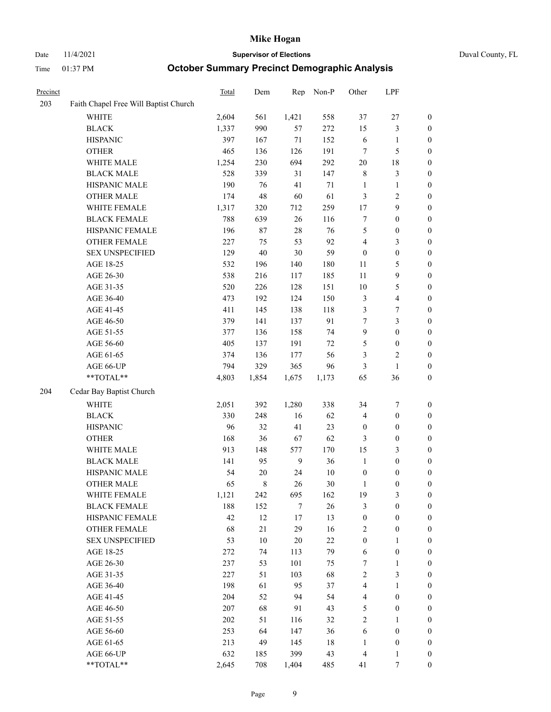Date 11/4/2021 **Supervisor of Elections** Duval County, FL

| Precinct |                                       | Total | Dem    | Rep          | Non-P  | Other            | LPF                     |                  |
|----------|---------------------------------------|-------|--------|--------------|--------|------------------|-------------------------|------------------|
| 203      | Faith Chapel Free Will Baptist Church |       |        |              |        |                  |                         |                  |
|          | <b>WHITE</b>                          | 2,604 | 561    | 1,421        | 558    | 37               | $27\,$                  | $\boldsymbol{0}$ |
|          | <b>BLACK</b>                          | 1,337 | 990    | 57           | 272    | 15               | $\mathfrak{Z}$          | $\boldsymbol{0}$ |
|          | <b>HISPANIC</b>                       | 397   | 167    | $71\,$       | 152    | 6                | $\mathbf{1}$            | $\boldsymbol{0}$ |
|          | <b>OTHER</b>                          | 465   | 136    | 126          | 191    | 7                | 5                       | $\boldsymbol{0}$ |
|          | WHITE MALE                            | 1,254 | 230    | 694          | 292    | 20               | 18                      | $\boldsymbol{0}$ |
|          | <b>BLACK MALE</b>                     | 528   | 339    | 31           | 147    | 8                | $\mathfrak{Z}$          | $\boldsymbol{0}$ |
|          | HISPANIC MALE                         | 190   | 76     | 41           | 71     | $\mathbf{1}$     | $\mathbf{1}$            | $\boldsymbol{0}$ |
|          | <b>OTHER MALE</b>                     | 174   | 48     | 60           | 61     | 3                | $\sqrt{2}$              | $\boldsymbol{0}$ |
|          | WHITE FEMALE                          | 1,317 | 320    | 712          | 259    | $17$             | $\boldsymbol{9}$        | 0                |
|          | <b>BLACK FEMALE</b>                   | 788   | 639    | 26           | 116    | 7                | $\boldsymbol{0}$        | $\boldsymbol{0}$ |
|          | HISPANIC FEMALE                       | 196   | 87     | $28\,$       | 76     | 5                | $\boldsymbol{0}$        | $\boldsymbol{0}$ |
|          | OTHER FEMALE                          | 227   | 75     | 53           | 92     | 4                | $\mathfrak{Z}$          | $\boldsymbol{0}$ |
|          | <b>SEX UNSPECIFIED</b>                | 129   | 40     | $30\,$       | 59     | $\boldsymbol{0}$ | $\boldsymbol{0}$        | $\boldsymbol{0}$ |
|          | AGE 18-25                             | 532   | 196    | 140          | 180    | $11\,$           | $\mathfrak{S}$          | $\boldsymbol{0}$ |
|          | AGE 26-30                             | 538   | 216    | 117          | 185    | $11\,$           | $\mathbf{9}$            | $\boldsymbol{0}$ |
|          | AGE 31-35                             | 520   | 226    | 128          | 151    | 10               | $\mathfrak s$           | $\boldsymbol{0}$ |
|          | AGE 36-40                             | 473   | 192    | 124          | 150    | 3                | $\overline{\mathbf{4}}$ | $\boldsymbol{0}$ |
|          | AGE 41-45                             | 411   | 145    | 138          | 118    | 3                | 7                       | $\boldsymbol{0}$ |
|          | AGE 46-50                             | 379   | 141    | 137          | 91     | $\tau$           | $\mathfrak{Z}$          | 0                |
|          | AGE 51-55                             | 377   | 136    | 158          | 74     | 9                | $\boldsymbol{0}$        | $\boldsymbol{0}$ |
|          | AGE 56-60                             | 405   | 137    | 191          | 72     | 5                | $\boldsymbol{0}$        | $\boldsymbol{0}$ |
|          | AGE 61-65                             | 374   | 136    | 177          | 56     | 3                | $\mathfrak{2}$          | $\boldsymbol{0}$ |
|          | AGE 66-UP                             | 794   | 329    | 365          | 96     | 3                | $\mathbf{1}$            | $\boldsymbol{0}$ |
|          | $**TOTAL**$                           | 4,803 | 1,854  | 1,675        | 1,173  | 65               | 36                      | $\boldsymbol{0}$ |
| 204      | Cedar Bay Baptist Church              |       |        |              |        |                  |                         |                  |
|          | <b>WHITE</b>                          | 2,051 | 392    | 1,280        | 338    | 34               | $\boldsymbol{7}$        | $\boldsymbol{0}$ |
|          | <b>BLACK</b>                          | 330   | 248    | 16           | 62     | 4                | $\boldsymbol{0}$        | $\boldsymbol{0}$ |
|          | <b>HISPANIC</b>                       | 96    | 32     | 41           | 23     | $\boldsymbol{0}$ | $\boldsymbol{0}$        | $\boldsymbol{0}$ |
|          | <b>OTHER</b>                          | 168   | 36     | 67           | 62     | 3                | $\boldsymbol{0}$        | $\boldsymbol{0}$ |
|          | WHITE MALE                            | 913   | 148    | 577          | 170    | 15               | $\mathfrak{Z}$          | $\boldsymbol{0}$ |
|          | <b>BLACK MALE</b>                     | 141   | 95     | $\mathbf{9}$ | 36     | $\mathbf{1}$     | $\boldsymbol{0}$        | 0                |
|          | HISPANIC MALE                         | 54    | $20\,$ | 24           | $10\,$ | $\boldsymbol{0}$ | $\boldsymbol{0}$        | 0                |
|          | <b>OTHER MALE</b>                     | 65    | 8      | 26           | 30     | $\mathbf{1}$     | $\boldsymbol{0}$        | $\boldsymbol{0}$ |
|          | WHITE FEMALE                          | 1,121 | 242    | 695          | 162    | 19               | $\mathfrak{Z}$          | $\boldsymbol{0}$ |
|          | <b>BLACK FEMALE</b>                   | 188   | 152    | 7            | 26     | 3                | $\boldsymbol{0}$        | $\overline{0}$   |
|          | HISPANIC FEMALE                       | 42    | 12     | $17\,$       | 13     | $\boldsymbol{0}$ | $\boldsymbol{0}$        | $\overline{0}$   |
|          | <b>OTHER FEMALE</b>                   | 68    | 21     | 29           | 16     | $\sqrt{2}$       | $\boldsymbol{0}$        | $\overline{0}$   |
|          | <b>SEX UNSPECIFIED</b>                | 53    | $10\,$ | $20\,$       | $22\,$ | $\boldsymbol{0}$ | $\mathbf{1}$            | $\overline{0}$   |
|          | AGE 18-25                             | 272   | 74     | 113          | 79     | 6                | $\boldsymbol{0}$        | 0                |
|          | AGE 26-30                             | 237   | 53     | 101          | 75     | 7                | $\mathbf{1}$            | 0                |
|          | AGE 31-35                             | 227   | 51     | 103          | 68     | $\sqrt{2}$       | $\mathfrak{Z}$          | 0                |
|          | AGE 36-40                             | 198   | 61     | 95           | 37     | 4                | $\mathbf{1}$            | 0                |
|          | AGE 41-45                             | 204   | 52     | 94           | 54     | 4                | $\boldsymbol{0}$        | $\overline{0}$   |
|          | AGE 46-50                             | 207   | 68     | 91           | 43     | 5                | $\boldsymbol{0}$        | $\boldsymbol{0}$ |
|          | AGE 51-55                             | 202   | 51     | 116          | 32     | 2                | $\mathbf{1}$            | $\boldsymbol{0}$ |
|          | AGE 56-60                             | 253   | 64     | 147          | 36     | 6                | $\boldsymbol{0}$        | $\overline{0}$   |
|          | AGE 61-65                             | 213   | 49     | 145          | 18     | $\mathbf{1}$     | $\boldsymbol{0}$        | $\overline{0}$   |
|          | AGE 66-UP                             | 632   | 185    | 399          | 43     | $\overline{4}$   | $\mathbf{1}$            | $\boldsymbol{0}$ |
|          | **TOTAL**                             | 2,645 | 708    | 1,404        | 485    | 41               | $\boldsymbol{7}$        | $\boldsymbol{0}$ |
|          |                                       |       |        |              |        |                  |                         |                  |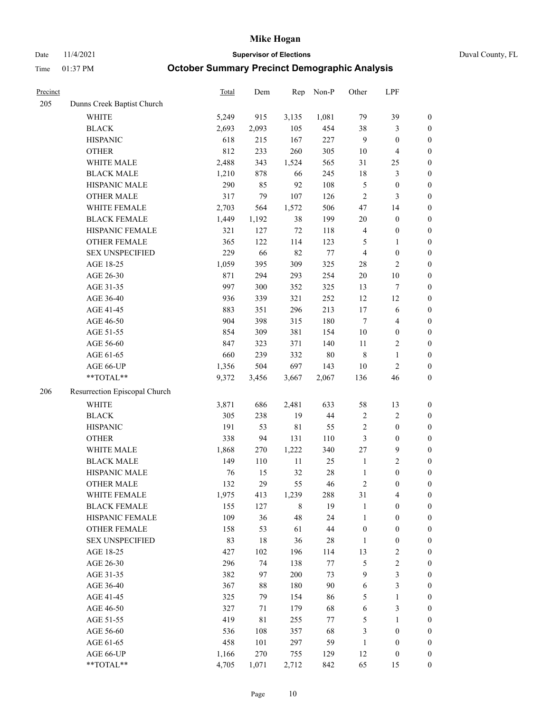Date 11/4/2021 **Supervisor of Elections** Duval County, FL

| Precinct |                               | Total | Dem         | Rep         | Non-P  | Other                   | LPF                     |                  |
|----------|-------------------------------|-------|-------------|-------------|--------|-------------------------|-------------------------|------------------|
| 205      | Dunns Creek Baptist Church    |       |             |             |        |                         |                         |                  |
|          | WHITE                         | 5,249 | 915         | 3,135       | 1,081  | 79                      | 39                      | $\boldsymbol{0}$ |
|          | <b>BLACK</b>                  | 2,693 | 2,093       | 105         | 454    | 38                      | 3                       | $\boldsymbol{0}$ |
|          | <b>HISPANIC</b>               | 618   | 215         | 167         | 227    | 9                       | $\boldsymbol{0}$        | $\boldsymbol{0}$ |
|          | <b>OTHER</b>                  | 812   | 233         | 260         | 305    | 10                      | $\overline{\mathbf{4}}$ | $\boldsymbol{0}$ |
|          | WHITE MALE                    | 2,488 | 343         | 1,524       | 565    | 31                      | 25                      | $\boldsymbol{0}$ |
|          | <b>BLACK MALE</b>             | 1,210 | 878         | 66          | 245    | 18                      | $\mathfrak{Z}$          | $\boldsymbol{0}$ |
|          | HISPANIC MALE                 | 290   | 85          | 92          | 108    | $\mathfrak{S}$          | $\boldsymbol{0}$        | $\boldsymbol{0}$ |
|          | <b>OTHER MALE</b>             | 317   | 79          | 107         | 126    | $\overline{2}$          | 3                       | $\boldsymbol{0}$ |
|          | WHITE FEMALE                  | 2,703 | 564         | 1,572       | 506    | 47                      | 14                      | $\boldsymbol{0}$ |
|          | <b>BLACK FEMALE</b>           | 1,449 | 1,192       | 38          | 199    | $20\,$                  | $\boldsymbol{0}$        | $\boldsymbol{0}$ |
|          | HISPANIC FEMALE               | 321   | 127         | $72\,$      | 118    | $\overline{\mathbf{4}}$ | $\boldsymbol{0}$        | 0                |
|          | OTHER FEMALE                  | 365   | 122         | 114         | 123    | 5                       | $\mathbf{1}$            | $\boldsymbol{0}$ |
|          | <b>SEX UNSPECIFIED</b>        | 229   | 66          | 82          | $77\,$ | $\overline{4}$          | $\boldsymbol{0}$        | $\boldsymbol{0}$ |
|          | AGE 18-25                     | 1,059 | 395         | 309         | 325    | 28                      | $\sqrt{2}$              | $\boldsymbol{0}$ |
|          | AGE 26-30                     | 871   | 294         | 293         | 254    | $20\,$                  | $10\,$                  | $\boldsymbol{0}$ |
|          | AGE 31-35                     | 997   | 300         | 352         | 325    | 13                      | $\boldsymbol{7}$        | $\boldsymbol{0}$ |
|          | AGE 36-40                     | 936   | 339         | 321         | 252    | 12                      | 12                      | $\boldsymbol{0}$ |
|          | AGE 41-45                     | 883   | 351         | 296         | 213    | 17                      | $\sqrt{6}$              | $\boldsymbol{0}$ |
|          | AGE 46-50                     | 904   | 398         | 315         | 180    | $\tau$                  | $\overline{4}$          | $\boldsymbol{0}$ |
|          | AGE 51-55                     | 854   | 309         | 381         | 154    | $10\,$                  | $\boldsymbol{0}$        | $\boldsymbol{0}$ |
|          | AGE 56-60                     | 847   | 323         | 371         | 140    | 11                      | $\sqrt{2}$              | 0                |
|          | AGE 61-65                     | 660   | 239         | 332         | $80\,$ | $\,$ 8 $\,$             | $\mathbf{1}$            | $\boldsymbol{0}$ |
|          | AGE 66-UP                     | 1,356 | 504         | 697         | 143    | $10\,$                  | $\sqrt{2}$              | $\boldsymbol{0}$ |
|          | **TOTAL**                     | 9,372 | 3,456       | 3,667       | 2,067  | 136                     | 46                      | $\boldsymbol{0}$ |
| 206      | Resurrection Episcopal Church |       |             |             |        |                         |                         |                  |
|          | <b>WHITE</b>                  | 3,871 | 686         | 2,481       | 633    | 58                      | 13                      | $\boldsymbol{0}$ |
|          | <b>BLACK</b>                  | 305   | 238         | 19          | 44     | $\sqrt{2}$              | $\sqrt{2}$              | $\boldsymbol{0}$ |
|          | <b>HISPANIC</b>               | 191   | 53          | $8\sqrt{1}$ | 55     | $\sqrt{2}$              | $\boldsymbol{0}$        | $\boldsymbol{0}$ |
|          | <b>OTHER</b>                  | 338   | 94          | 131         | 110    | 3                       | $\boldsymbol{0}$        | $\boldsymbol{0}$ |
|          | WHITE MALE                    | 1,868 | 270         | 1,222       | 340    | 27                      | $\mathbf{9}$            | $\boldsymbol{0}$ |
|          | <b>BLACK MALE</b>             | 149   | 110         | $11\,$      | 25     | $\mathbf{1}$            | $\overline{2}$          | $\boldsymbol{0}$ |
|          | HISPANIC MALE                 | 76    | 15          | 32          | $28\,$ | $\mathbf{1}$            | $\boldsymbol{0}$        | $\boldsymbol{0}$ |
|          | <b>OTHER MALE</b>             | 132   | 29          | 55          | 46     | $\sqrt{2}$              | $\boldsymbol{0}$        | $\boldsymbol{0}$ |
|          | WHITE FEMALE                  | 1,975 | 413         | 1,239       | 288    | 31                      | 4                       | 0                |
|          | <b>BLACK FEMALE</b>           | 155   | 127         | 8           | 19     | $\mathbf{1}$            | $\boldsymbol{0}$        | 0                |
|          | HISPANIC FEMALE               | 109   | 36          | 48          | 24     | $\mathbf{1}$            | $\boldsymbol{0}$        | $\overline{0}$   |
|          | OTHER FEMALE                  | 158   | 53          | 61          | 44     | $\boldsymbol{0}$        | $\boldsymbol{0}$        | 0                |
|          | <b>SEX UNSPECIFIED</b>        | 83    | $18\,$      | 36          | $28\,$ | $\mathbf{1}$            | $\boldsymbol{0}$        | 0                |
|          | AGE 18-25                     | 427   | 102         | 196         | 114    | 13                      | $\sqrt{2}$              | 0                |
|          | AGE 26-30                     | 296   | 74          | 138         | 77     | 5                       | $\sqrt{2}$              | 0                |
|          | AGE 31-35                     | 382   | 97          | 200         | 73     | 9                       | $\mathfrak{Z}$          | 0                |
|          | AGE 36-40                     | 367   | $88\,$      | 180         | 90     | 6                       | $\mathfrak{Z}$          | 0                |
|          | AGE 41-45                     | 325   | 79          | 154         | 86     | 5                       | $\mathbf{1}$            | 0                |
|          | AGE 46-50                     | 327   | 71          | 179         | 68     | 6                       | $\mathfrak{Z}$          | 0                |
|          | AGE 51-55                     | 419   | $8\sqrt{1}$ | 255         | 77     | 5                       | $\mathbf{1}$            | 0                |
|          | AGE 56-60                     | 536   | 108         | 357         | 68     | 3                       | $\boldsymbol{0}$        | 0                |
|          | AGE 61-65                     | 458   | 101         | 297         | 59     | $\mathbf{1}$            | $\boldsymbol{0}$        | 0                |
|          | AGE 66-UP                     | 1,166 | 270         | 755         | 129    | 12                      | $\boldsymbol{0}$        | 0                |
|          | **TOTAL**                     | 4,705 | 1,071       | 2,712       | 842    | 65                      | 15                      | $\boldsymbol{0}$ |
|          |                               |       |             |             |        |                         |                         |                  |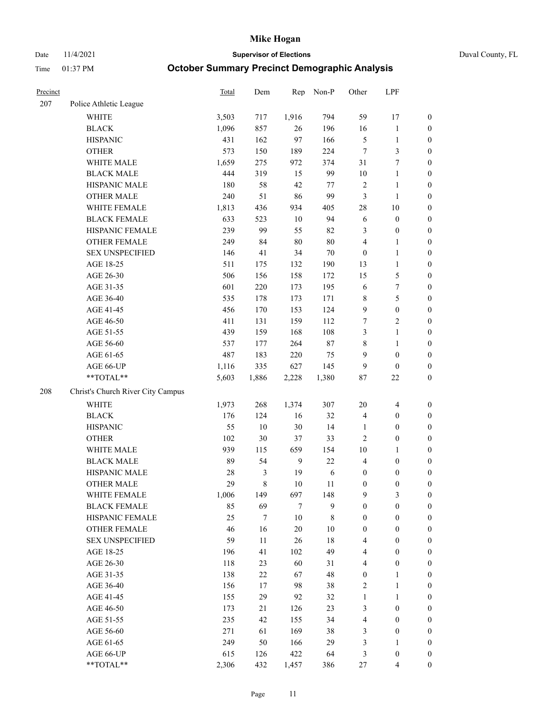Date 11/4/2021 **Supervisor of Elections** Duval County, FL

| Precinct |                                   | Total | Dem    | Rep          | Non-P      | Other            | LPF                     |                  |
|----------|-----------------------------------|-------|--------|--------------|------------|------------------|-------------------------|------------------|
| 207      | Police Athletic League            |       |        |              |            |                  |                         |                  |
|          | <b>WHITE</b>                      | 3,503 | 717    | 1,916        | 794        | 59               | 17                      | 0                |
|          | <b>BLACK</b>                      | 1,096 | 857    | 26           | 196        | 16               | $\mathbf{1}$            | 0                |
|          | <b>HISPANIC</b>                   | 431   | 162    | 97           | 166        | 5                | $\mathbf{1}$            | $\boldsymbol{0}$ |
|          | <b>OTHER</b>                      | 573   | 150    | 189          | 224        | $\tau$           | $\mathfrak{Z}$          | $\boldsymbol{0}$ |
|          | WHITE MALE                        | 1,659 | 275    | 972          | 374        | 31               | $\tau$                  | $\boldsymbol{0}$ |
|          | <b>BLACK MALE</b>                 | 444   | 319    | 15           | 99         | $10\,$           | $\mathbf{1}$            | $\boldsymbol{0}$ |
|          | HISPANIC MALE                     | 180   | 58     | 42           | 77         | 2                | $\mathbf{1}$            | $\boldsymbol{0}$ |
|          | <b>OTHER MALE</b>                 | 240   | 51     | 86           | 99         | 3                | $\mathbf{1}$            | $\boldsymbol{0}$ |
|          | WHITE FEMALE                      | 1,813 | 436    | 934          | 405        | 28               | $10\,$                  | $\boldsymbol{0}$ |
|          | <b>BLACK FEMALE</b>               | 633   | 523    | 10           | 94         | 6                | $\boldsymbol{0}$        | $\boldsymbol{0}$ |
|          | HISPANIC FEMALE                   | 239   | 99     | 55           | 82         | 3                | $\boldsymbol{0}$        | 0                |
|          | <b>OTHER FEMALE</b>               | 249   | 84     | 80           | $80\,$     | 4                | $\mathbf{1}$            | $\boldsymbol{0}$ |
|          | <b>SEX UNSPECIFIED</b>            | 146   | 41     | 34           | 70         | $\boldsymbol{0}$ | $\mathbf{1}$            | $\boldsymbol{0}$ |
|          | AGE 18-25                         | 511   | 175    | 132          | 190        | 13               | $\mathbf{1}$            | $\boldsymbol{0}$ |
|          | AGE 26-30                         | 506   | 156    | 158          | 172        | 15               | $\mathfrak{S}$          | $\boldsymbol{0}$ |
|          | AGE 31-35                         | 601   | 220    | 173          | 195        | 6                | $\boldsymbol{7}$        | $\boldsymbol{0}$ |
|          | AGE 36-40                         | 535   | 178    | 173          | 171        | 8                | $\mathfrak s$           | $\boldsymbol{0}$ |
|          | AGE 41-45                         | 456   | 170    | 153          | 124        | 9                | $\boldsymbol{0}$        | $\boldsymbol{0}$ |
|          | AGE 46-50                         | 411   | 131    | 159          | 112        | 7                | $\overline{c}$          | $\boldsymbol{0}$ |
|          | AGE 51-55                         | 439   | 159    | 168          | 108        | 3                | $\mathbf{1}$            | $\boldsymbol{0}$ |
|          | AGE 56-60                         | 537   | 177    | 264          | 87         | 8                | $\mathbf{1}$            | 0                |
|          | AGE 61-65                         | 487   | 183    | 220          | 75         | 9                | $\boldsymbol{0}$        | $\boldsymbol{0}$ |
|          | AGE 66-UP                         | 1,116 | 335    | 627          | 145        | 9                | $\boldsymbol{0}$        | $\boldsymbol{0}$ |
|          | **TOTAL**                         | 5,603 | 1,886  | 2,228        | 1,380      | 87               | $22\,$                  | $\boldsymbol{0}$ |
| 208      | Christ's Church River City Campus |       |        |              |            |                  |                         |                  |
|          | <b>WHITE</b>                      | 1,973 | 268    | 1,374        | 307        | $20\,$           | $\overline{\mathbf{4}}$ | $\boldsymbol{0}$ |
|          | <b>BLACK</b>                      | 176   | 124    | 16           | 32         | 4                | $\boldsymbol{0}$        | $\boldsymbol{0}$ |
|          | <b>HISPANIC</b>                   | 55    | 10     | 30           | 14         | $\mathbf{1}$     | $\boldsymbol{0}$        | $\boldsymbol{0}$ |
|          | <b>OTHER</b>                      | 102   | 30     | 37           | 33         | $\overline{c}$   | $\boldsymbol{0}$        | $\boldsymbol{0}$ |
|          | WHITE MALE                        | 939   | 115    | 659          | 154        | $10\,$           | $\mathbf{1}$            | $\boldsymbol{0}$ |
|          | <b>BLACK MALE</b>                 | 89    | 54     | $\mathbf{9}$ | 22         | 4                | $\boldsymbol{0}$        | $\boldsymbol{0}$ |
|          | HISPANIC MALE                     | 28    | 3      | 19           | $\sqrt{6}$ | $\boldsymbol{0}$ | $\boldsymbol{0}$        | $\boldsymbol{0}$ |
|          | <b>OTHER MALE</b>                 | 29    | 8      | 10           | 11         | $\boldsymbol{0}$ | $\boldsymbol{0}$        | $\boldsymbol{0}$ |
|          | WHITE FEMALE                      | 1,006 | 149    | 697          | 148        | 9                | 3                       | 0                |
|          | <b>BLACK FEMALE</b>               | 85    | 69     | 7            | 9          | $\boldsymbol{0}$ | $\boldsymbol{0}$        | $\boldsymbol{0}$ |
|          | HISPANIC FEMALE                   | 25    | $\tau$ | 10           | 8          | $\boldsymbol{0}$ | $\boldsymbol{0}$        | $\overline{0}$   |
|          | OTHER FEMALE                      | 46    | 16     | 20           | $10\,$     | $\boldsymbol{0}$ | $\boldsymbol{0}$        | $\overline{0}$   |
|          | <b>SEX UNSPECIFIED</b>            | 59    | 11     | 26           | $18\,$     | 4                | $\boldsymbol{0}$        | 0                |
|          | AGE 18-25                         | 196   | 41     | 102          | 49         | 4                | $\boldsymbol{0}$        | $\theta$         |
|          | AGE 26-30                         | 118   | 23     | 60           | 31         | $\overline{4}$   | $\boldsymbol{0}$        | 0                |
|          | AGE 31-35                         | 138   | 22     | 67           | 48         | $\boldsymbol{0}$ | $\mathbf{1}$            | 0                |
|          | AGE 36-40                         | 156   | 17     | 98           | 38         | 2                | $\mathbf{1}$            | 0                |
|          | AGE 41-45                         | 155   | 29     | 92           | 32         | $\mathbf{1}$     | $\mathbf{1}$            | 0                |
|          | AGE 46-50                         | 173   | 21     | 126          | 23         | 3                | $\boldsymbol{0}$        | 0                |
|          | AGE 51-55                         | 235   | 42     | 155          | 34         | 4                | $\boldsymbol{0}$        | 0                |
|          | AGE 56-60                         | 271   | 61     | 169          | 38         | 3                | $\boldsymbol{0}$        | $\boldsymbol{0}$ |
|          | AGE 61-65                         | 249   | 50     | 166          | 29         | 3                | $\mathbf{1}$            | $\boldsymbol{0}$ |
|          | AGE 66-UP                         | 615   | 126    | 422          | 64         | 3                | $\boldsymbol{0}$        | 0                |
|          | **TOTAL**                         | 2,306 | 432    | 1,457        | 386        | 27               | $\overline{4}$          | $\boldsymbol{0}$ |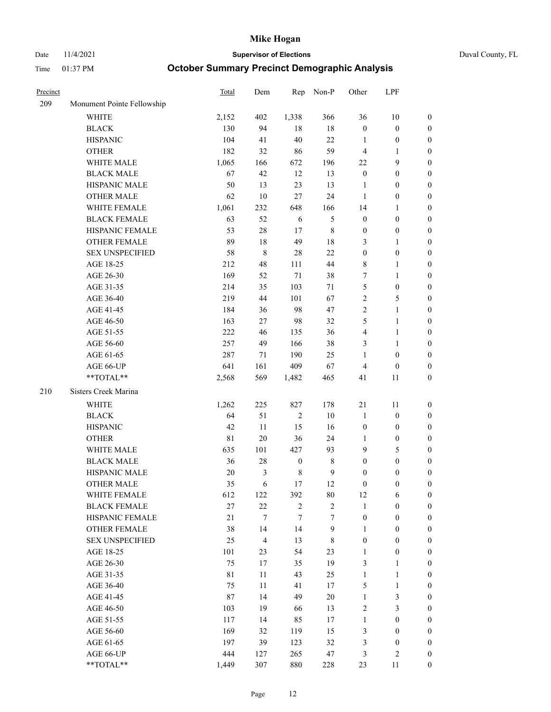Date 11/4/2021 **Supervisor of Elections** Duval County, FL

| Precinct |                            | Total       | Dem                     | Rep              | Non-P            | Other            | LPF              |                  |
|----------|----------------------------|-------------|-------------------------|------------------|------------------|------------------|------------------|------------------|
| 209      | Monument Pointe Fellowship |             |                         |                  |                  |                  |                  |                  |
|          | <b>WHITE</b>               | 2,152       | 402                     | 1,338            | 366              | 36               | $10\,$           | 0                |
|          | <b>BLACK</b>               | 130         | 94                      | 18               | $18\,$           | $\boldsymbol{0}$ | $\boldsymbol{0}$ | 0                |
|          | <b>HISPANIC</b>            | 104         | 41                      | 40               | 22               | 1                | $\boldsymbol{0}$ | $\boldsymbol{0}$ |
|          | <b>OTHER</b>               | 182         | 32                      | 86               | 59               | 4                | $\mathbf{1}$     | $\boldsymbol{0}$ |
|          | WHITE MALE                 | 1,065       | 166                     | 672              | 196              | 22               | 9                | $\boldsymbol{0}$ |
|          | <b>BLACK MALE</b>          | 67          | 42                      | 12               | 13               | $\boldsymbol{0}$ | $\boldsymbol{0}$ | $\boldsymbol{0}$ |
|          | HISPANIC MALE              | 50          | 13                      | 23               | 13               | $\mathbf{1}$     | $\boldsymbol{0}$ | $\boldsymbol{0}$ |
|          | <b>OTHER MALE</b>          | 62          | 10                      | 27               | 24               | $\mathbf{1}$     | $\boldsymbol{0}$ | $\boldsymbol{0}$ |
|          | WHITE FEMALE               | 1,061       | 232                     | 648              | 166              | 14               | $\mathbf{1}$     | $\boldsymbol{0}$ |
|          | <b>BLACK FEMALE</b>        | 63          | 52                      | 6                | $\mathfrak{S}$   | $\boldsymbol{0}$ | $\boldsymbol{0}$ | 0                |
|          | HISPANIC FEMALE            | 53          | $28\,$                  | 17               | $\,$ 8 $\,$      | $\boldsymbol{0}$ | $\boldsymbol{0}$ | 0                |
|          | OTHER FEMALE               | 89          | 18                      | 49               | $18\,$           | 3                | $\mathbf{1}$     | 0                |
|          | <b>SEX UNSPECIFIED</b>     | 58          | 8                       | 28               | 22               | $\boldsymbol{0}$ | $\boldsymbol{0}$ | $\boldsymbol{0}$ |
|          | AGE 18-25                  | 212         | 48                      | 111              | 44               | 8                | $\mathbf{1}$     | $\boldsymbol{0}$ |
|          | AGE 26-30                  | 169         | 52                      | $71\,$           | 38               | 7                | $\mathbf{1}$     | $\boldsymbol{0}$ |
|          | AGE 31-35                  | 214         | 35                      | 103              | 71               | 5                | $\boldsymbol{0}$ | $\boldsymbol{0}$ |
|          | AGE 36-40                  | 219         | 44                      | 101              | 67               | 2                | $\mathfrak{S}$   | $\boldsymbol{0}$ |
|          | AGE 41-45                  | 184         | 36                      | 98               | 47               | $\mathbf{2}$     | $\mathbf{1}$     | $\boldsymbol{0}$ |
|          | AGE 46-50                  | 163         | 27                      | 98               | 32               | 5                | $\mathbf{1}$     | $\boldsymbol{0}$ |
|          | AGE 51-55                  | 222         | 46                      | 135              | 36               | 4                | $\mathbf{1}$     | 0                |
|          | AGE 56-60                  | 257         | 49                      | 166              | 38               | 3                | $\mathbf{1}$     | 0                |
|          | AGE 61-65                  | 287         | 71                      | 190              | 25               | $\mathbf{1}$     | $\boldsymbol{0}$ | 0                |
|          | AGE 66-UP                  | 641         | 161                     | 409              | 67               | $\overline{4}$   | $\boldsymbol{0}$ | $\boldsymbol{0}$ |
|          | **TOTAL**                  | 2,568       | 569                     | 1,482            | 465              | 41               | 11               | $\boldsymbol{0}$ |
|          |                            |             |                         |                  |                  |                  |                  |                  |
| 210      | Sisters Creek Marina       |             |                         |                  |                  |                  |                  |                  |
|          | <b>WHITE</b>               | 1,262       | 225                     | 827              | 178              | 21               | 11               | $\boldsymbol{0}$ |
|          | <b>BLACK</b>               | 64          | 51                      | $\sqrt{2}$       | $10\,$           | $\mathbf{1}$     | $\boldsymbol{0}$ | $\boldsymbol{0}$ |
|          | <b>HISPANIC</b>            | 42          | 11                      | 15               | 16               | $\boldsymbol{0}$ | $\boldsymbol{0}$ | $\boldsymbol{0}$ |
|          | <b>OTHER</b>               | $8\sqrt{1}$ | $20\,$                  | 36               | 24               | $\mathbf{1}$     | $\boldsymbol{0}$ | $\boldsymbol{0}$ |
|          | WHITE MALE                 | 635         | 101                     | 427              | 93               | 9                | $\mathfrak{S}$   | $\boldsymbol{0}$ |
|          | <b>BLACK MALE</b>          | 36          | $28\,$                  | $\boldsymbol{0}$ | $\,8\,$          | $\boldsymbol{0}$ | $\boldsymbol{0}$ | $\boldsymbol{0}$ |
|          | HISPANIC MALE              | $20\,$      | 3                       | $\,$ 8 $\,$      | $\overline{9}$   | $\boldsymbol{0}$ | $\boldsymbol{0}$ | 0                |
|          | <b>OTHER MALE</b>          | 35          | 6                       | 17               | 12               | $\boldsymbol{0}$ | $\boldsymbol{0}$ | $\boldsymbol{0}$ |
|          | WHITE FEMALE               | 612         | 122                     | 392              | 80               | 12               | 6                | 0                |
|          | <b>BLACK FEMALE</b>        | 27          | 22                      | $\mathfrak{2}$   | $\overline{2}$   | $\mathbf{1}$     | $\boldsymbol{0}$ | $\overline{0}$   |
|          | HISPANIC FEMALE            | 21          | $\tau$                  | $\tau$           | $\tau$           | $\boldsymbol{0}$ | $\boldsymbol{0}$ | $\overline{0}$   |
|          | <b>OTHER FEMALE</b>        | 38          | 14                      | 14               | $\boldsymbol{9}$ | $\mathbf{1}$     | $\boldsymbol{0}$ | $\overline{0}$   |
|          | <b>SEX UNSPECIFIED</b>     | 25          | $\overline{\mathbf{4}}$ | 13               | 8                | $\boldsymbol{0}$ | $\boldsymbol{0}$ | $\overline{0}$   |
|          | AGE 18-25                  | 101         | 23                      | 54               | 23               | $\mathbf{1}$     | $\boldsymbol{0}$ | $\theta$         |
|          | AGE 26-30                  | 75          | 17                      | 35               | 19               | 3                | $\mathbf{1}$     | 0                |
|          | AGE 31-35                  | $8\sqrt{1}$ | 11                      | 43               | 25               | $\mathbf{1}$     | $\mathbf{1}$     | 0                |
|          | AGE 36-40                  | 75          | 11                      | 41               | 17               | 5                | $\mathbf{1}$     | 0                |
|          | AGE 41-45                  | 87          | 14                      | 49               | 20               | $\mathbf{1}$     | $\mathfrak{Z}$   | 0                |
|          | AGE 46-50                  | 103         | 19                      | 66               | 13               | $\mathfrak{2}$   | $\mathfrak{Z}$   | 0                |
|          | AGE 51-55                  | 117         | 14                      | 85               | 17               | $\mathbf{1}$     | $\boldsymbol{0}$ | $\overline{0}$   |
|          | AGE 56-60                  | 169         | 32                      | 119              | 15               | 3                | $\boldsymbol{0}$ | $\overline{0}$   |
|          | AGE 61-65                  | 197         | 39                      | 123              | 32               | 3                | $\boldsymbol{0}$ | $\overline{0}$   |
|          | AGE 66-UP                  | 444         | 127                     | 265              | 47               | 3                | $\mathfrak{2}$   | $\boldsymbol{0}$ |
|          | **TOTAL**                  | 1,449       | 307                     | 880              | 228              | 23               | 11               | $\boldsymbol{0}$ |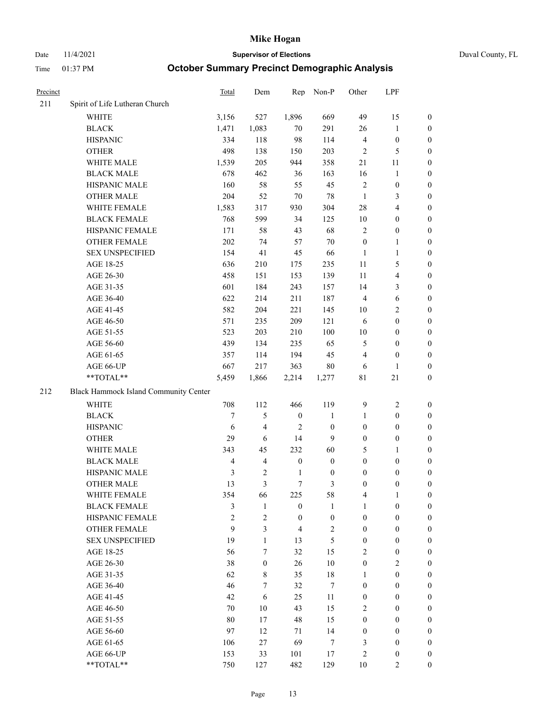Date 11/4/2021 **Supervisor of Elections** Duval County, FL

| Precinct |                                       | Total          | Dem                     | Rep              | Non-P            | Other            | LPF                     |                  |
|----------|---------------------------------------|----------------|-------------------------|------------------|------------------|------------------|-------------------------|------------------|
| 211      | Spirit of Life Lutheran Church        |                |                         |                  |                  |                  |                         |                  |
|          | <b>WHITE</b>                          | 3,156          | 527                     | 1,896            | 669              | 49               | 15                      | 0                |
|          | <b>BLACK</b>                          | 1,471          | 1,083                   | 70               | 291              | 26               | $\mathbf{1}$            | 0                |
|          | <b>HISPANIC</b>                       | 334            | 118                     | 98               | 114              | $\overline{4}$   | $\boldsymbol{0}$        | $\boldsymbol{0}$ |
|          | <b>OTHER</b>                          | 498            | 138                     | 150              | 203              | $\overline{2}$   | $\mathfrak{S}$          | $\boldsymbol{0}$ |
|          | WHITE MALE                            | 1,539          | 205                     | 944              | 358              | 21               | 11                      | $\boldsymbol{0}$ |
|          | <b>BLACK MALE</b>                     | 678            | 462                     | 36               | 163              | 16               | $\mathbf{1}$            | $\boldsymbol{0}$ |
|          | HISPANIC MALE                         | 160            | 58                      | 55               | 45               | $\overline{c}$   | $\boldsymbol{0}$        | $\boldsymbol{0}$ |
|          | <b>OTHER MALE</b>                     | 204            | 52                      | $70\,$           | 78               | $\mathbf{1}$     | $\mathfrak{Z}$          | $\boldsymbol{0}$ |
|          | WHITE FEMALE                          | 1,583          | 317                     | 930              | 304              | 28               | $\overline{\mathbf{4}}$ | $\boldsymbol{0}$ |
|          | <b>BLACK FEMALE</b>                   | 768            | 599                     | 34               | 125              | 10               | $\boldsymbol{0}$        | 0                |
|          | HISPANIC FEMALE                       | 171            | 58                      | 43               | 68               | $\overline{c}$   | $\boldsymbol{0}$        | 0                |
|          | <b>OTHER FEMALE</b>                   | 202            | 74                      | 57               | $70\,$           | $\boldsymbol{0}$ | $\mathbf{1}$            | 0                |
|          | <b>SEX UNSPECIFIED</b>                | 154            | 41                      | 45               | 66               | $\mathbf{1}$     | $\mathbf{1}$            | $\boldsymbol{0}$ |
|          | AGE 18-25                             | 636            | 210                     | 175              | 235              | $11\,$           | $\mathfrak{S}$          | $\boldsymbol{0}$ |
|          | AGE 26-30                             | 458            | 151                     | 153              | 139              | 11               | $\overline{\mathbf{4}}$ | $\boldsymbol{0}$ |
|          | AGE 31-35                             | 601            | 184                     | 243              | 157              | 14               | $\mathfrak{Z}$          | $\boldsymbol{0}$ |
|          | AGE 36-40                             | 622            | 214                     | 211              | 187              | $\overline{4}$   | $\sqrt{6}$              | $\boldsymbol{0}$ |
|          | AGE 41-45                             | 582            | 204                     | 221              | 145              | $10\,$           | $\overline{2}$          | $\boldsymbol{0}$ |
|          | AGE 46-50                             | 571            | 235                     | 209              | 121              | 6                | $\boldsymbol{0}$        | $\boldsymbol{0}$ |
|          | AGE 51-55                             | 523            | 203                     | 210              | 100              | 10               | $\boldsymbol{0}$        | 0                |
|          | AGE 56-60                             | 439            | 134                     | 235              | 65               | 5                | $\boldsymbol{0}$        | 0                |
|          | AGE 61-65                             | 357            | 114                     | 194              | 45               | 4                | $\boldsymbol{0}$        | 0                |
|          | AGE 66-UP                             | 667            | 217                     | 363              | $80\,$           | 6                | $\mathbf{1}$            | $\boldsymbol{0}$ |
|          | $**TOTAL**$                           | 5,459          | 1,866                   | 2,214            | 1,277            | $8\sqrt{1}$      | $21\,$                  | $\boldsymbol{0}$ |
| 212      | Black Hammock Island Community Center |                |                         |                  |                  |                  |                         |                  |
|          | <b>WHITE</b>                          | 708            | 112                     | 466              | 119              | 9                | $\sqrt{2}$              | $\boldsymbol{0}$ |
|          | <b>BLACK</b>                          | $\overline{7}$ | 5                       | $\boldsymbol{0}$ | $\mathbf{1}$     | $\mathbf{1}$     | $\boldsymbol{0}$        | $\boldsymbol{0}$ |
|          | <b>HISPANIC</b>                       | 6              | 4                       | $\overline{2}$   | $\boldsymbol{0}$ | $\boldsymbol{0}$ | $\boldsymbol{0}$        | $\boldsymbol{0}$ |
|          | <b>OTHER</b>                          | 29             | 6                       | 14               | 9                | $\boldsymbol{0}$ | $\boldsymbol{0}$        | $\boldsymbol{0}$ |
|          | WHITE MALE                            | 343            | 45                      | 232              | 60               | 5                | $\mathbf{1}$            | $\boldsymbol{0}$ |
|          | <b>BLACK MALE</b>                     | $\overline{4}$ | $\overline{\mathbf{4}}$ | $\boldsymbol{0}$ | $\boldsymbol{0}$ | $\boldsymbol{0}$ | $\boldsymbol{0}$        | $\boldsymbol{0}$ |
|          | HISPANIC MALE                         | $\mathfrak{Z}$ | $\overline{c}$          | $\mathbf{1}$     | $\boldsymbol{0}$ | $\boldsymbol{0}$ | $\boldsymbol{0}$        | 0                |
|          | <b>OTHER MALE</b>                     | 13             | 3                       | $\tau$           | 3                | $\boldsymbol{0}$ | $\boldsymbol{0}$        | $\boldsymbol{0}$ |
|          | WHITE FEMALE                          | 354            | 66                      | 225              | 58               | 4                | 1                       | 0                |
|          | <b>BLACK FEMALE</b>                   | 3              | $\mathbf{1}$            | $\boldsymbol{0}$ | $\mathbf{1}$     | $\mathbf{1}$     | $\boldsymbol{0}$        | $\overline{0}$   |
|          | HISPANIC FEMALE                       | $\overline{2}$ | $\overline{c}$          | $\boldsymbol{0}$ | $\boldsymbol{0}$ | $\boldsymbol{0}$ | $\boldsymbol{0}$        | $\overline{0}$   |
|          | <b>OTHER FEMALE</b>                   | 9              | 3                       | $\overline{4}$   | $\sqrt{2}$       | $\boldsymbol{0}$ | $\boldsymbol{0}$        | $\overline{0}$   |
|          | <b>SEX UNSPECIFIED</b>                | 19             | $\mathbf{1}$            | 13               | 5                | $\boldsymbol{0}$ | $\boldsymbol{0}$        | $\overline{0}$   |
|          | AGE 18-25                             | 56             | 7                       | 32               | 15               | $\mathbf{2}$     | $\boldsymbol{0}$        | $\theta$         |
|          | AGE 26-30                             | 38             | $\boldsymbol{0}$        | 26               | $10\,$           | $\boldsymbol{0}$ | $\overline{2}$          | 0                |
|          | AGE 31-35                             | 62             | 8                       | 35               | $18\,$           | $\mathbf{1}$     | $\boldsymbol{0}$        | 0                |
|          | AGE 36-40                             | 46             | 7                       | 32               | $\tau$           | $\boldsymbol{0}$ | $\boldsymbol{0}$        | 0                |
|          | AGE 41-45                             | 42             | 6                       | 25               | 11               | $\boldsymbol{0}$ | $\boldsymbol{0}$        | 0                |
|          | AGE 46-50                             | 70             | 10                      | 43               | 15               | 2                | $\boldsymbol{0}$        | 0                |
|          | AGE 51-55                             | 80             | 17                      | 48               | 15               | $\boldsymbol{0}$ | $\boldsymbol{0}$        | $\overline{0}$   |
|          | AGE 56-60                             | 97             | 12                      | 71               | 14               | $\boldsymbol{0}$ | $\boldsymbol{0}$        | $\overline{0}$   |
|          | AGE 61-65                             | 106            | 27                      | 69               | 7                | 3                | $\boldsymbol{0}$        | $\overline{0}$   |
|          | AGE 66-UP                             | 153            | 33                      | 101              | 17               | $\overline{c}$   | $\boldsymbol{0}$        | $\boldsymbol{0}$ |
|          | **TOTAL**                             | 750            | 127                     | 482              | 129              | 10               | $\mathfrak{2}$          | $\overline{0}$   |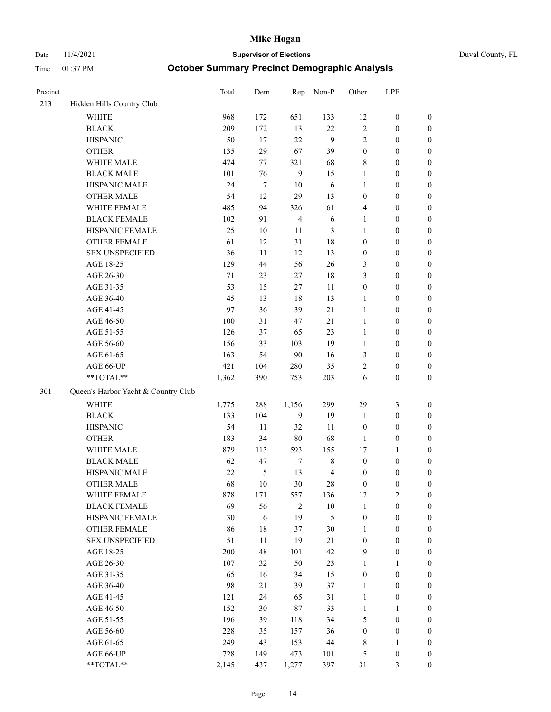Date 11/4/2021 **Supervisor of Elections** Duval County, FL

| Precinct |                                     | <b>Total</b> | Dem           | Rep            | Non-P          | Other            | LPF              |                  |
|----------|-------------------------------------|--------------|---------------|----------------|----------------|------------------|------------------|------------------|
| 213      | Hidden Hills Country Club           |              |               |                |                |                  |                  |                  |
|          | <b>WHITE</b>                        | 968          | 172           | 651            | 133            | 12               | $\boldsymbol{0}$ | 0                |
|          | <b>BLACK</b>                        | 209          | 172           | 13             | 22             | $\sqrt{2}$       | $\boldsymbol{0}$ | $\boldsymbol{0}$ |
|          | <b>HISPANIC</b>                     | 50           | 17            | 22             | 9              | $\mathfrak{2}$   | $\boldsymbol{0}$ | $\boldsymbol{0}$ |
|          | <b>OTHER</b>                        | 135          | 29            | 67             | 39             | $\boldsymbol{0}$ | $\boldsymbol{0}$ | $\boldsymbol{0}$ |
|          | WHITE MALE                          | 474          | 77            | 321            | 68             | 8                | $\boldsymbol{0}$ | $\boldsymbol{0}$ |
|          | <b>BLACK MALE</b>                   | 101          | 76            | 9              | 15             | $\mathbf{1}$     | $\boldsymbol{0}$ | $\boldsymbol{0}$ |
|          | HISPANIC MALE                       | 24           | $\tau$        | 10             | 6              | $\mathbf{1}$     | $\boldsymbol{0}$ | $\boldsymbol{0}$ |
|          | <b>OTHER MALE</b>                   | 54           | 12            | 29             | 13             | $\boldsymbol{0}$ | $\boldsymbol{0}$ | $\boldsymbol{0}$ |
|          | WHITE FEMALE                        | 485          | 94            | 326            | 61             | 4                | $\boldsymbol{0}$ | $\boldsymbol{0}$ |
|          | <b>BLACK FEMALE</b>                 | 102          | 91            | $\overline{4}$ | 6              | $\mathbf{1}$     | $\boldsymbol{0}$ | $\boldsymbol{0}$ |
|          | HISPANIC FEMALE                     | 25           | 10            | 11             | 3              | $\mathbf{1}$     | $\boldsymbol{0}$ | 0                |
|          | <b>OTHER FEMALE</b>                 | 61           | 12            | 31             | $18\,$         | $\boldsymbol{0}$ | $\boldsymbol{0}$ | $\boldsymbol{0}$ |
|          | <b>SEX UNSPECIFIED</b>              | 36           | 11            | 12             | 13             | $\boldsymbol{0}$ | $\boldsymbol{0}$ | $\boldsymbol{0}$ |
|          | AGE 18-25                           | 129          | 44            | 56             | 26             | 3                | $\boldsymbol{0}$ | $\boldsymbol{0}$ |
|          | AGE 26-30                           | 71           | 23            | $27\,$         | 18             | 3                | $\boldsymbol{0}$ | $\boldsymbol{0}$ |
|          | AGE 31-35                           | 53           | 15            | 27             | 11             | $\boldsymbol{0}$ | $\boldsymbol{0}$ | $\boldsymbol{0}$ |
|          | AGE 36-40                           | 45           | 13            | 18             | 13             | $\mathbf{1}$     | $\boldsymbol{0}$ | $\boldsymbol{0}$ |
|          | AGE 41-45                           | 97           | 36            | 39             | 21             | $\mathbf{1}$     | $\boldsymbol{0}$ | $\boldsymbol{0}$ |
|          | AGE 46-50                           | 100          | 31            | 47             | 21             | $\mathbf{1}$     | $\boldsymbol{0}$ | $\boldsymbol{0}$ |
|          | AGE 51-55                           | 126          | 37            | 65             | 23             | $\mathbf{1}$     | $\boldsymbol{0}$ | $\boldsymbol{0}$ |
|          | AGE 56-60                           | 156          | 33            | 103            | 19             | $\mathbf{1}$     | $\boldsymbol{0}$ | 0                |
|          | AGE 61-65                           | 163          | 54            | 90             | 16             | 3                | $\boldsymbol{0}$ | 0                |
|          | AGE 66-UP                           | 421          | 104           | 280            | 35             | $\mathbf{2}$     | $\boldsymbol{0}$ | $\boldsymbol{0}$ |
|          | $**TOTAL**$                         | 1,362        | 390           | 753            | 203            | 16               | $\boldsymbol{0}$ | $\boldsymbol{0}$ |
| 301      | Queen's Harbor Yacht & Country Club |              |               |                |                |                  |                  |                  |
|          | WHITE                               | 1,775        | 288           | 1,156          | 299            | 29               | $\mathfrak{Z}$   | $\boldsymbol{0}$ |
|          | <b>BLACK</b>                        | 133          | 104           | 9              | 19             | $\mathbf{1}$     | $\boldsymbol{0}$ | $\boldsymbol{0}$ |
|          | <b>HISPANIC</b>                     | 54           | 11            | 32             | 11             | $\boldsymbol{0}$ | $\boldsymbol{0}$ | $\boldsymbol{0}$ |
|          | <b>OTHER</b>                        | 183          | 34            | $80\,$         | 68             | $\mathbf{1}$     | $\boldsymbol{0}$ | $\boldsymbol{0}$ |
|          | WHITE MALE                          | 879          | 113           | 593            | 155            | 17               | $\mathbf{1}$     | $\boldsymbol{0}$ |
|          | <b>BLACK MALE</b>                   | 62           | 47            | $\tau$         | $\,$ 8 $\,$    | $\boldsymbol{0}$ | $\boldsymbol{0}$ | $\boldsymbol{0}$ |
|          | HISPANIC MALE                       | $22\,$       | $\mathfrak s$ | 13             | $\overline{4}$ | $\boldsymbol{0}$ | $\boldsymbol{0}$ | $\boldsymbol{0}$ |
|          | <b>OTHER MALE</b>                   | 68           | 10            | 30             | 28             | $\boldsymbol{0}$ | $\boldsymbol{0}$ | $\boldsymbol{0}$ |
|          | WHITE FEMALE                        | 878          | 171           | 557            | 136            | 12               | 2                | 0                |
|          | <b>BLACK FEMALE</b>                 | 69           | 56            | $\overline{2}$ | $10\,$         | $\mathbf{1}$     | $\boldsymbol{0}$ | $\boldsymbol{0}$ |
|          | HISPANIC FEMALE                     | 30           | 6             | 19             | 5              | $\boldsymbol{0}$ | $\boldsymbol{0}$ | $\overline{0}$   |
|          | <b>OTHER FEMALE</b>                 | 86           | 18            | 37             | 30             | $\mathbf{1}$     | $\boldsymbol{0}$ | $\overline{0}$   |
|          | <b>SEX UNSPECIFIED</b>              | 51           | 11            | 19             | 21             | $\boldsymbol{0}$ | $\boldsymbol{0}$ | $\overline{0}$   |
|          | AGE 18-25                           | 200          | 48            | 101            | 42             | 9                | $\boldsymbol{0}$ | $\overline{0}$   |
|          | AGE 26-30                           | 107          | 32            | 50             | 23             | $\mathbf{1}$     | $\mathbf{1}$     | $\overline{0}$   |
|          | AGE 31-35                           | 65           | 16            | 34             | 15             | $\boldsymbol{0}$ | $\boldsymbol{0}$ | 0                |
|          | AGE 36-40                           | 98           | 21            | 39             | 37             | $\mathbf{1}$     | $\boldsymbol{0}$ | 0                |
|          | AGE 41-45                           | 121          | 24            | 65             | 31             | $\mathbf{1}$     | $\boldsymbol{0}$ | 0                |
|          | AGE 46-50                           | 152          | 30            | $87\,$         | 33             | $\mathbf{1}$     | $\mathbf{1}$     | 0                |
|          | AGE 51-55                           | 196          | 39            | 118            | 34             | 5                | $\boldsymbol{0}$ | $\overline{0}$   |
|          | AGE 56-60                           | 228          | 35            | 157            | 36             | $\boldsymbol{0}$ | $\boldsymbol{0}$ | $\overline{0}$   |
|          | AGE 61-65                           | 249          | 43            | 153            | $44\,$         | 8                | $\mathbf{1}$     | $\boldsymbol{0}$ |
|          | AGE 66-UP                           | 728          | 149           | 473            | 101            | 5                | $\boldsymbol{0}$ | $\boldsymbol{0}$ |
|          | **TOTAL**                           | 2,145        | 437           | 1,277          | 397            | 31               | 3                | $\boldsymbol{0}$ |
|          |                                     |              |               |                |                |                  |                  |                  |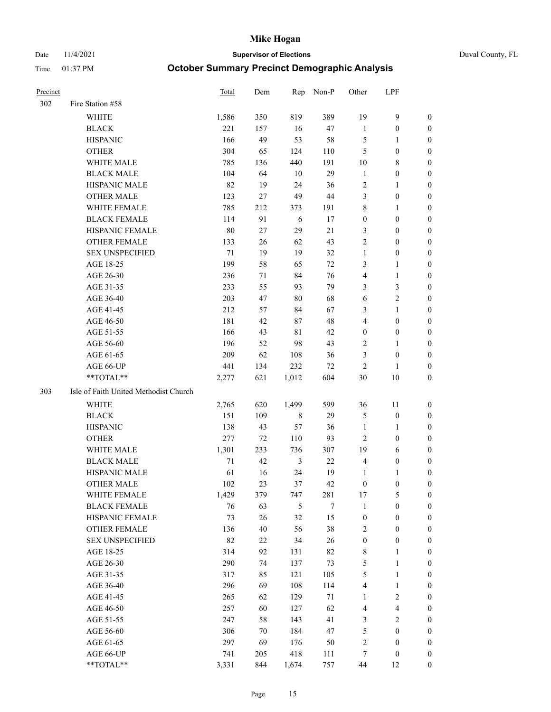Date 11/4/2021 **Supervisor of Elections** Duval County, FL

| <b>Precinct</b> |                                       | Total  | Dem | Rep            | Non-P  | Other            | LPF                     |                  |
|-----------------|---------------------------------------|--------|-----|----------------|--------|------------------|-------------------------|------------------|
| 302             | Fire Station #58                      |        |     |                |        |                  |                         |                  |
|                 | <b>WHITE</b>                          | 1,586  | 350 | 819            | 389    | 19               | $\mathbf{9}$            | 0                |
|                 | <b>BLACK</b>                          | 221    | 157 | 16             | 47     | $\mathbf{1}$     | $\boldsymbol{0}$        | 0                |
|                 | <b>HISPANIC</b>                       | 166    | 49  | 53             | 58     | 5                | $\mathbf{1}$            | 0                |
|                 | <b>OTHER</b>                          | 304    | 65  | 124            | 110    | 5                | $\boldsymbol{0}$        | $\boldsymbol{0}$ |
|                 | WHITE MALE                            | 785    | 136 | 440            | 191    | 10               | $\,$ 8 $\,$             | $\boldsymbol{0}$ |
|                 | <b>BLACK MALE</b>                     | 104    | 64  | 10             | 29     | $\mathbf{1}$     | $\boldsymbol{0}$        | 0                |
|                 | HISPANIC MALE                         | 82     | 19  | 24             | 36     | $\overline{c}$   | $\mathbf{1}$            | $\boldsymbol{0}$ |
|                 | <b>OTHER MALE</b>                     | 123    | 27  | 49             | $44\,$ | 3                | $\boldsymbol{0}$        | 0                |
|                 | WHITE FEMALE                          | 785    | 212 | 373            | 191    | 8                | $\mathbf{1}$            | 0                |
|                 | <b>BLACK FEMALE</b>                   | 114    | 91  | 6              | 17     | $\boldsymbol{0}$ | $\boldsymbol{0}$        | 0                |
|                 | HISPANIC FEMALE                       | 80     | 27  | 29             | 21     | 3                | $\boldsymbol{0}$        | 0                |
|                 | OTHER FEMALE                          | 133    | 26  | 62             | 43     | $\mathfrak{2}$   | $\boldsymbol{0}$        | 0                |
|                 | <b>SEX UNSPECIFIED</b>                | $71\,$ | 19  | 19             | 32     | $\mathbf{1}$     | $\boldsymbol{0}$        | $\boldsymbol{0}$ |
|                 | AGE 18-25                             | 199    | 58  | 65             | $72\,$ | 3                | $\mathbf{1}$            | $\boldsymbol{0}$ |
|                 | AGE 26-30                             | 236    | 71  | 84             | 76     | 4                | $\mathbf{1}$            | $\boldsymbol{0}$ |
|                 | AGE 31-35                             | 233    | 55  | 93             | 79     | 3                | $\mathfrak{Z}$          | $\boldsymbol{0}$ |
|                 | AGE 36-40                             | 203    | 47  | $80\,$         | 68     | 6                | $\sqrt{2}$              | $\boldsymbol{0}$ |
|                 | AGE 41-45                             | 212    | 57  | 84             | 67     | 3                | $\mathbf{1}$            | $\boldsymbol{0}$ |
|                 | AGE 46-50                             | 181    | 42  | $87\,$         | 48     | 4                | $\boldsymbol{0}$        | $\boldsymbol{0}$ |
|                 | AGE 51-55                             | 166    | 43  | 81             | 42     | $\boldsymbol{0}$ | $\boldsymbol{0}$        | 0                |
|                 | AGE 56-60                             | 196    | 52  | 98             | 43     | 2                | $\mathbf{1}$            | 0                |
|                 | AGE 61-65                             | 209    | 62  | 108            | 36     | 3                | $\boldsymbol{0}$        | 0                |
|                 | AGE 66-UP                             | 441    | 134 | 232            | 72     | $\sqrt{2}$       | 1                       | 0                |
|                 | **TOTAL**                             | 2,277  | 621 | 1,012          | 604    | 30               | $10\,$                  | $\boldsymbol{0}$ |
| 303             | Isle of Faith United Methodist Church |        |     |                |        |                  |                         |                  |
|                 | <b>WHITE</b>                          | 2,765  | 620 | 1,499          | 599    | 36               | 11                      | $\boldsymbol{0}$ |
|                 | <b>BLACK</b>                          | 151    | 109 | $\,$ 8 $\,$    | 29     | 5                | $\boldsymbol{0}$        | $\boldsymbol{0}$ |
|                 | <b>HISPANIC</b>                       | 138    | 43  | 57             | 36     | $\mathbf{1}$     | $\mathbf{1}$            | $\boldsymbol{0}$ |
|                 | <b>OTHER</b>                          | 277    | 72  | 110            | 93     | $\overline{c}$   | $\boldsymbol{0}$        | $\boldsymbol{0}$ |
|                 | WHITE MALE                            | 1,301  | 233 | 736            | 307    | 19               | 6                       | 0                |
|                 | <b>BLACK MALE</b>                     | $71\,$ | 42  | $\mathfrak{Z}$ | 22     | $\overline{4}$   | $\boldsymbol{0}$        | 0                |
|                 | HISPANIC MALE                         | 61     | 16  | 24             | 19     | 1                | 1                       | 0                |
|                 | <b>OTHER MALE</b>                     | 102    | 23  | 37             | 42     | $\boldsymbol{0}$ | $\boldsymbol{0}$        | 0                |
|                 | WHITE FEMALE                          | 1,429  | 379 | 747            | 281    | 17               | 5                       | 0                |
|                 | <b>BLACK FEMALE</b>                   | 76     | 63  | 5              | $\tau$ | $\mathbf{1}$     | $\boldsymbol{0}$        | $\boldsymbol{0}$ |
|                 | HISPANIC FEMALE                       | 73     | 26  | 32             | 15     | $\boldsymbol{0}$ | $\boldsymbol{0}$        | $\overline{0}$   |
|                 | OTHER FEMALE                          | 136    | 40  | 56             | 38     | 2                | $\boldsymbol{0}$        | $\overline{0}$   |
|                 | <b>SEX UNSPECIFIED</b>                | 82     | 22  | 34             | 26     | $\boldsymbol{0}$ | $\boldsymbol{0}$        | 0                |
|                 | AGE 18-25                             | 314    | 92  | 131            | 82     | $\,$ 8 $\,$      | $\mathbf{1}$            | 0                |
|                 | AGE 26-30                             | 290    | 74  | 137            | 73     | 5                | $\mathbf{1}$            | 0                |
|                 | AGE 31-35                             | 317    | 85  | 121            | 105    | 5                | $\mathbf{1}$            | 0                |
|                 | AGE 36-40                             | 296    | 69  | 108            | 114    | 4                | $\mathbf{1}$            | 0                |
|                 | AGE 41-45                             | 265    | 62  | 129            | 71     | $\mathbf{1}$     | $\sqrt{2}$              | 0                |
|                 | AGE 46-50                             | 257    | 60  | 127            | 62     | $\overline{4}$   | $\overline{\mathbf{4}}$ | 0                |
|                 | AGE 51-55                             | 247    | 58  | 143            | 41     | 3                | $\overline{2}$          | $\overline{0}$   |
|                 | AGE 56-60                             | 306    | 70  | 184            | 47     | 5                | $\boldsymbol{0}$        | $\boldsymbol{0}$ |
|                 | AGE 61-65                             | 297    | 69  | 176            | 50     | 2                | $\boldsymbol{0}$        | $\boldsymbol{0}$ |
|                 | AGE 66-UP                             | 741    | 205 | 418            | 111    | 7                | $\boldsymbol{0}$        | 0                |
|                 | **TOTAL**                             | 3,331  | 844 | 1,674          | 757    | 44               | 12                      | $\boldsymbol{0}$ |
|                 |                                       |        |     |                |        |                  |                         |                  |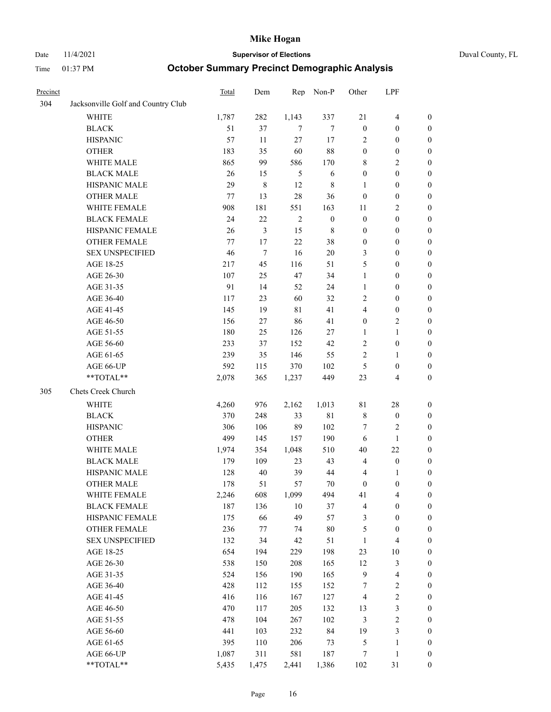Date 11/4/2021 **Supervisor of Elections** Duval County, FL

| Precinct |                                    | Total | Dem            | Rep            | Non-P            | Other            | LPF                     |                  |
|----------|------------------------------------|-------|----------------|----------------|------------------|------------------|-------------------------|------------------|
| 304      | Jacksonville Golf and Country Club |       |                |                |                  |                  |                         |                  |
|          | <b>WHITE</b>                       | 1,787 | 282            | 1,143          | 337              | 21               | $\overline{4}$          | $\boldsymbol{0}$ |
|          | <b>BLACK</b>                       | 51    | 37             | 7              | 7                | $\boldsymbol{0}$ | $\boldsymbol{0}$        | $\boldsymbol{0}$ |
|          | <b>HISPANIC</b>                    | 57    | 11             | 27             | 17               | 2                | $\boldsymbol{0}$        | $\boldsymbol{0}$ |
|          | <b>OTHER</b>                       | 183   | 35             | 60             | 88               | $\boldsymbol{0}$ | $\boldsymbol{0}$        | $\boldsymbol{0}$ |
|          | WHITE MALE                         | 865   | 99             | 586            | 170              | 8                | $\mathbf{2}$            | $\boldsymbol{0}$ |
|          | <b>BLACK MALE</b>                  | 26    | 15             | 5              | 6                | $\boldsymbol{0}$ | $\boldsymbol{0}$        | $\boldsymbol{0}$ |
|          | HISPANIC MALE                      | 29    | $\,$ 8 $\,$    | 12             | $\,$ 8 $\,$      | $\mathbf{1}$     | $\boldsymbol{0}$        | $\boldsymbol{0}$ |
|          | <b>OTHER MALE</b>                  | 77    | 13             | 28             | 36               | $\boldsymbol{0}$ | $\boldsymbol{0}$        | $\boldsymbol{0}$ |
|          | WHITE FEMALE                       | 908   | 181            | 551            | 163              | 11               | $\sqrt{2}$              | $\boldsymbol{0}$ |
|          | <b>BLACK FEMALE</b>                | 24    | 22             | $\overline{2}$ | $\boldsymbol{0}$ | $\boldsymbol{0}$ | $\boldsymbol{0}$        | 0                |
|          | HISPANIC FEMALE                    | 26    | $\mathfrak{Z}$ | 15             | $\,$ 8 $\,$      | $\boldsymbol{0}$ | $\boldsymbol{0}$        | $\boldsymbol{0}$ |
|          | OTHER FEMALE                       | 77    | 17             | $22\,$         | 38               | $\boldsymbol{0}$ | $\boldsymbol{0}$        | $\boldsymbol{0}$ |
|          | <b>SEX UNSPECIFIED</b>             | 46    | $\tau$         | 16             | $20\,$           | 3                | $\boldsymbol{0}$        | $\boldsymbol{0}$ |
|          | AGE 18-25                          | 217   | 45             | 116            | 51               | 5                | $\boldsymbol{0}$        | $\boldsymbol{0}$ |
|          | AGE 26-30                          | 107   | 25             | 47             | 34               | $\mathbf{1}$     | $\boldsymbol{0}$        | $\boldsymbol{0}$ |
|          | AGE 31-35                          | 91    | 14             | 52             | 24               | $\mathbf{1}$     | $\boldsymbol{0}$        | $\boldsymbol{0}$ |
|          | AGE 36-40                          | 117   | 23             | 60             | 32               | $\mathbf{2}$     | $\boldsymbol{0}$        | $\boldsymbol{0}$ |
|          | AGE 41-45                          | 145   | 19             | $8\sqrt{1}$    | 41               | 4                | $\boldsymbol{0}$        | $\boldsymbol{0}$ |
|          | AGE 46-50                          | 156   | 27             | 86             | 41               | $\boldsymbol{0}$ | $\sqrt{2}$              | $\boldsymbol{0}$ |
|          | AGE 51-55                          | 180   | 25             | 126            | 27               | 1                | $\mathbf{1}$            | 0                |
|          | AGE 56-60                          | 233   | 37             | 152            | 42               | $\sqrt{2}$       | $\boldsymbol{0}$        | 0                |
|          | AGE 61-65                          | 239   | 35             | 146            | 55               | $\sqrt{2}$       | $\mathbf{1}$            | 0                |
|          | AGE 66-UP                          | 592   | 115            | 370            | 102              | 5                | $\boldsymbol{0}$        | $\boldsymbol{0}$ |
|          | **TOTAL**                          | 2,078 | 365            | 1,237          | 449              | 23               | $\overline{4}$          | $\boldsymbol{0}$ |
| 305      | Chets Creek Church                 |       |                |                |                  |                  |                         |                  |
|          | <b>WHITE</b>                       | 4,260 | 976            | 2,162          | 1,013            | $8\sqrt{1}$      | $28\,$                  | $\boldsymbol{0}$ |
|          | <b>BLACK</b>                       | 370   | 248            | 33             | $8\sqrt{1}$      | 8                | $\boldsymbol{0}$        | $\boldsymbol{0}$ |
|          | <b>HISPANIC</b>                    | 306   | 106            | 89             | 102              | 7                | $\sqrt{2}$              | $\boldsymbol{0}$ |
|          | <b>OTHER</b>                       | 499   | 145            | 157            | 190              | 6                | $\mathbf{1}$            | $\boldsymbol{0}$ |
|          | WHITE MALE                         | 1,974 | 354            | 1,048          | 510              | 40               | 22                      | $\boldsymbol{0}$ |
|          | <b>BLACK MALE</b>                  | 179   | 109            | 23             | 43               | $\overline{4}$   | $\boldsymbol{0}$        | $\boldsymbol{0}$ |
|          | HISPANIC MALE                      | 128   | $40\,$         | 39             | 44               | $\overline{4}$   | 1                       | 0                |
|          | <b>OTHER MALE</b>                  | 178   | 51             | 57             | 70               | $\boldsymbol{0}$ | $\boldsymbol{0}$        | $\boldsymbol{0}$ |
|          | WHITE FEMALE                       | 2,246 | 608            | 1,099          | 494              | 41               | $\overline{\mathbf{4}}$ | $\boldsymbol{0}$ |
|          | <b>BLACK FEMALE</b>                | 187   | 136            | 10             | 37               | 4                | $\boldsymbol{0}$        | $\boldsymbol{0}$ |
|          | HISPANIC FEMALE                    | 175   | 66             | 49             | 57               | 3                | $\boldsymbol{0}$        | $\boldsymbol{0}$ |
|          | OTHER FEMALE                       | 236   | 77             | 74             | $80\,$           | 5                | $\boldsymbol{0}$        | $\overline{0}$   |
|          | <b>SEX UNSPECIFIED</b>             | 132   | 34             | 42             | 51               | $\mathbf{1}$     | $\overline{\mathbf{4}}$ | 0                |
|          | AGE 18-25                          | 654   | 194            | 229            | 198              | 23               | $10\,$                  | 0                |
|          | AGE 26-30                          | 538   | 150            | 208            | 165              | 12               | $\mathfrak{Z}$          | 0                |
|          | AGE 31-35                          | 524   | 156            | 190            | 165              | $\boldsymbol{9}$ | $\overline{\mathbf{4}}$ | 0                |
|          | AGE 36-40                          | 428   | 112            | 155            | 152              | 7                | $\sqrt{2}$              | 0                |
|          | AGE 41-45                          | 416   | 116            | 167            | 127              | $\overline{4}$   | $\boldsymbol{2}$        | 0                |
|          | AGE 46-50                          | 470   | 117            | 205            | 132              | 13               | $\mathfrak{Z}$          | 0                |
|          | AGE 51-55                          | 478   | 104            | 267            | 102              | $\mathfrak{Z}$   | $\sqrt{2}$              | $\boldsymbol{0}$ |
|          | AGE 56-60                          | 441   | 103            | 232            | 84               | 19               | $\mathfrak{Z}$          | $\boldsymbol{0}$ |
|          | AGE 61-65                          | 395   | 110            | 206            | 73               | 5                | $\mathbf{1}$            | $\boldsymbol{0}$ |
|          | AGE 66-UP                          | 1,087 | 311            | 581            | 187              | 7                | $\mathbf{1}$            | 0                |
|          | **TOTAL**                          | 5,435 | 1,475          | 2,441          | 1,386            | 102              | 31                      | $\boldsymbol{0}$ |
|          |                                    |       |                |                |                  |                  |                         |                  |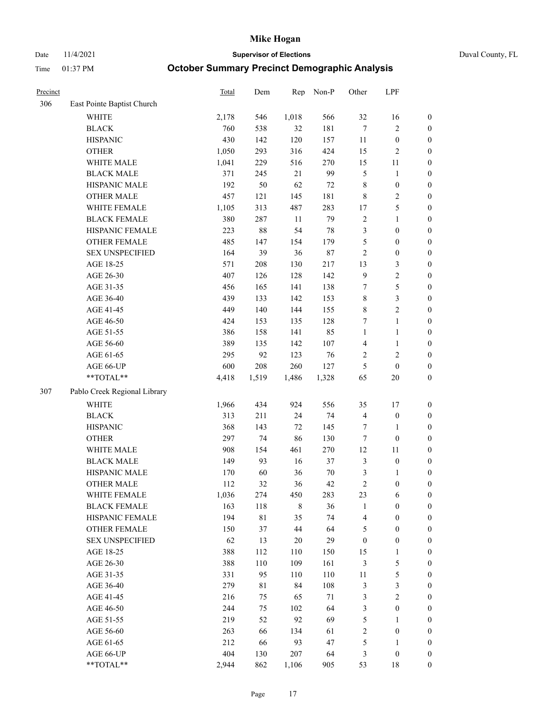Date 11/4/2021 **Supervisor of Elections** Duval County, FL

| Precinct |                              | Total | Dem   | Rep         | Non-P  | Other            | LPF              |                  |
|----------|------------------------------|-------|-------|-------------|--------|------------------|------------------|------------------|
| 306      | East Pointe Baptist Church   |       |       |             |        |                  |                  |                  |
|          | <b>WHITE</b>                 | 2,178 | 546   | 1,018       | 566    | 32               | 16               | 0                |
|          | <b>BLACK</b>                 | 760   | 538   | 32          | 181    | $\tau$           | $\sqrt{2}$       | $\boldsymbol{0}$ |
|          | <b>HISPANIC</b>              | 430   | 142   | 120         | 157    | $11\,$           | $\boldsymbol{0}$ | $\boldsymbol{0}$ |
|          | <b>OTHER</b>                 | 1,050 | 293   | 316         | 424    | 15               | $\sqrt{2}$       | $\boldsymbol{0}$ |
|          | WHITE MALE                   | 1,041 | 229   | 516         | 270    | 15               | 11               | $\boldsymbol{0}$ |
|          | <b>BLACK MALE</b>            | 371   | 245   | 21          | 99     | 5                | $\mathbf{1}$     | $\boldsymbol{0}$ |
|          | HISPANIC MALE                | 192   | 50    | 62          | 72     | $\,$ 8 $\,$      | $\boldsymbol{0}$ | $\boldsymbol{0}$ |
|          | <b>OTHER MALE</b>            | 457   | 121   | 145         | 181    | 8                | $\overline{2}$   | $\boldsymbol{0}$ |
|          | WHITE FEMALE                 | 1,105 | 313   | 487         | 283    | $17$             | $\mathfrak s$    | $\boldsymbol{0}$ |
|          | <b>BLACK FEMALE</b>          | 380   | 287   | $11\,$      | 79     | $\overline{c}$   | $\mathbf{1}$     | $\boldsymbol{0}$ |
|          | HISPANIC FEMALE              | 223   | 88    | 54          | 78     | 3                | $\boldsymbol{0}$ | 0                |
|          | OTHER FEMALE                 | 485   | 147   | 154         | 179    | 5                | $\boldsymbol{0}$ | $\boldsymbol{0}$ |
|          | <b>SEX UNSPECIFIED</b>       | 164   | 39    | 36          | $87\,$ | $\sqrt{2}$       | $\boldsymbol{0}$ | $\boldsymbol{0}$ |
|          | AGE 18-25                    | 571   | 208   | 130         | 217    | 13               | $\mathfrak{Z}$   | $\boldsymbol{0}$ |
|          | AGE 26-30                    | 407   | 126   | 128         | 142    | 9                | $\sqrt{2}$       | $\boldsymbol{0}$ |
|          | AGE 31-35                    | 456   | 165   | 141         | 138    | 7                | $\mathfrak s$    | $\boldsymbol{0}$ |
|          | AGE 36-40                    | 439   | 133   | 142         | 153    | 8                | $\mathfrak{Z}$   | $\boldsymbol{0}$ |
|          | AGE 41-45                    | 449   | 140   | 144         | 155    | 8                | $\overline{2}$   | $\boldsymbol{0}$ |
|          | AGE 46-50                    | 424   | 153   | 135         | 128    | 7                | $\mathbf{1}$     | $\boldsymbol{0}$ |
|          | AGE 51-55                    | 386   | 158   | 141         | 85     | $\mathbf{1}$     | $\mathbf{1}$     | 0                |
|          | AGE 56-60                    | 389   | 135   | 142         | 107    | $\overline{4}$   | $\mathbf{1}$     | 0                |
|          | AGE 61-65                    | 295   | 92    | 123         | 76     | $\overline{c}$   | $\mathfrak{2}$   | 0                |
|          | AGE 66-UP                    | 600   | 208   | 260         | 127    | 5                | $\boldsymbol{0}$ | $\boldsymbol{0}$ |
|          | $**TOTAL**$                  | 4,418 | 1,519 | 1,486       | 1,328  | 65               | $20\,$           | $\boldsymbol{0}$ |
| 307      | Pablo Creek Regional Library |       |       |             |        |                  |                  |                  |
|          | <b>WHITE</b>                 | 1,966 | 434   | 924         | 556    | 35               | 17               | $\boldsymbol{0}$ |
|          | <b>BLACK</b>                 | 313   | 211   | 24          | 74     | 4                | $\boldsymbol{0}$ | $\boldsymbol{0}$ |
|          | <b>HISPANIC</b>              | 368   | 143   | 72          | 145    | 7                | $\mathbf{1}$     | $\boldsymbol{0}$ |
|          | <b>OTHER</b>                 | 297   | 74    | 86          | 130    | $\boldsymbol{7}$ | $\boldsymbol{0}$ | $\boldsymbol{0}$ |
|          | WHITE MALE                   | 908   | 154   | 461         | 270    | 12               | 11               | $\boldsymbol{0}$ |
|          | <b>BLACK MALE</b>            | 149   | 93    | 16          | 37     | 3                | $\boldsymbol{0}$ | $\boldsymbol{0}$ |
|          | HISPANIC MALE                | 170   | 60    | 36          | 70     | 3                | 1                | 0                |
|          | <b>OTHER MALE</b>            | 112   | 32    | 36          | 42     | $\mathfrak{2}$   | $\boldsymbol{0}$ | $\boldsymbol{0}$ |
|          | WHITE FEMALE                 | 1,036 | 274   | 450         | 283    | 23               | 6                | 0                |
|          | <b>BLACK FEMALE</b>          | 163   | 118   | $\,$ 8 $\,$ | 36     | $\mathbf{1}$     | $\boldsymbol{0}$ | $\boldsymbol{0}$ |
|          | HISPANIC FEMALE              | 194   | 81    | 35          | 74     | 4                | $\boldsymbol{0}$ | $\overline{0}$   |
|          | OTHER FEMALE                 | 150   | 37    | 44          | 64     | 5                | $\boldsymbol{0}$ | $\overline{0}$   |
|          | <b>SEX UNSPECIFIED</b>       | 62    | 13    | 20          | 29     | $\boldsymbol{0}$ | $\boldsymbol{0}$ | 0                |
|          | AGE 18-25                    | 388   | 112   | 110         | 150    | 15               | $\mathbf{1}$     | $\overline{0}$   |
|          | AGE 26-30                    | 388   | 110   | 109         | 161    | 3                | $\mathfrak s$    | 0                |
|          | AGE 31-35                    | 331   | 95    | 110         | 110    | $11\,$           | $\mathfrak s$    | 0                |
|          | AGE 36-40                    | 279   | 81    | 84          | 108    | $\mathfrak{Z}$   | $\mathfrak{Z}$   | 0                |
|          | AGE 41-45                    | 216   | 75    | 65          | 71     | 3                | $\overline{2}$   | 0                |
|          | AGE 46-50                    | 244   | 75    | 102         | 64     | 3                | $\boldsymbol{0}$ | 0                |
|          | AGE 51-55                    | 219   | 52    | 92          | 69     | 5                | $\mathbf{1}$     | $\overline{0}$   |
|          | AGE 56-60                    | 263   | 66    | 134         | 61     | $\overline{c}$   | $\boldsymbol{0}$ | $\overline{0}$   |
|          | AGE 61-65                    | 212   | 66    | 93          | 47     | 5                | $\mathbf{1}$     | $\boldsymbol{0}$ |
|          | AGE 66-UP                    | 404   | 130   | 207         | 64     | 3                | $\boldsymbol{0}$ | $\boldsymbol{0}$ |
|          | **TOTAL**                    | 2,944 | 862   | 1,106       | 905    | 53               | 18               | $\boldsymbol{0}$ |
|          |                              |       |       |             |        |                  |                  |                  |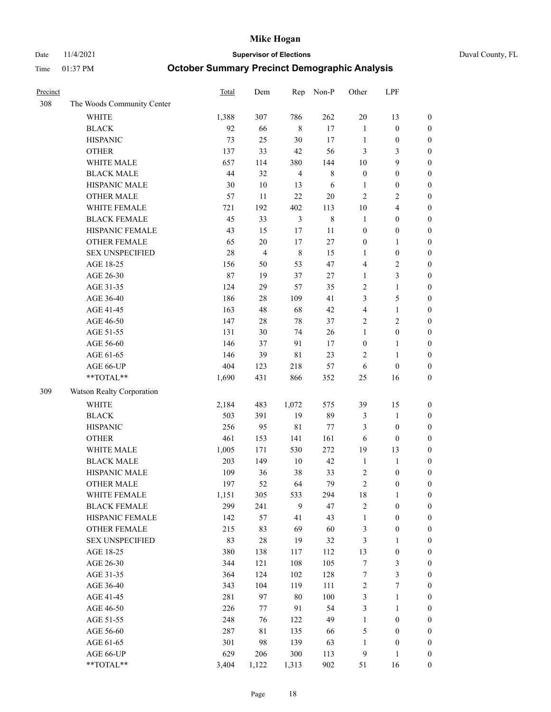### Date 11/4/2021 **Supervisor of Elections** Duval County, FL

| Precinct |                            | Total | Dem            | Rep            | Non-P       | Other            | LPF                     |                  |
|----------|----------------------------|-------|----------------|----------------|-------------|------------------|-------------------------|------------------|
| 308      | The Woods Community Center |       |                |                |             |                  |                         |                  |
|          | <b>WHITE</b>               | 1,388 | 307            | 786            | 262         | 20               | 13                      | $\boldsymbol{0}$ |
|          | <b>BLACK</b>               | 92    | 66             | $\,8\,$        | 17          | $\mathbf{1}$     | $\boldsymbol{0}$        | $\boldsymbol{0}$ |
|          | <b>HISPANIC</b>            | 73    | 25             | $30\,$         | 17          | $\mathbf{1}$     | $\boldsymbol{0}$        | $\boldsymbol{0}$ |
|          | <b>OTHER</b>               | 137   | 33             | $42\,$         | 56          | 3                | 3                       | $\boldsymbol{0}$ |
|          | WHITE MALE                 | 657   | 114            | 380            | 144         | 10               | 9                       | $\boldsymbol{0}$ |
|          | <b>BLACK MALE</b>          | 44    | 32             | $\overline{4}$ | $\,$ 8 $\,$ | $\boldsymbol{0}$ | $\boldsymbol{0}$        | $\boldsymbol{0}$ |
|          | HISPANIC MALE              | 30    | $10\,$         | 13             | 6           | $\mathbf{1}$     | $\boldsymbol{0}$        | $\boldsymbol{0}$ |
|          | <b>OTHER MALE</b>          | 57    | 11             | 22             | $20\,$      | $\overline{c}$   | $\overline{2}$          | $\boldsymbol{0}$ |
|          | WHITE FEMALE               | 721   | 192            | 402            | 113         | $10\,$           | $\overline{\mathbf{4}}$ | $\boldsymbol{0}$ |
|          | <b>BLACK FEMALE</b>        | 45    | 33             | $\mathfrak{Z}$ | $\,$ 8 $\,$ | $\mathbf{1}$     | $\boldsymbol{0}$        | $\boldsymbol{0}$ |
|          | HISPANIC FEMALE            | 43    | 15             | 17             | 11          | $\boldsymbol{0}$ | $\boldsymbol{0}$        | 0                |
|          | <b>OTHER FEMALE</b>        | 65    | $20\,$         | 17             | 27          | $\boldsymbol{0}$ | $\mathbf{1}$            | $\boldsymbol{0}$ |
|          | <b>SEX UNSPECIFIED</b>     | 28    | $\overline{4}$ | $\,$ 8 $\,$    | 15          | $\mathbf{1}$     | $\boldsymbol{0}$        | $\boldsymbol{0}$ |
|          | AGE 18-25                  | 156   | 50             | 53             | 47          | 4                | $\sqrt{2}$              | $\boldsymbol{0}$ |
|          | AGE 26-30                  | 87    | 19             | 37             | $27\,$      | $\mathbf{1}$     | $\mathfrak{Z}$          | $\boldsymbol{0}$ |
|          | AGE 31-35                  | 124   | 29             | 57             | 35          | $\sqrt{2}$       | $\mathbf{1}$            | $\boldsymbol{0}$ |
|          | AGE 36-40                  | 186   | 28             | 109            | 41          | 3                | $\mathfrak s$           | $\boldsymbol{0}$ |
|          | AGE 41-45                  | 163   | 48             | 68             | 42          | 4                | $\mathbf{1}$            | $\boldsymbol{0}$ |
|          | AGE 46-50                  | 147   | $28\,$         | $78\,$         | 37          | $\mathfrak{2}$   | $\mathfrak{2}$          | $\boldsymbol{0}$ |
|          | AGE 51-55                  | 131   | 30             | 74             | 26          | $\mathbf{1}$     | $\boldsymbol{0}$        | $\boldsymbol{0}$ |
|          | AGE 56-60                  | 146   | 37             | 91             | 17          | $\boldsymbol{0}$ | $\mathbf{1}$            | 0                |
|          | AGE 61-65                  | 146   | 39             | $8\sqrt{1}$    | 23          | 2                | $\mathbf{1}$            | 0                |
|          | AGE 66-UP                  | 404   | 123            | 218            | 57          | 6                | $\boldsymbol{0}$        | $\boldsymbol{0}$ |
|          | $**TOTAL**$                | 1,690 | 431            | 866            | 352         | $25\,$           | 16                      | $\boldsymbol{0}$ |
| 309      | Watson Realty Corporation  |       |                |                |             |                  |                         |                  |
|          | <b>WHITE</b>               | 2,184 | 483            | 1,072          | 575         | 39               | 15                      | $\boldsymbol{0}$ |
|          | <b>BLACK</b>               | 503   | 391            | 19             | 89          | 3                | $\mathbf{1}$            | $\boldsymbol{0}$ |
|          | <b>HISPANIC</b>            | 256   | 95             | $8\sqrt{1}$    | 77          | 3                | $\boldsymbol{0}$        | $\boldsymbol{0}$ |
|          | <b>OTHER</b>               | 461   | 153            | 141            | 161         | 6                | $\boldsymbol{0}$        | $\boldsymbol{0}$ |
|          | WHITE MALE                 | 1,005 | 171            | 530            | 272         | 19               | 13                      | $\boldsymbol{0}$ |
|          | <b>BLACK MALE</b>          | 203   | 149            | $10\,$         | 42          | $\mathbf{1}$     | $\mathbf{1}$            | $\boldsymbol{0}$ |
|          | HISPANIC MALE              | 109   | 36             | 38             | 33          | $\overline{c}$   | $\boldsymbol{0}$        | $\boldsymbol{0}$ |
|          | <b>OTHER MALE</b>          | 197   | 52             | 64             | 79          | $\overline{c}$   | $\boldsymbol{0}$        | $\boldsymbol{0}$ |
|          | WHITE FEMALE               | 1,151 | 305            | 533            | 294         | 18               | 1                       | 0                |
|          | <b>BLACK FEMALE</b>        | 299   | 241            | 9              | 47          | $\sqrt{2}$       | $\boldsymbol{0}$        | $\boldsymbol{0}$ |
|          | HISPANIC FEMALE            | 142   | 57             | 41             | 43          | $\mathbf{1}$     | $\boldsymbol{0}$        | $\overline{0}$   |
|          | OTHER FEMALE               | 215   | 83             | 69             | 60          | 3                | $\boldsymbol{0}$        | $\overline{0}$   |
|          | <b>SEX UNSPECIFIED</b>     | 83    | 28             | 19             | 32          | 3                | $\mathbf{1}$            | 0                |
|          | AGE 18-25                  | 380   | 138            | 117            | 112         | 13               | $\boldsymbol{0}$        | $\theta$         |
|          | AGE 26-30                  | 344   | 121            | 108            | 105         | $\boldsymbol{7}$ | $\mathfrak{Z}$          | 0                |
|          | AGE 31-35                  | 364   | 124            | 102            | 128         | 7                | $\mathfrak{Z}$          | 0                |
|          | AGE 36-40                  | 343   | 104            | 119            | 111         | $\boldsymbol{2}$ | $\boldsymbol{7}$        | 0                |
|          | AGE 41-45                  | 281   | 97             | $80\,$         | 100         | 3                | $\mathbf{1}$            | 0                |
|          | AGE 46-50                  | 226   | 77             | 91             | 54          | $\mathfrak{Z}$   | $\mathbf{1}$            | 0                |
|          | AGE 51-55                  | 248   | 76             | 122            | 49          | $\mathbf{1}$     | $\boldsymbol{0}$        | 0                |
|          | AGE 56-60                  | 287   | 81             | 135            | 66          | 5                | $\boldsymbol{0}$        | $\boldsymbol{0}$ |
|          | AGE 61-65                  | 301   | 98             | 139            | 63          | $\mathbf{1}$     | $\boldsymbol{0}$        | $\boldsymbol{0}$ |
|          | AGE 66-UP                  | 629   | 206            | 300            | 113         | $\overline{9}$   | $\mathbf{1}$            | $\boldsymbol{0}$ |
|          | **TOTAL**                  | 3,404 | 1,122          | 1,313          | 902         | 51               | 16                      | $\boldsymbol{0}$ |
|          |                            |       |                |                |             |                  |                         |                  |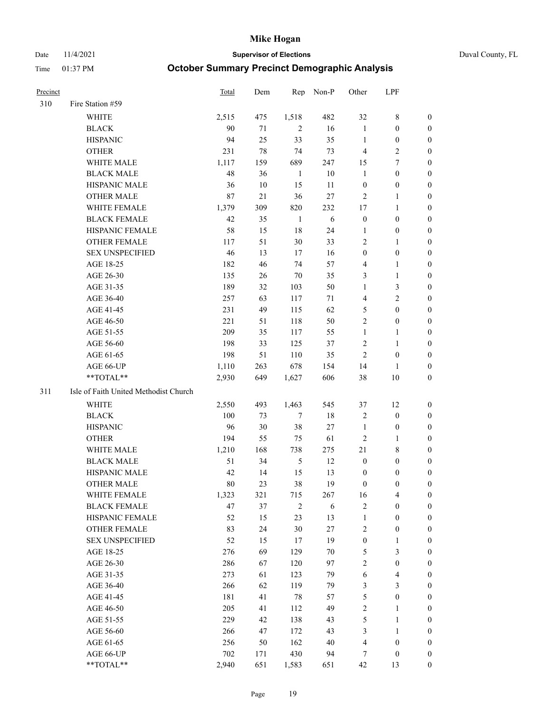Date 11/4/2021 **Supervisor of Elections** Duval County, FL

| Precinct |                                       | Total | Dem | Rep            | Non-P      | Other            | LPF                     |                  |
|----------|---------------------------------------|-------|-----|----------------|------------|------------------|-------------------------|------------------|
| 310      | Fire Station #59                      |       |     |                |            |                  |                         |                  |
|          | WHITE                                 | 2,515 | 475 | 1,518          | 482        | 32               | $8\,$                   | 0                |
|          | <b>BLACK</b>                          | 90    | 71  | $\overline{2}$ | 16         | $\mathbf{1}$     | $\boldsymbol{0}$        | 0                |
|          | <b>HISPANIC</b>                       | 94    | 25  | 33             | 35         | $\mathbf{1}$     | $\boldsymbol{0}$        | 0                |
|          | <b>OTHER</b>                          | 231   | 78  | 74             | 73         | 4                | $\sqrt{2}$              | $\boldsymbol{0}$ |
|          | WHITE MALE                            | 1,117 | 159 | 689            | 247        | 15               | $\tau$                  | $\boldsymbol{0}$ |
|          | <b>BLACK MALE</b>                     | 48    | 36  | $\mathbf{1}$   | $10\,$     | $\mathbf{1}$     | $\boldsymbol{0}$        | 0                |
|          | HISPANIC MALE                         | 36    | 10  | 15             | 11         | $\boldsymbol{0}$ | $\boldsymbol{0}$        | 0                |
|          | <b>OTHER MALE</b>                     | 87    | 21  | 36             | 27         | $\mathbf{2}$     | $\mathbf{1}$            | 0                |
|          | WHITE FEMALE                          | 1,379 | 309 | 820            | 232        | 17               | $\mathbf{1}$            | 0                |
|          | <b>BLACK FEMALE</b>                   | 42    | 35  | $\mathbf{1}$   | $\sqrt{6}$ | $\boldsymbol{0}$ | $\boldsymbol{0}$        | 0                |
|          | HISPANIC FEMALE                       | 58    | 15  | 18             | 24         | $\mathbf{1}$     | $\boldsymbol{0}$        | 0                |
|          | OTHER FEMALE                          | 117   | 51  | 30             | 33         | 2                | $\mathbf{1}$            | 0                |
|          | <b>SEX UNSPECIFIED</b>                | 46    | 13  | 17             | 16         | $\boldsymbol{0}$ | $\boldsymbol{0}$        | $\boldsymbol{0}$ |
|          | AGE 18-25                             | 182   | 46  | 74             | 57         | 4                | $\mathbf{1}$            | $\boldsymbol{0}$ |
|          | AGE 26-30                             | 135   | 26  | 70             | 35         | 3                | $\mathbf{1}$            | $\boldsymbol{0}$ |
|          | AGE 31-35                             | 189   | 32  | 103            | 50         | $\mathbf{1}$     | $\mathfrak{Z}$          | $\boldsymbol{0}$ |
|          | AGE 36-40                             | 257   | 63  | 117            | 71         | 4                | $\sqrt{2}$              | $\boldsymbol{0}$ |
|          | AGE 41-45                             | 231   | 49  | 115            | 62         | 5                | $\boldsymbol{0}$        | $\boldsymbol{0}$ |
|          | AGE 46-50                             | 221   | 51  | 118            | 50         | $\overline{c}$   | $\boldsymbol{0}$        | 0                |
|          | AGE 51-55                             | 209   | 35  | 117            | 55         | $\mathbf{1}$     | $\mathbf{1}$            | 0                |
|          | AGE 56-60                             | 198   | 33  | 125            | 37         | $\sqrt{2}$       | $\mathbf{1}$            | 0                |
|          | AGE 61-65                             | 198   | 51  | 110            | 35         | $\mathbf{2}$     | $\boldsymbol{0}$        | 0                |
|          | AGE 66-UP                             | 1,110 | 263 | 678            | 154        | 14               | 1                       | 0                |
|          | **TOTAL**                             | 2,930 | 649 | 1,627          | 606        | 38               | $10\,$                  | $\boldsymbol{0}$ |
| 311      | Isle of Faith United Methodist Church |       |     |                |            |                  |                         |                  |
|          | <b>WHITE</b>                          | 2,550 | 493 | 1,463          | 545        | 37               | 12                      | $\boldsymbol{0}$ |
|          | <b>BLACK</b>                          | 100   | 73  | $\tau$         | $18\,$     | $\overline{c}$   | $\boldsymbol{0}$        | $\boldsymbol{0}$ |
|          | <b>HISPANIC</b>                       | 96    | 30  | 38             | 27         | $\mathbf{1}$     | $\boldsymbol{0}$        | $\boldsymbol{0}$ |
|          | <b>OTHER</b>                          | 194   | 55  | 75             | 61         | $\overline{c}$   | $\mathbf{1}$            | $\boldsymbol{0}$ |
|          | WHITE MALE                            | 1,210 | 168 | 738            | 275        | 21               | $\,$ 8 $\,$             | $\boldsymbol{0}$ |
|          | <b>BLACK MALE</b>                     | 51    | 34  | $\mathfrak s$  | 12         | $\boldsymbol{0}$ | $\boldsymbol{0}$        | 0                |
|          | HISPANIC MALE                         | 42    | 14  | 15             | 13         | $\boldsymbol{0}$ | $\boldsymbol{0}$        | 0                |
|          | <b>OTHER MALE</b>                     | 80    | 23  | 38             | 19         | $\boldsymbol{0}$ | $\boldsymbol{0}$        | 0                |
|          | WHITE FEMALE                          | 1,323 | 321 | 715            | 267        | 16               | 4                       | 0                |
|          | <b>BLACK FEMALE</b>                   | 47    | 37  | $\mathfrak{2}$ | 6          | 2                | $\boldsymbol{0}$        | $\overline{0}$   |
|          | HISPANIC FEMALE                       | 52    | 15  | 23             | 13         | $\mathbf{1}$     | $\boldsymbol{0}$        | $\overline{0}$   |
|          | OTHER FEMALE                          | 83    | 24  | 30             | 27         | $\sqrt{2}$       | $\boldsymbol{0}$        | $\overline{0}$   |
|          | <b>SEX UNSPECIFIED</b>                | 52    | 15  | 17             | 19         | $\boldsymbol{0}$ | $\mathbf{1}$            | 0                |
|          | AGE 18-25                             | 276   | 69  | 129            | $70\,$     | 5                | $\mathfrak{Z}$          | 0                |
|          | AGE 26-30                             | 286   | 67  | 120            | 97         | 2                | $\boldsymbol{0}$        | 0                |
|          | AGE 31-35                             | 273   | 61  | 123            | 79         | 6                | $\overline{\mathbf{4}}$ | 0                |
|          | AGE 36-40                             | 266   | 62  | 119            | 79         | 3                | $\mathfrak{Z}$          | 0                |
|          | AGE 41-45                             | 181   | 41  | 78             | 57         | 5                | $\boldsymbol{0}$        | 0                |
|          | AGE 46-50                             | 205   | 41  | 112            | 49         | 2                | $\mathbf{1}$            | 0                |
|          | AGE 51-55                             | 229   | 42  | 138            | 43         | 5                | $\mathbf{1}$            | 0                |
|          | AGE 56-60                             | 266   | 47  | 172            | 43         | 3                | $\mathbf{1}$            | 0                |
|          | AGE 61-65                             | 256   | 50  | 162            | 40         | 4                | $\boldsymbol{0}$        | 0                |
|          | AGE 66-UP                             | 702   | 171 | 430            | 94         | 7                | $\boldsymbol{0}$        | 0                |
|          | **TOTAL**                             | 2,940 | 651 | 1,583          | 651        | 42               | 13                      | $\boldsymbol{0}$ |
|          |                                       |       |     |                |            |                  |                         |                  |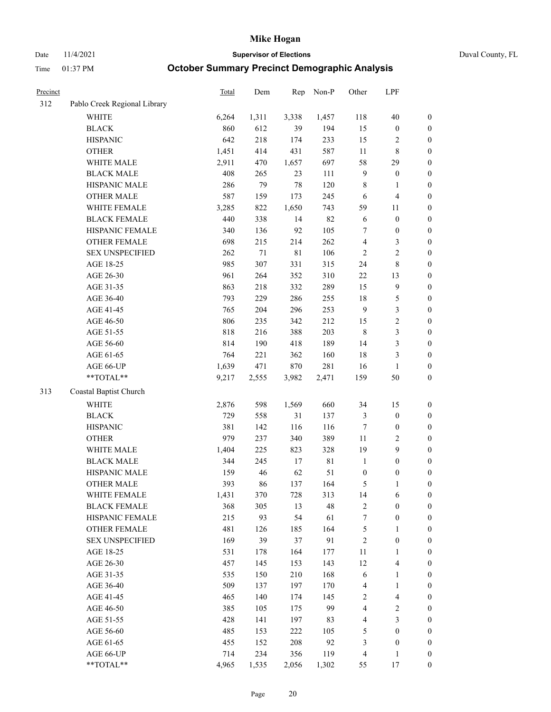Date 11/4/2021 **Supervisor of Elections** Duval County, FL

| Precinct |                              | Total | Dem    | Rep         | Non-P       | Other            | LPF                     |                  |
|----------|------------------------------|-------|--------|-------------|-------------|------------------|-------------------------|------------------|
| 312      | Pablo Creek Regional Library |       |        |             |             |                  |                         |                  |
|          | <b>WHITE</b>                 | 6,264 | 1,311  | 3,338       | 1,457       | 118              | $40\,$                  | 0                |
|          | <b>BLACK</b>                 | 860   | 612    | 39          | 194         | 15               | $\boldsymbol{0}$        | $\boldsymbol{0}$ |
|          | <b>HISPANIC</b>              | 642   | 218    | 174         | 233         | 15               | $\overline{c}$          | $\boldsymbol{0}$ |
|          | <b>OTHER</b>                 | 1,451 | 414    | 431         | 587         | $11\,$           | $\,$ 8 $\,$             | $\boldsymbol{0}$ |
|          | WHITE MALE                   | 2,911 | 470    | 1,657       | 697         | 58               | 29                      | $\boldsymbol{0}$ |
|          | <b>BLACK MALE</b>            | 408   | 265    | 23          | 111         | $\overline{9}$   | $\boldsymbol{0}$        | $\boldsymbol{0}$ |
|          | HISPANIC MALE                | 286   | 79     | $78\,$      | 120         | $\,$ 8 $\,$      | $\mathbf{1}$            | $\boldsymbol{0}$ |
|          | <b>OTHER MALE</b>            | 587   | 159    | 173         | 245         | 6                | $\overline{\mathbf{4}}$ | $\boldsymbol{0}$ |
|          | WHITE FEMALE                 | 3,285 | 822    | 1,650       | 743         | 59               | 11                      | $\boldsymbol{0}$ |
|          | <b>BLACK FEMALE</b>          | 440   | 338    | 14          | 82          | 6                | $\boldsymbol{0}$        | $\boldsymbol{0}$ |
|          | HISPANIC FEMALE              | 340   | 136    | 92          | 105         | 7                | $\boldsymbol{0}$        | 0                |
|          | OTHER FEMALE                 | 698   | 215    | 214         | 262         | 4                | $\mathfrak{Z}$          | $\boldsymbol{0}$ |
|          | <b>SEX UNSPECIFIED</b>       | 262   | $71\,$ | $8\sqrt{1}$ | 106         | $\sqrt{2}$       | $\sqrt{2}$              | $\boldsymbol{0}$ |
|          | AGE 18-25                    | 985   | 307    | 331         | 315         | 24               | $\,$ 8 $\,$             | $\boldsymbol{0}$ |
|          | AGE 26-30                    | 961   | 264    | 352         | 310         | $22\,$           | 13                      | $\boldsymbol{0}$ |
|          | AGE 31-35                    | 863   | 218    | 332         | 289         | 15               | $\boldsymbol{9}$        | $\boldsymbol{0}$ |
|          | AGE 36-40                    | 793   | 229    | 286         | 255         | 18               | $\mathfrak s$           | $\boldsymbol{0}$ |
|          | AGE 41-45                    | 765   | 204    | 296         | 253         | $\overline{9}$   | $\mathfrak{Z}$          | $\boldsymbol{0}$ |
|          | AGE 46-50                    | 806   | 235    | 342         | 212         | 15               | $\sqrt{2}$              | $\boldsymbol{0}$ |
|          | AGE 51-55                    | 818   | 216    | 388         | 203         | $\,$ 8 $\,$      | $\mathfrak{Z}$          | $\boldsymbol{0}$ |
|          | AGE 56-60                    | 814   | 190    | 418         | 189         | 14               | $\mathfrak{Z}$          | 0                |
|          | AGE 61-65                    | 764   | 221    | 362         | 160         | 18               | $\mathfrak{Z}$          | $\boldsymbol{0}$ |
|          | AGE 66-UP                    | 1,639 | 471    | 870         | 281         | 16               | $\mathbf{1}$            | $\boldsymbol{0}$ |
|          | $**TOTAL**$                  | 9,217 | 2,555  | 3,982       | 2,471       | 159              | $50\,$                  | $\boldsymbol{0}$ |
| 313      | Coastal Baptist Church       |       |        |             |             |                  |                         |                  |
|          | <b>WHITE</b>                 | 2,876 | 598    | 1,569       | 660         | 34               | 15                      | $\boldsymbol{0}$ |
|          | <b>BLACK</b>                 | 729   | 558    | 31          | 137         | 3                | $\boldsymbol{0}$        | $\boldsymbol{0}$ |
|          | <b>HISPANIC</b>              | 381   | 142    | 116         | 116         | $\boldsymbol{7}$ | $\boldsymbol{0}$        | $\boldsymbol{0}$ |
|          | <b>OTHER</b>                 | 979   | 237    | 340         | 389         | $11\,$           | $\sqrt{2}$              | $\boldsymbol{0}$ |
|          | WHITE MALE                   | 1,404 | 225    | 823         | 328         | 19               | 9                       | $\boldsymbol{0}$ |
|          | <b>BLACK MALE</b>            | 344   | 245    | 17          | $8\sqrt{1}$ | $\mathbf{1}$     | $\boldsymbol{0}$        | $\boldsymbol{0}$ |
|          | HISPANIC MALE                | 159   | 46     | 62          | 51          | $\boldsymbol{0}$ | $\boldsymbol{0}$        | $\boldsymbol{0}$ |
|          | <b>OTHER MALE</b>            | 393   | 86     | 137         | 164         | 5                | $\mathbf{1}$            | $\boldsymbol{0}$ |
|          | WHITE FEMALE                 | 1,431 | 370    | 728         | 313         | 14               | 6                       | 0                |
|          | <b>BLACK FEMALE</b>          | 368   | 305    | 13          | 48          | $\sqrt{2}$       | $\boldsymbol{0}$        | $\boldsymbol{0}$ |
|          | HISPANIC FEMALE              | 215   | 93     | 54          | 61          | 7                | $\boldsymbol{0}$        | $\overline{0}$   |
|          | <b>OTHER FEMALE</b>          | 481   | 126    | 185         | 164         | 5                | $\mathbf{1}$            | $\overline{0}$   |
|          | <b>SEX UNSPECIFIED</b>       | 169   | 39     | 37          | 91          | 2                | $\boldsymbol{0}$        | 0                |
|          | AGE 18-25                    | 531   | 178    | 164         | 177         | $11\,$           | $\mathbf{1}$            | 0                |
|          | AGE 26-30                    | 457   | 145    | 153         | 143         | 12               | $\overline{\mathbf{4}}$ | 0                |
|          | AGE 31-35                    | 535   | 150    | 210         | 168         | 6                | $\mathbf{1}$            | 0                |
|          | AGE 36-40                    | 509   | 137    | 197         | 170         | 4                | $\mathbf{1}$            | 0                |
|          | AGE 41-45                    | 465   | 140    | 174         | 145         | $\overline{c}$   | $\overline{\mathbf{4}}$ | 0                |
|          | AGE 46-50                    | 385   | 105    | 175         | 99          | 4                | $\overline{c}$          | 0                |
|          | AGE 51-55                    | 428   | 141    | 197         | 83          | 4                | $\mathfrak{Z}$          | $\boldsymbol{0}$ |
|          | AGE 56-60                    | 485   | 153    | 222         | 105         | 5                | $\boldsymbol{0}$        | $\boldsymbol{0}$ |
|          | AGE 61-65                    | 455   | 152    | 208         | 92          | 3                | $\boldsymbol{0}$        | $\boldsymbol{0}$ |
|          | AGE 66-UP                    | 714   | 234    | 356         | 119         | $\overline{4}$   | $\mathbf{1}$            | $\boldsymbol{0}$ |
|          | **TOTAL**                    | 4,965 | 1,535  | 2,056       | 1,302       | 55               | 17                      | $\boldsymbol{0}$ |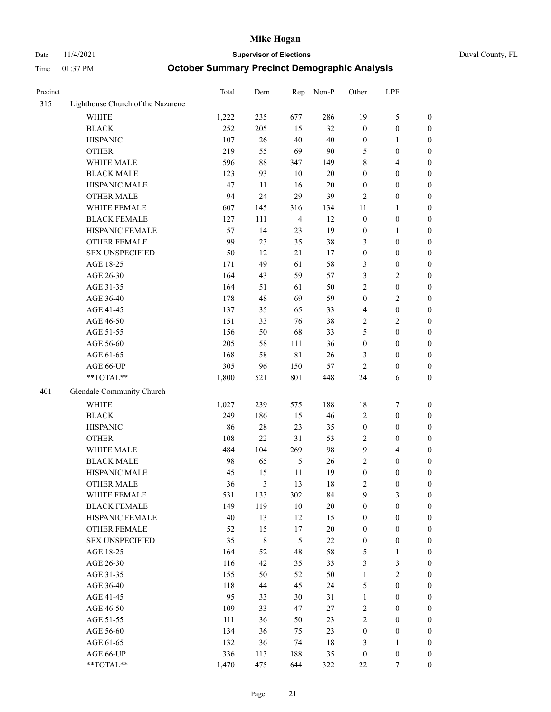### Date 11/4/2021 **Supervisor of Elections** Duval County, FL

| Precinct |                                   | Total | Dem     | Rep            | Non-P  | Other            | LPF              |                  |
|----------|-----------------------------------|-------|---------|----------------|--------|------------------|------------------|------------------|
| 315      | Lighthouse Church of the Nazarene |       |         |                |        |                  |                  |                  |
|          | <b>WHITE</b>                      | 1,222 | 235     | 677            | 286    | 19               | $\mathfrak{S}$   | 0                |
|          | <b>BLACK</b>                      | 252   | 205     | 15             | 32     | $\boldsymbol{0}$ | $\boldsymbol{0}$ | $\boldsymbol{0}$ |
|          | <b>HISPANIC</b>                   | 107   | 26      | 40             | 40     | $\boldsymbol{0}$ | 1                | $\boldsymbol{0}$ |
|          | <b>OTHER</b>                      | 219   | 55      | 69             | 90     | 5                | $\boldsymbol{0}$ | $\boldsymbol{0}$ |
|          | WHITE MALE                        | 596   | 88      | 347            | 149    | 8                | $\overline{4}$   | $\boldsymbol{0}$ |
|          | <b>BLACK MALE</b>                 | 123   | 93      | 10             | $20\,$ | $\boldsymbol{0}$ | $\boldsymbol{0}$ | $\boldsymbol{0}$ |
|          | HISPANIC MALE                     | 47    | 11      | 16             | $20\,$ | $\boldsymbol{0}$ | $\boldsymbol{0}$ | $\boldsymbol{0}$ |
|          | <b>OTHER MALE</b>                 | 94    | 24      | 29             | 39     | $\mathbf{2}$     | $\boldsymbol{0}$ | $\boldsymbol{0}$ |
|          | WHITE FEMALE                      | 607   | 145     | 316            | 134    | 11               | 1                | $\boldsymbol{0}$ |
|          | <b>BLACK FEMALE</b>               | 127   | 111     | $\overline{4}$ | 12     | $\boldsymbol{0}$ | $\boldsymbol{0}$ | 0                |
|          | HISPANIC FEMALE                   | 57    | 14      | 23             | 19     | $\boldsymbol{0}$ | $\mathbf{1}$     | $\boldsymbol{0}$ |
|          | OTHER FEMALE                      | 99    | 23      | 35             | 38     | 3                | $\boldsymbol{0}$ | $\boldsymbol{0}$ |
|          | <b>SEX UNSPECIFIED</b>            | 50    | 12      | 21             | 17     | $\boldsymbol{0}$ | $\boldsymbol{0}$ | $\boldsymbol{0}$ |
|          | AGE 18-25                         | 171   | 49      | 61             | 58     | 3                | $\boldsymbol{0}$ | $\boldsymbol{0}$ |
|          | AGE 26-30                         | 164   | 43      | 59             | 57     | 3                | $\mathbf{2}$     | $\boldsymbol{0}$ |
|          | AGE 31-35                         | 164   | 51      | 61             | 50     | 2                | $\boldsymbol{0}$ | $\boldsymbol{0}$ |
|          | AGE 36-40                         | 178   | 48      | 69             | 59     | $\boldsymbol{0}$ | $\sqrt{2}$       | $\boldsymbol{0}$ |
|          | AGE 41-45                         | 137   | 35      | 65             | 33     | 4                | $\boldsymbol{0}$ | $\boldsymbol{0}$ |
|          | AGE 46-50                         | 151   | 33      | 76             | 38     | $\overline{2}$   | $\mathbf{2}$     | $\boldsymbol{0}$ |
|          | AGE 51-55                         | 156   | 50      | 68             | 33     | 5                | $\boldsymbol{0}$ | 0                |
|          | AGE 56-60                         | 205   | 58      | 111            | 36     | $\boldsymbol{0}$ | $\boldsymbol{0}$ | $\boldsymbol{0}$ |
|          | AGE 61-65                         | 168   | 58      | $8\sqrt{1}$    | $26\,$ | 3                | $\boldsymbol{0}$ | $\boldsymbol{0}$ |
|          | AGE 66-UP                         | 305   | 96      | 150            | 57     | $\mathbf{2}$     | $\boldsymbol{0}$ | $\boldsymbol{0}$ |
|          | **TOTAL**                         | 1,800 | 521     | 801            | 448    | 24               | 6                | $\boldsymbol{0}$ |
| 401      | Glendale Community Church         |       |         |                |        |                  |                  |                  |
|          | <b>WHITE</b>                      | 1,027 | 239     | 575            | 188    | 18               | 7                | $\boldsymbol{0}$ |
|          | <b>BLACK</b>                      | 249   | 186     | 15             | 46     | 2                | $\boldsymbol{0}$ | $\boldsymbol{0}$ |
|          | <b>HISPANIC</b>                   | 86    | $28\,$  | 23             | 35     | $\boldsymbol{0}$ | $\boldsymbol{0}$ | $\boldsymbol{0}$ |
|          | <b>OTHER</b>                      | 108   | 22      | 31             | 53     | 2                | $\boldsymbol{0}$ | $\boldsymbol{0}$ |
|          | WHITE MALE                        | 484   | 104     | 269            | 98     | 9                | $\overline{4}$   | $\boldsymbol{0}$ |
|          | <b>BLACK MALE</b>                 | 98    | 65      | $\mathfrak s$  | 26     | $\overline{c}$   | $\boldsymbol{0}$ | $\boldsymbol{0}$ |
|          | HISPANIC MALE                     | 45    | 15      | 11             | 19     | $\boldsymbol{0}$ | $\boldsymbol{0}$ | 0                |
|          | <b>OTHER MALE</b>                 | 36    | 3       | 13             | 18     | 2                | $\boldsymbol{0}$ | $\boldsymbol{0}$ |
|          | WHITE FEMALE                      | 531   | 133     | 302            | 84     | 9                | 3                | $\overline{0}$   |
|          | <b>BLACK FEMALE</b>               | 149   | 119     | $10\,$         | $20\,$ | $\boldsymbol{0}$ | $\boldsymbol{0}$ | $\overline{0}$   |
|          | HISPANIC FEMALE                   | 40    | 13      | 12             | 15     | $\boldsymbol{0}$ | $\boldsymbol{0}$ | $\overline{0}$   |
|          | OTHER FEMALE                      | 52    | 15      | 17             | $20\,$ | $\boldsymbol{0}$ | $\boldsymbol{0}$ | 0                |
|          | <b>SEX UNSPECIFIED</b>            | 35    | $\,8\,$ | 5              | $22\,$ | $\boldsymbol{0}$ | $\boldsymbol{0}$ | 0                |
|          | AGE 18-25                         | 164   | 52      | 48             | 58     | 5                | $\mathbf{1}$     | 0                |
|          | AGE 26-30                         | 116   | 42      | 35             | 33     | 3                | $\mathfrak{Z}$   | 0                |
|          | AGE 31-35                         | 155   | 50      | 52             | 50     | $\mathbf{1}$     | $\sqrt{2}$       | 0                |
|          | AGE 36-40                         | 118   | 44      | 45             | 24     | 5                | $\boldsymbol{0}$ | 0                |
|          | AGE 41-45                         | 95    | 33      | 30             | 31     | $\mathbf{1}$     | $\boldsymbol{0}$ | 0                |
|          | AGE 46-50                         | 109   | 33      | 47             | $27\,$ | 2                | $\boldsymbol{0}$ | 0                |
|          | AGE 51-55                         | 111   | 36      | 50             | 23     | 2                | $\boldsymbol{0}$ | $\boldsymbol{0}$ |
|          | AGE 56-60                         | 134   | 36      | 75             | 23     | $\boldsymbol{0}$ | $\boldsymbol{0}$ | $\boldsymbol{0}$ |
|          | AGE 61-65                         | 132   | 36      | 74             | 18     | 3                | $\mathbf{1}$     | 0                |
|          | AGE 66-UP                         | 336   | 113     | 188            | 35     | $\boldsymbol{0}$ | $\boldsymbol{0}$ | 0                |
|          | **TOTAL**                         | 1,470 | 475     | 644            | 322    | $22\,$           | $\tau$           | $\boldsymbol{0}$ |
|          |                                   |       |         |                |        |                  |                  |                  |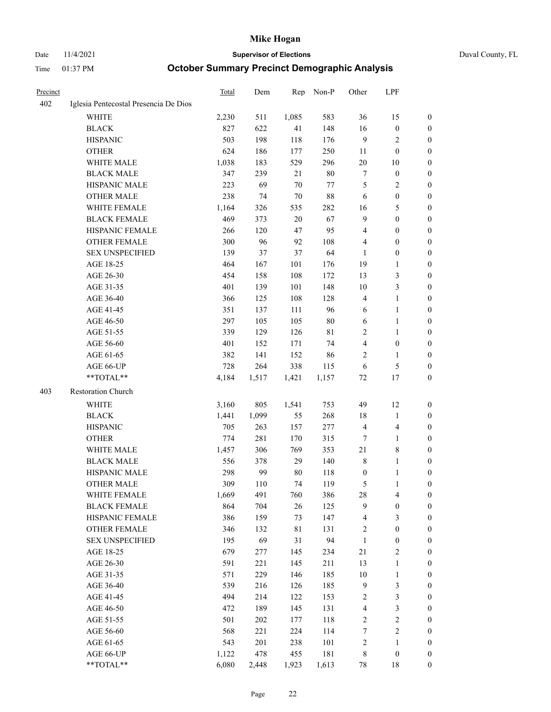### Date 11/4/2021 **Supervisor of Elections** Duval County, FL

| Precinct |                                       | Total | Dem   | Rep         | Non-P  | Other            | LPF                     |                  |
|----------|---------------------------------------|-------|-------|-------------|--------|------------------|-------------------------|------------------|
| 402      | Iglesia Pentecostal Presencia De Dios |       |       |             |        |                  |                         |                  |
|          | <b>WHITE</b>                          | 2,230 | 511   | 1,085       | 583    | 36               | 15                      | $\boldsymbol{0}$ |
|          | <b>BLACK</b>                          | 827   | 622   | 41          | 148    | 16               | $\boldsymbol{0}$        | $\boldsymbol{0}$ |
|          | <b>HISPANIC</b>                       | 503   | 198   | 118         | 176    | 9                | $\sqrt{2}$              | $\boldsymbol{0}$ |
|          | <b>OTHER</b>                          | 624   | 186   | 177         | 250    | 11               | $\boldsymbol{0}$        | $\boldsymbol{0}$ |
|          | WHITE MALE                            | 1,038 | 183   | 529         | 296    | 20               | 10                      | $\boldsymbol{0}$ |
|          | <b>BLACK MALE</b>                     | 347   | 239   | 21          | $80\,$ | 7                | $\boldsymbol{0}$        | $\boldsymbol{0}$ |
|          | HISPANIC MALE                         | 223   | 69    | $70\,$      | 77     | 5                | $\mathbf{2}$            | $\boldsymbol{0}$ |
|          | <b>OTHER MALE</b>                     | 238   | 74    | 70          | 88     | 6                | $\boldsymbol{0}$        | 0                |
|          | WHITE FEMALE                          | 1,164 | 326   | 535         | 282    | 16               | 5                       | 0                |
|          | <b>BLACK FEMALE</b>                   | 469   | 373   | $20\,$      | 67     | $\overline{9}$   | $\boldsymbol{0}$        | 0                |
|          | HISPANIC FEMALE                       | 266   | 120   | 47          | 95     | 4                | $\boldsymbol{0}$        | $\boldsymbol{0}$ |
|          | OTHER FEMALE                          | 300   | 96    | 92          | 108    | 4                | $\boldsymbol{0}$        | $\boldsymbol{0}$ |
|          | <b>SEX UNSPECIFIED</b>                | 139   | 37    | 37          | 64     | $\mathbf{1}$     | $\boldsymbol{0}$        | $\boldsymbol{0}$ |
|          | AGE 18-25                             | 464   | 167   | 101         | 176    | 19               | $\mathbf{1}$            | $\boldsymbol{0}$ |
|          | AGE 26-30                             | 454   | 158   | 108         | 172    | 13               | $\mathfrak{Z}$          | $\boldsymbol{0}$ |
|          | AGE 31-35                             | 401   | 139   | 101         | 148    | 10               | $\mathfrak{Z}$          | $\boldsymbol{0}$ |
|          | AGE 36-40                             | 366   | 125   | 108         | 128    | 4                | $\mathbf{1}$            | $\boldsymbol{0}$ |
|          | AGE 41-45                             | 351   | 137   | 111         | 96     | 6                | $\mathbf{1}$            | 0                |
|          | AGE 46-50                             | 297   | 105   | 105         | $80\,$ | 6                | $\mathbf{1}$            | 0                |
|          | AGE 51-55                             | 339   | 129   | 126         | 81     | $\overline{c}$   | $\mathbf{1}$            | 0                |
|          | AGE 56-60                             | 401   | 152   | 171         | 74     | 4                | $\boldsymbol{0}$        | 0                |
|          | AGE 61-65                             | 382   | 141   | 152         | 86     | 2                | $\mathbf{1}$            | 0                |
|          | AGE 66-UP                             | 728   | 264   | 338         | 115    | 6                | $\mathfrak s$           | $\boldsymbol{0}$ |
|          | $**TOTAL**$                           | 4,184 | 1,517 | 1,421       | 1,157  | $72\,$           | 17                      | $\boldsymbol{0}$ |
| 403      | Restoration Church                    |       |       |             |        |                  |                         |                  |
|          | WHITE                                 | 3,160 | 805   | 1,541       | 753    | 49               | 12                      | $\boldsymbol{0}$ |
|          | <b>BLACK</b>                          | 1,441 | 1,099 | 55          | 268    | 18               | $\mathbf{1}$            | $\boldsymbol{0}$ |
|          | <b>HISPANIC</b>                       | 705   | 263   | 157         | 277    | $\overline{4}$   | $\overline{\mathbf{4}}$ | $\boldsymbol{0}$ |
|          | <b>OTHER</b>                          | 774   | 281   | 170         | 315    | 7                | $\mathbf{1}$            | $\boldsymbol{0}$ |
|          | WHITE MALE                            | 1,457 | 306   | 769         | 353    | 21               | $\,$ 8 $\,$             | 0                |
|          | <b>BLACK MALE</b>                     | 556   | 378   | 29          | 140    | $\,$ 8 $\,$      | $\mathbf{1}$            | 0                |
|          | HISPANIC MALE                         | 298   | 99    | 80          | 118    | $\boldsymbol{0}$ | $\mathbf{1}$            | 0                |
|          | <b>OTHER MALE</b>                     | 309   | 110   | 74          | 119    | 5                | $\mathbf{1}$            | $\boldsymbol{0}$ |
|          | WHITE FEMALE                          | 1,669 | 491   | 760         | 386    | 28               | $\overline{\mathbf{4}}$ | $\boldsymbol{0}$ |
|          | <b>BLACK FEMALE</b>                   | 864   | 704   | 26          | 125    | 9                | $\boldsymbol{0}$        | $\overline{0}$   |
|          | HISPANIC FEMALE                       | 386   | 159   | 73          | 147    | 4                | $\mathfrak{Z}$          | $\overline{0}$   |
|          | <b>OTHER FEMALE</b>                   | 346   | 132   | $8\sqrt{1}$ | 131    | $\boldsymbol{2}$ | $\boldsymbol{0}$        | $\overline{0}$   |
|          | <b>SEX UNSPECIFIED</b>                | 195   | 69    | 31          | 94     | $\mathbf{1}$     | $\boldsymbol{0}$        | $\overline{0}$   |
|          | AGE 18-25                             | 679   | 277   | 145         | 234    | $21\,$           | $\sqrt{2}$              | 0                |
|          | AGE 26-30                             | 591   | 221   | 145         | 211    | 13               | $\mathbf{1}$            | 0                |
|          | AGE 31-35                             | 571   | 229   | 146         | 185    | $10\,$           | $\mathbf{1}$            | 0                |
|          | AGE 36-40                             | 539   | 216   | 126         | 185    | $\overline{9}$   | $\mathfrak{Z}$          | 0                |
|          | AGE 41-45                             | 494   | 214   | 122         | 153    | 2                | $\mathfrak{Z}$          | 0                |
|          | AGE 46-50                             | 472   | 189   | 145         | 131    | $\overline{4}$   | $\mathfrak{Z}$          | $\boldsymbol{0}$ |
|          | AGE 51-55                             | 501   | 202   | 177         | 118    | $\sqrt{2}$       | $\sqrt{2}$              | $\boldsymbol{0}$ |
|          | AGE 56-60                             | 568   | 221   | 224         | 114    | 7                | $\sqrt{2}$              | $\boldsymbol{0}$ |
|          | AGE 61-65                             | 543   | 201   | 238         | 101    | $\overline{c}$   | $\mathbf{1}$            | $\boldsymbol{0}$ |
|          | AGE 66-UP                             | 1,122 | 478   | 455         | 181    | $\,$ 8 $\,$      | $\boldsymbol{0}$        | $\boldsymbol{0}$ |
|          | **TOTAL**                             | 6,080 | 2,448 | 1,923       | 1,613  | $78\,$           | 18                      | $\boldsymbol{0}$ |
|          |                                       |       |       |             |        |                  |                         |                  |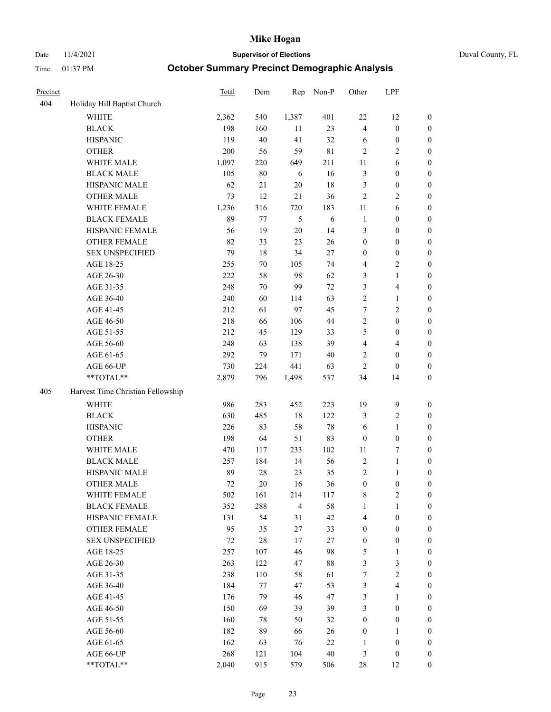Date 11/4/2021 **Supervisor of Elections** Duval County, FL

| Precinct |                                     | <b>Total</b> | Dem          | Rep                  | Non-P       | Other                                | LPF                              |                                    |
|----------|-------------------------------------|--------------|--------------|----------------------|-------------|--------------------------------------|----------------------------------|------------------------------------|
| 404      | Holiday Hill Baptist Church         |              |              |                      |             |                                      |                                  |                                    |
|          | <b>WHITE</b>                        | 2,362        | 540          | 1,387                | 401         | $22\,$                               | 12                               | 0                                  |
|          | <b>BLACK</b>                        | 198          | 160          | 11                   | 23          | $\overline{4}$                       | $\boldsymbol{0}$                 | $\boldsymbol{0}$                   |
|          | <b>HISPANIC</b>                     | 119          | 40           | 41                   | 32          | 6                                    | $\boldsymbol{0}$                 | $\boldsymbol{0}$                   |
|          | <b>OTHER</b>                        | 200          | 56           | 59                   | $8\sqrt{1}$ | $\overline{2}$                       | $\sqrt{2}$                       | $\boldsymbol{0}$                   |
|          | WHITE MALE                          | 1,097        | 220          | 649                  | 211         | 11                                   | 6                                | $\boldsymbol{0}$                   |
|          | <b>BLACK MALE</b>                   | 105          | 80           | 6                    | 16          | 3                                    | $\boldsymbol{0}$                 | $\boldsymbol{0}$                   |
|          | HISPANIC MALE                       | 62           | 21           | 20                   | $18\,$      | 3                                    | $\boldsymbol{0}$                 | $\boldsymbol{0}$                   |
|          | <b>OTHER MALE</b>                   | 73           | 12           | 21                   | 36          | $\overline{c}$                       | $\overline{2}$                   | $\boldsymbol{0}$                   |
|          | WHITE FEMALE                        | 1,236        | 316          | 720                  | 183         | 11                                   | 6                                | $\boldsymbol{0}$                   |
|          | <b>BLACK FEMALE</b>                 | 89           | 77           | 5                    | 6           | $\mathbf{1}$                         | $\boldsymbol{0}$                 | $\boldsymbol{0}$                   |
|          | HISPANIC FEMALE                     | 56           | 19           | $20\,$               | 14          | 3                                    | $\boldsymbol{0}$                 | 0                                  |
|          | OTHER FEMALE                        | 82           | 33           | 23                   | 26          | $\boldsymbol{0}$                     | $\boldsymbol{0}$                 | $\boldsymbol{0}$                   |
|          | <b>SEX UNSPECIFIED</b>              | 79           | 18           | 34                   | 27          | $\boldsymbol{0}$                     | $\boldsymbol{0}$                 | $\boldsymbol{0}$                   |
|          | AGE 18-25                           | 255          | 70           | 105                  | 74          | 4                                    | $\sqrt{2}$                       | $\boldsymbol{0}$                   |
|          | AGE 26-30                           | 222          | 58           | 98                   | 62          | 3                                    | $\mathbf{1}$                     | $\boldsymbol{0}$                   |
|          | AGE 31-35                           | 248          | 70           | 99                   | 72          | 3                                    | $\overline{\mathbf{4}}$          | $\boldsymbol{0}$                   |
|          | AGE 36-40                           | 240          | 60           | 114                  | 63          | $\mathfrak{2}$                       | $\mathbf{1}$                     | $\boldsymbol{0}$                   |
|          | AGE 41-45                           | 212          | 61           | 97                   | 45          | $\tau$                               | $\mathbf{2}$                     | $\boldsymbol{0}$                   |
|          | AGE 46-50                           | 218          | 66           | 106                  | $44\,$      | $\overline{c}$                       | $\boldsymbol{0}$                 | $\boldsymbol{0}$                   |
|          | AGE 51-55                           | 212          | 45           | 129                  | 33          | 5                                    | $\boldsymbol{0}$                 | $\boldsymbol{0}$                   |
|          | AGE 56-60                           | 248          | 63           | 138                  | 39          | $\overline{4}$                       | $\overline{4}$                   | 0                                  |
|          | AGE 61-65                           | 292          | 79           | 171                  | $40\,$      | $\overline{2}$                       | $\boldsymbol{0}$                 | 0                                  |
|          | AGE 66-UP                           | 730          | 224          | 441                  | 63          | $\overline{2}$                       | $\boldsymbol{0}$                 | $\boldsymbol{0}$                   |
|          | $**TOTAL**$                         | 2,879        | 796          | 1,498                | 537         | 34                                   | 14                               | $\boldsymbol{0}$                   |
| 405      | Harvest Time Christian Fellowship   |              |              |                      |             |                                      |                                  |                                    |
|          |                                     |              |              |                      |             |                                      |                                  |                                    |
|          | <b>WHITE</b>                        | 986          | 283          | 452                  | 223         | 19                                   | $\mathbf{9}$                     | $\boldsymbol{0}$                   |
|          | <b>BLACK</b>                        | 630          | 485          | 18                   | 122         | 3                                    | $\sqrt{2}$                       | $\boldsymbol{0}$                   |
|          | <b>HISPANIC</b>                     | 226          | 83           | 58                   | 78          | 6                                    | $\mathbf{1}$                     | $\boldsymbol{0}$                   |
|          | <b>OTHER</b>                        | 198          | 64           | 51                   | 83          | $\boldsymbol{0}$                     | $\boldsymbol{0}$                 | $\boldsymbol{0}$                   |
|          | WHITE MALE                          | 470          | 117          | 233                  | 102         | 11                                   | $\tau$                           | $\boldsymbol{0}$                   |
|          | <b>BLACK MALE</b>                   | 257          | 184          | 14                   | 56          | $\sqrt{2}$                           | $\mathbf{1}$                     | $\boldsymbol{0}$                   |
|          | HISPANIC MALE                       | 89<br>72     | $28\,$<br>20 | 23<br>16             | 35<br>36    | $\overline{c}$<br>$\boldsymbol{0}$   | 1                                | 0                                  |
|          | <b>OTHER MALE</b>                   |              |              |                      |             |                                      | $\boldsymbol{0}$                 | $\boldsymbol{0}$                   |
|          | WHITE FEMALE<br><b>BLACK FEMALE</b> | 502          | 161          | 214                  | 117         | 8                                    | 2                                | 0                                  |
|          | HISPANIC FEMALE                     | 352<br>131   | 288<br>54    | $\overline{4}$<br>31 | 58<br>42    | $\mathbf{1}$<br>4                    | $\mathbf{1}$<br>$\boldsymbol{0}$ | $\boldsymbol{0}$<br>$\overline{0}$ |
|          | OTHER FEMALE                        | 95           | 35           | $27\,$               | 33          |                                      | $\boldsymbol{0}$                 | $\overline{0}$                     |
|          | <b>SEX UNSPECIFIED</b>              | $72\,$       | 28           | 17                   | 27          | $\boldsymbol{0}$<br>$\boldsymbol{0}$ | $\boldsymbol{0}$                 | 0                                  |
|          | AGE 18-25                           | 257          | 107          | 46                   | 98          | 5                                    | $\mathbf{1}$                     | 0                                  |
|          | AGE 26-30                           | 263          | 122          | 47                   | $88\,$      |                                      | $\mathfrak{Z}$                   | 0                                  |
|          | AGE 31-35                           | 238          | 110          | 58                   | 61          | 3<br>7                               | $\sqrt{2}$                       | 0                                  |
|          | AGE 36-40                           | 184          | 77           | 47                   | 53          | 3                                    | $\overline{\mathbf{4}}$          | 0                                  |
|          | AGE 41-45                           | 176          | 79           | 46                   | 47          | 3                                    | $\mathbf{1}$                     | 0                                  |
|          | AGE 46-50                           | 150          | 69           | 39                   | 39          | 3                                    | $\boldsymbol{0}$                 | 0                                  |
|          |                                     |              |              |                      |             |                                      |                                  |                                    |
|          | AGE 51-55<br>AGE 56-60              | 160<br>182   | 78<br>89     | 50<br>66             | 32<br>26    | $\boldsymbol{0}$<br>$\boldsymbol{0}$ | $\boldsymbol{0}$<br>$\mathbf{1}$ | 0<br>0                             |
|          | AGE 61-65                           | 162          | 63           | 76                   | 22          | 1                                    | $\boldsymbol{0}$                 | $\overline{0}$                     |
|          | AGE 66-UP                           | 268          | 121          | 104                  | 40          | 3                                    | $\boldsymbol{0}$                 | 0                                  |
|          | **TOTAL**                           |              |              |                      |             |                                      |                                  |                                    |
|          |                                     | 2,040        | 915          | 579                  | 506         | 28                                   | 12                               | $\boldsymbol{0}$                   |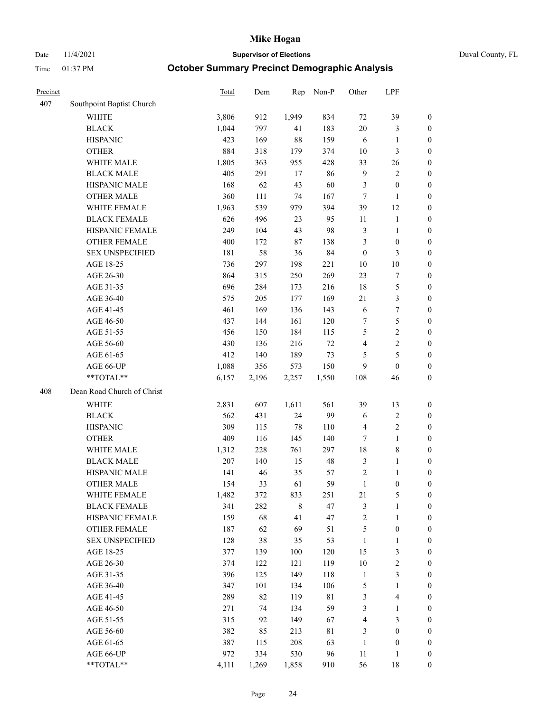Date 11/4/2021 **Supervisor of Elections** Duval County, FL

| Precinct |                            | Total | Dem   | Rep     | Non-P       | Other            | LPF                     |                  |
|----------|----------------------------|-------|-------|---------|-------------|------------------|-------------------------|------------------|
| 407      | Southpoint Baptist Church  |       |       |         |             |                  |                         |                  |
|          | <b>WHITE</b>               | 3,806 | 912   | 1,949   | 834         | $72\,$           | 39                      | 0                |
|          | <b>BLACK</b>               | 1,044 | 797   | 41      | 183         | 20               | $\mathfrak{Z}$          | 0                |
|          | <b>HISPANIC</b>            | 423   | 169   | 88      | 159         | 6                | $\mathbf{1}$            | $\boldsymbol{0}$ |
|          | <b>OTHER</b>               | 884   | 318   | 179     | 374         | 10               | 3                       | $\boldsymbol{0}$ |
|          | WHITE MALE                 | 1,805 | 363   | 955     | 428         | 33               | 26                      | $\boldsymbol{0}$ |
|          | <b>BLACK MALE</b>          | 405   | 291   | 17      | 86          | $\overline{9}$   | $\sqrt{2}$              | $\boldsymbol{0}$ |
|          | HISPANIC MALE              | 168   | 62    | 43      | 60          | 3                | $\boldsymbol{0}$        | $\boldsymbol{0}$ |
|          | <b>OTHER MALE</b>          | 360   | 111   | 74      | 167         | $\tau$           | $\mathbf{1}$            | $\boldsymbol{0}$ |
|          | WHITE FEMALE               | 1,963 | 539   | 979     | 394         | 39               | 12                      | $\boldsymbol{0}$ |
|          | <b>BLACK FEMALE</b>        | 626   | 496   | 23      | 95          | 11               | $\mathbf{1}$            | 0                |
|          | HISPANIC FEMALE            | 249   | 104   | 43      | 98          | 3                | $\mathbf{1}$            | 0                |
|          | OTHER FEMALE               | 400   | 172   | $87\,$  | 138         | 3                | $\boldsymbol{0}$        | $\boldsymbol{0}$ |
|          | <b>SEX UNSPECIFIED</b>     | 181   | 58    | 36      | 84          | $\boldsymbol{0}$ | $\mathfrak{Z}$          | $\boldsymbol{0}$ |
|          | AGE 18-25                  | 736   | 297   | 198     | 221         | 10               | $10\,$                  | $\boldsymbol{0}$ |
|          | AGE 26-30                  | 864   | 315   | 250     | 269         | 23               | $\boldsymbol{7}$        | $\boldsymbol{0}$ |
|          | AGE 31-35                  | 696   | 284   | 173     | 216         | 18               | $\mathfrak s$           | $\boldsymbol{0}$ |
|          | AGE 36-40                  | 575   | 205   | 177     | 169         | 21               | $\mathfrak{Z}$          | $\boldsymbol{0}$ |
|          | AGE 41-45                  | 461   | 169   | 136     | 143         | 6                | $\boldsymbol{7}$        | $\boldsymbol{0}$ |
|          | AGE 46-50                  | 437   | 144   | 161     | 120         | 7                | $\mathfrak s$           | $\boldsymbol{0}$ |
|          | AGE 51-55                  | 456   | 150   | 184     | 115         | 5                | $\sqrt{2}$              | $\boldsymbol{0}$ |
|          | AGE 56-60                  | 430   | 136   | 216     | 72          | $\overline{4}$   | $\sqrt{2}$              | 0                |
|          | AGE 61-65                  | 412   | 140   | 189     | 73          | 5                | $\mathfrak s$           | $\boldsymbol{0}$ |
|          | AGE 66-UP                  | 1,088 | 356   | 573     | 150         | 9                | $\boldsymbol{0}$        | $\boldsymbol{0}$ |
|          | **TOTAL**                  | 6,157 | 2,196 | 2,257   | 1,550       | 108              | 46                      | $\boldsymbol{0}$ |
| 408      | Dean Road Church of Christ |       |       |         |             |                  |                         |                  |
|          | <b>WHITE</b>               | 2,831 | 607   | 1,611   | 561         | 39               | 13                      | $\boldsymbol{0}$ |
|          | <b>BLACK</b>               | 562   | 431   | 24      | 99          | 6                | $\sqrt{2}$              | $\boldsymbol{0}$ |
|          | <b>HISPANIC</b>            | 309   | 115   | 78      | 110         | $\overline{4}$   | $\sqrt{2}$              | $\boldsymbol{0}$ |
|          | <b>OTHER</b>               | 409   | 116   | 145     | 140         | 7                | $\mathbf{1}$            | $\boldsymbol{0}$ |
|          | WHITE MALE                 | 1,312 | 228   | 761     | 297         | 18               | $8\,$                   | $\boldsymbol{0}$ |
|          | <b>BLACK MALE</b>          | 207   | 140   | 15      | 48          | 3                | $\mathbf{1}$            | $\boldsymbol{0}$ |
|          | HISPANIC MALE              | 141   | 46    | 35      | 57          | 2                | 1                       | 0                |
|          | <b>OTHER MALE</b>          | 154   | 33    | 61      | 59          | $\mathbf{1}$     | $\boldsymbol{0}$        | $\boldsymbol{0}$ |
|          | WHITE FEMALE               | 1,482 | 372   | 833     | 251         | 21               | 5                       | 0                |
|          | <b>BLACK FEMALE</b>        | 341   | 282   | $\,8\,$ | 47          | 3                | $\mathbf{1}$            | $\boldsymbol{0}$ |
|          | HISPANIC FEMALE            | 159   | 68    | 41      | 47          | $\sqrt{2}$       | $\mathbf{1}$            | $\overline{0}$   |
|          | OTHER FEMALE               | 187   | 62    | 69      | 51          | 5                | $\boldsymbol{0}$        | $\overline{0}$   |
|          | <b>SEX UNSPECIFIED</b>     | 128   | 38    | 35      | 53          | $\mathbf{1}$     | $\mathbf{1}$            | 0                |
|          | AGE 18-25                  | 377   | 139   | 100     | 120         | 15               | $\mathfrak{Z}$          | 0                |
|          | AGE 26-30                  | 374   | 122   | 121     | 119         | $10\,$           | $\sqrt{2}$              | 0                |
|          | AGE 31-35                  | 396   | 125   | 149     | 118         | $\mathbf{1}$     | $\mathfrak{Z}$          | 0                |
|          | AGE 36-40                  | 347   | 101   | 134     | 106         | 5                | $\mathbf{1}$            | 0                |
|          | AGE 41-45                  | 289   | 82    | 119     | $8\sqrt{1}$ | 3                | $\overline{\mathbf{4}}$ | 0                |
|          | AGE 46-50                  | 271   | 74    | 134     | 59          | 3                | $\mathbf{1}$            | 0                |
|          | AGE 51-55                  | 315   | 92    | 149     | 67          | 4                | $\mathfrak{Z}$          | $\overline{0}$   |
|          | AGE 56-60                  | 382   | 85    | 213     | $8\sqrt{1}$ | 3                | $\boldsymbol{0}$        | $\boldsymbol{0}$ |
|          | AGE 61-65                  | 387   | 115   | 208     | 63          | $\mathbf{1}$     | $\boldsymbol{0}$        | $\boldsymbol{0}$ |
|          | AGE 66-UP                  | 972   | 334   | 530     | 96          | $11\,$           | $\mathbf{1}$            | $\boldsymbol{0}$ |
|          | **TOTAL**                  | 4,111 | 1,269 | 1,858   | 910         | 56               | 18                      | $\boldsymbol{0}$ |
|          |                            |       |       |         |             |                  |                         |                  |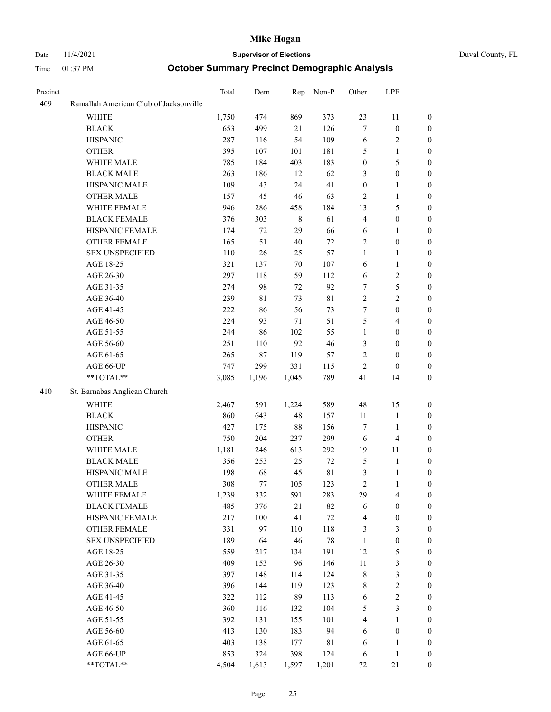### Date 11/4/2021 **Supervisor of Elections** Duval County, FL

| Precinct |                                        | Total | Dem         | Rep         | Non-P       | Other            | LPF                     |                  |
|----------|----------------------------------------|-------|-------------|-------------|-------------|------------------|-------------------------|------------------|
| 409      | Ramallah American Club of Jacksonville |       |             |             |             |                  |                         |                  |
|          | <b>WHITE</b>                           | 1,750 | 474         | 869         | 373         | 23               | $11\,$                  | $\boldsymbol{0}$ |
|          | <b>BLACK</b>                           | 653   | 499         | 21          | 126         | 7                | $\boldsymbol{0}$        | $\boldsymbol{0}$ |
|          | <b>HISPANIC</b>                        | 287   | 116         | 54          | 109         | 6                | $\sqrt{2}$              | $\boldsymbol{0}$ |
|          | <b>OTHER</b>                           | 395   | 107         | 101         | 181         | 5                | $\mathbf{1}$            | $\boldsymbol{0}$ |
|          | WHITE MALE                             | 785   | 184         | 403         | 183         | 10               | $\mathfrak{S}$          | $\boldsymbol{0}$ |
|          | <b>BLACK MALE</b>                      | 263   | 186         | 12          | 62          | 3                | $\boldsymbol{0}$        | $\boldsymbol{0}$ |
|          | HISPANIC MALE                          | 109   | 43          | 24          | 41          | $\boldsymbol{0}$ | $\mathbf{1}$            | $\boldsymbol{0}$ |
|          | <b>OTHER MALE</b>                      | 157   | 45          | 46          | 63          | $\overline{c}$   | $\mathbf{1}$            | 0                |
|          | WHITE FEMALE                           | 946   | 286         | 458         | 184         | 13               | $\mathfrak{S}$          | 0                |
|          | <b>BLACK FEMALE</b>                    | 376   | 303         | $\,$ 8 $\,$ | 61          | 4                | $\boldsymbol{0}$        | 0                |
|          | HISPANIC FEMALE                        | 174   | 72          | 29          | 66          | 6                | $\mathbf{1}$            | $\boldsymbol{0}$ |
|          | OTHER FEMALE                           | 165   | 51          | 40          | $72\,$      | $\sqrt{2}$       | $\boldsymbol{0}$        | $\boldsymbol{0}$ |
|          | <b>SEX UNSPECIFIED</b>                 | 110   | $26\,$      | 25          | 57          | $\mathbf{1}$     | $\mathbf{1}$            | $\boldsymbol{0}$ |
|          | AGE 18-25                              | 321   | 137         | 70          | 107         | 6                | $\mathbf{1}$            | $\boldsymbol{0}$ |
|          | AGE 26-30                              | 297   | 118         | 59          | 112         | $\sqrt{6}$       | $\sqrt{2}$              | $\boldsymbol{0}$ |
|          | AGE 31-35                              | 274   | 98          | 72          | 92          | $\tau$           | $\mathfrak s$           | $\boldsymbol{0}$ |
|          | AGE 36-40                              | 239   | $8\sqrt{1}$ | 73          | 81          | $\overline{2}$   | $\overline{2}$          | $\boldsymbol{0}$ |
|          | AGE 41-45                              | 222   | 86          | 56          | 73          | 7                | $\boldsymbol{0}$        | $\boldsymbol{0}$ |
|          | AGE 46-50                              | 224   | 93          | 71          | 51          | 5                | $\overline{4}$          | 0                |
|          | AGE 51-55                              | 244   | 86          | 102         | 55          | $\mathbf{1}$     | $\boldsymbol{0}$        | 0                |
|          | AGE 56-60                              | 251   | 110         | 92          | 46          | 3                | $\boldsymbol{0}$        | $\boldsymbol{0}$ |
|          | AGE 61-65                              | 265   | $87\,$      | 119         | 57          | $\sqrt{2}$       | $\boldsymbol{0}$        | $\boldsymbol{0}$ |
|          | AGE 66-UP                              | 747   | 299         | 331         | 115         | $\overline{c}$   | $\boldsymbol{0}$        | $\boldsymbol{0}$ |
|          | **TOTAL**                              | 3,085 | 1,196       | 1,045       | 789         | 41               | 14                      | $\boldsymbol{0}$ |
| 410      |                                        |       |             |             |             |                  |                         |                  |
|          | St. Barnabas Anglican Church           |       |             |             |             |                  |                         |                  |
|          | <b>WHITE</b>                           | 2,467 | 591         | 1,224       | 589         | 48               | 15                      | $\boldsymbol{0}$ |
|          | <b>BLACK</b>                           | 860   | 643         | 48          | 157         | $11\,$           | $\mathbf{1}$            | $\boldsymbol{0}$ |
|          | <b>HISPANIC</b>                        | 427   | 175         | 88          | 156         | 7                | $\mathbf{1}$            | $\overline{0}$   |
|          | <b>OTHER</b>                           | 750   | 204         | 237         | 299         | 6                | $\overline{\mathbf{4}}$ | $\overline{0}$   |
|          | WHITE MALE                             | 1,181 | 246         | 613         | 292         | 19               | 11                      | 0                |
|          | <b>BLACK MALE</b>                      | 356   | 253         | 25          | $72\,$      | 5                | $\mathbf{1}$            | 0                |
|          | HISPANIC MALE                          | 198   | 68          | 45          | $8\sqrt{1}$ | 3                | $\mathbf{1}$            | 0                |
|          | <b>OTHER MALE</b>                      | 308   | 77          | 105         | 123         | $\overline{c}$   | $\mathbf{1}$            | $\boldsymbol{0}$ |
|          | WHITE FEMALE                           | 1,239 | 332         | 591         | 283         | 29               | $\overline{\mathbf{4}}$ | $\boldsymbol{0}$ |
|          | <b>BLACK FEMALE</b>                    | 485   | 376         | $21\,$      | 82          | 6                | $\boldsymbol{0}$        | $\boldsymbol{0}$ |
|          | HISPANIC FEMALE                        | 217   | 100         | 41          | $72\,$      | 4                | $\boldsymbol{0}$        | $\overline{0}$   |
|          | <b>OTHER FEMALE</b>                    | 331   | 97          | 110         | 118         | 3                | $\mathfrak{Z}$          | $\overline{0}$   |
|          | <b>SEX UNSPECIFIED</b>                 | 189   | 64          | 46          | $78\,$      | $\mathbf{1}$     | $\boldsymbol{0}$        | $\overline{0}$   |
|          | AGE 18-25                              | 559   | 217         | 134         | 191         | 12               | $\mathfrak s$           | 0                |
|          | AGE 26-30                              | 409   | 153         | 96          | 146         | $11\,$           | $\mathfrak{Z}$          | 0                |
|          | AGE 31-35                              | 397   | 148         | 114         | 124         | 8                | $\mathfrak{Z}$          | 0                |
|          | AGE 36-40                              | 396   | 144         | 119         | 123         | 8                | $\sqrt{2}$              | 0                |
|          | AGE 41-45                              | 322   | 112         | 89          | 113         | 6                | $\sqrt{2}$              | $\boldsymbol{0}$ |
|          | AGE 46-50                              | 360   | 116         | 132         | 104         | 5                | $\mathfrak{Z}$          | $\boldsymbol{0}$ |
|          | AGE 51-55                              | 392   | 131         | 155         | 101         | 4                | $\mathbf{1}$            | $\boldsymbol{0}$ |
|          | AGE 56-60                              | 413   | 130         | 183         | 94          | 6                | $\boldsymbol{0}$        | $\boldsymbol{0}$ |
|          | AGE 61-65                              | 403   | 138         | 177         | 81          | 6                | $\mathbf{1}$            | $\boldsymbol{0}$ |
|          | AGE 66-UP                              | 853   | 324         | 398         | 124         | 6                | $\mathbf{1}$            | $\boldsymbol{0}$ |
|          | **TOTAL**                              | 4,504 | 1,613       | 1,597       | 1,201       | 72               | 21                      | $\boldsymbol{0}$ |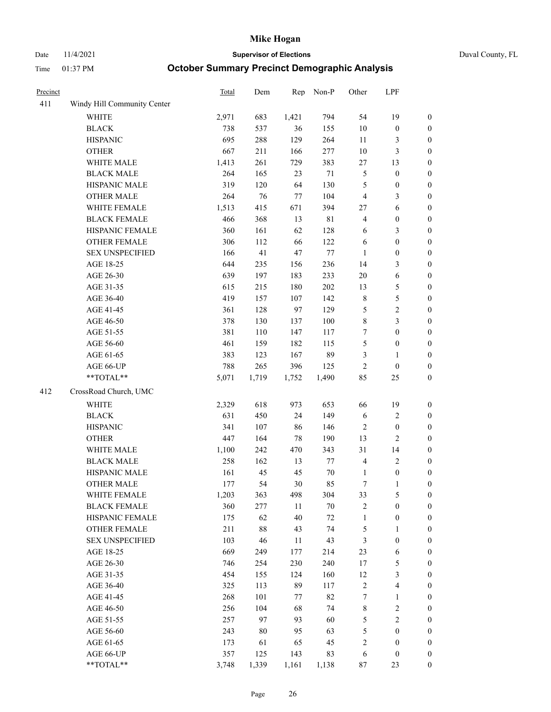Date 11/4/2021 **Supervisor of Elections** Duval County, FL

| Precinct |                             | <b>Total</b> | Dem   | Rep   | Non-P       | Other            | LPF                     |                  |
|----------|-----------------------------|--------------|-------|-------|-------------|------------------|-------------------------|------------------|
| 411      | Windy Hill Community Center |              |       |       |             |                  |                         |                  |
|          | <b>WHITE</b>                | 2,971        | 683   | 1,421 | 794         | 54               | 19                      | 0                |
|          | <b>BLACK</b>                | 738          | 537   | 36    | 155         | $10\,$           | $\boldsymbol{0}$        | $\boldsymbol{0}$ |
|          | <b>HISPANIC</b>             | 695          | 288   | 129   | 264         | 11               | 3                       | $\boldsymbol{0}$ |
|          | <b>OTHER</b>                | 667          | 211   | 166   | 277         | $10\,$           | $\mathfrak{Z}$          | $\boldsymbol{0}$ |
|          | WHITE MALE                  | 1,413        | 261   | 729   | 383         | $27\,$           | 13                      | $\boldsymbol{0}$ |
|          | <b>BLACK MALE</b>           | 264          | 165   | 23    | 71          | 5                | $\boldsymbol{0}$        | $\boldsymbol{0}$ |
|          | HISPANIC MALE               | 319          | 120   | 64    | 130         | 5                | $\boldsymbol{0}$        | $\boldsymbol{0}$ |
|          | <b>OTHER MALE</b>           | 264          | 76    | 77    | 104         | $\overline{4}$   | $\mathfrak{Z}$          | $\boldsymbol{0}$ |
|          | WHITE FEMALE                | 1,513        | 415   | 671   | 394         | 27               | $\sqrt{6}$              | $\boldsymbol{0}$ |
|          | <b>BLACK FEMALE</b>         | 466          | 368   | 13    | $8\sqrt{1}$ | 4                | $\boldsymbol{0}$        | $\boldsymbol{0}$ |
|          | HISPANIC FEMALE             | 360          | 161   | 62    | 128         | 6                | $\mathfrak{Z}$          | $\boldsymbol{0}$ |
|          | OTHER FEMALE                | 306          | 112   | 66    | 122         | 6                | $\boldsymbol{0}$        | $\boldsymbol{0}$ |
|          | <b>SEX UNSPECIFIED</b>      | 166          | 41    | 47    | $77\,$      | $\mathbf{1}$     | $\boldsymbol{0}$        | $\boldsymbol{0}$ |
|          | AGE 18-25                   | 644          | 235   | 156   | 236         | 14               | $\mathfrak{Z}$          | $\boldsymbol{0}$ |
|          | AGE 26-30                   | 639          | 197   | 183   | 233         | $20\,$           | 6                       | $\boldsymbol{0}$ |
|          | AGE 31-35                   | 615          | 215   | 180   | 202         | 13               | $\mathfrak s$           | $\boldsymbol{0}$ |
|          | AGE 36-40                   | 419          | 157   | 107   | 142         | $\,$ $\,$        | $\mathfrak s$           | $\boldsymbol{0}$ |
|          | AGE 41-45                   | 361          | 128   | 97    | 129         | 5                | $\sqrt{2}$              | $\boldsymbol{0}$ |
|          | AGE 46-50                   | 378          | 130   | 137   | 100         | $\,$ $\,$        | $\mathfrak{Z}$          | $\boldsymbol{0}$ |
|          | AGE 51-55                   | 381          | 110   | 147   | 117         | 7                | $\boldsymbol{0}$        | $\boldsymbol{0}$ |
|          | AGE 56-60                   | 461          | 159   | 182   | 115         | 5                | $\boldsymbol{0}$        | 0                |
|          | AGE 61-65                   | 383          | 123   | 167   | 89          | 3                | $\mathbf{1}$            | $\boldsymbol{0}$ |
|          | AGE 66-UP                   | 788          | 265   | 396   | 125         | $\sqrt{2}$       | $\boldsymbol{0}$        | $\boldsymbol{0}$ |
|          | **TOTAL**                   | 5,071        | 1,719 | 1,752 | 1,490       | 85               | 25                      | $\boldsymbol{0}$ |
| 412      | CrossRoad Church, UMC       |              |       |       |             |                  |                         |                  |
|          | WHITE                       | 2,329        | 618   | 973   | 653         | 66               | 19                      | $\boldsymbol{0}$ |
|          | <b>BLACK</b>                | 631          | 450   | 24    | 149         | 6                | $\sqrt{2}$              | $\boldsymbol{0}$ |
|          | <b>HISPANIC</b>             | 341          | 107   | 86    | 146         | $\sqrt{2}$       | $\boldsymbol{0}$        | $\boldsymbol{0}$ |
|          | <b>OTHER</b>                | 447          | 164   | 78    | 190         | 13               | $\overline{c}$          | $\boldsymbol{0}$ |
|          | WHITE MALE                  | 1,100        | 242   | 470   | 343         | 31               | 14                      | $\boldsymbol{0}$ |
|          | <b>BLACK MALE</b>           | 258          | 162   | 13    | $77\,$      | 4                | $\sqrt{2}$              | $\boldsymbol{0}$ |
|          | HISPANIC MALE               | 161          | 45    | 45    | $70\,$      | $\mathbf{1}$     | $\boldsymbol{0}$        | 0                |
|          | OTHER MALE                  | 177          | 54    | 30    | 85          | $\boldsymbol{7}$ | $\mathbf{1}$            | $\boldsymbol{0}$ |
|          | WHITE FEMALE                | 1,203        | 363   | 498   | 304         | 33               | 5                       | 0                |
|          | <b>BLACK FEMALE</b>         | 360          | 277   | 11    | $70\,$      | 2                | $\boldsymbol{0}$        | $\boldsymbol{0}$ |
|          | HISPANIC FEMALE             | 175          | 62    | 40    | $72\,$      | $\mathbf{1}$     | $\boldsymbol{0}$        | $\overline{0}$   |
|          | <b>OTHER FEMALE</b>         | 211          | 88    | 43    | 74          | 5                | $\mathbf{1}$            | $\overline{0}$   |
|          | <b>SEX UNSPECIFIED</b>      | 103          | 46    | 11    | 43          | 3                | $\boldsymbol{0}$        | 0                |
|          | AGE 18-25                   | 669          | 249   | 177   | 214         | 23               | 6                       | 0                |
|          | AGE 26-30                   | 746          | 254   | 230   | 240         | 17               | $\mathfrak{S}$          | 0                |
|          | AGE 31-35                   | 454          | 155   | 124   | 160         | 12               | $\mathfrak{Z}$          | 0                |
|          | AGE 36-40                   | 325          | 113   | 89    | 117         | $\sqrt{2}$       | $\overline{\mathbf{4}}$ | 0                |
|          | AGE 41-45                   | 268          | 101   | 77    | 82          | 7                | $\mathbf{1}$            | 0                |
|          | AGE 46-50                   | 256          | 104   | 68    | 74          | 8                | $\sqrt{2}$              | 0                |
|          | AGE 51-55                   | 257          | 97    | 93    | 60          | 5                | $\overline{2}$          | 0                |
|          | AGE 56-60                   | 243          | 80    | 95    | 63          | 5                | $\boldsymbol{0}$        | $\overline{0}$   |
|          | AGE 61-65                   | 173          | 61    | 65    | 45          | 2                | $\boldsymbol{0}$        | $\boldsymbol{0}$ |
|          | AGE 66-UP                   | 357          | 125   | 143   | 83          | 6                | $\boldsymbol{0}$        | 0                |
|          | **TOTAL**                   | 3,748        | 1,339 | 1,161 | 1,138       | 87               | 23                      | $\boldsymbol{0}$ |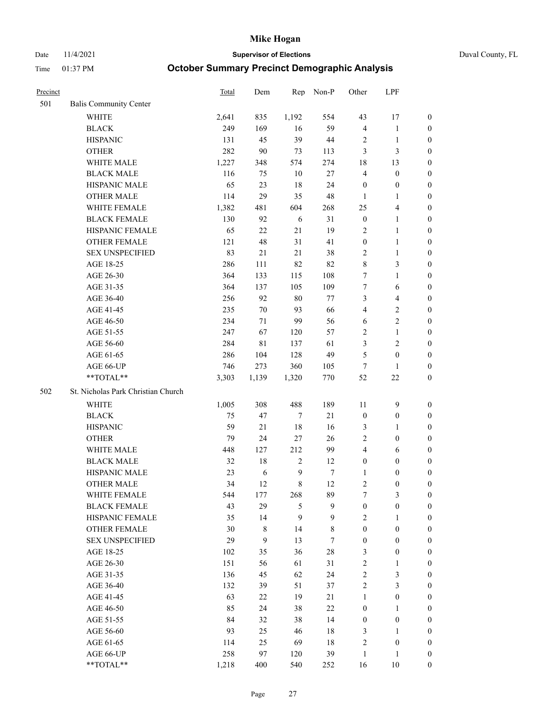Date 11/4/2021 **Supervisor of Elections** Duval County, FL

| Precinct |                                     | Total    | Dem       | Rep                     | Non-P       | Other                 | LPF                                  |                                    |
|----------|-------------------------------------|----------|-----------|-------------------------|-------------|-----------------------|--------------------------------------|------------------------------------|
| 501      | <b>Balis Community Center</b>       |          |           |                         |             |                       |                                      |                                    |
|          | <b>WHITE</b>                        | 2,641    | 835       | 1,192                   | 554         | 43                    | 17                                   | 0                                  |
|          | <b>BLACK</b>                        | 249      | 169       | 16                      | 59          | $\overline{4}$        | $\mathbf{1}$                         | 0                                  |
|          | <b>HISPANIC</b>                     | 131      | 45        | 39                      | $44\,$      | $\overline{c}$        | $\mathbf{1}$                         | $\boldsymbol{0}$                   |
|          | <b>OTHER</b>                        | 282      | 90        | 73                      | 113         | 3                     | 3                                    | $\boldsymbol{0}$                   |
|          | WHITE MALE                          | 1,227    | 348       | 574                     | 274         | 18                    | 13                                   | $\boldsymbol{0}$                   |
|          | <b>BLACK MALE</b>                   | 116      | 75        | 10                      | 27          | 4                     | $\boldsymbol{0}$                     | $\boldsymbol{0}$                   |
|          | HISPANIC MALE                       | 65       | 23        | 18                      | 24          | $\boldsymbol{0}$      | $\boldsymbol{0}$                     | $\boldsymbol{0}$                   |
|          | <b>OTHER MALE</b>                   | 114      | 29        | 35                      | 48          | $\mathbf{1}$          | $\mathbf{1}$                         | $\boldsymbol{0}$                   |
|          | WHITE FEMALE                        | 1,382    | 481       | 604                     | 268         | 25                    | $\overline{\mathbf{4}}$              | $\boldsymbol{0}$                   |
|          | <b>BLACK FEMALE</b>                 | 130      | 92        | 6                       | 31          | $\boldsymbol{0}$      | $\mathbf{1}$                         | 0                                  |
|          | HISPANIC FEMALE                     | 65       | 22        | 21                      | 19          | 2                     | $\mathbf{1}$                         | 0                                  |
|          | <b>OTHER FEMALE</b>                 | 121      | 48        | 31                      | 41          | $\boldsymbol{0}$      | $\mathbf{1}$                         | 0                                  |
|          | <b>SEX UNSPECIFIED</b>              | 83       | 21        | 21                      | 38          | $\mathbf{2}$          | $\mathbf{1}$                         | $\boldsymbol{0}$                   |
|          | AGE 18-25                           | 286      | 111       | 82                      | 82          | 8                     | $\mathfrak{Z}$                       | $\boldsymbol{0}$                   |
|          | AGE 26-30                           | 364      | 133       | 115                     | 108         | 7                     | $\mathbf{1}$                         | $\boldsymbol{0}$                   |
|          | AGE 31-35                           | 364      | 137       | 105                     | 109         | 7                     | 6                                    | $\boldsymbol{0}$                   |
|          | AGE 36-40                           | 256      | 92        | $80\,$                  | 77          | 3                     | $\overline{\mathbf{4}}$              | $\boldsymbol{0}$                   |
|          | AGE 41-45                           | 235      | $70\,$    | 93                      | 66          | 4                     | $\sqrt{2}$                           | $\boldsymbol{0}$                   |
|          | AGE 46-50                           | 234      | 71        | 99                      | 56          | 6                     | $\overline{2}$                       | $\boldsymbol{0}$                   |
|          | AGE 51-55                           | 247      | 67        | 120                     | 57          | $\sqrt{2}$            | $\mathbf{1}$                         | $\boldsymbol{0}$                   |
|          | AGE 56-60                           | 284      | 81        | 137                     | 61          | 3                     | $\sqrt{2}$                           | 0                                  |
|          | AGE 61-65                           | 286      | 104       | 128                     | 49          | 5                     | $\boldsymbol{0}$                     | 0                                  |
|          | AGE 66-UP                           | 746      | 273       | 360                     | 105         | $\tau$                | $\mathbf{1}$                         | $\boldsymbol{0}$                   |
|          | $**TOTAL**$                         | 3,303    | 1,139     | 1,320                   | 770         | 52                    | $22\,$                               | $\boldsymbol{0}$                   |
| 502      | St. Nicholas Park Christian Church  |          |           |                         |             |                       |                                      |                                    |
|          | <b>WHITE</b>                        |          | 308       | 488                     | 189         |                       | $\mathbf{9}$                         |                                    |
|          |                                     | 1,005    |           |                         |             | 11                    |                                      | $\boldsymbol{0}$                   |
|          | <b>BLACK</b>                        | 75       | 47        | $\tau$                  | 21          | $\boldsymbol{0}$      | $\boldsymbol{0}$                     | $\boldsymbol{0}$                   |
|          | <b>HISPANIC</b>                     | 59       | 21        | 18                      | 16          | 3                     | $\mathbf{1}$                         | $\boldsymbol{0}$                   |
|          | <b>OTHER</b>                        | 79       | 24        | $27\,$                  | 26          | $\overline{c}$        | $\boldsymbol{0}$                     | $\boldsymbol{0}$                   |
|          | WHITE MALE                          | 448      | 127       | 212                     | 99          | $\overline{4}$        | 6                                    | $\boldsymbol{0}$                   |
|          | <b>BLACK MALE</b>                   | 32       | 18        | $\sqrt{2}$              | 12          | $\boldsymbol{0}$      | $\boldsymbol{0}$                     | $\boldsymbol{0}$                   |
|          | HISPANIC MALE                       | 23<br>34 | 6<br>12   | $\mathbf{9}$<br>$\,8\,$ | 7<br>12     | 1<br>$\overline{c}$   | $\boldsymbol{0}$<br>$\boldsymbol{0}$ | 0                                  |
|          | <b>OTHER MALE</b>                   |          |           |                         |             |                       |                                      | $\boldsymbol{0}$                   |
|          | WHITE FEMALE<br><b>BLACK FEMALE</b> | 544      | 177<br>29 | 268<br>5                | 89<br>9     | 7<br>$\boldsymbol{0}$ | 3<br>$\boldsymbol{0}$                | 0                                  |
|          | HISPANIC FEMALE                     | 43<br>35 | 14        | 9                       | 9           | 2                     | $\mathbf{1}$                         | $\boldsymbol{0}$<br>$\overline{0}$ |
|          | OTHER FEMALE                        | 30       |           | 14                      | $\,$ 8 $\,$ | $\boldsymbol{0}$      | $\boldsymbol{0}$                     | $\overline{0}$                     |
|          | <b>SEX UNSPECIFIED</b>              | 29       | 8<br>9    | 13                      | $\tau$      | $\boldsymbol{0}$      | $\boldsymbol{0}$                     | 0                                  |
|          | AGE 18-25                           | 102      | 35        | 36                      | $28\,$      | 3                     | $\boldsymbol{0}$                     | $\overline{0}$                     |
|          | AGE 26-30                           | 151      | 56        | 61                      | 31          | 2                     | $\mathbf{1}$                         | 0                                  |
|          | AGE 31-35                           | 136      | 45        | 62                      | 24          | $\sqrt{2}$            | $\mathfrak{Z}$                       | 0                                  |
|          | AGE 36-40                           | 132      | 39        | 51                      | 37          | $\sqrt{2}$            | $\mathfrak{Z}$                       | 0                                  |
|          | AGE 41-45                           | 63       | 22        | 19                      | 21          | $\mathbf{1}$          | $\boldsymbol{0}$                     | 0                                  |
|          | AGE 46-50                           |          | 24        | 38                      | 22          | $\boldsymbol{0}$      |                                      |                                    |
|          |                                     | 85       |           |                         |             |                       | $\mathbf{1}$                         | 0                                  |
|          | AGE 51-55                           | 84       | 32        | 38                      | 14          | $\boldsymbol{0}$      | $\boldsymbol{0}$                     | $\overline{0}$                     |
|          | AGE 56-60                           | 93       | 25        | 46                      | $18\,$      | 3                     | $\mathbf{1}$                         | $\overline{0}$                     |
|          | AGE 61-65                           | 114      | 25        | 69                      | 18          | 2                     | $\boldsymbol{0}$                     | $\overline{0}$                     |
|          | AGE 66-UP                           | 258      | 97        | 120                     | 39          | $\mathbf{1}$          | $\mathbf{1}$                         | $\boldsymbol{0}$                   |
|          | **TOTAL**                           | 1,218    | 400       | 540                     | 252         | 16                    | 10                                   | $\boldsymbol{0}$                   |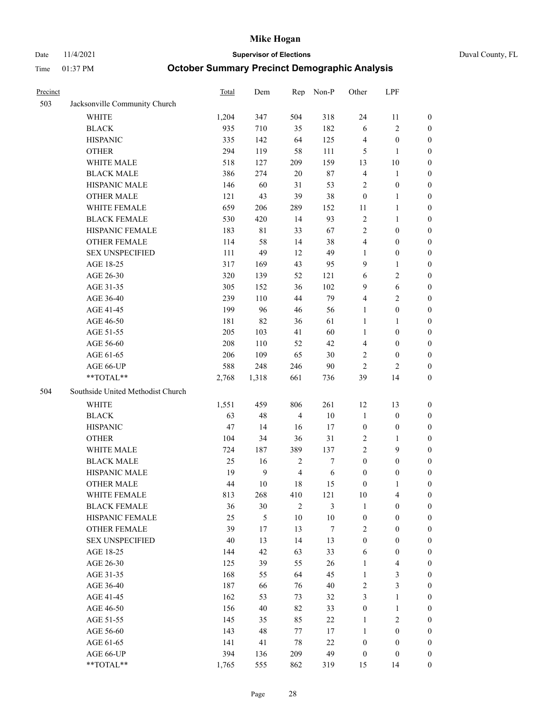Date 11/4/2021 **Supervisor of Elections** Duval County, FL

| Precinct |                                   | Total | Dem          | Rep            | Non-P            | Other                   | LPF                     |                  |
|----------|-----------------------------------|-------|--------------|----------------|------------------|-------------------------|-------------------------|------------------|
| 503      | Jacksonville Community Church     |       |              |                |                  |                         |                         |                  |
|          | <b>WHITE</b>                      | 1,204 | 347          | 504            | 318              | 24                      | 11                      | 0                |
|          | <b>BLACK</b>                      | 935   | 710          | 35             | 182              | 6                       | $\sqrt{2}$              | 0                |
|          | <b>HISPANIC</b>                   | 335   | 142          | 64             | 125              | 4                       | $\boldsymbol{0}$        | $\boldsymbol{0}$ |
|          | <b>OTHER</b>                      | 294   | 119          | 58             | 111              | 5                       | $\mathbf{1}$            | $\boldsymbol{0}$ |
|          | WHITE MALE                        | 518   | 127          | 209            | 159              | 13                      | $10\,$                  | $\boldsymbol{0}$ |
|          | <b>BLACK MALE</b>                 | 386   | 274          | 20             | 87               | 4                       | $\mathbf{1}$            | $\boldsymbol{0}$ |
|          | HISPANIC MALE                     | 146   | 60           | 31             | 53               | $\overline{c}$          | $\boldsymbol{0}$        | $\boldsymbol{0}$ |
|          | <b>OTHER MALE</b>                 | 121   | 43           | 39             | 38               | $\boldsymbol{0}$        | $\mathbf{1}$            | $\boldsymbol{0}$ |
|          | WHITE FEMALE                      | 659   | 206          | 289            | 152              | 11                      | $\mathbf{1}$            | $\boldsymbol{0}$ |
|          | <b>BLACK FEMALE</b>               | 530   | 420          | 14             | 93               | $\sqrt{2}$              | $\mathbf{1}$            | 0                |
|          | HISPANIC FEMALE                   | 183   | 81           | 33             | 67               | $\sqrt{2}$              | $\boldsymbol{0}$        | 0                |
|          | OTHER FEMALE                      | 114   | 58           | 14             | 38               | 4                       | $\boldsymbol{0}$        | $\boldsymbol{0}$ |
|          | <b>SEX UNSPECIFIED</b>            | 111   | 49           | 12             | 49               | $\mathbf{1}$            | $\boldsymbol{0}$        | $\boldsymbol{0}$ |
|          | AGE 18-25                         | 317   | 169          | 43             | 95               | 9                       | $\mathbf{1}$            | $\boldsymbol{0}$ |
|          | AGE 26-30                         | 320   | 139          | 52             | 121              | 6                       | $\sqrt{2}$              | $\boldsymbol{0}$ |
|          | AGE 31-35                         | 305   | 152          | 36             | 102              | 9                       | 6                       | $\boldsymbol{0}$ |
|          | AGE 36-40                         | 239   | 110          | 44             | 79               | 4                       | $\sqrt{2}$              | $\boldsymbol{0}$ |
|          | AGE 41-45                         | 199   | 96           | 46             | 56               | $\mathbf{1}$            | $\boldsymbol{0}$        | $\boldsymbol{0}$ |
|          | AGE 46-50                         | 181   | 82           | 36             | 61               | $\mathbf{1}$            | $\mathbf{1}$            | $\boldsymbol{0}$ |
|          | AGE 51-55                         | 205   | 103          | 41             | 60               | $\mathbf{1}$            | $\boldsymbol{0}$        | 0                |
|          | AGE 56-60                         | 208   | 110          | 52             | 42               | $\overline{\mathbf{4}}$ | $\boldsymbol{0}$        | 0                |
|          | AGE 61-65                         | 206   | 109          | 65             | 30               | 2                       | $\boldsymbol{0}$        | 0                |
|          | AGE 66-UP                         | 588   | 248          | 246            | 90               | $\mathbf{2}$            | $\overline{2}$          | $\boldsymbol{0}$ |
|          | **TOTAL**                         | 2,768 | 1,318        | 661            | 736              | 39                      | 14                      | $\boldsymbol{0}$ |
| 504      | Southside United Methodist Church |       |              |                |                  |                         |                         |                  |
|          | <b>WHITE</b>                      | 1,551 | 459          | 806            | 261              | 12                      | 13                      | $\boldsymbol{0}$ |
|          | <b>BLACK</b>                      | 63    | 48           | $\overline{4}$ | $10\,$           | $\mathbf{1}$            | $\boldsymbol{0}$        | $\boldsymbol{0}$ |
|          | <b>HISPANIC</b>                   | 47    | 14           | 16             | 17               | $\boldsymbol{0}$        | $\boldsymbol{0}$        | $\boldsymbol{0}$ |
|          | <b>OTHER</b>                      | 104   | 34           | 36             | 31               | $\sqrt{2}$              | $\mathbf{1}$            | $\boldsymbol{0}$ |
|          | WHITE MALE                        | 724   | 187          | 389            | 137              | $\overline{c}$          | 9                       | $\overline{0}$   |
|          | <b>BLACK MALE</b>                 | 25    | 16           | $\sqrt{2}$     | $\boldsymbol{7}$ | $\boldsymbol{0}$        | $\boldsymbol{0}$        | $\boldsymbol{0}$ |
|          | HISPANIC MALE                     | 19    | $\mathbf{9}$ | $\overline{4}$ | 6                | $\boldsymbol{0}$        | $\boldsymbol{0}$        | 0                |
|          | <b>OTHER MALE</b>                 | 44    | 10           | 18             | 15               | $\boldsymbol{0}$        | $\mathbf{1}$            | 0                |
|          | WHITE FEMALE                      | 813   | 268          | 410            | 121              | 10                      | 4                       | 0                |
|          | <b>BLACK FEMALE</b>               | 36    | 30           | $\mathfrak{2}$ | 3                | $\mathbf{1}$            | $\boldsymbol{0}$        | $\overline{0}$   |
|          | HISPANIC FEMALE                   | 25    | 5            | 10             | $10\,$           | $\boldsymbol{0}$        | $\boldsymbol{0}$        | $\overline{0}$   |
|          | OTHER FEMALE                      | 39    | 17           | 13             | 7                | 2                       | $\boldsymbol{0}$        | $\overline{0}$   |
|          | <b>SEX UNSPECIFIED</b>            | 40    | 13           | 14             | 13               | $\boldsymbol{0}$        | $\boldsymbol{0}$        | 0                |
|          | AGE 18-25                         | 144   | 42           | 63             | 33               | 6                       | $\boldsymbol{0}$        | 0                |
|          | AGE 26-30                         | 125   | 39           | 55             | 26               | $\mathbf{1}$            | $\overline{\mathbf{4}}$ | 0                |
|          | AGE 31-35                         | 168   | 55           | 64             | 45               | $\mathbf{1}$            | $\mathfrak{Z}$          | 0                |
|          | AGE 36-40                         | 187   | 66           | 76             | 40               | 2                       | $\mathfrak{Z}$          | 0                |
|          | AGE 41-45                         | 162   | 53           | 73             | 32               | 3                       | $\mathbf{1}$            | 0                |
|          | AGE 46-50                         | 156   | 40           | 82             | 33               | $\boldsymbol{0}$        | $\mathbf{1}$            | 0                |
|          | AGE 51-55                         | 145   | 35           | 85             | 22               | $\mathbf{1}$            | $\mathbf{2}$            | 0                |
|          | AGE 56-60                         | 143   | 48           | 77             | 17               | 1                       | $\boldsymbol{0}$        | $\overline{0}$   |
|          | AGE 61-65                         | 141   | 41           | 78             | 22               | $\boldsymbol{0}$        | $\boldsymbol{0}$        | $\overline{0}$   |
|          | AGE 66-UP                         | 394   | 136          | 209            | 49               | $\boldsymbol{0}$        | $\boldsymbol{0}$        | 0                |
|          | **TOTAL**                         | 1,765 | 555          | 862            | 319              | 15                      | 14                      | $\boldsymbol{0}$ |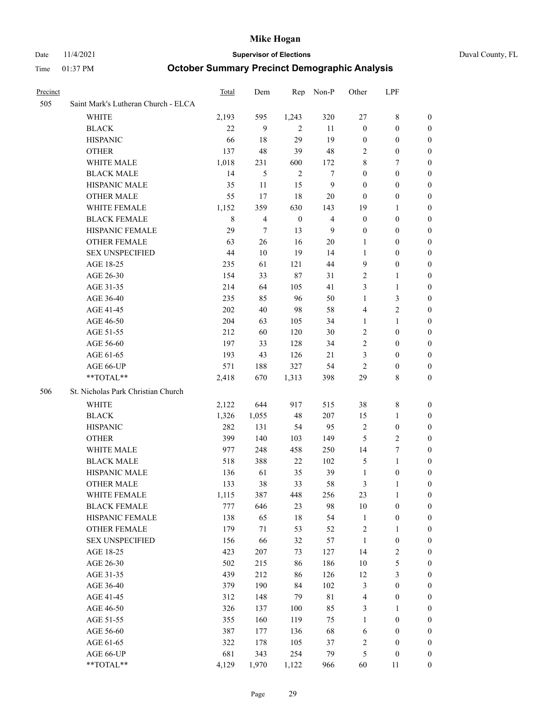Date 11/4/2021 **Supervisor of Elections** Duval County, FL

| Precinct |                                     | Total       | Dem            | Rep              | Non-P            | Other            | LPF              |                  |
|----------|-------------------------------------|-------------|----------------|------------------|------------------|------------------|------------------|------------------|
| 505      | Saint Mark's Lutheran Church - ELCA |             |                |                  |                  |                  |                  |                  |
|          | <b>WHITE</b>                        | 2,193       | 595            | 1,243            | 320              | 27               | $8\,$            | 0                |
|          | <b>BLACK</b>                        | 22          | 9              | 2                | 11               | $\boldsymbol{0}$ | $\boldsymbol{0}$ | 0                |
|          | <b>HISPANIC</b>                     | 66          | 18             | 29               | 19               | $\boldsymbol{0}$ | $\boldsymbol{0}$ | 0                |
|          | <b>OTHER</b>                        | 137         | 48             | 39               | 48               | 2                | $\boldsymbol{0}$ | $\boldsymbol{0}$ |
|          | WHITE MALE                          | 1,018       | 231            | 600              | 172              | 8                | 7                | $\boldsymbol{0}$ |
|          | <b>BLACK MALE</b>                   | 14          | 5              | $\mathbf{2}$     | $\boldsymbol{7}$ | $\boldsymbol{0}$ | $\boldsymbol{0}$ | 0                |
|          | HISPANIC MALE                       | 35          | 11             | 15               | $\mathbf{9}$     | $\boldsymbol{0}$ | $\boldsymbol{0}$ | 0                |
|          | <b>OTHER MALE</b>                   | 55          | 17             | 18               | 20               | $\boldsymbol{0}$ | $\boldsymbol{0}$ | 0                |
|          | WHITE FEMALE                        | 1,152       | 359            | 630              | 143              | 19               | $\mathbf{1}$     | 0                |
|          | <b>BLACK FEMALE</b>                 | $\,$ 8 $\,$ | $\overline{4}$ | $\boldsymbol{0}$ | $\overline{4}$   | $\boldsymbol{0}$ | $\boldsymbol{0}$ | 0                |
|          | HISPANIC FEMALE                     | 29          | $\tau$         | 13               | 9                | $\boldsymbol{0}$ | $\boldsymbol{0}$ | 0                |
|          | <b>OTHER FEMALE</b>                 | 63          | 26             | 16               | 20               | $\mathbf{1}$     | $\boldsymbol{0}$ | 0                |
|          | <b>SEX UNSPECIFIED</b>              | 44          | 10             | 19               | 14               | $\mathbf{1}$     | $\boldsymbol{0}$ | $\boldsymbol{0}$ |
|          | AGE 18-25                           | 235         | 61             | 121              | 44               | 9                | $\boldsymbol{0}$ | $\boldsymbol{0}$ |
|          | AGE 26-30                           | 154         | 33             | $87\,$           | 31               | $\overline{c}$   | $\mathbf{1}$     | $\boldsymbol{0}$ |
|          | AGE 31-35                           | 214         | 64             | 105              | 41               | 3                | $\mathbf{1}$     | 0                |
|          | AGE 36-40                           | 235         | 85             | 96               | 50               | $\mathbf{1}$     | $\mathfrak{Z}$   | $\boldsymbol{0}$ |
|          | AGE 41-45                           | 202         | 40             | 98               | 58               | 4                | $\overline{2}$   | $\boldsymbol{0}$ |
|          | AGE 46-50                           | 204         | 63             | 105              | 34               | 1                | $\mathbf{1}$     | $\boldsymbol{0}$ |
|          | AGE 51-55                           | 212         | 60             | 120              | 30               | $\sqrt{2}$       | $\boldsymbol{0}$ | 0                |
|          | AGE 56-60                           | 197         | 33             | 128              | 34               | $\sqrt{2}$       | $\boldsymbol{0}$ | 0                |
|          | AGE 61-65                           | 193         | 43             | 126              | 21               | 3                | $\boldsymbol{0}$ | 0                |
|          | AGE 66-UP                           | 571         | 188            | 327              | 54               | $\overline{2}$   | $\boldsymbol{0}$ | 0                |
|          | **TOTAL**                           | 2,418       | 670            | 1,313            | 398              | 29               | $8\,$            | $\boldsymbol{0}$ |
| 506      | St. Nicholas Park Christian Church  |             |                |                  |                  |                  |                  |                  |
|          | <b>WHITE</b>                        | 2,122       | 644            | 917              | 515              | 38               | $\,8\,$          | $\boldsymbol{0}$ |
|          | <b>BLACK</b>                        | 1,326       | 1,055          | 48               | 207              | 15               | $\mathbf{1}$     | $\boldsymbol{0}$ |
|          | <b>HISPANIC</b>                     | 282         | 131            | 54               | 95               | $\overline{c}$   | $\boldsymbol{0}$ | $\boldsymbol{0}$ |
|          | <b>OTHER</b>                        | 399         | 140            | 103              | 149              | 5                | $\mathbf{2}$     | $\boldsymbol{0}$ |
|          | WHITE MALE                          | 977         | 248            | 458              | 250              | 14               | $\tau$           | 0                |
|          | <b>BLACK MALE</b>                   | 518         | 388            | 22               | 102              | 5                | $\mathbf{1}$     | 0                |
|          | HISPANIC MALE                       | 136         | 61             | 35               | 39               | $\mathbf{1}$     | $\boldsymbol{0}$ | 0                |
|          | <b>OTHER MALE</b>                   | 133         | 38             | 33               | 58               | 3                | $\mathbf{1}$     | 0                |
|          | WHITE FEMALE                        | 1,115       | 387            | 448              | 256              | 23               | 1                | 0                |
|          | <b>BLACK FEMALE</b>                 | 777         | 646            | 23               | 98               | 10               | $\boldsymbol{0}$ | $\boldsymbol{0}$ |
|          | HISPANIC FEMALE                     | 138         | 65             | $18\,$           | 54               | $\mathbf{1}$     | $\boldsymbol{0}$ | $\overline{0}$   |
|          | OTHER FEMALE                        | 179         | 71             | 53               | 52               | $\overline{c}$   | $\mathbf{1}$     | $\overline{0}$   |
|          | <b>SEX UNSPECIFIED</b>              | 156         | 66             | 32               | 57               | $\mathbf{1}$     | $\boldsymbol{0}$ | 0                |
|          | AGE 18-25                           | 423         | 207            | 73               | 127              | 14               | $\sqrt{2}$       | 0                |
|          | AGE 26-30                           | 502         | 215            | 86               | 186              | $10\,$           | $\mathfrak s$    | 0                |
|          | AGE 31-35                           | 439         | 212            | 86               | 126              | 12               | $\mathfrak{Z}$   | 0                |
|          | AGE 36-40                           | 379         | 190            | 84               | 102              | 3                | $\boldsymbol{0}$ | 0                |
|          | AGE 41-45                           | 312         | 148            | 79               | $8\sqrt{1}$      | $\overline{4}$   | $\boldsymbol{0}$ | 0                |
|          | AGE 46-50                           | 326         | 137            | 100              | 85               | 3                | $\mathbf{1}$     | 0                |
|          | AGE 51-55                           | 355         | 160            | 119              | 75               | $\mathbf{1}$     | $\boldsymbol{0}$ | 0                |
|          | AGE 56-60                           | 387         | 177            | 136              | 68               | 6                | $\boldsymbol{0}$ | $\overline{0}$   |
|          | AGE 61-65                           | 322         | 178            | 105              | 37               | 2                | $\boldsymbol{0}$ | $\overline{0}$   |
|          | AGE 66-UP                           | 681         | 343            | 254              | 79               | 5                | $\boldsymbol{0}$ | 0                |
|          | **TOTAL**                           | 4,129       | 1,970          | 1,122            | 966              | 60               | 11               | $\boldsymbol{0}$ |
|          |                                     |             |                |                  |                  |                  |                  |                  |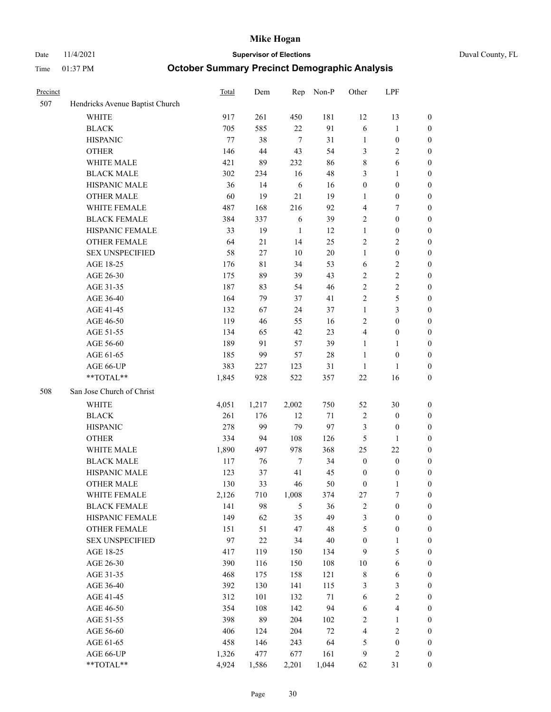Date 11/4/2021 **Supervisor of Elections** Duval County, FL

| Precinct |                                 | Total | Dem   | Rep        | Non-P  | Other            | LPF                     |                  |
|----------|---------------------------------|-------|-------|------------|--------|------------------|-------------------------|------------------|
| 507      | Hendricks Avenue Baptist Church |       |       |            |        |                  |                         |                  |
|          | <b>WHITE</b>                    | 917   | 261   | 450        | 181    | 12               | 13                      | $\boldsymbol{0}$ |
|          | <b>BLACK</b>                    | 705   | 585   | 22         | 91     | 6                | $\mathbf{1}$            | 0                |
|          | <b>HISPANIC</b>                 | 77    | 38    | $\tau$     | 31     | $\mathbf{1}$     | $\boldsymbol{0}$        | $\boldsymbol{0}$ |
|          | <b>OTHER</b>                    | 146   | 44    | 43         | 54     | 3                | $\mathbf{2}$            | $\boldsymbol{0}$ |
|          | WHITE MALE                      | 421   | 89    | 232        | 86     | 8                | 6                       | $\boldsymbol{0}$ |
|          | <b>BLACK MALE</b>               | 302   | 234   | 16         | 48     | 3                | $\mathbf{1}$            | $\boldsymbol{0}$ |
|          | HISPANIC MALE                   | 36    | 14    | 6          | 16     | $\boldsymbol{0}$ | $\boldsymbol{0}$        | $\boldsymbol{0}$ |
|          | <b>OTHER MALE</b>               | 60    | 19    | 21         | 19     | $\mathbf{1}$     | $\boldsymbol{0}$        | $\boldsymbol{0}$ |
|          | WHITE FEMALE                    | 487   | 168   | 216        | 92     | 4                | $\tau$                  | $\boldsymbol{0}$ |
|          | <b>BLACK FEMALE</b>             | 384   | 337   | 6          | 39     | $\sqrt{2}$       | $\boldsymbol{0}$        | $\boldsymbol{0}$ |
|          | HISPANIC FEMALE                 | 33    | 19    | 1          | 12     | $\mathbf{1}$     | $\boldsymbol{0}$        | 0                |
|          | <b>OTHER FEMALE</b>             | 64    | 21    | 14         | 25     | $\mathbf{2}$     | $\sqrt{2}$              | $\boldsymbol{0}$ |
|          | <b>SEX UNSPECIFIED</b>          | 58    | 27    | 10         | 20     | $\mathbf{1}$     | $\boldsymbol{0}$        | $\boldsymbol{0}$ |
|          | AGE 18-25                       | 176   | 81    | 34         | 53     | 6                | $\sqrt{2}$              | $\boldsymbol{0}$ |
|          | AGE 26-30                       | 175   | 89    | 39         | 43     | 2                | $\sqrt{2}$              | $\boldsymbol{0}$ |
|          | AGE 31-35                       | 187   | 83    | 54         | 46     | $\sqrt{2}$       | $\sqrt{2}$              | $\boldsymbol{0}$ |
|          | AGE 36-40                       | 164   | 79    | 37         | 41     | $\mathfrak{2}$   | $\mathfrak s$           | $\boldsymbol{0}$ |
|          | AGE 41-45                       | 132   | 67    | 24         | 37     | $\mathbf{1}$     | 3                       | $\boldsymbol{0}$ |
|          | AGE 46-50                       | 119   | 46    | 55         | 16     | $\mathbf{2}$     | $\boldsymbol{0}$        | $\boldsymbol{0}$ |
|          | AGE 51-55                       | 134   | 65    | 42         | 23     | 4                | $\boldsymbol{0}$        | 0                |
|          | AGE 56-60                       | 189   | 91    | 57         | 39     | $\mathbf{1}$     | $\mathbf{1}$            | 0                |
|          | AGE 61-65                       | 185   | 99    | 57         | $28\,$ | $\mathbf{1}$     | $\boldsymbol{0}$        | 0                |
|          | AGE 66-UP                       | 383   | 227   | 123        | 31     | $\mathbf{1}$     | $\mathbf{1}$            | $\boldsymbol{0}$ |
|          | $**TOTAL**$                     | 1,845 | 928   | 522        | 357    | $22\,$           | 16                      | $\boldsymbol{0}$ |
| 508      | San Jose Church of Christ       |       |       |            |        |                  |                         |                  |
|          | <b>WHITE</b>                    | 4,051 | 1,217 | 2,002      | 750    | 52               | $30\,$                  | $\boldsymbol{0}$ |
|          | <b>BLACK</b>                    | 261   | 176   | 12         | 71     | 2                | $\boldsymbol{0}$        | $\boldsymbol{0}$ |
|          | <b>HISPANIC</b>                 | 278   | 99    | 79         | 97     | 3                | $\boldsymbol{0}$        | $\boldsymbol{0}$ |
|          | <b>OTHER</b>                    | 334   | 94    | 108        | 126    | 5                | $\mathbf{1}$            | $\boldsymbol{0}$ |
|          | WHITE MALE                      | 1,890 | 497   | 978        | 368    | 25               | 22                      | $\boldsymbol{0}$ |
|          | <b>BLACK MALE</b>               | 117   | 76    | $\tau$     | 34     | $\boldsymbol{0}$ | $\boldsymbol{0}$        | $\boldsymbol{0}$ |
|          | HISPANIC MALE                   | 123   | 37    | 41         | 45     | $\boldsymbol{0}$ | $\boldsymbol{0}$        | 0                |
|          | <b>OTHER MALE</b>               | 130   | 33    | 46         | 50     | $\boldsymbol{0}$ | $\mathbf{1}$            | $\boldsymbol{0}$ |
|          | WHITE FEMALE                    | 2,126 | 710   | 1,008      | 374    | 27               | 7                       | 0                |
|          | <b>BLACK FEMALE</b>             | 141   | 98    | $\sqrt{5}$ | 36     | $\sqrt{2}$       | $\boldsymbol{0}$        | $\boldsymbol{0}$ |
|          | HISPANIC FEMALE                 | 149   | 62    | 35         | 49     | 3                | $\boldsymbol{0}$        | $\boldsymbol{0}$ |
|          | OTHER FEMALE                    | 151   | 51    | 47         | 48     | 5                | $\boldsymbol{0}$        | $\overline{0}$   |
|          | <b>SEX UNSPECIFIED</b>          | 97    | 22    | 34         | 40     | $\boldsymbol{0}$ | $\mathbf{1}$            | 0                |
|          | AGE 18-25                       | 417   | 119   | 150        | 134    | 9                | $\mathfrak s$           | $\overline{0}$   |
|          | AGE 26-30                       | 390   | 116   | 150        | 108    | $10\,$           | $\sqrt{6}$              | 0                |
|          | AGE 31-35                       | 468   | 175   | 158        | 121    | $\,$ $\,$        | 6                       | 0                |
|          | AGE 36-40                       | 392   | 130   | 141        | 115    | 3                | $\mathfrak{Z}$          | 0                |
|          | AGE 41-45                       | 312   | 101   | 132        | 71     | 6                | $\sqrt{2}$              | 0                |
|          | AGE 46-50                       | 354   | 108   | 142        | 94     | 6                | $\overline{\mathbf{4}}$ | 0                |
|          | AGE 51-55                       | 398   | 89    | 204        | 102    | $\sqrt{2}$       | $\mathbf{1}$            | $\boldsymbol{0}$ |
|          | AGE 56-60                       | 406   | 124   | 204        | $72\,$ | 4                | $\sqrt{2}$              | $\boldsymbol{0}$ |
|          | AGE 61-65                       | 458   | 146   | 243        | 64     | 5                | $\boldsymbol{0}$        | $\boldsymbol{0}$ |
|          | AGE 66-UP                       | 1,326 | 477   | 677        | 161    | 9                | $\mathbf{2}$            | $\boldsymbol{0}$ |
|          | **TOTAL**                       | 4,924 | 1,586 | 2,201      | 1,044  | 62               | 31                      | $\boldsymbol{0}$ |
|          |                                 |       |       |            |        |                  |                         |                  |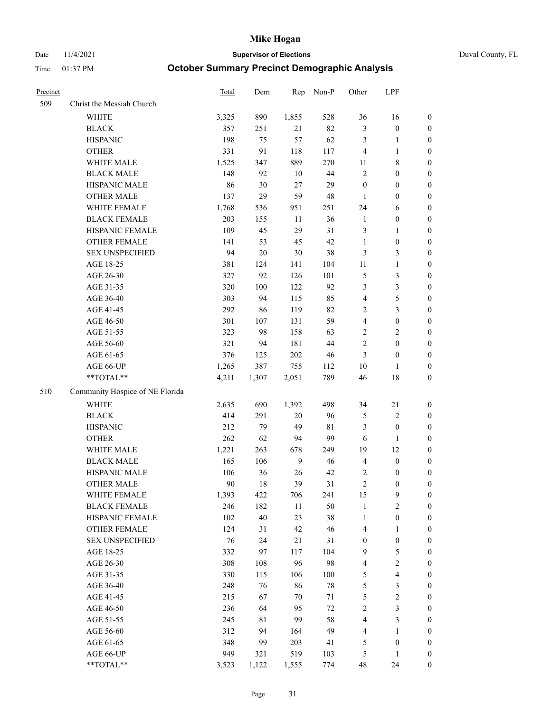Date 11/4/2021 **Supervisor of Elections** Duval County, FL

| Precinct |                                 | Total | Dem    | Rep    | Non-P  | Other            | LPF                     |                  |
|----------|---------------------------------|-------|--------|--------|--------|------------------|-------------------------|------------------|
| 509      | Christ the Messiah Church       |       |        |        |        |                  |                         |                  |
|          | <b>WHITE</b>                    | 3,325 | 890    | 1,855  | 528    | 36               | 16                      | 0                |
|          | <b>BLACK</b>                    | 357   | 251    | 21     | 82     | 3                | $\boldsymbol{0}$        | 0                |
|          | <b>HISPANIC</b>                 | 198   | 75     | 57     | 62     | 3                | $\mathbf{1}$            | $\boldsymbol{0}$ |
|          | <b>OTHER</b>                    | 331   | 91     | 118    | 117    | $\overline{4}$   | $\mathbf{1}$            | $\boldsymbol{0}$ |
|          | WHITE MALE                      | 1,525 | 347    | 889    | 270    | 11               | $8\,$                   | $\boldsymbol{0}$ |
|          | <b>BLACK MALE</b>               | 148   | 92     | 10     | 44     | $\mathfrak{2}$   | $\boldsymbol{0}$        | $\boldsymbol{0}$ |
|          | HISPANIC MALE                   | 86    | 30     | 27     | 29     | $\boldsymbol{0}$ | $\boldsymbol{0}$        | $\boldsymbol{0}$ |
|          | <b>OTHER MALE</b>               | 137   | 29     | 59     | 48     | $\mathbf{1}$     | $\boldsymbol{0}$        | $\boldsymbol{0}$ |
|          | WHITE FEMALE                    | 1,768 | 536    | 951    | 251    | 24               | 6                       | $\boldsymbol{0}$ |
|          | <b>BLACK FEMALE</b>             | 203   | 155    | 11     | 36     | 1                | $\boldsymbol{0}$        | 0                |
|          | HISPANIC FEMALE                 | 109   | 45     | 29     | 31     | 3                | $\mathbf{1}$            | 0                |
|          | OTHER FEMALE                    | 141   | 53     | 45     | 42     | $\mathbf{1}$     | $\boldsymbol{0}$        | $\boldsymbol{0}$ |
|          | <b>SEX UNSPECIFIED</b>          | 94    | $20\,$ | $30\,$ | 38     | 3                | $\mathfrak{Z}$          | $\boldsymbol{0}$ |
|          | AGE 18-25                       | 381   | 124    | 141    | 104    | 11               | $\mathbf{1}$            | $\boldsymbol{0}$ |
|          | AGE 26-30                       | 327   | 92     | 126    | 101    | 5                | $\mathfrak{Z}$          | $\boldsymbol{0}$ |
|          | AGE 31-35                       | 320   | 100    | 122    | 92     | 3                | $\mathfrak{Z}$          | $\boldsymbol{0}$ |
|          | AGE 36-40                       | 303   | 94     | 115    | 85     | 4                | $\mathfrak s$           | $\boldsymbol{0}$ |
|          | AGE 41-45                       | 292   | 86     | 119    | 82     | $\mathbf{2}$     | $\mathfrak{Z}$          | $\boldsymbol{0}$ |
|          | AGE 46-50                       | 301   | 107    | 131    | 59     | $\overline{4}$   | $\boldsymbol{0}$        | $\boldsymbol{0}$ |
|          | AGE 51-55                       | 323   | 98     | 158    | 63     | $\sqrt{2}$       | $\sqrt{2}$              | $\boldsymbol{0}$ |
|          | AGE 56-60                       | 321   | 94     | 181    | 44     | $\sqrt{2}$       | $\boldsymbol{0}$        | 0                |
|          | AGE 61-65                       | 376   | 125    | 202    | 46     | 3                | $\boldsymbol{0}$        | 0                |
|          | AGE 66-UP                       | 1,265 | 387    | 755    | 112    | $10\,$           | $\mathbf{1}$            | $\boldsymbol{0}$ |
|          | $**TOTAL**$                     | 4,211 | 1,307  | 2,051  | 789    | 46               | $18\,$                  | $\boldsymbol{0}$ |
| 510      | Community Hospice of NE Florida |       |        |        |        |                  |                         |                  |
|          | <b>WHITE</b>                    | 2,635 | 690    | 1,392  | 498    | 34               | 21                      | $\boldsymbol{0}$ |
|          | <b>BLACK</b>                    | 414   | 291    | $20\,$ | 96     | 5                | $\sqrt{2}$              | $\boldsymbol{0}$ |
|          | <b>HISPANIC</b>                 | 212   | 79     | 49     | 81     | 3                | $\boldsymbol{0}$        | $\boldsymbol{0}$ |
|          | <b>OTHER</b>                    | 262   | 62     | 94     | 99     | 6                | $\mathbf{1}$            | $\boldsymbol{0}$ |
|          | WHITE MALE                      | 1,221 | 263    | 678    | 249    | 19               | 12                      | $\boldsymbol{0}$ |
|          | <b>BLACK MALE</b>               | 165   | 106    | 9      | 46     | $\overline{4}$   | $\boldsymbol{0}$        | $\boldsymbol{0}$ |
|          | HISPANIC MALE                   | 106   | 36     | 26     | 42     | 2                | $\boldsymbol{0}$        | 0                |
|          | <b>OTHER MALE</b>               | 90    | 18     | 39     | 31     | $\mathbf{2}$     | $\boldsymbol{0}$        | $\boldsymbol{0}$ |
|          | WHITE FEMALE                    | 1,393 | 422    | 706    | 241    | 15               | 9                       | 0                |
|          | <b>BLACK FEMALE</b>             | 246   | 182    | 11     | 50     | $\mathbf{1}$     | $\sqrt{2}$              | $\boldsymbol{0}$ |
|          | HISPANIC FEMALE                 | 102   | 40     | 23     | 38     | $\mathbf{1}$     | $\boldsymbol{0}$        | $\overline{0}$   |
|          | <b>OTHER FEMALE</b>             | 124   | 31     | 42     | 46     | 4                | $\mathbf{1}$            | $\overline{0}$   |
|          | <b>SEX UNSPECIFIED</b>          | 76    | 24     | 21     | 31     | $\boldsymbol{0}$ | $\boldsymbol{0}$        | 0                |
|          | AGE 18-25                       | 332   | 97     | 117    | 104    | 9                | $\mathfrak s$           | $\theta$         |
|          | AGE 26-30                       | 308   | 108    | 96     | 98     | 4                | $\sqrt{2}$              | 0                |
|          | AGE 31-35                       | 330   | 115    | 106    | 100    | 5                | $\overline{\mathbf{4}}$ | 0                |
|          | AGE 36-40                       | 248   | 76     | 86     | $78\,$ | 5                | $\mathfrak{Z}$          | 0                |
|          | AGE 41-45                       | 215   | 67     | 70     | 71     | 5                | $\sqrt{2}$              | 0                |
|          | AGE 46-50                       | 236   | 64     | 95     | 72     | $\overline{c}$   | $\mathfrak{Z}$          | 0                |
|          | AGE 51-55                       | 245   | 81     | 99     | 58     | 4                | $\mathfrak{Z}$          | $\boldsymbol{0}$ |
|          | AGE 56-60                       | 312   | 94     | 164    | 49     | 4                | 1                       | $\boldsymbol{0}$ |
|          | AGE 61-65                       | 348   | 99     | 203    | 41     | 5                | $\boldsymbol{0}$        | $\boldsymbol{0}$ |
|          | AGE 66-UP                       | 949   | 321    | 519    | 103    | 5                | $\mathbf{1}$            | $\boldsymbol{0}$ |
|          | **TOTAL**                       | 3,523 | 1,122  | 1,555  | 774    | 48               | 24                      | $\boldsymbol{0}$ |
|          |                                 |       |        |        |        |                  |                         |                  |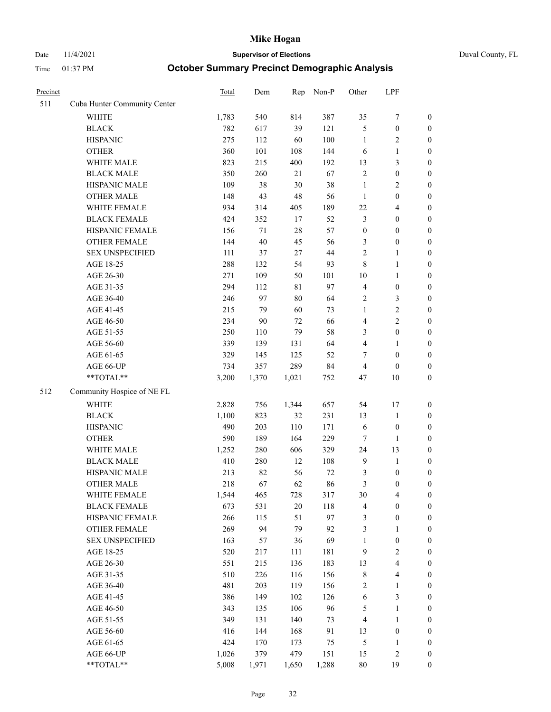Date 11/4/2021 **Supervisor of Elections** Duval County, FL

| Precinct |                              | Total | Dem   | Rep         | Non-P | Other                   | LPF                     |                  |
|----------|------------------------------|-------|-------|-------------|-------|-------------------------|-------------------------|------------------|
| 511      | Cuba Hunter Community Center |       |       |             |       |                         |                         |                  |
|          | <b>WHITE</b>                 | 1,783 | 540   | 814         | 387   | 35                      | $\boldsymbol{7}$        | 0                |
|          | <b>BLACK</b>                 | 782   | 617   | 39          | 121   | $\mathfrak s$           | $\boldsymbol{0}$        | 0                |
|          | <b>HISPANIC</b>              | 275   | 112   | 60          | 100   | $\mathbf{1}$            | $\overline{c}$          | $\boldsymbol{0}$ |
|          | <b>OTHER</b>                 | 360   | 101   | 108         | 144   | 6                       | $\mathbf{1}$            | $\boldsymbol{0}$ |
|          | WHITE MALE                   | 823   | 215   | 400         | 192   | 13                      | $\mathfrak{Z}$          | $\boldsymbol{0}$ |
|          | <b>BLACK MALE</b>            | 350   | 260   | 21          | 67    | $\sqrt{2}$              | $\boldsymbol{0}$        | $\boldsymbol{0}$ |
|          | HISPANIC MALE                | 109   | 38    | 30          | 38    | $\mathbf{1}$            | $\sqrt{2}$              | $\boldsymbol{0}$ |
|          | <b>OTHER MALE</b>            | 148   | 43    | 48          | 56    | $\mathbf{1}$            | $\boldsymbol{0}$        | $\boldsymbol{0}$ |
|          | WHITE FEMALE                 | 934   | 314   | 405         | 189   | 22                      | $\overline{\mathbf{4}}$ | $\boldsymbol{0}$ |
|          | <b>BLACK FEMALE</b>          | 424   | 352   | 17          | 52    | 3                       | $\boldsymbol{0}$        | $\boldsymbol{0}$ |
|          | HISPANIC FEMALE              | 156   | 71    | 28          | 57    | $\boldsymbol{0}$        | $\boldsymbol{0}$        | 0                |
|          | OTHER FEMALE                 | 144   | 40    | 45          | 56    | 3                       | $\boldsymbol{0}$        | $\boldsymbol{0}$ |
|          | <b>SEX UNSPECIFIED</b>       | 111   | 37    | 27          | 44    | $\sqrt{2}$              | $\mathbf{1}$            | $\boldsymbol{0}$ |
|          | AGE 18-25                    | 288   | 132   | 54          | 93    | 8                       | $\mathbf{1}$            | $\boldsymbol{0}$ |
|          | AGE 26-30                    | 271   | 109   | 50          | 101   | 10                      | $\mathbf{1}$            | $\boldsymbol{0}$ |
|          | AGE 31-35                    | 294   | 112   | $8\sqrt{1}$ | 97    | 4                       | $\boldsymbol{0}$        | $\boldsymbol{0}$ |
|          | AGE 36-40                    | 246   | 97    | 80          | 64    | $\sqrt{2}$              | $\mathfrak{Z}$          | $\boldsymbol{0}$ |
|          | AGE 41-45                    | 215   | 79    | 60          | 73    | $\mathbf{1}$            | $\sqrt{2}$              | $\boldsymbol{0}$ |
|          | AGE 46-50                    | 234   | 90    | 72          | 66    | $\overline{\mathbf{4}}$ | $\overline{2}$          | $\boldsymbol{0}$ |
|          | AGE 51-55                    | 250   | 110   | 79          | 58    | 3                       | $\boldsymbol{0}$        | $\boldsymbol{0}$ |
|          | AGE 56-60                    | 339   | 139   | 131         | 64    | $\overline{4}$          | $\mathbf{1}$            | 0                |
|          | AGE 61-65                    | 329   | 145   | 125         | 52    | 7                       | $\boldsymbol{0}$        | $\boldsymbol{0}$ |
|          | AGE 66-UP                    | 734   | 357   | 289         | 84    | 4                       | $\boldsymbol{0}$        | $\boldsymbol{0}$ |
|          | **TOTAL**                    | 3,200 | 1,370 | 1,021       | 752   | 47                      | $10\,$                  | $\boldsymbol{0}$ |
| 512      | Community Hospice of NE FL   |       |       |             |       |                         |                         |                  |
|          | <b>WHITE</b>                 | 2,828 | 756   | 1,344       | 657   | 54                      | 17                      | $\boldsymbol{0}$ |
|          | <b>BLACK</b>                 | 1,100 | 823   | 32          | 231   | 13                      | $\mathbf{1}$            | $\boldsymbol{0}$ |
|          | <b>HISPANIC</b>              | 490   | 203   | 110         | 171   | 6                       | $\boldsymbol{0}$        | $\boldsymbol{0}$ |
|          | <b>OTHER</b>                 | 590   | 189   | 164         | 229   | 7                       | $\mathbf{1}$            | $\boldsymbol{0}$ |
|          | WHITE MALE                   | 1,252 | 280   | 606         | 329   | 24                      | 13                      | $\boldsymbol{0}$ |
|          | <b>BLACK MALE</b>            | 410   | 280   | 12          | 108   | $\overline{9}$          | $\mathbf{1}$            | $\boldsymbol{0}$ |
|          | HISPANIC MALE                | 213   | 82    | 56          | 72    | 3                       | $\boldsymbol{0}$        | 0                |
|          | <b>OTHER MALE</b>            | 218   | 67    | 62          | 86    | 3                       | $\boldsymbol{0}$        | $\boldsymbol{0}$ |
|          | WHITE FEMALE                 | 1,544 | 465   | 728         | 317   | 30                      | 4                       | 0                |
|          | <b>BLACK FEMALE</b>          | 673   | 531   | 20          | 118   | 4                       | $\boldsymbol{0}$        | $\boldsymbol{0}$ |
|          | HISPANIC FEMALE              | 266   | 115   | 51          | 97    | 3                       | $\boldsymbol{0}$        | $\overline{0}$   |
|          | OTHER FEMALE                 | 269   | 94    | 79          | 92    | 3                       | $\mathbf{1}$            | $\overline{0}$   |
|          | <b>SEX UNSPECIFIED</b>       | 163   | 57    | 36          | 69    | $\mathbf{1}$            | $\boldsymbol{0}$        | 0                |
|          | AGE 18-25                    | 520   | 217   | 111         | 181   | 9                       | $\sqrt{2}$              | 0                |
|          | AGE 26-30                    | 551   | 215   | 136         | 183   | 13                      | $\overline{\mathbf{4}}$ | 0                |
|          | AGE 31-35                    | 510   | 226   | 116         | 156   | $\,$ 8 $\,$             | $\overline{\mathbf{4}}$ | 0                |
|          | AGE 36-40                    | 481   | 203   | 119         | 156   | 2                       | $\mathbf{1}$            | 0                |
|          | AGE 41-45                    | 386   | 149   | 102         | 126   | 6                       | $\mathfrak{Z}$          | 0                |
|          | AGE 46-50                    | 343   | 135   | 106         | 96    | 5                       | $\mathbf{1}$            | 0                |
|          | AGE 51-55                    | 349   | 131   | 140         | 73    | $\overline{4}$          | $\mathbf{1}$            | 0                |
|          | AGE 56-60                    | 416   | 144   | 168         | 91    | 13                      | $\boldsymbol{0}$        | 0                |
|          | AGE 61-65                    | 424   | 170   | 173         | 75    | 5                       | $\mathbf{1}$            | 0                |
|          | AGE 66-UP                    | 1,026 | 379   | 479         | 151   | 15                      | $\sqrt{2}$              | 0                |
|          | **TOTAL**                    | 5,008 | 1,971 | 1,650       | 1,288 | 80                      | 19                      | $\boldsymbol{0}$ |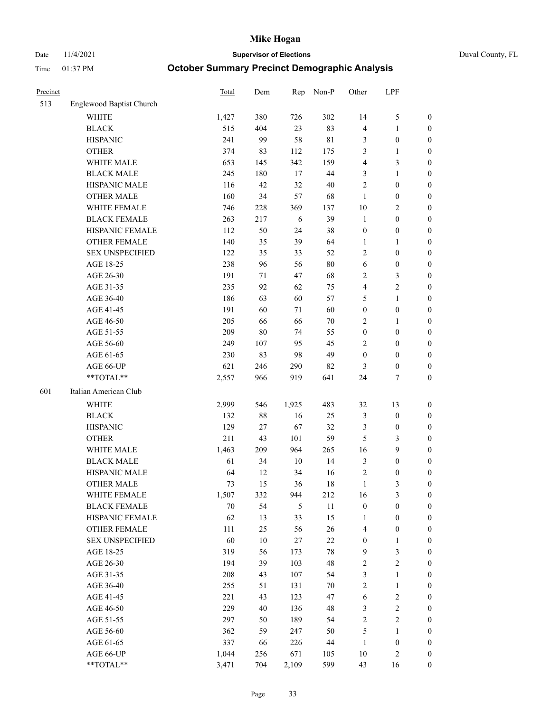Date 11/4/2021 **Supervisor of Elections** Duval County, FL

| Precinct |                                     | <b>Total</b> | Dem       | Rep      | Non-P       | Other                            | LPF                   |                                    |
|----------|-------------------------------------|--------------|-----------|----------|-------------|----------------------------------|-----------------------|------------------------------------|
| 513      | Englewood Baptist Church            |              |           |          |             |                                  |                       |                                    |
|          | <b>WHITE</b>                        | 1,427        | 380       | 726      | 302         | 14                               | $\mathfrak{S}$        | 0                                  |
|          | <b>BLACK</b>                        | 515          | 404       | 23       | 83          | 4                                | $\mathbf{1}$          | 0                                  |
|          | <b>HISPANIC</b>                     | 241          | 99        | 58       | $8\sqrt{1}$ | 3                                | $\boldsymbol{0}$      | $\boldsymbol{0}$                   |
|          | <b>OTHER</b>                        | 374          | 83        | 112      | 175         | 3                                | $\mathbf{1}$          | $\boldsymbol{0}$                   |
|          | WHITE MALE                          | 653          | 145       | 342      | 159         | 4                                | $\mathfrak{Z}$        | $\boldsymbol{0}$                   |
|          | <b>BLACK MALE</b>                   | 245          | 180       | 17       | 44          | 3                                | $\mathbf{1}$          | $\boldsymbol{0}$                   |
|          | HISPANIC MALE                       | 116          | 42        | 32       | 40          | $\mathfrak{2}$                   | $\boldsymbol{0}$      | $\boldsymbol{0}$                   |
|          | <b>OTHER MALE</b>                   | 160          | 34        | 57       | 68          | $\mathbf{1}$                     | $\boldsymbol{0}$      | $\boldsymbol{0}$                   |
|          | WHITE FEMALE                        | 746          | 228       | 369      | 137         | 10                               | $\overline{2}$        | $\boldsymbol{0}$                   |
|          | <b>BLACK FEMALE</b>                 | 263          | 217       | 6        | 39          | $\mathbf{1}$                     | $\boldsymbol{0}$      | 0                                  |
|          | HISPANIC FEMALE                     | 112          | 50        | 24       | 38          | $\boldsymbol{0}$                 | $\boldsymbol{0}$      | 0                                  |
|          | <b>OTHER FEMALE</b>                 | 140          | 35        | 39       | 64          | $\mathbf{1}$                     | $\mathbf{1}$          | $\boldsymbol{0}$                   |
|          | <b>SEX UNSPECIFIED</b>              | 122          | 35        | 33       | 52          | $\mathbf{2}$                     | $\boldsymbol{0}$      | $\boldsymbol{0}$                   |
|          | AGE 18-25                           | 238          | 96        | 56       | $80\,$      | 6                                | $\boldsymbol{0}$      | $\boldsymbol{0}$                   |
|          | AGE 26-30                           | 191          | $71\,$    | 47       | 68          | $\overline{c}$                   | $\mathfrak{Z}$        | $\boldsymbol{0}$                   |
|          | AGE 31-35                           | 235          | 92        | 62       | 75          | 4                                | $\sqrt{2}$            | $\boldsymbol{0}$                   |
|          | AGE 36-40                           | 186          | 63        | 60       | 57          | 5                                | $\mathbf{1}$          | $\boldsymbol{0}$                   |
|          | AGE 41-45                           | 191          | 60        | 71       | 60          | $\boldsymbol{0}$                 | $\boldsymbol{0}$      | $\boldsymbol{0}$                   |
|          | AGE 46-50                           | 205          | 66        | 66       | $70\,$      | $\mathbf{2}$                     | $\mathbf{1}$          | $\boldsymbol{0}$                   |
|          | AGE 51-55                           | 209          | $80\,$    | 74       | 55          | $\boldsymbol{0}$                 | $\boldsymbol{0}$      | 0                                  |
|          | AGE 56-60                           | 249          | 107       | 95       | 45          | $\overline{c}$                   | $\boldsymbol{0}$      | 0                                  |
|          | AGE 61-65                           | 230          | 83        | 98       | 49          | $\boldsymbol{0}$                 | $\boldsymbol{0}$      | 0                                  |
|          | AGE 66-UP                           | 621          | 246       | 290      | 82          | 3                                | $\boldsymbol{0}$      | $\boldsymbol{0}$                   |
|          | **TOTAL**                           | 2,557        | 966       | 919      | 641         | 24                               | $\tau$                | $\boldsymbol{0}$                   |
| 601      | Italian American Club               |              |           |          |             |                                  |                       |                                    |
|          | <b>WHITE</b>                        | 2,999        |           | 1,925    | 483         | 32                               |                       |                                    |
|          |                                     |              | 546       |          |             |                                  | 13                    | $\boldsymbol{0}$                   |
|          | <b>BLACK</b>                        | 132          | 88        | 16       | 25          | 3                                | $\boldsymbol{0}$      | $\boldsymbol{0}$                   |
|          | <b>HISPANIC</b>                     | 129          | 27        | 67       | 32          | 3                                | $\boldsymbol{0}$      | $\boldsymbol{0}$                   |
|          | <b>OTHER</b>                        | 211          | 43        | 101      | 59          | 5                                | $\mathfrak{Z}$        | $\boldsymbol{0}$                   |
|          | WHITE MALE<br><b>BLACK MALE</b>     | 1,463        | 209       | 964      | 265         | 16                               | 9                     | $\boldsymbol{0}$                   |
|          | HISPANIC MALE                       | 61           | 34        | $10\,$   | 14          | 3                                | $\boldsymbol{0}$      | $\boldsymbol{0}$                   |
|          |                                     | 64<br>73     | 12<br>15  | 34       | 16<br>18    | $\overline{c}$                   | $\boldsymbol{0}$<br>3 | 0                                  |
|          | <b>OTHER MALE</b>                   |              |           | 36       |             | $\mathbf{1}$                     |                       | $\boldsymbol{0}$                   |
|          | WHITE FEMALE<br><b>BLACK FEMALE</b> | 1,507        | 332<br>54 | 944<br>5 | 212         | 16                               | 3<br>$\boldsymbol{0}$ | 0                                  |
|          | HISPANIC FEMALE                     | 70<br>62     |           | 33       | 11<br>15    | $\boldsymbol{0}$<br>$\mathbf{1}$ | $\boldsymbol{0}$      | $\boldsymbol{0}$<br>$\overline{0}$ |
|          | OTHER FEMALE                        |              | 13<br>25  | 56       | 26          | 4                                | $\boldsymbol{0}$      | $\overline{0}$                     |
|          | <b>SEX UNSPECIFIED</b>              | 111<br>60    | $10\,$    | $27\,$   | 22          | $\boldsymbol{0}$                 | $\mathbf{1}$          | 0                                  |
|          | AGE 18-25                           | 319          | 56        | 173      | $78\,$      | 9                                | $\mathfrak{Z}$        | 0                                  |
|          | AGE 26-30                           | 194          | 39        | 103      | 48          | $\sqrt{2}$                       | $\sqrt{2}$            | 0                                  |
|          | AGE 31-35                           | 208          | 43        | 107      | 54          | 3                                | $\mathbf{1}$          | 0                                  |
|          | AGE 36-40                           | 255          | 51        | 131      | $70\,$      | $\sqrt{2}$                       | $\mathbf{1}$          | 0                                  |
|          | AGE 41-45                           | 221          | 43        | 123      | 47          | 6                                | $\sqrt{2}$            | 0                                  |
|          |                                     | 229          | 40        | 136      | 48          |                                  | $\sqrt{2}$            |                                    |
|          | AGE 46-50<br>AGE 51-55              | 297          | 50        | 189      | 54          | 3<br>$\sqrt{2}$                  | $\sqrt{2}$            | 0<br>$\boldsymbol{0}$              |
|          | AGE 56-60                           | 362          | 59        | 247      | 50          | 5                                | 1                     | $\boldsymbol{0}$                   |
|          | AGE 61-65                           | 337          | 66        | 226      | $44\,$      | $\mathbf{1}$                     | $\boldsymbol{0}$      | $\boldsymbol{0}$                   |
|          | AGE 66-UP                           | 1,044        | 256       | 671      | 105         | 10                               | $\mathbf{2}$          | $\boldsymbol{0}$                   |
|          | **TOTAL**                           | 3,471        | 704       | 2,109    | 599         | 43                               | 16                    | $\boldsymbol{0}$                   |
|          |                                     |              |           |          |             |                                  |                       |                                    |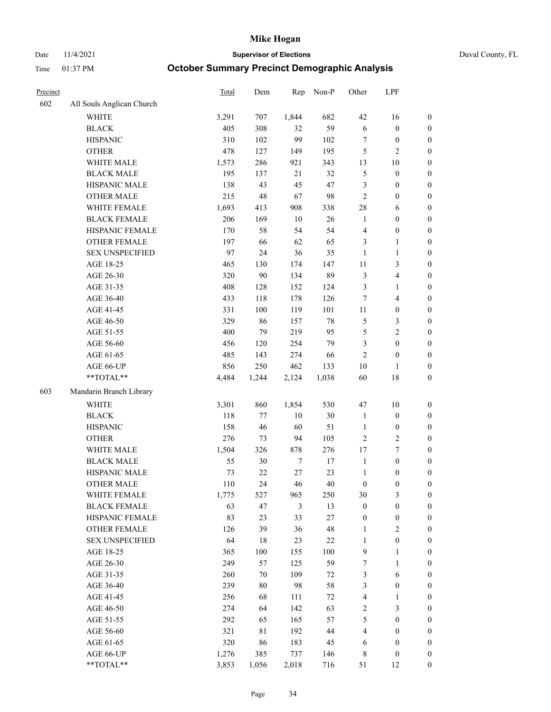Date 11/4/2021 **Supervisor of Elections** Duval County, FL

| Precinct |                           | Total | Dem    | Rep    | Non-P  | Other            | LPF                     |                  |
|----------|---------------------------|-------|--------|--------|--------|------------------|-------------------------|------------------|
| 602      | All Souls Anglican Church |       |        |        |        |                  |                         |                  |
|          | <b>WHITE</b>              | 3,291 | 707    | 1,844  | 682    | 42               | 16                      | 0                |
|          | <b>BLACK</b>              | 405   | 308    | 32     | 59     | $\sqrt{6}$       | $\boldsymbol{0}$        | $\boldsymbol{0}$ |
|          | <b>HISPANIC</b>           | 310   | 102    | 99     | 102    | $\tau$           | $\boldsymbol{0}$        | $\boldsymbol{0}$ |
|          | <b>OTHER</b>              | 478   | 127    | 149    | 195    | 5                | $\mathbf{2}$            | $\boldsymbol{0}$ |
|          | WHITE MALE                | 1,573 | 286    | 921    | 343    | 13               | $10\,$                  | $\boldsymbol{0}$ |
|          | <b>BLACK MALE</b>         | 195   | 137    | 21     | 32     | 5                | $\boldsymbol{0}$        | $\boldsymbol{0}$ |
|          | HISPANIC MALE             | 138   | 43     | 45     | 47     | 3                | $\boldsymbol{0}$        | $\boldsymbol{0}$ |
|          | <b>OTHER MALE</b>         | 215   | 48     | 67     | 98     | $\mathbf{2}$     | $\boldsymbol{0}$        | $\boldsymbol{0}$ |
|          | WHITE FEMALE              | 1,693 | 413    | 908    | 338    | 28               | 6                       | $\boldsymbol{0}$ |
|          | <b>BLACK FEMALE</b>       | 206   | 169    | $10\,$ | 26     | $\mathbf{1}$     | $\boldsymbol{0}$        | 0                |
|          | HISPANIC FEMALE           | 170   | 58     | 54     | 54     | $\overline{4}$   | $\boldsymbol{0}$        | 0                |
|          | <b>OTHER FEMALE</b>       | 197   | 66     | 62     | 65     | 3                | $\mathbf{1}$            | $\boldsymbol{0}$ |
|          | <b>SEX UNSPECIFIED</b>    | 97    | 24     | 36     | 35     | $\mathbf{1}$     | $\mathbf{1}$            | $\boldsymbol{0}$ |
|          | AGE 18-25                 | 465   | 130    | 174    | 147    | $11\,$           | $\mathfrak{Z}$          | $\boldsymbol{0}$ |
|          | AGE 26-30                 | 320   | $90\,$ | 134    | 89     | 3                | $\overline{\mathbf{4}}$ | $\boldsymbol{0}$ |
|          | AGE 31-35                 | 408   | 128    | 152    | 124    | 3                | $\mathbf{1}$            | $\boldsymbol{0}$ |
|          | AGE 36-40                 | 433   | 118    | 178    | 126    | 7                | $\overline{\mathbf{4}}$ | $\boldsymbol{0}$ |
|          | AGE 41-45                 | 331   | 100    | 119    | 101    | $11\,$           | $\boldsymbol{0}$        | $\boldsymbol{0}$ |
|          | AGE 46-50                 | 329   | 86     | 157    | $78\,$ | 5                | $\mathfrak{Z}$          | $\boldsymbol{0}$ |
|          | AGE 51-55                 | 400   | 79     | 219    | 95     | 5                | $\sqrt{2}$              | $\boldsymbol{0}$ |
|          | AGE 56-60                 | 456   | 120    | 254    | 79     | 3                | $\boldsymbol{0}$        | 0                |
|          | AGE 61-65                 | 485   | 143    | 274    | 66     | $\mathfrak{2}$   | $\boldsymbol{0}$        | $\boldsymbol{0}$ |
|          | AGE 66-UP                 | 856   | 250    | 462    | 133    | 10               | $\mathbf{1}$            | $\boldsymbol{0}$ |
|          | $**TOTAL**$               | 4,484 | 1,244  | 2,124  | 1,038  | 60               | $18\,$                  | $\boldsymbol{0}$ |
| 603      | Mandarin Branch Library   |       |        |        |        |                  |                         |                  |
|          | WHITE                     | 3,301 | 860    | 1,854  | 530    | $47\,$           | $10\,$                  | $\boldsymbol{0}$ |
|          | <b>BLACK</b>              | 118   | 77     | $10\,$ | 30     | $\mathbf{1}$     | $\boldsymbol{0}$        | $\boldsymbol{0}$ |
|          | <b>HISPANIC</b>           | 158   | 46     | 60     | 51     | $\mathbf{1}$     | $\boldsymbol{0}$        | $\boldsymbol{0}$ |
|          | <b>OTHER</b>              | 276   | 73     | 94     | 105    | $\mathfrak{2}$   | $\sqrt{2}$              | $\boldsymbol{0}$ |
|          | WHITE MALE                | 1,504 | 326    | 878    | 276    | 17               | $\boldsymbol{7}$        | $\boldsymbol{0}$ |
|          | <b>BLACK MALE</b>         | 55    | 30     | $\tau$ | $17\,$ | $\mathbf{1}$     | $\boldsymbol{0}$        | $\boldsymbol{0}$ |
|          | HISPANIC MALE             | 73    | $22\,$ | $27\,$ | 23     | $\mathbf{1}$     | $\boldsymbol{0}$        | $\boldsymbol{0}$ |
|          | <b>OTHER MALE</b>         | 110   | 24     | 46     | 40     | $\boldsymbol{0}$ | $\boldsymbol{0}$        | $\boldsymbol{0}$ |
|          | WHITE FEMALE              | 1,775 | 527    | 965    | 250    | 30               | 3                       | 0                |
|          | <b>BLACK FEMALE</b>       | 63    | 47     | 3      | 13     | $\boldsymbol{0}$ | $\boldsymbol{0}$        | $\boldsymbol{0}$ |
|          | HISPANIC FEMALE           | 83    | 23     | 33     | 27     | $\boldsymbol{0}$ | $\boldsymbol{0}$        | $\overline{0}$   |
|          | OTHER FEMALE              | 126   | 39     | 36     | 48     | $\mathbf{1}$     | $\sqrt{2}$              | 0                |
|          | <b>SEX UNSPECIFIED</b>    | 64    | 18     | 23     | 22     | $\mathbf{1}$     | $\boldsymbol{0}$        | 0                |
|          | AGE 18-25                 | 365   | 100    | 155    | 100    | 9                | $\mathbf{1}$            | 0                |
|          | AGE 26-30                 | 249   | 57     | 125    | 59     | 7                | $\mathbf{1}$            | 0                |
|          | AGE 31-35                 | 260   | $70\,$ | 109    | $72\,$ | 3                | 6                       | 0                |
|          | AGE 36-40                 | 239   | 80     | 98     | 58     | 3                | $\boldsymbol{0}$        | 0                |
|          | AGE 41-45                 | 256   | 68     | 111    | $72\,$ | $\overline{4}$   | $\mathbf{1}$            | 0                |
|          | AGE 46-50                 | 274   | 64     | 142    | 63     | $\overline{c}$   | $\mathfrak{Z}$          | 0                |
|          | AGE 51-55                 | 292   | 65     | 165    | 57     | 5                | $\boldsymbol{0}$        | 0                |
|          | AGE 56-60                 | 321   | 81     | 192    | 44     | 4                | $\boldsymbol{0}$        | $\overline{0}$   |
|          | AGE 61-65                 | 320   | 86     | 183    | 45     | 6                | $\boldsymbol{0}$        | $\overline{0}$   |
|          | AGE 66-UP                 | 1,276 | 385    | 737    | 146    | 8                | $\boldsymbol{0}$        | 0                |
|          | **TOTAL**                 | 3,853 | 1,056  | 2,018  | 716    | 51               | 12                      | $\boldsymbol{0}$ |
|          |                           |       |        |        |        |                  |                         |                  |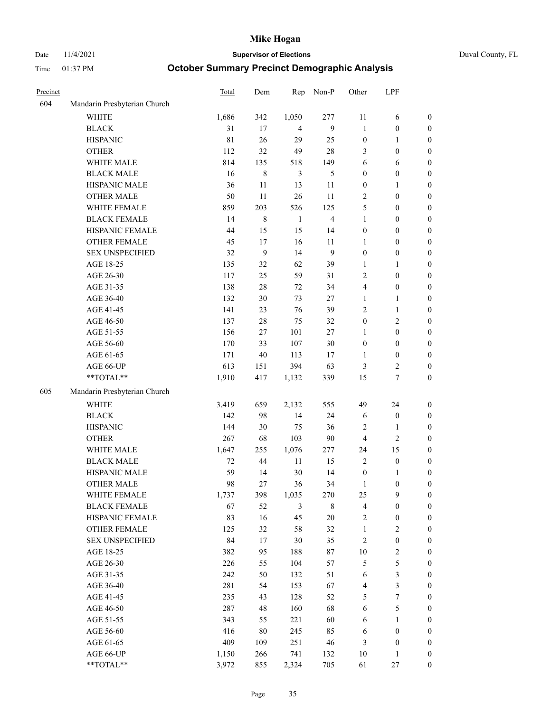Date 11/4/2021 **Supervisor of Elections** Duval County, FL

| Precinct |                              | Total       | Dem | Rep            | Non-P          | Other                   | LPF              |                  |
|----------|------------------------------|-------------|-----|----------------|----------------|-------------------------|------------------|------------------|
| 604      | Mandarin Presbyterian Church |             |     |                |                |                         |                  |                  |
|          | <b>WHITE</b>                 | 1,686       | 342 | 1,050          | 277            | 11                      | 6                | 0                |
|          | <b>BLACK</b>                 | 31          | 17  | $\overline{4}$ | 9              | $\mathbf{1}$            | $\boldsymbol{0}$ | $\boldsymbol{0}$ |
|          | <b>HISPANIC</b>              | $8\sqrt{1}$ | 26  | 29             | 25             | $\boldsymbol{0}$        | $\mathbf{1}$     | $\boldsymbol{0}$ |
|          | <b>OTHER</b>                 | 112         | 32  | 49             | $28\,$         | 3                       | $\boldsymbol{0}$ | $\boldsymbol{0}$ |
|          | WHITE MALE                   | 814         | 135 | 518            | 149            | 6                       | 6                | $\boldsymbol{0}$ |
|          | <b>BLACK MALE</b>            | 16          | 8   | 3              | 5              | $\boldsymbol{0}$        | $\boldsymbol{0}$ | $\boldsymbol{0}$ |
|          | HISPANIC MALE                | 36          | 11  | 13             | 11             | $\boldsymbol{0}$        | $\mathbf{1}$     | $\boldsymbol{0}$ |
|          | <b>OTHER MALE</b>            | 50          | 11  | 26             | 11             | 2                       | $\boldsymbol{0}$ | $\boldsymbol{0}$ |
|          | WHITE FEMALE                 | 859         | 203 | 526            | 125            | 5                       | $\boldsymbol{0}$ | $\boldsymbol{0}$ |
|          | <b>BLACK FEMALE</b>          | 14          | 8   | $\mathbf{1}$   | $\overline{4}$ | $\mathbf{1}$            | $\boldsymbol{0}$ | 0                |
|          | HISPANIC FEMALE              | 44          | 15  | 15             | 14             | $\boldsymbol{0}$        | $\boldsymbol{0}$ | 0                |
|          | <b>OTHER FEMALE</b>          | 45          | 17  | 16             | 11             | 1                       | $\boldsymbol{0}$ | $\boldsymbol{0}$ |
|          | <b>SEX UNSPECIFIED</b>       | 32          | 9   | 14             | 9              | $\boldsymbol{0}$        | $\boldsymbol{0}$ | $\boldsymbol{0}$ |
|          | AGE 18-25                    | 135         | 32  | 62             | 39             | 1                       | $\mathbf{1}$     | $\boldsymbol{0}$ |
|          | AGE 26-30                    | 117         | 25  | 59             | 31             | 2                       | $\boldsymbol{0}$ | $\boldsymbol{0}$ |
|          | AGE 31-35                    | 138         | 28  | 72             | 34             | 4                       | $\boldsymbol{0}$ | $\boldsymbol{0}$ |
|          | AGE 36-40                    | 132         | 30  | 73             | 27             | $\mathbf{1}$            | $\mathbf{1}$     | $\boldsymbol{0}$ |
|          | AGE 41-45                    | 141         | 23  | 76             | 39             | $\mathbf{2}$            | $\mathbf{1}$     | $\boldsymbol{0}$ |
|          | AGE 46-50                    | 137         | 28  | 75             | 32             | $\boldsymbol{0}$        | $\mathbf{2}$     | $\boldsymbol{0}$ |
|          | AGE 51-55                    | 156         | 27  | 101            | $27\,$         | 1                       | $\boldsymbol{0}$ | $\boldsymbol{0}$ |
|          | AGE 56-60                    | 170         | 33  | 107            | 30             | $\boldsymbol{0}$        | $\boldsymbol{0}$ | 0                |
|          | AGE 61-65                    | 171         | 40  | 113            | 17             | $\mathbf{1}$            | $\boldsymbol{0}$ | 0                |
|          | AGE 66-UP                    | 613         | 151 | 394            | 63             | 3                       | $\overline{c}$   | $\boldsymbol{0}$ |
|          | $**TOTAL**$                  | 1,910       | 417 | 1,132          | 339            | 15                      | $\boldsymbol{7}$ | $\boldsymbol{0}$ |
| 605      | Mandarin Presbyterian Church |             |     |                |                |                         |                  |                  |
|          | <b>WHITE</b>                 | 3,419       | 659 | 2,132          | 555            | 49                      | 24               | $\boldsymbol{0}$ |
|          | <b>BLACK</b>                 | 142         | 98  | 14             | 24             | 6                       | $\boldsymbol{0}$ | $\boldsymbol{0}$ |
|          | <b>HISPANIC</b>              | 144         | 30  | 75             | 36             | $\overline{c}$          | $\mathbf{1}$     | $\boldsymbol{0}$ |
|          | <b>OTHER</b>                 | 267         | 68  | 103            | 90             | 4                       | $\overline{c}$   | $\boldsymbol{0}$ |
|          | WHITE MALE                   | 1,647       | 255 | 1,076          | 277            | 24                      | 15               | $\boldsymbol{0}$ |
|          | <b>BLACK MALE</b>            | $72\,$      | 44  | $11\,$         | 15             | $\mathbf{2}$            | $\boldsymbol{0}$ | $\boldsymbol{0}$ |
|          | HISPANIC MALE                | 59          | 14  | $30\,$         | 14             | $\boldsymbol{0}$        | 1                | 0                |
|          | <b>OTHER MALE</b>            | 98          | 27  | 36             | 34             | $\mathbf{1}$            | $\boldsymbol{0}$ | $\boldsymbol{0}$ |
|          | WHITE FEMALE                 | 1,737       | 398 | 1,035          | 270            | 25                      | 9                | 0                |
|          | <b>BLACK FEMALE</b>          | 67          | 52  | 3              | $\,$ 8 $\,$    | 4                       | $\boldsymbol{0}$ | $\boldsymbol{0}$ |
|          | HISPANIC FEMALE              | 83          | 16  | 45             | $20\,$         | $\sqrt{2}$              | $\boldsymbol{0}$ | $\overline{0}$   |
|          | <b>OTHER FEMALE</b>          | 125         | 32  | 58             | 32             | $\mathbf{1}$            | $\sqrt{2}$       | $\overline{0}$   |
|          | <b>SEX UNSPECIFIED</b>       | 84          | 17  | $30\,$         | 35             | 2                       | $\boldsymbol{0}$ | 0                |
|          | AGE 18-25                    | 382         | 95  | 188            | 87             | 10                      | $\sqrt{2}$       | 0                |
|          | AGE 26-30                    | 226         | 55  | 104            | 57             | 5                       | $\mathfrak s$    | 0                |
|          | AGE 31-35                    | 242         | 50  | 132            | 51             | 6                       | $\mathfrak{Z}$   | 0                |
|          | AGE 36-40                    | 281         | 54  | 153            | 67             | $\overline{\mathbf{4}}$ | $\mathfrak{Z}$   | 0                |
|          | AGE 41-45                    | 235         | 43  | 128            | 52             | 5                       | $\boldsymbol{7}$ | 0                |
|          | AGE 46-50                    | 287         | 48  | 160            | 68             | 6                       | $\mathfrak s$    | 0                |
|          | AGE 51-55                    | 343         | 55  | 221            | 60             | 6                       | $\mathbf{1}$     | $\boldsymbol{0}$ |
|          | AGE 56-60                    | 416         | 80  | 245            | 85             | 6                       | $\boldsymbol{0}$ | $\boldsymbol{0}$ |
|          | AGE 61-65                    | 409         | 109 | 251            | 46             | 3                       | $\boldsymbol{0}$ | $\boldsymbol{0}$ |
|          | AGE 66-UP                    | 1,150       | 266 | 741            | 132            | $10\,$                  | $\mathbf{1}$     | $\boldsymbol{0}$ |
|          | **TOTAL**                    | 3,972       | 855 | 2,324          | 705            | 61                      | 27               | $\boldsymbol{0}$ |
|          |                              |             |     |                |                |                         |                  |                  |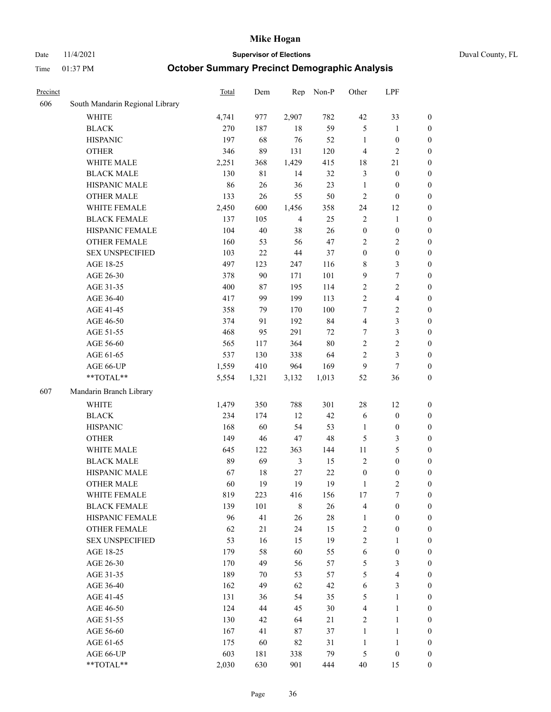Date 11/4/2021 **Supervisor of Elections** Duval County, FL

| Precinct |                                 | Total | Dem   | Rep            | Non-P  | Other            | LPF                     |                  |
|----------|---------------------------------|-------|-------|----------------|--------|------------------|-------------------------|------------------|
| 606      | South Mandarin Regional Library |       |       |                |        |                  |                         |                  |
|          | <b>WHITE</b>                    | 4,741 | 977   | 2,907          | 782    | 42               | 33                      | 0                |
|          | <b>BLACK</b>                    | 270   | 187   | 18             | 59     | 5                | $\mathbf{1}$            | $\boldsymbol{0}$ |
|          | <b>HISPANIC</b>                 | 197   | 68    | 76             | 52     | $\mathbf{1}$     | $\boldsymbol{0}$        | $\boldsymbol{0}$ |
|          | <b>OTHER</b>                    | 346   | 89    | 131            | 120    | 4                | $\mathbf{2}$            | $\boldsymbol{0}$ |
|          | WHITE MALE                      | 2,251 | 368   | 1,429          | 415    | 18               | 21                      | $\boldsymbol{0}$ |
|          | <b>BLACK MALE</b>               | 130   | 81    | 14             | 32     | 3                | $\boldsymbol{0}$        | $\boldsymbol{0}$ |
|          | HISPANIC MALE                   | 86    | 26    | 36             | 23     | $\mathbf{1}$     | $\boldsymbol{0}$        | $\boldsymbol{0}$ |
|          | <b>OTHER MALE</b>               | 133   | 26    | 55             | 50     | $\overline{c}$   | $\boldsymbol{0}$        | $\boldsymbol{0}$ |
|          | WHITE FEMALE                    | 2,450 | 600   | 1,456          | 358    | 24               | 12                      | $\boldsymbol{0}$ |
|          | <b>BLACK FEMALE</b>             | 137   | 105   | $\overline{4}$ | 25     | 2                | $\mathbf{1}$            | $\boldsymbol{0}$ |
|          | HISPANIC FEMALE                 | 104   | 40    | 38             | 26     | $\boldsymbol{0}$ | $\boldsymbol{0}$        | 0                |
|          | <b>OTHER FEMALE</b>             | 160   | 53    | 56             | 47     | $\mathbf{2}$     | $\sqrt{2}$              | $\boldsymbol{0}$ |
|          | <b>SEX UNSPECIFIED</b>          | 103   | 22    | 44             | 37     | $\boldsymbol{0}$ | $\boldsymbol{0}$        | $\boldsymbol{0}$ |
|          | AGE 18-25                       | 497   | 123   | 247            | 116    | 8                | $\mathfrak{Z}$          | $\boldsymbol{0}$ |
|          | AGE 26-30                       | 378   | 90    | 171            | 101    | 9                | $\boldsymbol{7}$        | $\boldsymbol{0}$ |
|          | AGE 31-35                       | 400   | 87    | 195            | 114    | $\sqrt{2}$       | $\sqrt{2}$              | $\boldsymbol{0}$ |
|          | AGE 36-40                       | 417   | 99    | 199            | 113    | $\overline{c}$   | $\overline{\mathbf{4}}$ | $\boldsymbol{0}$ |
|          | AGE 41-45                       | 358   | 79    | 170            | 100    | 7                | $\sqrt{2}$              | $\boldsymbol{0}$ |
|          | AGE 46-50                       | 374   | 91    | 192            | 84     | $\overline{4}$   | $\mathfrak{Z}$          | $\boldsymbol{0}$ |
|          | AGE 51-55                       | 468   | 95    | 291            | 72     | 7                | $\mathfrak{Z}$          | $\boldsymbol{0}$ |
|          | AGE 56-60                       | 565   | 117   | 364            | 80     | $\sqrt{2}$       | $\sqrt{2}$              | 0                |
|          | AGE 61-65                       | 537   | 130   | 338            | 64     | $\overline{c}$   | $\mathfrak{Z}$          | $\boldsymbol{0}$ |
|          | AGE 66-UP                       | 1,559 | 410   | 964            | 169    | 9                | $\tau$                  | $\boldsymbol{0}$ |
|          | $**TOTAL**$                     | 5,554 | 1,321 | 3,132          | 1,013  | 52               | 36                      | $\boldsymbol{0}$ |
| 607      | Mandarin Branch Library         |       |       |                |        |                  |                         |                  |
|          | WHITE                           | 1,479 | 350   | 788            | 301    | 28               | 12                      | $\boldsymbol{0}$ |
|          | <b>BLACK</b>                    | 234   | 174   | 12             | 42     | 6                | $\boldsymbol{0}$        | $\boldsymbol{0}$ |
|          | <b>HISPANIC</b>                 | 168   | 60    | 54             | 53     | $\mathbf{1}$     | $\boldsymbol{0}$        | $\boldsymbol{0}$ |
|          | <b>OTHER</b>                    | 149   | 46    | 47             | 48     | 5                | $\mathfrak{Z}$          | $\boldsymbol{0}$ |
|          | WHITE MALE                      | 645   | 122   | 363            | 144    | $11\,$           | $\mathfrak{S}$          | $\boldsymbol{0}$ |
|          | <b>BLACK MALE</b>               | 89    | 69    | $\mathfrak{Z}$ | 15     | $\mathfrak{2}$   | $\boldsymbol{0}$        | $\boldsymbol{0}$ |
|          | HISPANIC MALE                   | 67    | 18    | $27\,$         | 22     | $\boldsymbol{0}$ | $\boldsymbol{0}$        | $\boldsymbol{0}$ |
|          | <b>OTHER MALE</b>               | 60    | 19    | 19             | 19     | $\mathbf{1}$     | $\mathfrak{2}$          | $\boldsymbol{0}$ |
|          | WHITE FEMALE                    | 819   | 223   | 416            | 156    | 17               | 7                       | 0                |
|          | <b>BLACK FEMALE</b>             | 139   | 101   | $\,$ 8 $\,$    | 26     | 4                | $\boldsymbol{0}$        | $\boldsymbol{0}$ |
|          | HISPANIC FEMALE                 | 96    | 41    | 26             | $28\,$ | $\mathbf{1}$     | $\boldsymbol{0}$        | $\overline{0}$   |
|          | OTHER FEMALE                    | 62    | 21    | 24             | 15     | 2                | $\boldsymbol{0}$        | $\overline{0}$   |
|          | <b>SEX UNSPECIFIED</b>          | 53    | 16    | 15             | 19     | 2                | $\mathbf{1}$            | 0                |
|          | AGE 18-25                       | 179   | 58    | 60             | 55     | 6                | $\boldsymbol{0}$        | 0                |
|          | AGE 26-30                       | 170   | 49    | 56             | 57     | 5                | $\mathfrak{Z}$          | 0                |
|          | AGE 31-35                       | 189   | 70    | 53             | 57     | 5                | $\overline{\mathbf{4}}$ | 0                |
|          | AGE 36-40                       | 162   | 49    | 62             | 42     | 6                | $\mathfrak{Z}$          | 0                |
|          | AGE 41-45                       | 131   | 36    | 54             | 35     | 5                | $\mathbf{1}$            | 0                |
|          | AGE 46-50                       | 124   | 44    | 45             | 30     | 4                | $\mathbf{1}$            | 0                |
|          | AGE 51-55                       | 130   | 42    | 64             | 21     | $\overline{c}$   | $\mathbf{1}$            | 0                |
|          | AGE 56-60                       | 167   | 41    | $87\,$         | 37     | $\mathbf{1}$     | $\mathbf{1}$            | 0                |
|          | AGE 61-65                       | 175   | 60    | 82             | 31     | $\mathbf{1}$     | $\mathbf{1}$            | 0                |
|          | AGE 66-UP                       | 603   | 181   | 338            | 79     | 5                | $\boldsymbol{0}$        | $\boldsymbol{0}$ |
|          | **TOTAL**                       | 2,030 | 630   | 901            | 444    | 40               | 15                      | $\boldsymbol{0}$ |
|          |                                 |       |       |                |        |                  |                         |                  |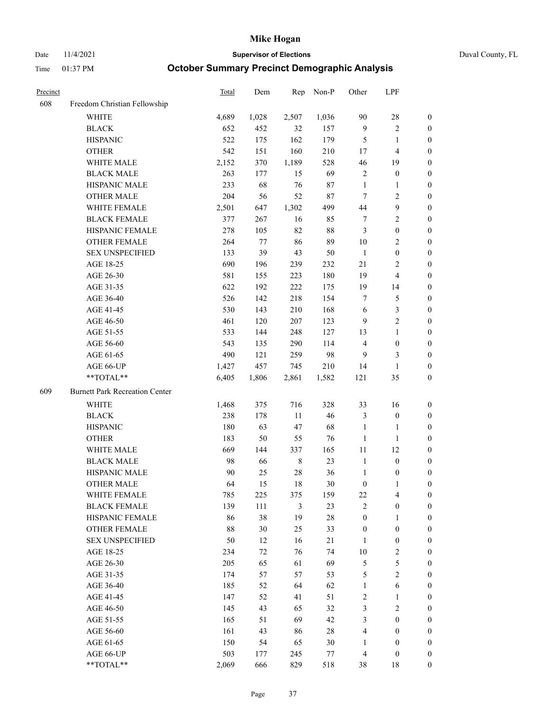Date 11/4/2021 **Supervisor of Elections** Duval County, FL

| Precinct |                                       | Total | Dem   | Rep         | Non-P  | Other            | LPF                     |                  |
|----------|---------------------------------------|-------|-------|-------------|--------|------------------|-------------------------|------------------|
| 608      | Freedom Christian Fellowship          |       |       |             |        |                  |                         |                  |
|          | <b>WHITE</b>                          | 4,689 | 1,028 | 2,507       | 1,036  | 90               | $28\,$                  | 0                |
|          | <b>BLACK</b>                          | 652   | 452   | 32          | 157    | $\overline{9}$   | $\sqrt{2}$              | 0                |
|          | <b>HISPANIC</b>                       | 522   | 175   | 162         | 179    | 5                | $\mathbf{1}$            | $\boldsymbol{0}$ |
|          | <b>OTHER</b>                          | 542   | 151   | 160         | 210    | 17               | $\overline{\mathbf{4}}$ | $\boldsymbol{0}$ |
|          | WHITE MALE                            | 2,152 | 370   | 1,189       | 528    | 46               | 19                      | $\boldsymbol{0}$ |
|          | <b>BLACK MALE</b>                     | 263   | 177   | 15          | 69     | $\overline{c}$   | $\boldsymbol{0}$        | $\boldsymbol{0}$ |
|          | HISPANIC MALE                         | 233   | 68    | 76          | 87     | $\mathbf{1}$     | $\mathbf{1}$            | $\boldsymbol{0}$ |
|          | <b>OTHER MALE</b>                     | 204   | 56    | 52          | $87\,$ | $\tau$           | $\overline{2}$          | $\boldsymbol{0}$ |
|          | WHITE FEMALE                          | 2,501 | 647   | 1,302       | 499    | $44\,$           | $\boldsymbol{9}$        | $\boldsymbol{0}$ |
|          | <b>BLACK FEMALE</b>                   | 377   | 267   | 16          | 85     | 7                | $\sqrt{2}$              | 0                |
|          | HISPANIC FEMALE                       | 278   | 105   | 82          | $88\,$ | 3                | $\boldsymbol{0}$        | 0                |
|          | OTHER FEMALE                          | 264   | 77    | 86          | 89     | 10               | $\sqrt{2}$              | 0                |
|          | <b>SEX UNSPECIFIED</b>                | 133   | 39    | 43          | 50     | $\mathbf{1}$     | $\boldsymbol{0}$        | $\boldsymbol{0}$ |
|          | AGE 18-25                             | 690   | 196   | 239         | 232    | $21\,$           | $\sqrt{2}$              | $\boldsymbol{0}$ |
|          | AGE 26-30                             | 581   | 155   | 223         | 180    | 19               | $\overline{\mathbf{4}}$ | $\boldsymbol{0}$ |
|          | AGE 31-35                             | 622   | 192   | 222         | 175    | 19               | 14                      | $\boldsymbol{0}$ |
|          | AGE 36-40                             | 526   | 142   | 218         | 154    | 7                | $\mathfrak{S}$          | $\boldsymbol{0}$ |
|          | AGE 41-45                             | 530   | 143   | 210         | 168    | 6                | $\mathfrak{Z}$          | $\boldsymbol{0}$ |
|          | AGE 46-50                             | 461   | 120   | 207         | 123    | $\overline{9}$   | $\overline{2}$          | $\boldsymbol{0}$ |
|          | AGE 51-55                             | 533   | 144   | 248         | 127    | 13               | $\mathbf{1}$            | $\boldsymbol{0}$ |
|          | AGE 56-60                             | 543   | 135   | 290         | 114    | $\overline{4}$   | $\boldsymbol{0}$        | 0                |
|          | AGE 61-65                             | 490   | 121   | 259         | 98     | 9                | 3                       | 0                |
|          | AGE 66-UP                             | 1,427 | 457   | 745         | 210    | 14               | $\mathbf{1}$            | $\boldsymbol{0}$ |
|          | **TOTAL**                             | 6,405 | 1,806 | 2,861       | 1,582  | 121              | 35                      | $\boldsymbol{0}$ |
| 609      | <b>Burnett Park Recreation Center</b> |       |       |             |        |                  |                         |                  |
|          | <b>WHITE</b>                          | 1,468 | 375   | 716         | 328    | 33               | 16                      | $\boldsymbol{0}$ |
|          | <b>BLACK</b>                          | 238   | 178   | $11\,$      | 46     | 3                | $\boldsymbol{0}$        | $\boldsymbol{0}$ |
|          | <b>HISPANIC</b>                       | 180   | 63    | 47          | 68     | $\mathbf{1}$     | $\mathbf{1}$            | $\boldsymbol{0}$ |
|          | <b>OTHER</b>                          | 183   | 50    | 55          | 76     | $\mathbf{1}$     | $\mathbf{1}$            | $\boldsymbol{0}$ |
|          | WHITE MALE                            | 669   | 144   | 337         | 165    | 11               | 12                      | $\boldsymbol{0}$ |
|          | <b>BLACK MALE</b>                     | 98    | 66    | $\,$ 8 $\,$ | 23     | $\mathbf{1}$     | $\boldsymbol{0}$        | $\boldsymbol{0}$ |
|          | HISPANIC MALE                         | 90    | 25    | $28\,$      | 36     | $\mathbf{1}$     | $\boldsymbol{0}$        | 0                |
|          | <b>OTHER MALE</b>                     | 64    | 15    | 18          | 30     | $\boldsymbol{0}$ | $\mathbf{1}$            | 0                |
|          | WHITE FEMALE                          | 785   | 225   | 375         | 159    | 22               | 4                       | 0                |
|          | <b>BLACK FEMALE</b>                   | 139   | 111   | 3           | 23     | $\overline{2}$   | $\boldsymbol{0}$        | $\overline{0}$   |
|          | HISPANIC FEMALE                       | 86    | 38    | 19          | $28\,$ | $\boldsymbol{0}$ | $\mathbf{1}$            | $\overline{0}$   |
|          | OTHER FEMALE                          | 88    | 30    | 25          | 33     | $\boldsymbol{0}$ | $\boldsymbol{0}$        | 0                |
|          | <b>SEX UNSPECIFIED</b>                | 50    | 12    | 16          | 21     | $\mathbf{1}$     | $\boldsymbol{0}$        | 0                |
|          | AGE 18-25                             | 234   | 72    | 76          | 74     | 10               | $\sqrt{2}$              | 0                |
|          | AGE 26-30                             | 205   | 65    | 61          | 69     | 5                | $\mathfrak{S}$          | 0                |
|          | AGE 31-35                             | 174   | 57    | 57          | 53     | 5                | $\overline{2}$          | 0                |
|          | AGE 36-40                             | 185   | 52    | 64          | 62     | $\mathbf{1}$     | $\sqrt{6}$              | 0                |
|          | AGE 41-45                             | 147   | 52    | 41          | 51     | $\sqrt{2}$       | $\mathbf{1}$            | 0                |
|          | AGE 46-50                             | 145   | 43    | 65          | 32     | 3                | $\sqrt{2}$              | 0                |
|          | AGE 51-55                             | 165   | 51    | 69          | 42     | 3                | $\boldsymbol{0}$        | 0                |
|          | AGE 56-60                             | 161   | 43    | 86          | 28     | 4                | $\boldsymbol{0}$        | 0                |
|          | AGE 61-65                             | 150   | 54    | 65          | 30     | 1                | $\boldsymbol{0}$        | 0                |
|          | AGE 66-UP                             | 503   | 177   | 245         | 77     | $\overline{4}$   | $\boldsymbol{0}$        | 0                |
|          | **TOTAL**                             | 2,069 | 666   | 829         | 518    | 38               | 18                      | $\boldsymbol{0}$ |
|          |                                       |       |       |             |        |                  |                         |                  |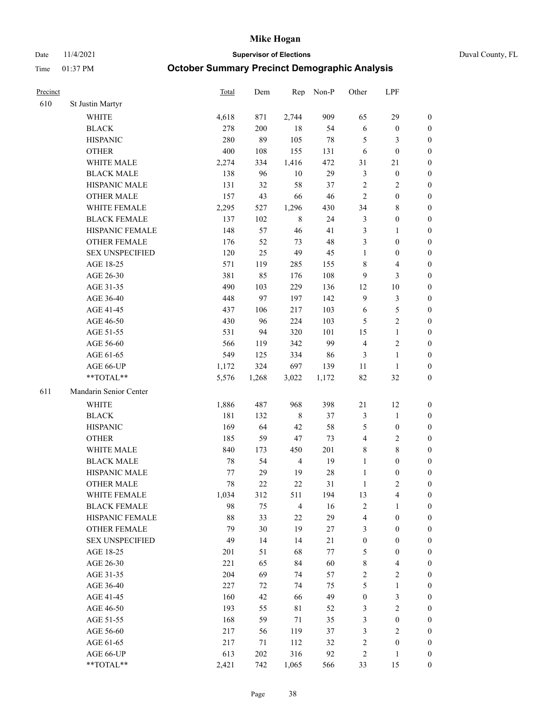Date 11/4/2021 **Supervisor of Elections** Duval County, FL

| Precinct |                        | Total  | Dem   | Rep            | Non-P  | Other            | LPF                     |                  |
|----------|------------------------|--------|-------|----------------|--------|------------------|-------------------------|------------------|
| 610      | St Justin Martyr       |        |       |                |        |                  |                         |                  |
|          | <b>WHITE</b>           | 4,618  | 871   | 2,744          | 909    | 65               | 29                      | $\boldsymbol{0}$ |
|          | <b>BLACK</b>           | 278    | 200   | $18\,$         | 54     | $\sqrt{6}$       | $\boldsymbol{0}$        | 0                |
|          | <b>HISPANIC</b>        | 280    | 89    | 105            | $78\,$ | 5                | 3                       | $\boldsymbol{0}$ |
|          | <b>OTHER</b>           | 400    | 108   | 155            | 131    | 6                | $\boldsymbol{0}$        | $\boldsymbol{0}$ |
|          | WHITE MALE             | 2,274  | 334   | 1,416          | 472    | 31               | 21                      | $\boldsymbol{0}$ |
|          | <b>BLACK MALE</b>      | 138    | 96    | $10\,$         | 29     | 3                | $\boldsymbol{0}$        | $\boldsymbol{0}$ |
|          | HISPANIC MALE          | 131    | 32    | 58             | 37     | $\overline{c}$   | $\sqrt{2}$              | $\boldsymbol{0}$ |
|          | <b>OTHER MALE</b>      | 157    | 43    | 66             | 46     | $\mathbf{2}$     | $\boldsymbol{0}$        | $\boldsymbol{0}$ |
|          | WHITE FEMALE           | 2,295  | 527   | 1,296          | 430    | 34               | $8\,$                   | $\boldsymbol{0}$ |
|          | <b>BLACK FEMALE</b>    | 137    | 102   | 8              | 24     | 3                | $\boldsymbol{0}$        | 0                |
|          | HISPANIC FEMALE        | 148    | 57    | 46             | 41     | 3                | $\mathbf{1}$            | 0                |
|          | <b>OTHER FEMALE</b>    | 176    | 52    | 73             | 48     | 3                | $\boldsymbol{0}$        | $\boldsymbol{0}$ |
|          | <b>SEX UNSPECIFIED</b> | 120    | 25    | 49             | 45     | $\mathbf{1}$     | $\boldsymbol{0}$        | $\boldsymbol{0}$ |
|          | AGE 18-25              | 571    | 119   | 285            | 155    | 8                | $\overline{\mathbf{4}}$ | $\boldsymbol{0}$ |
|          | AGE 26-30              | 381    | 85    | 176            | 108    | 9                | $\mathfrak{Z}$          | $\boldsymbol{0}$ |
|          | AGE 31-35              | 490    | 103   | 229            | 136    | 12               | $10\,$                  | $\boldsymbol{0}$ |
|          | AGE 36-40              | 448    | 97    | 197            | 142    | 9                | $\mathfrak{Z}$          | $\boldsymbol{0}$ |
|          | AGE 41-45              | 437    | 106   | 217            | 103    | 6                | $\mathfrak s$           | $\boldsymbol{0}$ |
|          | AGE 46-50              | 430    | 96    | 224            | 103    | 5                | $\overline{2}$          | $\boldsymbol{0}$ |
|          | AGE 51-55              | 531    | 94    | 320            | 101    | 15               | $\mathbf{1}$            | 0                |
|          | AGE 56-60              | 566    | 119   | 342            | 99     | $\overline{4}$   | $\sqrt{2}$              | 0                |
|          | AGE 61-65              | 549    | 125   | 334            | 86     | 3                | $\mathbf{1}$            | 0                |
|          | AGE 66-UP              | 1,172  | 324   | 697            | 139    | 11               | $\mathbf{1}$            | $\boldsymbol{0}$ |
|          | **TOTAL**              | 5,576  | 1,268 | 3,022          | 1,172  | 82               | $32\,$                  | $\boldsymbol{0}$ |
| 611      | Mandarin Senior Center |        |       |                |        |                  |                         |                  |
|          | <b>WHITE</b>           | 1,886  | 487   | 968            | 398    | 21               | 12                      | $\boldsymbol{0}$ |
|          | <b>BLACK</b>           | 181    | 132   | $\,$ 8 $\,$    | 37     | 3                | $\mathbf{1}$            | $\boldsymbol{0}$ |
|          | <b>HISPANIC</b>        | 169    | 64    | 42             | 58     | 5                | $\boldsymbol{0}$        | $\boldsymbol{0}$ |
|          | <b>OTHER</b>           | 185    | 59    | 47             | 73     | 4                | $\sqrt{2}$              | $\boldsymbol{0}$ |
|          | WHITE MALE             | 840    | 173   | 450            | 201    | 8                | $\,$ 8 $\,$             | $\boldsymbol{0}$ |
|          | <b>BLACK MALE</b>      | $78\,$ | 54    | $\overline{4}$ | 19     | $\mathbf{1}$     | $\boldsymbol{0}$        | $\boldsymbol{0}$ |
|          | HISPANIC MALE          | 77     | 29    | 19             | $28\,$ | $\mathbf{1}$     | $\boldsymbol{0}$        | 0                |
|          | <b>OTHER MALE</b>      | 78     | 22    | 22             | 31     | $\mathbf{1}$     | $\mathfrak{2}$          | $\boldsymbol{0}$ |
|          | WHITE FEMALE           | 1,034  | 312   | 511            | 194    | 13               | 4                       | 0                |
|          | <b>BLACK FEMALE</b>    | 98     | 75    | $\overline{4}$ | 16     | 2                | $\mathbf{1}$            | $\boldsymbol{0}$ |
|          | HISPANIC FEMALE        | $88\,$ | 33    | 22             | 29     | 4                | $\boldsymbol{0}$        | $\overline{0}$   |
|          | OTHER FEMALE           | 79     | 30    | 19             | 27     | 3                | $\boldsymbol{0}$        | $\overline{0}$   |
|          | <b>SEX UNSPECIFIED</b> | 49     | 14    | 14             | 21     | $\boldsymbol{0}$ | $\boldsymbol{0}$        | 0                |
|          | AGE 18-25              | 201    | 51    | 68             | 77     | 5                | $\boldsymbol{0}$        | 0                |
|          | AGE 26-30              | 221    | 65    | 84             | 60     | 8                | $\overline{\mathbf{4}}$ | 0                |
|          | AGE 31-35              | 204    | 69    | 74             | 57     | $\overline{c}$   | $\sqrt{2}$              | 0                |
|          | AGE 36-40              | 227    | 72    | 74             | 75     | 5                | $\mathbf{1}$            | 0                |
|          | AGE 41-45              | 160    | 42    | 66             | 49     | $\boldsymbol{0}$ | $\mathfrak{Z}$          | 0                |
|          | AGE 46-50              | 193    | 55    | $8\sqrt{1}$    | 52     | 3                | $\sqrt{2}$              | 0                |
|          | AGE 51-55              | 168    | 59    | $71\,$         | 35     | 3                | $\boldsymbol{0}$        | 0                |
|          | AGE 56-60              | 217    | 56    | 119            | 37     | 3                | $\overline{2}$          | 0                |
|          | AGE 61-65              | 217    | 71    | 112            | 32     | $\overline{c}$   | $\boldsymbol{0}$        | $\overline{0}$   |
|          | AGE 66-UP              | 613    | 202   | 316            | 92     | $\overline{c}$   | $\mathbf{1}$            | $\boldsymbol{0}$ |
|          | **TOTAL**              | 2,421  | 742   | 1,065          | 566    | 33               | 15                      | $\boldsymbol{0}$ |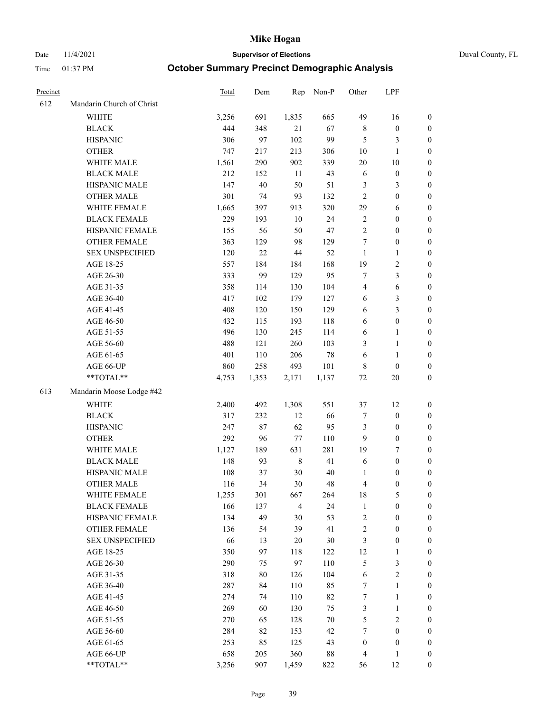Date 11/4/2021 **Supervisor of Elections** Duval County, FL

| Precinct |                           | Total | Dem    | Rep            | Non-P  | Other            | LPF              |                  |
|----------|---------------------------|-------|--------|----------------|--------|------------------|------------------|------------------|
| 612      | Mandarin Church of Christ |       |        |                |        |                  |                  |                  |
|          | <b>WHITE</b>              | 3,256 | 691    | 1,835          | 665    | 49               | 16               | 0                |
|          | <b>BLACK</b>              | 444   | 348    | 21             | 67     | $\,$ 8 $\,$      | $\boldsymbol{0}$ | 0                |
|          | <b>HISPANIC</b>           | 306   | 97     | 102            | 99     | $\mathfrak{S}$   | 3                | $\boldsymbol{0}$ |
|          | <b>OTHER</b>              | 747   | 217    | 213            | 306    | 10               | $\mathbf{1}$     | $\boldsymbol{0}$ |
|          | WHITE MALE                | 1,561 | 290    | 902            | 339    | 20               | $10\,$           | $\boldsymbol{0}$ |
|          | <b>BLACK MALE</b>         | 212   | 152    | 11             | 43     | 6                | $\boldsymbol{0}$ | $\boldsymbol{0}$ |
|          | HISPANIC MALE             | 147   | 40     | 50             | 51     | 3                | $\mathfrak{Z}$   | $\boldsymbol{0}$ |
|          | <b>OTHER MALE</b>         | 301   | 74     | 93             | 132    | $\mathbf{2}$     | $\boldsymbol{0}$ | $\boldsymbol{0}$ |
|          | WHITE FEMALE              | 1,665 | 397    | 913            | 320    | 29               | 6                | $\boldsymbol{0}$ |
|          | <b>BLACK FEMALE</b>       | 229   | 193    | $10\,$         | 24     | $\sqrt{2}$       | $\boldsymbol{0}$ | 0                |
|          | HISPANIC FEMALE           | 155   | 56     | 50             | 47     | $\sqrt{2}$       | $\boldsymbol{0}$ | 0                |
|          | OTHER FEMALE              | 363   | 129    | 98             | 129    | $\boldsymbol{7}$ | $\boldsymbol{0}$ | $\boldsymbol{0}$ |
|          | <b>SEX UNSPECIFIED</b>    | 120   | 22     | 44             | 52     | $\mathbf{1}$     | $\mathbf{1}$     | $\boldsymbol{0}$ |
|          | AGE 18-25                 | 557   | 184    | 184            | 168    | 19               | $\sqrt{2}$       | $\boldsymbol{0}$ |
|          | AGE 26-30                 | 333   | 99     | 129            | 95     | 7                | $\mathfrak{Z}$   | $\boldsymbol{0}$ |
|          | AGE 31-35                 | 358   | 114    | 130            | 104    | 4                | 6                | $\boldsymbol{0}$ |
|          | AGE 36-40                 | 417   | 102    | 179            | 127    | 6                | $\mathfrak{Z}$   | $\boldsymbol{0}$ |
|          | AGE 41-45                 | 408   | 120    | 150            | 129    | 6                | $\mathfrak{Z}$   | $\boldsymbol{0}$ |
|          | AGE 46-50                 | 432   | 115    | 193            | 118    | 6                | $\boldsymbol{0}$ | $\boldsymbol{0}$ |
|          | AGE 51-55                 | 496   | 130    | 245            | 114    | 6                | $\mathbf{1}$     | 0                |
|          | AGE 56-60                 | 488   | 121    | 260            | 103    | 3                | $\mathbf{1}$     | 0                |
|          | AGE 61-65                 | 401   | 110    | 206            | $78\,$ | 6                | $\mathbf{1}$     | 0                |
|          | AGE 66-UP                 | 860   | 258    | 493            | 101    | 8                | $\boldsymbol{0}$ | $\boldsymbol{0}$ |
|          | $**TOTAL**$               | 4,753 | 1,353  | 2,171          | 1,137  | $72\,$           | $20\,$           | $\boldsymbol{0}$ |
| 613      | Mandarin Moose Lodge #42  |       |        |                |        |                  |                  |                  |
|          | <b>WHITE</b>              | 2,400 | 492    | 1,308          | 551    | 37               | 12               | $\boldsymbol{0}$ |
|          | <b>BLACK</b>              | 317   | 232    | 12             | 66     | 7                | $\boldsymbol{0}$ | $\boldsymbol{0}$ |
|          | <b>HISPANIC</b>           | 247   | 87     | 62             | 95     | 3                | $\boldsymbol{0}$ | $\boldsymbol{0}$ |
|          | <b>OTHER</b>              | 292   | 96     | 77             | 110    | 9                | $\boldsymbol{0}$ | $\boldsymbol{0}$ |
|          | WHITE MALE                | 1,127 | 189    | 631            | 281    | 19               | $\tau$           | $\boldsymbol{0}$ |
|          | <b>BLACK MALE</b>         | 148   | 93     | $\,$ 8 $\,$    | 41     | 6                | $\boldsymbol{0}$ | $\boldsymbol{0}$ |
|          | HISPANIC MALE             | 108   | 37     | $30\,$         | 40     | 1                | $\boldsymbol{0}$ | $\boldsymbol{0}$ |
|          | <b>OTHER MALE</b>         | 116   | 34     | 30             | 48     | 4                | $\boldsymbol{0}$ | $\boldsymbol{0}$ |
|          | WHITE FEMALE              | 1,255 | 301    | 667            | 264    | 18               | 5                | 0                |
|          | <b>BLACK FEMALE</b>       | 166   | 137    | $\overline{4}$ | 24     | $\mathbf{1}$     | $\boldsymbol{0}$ | $\boldsymbol{0}$ |
|          | HISPANIC FEMALE           | 134   | 49     | 30             | 53     | $\sqrt{2}$       | $\boldsymbol{0}$ | $\overline{0}$   |
|          | <b>OTHER FEMALE</b>       | 136   | 54     | 39             | 41     | $\overline{c}$   | $\boldsymbol{0}$ | $\overline{0}$   |
|          | <b>SEX UNSPECIFIED</b>    | 66    | 13     | 20             | 30     | 3                | $\boldsymbol{0}$ | 0                |
|          | AGE 18-25                 | 350   | 97     | 118            | 122    | 12               | $\mathbf{1}$     | 0                |
|          | AGE 26-30                 | 290   | 75     | 97             | 110    | 5                | $\mathfrak{Z}$   | 0                |
|          | AGE 31-35                 | 318   | $80\,$ | 126            | 104    | 6                | $\sqrt{2}$       | 0                |
|          | AGE 36-40                 | 287   | 84     | 110            | 85     | 7                | $\mathbf{1}$     | 0                |
|          | AGE 41-45                 | 274   | 74     | 110            | 82     | 7                | $\mathbf{1}$     | 0                |
|          | AGE 46-50                 | 269   | 60     | 130            | 75     | 3                | $\mathbf{1}$     | 0                |
|          | AGE 51-55                 | 270   | 65     | 128            | $70\,$ | 5                | $\mathfrak{2}$   | 0                |
|          | AGE 56-60                 | 284   | 82     | 153            | 42     | 7                | $\boldsymbol{0}$ | $\overline{0}$   |
|          | AGE 61-65                 | 253   | 85     | 125            | 43     | $\boldsymbol{0}$ | $\boldsymbol{0}$ | $\overline{0}$   |
|          | AGE 66-UP                 | 658   | 205    | 360            | 88     | $\overline{4}$   | $\mathbf{1}$     | $\boldsymbol{0}$ |
|          | **TOTAL**                 | 3,256 | 907    | 1,459          | 822    | 56               | 12               | $\boldsymbol{0}$ |
|          |                           |       |        |                |        |                  |                  |                  |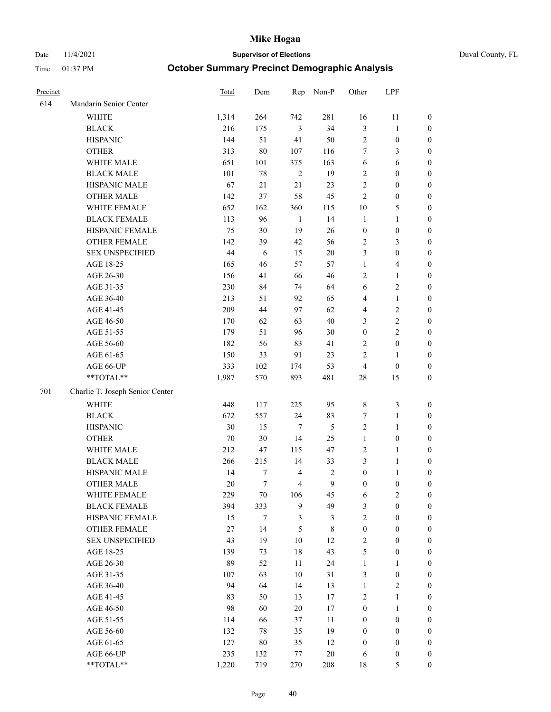Date 11/4/2021 **Supervisor of Elections** Duval County, FL

| Precinct |                                 | Total  | Dem        | Rep            | Non-P          | Other            | LPF                     |                  |
|----------|---------------------------------|--------|------------|----------------|----------------|------------------|-------------------------|------------------|
| 614      | Mandarin Senior Center          |        |            |                |                |                  |                         |                  |
|          | WHITE                           | 1,314  | 264        | 742            | 281            | 16               | 11                      | 0                |
|          | <b>BLACK</b>                    | 216    | 175        | 3              | 34             | 3                | $\mathbf{1}$            | 0                |
|          | <b>HISPANIC</b>                 | 144    | 51         | 41             | 50             | $\sqrt{2}$       | $\boldsymbol{0}$        | $\boldsymbol{0}$ |
|          | <b>OTHER</b>                    | 313    | $80\,$     | 107            | 116            | 7                | $\mathfrak{Z}$          | $\boldsymbol{0}$ |
|          | WHITE MALE                      | 651    | 101        | 375            | 163            | 6                | 6                       | $\boldsymbol{0}$ |
|          | <b>BLACK MALE</b>               | 101    | 78         | $\sqrt{2}$     | 19             | $\overline{c}$   | $\boldsymbol{0}$        | $\boldsymbol{0}$ |
|          | HISPANIC MALE                   | 67     | 21         | $21\,$         | 23             | $\mathfrak{2}$   | $\boldsymbol{0}$        | $\boldsymbol{0}$ |
|          | OTHER MALE                      | 142    | 37         | 58             | 45             | $\mathfrak{2}$   | $\boldsymbol{0}$        | $\boldsymbol{0}$ |
|          | WHITE FEMALE                    | 652    | 162        | 360            | 115            | $10\,$           | $\mathfrak{S}$          | $\boldsymbol{0}$ |
|          | <b>BLACK FEMALE</b>             | 113    | 96         | $\mathbf{1}$   | 14             | $\mathbf{1}$     | $\mathbf{1}$            | $\boldsymbol{0}$ |
|          | HISPANIC FEMALE                 | 75     | 30         | 19             | 26             | $\boldsymbol{0}$ | $\boldsymbol{0}$        | 0                |
|          | <b>OTHER FEMALE</b>             | 142    | 39         | $42\,$         | 56             | $\overline{c}$   | 3                       | $\boldsymbol{0}$ |
|          | <b>SEX UNSPECIFIED</b>          | 44     | $\sqrt{6}$ | 15             | $20\,$         | 3                | $\boldsymbol{0}$        | $\boldsymbol{0}$ |
|          | AGE 18-25                       | 165    | 46         | 57             | 57             | $\mathbf{1}$     | $\overline{\mathbf{4}}$ | $\boldsymbol{0}$ |
|          | AGE 26-30                       | 156    | 41         | 66             | 46             | $\overline{c}$   | $\mathbf{1}$            | $\boldsymbol{0}$ |
|          | AGE 31-35                       | 230    | 84         | 74             | 64             | 6                | $\sqrt{2}$              | $\boldsymbol{0}$ |
|          | AGE 36-40                       | 213    | 51         | 92             | 65             | 4                | $\mathbf{1}$            | $\boldsymbol{0}$ |
|          | AGE 41-45                       | 209    | 44         | 97             | 62             | 4                | $\sqrt{2}$              | $\boldsymbol{0}$ |
|          | AGE 46-50                       | 170    | 62         | 63             | $40\,$         | 3                | $\sqrt{2}$              | $\boldsymbol{0}$ |
|          | AGE 51-55                       | 179    | 51         | 96             | $30\,$         | $\boldsymbol{0}$ | $\sqrt{2}$              | $\boldsymbol{0}$ |
|          | AGE 56-60                       | 182    | 56         | 83             | 41             | $\overline{c}$   | $\boldsymbol{0}$        | 0                |
|          | AGE 61-65                       | 150    | 33         | 91             | 23             | $\mathbf{2}$     | $\mathbf{1}$            | 0                |
|          | AGE 66-UP                       | 333    | 102        | 174            | 53             | $\overline{4}$   | $\boldsymbol{0}$        | $\boldsymbol{0}$ |
|          | $**TOTAL**$                     | 1,987  | 570        | 893            | 481            | $28\,$           | 15                      | $\boldsymbol{0}$ |
| 701      | Charlie T. Joseph Senior Center |        |            |                |                |                  |                         |                  |
|          | <b>WHITE</b>                    | 448    | 117        | 225            | 95             | $\,$ 8 $\,$      | $\mathfrak{Z}$          | $\boldsymbol{0}$ |
|          | <b>BLACK</b>                    | 672    | 557        | 24             | 83             | 7                | $\mathbf{1}$            | $\boldsymbol{0}$ |
|          | <b>HISPANIC</b>                 | 30     | 15         | $\tau$         | 5              | $\overline{c}$   | $\mathbf{1}$            | $\boldsymbol{0}$ |
|          | <b>OTHER</b>                    | $70\,$ | 30         | 14             | 25             | $\mathbf{1}$     | $\boldsymbol{0}$        | $\boldsymbol{0}$ |
|          | WHITE MALE                      | 212    | 47         | 115            | 47             | $\sqrt{2}$       | $\mathbf{1}$            | $\boldsymbol{0}$ |
|          | <b>BLACK MALE</b>               | 266    | 215        | 14             | 33             | 3                | $\mathbf{1}$            | $\boldsymbol{0}$ |
|          | HISPANIC MALE                   | 14     | 7          | $\overline{4}$ | $\overline{c}$ | $\boldsymbol{0}$ | 1                       | 0                |
|          | <b>OTHER MALE</b>               | 20     | $\tau$     | $\overline{4}$ | 9              | $\boldsymbol{0}$ | $\boldsymbol{0}$        | 0                |
|          | WHITE FEMALE                    | 229    | 70         | 106            | 45             | 6                | 2                       | 0                |
|          | <b>BLACK FEMALE</b>             | 394    | 333        | 9              | 49             | 3                | $\boldsymbol{0}$        | $\boldsymbol{0}$ |
|          | HISPANIC FEMALE                 | 15     | $\tau$     | $\mathfrak{Z}$ | 3              | $\overline{c}$   | $\boldsymbol{0}$        | $\overline{0}$   |
|          | <b>OTHER FEMALE</b>             | 27     | 14         | 5              | $\,$ 8 $\,$    | $\boldsymbol{0}$ | $\boldsymbol{0}$        | $\overline{0}$   |
|          | <b>SEX UNSPECIFIED</b>          | 43     | 19         | 10             | 12             | $\sqrt{2}$       | $\boldsymbol{0}$        | $\overline{0}$   |
|          | AGE 18-25                       | 139    | 73         | $18\,$         | 43             | 5                | $\boldsymbol{0}$        | $\overline{0}$   |
|          | AGE 26-30                       | 89     | 52         | 11             | 24             | $\mathbf{1}$     | $\mathbf{1}$            | 0                |
|          | AGE 31-35                       | 107    | 63         | $10\,$         | 31             | 3                | $\boldsymbol{0}$        | 0                |
|          | AGE 36-40                       | 94     | 64         | 14             | 13             | $\mathbf{1}$     | $\sqrt{2}$              | 0                |
|          | AGE 41-45                       | 83     | 50         | 13             | 17             | $\mathbf{2}$     | $\mathbf{1}$            | 0                |
|          | AGE 46-50                       | 98     | 60         | 20             | 17             | $\boldsymbol{0}$ | $\mathbf{1}$            | 0                |
|          | AGE 51-55                       | 114    | 66         | 37             | 11             | $\boldsymbol{0}$ | $\boldsymbol{0}$        | $\boldsymbol{0}$ |
|          | AGE 56-60                       | 132    | 78         | 35             | 19             | $\boldsymbol{0}$ | $\boldsymbol{0}$        | $\boldsymbol{0}$ |
|          | AGE 61-65                       | 127    | $80\,$     | 35             | 12             | $\boldsymbol{0}$ | $\boldsymbol{0}$        | $\boldsymbol{0}$ |
|          | AGE 66-UP                       | 235    | 132        | 77             | 20             | 6                | $\boldsymbol{0}$        | 0                |
|          | **TOTAL**                       | 1,220  | 719        | 270            | 208            | 18               | 5                       | $\boldsymbol{0}$ |
|          |                                 |        |            |                |                |                  |                         |                  |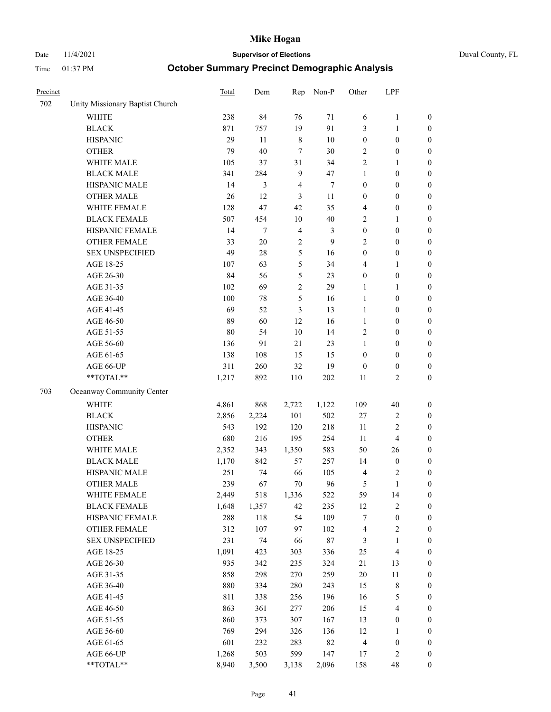Date 11/4/2021 **Supervisor of Elections** Duval County, FL

| Precinct |                                 | <b>Total</b> | Dem    | Rep            | Non-P  | Other            | LPF                     |                  |
|----------|---------------------------------|--------------|--------|----------------|--------|------------------|-------------------------|------------------|
| 702      | Unity Missionary Baptist Church |              |        |                |        |                  |                         |                  |
|          | <b>WHITE</b>                    | 238          | 84     | 76             | 71     | 6                | $\mathbf{1}$            | 0                |
|          | <b>BLACK</b>                    | 871          | 757    | 19             | 91     | 3                | $\mathbf{1}$            | $\boldsymbol{0}$ |
|          | <b>HISPANIC</b>                 | 29           | 11     | $\,$ 8 $\,$    | 10     | $\boldsymbol{0}$ | $\boldsymbol{0}$        | $\boldsymbol{0}$ |
|          | <b>OTHER</b>                    | 79           | 40     | $\overline{7}$ | 30     | 2                | $\boldsymbol{0}$        | $\boldsymbol{0}$ |
|          | WHITE MALE                      | 105          | 37     | 31             | 34     | $\overline{c}$   | $\mathbf{1}$            | $\boldsymbol{0}$ |
|          | <b>BLACK MALE</b>               | 341          | 284    | $\mathbf{9}$   | 47     | 1                | $\boldsymbol{0}$        | $\boldsymbol{0}$ |
|          | HISPANIC MALE                   | 14           | 3      | $\overline{4}$ | $\tau$ | $\boldsymbol{0}$ | $\boldsymbol{0}$        | $\boldsymbol{0}$ |
|          | <b>OTHER MALE</b>               | 26           | 12     | 3              | 11     | $\boldsymbol{0}$ | $\boldsymbol{0}$        | $\boldsymbol{0}$ |
|          | WHITE FEMALE                    | 128          | 47     | 42             | 35     | 4                | $\boldsymbol{0}$        | $\boldsymbol{0}$ |
|          | <b>BLACK FEMALE</b>             | 507          | 454    | $10\,$         | 40     | $\sqrt{2}$       | $\mathbf{1}$            | $\boldsymbol{0}$ |
|          | HISPANIC FEMALE                 | 14           | $\tau$ | $\overline{4}$ | 3      | $\boldsymbol{0}$ | $\boldsymbol{0}$        | $\boldsymbol{0}$ |
|          | <b>OTHER FEMALE</b>             | 33           | $20\,$ | $\overline{2}$ | 9      | $\mathbf{2}$     | $\boldsymbol{0}$        | $\boldsymbol{0}$ |
|          | <b>SEX UNSPECIFIED</b>          | 49           | 28     | $\mathfrak{S}$ | 16     | $\boldsymbol{0}$ | $\boldsymbol{0}$        | $\boldsymbol{0}$ |
|          | AGE 18-25                       | 107          | 63     | 5              | 34     | 4                | $\mathbf{1}$            | $\boldsymbol{0}$ |
|          | AGE 26-30                       | 84           | 56     | 5              | 23     | $\boldsymbol{0}$ | $\boldsymbol{0}$        | $\boldsymbol{0}$ |
|          | AGE 31-35                       | 102          | 69     | $\sqrt{2}$     | 29     | $\mathbf{1}$     | $\mathbf{1}$            | $\boldsymbol{0}$ |
|          | AGE 36-40                       | 100          | 78     | $\mathfrak s$  | 16     | $\mathbf{1}$     | $\boldsymbol{0}$        | $\boldsymbol{0}$ |
|          | AGE 41-45                       | 69           | 52     | 3              | 13     | $\mathbf{1}$     | $\boldsymbol{0}$        | $\boldsymbol{0}$ |
|          | AGE 46-50                       | 89           | 60     | 12             | 16     | $\mathbf{1}$     | $\boldsymbol{0}$        | $\boldsymbol{0}$ |
|          | AGE 51-55                       | 80           | 54     | 10             | 14     | 2                | $\boldsymbol{0}$        | $\boldsymbol{0}$ |
|          | AGE 56-60                       | 136          | 91     | 21             | 23     | 1                | $\boldsymbol{0}$        | 0                |
|          | AGE 61-65                       | 138          | 108    | 15             | 15     | $\boldsymbol{0}$ | $\boldsymbol{0}$        | 0                |
|          | AGE 66-UP                       | 311          | 260    | 32             | 19     | $\boldsymbol{0}$ | $\boldsymbol{0}$        | $\boldsymbol{0}$ |
|          | **TOTAL**                       | 1,217        | 892    | 110            | 202    | 11               | $\sqrt{2}$              | $\boldsymbol{0}$ |
| 703      | Oceanway Community Center       |              |        |                |        |                  |                         |                  |
|          | <b>WHITE</b>                    | 4,861        | 868    | 2,722          | 1,122  | 109              | 40                      | $\boldsymbol{0}$ |
|          | <b>BLACK</b>                    | 2,856        | 2,224  | 101            | 502    | $27\,$           | $\sqrt{2}$              | $\boldsymbol{0}$ |
|          | <b>HISPANIC</b>                 | 543          | 192    | 120            | 218    | 11               | $\mathbf{2}$            | $\boldsymbol{0}$ |
|          | <b>OTHER</b>                    | 680          | 216    | 195            | 254    | 11               | $\overline{\mathbf{4}}$ | $\boldsymbol{0}$ |
|          | WHITE MALE                      | 2,352        | 343    | 1,350          | 583    | 50               | 26                      | $\boldsymbol{0}$ |
|          | <b>BLACK MALE</b>               | 1,170        | 842    | 57             | 257    | 14               | $\boldsymbol{0}$        | $\boldsymbol{0}$ |
|          | HISPANIC MALE                   | 251          | 74     | 66             | 105    | $\overline{4}$   | $\overline{c}$          | $\boldsymbol{0}$ |
|          | <b>OTHER MALE</b>               | 239          | 67     | 70             | 96     | 5                | $\mathbf{1}$            | $\boldsymbol{0}$ |
|          | WHITE FEMALE                    | 2,449        | 518    | 1,336          | 522    | 59               | 14                      | 0                |
|          | <b>BLACK FEMALE</b>             | 1,648        | 1,357  | 42             | 235    | 12               | $\sqrt{2}$              | $\boldsymbol{0}$ |
|          | HISPANIC FEMALE                 | 288          | 118    | 54             | 109    | 7                | $\boldsymbol{0}$        | $\overline{0}$   |
|          | OTHER FEMALE                    | 312          | 107    | 97             | 102    | 4                | $\sqrt{2}$              | $\overline{0}$   |
|          | <b>SEX UNSPECIFIED</b>          | 231          | 74     | 66             | $87\,$ | 3                | $\mathbf{1}$            | 0                |
|          | AGE 18-25                       | 1,091        | 423    | 303            | 336    | 25               | $\overline{\mathbf{4}}$ | 0                |
|          | AGE 26-30                       | 935          | 342    | 235            | 324    | 21               | 13                      | 0                |
|          | AGE 31-35                       | 858          | 298    | 270            | 259    | $20\,$           | 11                      | 0                |
|          | AGE 36-40                       | 880          | 334    | 280            | 243    | 15               | $\,$ 8 $\,$             | 0                |
|          | AGE 41-45                       | 811          | 338    | 256            | 196    | 16               | $\mathfrak{S}$          | 0                |
|          | AGE 46-50                       | 863          | 361    | 277            | 206    | 15               | $\overline{\mathbf{4}}$ | 0                |
|          | AGE 51-55                       | 860          | 373    | 307            | 167    | 13               | $\boldsymbol{0}$        | 0                |
|          | AGE 56-60                       | 769          | 294    | 326            | 136    | 12               | $\mathbf{1}$            | 0                |
|          | AGE 61-65                       | 601          | 232    | 283            | 82     | $\overline{4}$   | $\boldsymbol{0}$        | $\boldsymbol{0}$ |
|          | AGE 66-UP                       | 1,268        | 503    | 599            | 147    | 17               | $\sqrt{2}$              | 0                |
|          | **TOTAL**                       | 8,940        | 3,500  | 3,138          | 2,096  | 158              | 48                      | $\boldsymbol{0}$ |
|          |                                 |              |        |                |        |                  |                         |                  |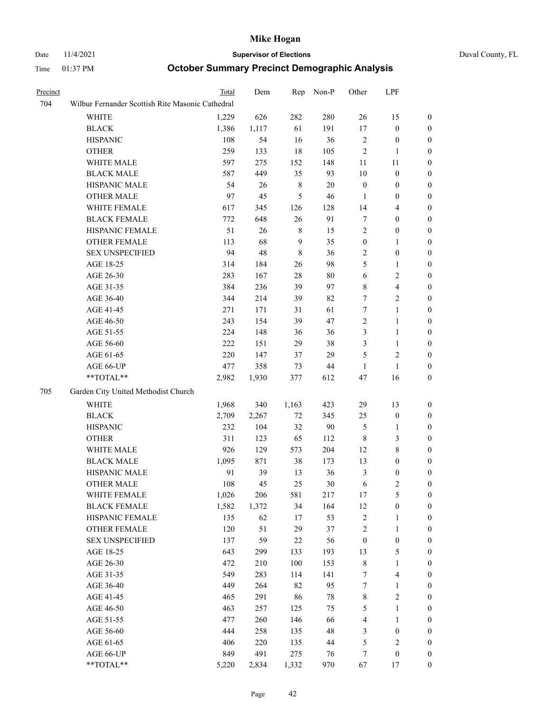#### Date 11/4/2021 **Supervisor of Elections** Duval County, FL

| Precinct |                                                  | Total | Dem   | Rep              | Non-P  | Other            | LPF                     |                  |
|----------|--------------------------------------------------|-------|-------|------------------|--------|------------------|-------------------------|------------------|
| 704      | Wilbur Fernander Scottish Rite Masonic Cathedral |       |       |                  |        |                  |                         |                  |
|          | <b>WHITE</b>                                     | 1,229 | 626   | 282              | 280    | 26               | 15                      | $\boldsymbol{0}$ |
|          | <b>BLACK</b>                                     | 1,386 | 1,117 | 61               | 191    | 17               | $\boldsymbol{0}$        | $\boldsymbol{0}$ |
|          | <b>HISPANIC</b>                                  | 108   | 54    | 16               | 36     | 2                | $\boldsymbol{0}$        | 0                |
|          | <b>OTHER</b>                                     | 259   | 133   | 18               | 105    | $\sqrt{2}$       | $\mathbf{1}$            | $\boldsymbol{0}$ |
|          | WHITE MALE                                       | 597   | 275   | 152              | 148    | 11               | 11                      | $\boldsymbol{0}$ |
|          | <b>BLACK MALE</b>                                | 587   | 449   | 35               | 93     | 10               | $\boldsymbol{0}$        | 0                |
|          | HISPANIC MALE                                    | 54    | 26    | $\,$ 8 $\,$      | $20\,$ | $\boldsymbol{0}$ | $\boldsymbol{0}$        | 0                |
|          | <b>OTHER MALE</b>                                | 97    | 45    | 5                | 46     | $\mathbf{1}$     | $\boldsymbol{0}$        | 0                |
|          | WHITE FEMALE                                     | 617   | 345   | 126              | 128    | 14               | $\overline{\mathbf{4}}$ | 0                |
|          | <b>BLACK FEMALE</b>                              | 772   | 648   | 26               | 91     | 7                | $\boldsymbol{0}$        | $\boldsymbol{0}$ |
|          | HISPANIC FEMALE                                  | 51    | 26    | $\,$ 8 $\,$      | 15     | $\sqrt{2}$       | $\boldsymbol{0}$        | $\boldsymbol{0}$ |
|          | OTHER FEMALE                                     | 113   | 68    | $\boldsymbol{9}$ | 35     | $\boldsymbol{0}$ | 1                       | $\boldsymbol{0}$ |
|          | <b>SEX UNSPECIFIED</b>                           | 94    | 48    | $\,8\,$          | 36     | $\sqrt{2}$       | $\boldsymbol{0}$        | $\boldsymbol{0}$ |
|          | AGE 18-25                                        | 314   | 184   | 26               | 98     | 5                | $\mathbf{1}$            | $\boldsymbol{0}$ |
|          | AGE 26-30                                        | 283   | 167   | 28               | $80\,$ | 6                | $\sqrt{2}$              | $\boldsymbol{0}$ |
|          | AGE 31-35                                        | 384   | 236   | 39               | 97     | 8                | $\overline{4}$          | 0                |
|          | AGE 36-40                                        | 344   | 214   | 39               | 82     | 7                | $\sqrt{2}$              | 0                |
|          | AGE 41-45                                        | 271   | 171   | 31               | 61     | 7                | $\mathbf{1}$            | 0                |
|          | AGE 46-50                                        | 243   | 154   | 39               | 47     | 2                | $\mathbf{1}$            | 0                |
|          | AGE 51-55                                        | 224   | 148   | 36               | 36     | 3                | $\mathbf{1}$            | $\boldsymbol{0}$ |
|          | AGE 56-60                                        | 222   | 151   | 29               | 38     | 3                | $\mathbf{1}$            | $\boldsymbol{0}$ |
|          | AGE 61-65                                        | 220   | 147   | 37               | 29     | 5                | $\sqrt{2}$              | $\boldsymbol{0}$ |
|          | AGE 66-UP                                        | 477   | 358   | 73               | 44     | $\mathbf{1}$     | $\mathbf{1}$            | 0                |
|          | **TOTAL**                                        | 2,982 | 1,930 | 377              | 612    | 47               | 16                      | $\boldsymbol{0}$ |
| 705      | Garden City United Methodist Church              |       |       |                  |        |                  |                         |                  |
|          | WHITE                                            | 1,968 | 340   | 1,163            | 423    | 29               | 13                      | $\boldsymbol{0}$ |
|          | <b>BLACK</b>                                     | 2,709 | 2,267 | 72               | 345    | 25               | $\boldsymbol{0}$        | $\boldsymbol{0}$ |
|          | <b>HISPANIC</b>                                  | 232   | 104   | 32               | $90\,$ | 5                | $\mathbf{1}$            | 0                |
|          | <b>OTHER</b>                                     | 311   | 123   | 65               | 112    | $\,$ 8 $\,$      | $\mathfrak{Z}$          | 0                |
|          | WHITE MALE                                       | 926   | 129   | 573              | 204    | 12               | $\,$ 8 $\,$             | 0                |
|          | <b>BLACK MALE</b>                                | 1,095 | 871   | 38               | 173    | 13               | $\boldsymbol{0}$        | 0                |
|          | HISPANIC MALE                                    | 91    | 39    | 13               | 36     | 3                | $\boldsymbol{0}$        | 0                |
|          | <b>OTHER MALE</b>                                | 108   | 45    | 25               | 30     | 6                | $\sqrt{2}$              | $\boldsymbol{0}$ |
|          | WHITE FEMALE                                     | 1,026 | 206   | 581              | 217    | 17               | 5                       | $\boldsymbol{0}$ |
|          | <b>BLACK FEMALE</b>                              | 1,582 | 1,372 | 34               | 164    | 12               | $\boldsymbol{0}$        | $\overline{0}$   |
|          | HISPANIC FEMALE                                  | 135   | 62    | 17               | 53     | $\overline{c}$   | $\mathbf{1}$            | $\overline{0}$   |
|          | <b>OTHER FEMALE</b>                              | 120   | 51    | 29               | 37     | 2                | $\mathbf{1}$            | $\overline{0}$   |
|          | <b>SEX UNSPECIFIED</b>                           | 137   | 59    | 22               | 56     | $\boldsymbol{0}$ | $\boldsymbol{0}$        | 0                |
|          | AGE 18-25                                        | 643   | 299   | 133              | 193    | 13               | $\mathfrak{S}$          | 0                |
|          | AGE 26-30                                        | 472   | 210   | 100              | 153    | $\,$ $\,$        | $\mathbf{1}$            | 0                |
|          | AGE 31-35                                        | 549   | 283   | 114              | 141    | 7                | $\overline{\mathbf{4}}$ | 0                |
|          | AGE 36-40                                        | 449   | 264   | 82               | 95     | 7                | $\mathbf{1}$            | $\boldsymbol{0}$ |
|          | AGE 41-45                                        | 465   | 291   | 86               | 78     | $\,$ 8 $\,$      | $\sqrt{2}$              | $\boldsymbol{0}$ |
|          | AGE 46-50                                        | 463   | 257   | 125              | 75     | 5                | $\mathbf{1}$            | $\boldsymbol{0}$ |
|          | AGE 51-55                                        | 477   | 260   | 146              | 66     | 4                | $\mathbf{1}$            | $\boldsymbol{0}$ |
|          | AGE 56-60                                        | 444   | 258   | 135              | 48     | 3                | $\boldsymbol{0}$        | $\overline{0}$   |
|          | AGE 61-65                                        | 406   | 220   | 135              | 44     | 5                | $\mathbf{2}$            | $\overline{0}$   |
|          | AGE 66-UP                                        | 849   | 491   | 275              | 76     | 7                | $\boldsymbol{0}$        | $\boldsymbol{0}$ |
|          | $**TOTAL**$                                      | 5,220 | 2,834 | 1,332            | 970    | 67               | 17                      | $\boldsymbol{0}$ |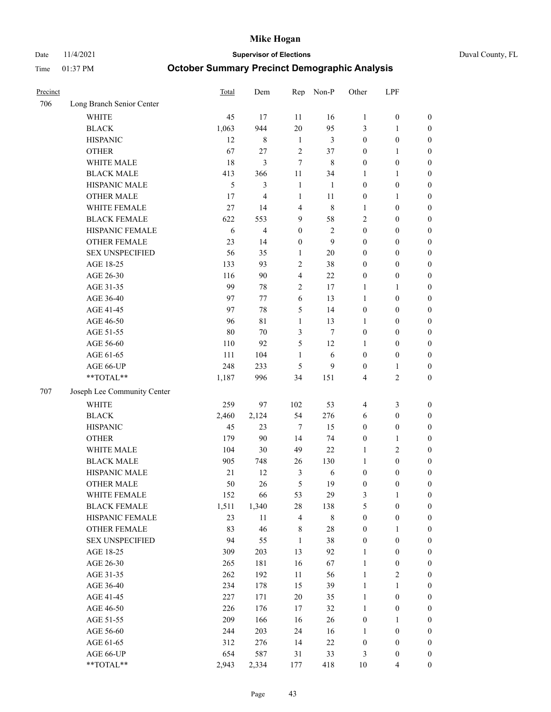Date 11/4/2021 **Supervisor of Elections** Duval County, FL

| Precinct |                             | <b>Total</b> | Dem   | Rep                     | Non-P          | Other            | LPF              |                  |
|----------|-----------------------------|--------------|-------|-------------------------|----------------|------------------|------------------|------------------|
| 706      | Long Branch Senior Center   |              |       |                         |                |                  |                  |                  |
|          | <b>WHITE</b>                | 45           | 17    | 11                      | 16             | $\mathbf{1}$     | $\boldsymbol{0}$ | $\boldsymbol{0}$ |
|          | <b>BLACK</b>                | 1,063        | 944   | 20                      | 95             | 3                | $\mathbf{1}$     | $\boldsymbol{0}$ |
|          | <b>HISPANIC</b>             | 12           | 8     | $\mathbf{1}$            | 3              | $\boldsymbol{0}$ | $\boldsymbol{0}$ | $\boldsymbol{0}$ |
|          | <b>OTHER</b>                | 67           | 27    | $\overline{2}$          | 37             | $\boldsymbol{0}$ | $\mathbf{1}$     | $\boldsymbol{0}$ |
|          | WHITE MALE                  | 18           | 3     | $\overline{7}$          | $\,$ 8 $\,$    | $\boldsymbol{0}$ | $\boldsymbol{0}$ | $\boldsymbol{0}$ |
|          | <b>BLACK MALE</b>           | 413          | 366   | 11                      | 34             | 1                | $\mathbf{1}$     | $\boldsymbol{0}$ |
|          | HISPANIC MALE               | 5            | 3     | $\mathbf{1}$            | 1              | $\boldsymbol{0}$ | $\boldsymbol{0}$ | $\boldsymbol{0}$ |
|          | <b>OTHER MALE</b>           | 17           | 4     | $\mathbf{1}$            | 11             | $\boldsymbol{0}$ | $\mathbf{1}$     | $\boldsymbol{0}$ |
|          | WHITE FEMALE                | 27           | 14    | $\overline{4}$          | $\,$ 8 $\,$    | 1                | $\boldsymbol{0}$ | $\boldsymbol{0}$ |
|          | <b>BLACK FEMALE</b>         | 622          | 553   | 9                       | 58             | $\overline{c}$   | $\boldsymbol{0}$ | $\boldsymbol{0}$ |
|          | HISPANIC FEMALE             | 6            | 4     | $\boldsymbol{0}$        | $\mathfrak{2}$ | $\boldsymbol{0}$ | $\boldsymbol{0}$ | 0                |
|          | <b>OTHER FEMALE</b>         | 23           | 14    | $\boldsymbol{0}$        | 9              | $\boldsymbol{0}$ | $\boldsymbol{0}$ | $\boldsymbol{0}$ |
|          | <b>SEX UNSPECIFIED</b>      | 56           | 35    | $\mathbf{1}$            | $20\,$         | $\boldsymbol{0}$ | $\boldsymbol{0}$ | $\boldsymbol{0}$ |
|          | AGE 18-25                   | 133          | 93    | $\sqrt{2}$              | 38             | $\boldsymbol{0}$ | $\boldsymbol{0}$ | $\boldsymbol{0}$ |
|          | AGE 26-30                   | 116          | 90    | $\overline{\mathbf{4}}$ | 22             | $\boldsymbol{0}$ | $\boldsymbol{0}$ | $\boldsymbol{0}$ |
|          | AGE 31-35                   | 99           | 78    | $\sqrt{2}$              | 17             | $\mathbf{1}$     | $\mathbf{1}$     | $\boldsymbol{0}$ |
|          | AGE 36-40                   | 97           | 77    | 6                       | 13             | $\mathbf{1}$     | $\boldsymbol{0}$ | $\boldsymbol{0}$ |
|          | AGE 41-45                   | 97           | 78    | 5                       | 14             | $\boldsymbol{0}$ | $\boldsymbol{0}$ | $\boldsymbol{0}$ |
|          | AGE 46-50                   | 96           | 81    | $\mathbf{1}$            | 13             | $\mathbf{1}$     | $\boldsymbol{0}$ | $\boldsymbol{0}$ |
|          | AGE 51-55                   | 80           | 70    | $\mathfrak{Z}$          | $\tau$         | $\boldsymbol{0}$ | $\boldsymbol{0}$ | $\boldsymbol{0}$ |
|          | AGE 56-60                   | 110          | 92    | 5                       | 12             | 1                | $\boldsymbol{0}$ | 0                |
|          | AGE 61-65                   | 111          | 104   | 1                       | 6              | $\boldsymbol{0}$ | $\boldsymbol{0}$ | 0                |
|          | AGE 66-UP                   | 248          | 233   | 5                       | 9              | $\boldsymbol{0}$ | $\mathbf{1}$     | $\boldsymbol{0}$ |
|          | $**TOTAL**$                 | 1,187        | 996   | 34                      | 151            | 4                | $\sqrt{2}$       | $\boldsymbol{0}$ |
| 707      | Joseph Lee Community Center |              |       |                         |                |                  |                  |                  |
|          | <b>WHITE</b>                | 259          | 97    | 102                     | 53             | $\overline{4}$   | $\mathfrak{Z}$   | $\boldsymbol{0}$ |
|          | <b>BLACK</b>                | 2,460        | 2,124 | 54                      | 276            | 6                | $\boldsymbol{0}$ | $\boldsymbol{0}$ |
|          | <b>HISPANIC</b>             | 45           | 23    | $\tau$                  | 15             | $\boldsymbol{0}$ | $\boldsymbol{0}$ | $\boldsymbol{0}$ |
|          | <b>OTHER</b>                | 179          | 90    | 14                      | 74             | $\boldsymbol{0}$ | $\mathbf{1}$     | $\boldsymbol{0}$ |
|          | WHITE MALE                  | 104          | 30    | 49                      | 22             | $\mathbf{1}$     | $\mathbf{2}$     | $\boldsymbol{0}$ |
|          | <b>BLACK MALE</b>           | 905          | 748   | 26                      | 130            | $\mathbf{1}$     | $\boldsymbol{0}$ | $\boldsymbol{0}$ |
|          | HISPANIC MALE               | 21           | 12    | 3                       | 6              | $\boldsymbol{0}$ | $\boldsymbol{0}$ | $\boldsymbol{0}$ |
|          | <b>OTHER MALE</b>           | 50           | 26    | 5                       | 19             | $\boldsymbol{0}$ | $\boldsymbol{0}$ | $\boldsymbol{0}$ |
|          | WHITE FEMALE                | 152          | 66    | 53                      | 29             | 3                | 1                | 0                |
|          | <b>BLACK FEMALE</b>         | 1,511        | 1,340 | $28\,$                  | 138            | 5                | $\boldsymbol{0}$ | $\boldsymbol{0}$ |
|          | HISPANIC FEMALE             | 23           | 11    | $\overline{4}$          | $8\,$          | $\boldsymbol{0}$ | $\boldsymbol{0}$ | $\overline{0}$   |
|          | <b>OTHER FEMALE</b>         | 83           | 46    | $\,$ 8 $\,$             | $28\,$         | $\boldsymbol{0}$ | $\mathbf{1}$     | $\overline{0}$   |
|          | <b>SEX UNSPECIFIED</b>      | 94           | 55    | $\mathbf{1}$            | 38             | $\boldsymbol{0}$ | $\boldsymbol{0}$ | $\overline{0}$   |
|          | AGE 18-25                   | 309          | 203   | 13                      | 92             | $\mathbf{1}$     | $\boldsymbol{0}$ | $\overline{0}$   |
|          | AGE 26-30                   | 265          | 181   | 16                      | 67             | $\mathbf{1}$     | $\boldsymbol{0}$ | 0                |
|          | AGE 31-35                   | 262          | 192   | $11\,$                  | 56             | $\mathbf{1}$     | $\sqrt{2}$       | 0                |
|          | AGE 36-40                   | 234          | 178   | 15                      | 39             | $\mathbf{1}$     | $\mathbf{1}$     | 0                |
|          | AGE 41-45                   | 227          | 171   | $20\,$                  | 35             | $\mathbf{1}$     | $\boldsymbol{0}$ | 0                |
|          | AGE 46-50                   | 226          | 176   | 17                      | 32             | $\mathbf{1}$     | $\boldsymbol{0}$ | 0                |
|          | AGE 51-55                   | 209          | 166   | 16                      | 26             | $\boldsymbol{0}$ | $\mathbf{1}$     | $\boldsymbol{0}$ |
|          | AGE 56-60                   | 244          | 203   | 24                      | 16             | 1                | $\boldsymbol{0}$ | $\boldsymbol{0}$ |
|          | AGE 61-65                   | 312          | 276   | 14                      | 22             | $\boldsymbol{0}$ | $\boldsymbol{0}$ | $\boldsymbol{0}$ |
|          | AGE 66-UP                   | 654          | 587   | 31                      | 33             | 3                | $\boldsymbol{0}$ | $\boldsymbol{0}$ |
|          | **TOTAL**                   | 2,943        | 2,334 | 177                     | 418            | 10               | $\overline{4}$   | $\boldsymbol{0}$ |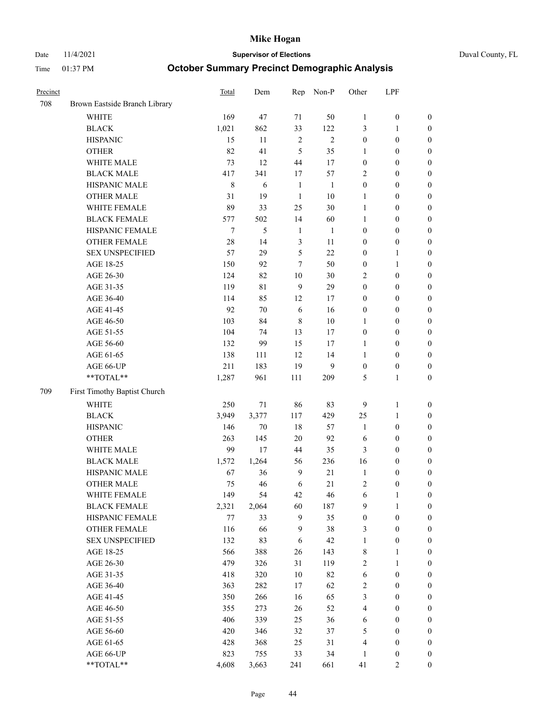Date 11/4/2021 **Supervisor of Elections** Duval County, FL

| Precinct |                               | Total   | Dem    | Rep            | Non-P          | Other            | LPF              |                  |
|----------|-------------------------------|---------|--------|----------------|----------------|------------------|------------------|------------------|
| 708      | Brown Eastside Branch Library |         |        |                |                |                  |                  |                  |
|          | <b>WHITE</b>                  | 169     | 47     | 71             | 50             | $\mathbf{1}$     | $\boldsymbol{0}$ | 0                |
|          | <b>BLACK</b>                  | 1,021   | 862    | 33             | 122            | 3                | $\mathbf{1}$     | $\boldsymbol{0}$ |
|          | <b>HISPANIC</b>               | 15      | 11     | $\sqrt{2}$     | $\overline{2}$ | $\boldsymbol{0}$ | $\boldsymbol{0}$ | $\boldsymbol{0}$ |
|          | <b>OTHER</b>                  | 82      | 41     | 5              | 35             | 1                | $\boldsymbol{0}$ | $\boldsymbol{0}$ |
|          | WHITE MALE                    | 73      | 12     | 44             | 17             | $\boldsymbol{0}$ | $\boldsymbol{0}$ | $\boldsymbol{0}$ |
|          | <b>BLACK MALE</b>             | 417     | 341    | 17             | 57             | $\overline{c}$   | $\boldsymbol{0}$ | $\boldsymbol{0}$ |
|          | HISPANIC MALE                 | $\,8\,$ | 6      | $\mathbf{1}$   | $\mathbf{1}$   | $\boldsymbol{0}$ | $\boldsymbol{0}$ | $\boldsymbol{0}$ |
|          | <b>OTHER MALE</b>             | 31      | 19     | $\mathbf{1}$   | $10\,$         | $\mathbf{1}$     | $\boldsymbol{0}$ | $\boldsymbol{0}$ |
|          | WHITE FEMALE                  | 89      | 33     | 25             | 30             | $\mathbf{1}$     | $\boldsymbol{0}$ | $\boldsymbol{0}$ |
|          | <b>BLACK FEMALE</b>           | 577     | 502    | 14             | 60             | $\mathbf{1}$     | $\boldsymbol{0}$ | $\boldsymbol{0}$ |
|          | HISPANIC FEMALE               | $\tau$  | 5      | $\mathbf{1}$   | $\mathbf{1}$   | $\boldsymbol{0}$ | $\boldsymbol{0}$ | 0                |
|          | OTHER FEMALE                  | 28      | 14     | $\mathfrak{Z}$ | 11             | $\boldsymbol{0}$ | $\boldsymbol{0}$ | $\boldsymbol{0}$ |
|          | <b>SEX UNSPECIFIED</b>        | 57      | 29     | $\mathfrak s$  | 22             | $\boldsymbol{0}$ | $\mathbf{1}$     | $\boldsymbol{0}$ |
|          | AGE 18-25                     | 150     | 92     | 7              | 50             | $\boldsymbol{0}$ | $\mathbf{1}$     | $\boldsymbol{0}$ |
|          | AGE 26-30                     | 124     | 82     | 10             | 30             | 2                | $\boldsymbol{0}$ | $\boldsymbol{0}$ |
|          | AGE 31-35                     | 119     | 81     | 9              | 29             | $\boldsymbol{0}$ | $\boldsymbol{0}$ | $\boldsymbol{0}$ |
|          | AGE 36-40                     | 114     | 85     | 12             | 17             | $\boldsymbol{0}$ | $\boldsymbol{0}$ | $\boldsymbol{0}$ |
|          | AGE 41-45                     | 92      | 70     | 6              | 16             | $\boldsymbol{0}$ | $\boldsymbol{0}$ | $\boldsymbol{0}$ |
|          | AGE 46-50                     | 103     | 84     | 8              | $10\,$         | 1                | $\boldsymbol{0}$ | $\boldsymbol{0}$ |
|          | AGE 51-55                     | 104     | 74     | 13             | 17             | $\boldsymbol{0}$ | $\boldsymbol{0}$ | $\boldsymbol{0}$ |
|          | AGE 56-60                     | 132     | 99     | 15             | 17             | 1                | $\boldsymbol{0}$ | 0                |
|          | AGE 61-65                     | 138     | 111    | 12             | 14             | 1                | $\boldsymbol{0}$ | 0                |
|          | AGE 66-UP                     | 211     | 183    | 19             | 9              | $\boldsymbol{0}$ | $\boldsymbol{0}$ | $\boldsymbol{0}$ |
|          | **TOTAL**                     | 1,287   | 961    | 111            | 209            | 5                | $\mathbf{1}$     | $\boldsymbol{0}$ |
| 709      | First Timothy Baptist Church  |         |        |                |                |                  |                  |                  |
|          | WHITE                         | 250     | $71\,$ | 86             | 83             | 9                | $\mathbf{1}$     | $\boldsymbol{0}$ |
|          | <b>BLACK</b>                  | 3,949   | 3,377  | 117            | 429            | 25               | $\mathbf{1}$     | $\boldsymbol{0}$ |
|          | <b>HISPANIC</b>               | 146     | 70     | 18             | 57             | $\mathbf{1}$     | $\boldsymbol{0}$ | $\boldsymbol{0}$ |
|          | <b>OTHER</b>                  | 263     | 145    | 20             | 92             | 6                | $\boldsymbol{0}$ | $\boldsymbol{0}$ |
|          | WHITE MALE                    | 99      | 17     | 44             | 35             | 3                | $\boldsymbol{0}$ | $\boldsymbol{0}$ |
|          | <b>BLACK MALE</b>             | 1,572   | 1,264  | 56             | 236            | 16               | $\boldsymbol{0}$ | $\boldsymbol{0}$ |
|          | HISPANIC MALE                 | 67      | 36     | $\overline{9}$ | $21\,$         | $\mathbf{1}$     | $\boldsymbol{0}$ | $\boldsymbol{0}$ |
|          | <b>OTHER MALE</b>             | 75      | 46     | 6              | 21             | $\overline{c}$   | $\boldsymbol{0}$ | $\boldsymbol{0}$ |
|          | WHITE FEMALE                  | 149     | 54     | 42             | 46             | 6                | 1                | 0                |
|          | <b>BLACK FEMALE</b>           | 2,321   | 2,064  | 60             | 187            | 9                | $\mathbf{1}$     | $\boldsymbol{0}$ |
|          | HISPANIC FEMALE               | $77 \,$ | 33     | $\mathbf{9}$   | 35             | $\boldsymbol{0}$ | $\boldsymbol{0}$ | $\overline{0}$   |
|          | OTHER FEMALE                  | 116     | 66     | $\mathbf{9}$   | 38             | 3                | $\boldsymbol{0}$ | $\overline{0}$   |
|          | <b>SEX UNSPECIFIED</b>        | 132     | 83     | 6              | 42             | $\mathbf{1}$     | $\boldsymbol{0}$ | 0                |
|          | AGE 18-25                     | 566     | 388    | 26             | 143            | $\,$ 8 $\,$      | $\mathbf{1}$     | $\overline{0}$   |
|          | AGE 26-30                     | 479     | 326    | 31             | 119            | 2                | $\mathbf{1}$     | 0                |
|          | AGE 31-35                     | 418     | 320    | 10             | 82             | 6                | $\boldsymbol{0}$ | 0                |
|          | AGE 36-40                     | 363     | 282    | 17             | 62             | 2                | $\boldsymbol{0}$ | 0                |
|          | AGE 41-45                     | 350     | 266    | 16             | 65             | 3                | $\boldsymbol{0}$ | 0                |
|          | AGE 46-50                     | 355     | 273    | 26             | 52             | 4                | $\boldsymbol{0}$ | 0                |
|          | AGE 51-55                     | 406     | 339    | 25             | 36             | 6                | $\boldsymbol{0}$ | $\boldsymbol{0}$ |
|          | AGE 56-60                     | 420     | 346    | 32             | 37             | 5                | $\boldsymbol{0}$ | $\overline{0}$   |
|          | AGE 61-65                     | 428     | 368    | 25             | 31             | 4                | $\boldsymbol{0}$ | $\overline{0}$   |
|          | AGE 66-UP                     | 823     | 755    | 33             | 34             | $\mathbf{1}$     | $\boldsymbol{0}$ | 0                |
|          | **TOTAL**                     | 4,608   | 3,663  | 241            | 661            | 41               | $\sqrt{2}$       | $\boldsymbol{0}$ |
|          |                               |         |        |                |                |                  |                  |                  |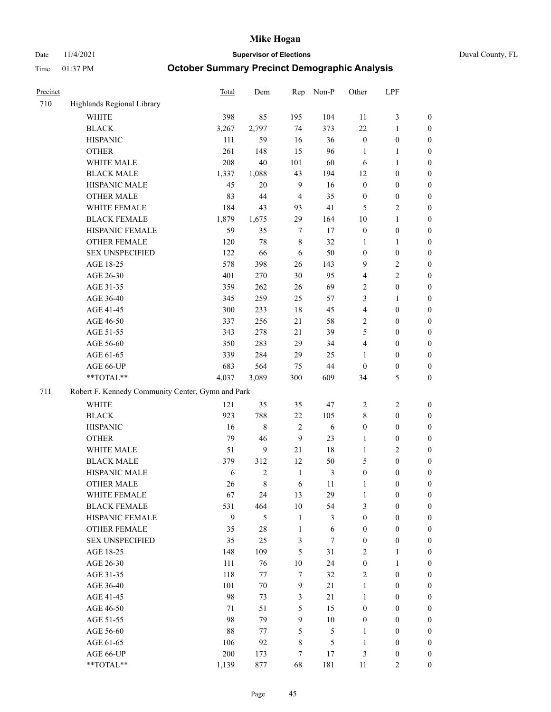#### Date 11/4/2021 **Supervisor of Elections** Duval County, FL

| Precinct |                                                   | <b>Total</b> | Dem            | Rep            | Non-P          | Other            | LPF              |                  |
|----------|---------------------------------------------------|--------------|----------------|----------------|----------------|------------------|------------------|------------------|
| 710      | Highlands Regional Library                        |              |                |                |                |                  |                  |                  |
|          | <b>WHITE</b>                                      | 398          | 85             | 195            | 104            | 11               | $\mathfrak{Z}$   | 0                |
|          | <b>BLACK</b>                                      | 3,267        | 2,797          | 74             | 373            | 22               | $\mathbf{1}$     | 0                |
|          | <b>HISPANIC</b>                                   | 111          | 59             | 16             | 36             | $\boldsymbol{0}$ | $\boldsymbol{0}$ | $\boldsymbol{0}$ |
|          | <b>OTHER</b>                                      | 261          | 148            | 15             | 96             | 1                | $\mathbf{1}$     | $\boldsymbol{0}$ |
|          | WHITE MALE                                        | 208          | 40             | 101            | 60             | 6                | $\mathbf{1}$     | $\boldsymbol{0}$ |
|          | <b>BLACK MALE</b>                                 | 1,337        | 1,088          | 43             | 194            | 12               | $\boldsymbol{0}$ | $\boldsymbol{0}$ |
|          | HISPANIC MALE                                     | 45           | 20             | $\overline{9}$ | 16             | $\boldsymbol{0}$ | $\boldsymbol{0}$ | $\boldsymbol{0}$ |
|          | <b>OTHER MALE</b>                                 | 83           | 44             | $\overline{4}$ | 35             | $\boldsymbol{0}$ | $\boldsymbol{0}$ | $\boldsymbol{0}$ |
|          | WHITE FEMALE                                      | 184          | 43             | 93             | 41             | 5                | $\mathbf{2}$     | $\boldsymbol{0}$ |
|          | <b>BLACK FEMALE</b>                               | 1,879        | 1,675          | 29             | 164            | 10               | $\mathbf{1}$     | $\boldsymbol{0}$ |
|          | HISPANIC FEMALE                                   | 59           | 35             | $\tau$         | 17             | $\boldsymbol{0}$ | $\boldsymbol{0}$ | 0                |
|          | <b>OTHER FEMALE</b>                               | 120          | 78             | $\,$ 8 $\,$    | 32             | 1                | $\mathbf{1}$     | 0                |
|          | <b>SEX UNSPECIFIED</b>                            | 122          | 66             | 6              | 50             | $\boldsymbol{0}$ | $\boldsymbol{0}$ | $\boldsymbol{0}$ |
|          | AGE 18-25                                         | 578          | 398            | 26             | 143            | 9                | $\sqrt{2}$       | $\boldsymbol{0}$ |
|          | AGE 26-30                                         | 401          | 270            | 30             | 95             | 4                | $\sqrt{2}$       | $\boldsymbol{0}$ |
|          | AGE 31-35                                         | 359          | 262            | 26             | 69             | 2                | $\boldsymbol{0}$ | $\boldsymbol{0}$ |
|          | AGE 36-40                                         | 345          | 259            | 25             | 57             | 3                | $\mathbf{1}$     | $\boldsymbol{0}$ |
|          | AGE 41-45                                         | 300          | 233            | 18             | 45             | 4                | $\boldsymbol{0}$ | $\boldsymbol{0}$ |
|          | AGE 46-50                                         | 337          | 256            | 21             | 58             | $\mathbf{2}$     | $\boldsymbol{0}$ | $\boldsymbol{0}$ |
|          | AGE 51-55                                         | 343          | 278            | 21             | 39             | 5                | $\boldsymbol{0}$ | $\boldsymbol{0}$ |
|          | AGE 56-60                                         | 350          | 283            | 29             | 34             | $\overline{4}$   | $\boldsymbol{0}$ | 0                |
|          | AGE 61-65                                         | 339          | 284            | 29             | 25             | 1                | $\boldsymbol{0}$ | 0                |
|          | AGE 66-UP                                         | 683          | 564            | 75             | 44             | $\mathbf{0}$     | $\boldsymbol{0}$ | $\boldsymbol{0}$ |
|          | $**TOTAL**$                                       | 4,037        | 3,089          | 300            | 609            | 34               | $\mathfrak{S}$   | $\boldsymbol{0}$ |
| 711      | Robert F. Kennedy Community Center, Gymn and Park |              |                |                |                |                  |                  |                  |
|          | WHITE                                             | 121          | 35             | 35             | 47             | $\overline{c}$   | $\sqrt{2}$       | $\boldsymbol{0}$ |
|          | <b>BLACK</b>                                      | 923          | 788            | $22\,$         | 105            | 8                | $\boldsymbol{0}$ | $\boldsymbol{0}$ |
|          | <b>HISPANIC</b>                                   | 16           | 8              | $\overline{2}$ | 6              | $\boldsymbol{0}$ | $\boldsymbol{0}$ | $\boldsymbol{0}$ |
|          | <b>OTHER</b>                                      | 79           | 46             | 9              | 23             | $\mathbf{1}$     | $\boldsymbol{0}$ | $\boldsymbol{0}$ |
|          | WHITE MALE                                        | 51           | 9              | 21             | 18             | $\mathbf{1}$     | $\overline{2}$   | $\boldsymbol{0}$ |
|          | <b>BLACK MALE</b>                                 | 379          | 312            | 12             | 50             | 5                | $\boldsymbol{0}$ | $\boldsymbol{0}$ |
|          | HISPANIC MALE                                     | 6            | $\overline{c}$ | $\mathbf{1}$   | $\mathfrak{Z}$ | $\boldsymbol{0}$ | $\boldsymbol{0}$ | $\boldsymbol{0}$ |
|          | <b>OTHER MALE</b>                                 | 26           | 8              | 6              | 11             | 1                | $\boldsymbol{0}$ | $\boldsymbol{0}$ |
|          | WHITE FEMALE                                      | 67           | 24             | 13             | 29             | 1                | $\boldsymbol{0}$ | 0                |
|          | <b>BLACK FEMALE</b>                               | 531          | 464            | $10\,$         | 54             | 3                | $\boldsymbol{0}$ | $\overline{0}$   |
|          | HISPANIC FEMALE                                   | 9            | 5              | $\mathbf{1}$   | 3              | $\boldsymbol{0}$ | $\boldsymbol{0}$ | $\overline{0}$   |
|          | OTHER FEMALE                                      | 35           | 28             | $\mathbf{1}$   | $\sqrt{6}$     | $\boldsymbol{0}$ | $\boldsymbol{0}$ | $\overline{0}$   |
|          | <b>SEX UNSPECIFIED</b>                            | 35           | 25             | $\mathfrak{Z}$ | $\tau$         | $\boldsymbol{0}$ | $\boldsymbol{0}$ | 0                |
|          | AGE 18-25                                         | 148          | 109            | $\mathfrak{S}$ | 31             | $\overline{c}$   | $\mathbf{1}$     | $\overline{0}$   |
|          | AGE 26-30                                         | 111          | 76             | $10\,$         | 24             | $\boldsymbol{0}$ | $\mathbf{1}$     | $\overline{0}$   |
|          | AGE 31-35                                         | 118          | 77             | $\tau$         | 32             | $\mathbf{2}$     | $\boldsymbol{0}$ | 0                |
|          | AGE 36-40                                         | 101          | $70\,$         | $\overline{9}$ | 21             | $\mathbf{1}$     | $\boldsymbol{0}$ | 0                |
|          | AGE 41-45                                         | 98           | 73             | $\mathfrak{Z}$ | 21             | $\mathbf{1}$     | $\boldsymbol{0}$ | 0                |
|          | AGE 46-50                                         | 71           | 51             | $\mathfrak{S}$ | 15             | $\boldsymbol{0}$ | $\boldsymbol{0}$ | 0                |
|          | AGE 51-55                                         | 98           | 79             | 9              | $10\,$         | $\boldsymbol{0}$ | $\boldsymbol{0}$ | $\boldsymbol{0}$ |
|          | AGE 56-60                                         | 88           | 77             | $\mathfrak{S}$ | 5              | 1                | $\boldsymbol{0}$ | $\boldsymbol{0}$ |
|          | AGE 61-65                                         | 106          | 92             | 8              | 5              | $\mathbf{1}$     | $\boldsymbol{0}$ | $\boldsymbol{0}$ |
|          | AGE 66-UP                                         | 200          | 173            | 7              | 17             | 3                | $\boldsymbol{0}$ | $\boldsymbol{0}$ |
|          | $**TOTAL**$                                       | 1,139        | 877            | 68             | 181            | 11               | $\mathfrak{2}$   | $\boldsymbol{0}$ |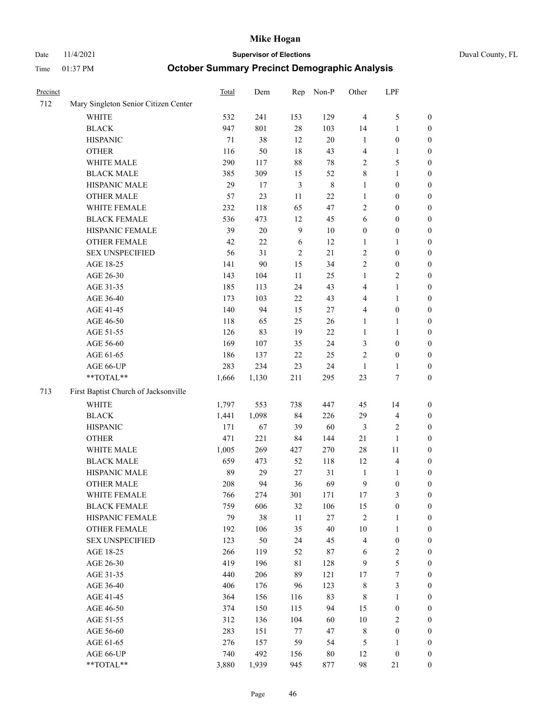#### Date 11/4/2021 **Supervisor of Elections** Duval County, FL

| Precinct |                                      | <b>Total</b> | Dem    | Rep            | Non-P       | Other            | LPF                     |                  |
|----------|--------------------------------------|--------------|--------|----------------|-------------|------------------|-------------------------|------------------|
| 712      | Mary Singleton Senior Citizen Center |              |        |                |             |                  |                         |                  |
|          | <b>WHITE</b>                         | 532          | 241    | 153            | 129         | $\overline{4}$   | $\mathfrak{S}$          | 0                |
|          | <b>BLACK</b>                         | 947          | 801    | $28\,$         | 103         | 14               | $\mathbf{1}$            | 0                |
|          | <b>HISPANIC</b>                      | $71\,$       | 38     | 12             | $20\,$      | $\mathbf{1}$     | $\boldsymbol{0}$        | $\boldsymbol{0}$ |
|          | <b>OTHER</b>                         | 116          | 50     | $18\,$         | 43          | 4                | $\mathbf{1}$            | $\boldsymbol{0}$ |
|          | WHITE MALE                           | 290          | 117    | $88\,$         | $78\,$      | 2                | 5                       | $\boldsymbol{0}$ |
|          | <b>BLACK MALE</b>                    | 385          | 309    | 15             | 52          | 8                | $\mathbf{1}$            | $\boldsymbol{0}$ |
|          | HISPANIC MALE                        | 29           | 17     | $\mathfrak{Z}$ | $\,$ 8 $\,$ | $\mathbf{1}$     | $\boldsymbol{0}$        | $\boldsymbol{0}$ |
|          | <b>OTHER MALE</b>                    | 57           | 23     | 11             | 22          | $\mathbf{1}$     | $\boldsymbol{0}$        | $\boldsymbol{0}$ |
|          | WHITE FEMALE                         | 232          | 118    | 65             | 47          | 2                | $\boldsymbol{0}$        | $\boldsymbol{0}$ |
|          | <b>BLACK FEMALE</b>                  | 536          | 473    | 12             | 45          | 6                | $\boldsymbol{0}$        | 0                |
|          | HISPANIC FEMALE                      | 39           | $20\,$ | $\overline{9}$ | $10\,$      | $\boldsymbol{0}$ | $\boldsymbol{0}$        | 0                |
|          | OTHER FEMALE                         | 42           | 22     | 6              | 12          | $\mathbf{1}$     | $\mathbf{1}$            | 0                |
|          | <b>SEX UNSPECIFIED</b>               | 56           | 31     | $\sqrt{2}$     | 21          | $\sqrt{2}$       | $\boldsymbol{0}$        | $\boldsymbol{0}$ |
|          | AGE 18-25                            | 141          | 90     | 15             | 34          | $\sqrt{2}$       | $\boldsymbol{0}$        | $\boldsymbol{0}$ |
|          | AGE 26-30                            | 143          | 104    | 11             | 25          | $\mathbf{1}$     | $\sqrt{2}$              | $\boldsymbol{0}$ |
|          | AGE 31-35                            | 185          | 113    | 24             | 43          | 4                | $\mathbf{1}$            | $\boldsymbol{0}$ |
|          | AGE 36-40                            | 173          | 103    | 22             | 43          | 4                | $\mathbf{1}$            | $\boldsymbol{0}$ |
|          | AGE 41-45                            | 140          | 94     | 15             | 27          | 4                | $\boldsymbol{0}$        | $\boldsymbol{0}$ |
|          | AGE 46-50                            | 118          | 65     | 25             | 26          | 1                | $\mathbf{1}$            | $\boldsymbol{0}$ |
|          | AGE 51-55                            | 126          | 83     | 19             | $22\,$      | 1                | $\mathbf{1}$            | 0                |
|          | AGE 56-60                            | 169          | 107    | 35             | 24          | 3                | $\boldsymbol{0}$        | 0                |
|          | AGE 61-65                            | 186          | 137    | 22             | 25          | $\overline{c}$   | $\boldsymbol{0}$        | 0                |
|          | AGE 66-UP                            | 283          | 234    | 23             | 24          | $\mathbf{1}$     | $\mathbf{1}$            | 0                |
|          | **TOTAL**                            | 1,666        | 1,130  | 211            | 295         | 23               | $\boldsymbol{7}$        | $\boldsymbol{0}$ |
| 713      | First Baptist Church of Jacksonville |              |        |                |             |                  |                         |                  |
|          | <b>WHITE</b>                         | 1,797        | 553    | 738            | 447         | 45               | 14                      | $\boldsymbol{0}$ |
|          | <b>BLACK</b>                         | 1,441        | 1,098  | 84             | 226         | 29               | $\overline{\mathbf{4}}$ | $\boldsymbol{0}$ |
|          | <b>HISPANIC</b>                      | 171          | 67     | 39             | 60          | 3                | $\mathbf{2}$            | $\boldsymbol{0}$ |
|          | <b>OTHER</b>                         | 471          | 221    | 84             | 144         | $21\,$           | $\mathbf{1}$            | $\boldsymbol{0}$ |
|          | WHITE MALE                           | 1,005        | 269    | 427            | 270         | 28               | 11                      | $\boldsymbol{0}$ |
|          | <b>BLACK MALE</b>                    | 659          | 473    | 52             | 118         | 12               | $\overline{\mathbf{4}}$ | $\boldsymbol{0}$ |
|          | HISPANIC MALE                        | 89           | 29     | $27\,$         | 31          | 1                | 1                       | 0                |
|          | <b>OTHER MALE</b>                    | 208          | 94     | 36             | 69          | $\overline{9}$   | $\boldsymbol{0}$        | 0                |
|          | WHITE FEMALE                         | 766          | 274    | 301            | 171         | 17               | 3                       | 0                |
|          | <b>BLACK FEMALE</b>                  | 759          | 606    | 32             | 106         | 15               | $\boldsymbol{0}$        | $\boldsymbol{0}$ |
|          | HISPANIC FEMALE                      | 79           | 38     | $11\,$         | $27\,$      | $\sqrt{2}$       | $\mathbf{1}$            | $\overline{0}$   |
|          | OTHER FEMALE                         | 192          | 106    | 35             | 40          | 10               | $\mathbf{1}$            | $\overline{0}$   |
|          | <b>SEX UNSPECIFIED</b>               | 123          | 50     | 24             | 45          | 4                | $\boldsymbol{0}$        | 0                |
|          | AGE 18-25                            | 266          | 119    | 52             | 87          | 6                | $\sqrt{2}$              | 0                |
|          | AGE 26-30                            | 419          | 196    | $8\sqrt{1}$    | 128         | 9                | $\mathfrak s$           | 0                |
|          | AGE 31-35                            | 440          | 206    | 89             | 121         | 17               | $\boldsymbol{7}$        | 0                |
|          | AGE 36-40                            | 406          | 176    | 96             | 123         | 8                | $\mathfrak{Z}$          | 0                |
|          | AGE 41-45                            | 364          | 156    | 116            | 83          | 8                | $\mathbf{1}$            | 0                |
|          | AGE 46-50                            | 374          | 150    | 115            | 94          | 15               | $\boldsymbol{0}$        | 0                |
|          | AGE 51-55                            | 312          | 136    | 104            | 60          | 10               | $\sqrt{2}$              | 0                |
|          | AGE 56-60                            | 283          | 151    | $77\,$         | 47          | 8                | $\boldsymbol{0}$        | $\overline{0}$   |
|          | AGE 61-65                            | 276          | 157    | 59             | 54          | 5                | 1                       | $\overline{0}$   |
|          | AGE 66-UP                            | 740          | 492    | 156            | $80\,$      | 12               | $\boldsymbol{0}$        | $\boldsymbol{0}$ |
|          | **TOTAL**                            | 3,880        | 1,939  | 945            | 877         | 98               | 21                      | $\boldsymbol{0}$ |
|          |                                      |              |        |                |             |                  |                         |                  |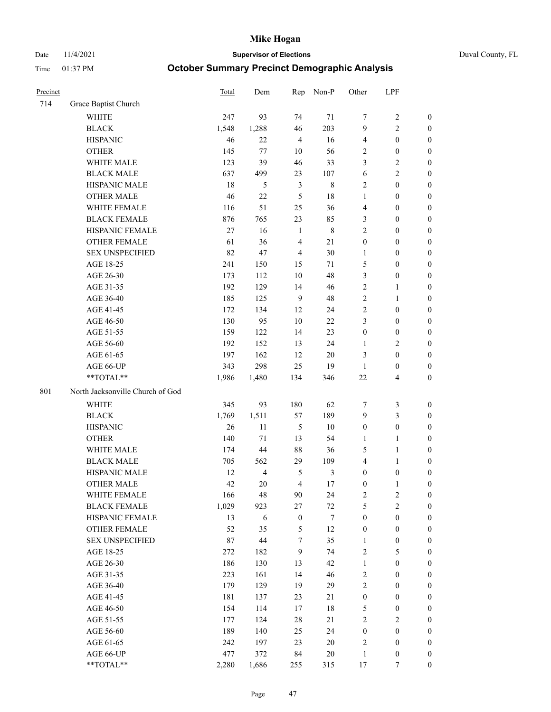Date 11/4/2021 **Supervisor of Elections** Duval County, FL

| Precinct |                                     | <b>Total</b> | Dem                           | Rep                   | Non-P                | Other                            | LPF                                |                     |
|----------|-------------------------------------|--------------|-------------------------------|-----------------------|----------------------|----------------------------------|------------------------------------|---------------------|
| 714      | Grace Baptist Church                |              |                               |                       |                      |                                  |                                    |                     |
|          | <b>WHITE</b>                        | 247          | 93                            | 74                    | 71                   | 7                                | $\sqrt{2}$                         | 0                   |
|          | <b>BLACK</b>                        | 1,548        | 1,288                         | 46                    | 203                  | 9                                | $\mathbf{2}$                       | $\boldsymbol{0}$    |
|          | <b>HISPANIC</b>                     | 46           | 22                            | $\overline{4}$        | 16                   | $\overline{4}$                   | $\boldsymbol{0}$                   | $\boldsymbol{0}$    |
|          | <b>OTHER</b>                        | 145          | 77                            | 10                    | 56                   | 2                                | $\boldsymbol{0}$                   | $\boldsymbol{0}$    |
|          | WHITE MALE                          | 123          | 39                            | 46                    | 33                   | 3                                | $\sqrt{2}$                         | $\boldsymbol{0}$    |
|          | <b>BLACK MALE</b>                   | 637          | 499                           | 23                    | 107                  | 6                                | $\sqrt{2}$                         | $\boldsymbol{0}$    |
|          | HISPANIC MALE                       | 18           | 5                             | $\mathfrak{Z}$        | $\,$ 8 $\,$          | 2                                | $\boldsymbol{0}$                   | $\boldsymbol{0}$    |
|          | <b>OTHER MALE</b>                   | 46           | 22                            | $\mathfrak{S}$        | 18                   | $\mathbf{1}$                     | $\boldsymbol{0}$                   | $\boldsymbol{0}$    |
|          | WHITE FEMALE                        | 116          | 51                            | 25                    | 36                   | 4                                | $\boldsymbol{0}$                   | $\boldsymbol{0}$    |
|          | <b>BLACK FEMALE</b>                 | 876          | 765                           | 23                    | 85                   | 3                                | $\boldsymbol{0}$                   | $\boldsymbol{0}$    |
|          | HISPANIC FEMALE                     | 27           | 16                            | $\mathbf{1}$          | $\,$ 8 $\,$          | $\overline{c}$                   | $\boldsymbol{0}$                   | 0                   |
|          | <b>OTHER FEMALE</b>                 | 61           | 36                            | $\overline{4}$        | 21                   | $\boldsymbol{0}$                 | $\boldsymbol{0}$                   | $\boldsymbol{0}$    |
|          | <b>SEX UNSPECIFIED</b>              | 82           | 47                            | $\overline{4}$        | 30                   | $\mathbf{1}$                     | $\boldsymbol{0}$                   | $\boldsymbol{0}$    |
|          | AGE 18-25                           | 241          | 150                           | 15                    | 71                   | 5                                | $\boldsymbol{0}$                   | $\boldsymbol{0}$    |
|          | AGE 26-30                           | 173          | 112                           | 10                    | 48                   | 3                                | $\boldsymbol{0}$                   | $\boldsymbol{0}$    |
|          | AGE 31-35                           | 192          | 129                           | 14                    | 46                   | $\sqrt{2}$                       | $\mathbf{1}$                       | $\boldsymbol{0}$    |
|          | AGE 36-40                           | 185          | 125                           | 9                     | 48                   | $\overline{c}$                   | $\mathbf{1}$                       | $\boldsymbol{0}$    |
|          | AGE 41-45                           | 172          | 134                           | 12                    | 24                   | 2                                | $\boldsymbol{0}$                   | $\boldsymbol{0}$    |
|          | AGE 46-50                           | 130          | 95                            | $10\,$                | 22                   | 3                                | $\boldsymbol{0}$                   | $\boldsymbol{0}$    |
|          | AGE 51-55                           | 159          | 122                           | 14                    | 23                   | $\boldsymbol{0}$                 | $\boldsymbol{0}$                   | $\boldsymbol{0}$    |
|          | AGE 56-60                           | 192          | 152                           | 13                    | 24                   | $\mathbf{1}$                     | $\sqrt{2}$                         | 0                   |
|          | AGE 61-65                           | 197          | 162                           | 12                    | 20                   | 3                                | $\boldsymbol{0}$                   | $\boldsymbol{0}$    |
|          | AGE 66-UP                           | 343          | 298                           | 25                    | 19                   | $\mathbf{1}$                     | $\boldsymbol{0}$                   | $\boldsymbol{0}$    |
|          | **TOTAL**                           | 1,986        | 1,480                         | 134                   | 346                  | $22\,$                           | $\overline{\mathbf{4}}$            | $\boldsymbol{0}$    |
| 801      | North Jacksonville Church of God    |              |                               |                       |                      |                                  |                                    |                     |
|          | <b>WHITE</b>                        | 345          | 93                            | 180                   | 62                   |                                  | $\mathfrak{Z}$                     |                     |
|          |                                     |              |                               |                       | 189                  | 7                                |                                    | $\boldsymbol{0}$    |
|          | <b>BLACK</b>                        | 1,769        | 1,511                         | 57                    |                      | 9                                | $\mathfrak{Z}$                     | $\boldsymbol{0}$    |
|          | <b>HISPANIC</b>                     | 26           | 11                            | $\mathfrak{S}$        | $10\,$               | $\boldsymbol{0}$                 | $\boldsymbol{0}$                   | $\boldsymbol{0}$    |
|          | <b>OTHER</b><br>WHITE MALE          | 140          | 71                            | 13                    | 54                   | $\mathbf{1}$                     | $\mathbf{1}$                       | $\boldsymbol{0}$    |
|          |                                     | 174          | $44\,$                        | 88                    | 36                   | 5                                | $\mathbf{1}$                       | $\boldsymbol{0}$    |
|          | <b>BLACK MALE</b>                   | 705          | 562                           | 29                    | 109                  | $\overline{\mathbf{4}}$          | $\mathbf{1}$                       | $\boldsymbol{0}$    |
|          | HISPANIC MALE<br>OTHER MALE         | 12<br>42     | $\overline{\mathbf{4}}$<br>20 | 5<br>$\overline{4}$   | $\mathfrak{Z}$<br>17 | $\boldsymbol{0}$                 | $\boldsymbol{0}$                   | 0                   |
|          |                                     |              |                               |                       |                      | $\boldsymbol{0}$                 | $\mathbf{1}$                       | $\boldsymbol{0}$    |
|          | WHITE FEMALE<br><b>BLACK FEMALE</b> | 166          | 48                            | 90<br>27              | 24                   | 2                                | 2<br>$\sqrt{2}$                    | 0<br>$\overline{0}$ |
|          | HISPANIC FEMALE                     | 1,029        | 923                           | $\boldsymbol{0}$      | 72<br>$\tau$         | 5<br>$\boldsymbol{0}$            | $\boldsymbol{0}$                   | $\overline{0}$      |
|          | OTHER FEMALE                        | 13<br>52     | 6<br>35                       |                       | 12                   |                                  | $\boldsymbol{0}$                   | $\overline{0}$      |
|          | <b>SEX UNSPECIFIED</b>              | $87\,$       | 44                            | 5<br>$\boldsymbol{7}$ | 35                   | $\boldsymbol{0}$<br>$\mathbf{1}$ | $\boldsymbol{0}$                   | 0                   |
|          | AGE 18-25                           | 272          | 182                           | $\mathbf{9}$          | 74                   | 2                                | $\mathfrak{S}$                     | $\theta$            |
|          | AGE 26-30                           | 186          | 130                           | 13                    | 42                   | $\mathbf{1}$                     | $\boldsymbol{0}$                   | 0                   |
|          | AGE 31-35                           | 223          | 161                           | 14                    | 46                   | 2                                | $\boldsymbol{0}$                   | 0                   |
|          | AGE 36-40                           | 179          | 129                           | 19                    | 29                   | 2                                | $\boldsymbol{0}$                   | 0                   |
|          | AGE 41-45                           | 181          | 137                           | 23                    | 21                   | $\boldsymbol{0}$                 | $\boldsymbol{0}$                   | 0                   |
|          | AGE 46-50                           | 154          |                               | 17                    | 18                   |                                  |                                    |                     |
|          | AGE 51-55                           | 177          | 114<br>124                    | 28                    | 21                   | 5<br>2                           | $\boldsymbol{0}$<br>$\overline{2}$ | 0<br>0              |
|          | AGE 56-60                           | 189          | 140                           | 25                    | 24                   | $\boldsymbol{0}$                 | $\boldsymbol{0}$                   | $\overline{0}$      |
|          | AGE 61-65                           | 242          | 197                           | 23                    | $20\,$               | 2                                | $\boldsymbol{0}$                   | $\overline{0}$      |
|          | AGE 66-UP                           | 477          | 372                           | 84                    | $20\,$               | $\mathbf{1}$                     | $\boldsymbol{0}$                   | 0                   |
|          | **TOTAL**                           | 2,280        | 1,686                         | 255                   | 315                  | 17                               | 7                                  | $\boldsymbol{0}$    |
|          |                                     |              |                               |                       |                      |                                  |                                    |                     |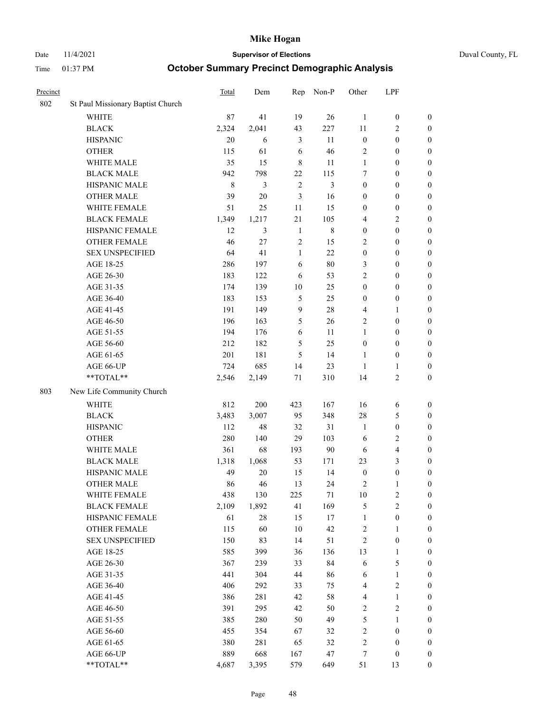Date 11/4/2021 **Supervisor of Elections** Duval County, FL

| Precinct |                                   | Total       | Dem    | Rep            | Non-P       | Other                   | LPF              |                  |
|----------|-----------------------------------|-------------|--------|----------------|-------------|-------------------------|------------------|------------------|
| 802      | St Paul Missionary Baptist Church |             |        |                |             |                         |                  |                  |
|          | <b>WHITE</b>                      | 87          | 41     | 19             | 26          | $\mathbf{1}$            | $\boldsymbol{0}$ | 0                |
|          | $\operatorname{BLACK}$            | 2,324       | 2,041  | 43             | 227         | 11                      | $\overline{c}$   | $\boldsymbol{0}$ |
|          | <b>HISPANIC</b>                   | 20          | 6      | 3              | 11          | $\boldsymbol{0}$        | $\boldsymbol{0}$ | $\boldsymbol{0}$ |
|          | <b>OTHER</b>                      | 115         | 61     | 6              | 46          | $\mathbf{2}$            | $\boldsymbol{0}$ | $\boldsymbol{0}$ |
|          | WHITE MALE                        | 35          | 15     | $\,8\,$        | 11          | $\mathbf{1}$            | $\boldsymbol{0}$ | $\boldsymbol{0}$ |
|          | <b>BLACK MALE</b>                 | 942         | 798    | 22             | 115         | 7                       | $\boldsymbol{0}$ | $\boldsymbol{0}$ |
|          | HISPANIC MALE                     | $\,$ 8 $\,$ | 3      | $\overline{2}$ | 3           | $\boldsymbol{0}$        | $\boldsymbol{0}$ | $\boldsymbol{0}$ |
|          | <b>OTHER MALE</b>                 | 39          | $20\,$ | $\mathfrak{Z}$ | 16          | $\boldsymbol{0}$        | $\boldsymbol{0}$ | $\boldsymbol{0}$ |
|          | WHITE FEMALE                      | 51          | 25     | 11             | 15          | $\boldsymbol{0}$        | $\boldsymbol{0}$ | $\boldsymbol{0}$ |
|          | <b>BLACK FEMALE</b>               | 1,349       | 1,217  | 21             | 105         | 4                       | $\sqrt{2}$       | $\boldsymbol{0}$ |
|          | HISPANIC FEMALE                   | 12          | 3      | $\mathbf{1}$   | $\,$ 8 $\,$ | $\boldsymbol{0}$        | $\boldsymbol{0}$ | $\boldsymbol{0}$ |
|          | <b>OTHER FEMALE</b>               | 46          | 27     | $\overline{2}$ | 15          | 2                       | $\boldsymbol{0}$ | $\boldsymbol{0}$ |
|          | <b>SEX UNSPECIFIED</b>            | 64          | 41     | $\mathbf{1}$   | 22          | $\boldsymbol{0}$        | $\boldsymbol{0}$ | $\boldsymbol{0}$ |
|          | AGE 18-25                         | 286         | 197    | 6              | 80          | 3                       | $\boldsymbol{0}$ | $\boldsymbol{0}$ |
|          | AGE 26-30                         | 183         | 122    | 6              | 53          | 2                       | $\boldsymbol{0}$ | $\boldsymbol{0}$ |
|          | AGE 31-35                         | 174         | 139    | 10             | 25          | $\boldsymbol{0}$        | $\boldsymbol{0}$ | $\boldsymbol{0}$ |
|          | AGE 36-40                         | 183         | 153    | 5              | 25          | $\boldsymbol{0}$        | $\boldsymbol{0}$ | $\boldsymbol{0}$ |
|          | AGE 41-45                         | 191         | 149    | $\overline{9}$ | $28\,$      | 4                       | $\mathbf{1}$     | $\boldsymbol{0}$ |
|          | AGE 46-50                         | 196         | 163    | 5              | 26          | 2                       | $\boldsymbol{0}$ | $\boldsymbol{0}$ |
|          | AGE 51-55                         | 194         | 176    | 6              | 11          | 1                       | $\boldsymbol{0}$ | $\boldsymbol{0}$ |
|          | AGE 56-60                         | 212         | 182    | 5              | 25          | $\boldsymbol{0}$        | $\boldsymbol{0}$ | 0                |
|          | AGE 61-65                         | 201         | 181    | 5              | 14          | 1                       | $\boldsymbol{0}$ | 0                |
|          | AGE 66-UP                         | 724         | 685    | 14             | 23          | $\mathbf{1}$            | $\mathbf{1}$     | $\boldsymbol{0}$ |
|          | **TOTAL**                         | 2,546       | 2,149  | 71             | 310         | 14                      | $\sqrt{2}$       | $\boldsymbol{0}$ |
| 803      | New Life Community Church         |             |        |                |             |                         |                  |                  |
|          |                                   |             |        |                |             |                         |                  |                  |
|          | <b>WHITE</b>                      | 812         | 200    | 423            | 167         | 16                      | 6                | $\boldsymbol{0}$ |
|          | <b>BLACK</b>                      | 3,483       | 3,007  | 95             | 348         | 28                      | $\mathfrak{S}$   | $\boldsymbol{0}$ |
|          | <b>HISPANIC</b>                   | 112         | 48     | 32             | 31          | $\mathbf{1}$            | $\boldsymbol{0}$ | $\boldsymbol{0}$ |
|          | <b>OTHER</b>                      | 280         | 140    | 29             | 103         | 6                       | $\sqrt{2}$       | $\boldsymbol{0}$ |
|          | WHITE MALE                        | 361         | 68     | 193            | 90          | 6                       | $\overline{4}$   | $\boldsymbol{0}$ |
|          | <b>BLACK MALE</b>                 | 1,318       | 1,068  | 53             | 171         | 23                      | 3                | $\boldsymbol{0}$ |
|          | HISPANIC MALE                     | 49          | $20\,$ | 15             | 14          | $\boldsymbol{0}$        | $\boldsymbol{0}$ | $\boldsymbol{0}$ |
|          | <b>OTHER MALE</b>                 | 86          | 46     | 13             | 24          | 2                       | $\mathbf{1}$     | $\boldsymbol{0}$ |
|          | WHITE FEMALE                      | 438         | 130    | 225            | 71          | 10                      | 2                | 0                |
|          | <b>BLACK FEMALE</b>               | 2,109       | 1,892  | 41             | 169         | 5                       | $\sqrt{2}$       | $\boldsymbol{0}$ |
|          | HISPANIC FEMALE                   | 61          | 28     | 15             | 17          | $\mathbf{1}$            | $\boldsymbol{0}$ | $\overline{0}$   |
|          | OTHER FEMALE                      | 115         | 60     | 10             | 42          | $\sqrt{2}$              | $\mathbf{1}$     | $\overline{0}$   |
|          | <b>SEX UNSPECIFIED</b>            | 150         | 83     | 14             | 51          | $\overline{c}$          | $\boldsymbol{0}$ | 0                |
|          | AGE 18-25                         | 585         | 399    | 36             | 136         | 13                      | $\mathbf{1}$     | 0                |
|          | AGE 26-30                         | 367         | 239    | 33             | 84          | 6                       | $\mathfrak{S}$   | 0                |
|          | AGE 31-35                         | 441         | 304    | 44             | 86          | 6                       | $\mathbf{1}$     | 0                |
|          | AGE 36-40                         | 406         | 292    | 33             | 75          | 4                       | $\sqrt{2}$       | 0                |
|          | AGE 41-45                         | 386         | 281    | 42             | 58          | $\overline{\mathbf{4}}$ | $\mathbf{1}$     | 0                |
|          | AGE 46-50                         | 391         | 295    | 42             | 50          | 2                       | $\sqrt{2}$       | 0                |
|          | AGE 51-55                         | 385         | 280    | 50             | 49          | 5                       | $\mathbf{1}$     | 0                |
|          | AGE 56-60                         | 455         | 354    | 67             | 32          | 2                       | $\boldsymbol{0}$ | 0                |
|          | AGE 61-65                         | 380         | 281    | 65             | 32          | 2                       | $\boldsymbol{0}$ | $\boldsymbol{0}$ |
|          | AGE 66-UP                         | 889         | 668    | 167            | 47          | 7                       | $\boldsymbol{0}$ | 0                |
|          | **TOTAL**                         | 4,687       | 3,395  | 579            | 649         | 51                      | 13               | $\boldsymbol{0}$ |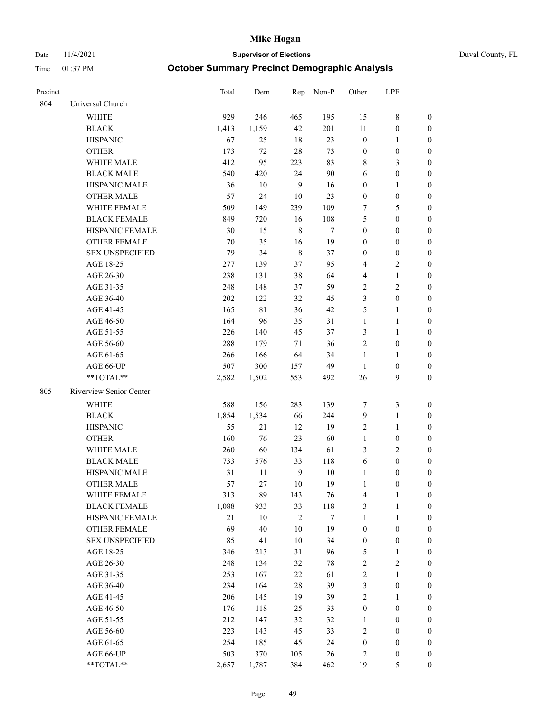Date 11/4/2021 **Supervisor of Elections** Duval County, FL

| Precinct |                         | <b>Total</b> | Dem         | Rep            | Non-P  | Other            | LPF              |                  |
|----------|-------------------------|--------------|-------------|----------------|--------|------------------|------------------|------------------|
| 804      | Universal Church        |              |             |                |        |                  |                  |                  |
|          | <b>WHITE</b>            | 929          | 246         | 465            | 195    | 15               | $\,$ 8 $\,$      | $\boldsymbol{0}$ |
|          | <b>BLACK</b>            | 1,413        | 1,159       | 42             | 201    | 11               | $\boldsymbol{0}$ | $\boldsymbol{0}$ |
|          | <b>HISPANIC</b>         | 67           | 25          | 18             | 23     | $\boldsymbol{0}$ | $\mathbf{1}$     | $\boldsymbol{0}$ |
|          | <b>OTHER</b>            | 173          | 72          | $28\,$         | 73     | $\boldsymbol{0}$ | $\boldsymbol{0}$ | $\boldsymbol{0}$ |
|          | WHITE MALE              | 412          | 95          | 223            | 83     | 8                | $\mathfrak{Z}$   | $\boldsymbol{0}$ |
|          | <b>BLACK MALE</b>       | 540          | 420         | 24             | 90     | 6                | $\boldsymbol{0}$ | $\boldsymbol{0}$ |
|          | <b>HISPANIC MALE</b>    | 36           | 10          | 9              | 16     | $\boldsymbol{0}$ | $\mathbf{1}$     | $\boldsymbol{0}$ |
|          | <b>OTHER MALE</b>       | 57           | 24          | 10             | 23     | $\boldsymbol{0}$ | $\boldsymbol{0}$ | $\boldsymbol{0}$ |
|          | WHITE FEMALE            | 509          | 149         | 239            | 109    | 7                | 5                | $\boldsymbol{0}$ |
|          | <b>BLACK FEMALE</b>     | 849          | 720         | 16             | 108    | 5                | $\boldsymbol{0}$ | 0                |
|          | HISPANIC FEMALE         | 30           | 15          | $\,8\,$        | 7      | $\boldsymbol{0}$ | $\boldsymbol{0}$ | 0                |
|          | <b>OTHER FEMALE</b>     | 70           | 35          | 16             | 19     | $\boldsymbol{0}$ | $\boldsymbol{0}$ | 0                |
|          | <b>SEX UNSPECIFIED</b>  | 79           | 34          | $\,$ 8 $\,$    | 37     | $\boldsymbol{0}$ | $\boldsymbol{0}$ | $\boldsymbol{0}$ |
|          | AGE 18-25               | 277          | 139         | 37             | 95     | 4                | $\sqrt{2}$       | $\boldsymbol{0}$ |
|          | AGE 26-30               | 238          | 131         | 38             | 64     | 4                | $\mathbf{1}$     | $\boldsymbol{0}$ |
|          | AGE 31-35               | 248          | 148         | 37             | 59     | $\overline{c}$   | $\sqrt{2}$       | $\boldsymbol{0}$ |
|          | AGE 36-40               | 202          | 122         | 32             | 45     | $\mathfrak{Z}$   | $\boldsymbol{0}$ | $\boldsymbol{0}$ |
|          | AGE 41-45               | 165          | $8\sqrt{1}$ | 36             | 42     | 5                | $\mathbf{1}$     | $\boldsymbol{0}$ |
|          | AGE 46-50               | 164          | 96          | 35             | 31     | $\mathbf{1}$     | $\mathbf{1}$     | $\boldsymbol{0}$ |
|          | AGE 51-55               | 226          | 140         | 45             | 37     | 3                | $\mathbf{1}$     | 0                |
|          | AGE 56-60               | 288          | 179         | 71             | 36     | $\overline{c}$   | $\boldsymbol{0}$ | 0                |
|          | AGE 61-65               | 266          | 166         | 64             | 34     | $\mathbf{1}$     | $\mathbf{1}$     | 0                |
|          | AGE 66-UP               | 507          | 300         | 157            | 49     | $\mathbf{1}$     | $\boldsymbol{0}$ | 0                |
|          | **TOTAL**               | 2,582        | 1,502       | 553            | 492    | 26               | 9                | $\boldsymbol{0}$ |
| 805      | Riverview Senior Center |              |             |                |        |                  |                  |                  |
|          | <b>WHITE</b>            | 588          | 156         | 283            | 139    | 7                | $\mathfrak{Z}$   | $\boldsymbol{0}$ |
|          | <b>BLACK</b>            | 1,854        | 1,534       | 66             | 244    | $\overline{9}$   | $\mathbf{1}$     | $\boldsymbol{0}$ |
|          | <b>HISPANIC</b>         | 55           | 21          | 12             | 19     | $\overline{c}$   | $\mathbf{1}$     | $\boldsymbol{0}$ |
|          | <b>OTHER</b>            | 160          | 76          | 23             | 60     | $\mathbf{1}$     | $\boldsymbol{0}$ | $\boldsymbol{0}$ |
|          | WHITE MALE              | 260          | 60          | 134            | 61     | 3                | $\overline{2}$   | $\boldsymbol{0}$ |
|          | <b>BLACK MALE</b>       | 733          | 576         | 33             | 118    | 6                | $\boldsymbol{0}$ | $\boldsymbol{0}$ |
|          | HISPANIC MALE           | 31           | 11          | $\overline{9}$ | 10     | $\mathbf{1}$     | $\boldsymbol{0}$ | 0                |
|          | <b>OTHER MALE</b>       | 57           | 27          | 10             | 19     | $\mathbf{1}$     | $\boldsymbol{0}$ | 0                |
|          | WHITE FEMALE            | 313          | 89          | 143            | 76     | 4                | 1                | 0                |
|          | <b>BLACK FEMALE</b>     | 1,088        | 933         | 33             | 118    | 3                | $\mathbf{1}$     | $\boldsymbol{0}$ |
|          | HISPANIC FEMALE         | 21           | $10\,$      | $\sqrt{2}$     | $\tau$ | $\mathbf{1}$     | $\mathbf{1}$     | $\overline{0}$   |
|          | OTHER FEMALE            | 69           | 40          | $10\,$         | 19     | $\boldsymbol{0}$ | $\boldsymbol{0}$ | $\overline{0}$   |
|          | <b>SEX UNSPECIFIED</b>  | 85           | 41          | $10\,$         | 34     | $\boldsymbol{0}$ | $\boldsymbol{0}$ | 0                |
|          | AGE 18-25               | 346          | 213         | 31             | 96     | 5                | $\mathbf{1}$     | 0                |
|          | AGE 26-30               | 248          | 134         | 32             | 78     | $\sqrt{2}$       | $\mathbf{2}$     | 0                |
|          | AGE 31-35               | 253          | 167         | $22\,$         | 61     | $\sqrt{2}$       | $\mathbf{1}$     | 0                |
|          | AGE 36-40               | 234          | 164         | $28\,$         | 39     | 3                | $\boldsymbol{0}$ | 0                |
|          | AGE 41-45               | 206          | 145         | 19             | 39     | $\sqrt{2}$       | $\mathbf{1}$     | 0                |
|          | AGE 46-50               | 176          | 118         | 25             | 33     | $\boldsymbol{0}$ | $\boldsymbol{0}$ | 0                |
|          | AGE 51-55               | 212          | 147         | 32             | 32     | $\mathbf{1}$     | $\boldsymbol{0}$ | 0                |
|          | AGE 56-60               | 223          | 143         | 45             | 33     | $\overline{c}$   | $\boldsymbol{0}$ | $\boldsymbol{0}$ |
|          | AGE 61-65               | 254          | 185         | 45             | 24     | $\boldsymbol{0}$ | $\boldsymbol{0}$ | $\boldsymbol{0}$ |
|          | AGE 66-UP               | 503          | 370         | 105            | 26     | 2                | $\boldsymbol{0}$ | 0                |
|          | **TOTAL**               | 2,657        | 1,787       | 384            | 462    | 19               | 5                | $\boldsymbol{0}$ |
|          |                         |              |             |                |        |                  |                  |                  |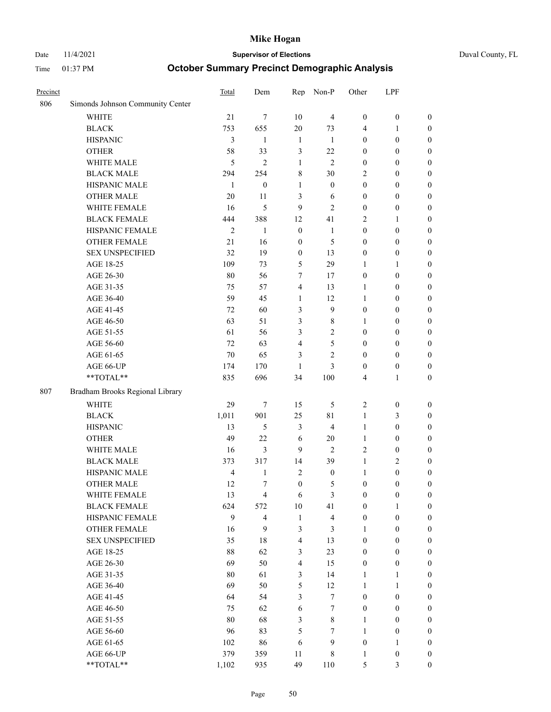#### Date 11/4/2021 **Supervisor of Elections** Duval County, FL

| Precinct |                                  | Total          | Dem                      | Rep                     | Non-P                   | Other            | LPF              |                  |
|----------|----------------------------------|----------------|--------------------------|-------------------------|-------------------------|------------------|------------------|------------------|
| 806      | Simonds Johnson Community Center |                |                          |                         |                         |                  |                  |                  |
|          | <b>WHITE</b>                     | 21             | $\tau$                   | 10                      | $\overline{4}$          | $\boldsymbol{0}$ | $\boldsymbol{0}$ | $\boldsymbol{0}$ |
|          | <b>BLACK</b>                     | 753            | 655                      | 20                      | 73                      | 4                | $\mathbf{1}$     | $\boldsymbol{0}$ |
|          | <b>HISPANIC</b>                  | 3              | $\mathbf{1}$             | $\mathbf{1}$            | $\mathbf{1}$            | $\boldsymbol{0}$ | $\boldsymbol{0}$ | $\boldsymbol{0}$ |
|          | <b>OTHER</b>                     | 58             | 33                       | 3                       | $22\,$                  | $\boldsymbol{0}$ | $\boldsymbol{0}$ | $\boldsymbol{0}$ |
|          | WHITE MALE                       | 5              | $\overline{c}$           | $\mathbf{1}$            | $\overline{2}$          | $\boldsymbol{0}$ | $\boldsymbol{0}$ | $\boldsymbol{0}$ |
|          | <b>BLACK MALE</b>                | 294            | 254                      | 8                       | $30\,$                  | 2                | $\boldsymbol{0}$ | $\boldsymbol{0}$ |
|          | HISPANIC MALE                    | $\mathbf{1}$   | $\boldsymbol{0}$         | $\mathbf{1}$            | $\boldsymbol{0}$        | $\boldsymbol{0}$ | $\boldsymbol{0}$ | $\boldsymbol{0}$ |
|          | OTHER MALE                       | 20             | 11                       | 3                       | 6                       | $\boldsymbol{0}$ | $\boldsymbol{0}$ | $\boldsymbol{0}$ |
|          | WHITE FEMALE                     | 16             | 5                        | 9                       | $\mathbf{2}$            | $\boldsymbol{0}$ | $\boldsymbol{0}$ | $\boldsymbol{0}$ |
|          | <b>BLACK FEMALE</b>              | 444            | 388                      | 12                      | 41                      | 2                | $\mathbf{1}$     | 0                |
|          | HISPANIC FEMALE                  | $\mathfrak{2}$ | $\mathbf{1}$             | $\boldsymbol{0}$        | $\mathbf{1}$            | $\boldsymbol{0}$ | $\boldsymbol{0}$ | $\boldsymbol{0}$ |
|          | <b>OTHER FEMALE</b>              | 21             | 16                       | $\boldsymbol{0}$        | 5                       | $\boldsymbol{0}$ | $\boldsymbol{0}$ | $\boldsymbol{0}$ |
|          | <b>SEX UNSPECIFIED</b>           | 32             | 19                       | $\boldsymbol{0}$        | 13                      | $\boldsymbol{0}$ | $\boldsymbol{0}$ | $\boldsymbol{0}$ |
|          | AGE 18-25                        | 109            | 73                       | 5                       | 29                      | 1                | $\mathbf{1}$     | $\boldsymbol{0}$ |
|          | AGE 26-30                        | 80             | 56                       | 7                       | 17                      | $\boldsymbol{0}$ | $\boldsymbol{0}$ | $\boldsymbol{0}$ |
|          | AGE 31-35                        | 75             | 57                       | $\overline{4}$          | 13                      | $\mathbf{1}$     | $\boldsymbol{0}$ | $\boldsymbol{0}$ |
|          | AGE 36-40                        | 59             | 45                       | $\mathbf{1}$            | 12                      | $\mathbf{1}$     | $\boldsymbol{0}$ | $\boldsymbol{0}$ |
|          | AGE 41-45                        | 72             | 60                       | 3                       | $\mathbf{9}$            | $\boldsymbol{0}$ | $\boldsymbol{0}$ | $\boldsymbol{0}$ |
|          | AGE 46-50                        | 63             | 51                       | $\mathfrak{Z}$          | $\,$ 8 $\,$             | 1                | $\boldsymbol{0}$ | $\boldsymbol{0}$ |
|          | AGE 51-55                        | 61             | 56                       | 3                       | $\sqrt{2}$              | $\boldsymbol{0}$ | $\boldsymbol{0}$ | 0                |
|          | AGE 56-60                        | 72             | 63                       | $\overline{4}$          | $\mathfrak{S}$          | $\boldsymbol{0}$ | $\boldsymbol{0}$ | $\boldsymbol{0}$ |
|          | AGE 61-65                        | 70             | 65                       | 3                       | $\mathfrak{2}$          | $\boldsymbol{0}$ | $\boldsymbol{0}$ | $\boldsymbol{0}$ |
|          | AGE 66-UP                        | 174            | 170                      | 1                       | 3                       | $\boldsymbol{0}$ | $\boldsymbol{0}$ | $\boldsymbol{0}$ |
|          | **TOTAL**                        | 835            | 696                      | 34                      | 100                     | 4                | $\mathbf{1}$     | $\boldsymbol{0}$ |
| 807      | Bradham Brooks Regional Library  |                |                          |                         |                         |                  |                  |                  |
|          | <b>WHITE</b>                     | 29             | $\tau$                   | 15                      | 5                       | $\sqrt{2}$       | $\boldsymbol{0}$ | $\boldsymbol{0}$ |
|          | <b>BLACK</b>                     | 1,011          | 901                      | 25                      | 81                      | $\mathbf{1}$     | $\mathfrak{Z}$   | $\boldsymbol{0}$ |
|          | <b>HISPANIC</b>                  | 13             | 5                        | $\mathfrak{Z}$          | $\overline{4}$          | $\mathbf{1}$     | $\boldsymbol{0}$ | $\boldsymbol{0}$ |
|          | <b>OTHER</b>                     | 49             | 22                       | 6                       | $20\,$                  | $\mathbf{1}$     | $\boldsymbol{0}$ | $\boldsymbol{0}$ |
|          | WHITE MALE                       | 16             | 3                        | 9                       | $\overline{2}$          | 2                | $\boldsymbol{0}$ | $\boldsymbol{0}$ |
|          | <b>BLACK MALE</b>                | 373            | 317                      | 14                      | 39                      | $\mathbf{1}$     | $\sqrt{2}$       | $\boldsymbol{0}$ |
|          | HISPANIC MALE                    | $\overline{4}$ | $\mathbf{1}$             | $\sqrt{2}$              | $\boldsymbol{0}$        | $\mathbf{1}$     | $\boldsymbol{0}$ | 0                |
|          | OTHER MALE                       | 12             | $\boldsymbol{7}$         | $\boldsymbol{0}$        | 5                       | $\boldsymbol{0}$ | $\boldsymbol{0}$ | $\boldsymbol{0}$ |
|          | WHITE FEMALE                     | 13             | $\overline{\mathbf{4}}$  | 6                       | 3                       | $\boldsymbol{0}$ | $\boldsymbol{0}$ | $\boldsymbol{0}$ |
|          | <b>BLACK FEMALE</b>              | 624            | 572                      | 10                      | 41                      | $\boldsymbol{0}$ | $\mathbf{1}$     | $\overline{0}$   |
|          | HISPANIC FEMALE                  | 9              | $\overline{\mathcal{L}}$ | $\mathbf{1}$            | $\overline{\mathbf{4}}$ | $\boldsymbol{0}$ | $\boldsymbol{0}$ | $\overline{0}$   |
|          | <b>OTHER FEMALE</b>              | 16             | 9                        | 3                       | $\mathfrak{Z}$          | $\mathbf{1}$     | $\boldsymbol{0}$ | $\overline{0}$   |
|          | <b>SEX UNSPECIFIED</b>           | 35             | $18\,$                   | $\overline{4}$          | 13                      | $\boldsymbol{0}$ | $\boldsymbol{0}$ | $\overline{0}$   |
|          | AGE 18-25                        | 88             | 62                       | $\mathfrak{Z}$          | 23                      | $\boldsymbol{0}$ | $\boldsymbol{0}$ | $\overline{0}$   |
|          | AGE 26-30                        | 69             | 50                       | $\overline{\mathbf{4}}$ | 15                      | $\boldsymbol{0}$ | $\boldsymbol{0}$ | 0                |
|          | AGE 31-35                        | 80             | 61                       | 3                       | 14                      | $\mathbf{1}$     | $\mathbf{1}$     | 0                |
|          | AGE 36-40                        | 69             | 50                       | $\mathfrak{S}$          | 12                      | $\mathbf{1}$     | $\mathbf{1}$     | 0                |
|          | AGE 41-45                        | 64             | 54                       | $\mathfrak{Z}$          | $\boldsymbol{7}$        | $\boldsymbol{0}$ | $\boldsymbol{0}$ | 0                |
|          | AGE 46-50                        | 75             | 62                       | 6                       | $\tau$                  | $\boldsymbol{0}$ | $\boldsymbol{0}$ | $\boldsymbol{0}$ |
|          | AGE 51-55                        | 80             | 68                       | 3                       | $\,$ 8 $\,$             | $\mathbf{1}$     | $\boldsymbol{0}$ | $\boldsymbol{0}$ |
|          | AGE 56-60                        | 96             | 83                       | 5                       | 7                       | $\mathbf{1}$     | $\boldsymbol{0}$ | $\overline{0}$   |
|          | AGE 61-65                        | 102            | 86                       | 6                       | $\mathbf{9}$            | $\boldsymbol{0}$ | $\mathbf{1}$     | $\boldsymbol{0}$ |
|          | AGE 66-UP                        | 379            | 359                      | 11                      | 8                       | $\mathbf{1}$     | $\boldsymbol{0}$ | $\boldsymbol{0}$ |
|          | **TOTAL**                        | 1,102          | 935                      | 49                      | 110                     | 5                | $\mathfrak{Z}$   | $\boldsymbol{0}$ |
|          |                                  |                |                          |                         |                         |                  |                  |                  |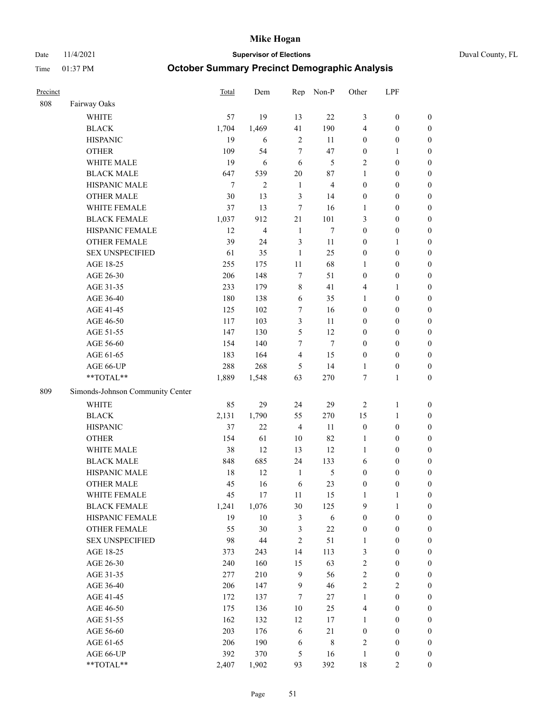Date 11/4/2021 **Supervisor of Elections** Duval County, FL

| Precinct |                                        | Total      | Dem            | Rep                  | Non-P          | Other                        | LPF                            |                  |
|----------|----------------------------------------|------------|----------------|----------------------|----------------|------------------------------|--------------------------------|------------------|
| 808      | Fairway Oaks                           |            |                |                      |                |                              |                                |                  |
|          | <b>WHITE</b>                           | 57         | 19             | 13                   | 22             | 3                            | $\boldsymbol{0}$               | $\boldsymbol{0}$ |
|          | <b>BLACK</b>                           | 1,704      | 1,469          | 41                   | 190            | 4                            | $\boldsymbol{0}$               | $\boldsymbol{0}$ |
|          | <b>HISPANIC</b>                        | 19         | 6              | $\overline{2}$       | 11             | $\boldsymbol{0}$             | $\boldsymbol{0}$               | $\boldsymbol{0}$ |
|          | <b>OTHER</b>                           | 109        | 54             | 7                    | 47             | $\boldsymbol{0}$             | $\mathbf{1}$                   | $\boldsymbol{0}$ |
|          | WHITE MALE                             | 19         | 6              | 6                    | 5              | $\overline{c}$               | $\boldsymbol{0}$               | $\boldsymbol{0}$ |
|          | <b>BLACK MALE</b>                      | 647        | 539            | 20                   | 87             | $\mathbf{1}$                 | $\boldsymbol{0}$               | $\boldsymbol{0}$ |
|          | HISPANIC MALE                          | $\tau$     | $\overline{c}$ | $\mathbf{1}$         | $\overline{4}$ | $\boldsymbol{0}$             | $\boldsymbol{0}$               | $\boldsymbol{0}$ |
|          | <b>OTHER MALE</b>                      | 30         | 13             | 3                    | 14             | $\boldsymbol{0}$             | $\boldsymbol{0}$               | $\boldsymbol{0}$ |
|          | WHITE FEMALE                           | 37         | 13             | $\tau$               | 16             | 1                            | $\boldsymbol{0}$               | $\boldsymbol{0}$ |
|          | <b>BLACK FEMALE</b>                    | 1,037      | 912            | $21\,$               | 101            | 3                            | $\boldsymbol{0}$               | $\boldsymbol{0}$ |
|          | HISPANIC FEMALE                        | 12         | 4              | $\mathbf{1}$         | $\tau$         | $\boldsymbol{0}$             | $\boldsymbol{0}$               | $\boldsymbol{0}$ |
|          | <b>OTHER FEMALE</b>                    | 39         | 24             | $\mathfrak{Z}$       | 11             | $\boldsymbol{0}$             | $\mathbf{1}$                   | $\boldsymbol{0}$ |
|          | <b>SEX UNSPECIFIED</b>                 | 61         | 35             | $\mathbf{1}$         | 25             | $\boldsymbol{0}$             | $\boldsymbol{0}$               | $\boldsymbol{0}$ |
|          | AGE 18-25                              | 255        | 175            | $11\,$               | 68             | 1                            | $\boldsymbol{0}$               | $\boldsymbol{0}$ |
|          | AGE 26-30                              | 206        | 148            | 7                    | 51             | $\boldsymbol{0}$             | $\boldsymbol{0}$               | $\boldsymbol{0}$ |
|          | AGE 31-35                              | 233        | 179            | $\,8\,$              | 41             | 4                            | $\mathbf{1}$                   | $\boldsymbol{0}$ |
|          | AGE 36-40                              | 180        | 138            | 6                    | 35             | $\mathbf{1}$                 | $\boldsymbol{0}$               | $\boldsymbol{0}$ |
|          | AGE 41-45                              | 125        | 102            | $\tau$               | 16             | $\boldsymbol{0}$             | $\boldsymbol{0}$               | $\boldsymbol{0}$ |
|          | AGE 46-50                              | 117        | 103            | $\mathfrak{Z}$       | 11             | $\boldsymbol{0}$             | $\boldsymbol{0}$               | $\boldsymbol{0}$ |
|          | AGE 51-55                              | 147        | 130            | 5                    | 12             | $\boldsymbol{0}$             | $\boldsymbol{0}$               | $\boldsymbol{0}$ |
|          | AGE 56-60                              | 154        | 140            | $\tau$               | $\tau$         | $\boldsymbol{0}$             | $\boldsymbol{0}$               | 0                |
|          | AGE 61-65                              | 183        | 164            | $\overline{4}$       | 15             | $\boldsymbol{0}$             | $\boldsymbol{0}$               | $\boldsymbol{0}$ |
|          | AGE 66-UP                              | 288        | 268            | 5                    | 14             | $\mathbf{1}$                 | $\boldsymbol{0}$               | $\boldsymbol{0}$ |
|          | **TOTAL**                              | 1,889      | 1,548          | 63                   | 270            | 7                            | $\mathbf{1}$                   | $\boldsymbol{0}$ |
| 809      | Simonds-Johnson Community Center       |            |                |                      |                |                              |                                |                  |
|          |                                        |            |                |                      |                |                              |                                |                  |
|          | <b>WHITE</b>                           | 85         | 29             | 24                   | 29             | $\overline{2}$               | $\mathbf{1}$                   | $\boldsymbol{0}$ |
|          | <b>BLACK</b>                           | 2,131      | 1,790          | 55                   | 270            | 15                           | $\mathbf{1}$                   | $\boldsymbol{0}$ |
|          | <b>HISPANIC</b>                        | 37         | 22             | $\overline{4}$       | 11             | $\boldsymbol{0}$             | $\boldsymbol{0}$               | $\boldsymbol{0}$ |
|          | <b>OTHER</b>                           | 154        | 61             | 10                   | 82             | $\mathbf{1}$                 | $\boldsymbol{0}$               | $\boldsymbol{0}$ |
|          | WHITE MALE                             | 38         | 12             | 13                   | 12             | $\mathbf{1}$                 | $\boldsymbol{0}$               | $\boldsymbol{0}$ |
|          | <b>BLACK MALE</b>                      | 848        | 685            | 24                   | 133            | 6                            | $\boldsymbol{0}$               | $\boldsymbol{0}$ |
|          | HISPANIC MALE<br><b>OTHER MALE</b>     | 18         | 12             | $\mathbf{1}$         | 5              | $\boldsymbol{0}$             | $\boldsymbol{0}$               | $\boldsymbol{0}$ |
|          |                                        | 45         | 16             | 6                    | 23             | $\boldsymbol{0}$             | $\boldsymbol{0}$               | $\boldsymbol{0}$ |
|          | WHITE FEMALE                           | 45         | 17             | 11                   | 15             | 1                            | 1                              | 0                |
|          | <b>BLACK FEMALE</b>                    | 1,241      | 1,076          | 30                   | 125            | 9                            | $\mathbf{1}$                   | $\boldsymbol{0}$ |
|          | HISPANIC FEMALE                        | 19         | $10\,$         | $\mathfrak{Z}$       | $\sqrt{6}$     | $\boldsymbol{0}$             | $\boldsymbol{0}$               | $\overline{0}$   |
|          | OTHER FEMALE<br><b>SEX UNSPECIFIED</b> | 55         | 30             | $\mathfrak{Z}$       | 22             | $\boldsymbol{0}$             | $\boldsymbol{0}$               | $\overline{0}$   |
|          |                                        | 98         | 44             | $\mathbf{2}$         | 51             | $\mathbf{1}$                 | $\boldsymbol{0}$               | $\overline{0}$   |
|          | AGE 18-25                              | 373        | 243            | 14                   | 113            | 3                            | $\boldsymbol{0}$               | $\overline{0}$   |
|          | AGE 26-30                              | 240<br>277 | 160<br>210     | 15<br>$\overline{9}$ | 63<br>56       | $\sqrt{2}$<br>$\overline{c}$ | $\boldsymbol{0}$               | $\overline{0}$   |
|          | AGE 31-35                              |            |                |                      |                | $\sqrt{2}$                   | $\boldsymbol{0}$               | 0                |
|          | AGE 36-40                              | 206<br>172 | 147            | 9<br>7               | 46<br>27       | $\mathbf{1}$                 | $\sqrt{2}$<br>$\boldsymbol{0}$ | 0                |
|          | AGE 41-45                              |            | 137            |                      |                |                              |                                | 0                |
|          | AGE 46-50                              | 175        | 136            | 10                   | 25             | $\overline{4}$               | $\boldsymbol{0}$               | 0                |
|          | AGE 51-55                              | 162<br>203 | 132<br>176     | 12                   | 17             | $\mathbf{1}$                 | $\boldsymbol{0}$               | $\boldsymbol{0}$ |
|          | AGE 56-60                              |            |                | 6                    | 21             | $\boldsymbol{0}$             | $\boldsymbol{0}$               | $\boldsymbol{0}$ |
|          | AGE 61-65                              | 206        | 190            | 6                    | $\,$ 8 $\,$    | 2                            | $\boldsymbol{0}$               | $\boldsymbol{0}$ |
|          | AGE 66-UP                              | 392        | 370            | 5                    | 16             | $\mathbf{1}$                 | $\boldsymbol{0}$               | $\boldsymbol{0}$ |
|          | **TOTAL**                              | 2,407      | 1,902          | 93                   | 392            | $18\,$                       | $\mathbf{2}$                   | $\boldsymbol{0}$ |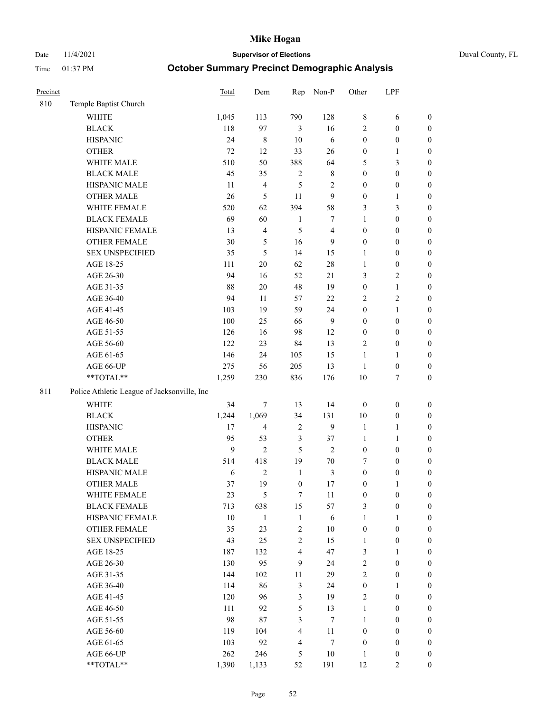Date 11/4/2021 **Supervisor of Elections** Duval County, FL

| Precinct |                                             | <b>Total</b> | Dem                     | Rep              | Non-P                   | Other            | LPF              |                  |
|----------|---------------------------------------------|--------------|-------------------------|------------------|-------------------------|------------------|------------------|------------------|
| 810      | Temple Baptist Church                       |              |                         |                  |                         |                  |                  |                  |
|          | <b>WHITE</b>                                | 1,045        | 113                     | 790              | 128                     | 8                | 6                | 0                |
|          | <b>BLACK</b>                                | 118          | 97                      | 3                | 16                      | 2                | $\boldsymbol{0}$ | $\boldsymbol{0}$ |
|          | <b>HISPANIC</b>                             | 24           | $\,$ 8 $\,$             | 10               | 6                       | $\boldsymbol{0}$ | $\boldsymbol{0}$ | $\boldsymbol{0}$ |
|          | <b>OTHER</b>                                | 72           | 12                      | 33               | 26                      | $\boldsymbol{0}$ | 1                | $\boldsymbol{0}$ |
|          | WHITE MALE                                  | 510          | 50                      | 388              | 64                      | 5                | $\mathfrak{Z}$   | $\boldsymbol{0}$ |
|          | <b>BLACK MALE</b>                           | 45           | 35                      | $\sqrt{2}$       | $\,$ 8 $\,$             | $\boldsymbol{0}$ | $\boldsymbol{0}$ | $\boldsymbol{0}$ |
|          | HISPANIC MALE                               | 11           | $\overline{\mathbf{4}}$ | 5                | $\sqrt{2}$              | $\boldsymbol{0}$ | $\boldsymbol{0}$ | $\boldsymbol{0}$ |
|          | OTHER MALE                                  | 26           | $\mathfrak s$           | 11               | 9                       | $\boldsymbol{0}$ | $\mathbf{1}$     | $\boldsymbol{0}$ |
|          | WHITE FEMALE                                | 520          | 62                      | 394              | 58                      | 3                | $\mathfrak{Z}$   | $\boldsymbol{0}$ |
|          | <b>BLACK FEMALE</b>                         | 69           | 60                      | $\mathbf{1}$     | 7                       | $\mathbf{1}$     | $\boldsymbol{0}$ | $\boldsymbol{0}$ |
|          | HISPANIC FEMALE                             | 13           | $\overline{\mathbf{4}}$ | 5                | $\overline{\mathbf{4}}$ | $\boldsymbol{0}$ | $\boldsymbol{0}$ | 0                |
|          | <b>OTHER FEMALE</b>                         | 30           | 5                       | 16               | 9                       | $\boldsymbol{0}$ | $\boldsymbol{0}$ | $\boldsymbol{0}$ |
|          | <b>SEX UNSPECIFIED</b>                      | 35           | 5                       | 14               | 15                      | $\mathbf{1}$     | $\boldsymbol{0}$ | $\boldsymbol{0}$ |
|          | AGE 18-25                                   | 111          | $20\,$                  | 62               | $28\,$                  | $\mathbf{1}$     | $\boldsymbol{0}$ | $\boldsymbol{0}$ |
|          | AGE 26-30                                   | 94           | 16                      | 52               | 21                      | 3                | $\sqrt{2}$       | $\boldsymbol{0}$ |
|          | AGE 31-35                                   | 88           | $20\,$                  | 48               | 19                      | $\boldsymbol{0}$ | $\mathbf{1}$     | $\boldsymbol{0}$ |
|          | AGE 36-40                                   | 94           | 11                      | 57               | 22                      | 2                | $\sqrt{2}$       | $\boldsymbol{0}$ |
|          | AGE 41-45                                   | 103          | 19                      | 59               | 24                      | $\boldsymbol{0}$ | $\mathbf{1}$     | $\boldsymbol{0}$ |
|          | AGE 46-50                                   | 100          | 25                      | 66               | $\mathbf{9}$            | $\boldsymbol{0}$ | $\boldsymbol{0}$ | $\boldsymbol{0}$ |
|          | AGE 51-55                                   | 126          | 16                      | 98               | 12                      | $\boldsymbol{0}$ | $\boldsymbol{0}$ | $\boldsymbol{0}$ |
|          | AGE 56-60                                   | 122          | 23                      | 84               | 13                      | $\mathfrak{2}$   | $\boldsymbol{0}$ | 0                |
|          | AGE 61-65                                   | 146          | 24                      | 105              | 15                      | $\mathbf{1}$     | $\mathbf{1}$     | 0                |
|          | AGE 66-UP                                   | 275          | 56                      | 205              | 13                      | $\mathbf{1}$     | $\boldsymbol{0}$ | $\boldsymbol{0}$ |
|          | **TOTAL**                                   | 1,259        | 230                     | 836              | 176                     | 10               | $\boldsymbol{7}$ | $\boldsymbol{0}$ |
| 811      | Police Athletic League of Jacksonville, Inc |              |                         |                  |                         |                  |                  |                  |
|          | WHITE                                       | 34           | $\boldsymbol{7}$        | 13               | 14                      | $\boldsymbol{0}$ | $\boldsymbol{0}$ | $\boldsymbol{0}$ |
|          | <b>BLACK</b>                                | 1,244        | 1,069                   | 34               | 131                     | 10               | $\boldsymbol{0}$ | $\boldsymbol{0}$ |
|          | <b>HISPANIC</b>                             | 17           | $\overline{\mathbf{4}}$ | $\sqrt{2}$       | 9                       | $\mathbf{1}$     | $\mathbf{1}$     | $\boldsymbol{0}$ |
|          | <b>OTHER</b>                                | 95           | 53                      | 3                | 37                      | $\mathbf{1}$     | $\mathbf{1}$     | $\boldsymbol{0}$ |
|          | WHITE MALE                                  | 9            | $\overline{c}$          | 5                | $\overline{2}$          | $\boldsymbol{0}$ | $\boldsymbol{0}$ | $\boldsymbol{0}$ |
|          | <b>BLACK MALE</b>                           | 514          | 418                     | 19               | $70\,$                  | 7                | $\boldsymbol{0}$ | $\boldsymbol{0}$ |
|          | HISPANIC MALE                               | 6            | $\sqrt{2}$              | $\mathbf{1}$     | $\mathfrak{Z}$          | $\boldsymbol{0}$ | $\boldsymbol{0}$ | $\boldsymbol{0}$ |
|          | OTHER MALE                                  | 37           | 19                      | $\boldsymbol{0}$ | 17                      | $\boldsymbol{0}$ | $\mathbf{1}$     | $\boldsymbol{0}$ |
|          | WHITE FEMALE                                | 23           | 5                       | 7                | 11                      | $\boldsymbol{0}$ | $\boldsymbol{0}$ | 0                |
|          | <b>BLACK FEMALE</b>                         | 713          | 638                     | 15               | 57                      | 3                | $\boldsymbol{0}$ | $\overline{0}$   |
|          | HISPANIC FEMALE                             | 10           | $\mathbf{1}$            | $\mathbf{1}$     | $\sqrt{6}$              | $\mathbf{1}$     | $\mathbf{1}$     | $\overline{0}$   |
|          | OTHER FEMALE                                | 35           | 23                      | $\sqrt{2}$       | $10\,$                  | $\boldsymbol{0}$ | $\boldsymbol{0}$ | $\overline{0}$   |
|          | <b>SEX UNSPECIFIED</b>                      | 43           | 25                      | $\mathbf{2}$     | 15                      | $\mathbf{1}$     | $\boldsymbol{0}$ | 0                |
|          | AGE 18-25                                   | 187          | 132                     | 4                | 47                      | 3                | $\mathbf{1}$     | $\overline{0}$   |
|          | AGE 26-30                                   | 130          | 95                      | 9                | 24                      | 2                | $\boldsymbol{0}$ | 0                |
|          | AGE 31-35                                   | 144          | 102                     | 11               | 29                      | $\overline{c}$   | $\boldsymbol{0}$ | 0                |
|          | AGE 36-40                                   | 114          | 86                      | $\mathfrak{Z}$   | 24                      | $\boldsymbol{0}$ | $\mathbf{1}$     | 0                |
|          | AGE 41-45                                   | 120          | 96                      | 3                | 19                      | 2                | $\boldsymbol{0}$ | 0                |
|          | AGE 46-50                                   | 111          | 92                      | $\mathfrak s$    | 13                      | $\mathbf{1}$     | $\boldsymbol{0}$ | 0                |
|          | AGE 51-55                                   | 98           | 87                      | 3                | $\tau$                  | $\mathbf{1}$     | $\boldsymbol{0}$ | $\boldsymbol{0}$ |
|          | AGE 56-60                                   | 119          | 104                     | $\overline{4}$   | 11                      | $\boldsymbol{0}$ | $\boldsymbol{0}$ | $\boldsymbol{0}$ |
|          | AGE 61-65                                   | 103          | 92                      | 4                | 7                       | $\boldsymbol{0}$ | $\boldsymbol{0}$ | $\overline{0}$   |
|          | AGE 66-UP                                   | 262          | 246                     | 5                | $10\,$                  | $\mathbf{1}$     | $\boldsymbol{0}$ | 0                |
|          | **TOTAL**                                   | 1,390        | 1,133                   | 52               | 191                     | 12               | $\overline{2}$   | $\boldsymbol{0}$ |
|          |                                             |              |                         |                  |                         |                  |                  |                  |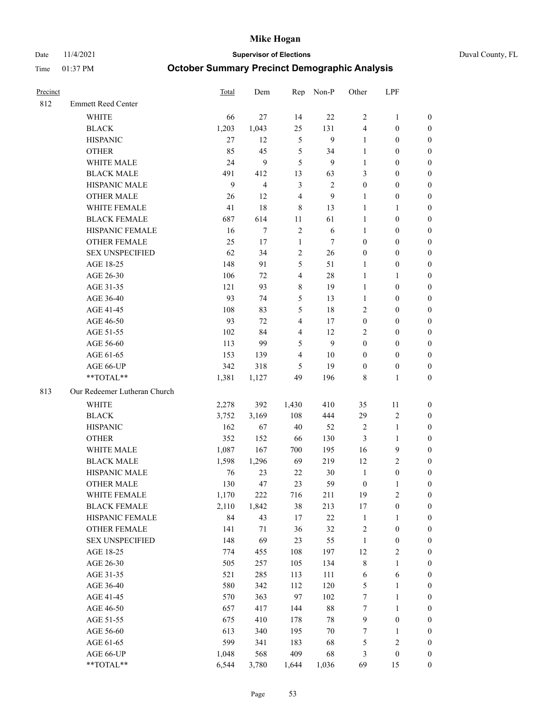Date 11/4/2021 **Supervisor of Elections** Duval County, FL

| Precinct |                              | Total | Dem            | Rep            | Non-P        | Other            | LPF              |                  |
|----------|------------------------------|-------|----------------|----------------|--------------|------------------|------------------|------------------|
| 812      | <b>Emmett Reed Center</b>    |       |                |                |              |                  |                  |                  |
|          | <b>WHITE</b>                 | 66    | 27             | 14             | 22           | $\overline{2}$   | $\mathbf{1}$     | 0                |
|          | <b>BLACK</b>                 | 1,203 | 1,043          | 25             | 131          | 4                | $\boldsymbol{0}$ | 0                |
|          | <b>HISPANIC</b>              | 27    | 12             | $\mathfrak{S}$ | 9            | $\mathbf{1}$     | $\boldsymbol{0}$ | $\boldsymbol{0}$ |
|          | <b>OTHER</b>                 | 85    | 45             | 5              | 34           | $\mathbf{1}$     | $\boldsymbol{0}$ | $\boldsymbol{0}$ |
|          | WHITE MALE                   | 24    | 9              | 5              | 9            | 1                | $\boldsymbol{0}$ | $\boldsymbol{0}$ |
|          | <b>BLACK MALE</b>            | 491   | 412            | 13             | 63           | 3                | $\boldsymbol{0}$ | $\boldsymbol{0}$ |
|          | HISPANIC MALE                | 9     | $\overline{4}$ | $\mathfrak{Z}$ | $\mathbf{2}$ | $\boldsymbol{0}$ | $\boldsymbol{0}$ | $\boldsymbol{0}$ |
|          | <b>OTHER MALE</b>            | 26    | 12             | $\overline{4}$ | 9            | $\mathbf{1}$     | $\boldsymbol{0}$ | $\boldsymbol{0}$ |
|          | WHITE FEMALE                 | 41    | 18             | $\,$ 8 $\,$    | 13           | $\mathbf{1}$     | $\mathbf{1}$     | $\boldsymbol{0}$ |
|          | <b>BLACK FEMALE</b>          | 687   | 614            | 11             | 61           | $\mathbf{1}$     | $\boldsymbol{0}$ | 0                |
|          | HISPANIC FEMALE              | 16    | $\tau$         | $\sqrt{2}$     | 6            | $\mathbf{1}$     | $\boldsymbol{0}$ | 0                |
|          | <b>OTHER FEMALE</b>          | 25    | 17             | $\mathbf{1}$   | 7            | $\boldsymbol{0}$ | $\boldsymbol{0}$ | $\boldsymbol{0}$ |
|          | <b>SEX UNSPECIFIED</b>       | 62    | 34             | $\sqrt{2}$     | 26           | $\boldsymbol{0}$ | $\boldsymbol{0}$ | $\boldsymbol{0}$ |
|          | AGE 18-25                    | 148   | 91             | 5              | 51           | 1                | $\boldsymbol{0}$ | $\boldsymbol{0}$ |
|          | AGE 26-30                    | 106   | 72             | $\overline{4}$ | $28\,$       | $\mathbf{1}$     | $\mathbf{1}$     | $\boldsymbol{0}$ |
|          | AGE 31-35                    | 121   | 93             | $\,$ $\,$      | 19           | $\mathbf{1}$     | $\boldsymbol{0}$ | $\boldsymbol{0}$ |
|          | AGE 36-40                    | 93    | 74             | $\mathfrak{S}$ | 13           | $\mathbf{1}$     | $\boldsymbol{0}$ | $\boldsymbol{0}$ |
|          | AGE 41-45                    | 108   | 83             | $\mathfrak{S}$ | 18           | $\overline{2}$   | $\boldsymbol{0}$ | $\boldsymbol{0}$ |
|          | AGE 46-50                    | 93    | 72             | $\overline{4}$ | 17           | $\boldsymbol{0}$ | $\boldsymbol{0}$ | $\boldsymbol{0}$ |
|          | AGE 51-55                    | 102   | 84             | $\overline{4}$ | 12           | 2                | $\boldsymbol{0}$ | $\boldsymbol{0}$ |
|          | AGE 56-60                    | 113   | 99             | 5              | 9            | $\boldsymbol{0}$ | $\boldsymbol{0}$ | 0                |
|          | AGE 61-65                    | 153   | 139            | $\overline{4}$ | 10           | $\boldsymbol{0}$ | $\boldsymbol{0}$ | 0                |
|          | AGE 66-UP                    | 342   | 318            | 5              | 19           | $\boldsymbol{0}$ | $\boldsymbol{0}$ | $\boldsymbol{0}$ |
|          | **TOTAL**                    | 1,381 | 1,127          | 49             | 196          | 8                | $\mathbf{1}$     | $\boldsymbol{0}$ |
| 813      | Our Redeemer Lutheran Church |       |                |                |              |                  |                  |                  |
|          | <b>WHITE</b>                 | 2,278 | 392            | 1,430          | 410          | 35               | 11               | $\boldsymbol{0}$ |
|          | <b>BLACK</b>                 | 3,752 | 3,169          | 108            | 444          | 29               | $\sqrt{2}$       | $\boldsymbol{0}$ |
|          | <b>HISPANIC</b>              | 162   | 67             | 40             | 52           | $\sqrt{2}$       | $\mathbf{1}$     | $\boldsymbol{0}$ |
|          | <b>OTHER</b>                 | 352   | 152            | 66             | 130          | 3                | $\mathbf{1}$     | $\boldsymbol{0}$ |
|          | WHITE MALE                   | 1,087 | 167            | 700            | 195          | 16               | $\mathbf{9}$     | $\overline{0}$   |
|          | <b>BLACK MALE</b>            | 1,598 | 1,296          | 69             | 219          | 12               | $\overline{2}$   | $\boldsymbol{0}$ |
|          | HISPANIC MALE                | 76    | 23             | 22             | 30           | $\mathbf{1}$     | $\boldsymbol{0}$ | 0                |
|          | <b>OTHER MALE</b>            | 130   | 47             | 23             | 59           | $\boldsymbol{0}$ | $\mathbf{1}$     | 0                |
|          | WHITE FEMALE                 | 1,170 | 222            | 716            | 211          | 19               | 2                | 0                |
|          | <b>BLACK FEMALE</b>          | 2,110 | 1,842          | 38             | 213          | 17               | $\boldsymbol{0}$ | $\boldsymbol{0}$ |
|          | HISPANIC FEMALE              | 84    | 43             | 17             | $22\,$       | $\mathbf{1}$     | 1                | $\boldsymbol{0}$ |
|          | OTHER FEMALE                 | 141   | 71             | 36             | 32           | $\boldsymbol{2}$ | $\boldsymbol{0}$ | $\overline{0}$   |
|          | <b>SEX UNSPECIFIED</b>       | 148   | 69             | 23             | 55           | $\mathbf{1}$     | $\boldsymbol{0}$ | 0                |
|          | AGE 18-25                    | 774   | 455            | 108            | 197          | 12               | $\sqrt{2}$       | 0                |
|          | AGE 26-30                    | 505   | 257            | 105            | 134          | 8                | $\mathbf{1}$     | 0                |
|          | AGE 31-35                    | 521   | 285            | 113            | 111          | 6                | 6                | 0                |
|          | AGE 36-40                    | 580   | 342            | 112            | 120          | 5                | $\mathbf{1}$     | 0                |
|          | AGE 41-45                    | 570   | 363            | 97             | 102          | $\boldsymbol{7}$ | $\mathbf{1}$     | 0                |
|          | AGE 46-50                    | 657   | 417            | 144            | $88\,$       | $\boldsymbol{7}$ | $\mathbf{1}$     | 0                |
|          | AGE 51-55                    | 675   | 410            | 178            | $78\,$       | 9                | $\boldsymbol{0}$ | 0                |
|          | AGE 56-60                    | 613   | 340            | 195            | $70\,$       | 7                | 1                | $\boldsymbol{0}$ |
|          | AGE 61-65                    | 599   | 341            | 183            | 68           | 5                | $\sqrt{2}$       | $\boldsymbol{0}$ |
|          | AGE 66-UP                    | 1,048 | 568            | 409            | 68           | 3                | $\boldsymbol{0}$ | 0                |
|          | **TOTAL**                    | 6,544 | 3,780          | 1,644          | 1,036        | 69               | 15               | $\boldsymbol{0}$ |
|          |                              |       |                |                |              |                  |                  |                  |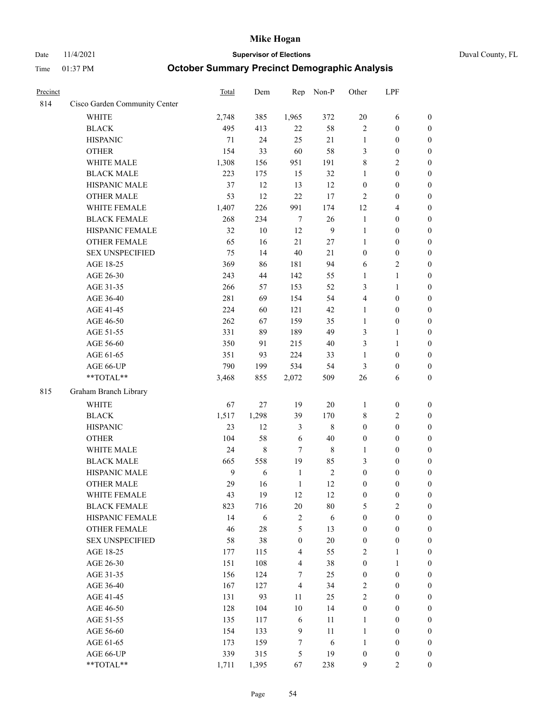Date 11/4/2021 **Supervisor of Elections** Duval County, FL

| Precinct |                               | Total            | Dem    | Rep              | Non-P        | Other            | LPF              |                  |
|----------|-------------------------------|------------------|--------|------------------|--------------|------------------|------------------|------------------|
| 814      | Cisco Garden Community Center |                  |        |                  |              |                  |                  |                  |
|          | <b>WHITE</b>                  | 2,748            | 385    | 1,965            | 372          | 20               | 6                | 0                |
|          | <b>BLACK</b>                  | 495              | 413    | 22               | 58           | $\mathfrak{2}$   | $\boldsymbol{0}$ | $\boldsymbol{0}$ |
|          | <b>HISPANIC</b>               | 71               | 24     | 25               | 21           | $\mathbf{1}$     | $\boldsymbol{0}$ | $\boldsymbol{0}$ |
|          | <b>OTHER</b>                  | 154              | 33     | 60               | 58           | 3                | $\boldsymbol{0}$ | $\boldsymbol{0}$ |
|          | WHITE MALE                    | 1,308            | 156    | 951              | 191          | 8                | $\sqrt{2}$       | $\boldsymbol{0}$ |
|          | <b>BLACK MALE</b>             | 223              | 175    | 15               | 32           | $\mathbf{1}$     | $\boldsymbol{0}$ | $\boldsymbol{0}$ |
|          | HISPANIC MALE                 | 37               | 12     | 13               | 12           | $\boldsymbol{0}$ | $\boldsymbol{0}$ | $\boldsymbol{0}$ |
|          | <b>OTHER MALE</b>             | 53               | 12     | 22               | 17           | $\mathbf{2}$     | $\boldsymbol{0}$ | $\boldsymbol{0}$ |
|          | WHITE FEMALE                  | 1,407            | 226    | 991              | 174          | 12               | $\overline{4}$   | $\boldsymbol{0}$ |
|          | <b>BLACK FEMALE</b>           | 268              | 234    | $\tau$           | 26           | $\mathbf{1}$     | $\boldsymbol{0}$ | $\boldsymbol{0}$ |
|          | HISPANIC FEMALE               | 32               | 10     | 12               | $\mathbf{9}$ | $\mathbf{1}$     | $\boldsymbol{0}$ | 0                |
|          | <b>OTHER FEMALE</b>           | 65               | 16     | 21               | 27           | 1                | $\boldsymbol{0}$ | $\boldsymbol{0}$ |
|          | <b>SEX UNSPECIFIED</b>        | 75               | 14     | 40               | 21           | $\boldsymbol{0}$ | $\boldsymbol{0}$ | $\boldsymbol{0}$ |
|          | AGE 18-25                     | 369              | 86     | 181              | 94           | 6                | $\sqrt{2}$       | $\boldsymbol{0}$ |
|          | AGE 26-30                     | 243              | 44     | 142              | 55           | $\mathbf{1}$     | $\mathbf{1}$     | $\boldsymbol{0}$ |
|          | AGE 31-35                     | 266              | 57     | 153              | 52           | 3                | $\mathbf{1}$     | $\boldsymbol{0}$ |
|          | AGE 36-40                     | 281              | 69     | 154              | 54           | 4                | $\boldsymbol{0}$ | $\boldsymbol{0}$ |
|          | AGE 41-45                     | 224              | 60     | 121              | 42           | $\mathbf{1}$     | $\boldsymbol{0}$ | $\boldsymbol{0}$ |
|          | AGE 46-50                     | 262              | 67     | 159              | 35           | $\mathbf{1}$     | $\boldsymbol{0}$ | $\boldsymbol{0}$ |
|          | AGE 51-55                     | 331              | 89     | 189              | 49           | 3                | $\mathbf{1}$     | $\boldsymbol{0}$ |
|          | AGE 56-60                     | 350              | 91     | 215              | 40           | 3                | $\mathbf{1}$     | 0                |
|          | AGE 61-65                     | 351              | 93     | 224              | 33           | 1                | $\boldsymbol{0}$ | 0                |
|          | AGE 66-UP                     | 790              | 199    | 534              | 54           | 3                | $\boldsymbol{0}$ | $\boldsymbol{0}$ |
|          | $**TOTAL**$                   | 3,468            | 855    | 2,072            | 509          | 26               | 6                | $\boldsymbol{0}$ |
| 815      | Graham Branch Library         |                  |        |                  |              |                  |                  |                  |
|          | WHITE                         | 67               | $27\,$ | 19               | $20\,$       | 1                | $\boldsymbol{0}$ | $\boldsymbol{0}$ |
|          | <b>BLACK</b>                  | 1,517            | 1,298  | 39               | 170          | 8                | $\sqrt{2}$       | $\boldsymbol{0}$ |
|          | <b>HISPANIC</b>               | 23               | 12     | 3                | $\,$ 8 $\,$  | $\boldsymbol{0}$ | $\boldsymbol{0}$ | $\boldsymbol{0}$ |
|          | <b>OTHER</b>                  | 104              | 58     | 6                | 40           | $\boldsymbol{0}$ | $\boldsymbol{0}$ | $\boldsymbol{0}$ |
|          | WHITE MALE                    | 24               | 8      | 7                | $\,$ 8 $\,$  | $\mathbf{1}$     | $\boldsymbol{0}$ | $\boldsymbol{0}$ |
|          | <b>BLACK MALE</b>             | 665              | 558    | 19               | 85           | 3                | $\boldsymbol{0}$ | $\boldsymbol{0}$ |
|          | HISPANIC MALE                 | $\boldsymbol{9}$ | 6      | $\mathbf{1}$     | $\sqrt{2}$   | $\boldsymbol{0}$ | $\boldsymbol{0}$ | $\boldsymbol{0}$ |
|          | <b>OTHER MALE</b>             | 29               | 16     | $\mathbf{1}$     | 12           | $\boldsymbol{0}$ | $\boldsymbol{0}$ | $\boldsymbol{0}$ |
|          | WHITE FEMALE                  | 43               | 19     | 12               | 12           | $\boldsymbol{0}$ | $\boldsymbol{0}$ | 0                |
|          | <b>BLACK FEMALE</b>           | 823              | 716    | $20\,$           | $80\,$       | 5                | $\overline{2}$   | $\boldsymbol{0}$ |
|          | HISPANIC FEMALE               | 14               | 6      | $\sqrt{2}$       | 6            | $\boldsymbol{0}$ | $\boldsymbol{0}$ | $\overline{0}$   |
|          | OTHER FEMALE                  | 46               | 28     | 5                | 13           | $\boldsymbol{0}$ | $\boldsymbol{0}$ | $\overline{0}$   |
|          | <b>SEX UNSPECIFIED</b>        | 58               | 38     | $\boldsymbol{0}$ | $20\,$       | $\boldsymbol{0}$ | $\boldsymbol{0}$ | $\overline{0}$   |
|          | AGE 18-25                     | 177              | 115    | $\overline{4}$   | 55           | $\overline{c}$   | $\mathbf{1}$     | $\overline{0}$   |
|          | AGE 26-30                     | 151              | 108    | $\overline{4}$   | 38           | $\boldsymbol{0}$ | $\mathbf{1}$     | $\overline{0}$   |
|          | AGE 31-35                     | 156              | 124    | 7                | 25           | $\boldsymbol{0}$ | $\boldsymbol{0}$ | 0                |
|          | AGE 36-40                     | 167              | 127    | $\overline{4}$   | 34           | $\sqrt{2}$       | $\boldsymbol{0}$ | 0                |
|          | AGE 41-45                     | 131              | 93     | 11               | 25           | $\mathbf{2}$     | $\boldsymbol{0}$ | 0                |
|          | AGE 46-50                     | 128              | 104    | 10               | 14           | $\boldsymbol{0}$ | $\boldsymbol{0}$ | $\boldsymbol{0}$ |
|          | AGE 51-55                     | 135              | 117    | $\sqrt{6}$       | 11           | $\mathbf{1}$     | $\boldsymbol{0}$ | $\boldsymbol{0}$ |
|          | AGE 56-60                     | 154              | 133    | 9                | 11           | $\mathbf{1}$     | $\boldsymbol{0}$ | $\boldsymbol{0}$ |
|          | AGE 61-65                     | 173              | 159    | 7                | 6            | $\mathbf{1}$     | $\boldsymbol{0}$ | $\boldsymbol{0}$ |
|          | AGE 66-UP                     | 339              | 315    | 5                | 19           | $\boldsymbol{0}$ | $\boldsymbol{0}$ | $\boldsymbol{0}$ |
|          | **TOTAL**                     | 1,711            | 1,395  | 67               | 238          | 9                | $\mathbf{2}$     | $\boldsymbol{0}$ |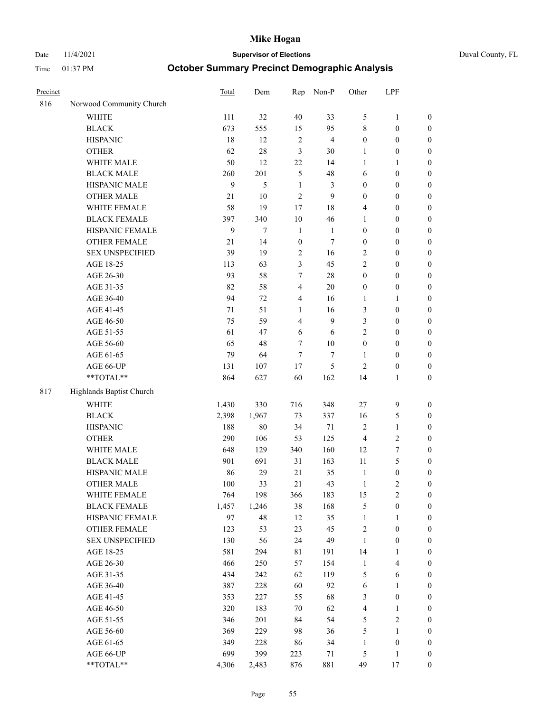Date 11/4/2021 **Supervisor of Elections** Duval County, FL

| Precinct |                          | Total          | Dem    | Rep                     | Non-P          | Other            | LPF                     |                  |
|----------|--------------------------|----------------|--------|-------------------------|----------------|------------------|-------------------------|------------------|
| 816      | Norwood Community Church |                |        |                         |                |                  |                         |                  |
|          | <b>WHITE</b>             | 111            | 32     | 40                      | 33             | 5                | $\mathbf{1}$            | 0                |
|          | <b>BLACK</b>             | 673            | 555    | 15                      | 95             | 8                | $\boldsymbol{0}$        | $\boldsymbol{0}$ |
|          | <b>HISPANIC</b>          | 18             | 12     | $\sqrt{2}$              | $\overline{4}$ | $\boldsymbol{0}$ | $\boldsymbol{0}$        | $\boldsymbol{0}$ |
|          | <b>OTHER</b>             | 62             | $28\,$ | 3                       | 30             | 1                | $\boldsymbol{0}$        | $\boldsymbol{0}$ |
|          | WHITE MALE               | 50             | 12     | $22\,$                  | 14             | $\mathbf{1}$     | 1                       | $\boldsymbol{0}$ |
|          | <b>BLACK MALE</b>        | 260            | 201    | 5                       | 48             | 6                | $\boldsymbol{0}$        | $\boldsymbol{0}$ |
|          | HISPANIC MALE            | 9              | 5      | $\mathbf{1}$            | 3              | $\boldsymbol{0}$ | $\boldsymbol{0}$        | $\boldsymbol{0}$ |
|          | <b>OTHER MALE</b>        | 21             | $10\,$ | $\overline{2}$          | 9              | $\boldsymbol{0}$ | $\boldsymbol{0}$        | $\boldsymbol{0}$ |
|          | WHITE FEMALE             | 58             | 19     | 17                      | $18\,$         | 4                | $\boldsymbol{0}$        | $\boldsymbol{0}$ |
|          | <b>BLACK FEMALE</b>      | 397            | 340    | 10                      | 46             | 1                | $\boldsymbol{0}$        | $\boldsymbol{0}$ |
|          | HISPANIC FEMALE          | $\overline{9}$ | $\tau$ | $\mathbf{1}$            | $\mathbf{1}$   | $\boldsymbol{0}$ | $\boldsymbol{0}$        | 0                |
|          | OTHER FEMALE             | 21             | 14     | $\boldsymbol{0}$        | $\tau$         | $\boldsymbol{0}$ | $\boldsymbol{0}$        | $\boldsymbol{0}$ |
|          | <b>SEX UNSPECIFIED</b>   | 39             | 19     | $\sqrt{2}$              | 16             | $\mathfrak{2}$   | $\boldsymbol{0}$        | $\boldsymbol{0}$ |
|          | AGE 18-25                | 113            | 63     | $\mathfrak{Z}$          | 45             | $\mathfrak{2}$   | $\boldsymbol{0}$        | $\boldsymbol{0}$ |
|          | AGE 26-30                | 93             | 58     | 7                       | $28\,$         | $\boldsymbol{0}$ | $\boldsymbol{0}$        | $\boldsymbol{0}$ |
|          | AGE 31-35                | 82             | 58     | $\overline{4}$          | 20             | $\boldsymbol{0}$ | $\boldsymbol{0}$        | $\boldsymbol{0}$ |
|          | AGE 36-40                | 94             | 72     | $\overline{4}$          | 16             | $\mathbf{1}$     | $\mathbf{1}$            | $\boldsymbol{0}$ |
|          | AGE 41-45                | 71             | 51     | $\mathbf{1}$            | 16             | 3                | $\boldsymbol{0}$        | $\boldsymbol{0}$ |
|          | AGE 46-50                | 75             | 59     | $\overline{\mathbf{4}}$ | $\mathbf{9}$   | 3                | $\boldsymbol{0}$        | $\boldsymbol{0}$ |
|          | AGE 51-55                | 61             | 47     | 6                       | 6              | $\mathfrak{2}$   | $\boldsymbol{0}$        | $\boldsymbol{0}$ |
|          | AGE 56-60                | 65             | 48     | $\tau$                  | 10             | $\boldsymbol{0}$ | $\boldsymbol{0}$        | 0                |
|          | AGE 61-65                | 79             | 64     | $\tau$                  | $\tau$         | 1                | $\boldsymbol{0}$        | 0                |
|          | AGE 66-UP                | 131            | 107    | 17                      | $\mathfrak{S}$ | $\mathfrak{2}$   | $\boldsymbol{0}$        | $\boldsymbol{0}$ |
|          | **TOTAL**                | 864            | 627    | 60                      | 162            | 14               | $\mathbf{1}$            | $\boldsymbol{0}$ |
| 817      | Highlands Baptist Church |                |        |                         |                |                  |                         |                  |
|          | <b>WHITE</b>             | 1,430          | 330    | 716                     | 348            | 27               | $\mathbf{9}$            | $\boldsymbol{0}$ |
|          | <b>BLACK</b>             | 2,398          | 1,967  | 73                      | 337            | 16               | $\mathfrak{S}$          | $\boldsymbol{0}$ |
|          | <b>HISPANIC</b>          | 188            | 80     | 34                      | 71             | $\overline{c}$   | $\mathbf{1}$            | $\boldsymbol{0}$ |
|          | <b>OTHER</b>             | 290            | 106    | 53                      | 125            | 4                | $\sqrt{2}$              | $\boldsymbol{0}$ |
|          | WHITE MALE               | 648            | 129    | 340                     | 160            | 12               | $\boldsymbol{7}$        | $\boldsymbol{0}$ |
|          | <b>BLACK MALE</b>        | 901            | 691    | 31                      | 163            | $11\,$           | 5                       | $\boldsymbol{0}$ |
|          | HISPANIC MALE            | 86             | 29     | $21\,$                  | 35             | $\mathbf{1}$     | $\boldsymbol{0}$        | $\boldsymbol{0}$ |
|          | <b>OTHER MALE</b>        | 100            | 33     | 21                      | 43             | $\mathbf{1}$     | $\mathfrak{2}$          | $\boldsymbol{0}$ |
|          | WHITE FEMALE             | 764            | 198    | 366                     | 183            | 15               | 2                       | 0                |
|          | <b>BLACK FEMALE</b>      | 1,457          | 1,246  | 38                      | 168            | 5                | $\boldsymbol{0}$        | $\boldsymbol{0}$ |
|          | HISPANIC FEMALE          | 97             | 48     | 12                      | 35             | $\mathbf{1}$     | $\mathbf{1}$            | $\boldsymbol{0}$ |
|          | OTHER FEMALE             | 123            | 53     | 23                      | 45             | $\overline{c}$   | $\boldsymbol{0}$        | $\overline{0}$   |
|          | <b>SEX UNSPECIFIED</b>   | 130            | 56     | 24                      | 49             | $\mathbf{1}$     | $\boldsymbol{0}$        | 0                |
|          | AGE 18-25                | 581            | 294    | 81                      | 191            | 14               | $\mathbf{1}$            | $\theta$         |
|          | AGE 26-30                | 466            | 250    | 57                      | 154            | $\mathbf{1}$     | $\overline{\mathbf{4}}$ | 0                |
|          | AGE 31-35                | 434            | 242    | 62                      | 119            | 5                | 6                       | 0                |
|          | AGE 36-40                | 387            | 228    | 60                      | 92             | 6                | $\mathbf{1}$            | 0                |
|          | AGE 41-45                | 353            | 227    | 55                      | 68             | 3                | $\boldsymbol{0}$        | 0                |
|          | AGE 46-50                | 320            | 183    | 70                      | 62             | 4                | $\mathbf{1}$            | 0                |
|          | AGE 51-55                | 346            | 201    | 84                      | 54             | 5                | $\sqrt{2}$              | 0                |
|          | AGE 56-60                | 369            | 229    | 98                      | 36             | 5                | 1                       | $\overline{0}$   |
|          | AGE 61-65                | 349            | 228    | 86                      | 34             | $\mathbf{1}$     | $\boldsymbol{0}$        | $\boldsymbol{0}$ |
|          | AGE 66-UP                | 699            | 399    | 223                     | 71             | 5                | $\mathbf{1}$            | $\boldsymbol{0}$ |
|          | **TOTAL**                | 4,306          | 2,483  | 876                     | 881            | 49               | 17                      | $\boldsymbol{0}$ |
|          |                          |                |        |                         |                |                  |                         |                  |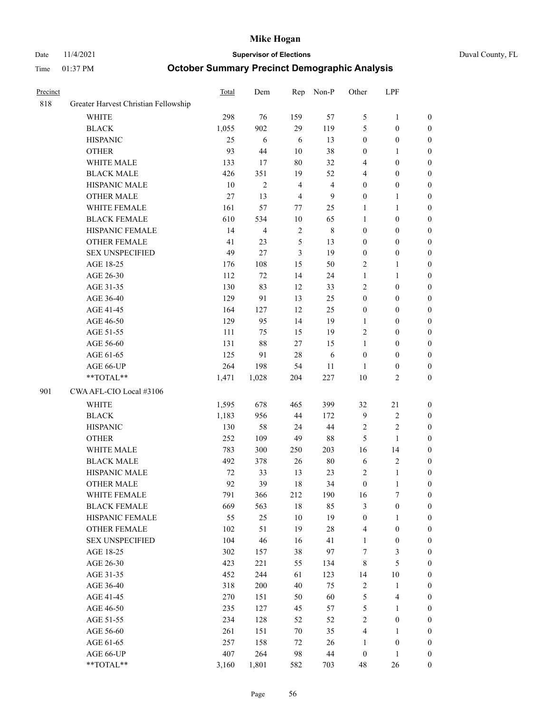Date 11/4/2021 **Supervisor of Elections** Duval County, FL

| Precinct |                                      | <b>Total</b> | Dem            | Rep            | Non-P          | Other            | LPF                     |                  |
|----------|--------------------------------------|--------------|----------------|----------------|----------------|------------------|-------------------------|------------------|
| 818      | Greater Harvest Christian Fellowship |              |                |                |                |                  |                         |                  |
|          | <b>WHITE</b>                         | 298          | 76             | 159            | 57             | 5                | $\mathbf{1}$            | 0                |
|          | <b>BLACK</b>                         | 1,055        | 902            | 29             | 119            | 5                | $\boldsymbol{0}$        | 0                |
|          | <b>HISPANIC</b>                      | 25           | $\sqrt{6}$     | 6              | 13             | $\boldsymbol{0}$ | $\boldsymbol{0}$        | $\boldsymbol{0}$ |
|          | <b>OTHER</b>                         | 93           | 44             | $10\,$         | 38             | $\boldsymbol{0}$ | 1                       | $\boldsymbol{0}$ |
|          | WHITE MALE                           | 133          | 17             | 80             | 32             | 4                | $\boldsymbol{0}$        | $\boldsymbol{0}$ |
|          | <b>BLACK MALE</b>                    | 426          | 351            | 19             | 52             | 4                | $\boldsymbol{0}$        | $\boldsymbol{0}$ |
|          | HISPANIC MALE                        | 10           | $\mathbf{2}$   | $\overline{4}$ | $\overline{4}$ | $\boldsymbol{0}$ | $\boldsymbol{0}$        | $\boldsymbol{0}$ |
|          | <b>OTHER MALE</b>                    | 27           | 13             | $\overline{4}$ | $\mathbf{9}$   | $\boldsymbol{0}$ | $\mathbf{1}$            | $\boldsymbol{0}$ |
|          | WHITE FEMALE                         | 161          | 57             | 77             | 25             | $\mathbf{1}$     | 1                       | $\boldsymbol{0}$ |
|          | <b>BLACK FEMALE</b>                  | 610          | 534            | 10             | 65             | $\mathbf{1}$     | $\boldsymbol{0}$        | 0                |
|          | HISPANIC FEMALE                      | 14           | $\overline{4}$ | $\sqrt{2}$     | $\,$ 8 $\,$    | $\boldsymbol{0}$ | $\boldsymbol{0}$        | 0                |
|          | <b>OTHER FEMALE</b>                  | 41           | 23             | $\mathfrak{S}$ | 13             | $\boldsymbol{0}$ | $\boldsymbol{0}$        | $\boldsymbol{0}$ |
|          | <b>SEX UNSPECIFIED</b>               | 49           | 27             | $\mathfrak{Z}$ | 19             | $\boldsymbol{0}$ | $\boldsymbol{0}$        | $\boldsymbol{0}$ |
|          | AGE 18-25                            | 176          | 108            | 15             | 50             | 2                | 1                       | $\boldsymbol{0}$ |
|          | AGE 26-30                            | 112          | 72             | 14             | 24             | $\mathbf{1}$     | $\mathbf{1}$            | $\boldsymbol{0}$ |
|          | AGE 31-35                            | 130          | 83             | 12             | 33             | $\overline{c}$   | $\boldsymbol{0}$        | $\boldsymbol{0}$ |
|          | AGE 36-40                            | 129          | 91             | 13             | 25             | $\boldsymbol{0}$ | $\boldsymbol{0}$        | $\boldsymbol{0}$ |
|          | AGE 41-45                            | 164          | 127            | 12             | 25             | $\boldsymbol{0}$ | $\boldsymbol{0}$        | $\boldsymbol{0}$ |
|          | AGE 46-50                            | 129          | 95             | 14             | 19             | $\mathbf{1}$     | $\boldsymbol{0}$        | $\boldsymbol{0}$ |
|          | AGE 51-55                            | 111          | 75             | 15             | 19             | 2                | $\boldsymbol{0}$        | $\boldsymbol{0}$ |
|          | AGE 56-60                            | 131          | 88             | 27             | 15             | $\mathbf{1}$     | $\boldsymbol{0}$        | 0                |
|          | AGE 61-65                            | 125          | 91             | 28             | 6              | $\boldsymbol{0}$ | $\boldsymbol{0}$        | 0                |
|          | AGE 66-UP                            | 264          | 198            | 54             | 11             | 1                | $\boldsymbol{0}$        | $\boldsymbol{0}$ |
|          | **TOTAL**                            | 1,471        | 1,028          | 204            | 227            | 10               | $\sqrt{2}$              | $\boldsymbol{0}$ |
| 901      | CWA AFL-CIO Local #3106              |              |                |                |                |                  |                         |                  |
|          | <b>WHITE</b>                         | 1,595        | 678            | 465            | 399            | 32               | 21                      | $\boldsymbol{0}$ |
|          | <b>BLACK</b>                         | 1,183        | 956            | 44             | 172            | 9                | $\sqrt{2}$              | $\boldsymbol{0}$ |
|          | <b>HISPANIC</b>                      | 130          | 58             | 24             | $44\,$         | 2                | $\mathbf{2}$            | $\boldsymbol{0}$ |
|          | <b>OTHER</b>                         | 252          | 109            | 49             | $88\,$         | 5                | 1                       | $\boldsymbol{0}$ |
|          | WHITE MALE                           | 783          | 300            | 250            | 203            | 16               | 14                      | $\boldsymbol{0}$ |
|          | <b>BLACK MALE</b>                    | 492          | 378            | 26             | $80\,$         | $\sqrt{6}$       | $\sqrt{2}$              | $\boldsymbol{0}$ |
|          | HISPANIC MALE                        | 72           | 33             | 13             | 23             | $\overline{c}$   | $\mathbf{1}$            | 0                |
|          | OTHER MALE                           | 92           | 39             | 18             | 34             | $\boldsymbol{0}$ | $\mathbf{1}$            | $\boldsymbol{0}$ |
|          | WHITE FEMALE                         | 791          | 366            | 212            | 190            | 16               | 7                       | 0                |
|          | <b>BLACK FEMALE</b>                  | 669          | 563            | 18             | 85             | 3                | $\boldsymbol{0}$        | $\boldsymbol{0}$ |
|          | HISPANIC FEMALE                      | 55           | 25             | $10\,$         | 19             | $\boldsymbol{0}$ | 1                       | $\overline{0}$   |
|          | <b>OTHER FEMALE</b>                  | 102          | 51             | 19             | $28\,$         | 4                | $\boldsymbol{0}$        | $\overline{0}$   |
|          | <b>SEX UNSPECIFIED</b>               | 104          | 46             | 16             | 41             | $\mathbf{1}$     | $\boldsymbol{0}$        | 0                |
|          | AGE 18-25                            | 302          | 157            | 38             | 97             | 7                | $\mathfrak{Z}$          | $\theta$         |
|          | AGE 26-30                            | 423          | 221            | 55             | 134            | 8                | $\mathfrak{S}$          | 0                |
|          | AGE 31-35                            | 452          | 244            | 61             | 123            | 14               | $10\,$                  | 0                |
|          | AGE 36-40                            | 318          | 200            | 40             | 75             | $\sqrt{2}$       | $\mathbf{1}$            | 0                |
|          | AGE 41-45                            | 270          | 151            | 50             | 60             | 5                | $\overline{\mathbf{4}}$ | 0                |
|          | AGE 46-50                            | 235          | 127            | 45             | 57             | 5                | 1                       | 0                |
|          | AGE 51-55                            | 234          | 128            | 52             | 52             | 2                | $\boldsymbol{0}$        | 0                |
|          | AGE 56-60                            | 261          | 151            | 70             | 35             | 4                | 1                       | 0                |
|          | AGE 61-65                            | 257          | 158            | 72             | 26             | 1                | $\boldsymbol{0}$        | $\overline{0}$   |
|          | AGE 66-UP                            | 407          | 264            | 98             | $44\,$         | $\boldsymbol{0}$ | $\mathbf{1}$            | $\boldsymbol{0}$ |
|          | **TOTAL**                            | 3,160        | 1,801          | 582            | 703            | 48               | 26                      | $\boldsymbol{0}$ |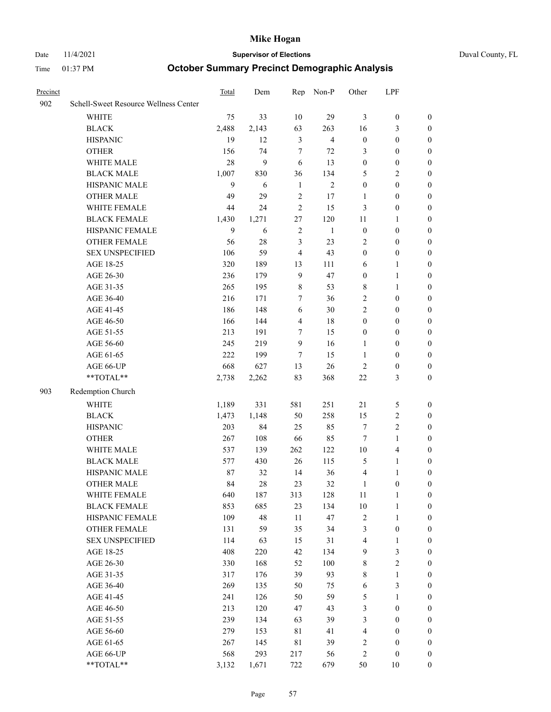Date 11/4/2021 **Supervisor of Elections** Duval County, FL

| Precinct |                                        | Total      | Dem       | Rep               | Non-P          | Other                          | LPF                                  |                                    |
|----------|----------------------------------------|------------|-----------|-------------------|----------------|--------------------------------|--------------------------------------|------------------------------------|
| 902      | Schell-Sweet Resource Wellness Center  |            |           |                   |                |                                |                                      |                                    |
|          | <b>WHITE</b>                           | 75         | 33        | 10                | 29             | 3                              | $\boldsymbol{0}$                     | $\boldsymbol{0}$                   |
|          | <b>BLACK</b>                           | 2,488      | 2,143     | 63                | 263            | 16                             | 3                                    | $\boldsymbol{0}$                   |
|          | <b>HISPANIC</b>                        | 19         | 12        | $\mathfrak{Z}$    | $\overline{4}$ | $\boldsymbol{0}$               | $\boldsymbol{0}$                     | $\boldsymbol{0}$                   |
|          | <b>OTHER</b>                           | 156        | 74        | $\tau$            | 72             | 3                              | $\boldsymbol{0}$                     | $\boldsymbol{0}$                   |
|          | WHITE MALE                             | 28         | 9         | 6                 | 13             | $\boldsymbol{0}$               | $\boldsymbol{0}$                     | $\boldsymbol{0}$                   |
|          | <b>BLACK MALE</b>                      | 1,007      | 830       | 36                | 134            | 5                              | $\mathbf{2}$                         | $\boldsymbol{0}$                   |
|          | HISPANIC MALE                          | 9          | 6         | $\mathbf{1}$      | $\mathbf{2}$   | $\boldsymbol{0}$               | $\boldsymbol{0}$                     | $\boldsymbol{0}$                   |
|          | <b>OTHER MALE</b>                      | 49         | 29        | $\sqrt{2}$        | 17             | 1                              | $\boldsymbol{0}$                     | 0                                  |
|          | WHITE FEMALE                           | 44         | 24        | $\overline{2}$    | 15             | 3                              | $\boldsymbol{0}$                     | 0                                  |
|          | <b>BLACK FEMALE</b>                    | 1,430      | 1,271     | $27\,$            | 120            | 11                             | $\mathbf{1}$                         | 0                                  |
|          | HISPANIC FEMALE                        | 9          | 6         | $\overline{2}$    | $\mathbf{1}$   | $\boldsymbol{0}$               | $\boldsymbol{0}$                     | $\boldsymbol{0}$                   |
|          | OTHER FEMALE                           | 56         | 28        | $\mathfrak{Z}$    | 23             | $\overline{c}$                 | $\boldsymbol{0}$                     | $\boldsymbol{0}$                   |
|          | <b>SEX UNSPECIFIED</b>                 | 106        | 59        | $\overline{4}$    | 43             | $\boldsymbol{0}$               | $\boldsymbol{0}$                     | $\boldsymbol{0}$                   |
|          | AGE 18-25                              | 320        | 189       | 13                | 111            | 6                              | $\mathbf{1}$                         | $\boldsymbol{0}$                   |
|          | AGE 26-30                              | 236        | 179       | 9                 | 47             | $\boldsymbol{0}$               | $\mathbf{1}$                         | $\boldsymbol{0}$                   |
|          | AGE 31-35                              | 265        | 195       | $\,$ 8 $\,$       | 53             | 8                              | $\mathbf{1}$                         | $\boldsymbol{0}$                   |
|          | AGE 36-40                              | 216        | 171       | 7                 | 36             | $\overline{c}$                 | $\boldsymbol{0}$                     | $\boldsymbol{0}$                   |
|          | AGE 41-45                              | 186        | 148       | 6                 | 30             | $\mathbf{2}$                   | $\boldsymbol{0}$                     | $\boldsymbol{0}$                   |
|          | AGE 46-50                              | 166        | 144       | $\overline{4}$    | $18\,$         | $\boldsymbol{0}$               | $\boldsymbol{0}$                     | 0                                  |
|          | AGE 51-55                              | 213        | 191       | 7                 | 15             | $\boldsymbol{0}$               | $\boldsymbol{0}$                     | 0                                  |
|          | AGE 56-60                              | 245        | 219       | 9                 | 16             | 1                              | $\boldsymbol{0}$                     | $\boldsymbol{0}$                   |
|          | AGE 61-65                              | 222        | 199       | 7                 | 15             | 1                              | $\boldsymbol{0}$                     | $\boldsymbol{0}$                   |
|          | AGE 66-UP                              | 668        | 627       | 13                | 26             | $\overline{c}$                 | $\boldsymbol{0}$                     | $\boldsymbol{0}$                   |
|          | $**TOTAL**$                            | 2,738      | 2,262     | 83                | 368            | $22\,$                         | 3                                    | $\boldsymbol{0}$                   |
| 903      | Redemption Church                      |            |           |                   |                |                                |                                      |                                    |
|          | <b>WHITE</b>                           | 1,189      | 331       | 581               | 251            | 21                             | 5                                    | $\boldsymbol{0}$                   |
|          | <b>BLACK</b>                           | 1,473      | 1,148     | 50                | 258            | 15                             | $\sqrt{2}$                           | $\boldsymbol{0}$                   |
|          | <b>HISPANIC</b>                        | 203        | 84        | 25                | 85             | 7                              | $\sqrt{2}$                           | $\boldsymbol{0}$                   |
|          |                                        | 267        | 108       |                   | 85             | $\tau$                         | $\mathbf{1}$                         | $\boldsymbol{0}$                   |
|          | <b>OTHER</b><br>WHITE MALE             |            | 139       | 66<br>262         | 122            | $10\,$                         | $\overline{\mathbf{4}}$              |                                    |
|          | <b>BLACK MALE</b>                      | 537<br>577 | 430       | 26                | 115            | 5                              | $\mathbf{1}$                         | 0                                  |
|          | HISPANIC MALE                          | 87         |           |                   | 36             |                                | $\mathbf{1}$                         | 0                                  |
|          | <b>OTHER MALE</b>                      | 84         | 32<br>28  | 14<br>23          | 32             | $\overline{4}$<br>$\mathbf{1}$ | $\boldsymbol{0}$                     | 0<br>$\boldsymbol{0}$              |
|          |                                        | 640        | 187       | 313               | 128            |                                |                                      |                                    |
|          | WHITE FEMALE                           |            |           |                   |                | 11                             | $\mathbf{1}$                         | $\boldsymbol{0}$                   |
|          | <b>BLACK FEMALE</b><br>HISPANIC FEMALE | 853<br>109 | 685<br>48 | 23<br>11          | 134<br>47      | $10\,$                         | $\mathbf{1}$<br>$\mathbf{1}$         | $\boldsymbol{0}$<br>$\overline{0}$ |
|          | <b>OTHER FEMALE</b>                    | 131        | 59        | 35                |                | $\overline{c}$<br>3            | $\boldsymbol{0}$                     | $\overline{0}$                     |
|          | <b>SEX UNSPECIFIED</b>                 | 114        | 63        | 15                | 34<br>31       | $\overline{4}$                 | $\mathbf{1}$                         | $\theta$                           |
|          | AGE 18-25                              | 408        | 220       | 42                | 134            | 9                              | $\mathfrak{Z}$                       | 0                                  |
|          | AGE 26-30                              | 330        | 168       | 52                | 100            | $\,$ 8 $\,$                    | $\sqrt{2}$                           | 0                                  |
|          | AGE 31-35                              | 317        | 176       | 39                | 93             | 8                              | $\mathbf{1}$                         | 0                                  |
|          | AGE 36-40                              | 269        | 135       | 50                | 75             | 6                              | $\mathfrak{Z}$                       | 0                                  |
|          | AGE 41-45                              | 241        | 126       | 50                | 59             | 5                              | $\mathbf{1}$                         | 0                                  |
|          |                                        | 213        | 120       | 47                | 43             |                                |                                      | $\boldsymbol{0}$                   |
|          | AGE 46-50                              | 239        |           |                   | 39             | 3<br>3                         | $\boldsymbol{0}$<br>$\boldsymbol{0}$ | $\boldsymbol{0}$                   |
|          | AGE 51-55                              | 279        | 134       | 63                |                |                                | $\boldsymbol{0}$                     | $\overline{0}$                     |
|          | AGE 56-60                              |            | 153       | 81<br>$8\sqrt{1}$ | 41             | $\overline{4}$                 | $\boldsymbol{0}$                     | $\overline{0}$                     |
|          | AGE 61-65<br>AGE 66-UP                 | 267        | 145       |                   | 39             | 2<br>$\sqrt{2}$                |                                      | $\overline{0}$                     |
|          |                                        | 568        | 293       | 217               | 56             |                                | $\boldsymbol{0}$                     |                                    |
|          | **TOTAL**                              | 3,132      | 1,671     | 722               | 679            | 50                             | $10\,$                               | $\boldsymbol{0}$                   |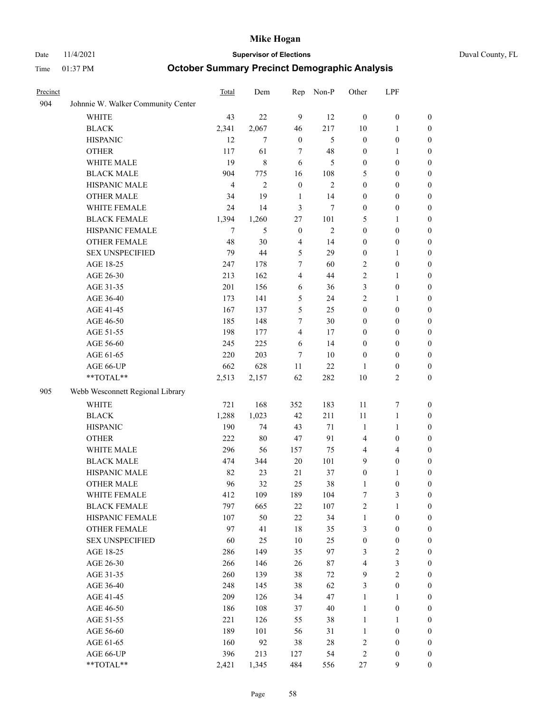#### Date 11/4/2021 **Supervisor of Elections** Duval County, FL

| Precinct |                                    | Total          | Dem            | Rep              | Non-P          | Other            | LPF              |                  |
|----------|------------------------------------|----------------|----------------|------------------|----------------|------------------|------------------|------------------|
| 904      | Johnnie W. Walker Community Center |                |                |                  |                |                  |                  |                  |
|          | <b>WHITE</b>                       | 43             | 22             | 9                | 12             | $\mathbf{0}$     | $\boldsymbol{0}$ | $\boldsymbol{0}$ |
|          | <b>BLACK</b>                       | 2,341          | 2,067          | 46               | 217            | 10               | $\mathbf{1}$     | $\boldsymbol{0}$ |
|          | <b>HISPANIC</b>                    | 12             | 7              | $\boldsymbol{0}$ | 5              | $\boldsymbol{0}$ | $\boldsymbol{0}$ | $\boldsymbol{0}$ |
|          | <b>OTHER</b>                       | 117            | 61             | 7                | 48             | $\boldsymbol{0}$ | $\mathbf{1}$     | $\boldsymbol{0}$ |
|          | WHITE MALE                         | 19             | 8              | 6                | 5              | $\boldsymbol{0}$ | $\boldsymbol{0}$ | $\boldsymbol{0}$ |
|          | <b>BLACK MALE</b>                  | 904            | 775            | 16               | 108            | 5                | $\boldsymbol{0}$ | $\boldsymbol{0}$ |
|          | HISPANIC MALE                      | $\overline{4}$ | $\overline{c}$ | $\boldsymbol{0}$ | $\overline{c}$ | $\boldsymbol{0}$ | $\boldsymbol{0}$ | $\boldsymbol{0}$ |
|          | <b>OTHER MALE</b>                  | 34             | 19             | 1                | 14             | $\boldsymbol{0}$ | $\boldsymbol{0}$ | $\boldsymbol{0}$ |
|          | WHITE FEMALE                       | 24             | 14             | 3                | $\tau$         | $\boldsymbol{0}$ | $\boldsymbol{0}$ | 0                |
|          | <b>BLACK FEMALE</b>                | 1,394          | 1,260          | $27\,$           | 101            | 5                | $\mathbf{1}$     | 0                |
|          | HISPANIC FEMALE                    | 7              | 5              | $\boldsymbol{0}$ | 2              | $\boldsymbol{0}$ | $\boldsymbol{0}$ | $\boldsymbol{0}$ |
|          | OTHER FEMALE                       | 48             | 30             | $\overline{4}$   | 14             | $\boldsymbol{0}$ | $\boldsymbol{0}$ | $\boldsymbol{0}$ |
|          | <b>SEX UNSPECIFIED</b>             | 79             | 44             | 5                | 29             | $\boldsymbol{0}$ | $\mathbf{1}$     | $\boldsymbol{0}$ |
|          | AGE 18-25                          | 247            | 178            | $\tau$           | 60             | 2                | $\boldsymbol{0}$ | $\boldsymbol{0}$ |
|          | AGE 26-30                          | 213            | 162            | $\overline{4}$   | 44             | $\overline{c}$   | $\mathbf{1}$     | $\boldsymbol{0}$ |
|          | AGE 31-35                          | 201            | 156            | 6                | 36             | 3                | $\boldsymbol{0}$ | $\boldsymbol{0}$ |
|          | AGE 36-40                          | 173            | 141            | $\mathfrak{S}$   | 24             | $\overline{c}$   | $\mathbf{1}$     | $\boldsymbol{0}$ |
|          | AGE 41-45                          | 167            | 137            | 5                | 25             | $\boldsymbol{0}$ | $\boldsymbol{0}$ | $\boldsymbol{0}$ |
|          | AGE 46-50                          | 185            | 148            | 7                | 30             | $\boldsymbol{0}$ | $\boldsymbol{0}$ | $\boldsymbol{0}$ |
|          | AGE 51-55                          | 198            | 177            | $\overline{4}$   | 17             | $\boldsymbol{0}$ | $\boldsymbol{0}$ | 0                |
|          | AGE 56-60                          | 245            | 225            | 6                | 14             | $\boldsymbol{0}$ | $\boldsymbol{0}$ | 0                |
|          | AGE 61-65                          | 220            | 203            | 7                | 10             | $\boldsymbol{0}$ | $\boldsymbol{0}$ | $\boldsymbol{0}$ |
|          | AGE 66-UP                          | 662            | 628            | 11               | 22             | 1                | $\boldsymbol{0}$ | $\boldsymbol{0}$ |
|          | **TOTAL**                          | 2,513          | 2,157          | 62               | 282            | 10               | $\sqrt{2}$       | $\boldsymbol{0}$ |
| 905      | Webb Wesconnett Regional Library   |                |                |                  |                |                  |                  |                  |
|          | <b>WHITE</b>                       | 721            | 168            | 352              | 183            | 11               | 7                | $\boldsymbol{0}$ |
|          | $\operatorname{BLACK}$             | 1,288          | 1,023          | 42               | 211            | 11               | $\mathbf{1}$     | $\boldsymbol{0}$ |
|          | <b>HISPANIC</b>                    | 190            | 74             | 43               | 71             | $\mathbf{1}$     | $\mathbf{1}$     | $\boldsymbol{0}$ |
|          | <b>OTHER</b>                       | 222            | $80\,$         | 47               | 91             | 4                | $\boldsymbol{0}$ | $\boldsymbol{0}$ |
|          | WHITE MALE                         | 296            | 56             | 157              | 75             | 4                | $\overline{4}$   | $\boldsymbol{0}$ |
|          | <b>BLACK MALE</b>                  | 474            | 344            | $20\,$           | 101            | 9                | $\boldsymbol{0}$ | $\boldsymbol{0}$ |
|          | HISPANIC MALE                      | 82             | 23             | 21               | 37             | $\boldsymbol{0}$ | 1                | 0                |
|          | <b>OTHER MALE</b>                  | 96             | 32             | 25               | 38             | 1                | $\boldsymbol{0}$ | $\boldsymbol{0}$ |
|          | WHITE FEMALE                       | 412            | 109            | 189              | 104            | 7                | 3                | $\overline{0}$   |
|          | <b>BLACK FEMALE</b>                | 797            | 665            | $22\,$           | 107            | $\sqrt{2}$       | $\mathbf{1}$     | $\boldsymbol{0}$ |
|          | HISPANIC FEMALE                    | 107            | 50             | $22\,$           | 34             | $\mathbf{1}$     | $\boldsymbol{0}$ | $\overline{0}$   |
|          | <b>OTHER FEMALE</b>                | 97             | 41             | $18\,$           | 35             | 3                | $\boldsymbol{0}$ | $\overline{0}$   |
|          | <b>SEX UNSPECIFIED</b>             | 60             | 25             | $10\,$           | 25             | $\boldsymbol{0}$ | $\boldsymbol{0}$ | 0                |
|          | AGE 18-25                          | 286            | 149            | 35               | 97             | 3                | $\sqrt{2}$       | 0                |
|          | AGE 26-30                          | 266            | 146            | 26               | 87             | 4                | $\mathfrak{Z}$   | 0                |
|          | AGE 31-35                          | 260            | 139            | 38               | 72             | $\mathbf{9}$     | $\sqrt{2}$       | 0                |
|          | AGE 36-40                          | 248            | 145            | 38               | 62             | 3                | $\boldsymbol{0}$ | 0                |
|          | AGE 41-45                          | 209            | 126            | 34               | 47             | $\mathbf{1}$     | $\mathbf{1}$     | 0                |
|          | AGE 46-50                          | 186            | 108            | 37               | 40             | $\mathbf{1}$     | $\boldsymbol{0}$ | 0                |
|          | AGE 51-55                          | 221            | 126            | 55               | 38             | $\mathbf{1}$     | $\mathbf{1}$     | $\boldsymbol{0}$ |
|          | AGE 56-60                          | 189            | 101            | 56               | 31             | $\mathbf{1}$     | $\boldsymbol{0}$ | $\boldsymbol{0}$ |
|          | AGE 61-65                          | 160            | 92             | 38               | 28             | 2                | $\boldsymbol{0}$ | $\boldsymbol{0}$ |
|          | AGE 66-UP                          | 396            | 213            | 127              | 54             | $\sqrt{2}$       | $\boldsymbol{0}$ | 0                |
|          | **TOTAL**                          | 2,421          | 1,345          | 484              | 556            | 27               | 9                | $\boldsymbol{0}$ |
|          |                                    |                |                |                  |                |                  |                  |                  |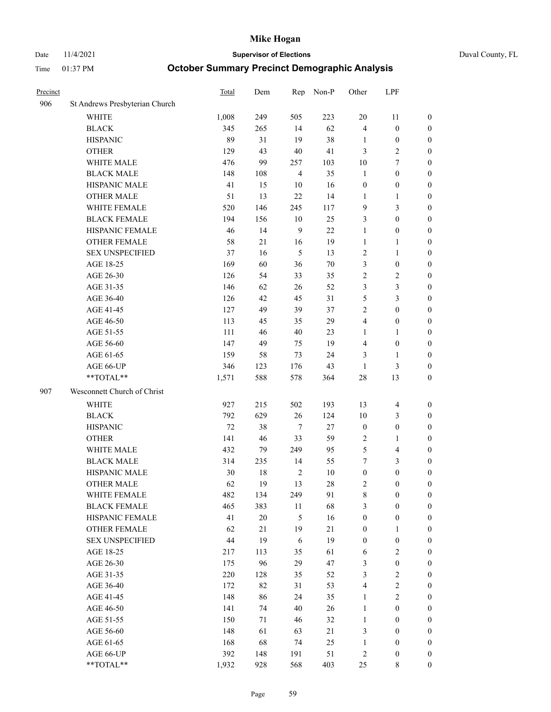#### Date 11/4/2021 **Supervisor of Elections** Duval County, FL

| Precinct |                                     | Total     | Dem        | Rep                  | Non-P    | Other                                | LPF                                       |                                      |
|----------|-------------------------------------|-----------|------------|----------------------|----------|--------------------------------------|-------------------------------------------|--------------------------------------|
| 906      | St Andrews Presbyterian Church      |           |            |                      |          |                                      |                                           |                                      |
|          | <b>WHITE</b>                        | 1,008     | 249        | 505                  | 223      | 20                                   | 11                                        | 0                                    |
|          | <b>BLACK</b>                        | 345       | 265        | 14                   | 62       | $\overline{4}$                       | $\boldsymbol{0}$                          | 0                                    |
|          | <b>HISPANIC</b>                     | 89        | 31         | 19                   | 38       | 1                                    | $\boldsymbol{0}$                          | $\boldsymbol{0}$                     |
|          | <b>OTHER</b>                        | 129       | 43         | 40                   | 41       | 3                                    | $\sqrt{2}$                                | $\boldsymbol{0}$                     |
|          | WHITE MALE                          | 476       | 99         | 257                  | 103      | 10                                   | $\tau$                                    | $\boldsymbol{0}$                     |
|          | <b>BLACK MALE</b>                   | 148       | 108        | $\overline{4}$       | 35       | $\mathbf{1}$                         | $\boldsymbol{0}$                          | $\boldsymbol{0}$                     |
|          | HISPANIC MALE                       | 41        | 15         | 10                   | 16       | $\boldsymbol{0}$                     | $\boldsymbol{0}$                          | $\boldsymbol{0}$                     |
|          | <b>OTHER MALE</b>                   | 51        | 13         | 22                   | 14       | $\mathbf{1}$                         | $\mathbf{1}$                              | $\boldsymbol{0}$                     |
|          | WHITE FEMALE                        | 520       | 146        | 245                  | 117      | 9                                    | $\mathfrak{Z}$                            | $\boldsymbol{0}$                     |
|          | <b>BLACK FEMALE</b>                 | 194       | 156        | $10\,$               | 25       | 3                                    | $\boldsymbol{0}$                          | 0                                    |
|          | HISPANIC FEMALE                     | 46        | 14         | 9                    | 22       | $\mathbf{1}$                         | $\boldsymbol{0}$                          | 0                                    |
|          | <b>OTHER FEMALE</b>                 | 58        | 21         | 16                   | 19       | $\mathbf{1}$                         | $\mathbf{1}$                              | 0                                    |
|          | <b>SEX UNSPECIFIED</b>              | 37        | 16         | 5                    | 13       | $\sqrt{2}$                           | $\mathbf{1}$                              | $\boldsymbol{0}$                     |
|          | AGE 18-25                           | 169       | 60         | 36                   | $70\,$   | 3                                    | $\boldsymbol{0}$                          | $\boldsymbol{0}$                     |
|          | AGE 26-30                           | 126       | 54         | 33                   | 35       | $\overline{c}$                       | $\sqrt{2}$                                | $\boldsymbol{0}$                     |
|          | AGE 31-35                           | 146       | 62         | 26                   | 52       | 3                                    | $\mathfrak{Z}$                            | $\boldsymbol{0}$                     |
|          | AGE 36-40                           | 126       | 42         | 45                   | 31       | 5                                    | $\mathfrak{Z}$                            | $\boldsymbol{0}$                     |
|          | AGE 41-45                           | 127       | 49         | 39                   | 37       | $\mathbf{2}$                         | $\boldsymbol{0}$                          | $\boldsymbol{0}$                     |
|          | AGE 46-50                           | 113       | 45         | 35                   | 29       | 4                                    | $\boldsymbol{0}$                          | $\boldsymbol{0}$                     |
|          | AGE 51-55                           | 111       | 46         | 40                   | 23       | 1                                    | $\mathbf{1}$                              | $\boldsymbol{0}$                     |
|          | AGE 56-60                           | 147       | 49         | 75                   | 19       | $\overline{4}$                       | $\boldsymbol{0}$                          | 0                                    |
|          | AGE 61-65                           | 159       | 58         | 73                   | 24       | 3                                    | $\mathbf{1}$                              | 0                                    |
|          | AGE 66-UP                           | 346       | 123        | 176                  | 43       | $\mathbf{1}$                         | $\mathfrak{Z}$                            | $\boldsymbol{0}$                     |
|          | **TOTAL**                           | 1,571     | 588        | 578                  | 364      | 28                                   | 13                                        | $\boldsymbol{0}$                     |
| 907      | Wesconnett Church of Christ         |           |            |                      |          |                                      |                                           |                                      |
|          | <b>WHITE</b>                        | 927       | 215        | 502                  | 193      | 13                                   |                                           |                                      |
|          | <b>BLACK</b>                        | 792       | 629        | 26                   | 124      | 10                                   | $\overline{\mathbf{4}}$<br>$\mathfrak{Z}$ | $\boldsymbol{0}$                     |
|          | <b>HISPANIC</b>                     | 72        | 38         | $\tau$               | 27       | $\boldsymbol{0}$                     | $\boldsymbol{0}$                          | $\boldsymbol{0}$<br>$\boldsymbol{0}$ |
|          |                                     | 141       |            |                      |          |                                      |                                           |                                      |
|          | <b>OTHER</b>                        |           | 46         | 33                   | 59       | $\overline{c}$<br>$\mathfrak s$      | $\mathbf{1}$                              | $\boldsymbol{0}$                     |
|          | WHITE MALE<br><b>BLACK MALE</b>     | 432       | 79<br>235  | 249                  | 95       | 7                                    | $\overline{\mathbf{4}}$<br>3              | $\boldsymbol{0}$                     |
|          | HISPANIC MALE                       | 314<br>30 | 18         | 14                   | 55       |                                      | $\boldsymbol{0}$                          | $\boldsymbol{0}$                     |
|          |                                     | 62        | 19         | $\overline{2}$<br>13 | 10<br>28 | $\boldsymbol{0}$<br>2                | $\boldsymbol{0}$                          | $\boldsymbol{0}$<br>$\boldsymbol{0}$ |
|          | <b>OTHER MALE</b>                   |           |            |                      |          |                                      |                                           | 0                                    |
|          | WHITE FEMALE<br><b>BLACK FEMALE</b> | 482       | 134<br>383 | 249                  | 91<br>68 | 8                                    | $\boldsymbol{0}$<br>$\boldsymbol{0}$      |                                      |
|          | HISPANIC FEMALE                     | 465<br>41 | $20\,$     | 11<br>5              | 16       | 3<br>$\boldsymbol{0}$                | $\boldsymbol{0}$                          | $\boldsymbol{0}$<br>$\overline{0}$   |
|          | OTHER FEMALE                        | 62        | 21         | 19                   | $21\,$   |                                      | $\mathbf{1}$                              | $\overline{0}$                       |
|          | <b>SEX UNSPECIFIED</b>              | 44        | 19         | 6                    | 19       | $\boldsymbol{0}$<br>$\boldsymbol{0}$ | $\boldsymbol{0}$                          | 0                                    |
|          | AGE 18-25                           | 217       | 113        | 35                   | 61       | 6                                    | $\sqrt{2}$                                | 0                                    |
|          | AGE 26-30                           | 175       | 96         | 29                   | 47       | 3                                    | $\boldsymbol{0}$                          | 0                                    |
|          | AGE 31-35                           | 220       | 128        | 35                   | 52       | 3                                    | $\sqrt{2}$                                | 0                                    |
|          | AGE 36-40                           | 172       | 82         | 31                   | 53       | 4                                    | $\sqrt{2}$                                | 0                                    |
|          | AGE 41-45                           | 148       | 86         | 24                   | 35       | $\mathbf{1}$                         | $\overline{2}$                            | 0                                    |
|          | AGE 46-50                           | 141       | 74         | 40                   | 26       | $\mathbf{1}$                         | $\boldsymbol{0}$                          | 0                                    |
|          | AGE 51-55                           | 150       | 71         | 46                   | 32       | $\mathbf{1}$                         | $\boldsymbol{0}$                          | $\overline{0}$                       |
|          | AGE 56-60                           | 148       | 61         | 63                   | 21       | 3                                    | $\boldsymbol{0}$                          | $\overline{0}$                       |
|          | AGE 61-65                           | 168       | 68         | 74                   | 25       | $\mathbf{1}$                         | $\boldsymbol{0}$                          | $\overline{0}$                       |
|          | AGE 66-UP                           | 392       | 148        | 191                  | 51       | $\overline{c}$                       | $\boldsymbol{0}$                          | $\boldsymbol{0}$                     |
|          | **TOTAL**                           | 1,932     | 928        | 568                  | 403      | 25                                   | 8                                         | $\boldsymbol{0}$                     |
|          |                                     |           |            |                      |          |                                      |                                           |                                      |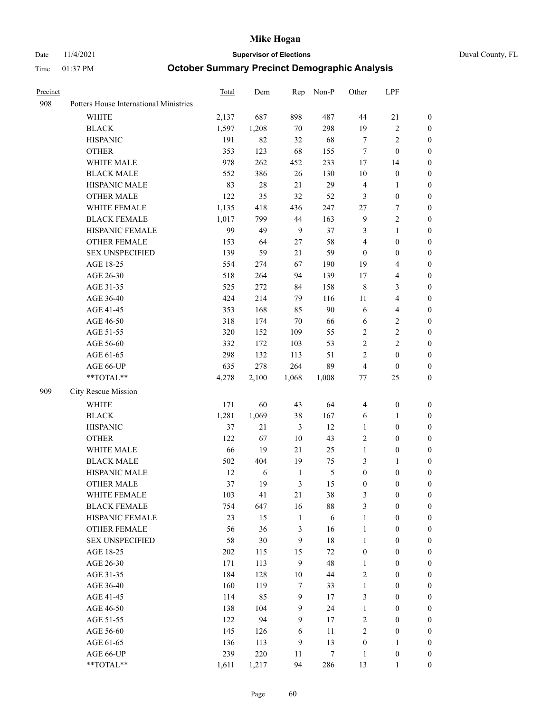#### Date 11/4/2021 **Supervisor of Elections** Duval County, FL

| Precinct |                                        | Total | Dem    | Rep              | Non-P          | Other                   | LPF                     |                  |
|----------|----------------------------------------|-------|--------|------------------|----------------|-------------------------|-------------------------|------------------|
| 908      | Potters House International Ministries |       |        |                  |                |                         |                         |                  |
|          | <b>WHITE</b>                           | 2,137 | 687    | 898              | 487            | 44                      | 21                      | $\boldsymbol{0}$ |
|          | <b>BLACK</b>                           | 1,597 | 1,208  | 70               | 298            | 19                      | $\sqrt{2}$              | $\boldsymbol{0}$ |
|          | <b>HISPANIC</b>                        | 191   | 82     | 32               | 68             | 7                       | $\sqrt{2}$              | $\boldsymbol{0}$ |
|          | <b>OTHER</b>                           | 353   | 123    | 68               | 155            | 7                       | $\boldsymbol{0}$        | $\boldsymbol{0}$ |
|          | WHITE MALE                             | 978   | 262    | 452              | 233            | 17                      | 14                      | $\boldsymbol{0}$ |
|          | <b>BLACK MALE</b>                      | 552   | 386    | 26               | 130            | 10                      | $\boldsymbol{0}$        | $\boldsymbol{0}$ |
|          | HISPANIC MALE                          | 83    | $28\,$ | 21               | 29             | $\overline{4}$          | $\mathbf{1}$            | $\boldsymbol{0}$ |
|          | OTHER MALE                             | 122   | 35     | 32               | 52             | 3                       | $\boldsymbol{0}$        | 0                |
|          | WHITE FEMALE                           | 1,135 | 418    | 436              | 247            | $27\,$                  | 7                       | 0                |
|          | <b>BLACK FEMALE</b>                    | 1,017 | 799    | 44               | 163            | $\overline{9}$          | $\sqrt{2}$              | 0                |
|          | HISPANIC FEMALE                        | 99    | 49     | 9                | 37             | 3                       | $\mathbf{1}$            | $\boldsymbol{0}$ |
|          | OTHER FEMALE                           | 153   | 64     | $27\,$           | 58             | 4                       | $\boldsymbol{0}$        | $\boldsymbol{0}$ |
|          | <b>SEX UNSPECIFIED</b>                 | 139   | 59     | 21               | 59             | $\boldsymbol{0}$        | $\boldsymbol{0}$        | $\boldsymbol{0}$ |
|          | AGE 18-25                              | 554   | 274    | 67               | 190            | 19                      | $\overline{\mathbf{4}}$ | $\boldsymbol{0}$ |
|          | AGE 26-30                              | 518   | 264    | 94               | 139            | 17                      | $\overline{\mathbf{4}}$ | $\boldsymbol{0}$ |
|          | AGE 31-35                              | 525   | 272    | 84               | 158            | $\,$ 8 $\,$             | $\mathfrak{Z}$          | $\boldsymbol{0}$ |
|          | AGE 36-40                              | 424   | 214    | 79               | 116            | $11\,$                  | $\overline{\mathbf{4}}$ | $\boldsymbol{0}$ |
|          | AGE 41-45                              | 353   | 168    | 85               | 90             | 6                       | $\overline{4}$          | $\boldsymbol{0}$ |
|          | AGE 46-50                              | 318   | 174    | 70               | 66             | 6                       | $\boldsymbol{2}$        | $\boldsymbol{0}$ |
|          | AGE 51-55                              | 320   | 152    | 109              | 55             | $\sqrt{2}$              | $\sqrt{2}$              | 0                |
|          | AGE 56-60                              | 332   | 172    | 103              | 53             | $\sqrt{2}$              | $\sqrt{2}$              | 0                |
|          | AGE 61-65                              | 298   | 132    | 113              | 51             | 2                       | $\boldsymbol{0}$        | $\boldsymbol{0}$ |
|          | AGE 66-UP                              | 635   | 278    | 264              | 89             | 4                       | $\boldsymbol{0}$        | $\boldsymbol{0}$ |
|          | **TOTAL**                              | 4,278 | 2,100  | 1,068            | 1,008          | 77                      | 25                      | $\boldsymbol{0}$ |
| 909      | City Rescue Mission                    |       |        |                  |                |                         |                         |                  |
|          |                                        |       |        |                  |                |                         |                         |                  |
|          | <b>WHITE</b>                           | 171   | 60     | 43               | 64             | $\overline{\mathbf{4}}$ | $\boldsymbol{0}$        | $\boldsymbol{0}$ |
|          | <b>BLACK</b>                           | 1,281 | 1,069  | 38               | 167            | 6                       | $\mathbf{1}$            | $\boldsymbol{0}$ |
|          | <b>HISPANIC</b>                        | 37    | 21     | $\mathfrak{Z}$   | 12             | $\mathbf{1}$            | $\boldsymbol{0}$        | $\boldsymbol{0}$ |
|          | <b>OTHER</b>                           | 122   | 67     | $10\,$           | 43             | 2                       | $\boldsymbol{0}$        | $\boldsymbol{0}$ |
|          | WHITE MALE                             | 66    | 19     | 21               | 25             | $\mathbf{1}$            | $\boldsymbol{0}$        | 0                |
|          | <b>BLACK MALE</b>                      | 502   | 404    | 19               | 75             | 3                       | $\mathbf{1}$            | 0                |
|          | HISPANIC MALE                          | 12    | 6      | $\mathbf{1}$     | $\mathfrak{S}$ | $\boldsymbol{0}$        | $\boldsymbol{0}$        | 0                |
|          | OTHER MALE                             | 37    | 19     | 3                | 15             | $\boldsymbol{0}$        | $\boldsymbol{0}$        | $\boldsymbol{0}$ |
|          | WHITE FEMALE                           | 103   | 41     | 21               | 38             | 3                       | $\boldsymbol{0}$        | $\boldsymbol{0}$ |
|          | <b>BLACK FEMALE</b>                    | 754   | 647    | 16               | $88\,$         | 3                       | $\boldsymbol{0}$        | $\overline{0}$   |
|          | HISPANIC FEMALE                        | 23    | 15     | $\mathbf{1}$     | $\sqrt{6}$     | $\mathbf{1}$            | $\boldsymbol{0}$        | $\overline{0}$   |
|          | <b>OTHER FEMALE</b>                    | 56    | 36     | $\mathfrak{Z}$   | 16             | $\mathbf{1}$            | $\boldsymbol{0}$        | $\overline{0}$   |
|          | <b>SEX UNSPECIFIED</b>                 | 58    | 30     | 9                | 18             | $\mathbf{1}$            | $\boldsymbol{0}$        | $\overline{0}$   |
|          | AGE 18-25                              | 202   | 115    | 15               | $72\,$         | $\boldsymbol{0}$        | $\boldsymbol{0}$        | $\overline{0}$   |
|          | AGE 26-30                              | 171   | 113    | $\mathbf{9}$     | 48             | $\mathbf{1}$            | $\boldsymbol{0}$        | 0                |
|          | AGE 31-35                              | 184   | 128    | $10\,$           | 44             | 2                       | $\boldsymbol{0}$        | 0                |
|          | AGE 36-40                              | 160   | 119    | $\boldsymbol{7}$ | 33             | $\mathbf{1}$            | $\boldsymbol{0}$        | 0                |
|          | AGE 41-45                              | 114   | 85     | $\overline{9}$   | 17             | 3                       | $\boldsymbol{0}$        | 0                |
|          | AGE 46-50                              | 138   | 104    | 9                | 24             | $\mathbf{1}$            | $\boldsymbol{0}$        | $\boldsymbol{0}$ |
|          | AGE 51-55                              | 122   | 94     | $\mathbf{9}$     | 17             | 2                       | $\boldsymbol{0}$        | $\boldsymbol{0}$ |
|          | AGE 56-60                              | 145   | 126    | 6                | 11             | 2                       | $\boldsymbol{0}$        | $\overline{0}$   |
|          | AGE 61-65                              | 136   | 113    | 9                | 13             | $\boldsymbol{0}$        | $\mathbf{1}$            | $\boldsymbol{0}$ |
|          | AGE 66-UP                              | 239   | 220    | 11               | 7              | $\mathbf{1}$            | $\boldsymbol{0}$        | $\boldsymbol{0}$ |
|          | **TOTAL**                              | 1,611 | 1,217  | 94               | 286            | 13                      | $\mathbf{1}$            | $\boldsymbol{0}$ |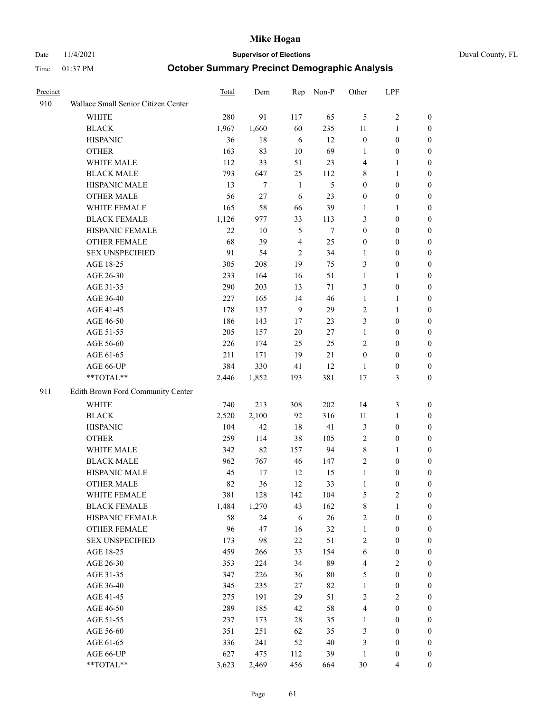#### Date 11/4/2021 **Supervisor of Elections** Duval County, FL

| Precinct |                                     | Total | Dem   | Rep            | Non-P  | Other            | LPF              |                  |
|----------|-------------------------------------|-------|-------|----------------|--------|------------------|------------------|------------------|
| 910      | Wallace Small Senior Citizen Center |       |       |                |        |                  |                  |                  |
|          | <b>WHITE</b>                        | 280   | 91    | 117            | 65     | 5                | $\sqrt{2}$       | 0                |
|          | <b>BLACK</b>                        | 1,967 | 1,660 | 60             | 235    | 11               | $\mathbf{1}$     | 0                |
|          | <b>HISPANIC</b>                     | 36    | 18    | 6              | 12     | $\boldsymbol{0}$ | $\boldsymbol{0}$ | 0                |
|          | <b>OTHER</b>                        | 163   | 83    | $10\,$         | 69     | 1                | $\boldsymbol{0}$ | $\boldsymbol{0}$ |
|          | WHITE MALE                          | 112   | 33    | 51             | 23     | 4                | 1                | $\boldsymbol{0}$ |
|          | <b>BLACK MALE</b>                   | 793   | 647   | 25             | 112    | 8                | $\mathbf{1}$     | $\boldsymbol{0}$ |
|          | HISPANIC MALE                       | 13    | 7     | $\mathbf{1}$   | 5      | $\boldsymbol{0}$ | $\boldsymbol{0}$ | $\boldsymbol{0}$ |
|          | <b>OTHER MALE</b>                   | 56    | 27    | 6              | 23     | $\boldsymbol{0}$ | $\boldsymbol{0}$ | $\boldsymbol{0}$ |
|          | WHITE FEMALE                        | 165   | 58    | 66             | 39     | 1                | 1                | $\boldsymbol{0}$ |
|          | <b>BLACK FEMALE</b>                 | 1,126 | 977   | 33             | 113    | 3                | $\boldsymbol{0}$ | 0                |
|          | HISPANIC FEMALE                     | 22    | 10    | 5              | 7      | $\boldsymbol{0}$ | $\boldsymbol{0}$ | 0                |
|          | <b>OTHER FEMALE</b>                 | 68    | 39    | $\overline{4}$ | 25     | $\boldsymbol{0}$ | $\boldsymbol{0}$ | 0                |
|          | <b>SEX UNSPECIFIED</b>              | 91    | 54    | $\mathfrak{2}$ | 34     | $\mathbf{1}$     | $\boldsymbol{0}$ | $\boldsymbol{0}$ |
|          | AGE 18-25                           | 305   | 208   | 19             | 75     | 3                | $\boldsymbol{0}$ | $\boldsymbol{0}$ |
|          | AGE 26-30                           | 233   | 164   | 16             | 51     | $\mathbf{1}$     | $\mathbf{1}$     | $\boldsymbol{0}$ |
|          | AGE 31-35                           | 290   | 203   | 13             | 71     | 3                | $\boldsymbol{0}$ | $\boldsymbol{0}$ |
|          | AGE 36-40                           | 227   | 165   | 14             | 46     | 1                | 1                | $\boldsymbol{0}$ |
|          | AGE 41-45                           | 178   | 137   | 9              | 29     | $\mathfrak{2}$   | $\mathbf{1}$     | $\boldsymbol{0}$ |
|          | AGE 46-50                           | 186   | 143   | 17             | 23     | 3                | $\boldsymbol{0}$ | $\boldsymbol{0}$ |
|          | AGE 51-55                           | 205   | 157   | $20\,$         | $27\,$ | $\mathbf{1}$     | $\boldsymbol{0}$ | 0                |
|          | AGE 56-60                           | 226   | 174   | 25             | 25     | $\overline{2}$   | $\boldsymbol{0}$ | 0                |
|          | AGE 61-65                           | 211   | 171   | 19             | 21     | $\boldsymbol{0}$ | $\boldsymbol{0}$ | 0                |
|          | AGE 66-UP                           | 384   | 330   | 41             | 12     | 1                | $\boldsymbol{0}$ | $\boldsymbol{0}$ |
|          | **TOTAL**                           | 2,446 | 1,852 | 193            | 381    | 17               | $\mathfrak{Z}$   | $\boldsymbol{0}$ |
| 911      | Edith Brown Ford Community Center   |       |       |                |        |                  |                  |                  |
|          | <b>WHITE</b>                        | 740   | 213   | 308            | 202    | 14               | $\mathfrak{Z}$   | $\boldsymbol{0}$ |
|          | <b>BLACK</b>                        | 2,520 | 2,100 | 92             | 316    | $11\,$           | $\mathbf{1}$     | $\boldsymbol{0}$ |
|          | <b>HISPANIC</b>                     | 104   | 42    | 18             | 41     | 3                | $\boldsymbol{0}$ | $\boldsymbol{0}$ |
|          | <b>OTHER</b>                        | 259   | 114   | 38             | 105    | 2                | $\boldsymbol{0}$ | $\boldsymbol{0}$ |
|          | WHITE MALE                          | 342   | 82    | 157            | 94     | 8                | $\mathbf{1}$     | $\boldsymbol{0}$ |
|          | <b>BLACK MALE</b>                   | 962   | 767   | 46             | 147    | $\overline{c}$   | $\boldsymbol{0}$ | $\boldsymbol{0}$ |
|          | HISPANIC MALE                       | 45    | 17    | 12             | 15     | $\mathbf{1}$     | $\boldsymbol{0}$ | 0                |
|          | <b>OTHER MALE</b>                   | 82    | 36    | 12             | 33     | $\mathbf{1}$     | $\boldsymbol{0}$ | 0                |
|          | WHITE FEMALE                        | 381   | 128   | 142            | 104    | 5                | 2                | 0                |
|          | <b>BLACK FEMALE</b>                 | 1,484 | 1,270 | 43             | 162    | 8                | $\mathbf{1}$     | $\boldsymbol{0}$ |
|          | HISPANIC FEMALE                     | 58    | 24    | 6              | $26\,$ | $\overline{c}$   | $\boldsymbol{0}$ | $\overline{0}$   |
|          | OTHER FEMALE                        | 96    | 47    | 16             | 32     | $\mathbf{1}$     | $\boldsymbol{0}$ | $\overline{0}$   |
|          | <b>SEX UNSPECIFIED</b>              | 173   | 98    | 22             | 51     | 2                | $\boldsymbol{0}$ | 0                |
|          | AGE 18-25                           | 459   | 266   | 33             | 154    | 6                | $\boldsymbol{0}$ | $\overline{0}$   |
|          | AGE 26-30                           | 353   | 224   | 34             | 89     | $\overline{4}$   | $\overline{2}$   | 0                |
|          | AGE 31-35                           | 347   | 226   | 36             | $80\,$ | 5                | $\boldsymbol{0}$ | 0                |
|          | AGE 36-40                           | 345   | 235   | 27             | 82     | $\mathbf{1}$     | $\boldsymbol{0}$ | 0                |
|          | AGE 41-45                           | 275   | 191   | 29             | 51     | 2                | $\overline{2}$   | 0                |
|          | AGE 46-50                           | 289   | 185   | 42             | 58     | 4                | $\boldsymbol{0}$ | 0                |
|          | AGE 51-55                           | 237   | 173   | $28\,$         | 35     | $\mathbf{1}$     | $\boldsymbol{0}$ | $\boldsymbol{0}$ |
|          | AGE 56-60                           | 351   | 251   | 62             | 35     | 3                | $\boldsymbol{0}$ | $\boldsymbol{0}$ |
|          | AGE 61-65                           | 336   | 241   | 52             | $40\,$ | 3                | $\boldsymbol{0}$ | $\boldsymbol{0}$ |
|          | AGE 66-UP                           | 627   | 475   | 112            | 39     | $\mathbf{1}$     | $\boldsymbol{0}$ | 0                |
|          | **TOTAL**                           | 3,623 | 2,469 | 456            | 664    | 30               | $\overline{4}$   | $\boldsymbol{0}$ |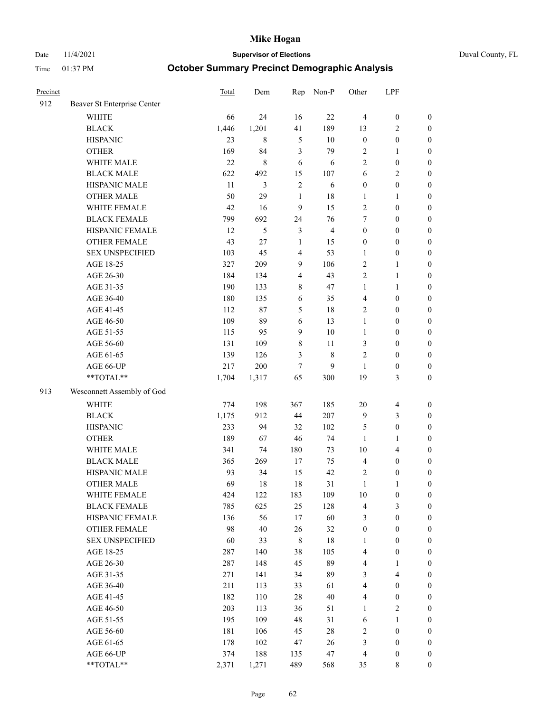Date 11/4/2021 **Supervisor of Elections** Duval County, FL

| Precinct |                             | <b>Total</b> | Dem         | Rep            | Non-P          | Other                   | LPF                     |                  |
|----------|-----------------------------|--------------|-------------|----------------|----------------|-------------------------|-------------------------|------------------|
| 912      | Beaver St Enterprise Center |              |             |                |                |                         |                         |                  |
|          | <b>WHITE</b>                | 66           | 24          | 16             | 22             | $\overline{4}$          | $\boldsymbol{0}$        | $\boldsymbol{0}$ |
|          | <b>BLACK</b>                | 1,446        | 1,201       | 41             | 189            | 13                      | $\overline{c}$          | $\boldsymbol{0}$ |
|          | <b>HISPANIC</b>             | 23           | $\,8\,$     | $\mathfrak{S}$ | 10             | $\boldsymbol{0}$        | $\boldsymbol{0}$        | $\boldsymbol{0}$ |
|          | <b>OTHER</b>                | 169          | 84          | 3              | 79             | $\mathbf{2}$            | 1                       | $\boldsymbol{0}$ |
|          | WHITE MALE                  | 22           | $\,$ 8 $\,$ | 6              | 6              | 2                       | $\boldsymbol{0}$        | $\boldsymbol{0}$ |
|          | <b>BLACK MALE</b>           | 622          | 492         | 15             | 107            | 6                       | $\sqrt{2}$              | $\boldsymbol{0}$ |
|          | HISPANIC MALE               | 11           | 3           | $\sqrt{2}$     | 6              | $\boldsymbol{0}$        | $\boldsymbol{0}$        | $\boldsymbol{0}$ |
|          | <b>OTHER MALE</b>           | 50           | 29          | $\mathbf{1}$   | 18             | $\mathbf{1}$            | $\mathbf{1}$            | $\boldsymbol{0}$ |
|          | WHITE FEMALE                | 42           | 16          | $\overline{9}$ | 15             | 2                       | $\boldsymbol{0}$        | $\boldsymbol{0}$ |
|          | <b>BLACK FEMALE</b>         | 799          | 692         | 24             | 76             | 7                       | $\boldsymbol{0}$        | $\boldsymbol{0}$ |
|          | HISPANIC FEMALE             | 12           | 5           | $\mathfrak{Z}$ | $\overline{4}$ | $\boldsymbol{0}$        | $\boldsymbol{0}$        | $\boldsymbol{0}$ |
|          | <b>OTHER FEMALE</b>         | 43           | 27          | $\mathbf{1}$   | 15             | $\boldsymbol{0}$        | $\boldsymbol{0}$        | $\boldsymbol{0}$ |
|          | <b>SEX UNSPECIFIED</b>      | 103          | 45          | $\overline{4}$ | 53             | $\mathbf{1}$            | $\boldsymbol{0}$        | $\boldsymbol{0}$ |
|          | AGE 18-25                   | 327          | 209         | 9              | 106            | 2                       | $\mathbf{1}$            | $\boldsymbol{0}$ |
|          | AGE 26-30                   | 184          | 134         | 4              | 43             | 2                       | $\mathbf{1}$            | $\boldsymbol{0}$ |
|          | AGE 31-35                   | 190          | 133         | $\,$ $\,$      | 47             | $\mathbf{1}$            | $\mathbf{1}$            | $\boldsymbol{0}$ |
|          | AGE 36-40                   | 180          | 135         | 6              | 35             | 4                       | $\boldsymbol{0}$        | $\boldsymbol{0}$ |
|          | AGE 41-45                   | 112          | 87          | 5              | 18             | 2                       | $\boldsymbol{0}$        | $\boldsymbol{0}$ |
|          | AGE 46-50                   | 109          | 89          | 6              | 13             | $\mathbf{1}$            | $\boldsymbol{0}$        | $\boldsymbol{0}$ |
|          | AGE 51-55                   | 115          | 95          | $\overline{9}$ | $10\,$         | $\mathbf{1}$            | $\boldsymbol{0}$        | $\boldsymbol{0}$ |
|          | AGE 56-60                   | 131          | 109         | $\,$ 8 $\,$    | 11             | 3                       | $\boldsymbol{0}$        | $\boldsymbol{0}$ |
|          | AGE 61-65                   | 139          | 126         | 3              | $\,$ 8 $\,$    | $\mathfrak{2}$          | $\boldsymbol{0}$        | $\boldsymbol{0}$ |
|          | AGE 66-UP                   | 217          | 200         | $\tau$         | 9              | $\mathbf{1}$            | $\boldsymbol{0}$        | $\boldsymbol{0}$ |
|          | **TOTAL**                   | 1,704        | 1,317       | 65             | 300            | 19                      | $\mathfrak{Z}$          | $\boldsymbol{0}$ |
| 913      | Wesconnett Assembly of God  |              |             |                |                |                         |                         |                  |
|          | WHITE                       | 774          | 198         | 367            | 185            | $20\,$                  | $\overline{\mathbf{4}}$ | $\boldsymbol{0}$ |
|          | <b>BLACK</b>                | 1,175        | 912         | 44             | 207            | 9                       | $\mathfrak{Z}$          | $\boldsymbol{0}$ |
|          | <b>HISPANIC</b>             | 233          | 94          | 32             | 102            | 5                       | $\boldsymbol{0}$        | $\boldsymbol{0}$ |
|          | <b>OTHER</b>                | 189          | 67          | 46             | 74             | $\mathbf{1}$            | $\mathbf{1}$            | $\boldsymbol{0}$ |
|          | WHITE MALE                  | 341          | 74          | 180            | 73             | $10\,$                  | $\overline{4}$          | $\boldsymbol{0}$ |
|          | <b>BLACK MALE</b>           | 365          | 269         | $17\,$         | 75             | 4                       | $\boldsymbol{0}$        | $\boldsymbol{0}$ |
|          | HISPANIC MALE               | 93           | 34          | 15             | 42             | 2                       | $\boldsymbol{0}$        | $\boldsymbol{0}$ |
|          | OTHER MALE                  | 69           | 18          | 18             | 31             | $\mathbf{1}$            | $\mathbf{1}$            | $\boldsymbol{0}$ |
|          | WHITE FEMALE                | 424          | 122         | 183            | 109            | 10                      | $\boldsymbol{0}$        | 0                |
|          | <b>BLACK FEMALE</b>         | 785          | 625         | 25             | 128            | 4                       | 3                       | $\boldsymbol{0}$ |
|          | HISPANIC FEMALE             | 136          | 56          | 17             | 60             | 3                       | $\boldsymbol{0}$        | $\overline{0}$   |
|          | <b>OTHER FEMALE</b>         | 98           | 40          | 26             | 32             | $\boldsymbol{0}$        | $\boldsymbol{0}$        | $\overline{0}$   |
|          | <b>SEX UNSPECIFIED</b>      | 60           | 33          | 8              | 18             | $\mathbf{1}$            | $\boldsymbol{0}$        | 0                |
|          | AGE 18-25                   | 287          | 140         | 38             | 105            | 4                       | $\boldsymbol{0}$        | $\theta$         |
|          | AGE 26-30                   | 287          | 148         | 45             | 89             | 4                       | $\mathbf{1}$            | 0                |
|          | AGE 31-35                   | 271          | 141         | 34             | 89             | 3                       | $\overline{\mathbf{4}}$ | 0                |
|          | AGE 36-40                   | 211          | 113         | 33             | 61             | 4                       | $\boldsymbol{0}$        | 0                |
|          | AGE 41-45                   | 182          | 110         | 28             | $40\,$         | $\overline{\mathbf{4}}$ | $\boldsymbol{0}$        | 0                |
|          | AGE 46-50                   | 203          | 113         | 36             | 51             | 1                       | $\sqrt{2}$              | 0                |
|          | AGE 51-55                   | 195          | 109         | 48             | 31             | 6                       | $\mathbf{1}$            | 0                |
|          | AGE 56-60                   | 181          | 106         | 45             | 28             | 2                       | $\boldsymbol{0}$        | $\overline{0}$   |
|          | AGE 61-65                   | 178          | 102         | 47             | 26             | 3                       | $\boldsymbol{0}$        | $\overline{0}$   |
|          | AGE 66-UP                   | 374          | 188         | 135            | $47\,$         | 4                       | $\boldsymbol{0}$        | 0                |
|          | **TOTAL**                   | 2,371        | 1,271       | 489            | 568            | 35                      | 8                       | $\boldsymbol{0}$ |
|          |                             |              |             |                |                |                         |                         |                  |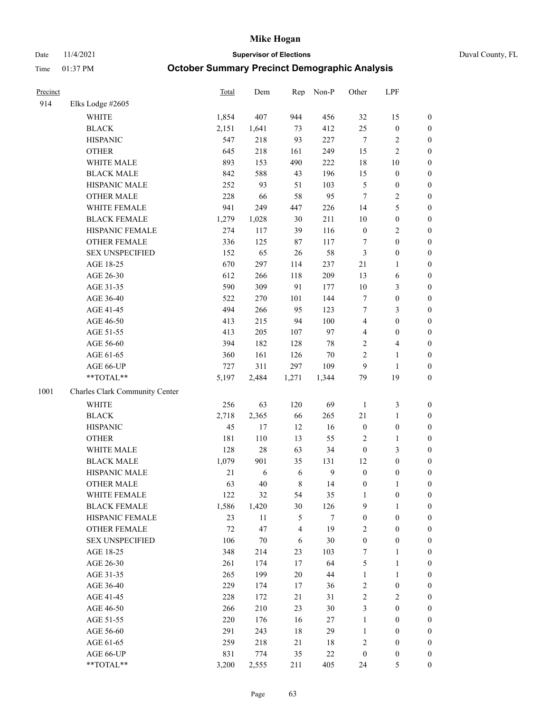Date 11/4/2021 **Supervisor of Elections** Duval County, FL

| Precinct |                                | <b>Total</b> | Dem        | Rep         | Non-P        | Other            | LPF              |                  |
|----------|--------------------------------|--------------|------------|-------------|--------------|------------------|------------------|------------------|
| 914      | Elks Lodge #2605               |              |            |             |              |                  |                  |                  |
|          | <b>WHITE</b>                   | 1,854        | 407        | 944         | 456          | 32               | 15               | 0                |
|          | <b>BLACK</b>                   | 2,151        | 1,641      | 73          | 412          | 25               | $\boldsymbol{0}$ | 0                |
|          | <b>HISPANIC</b>                | 547          | 218        | 93          | 227          | $\tau$           | $\sqrt{2}$       | $\boldsymbol{0}$ |
|          | <b>OTHER</b>                   | 645          | 218        | 161         | 249          | 15               | $\sqrt{2}$       | $\boldsymbol{0}$ |
|          | WHITE MALE                     | 893          | 153        | 490         | 222          | 18               | 10               | $\boldsymbol{0}$ |
|          | <b>BLACK MALE</b>              | 842          | 588        | 43          | 196          | 15               | $\boldsymbol{0}$ | $\boldsymbol{0}$ |
|          | HISPANIC MALE                  | 252          | 93         | 51          | 103          | 5                | $\boldsymbol{0}$ | $\boldsymbol{0}$ |
|          | <b>OTHER MALE</b>              | 228          | 66         | 58          | 95           | $\tau$           | $\mathfrak{2}$   | $\boldsymbol{0}$ |
|          | WHITE FEMALE                   | 941          | 249        | 447         | 226          | 14               | 5                | $\boldsymbol{0}$ |
|          | <b>BLACK FEMALE</b>            | 1,279        | 1,028      | 30          | 211          | $10\,$           | $\boldsymbol{0}$ | 0                |
|          | HISPANIC FEMALE                | 274          | 117        | 39          | 116          | $\boldsymbol{0}$ | $\sqrt{2}$       | 0                |
|          | <b>OTHER FEMALE</b>            | 336          | 125        | $87\,$      | 117          | 7                | $\boldsymbol{0}$ | $\boldsymbol{0}$ |
|          | <b>SEX UNSPECIFIED</b>         | 152          | 65         | 26          | 58           | 3                | $\boldsymbol{0}$ | $\boldsymbol{0}$ |
|          | AGE 18-25                      | 670          | 297        | 114         | 237          | 21               | 1                | $\boldsymbol{0}$ |
|          | AGE 26-30                      | 612          | 266        | 118         | 209          | 13               | 6                | $\boldsymbol{0}$ |
|          | AGE 31-35                      | 590          | 309        | 91          | 177          | $10\,$           | $\mathfrak{Z}$   | $\boldsymbol{0}$ |
|          | AGE 36-40                      | 522          | 270        | 101         | 144          | $\boldsymbol{7}$ | $\boldsymbol{0}$ | $\boldsymbol{0}$ |
|          | AGE 41-45                      | 494          | 266        | 95          | 123          | $\tau$           | 3                | $\boldsymbol{0}$ |
|          | AGE 46-50                      | 413          | 215        | 94          | 100          | 4                | $\boldsymbol{0}$ | $\boldsymbol{0}$ |
|          | AGE 51-55                      | 413          | 205        | 107         | 97           | 4                | $\boldsymbol{0}$ | $\boldsymbol{0}$ |
|          | AGE 56-60                      | 394          | 182        | 128         | $78\,$       | $\overline{c}$   | $\overline{4}$   | 0                |
|          | AGE 61-65                      | 360          | 161        | 126         | $70\,$       | $\overline{2}$   | $\mathbf{1}$     | $\boldsymbol{0}$ |
|          | AGE 66-UP                      | 727          | 311        | 297         | 109          | 9                | $\mathbf{1}$     | $\boldsymbol{0}$ |
|          | **TOTAL**                      | 5,197        | 2,484      | 1,271       | 1,344        | 79               | 19               | $\boldsymbol{0}$ |
| 1001     | Charles Clark Community Center |              |            |             |              |                  |                  |                  |
|          | <b>WHITE</b>                   | 256          | 63         | 120         | 69           | $\mathbf{1}$     | $\mathfrak z$    | $\boldsymbol{0}$ |
|          | <b>BLACK</b>                   | 2,718        | 2,365      | 66          | 265          | $21\,$           | $\mathbf{1}$     | $\boldsymbol{0}$ |
|          | <b>HISPANIC</b>                | 45           | 17         | 12          | 16           | $\boldsymbol{0}$ | $\boldsymbol{0}$ | $\boldsymbol{0}$ |
|          | <b>OTHER</b>                   | 181          | 110        | 13          | 55           | 2                | $\mathbf{1}$     | $\boldsymbol{0}$ |
|          | WHITE MALE                     | 128          | $28\,$     | 63          | 34           | $\boldsymbol{0}$ | 3                | $\boldsymbol{0}$ |
|          | <b>BLACK MALE</b>              | 1,079        | 901        | 35          | 131          | 12               | $\boldsymbol{0}$ | $\boldsymbol{0}$ |
|          | HISPANIC MALE                  | 21           | $\sqrt{6}$ | 6           | $\mathbf{9}$ | $\boldsymbol{0}$ | $\boldsymbol{0}$ | $\boldsymbol{0}$ |
|          | <b>OTHER MALE</b>              | 63           | 40         | $\,$ 8 $\,$ | 14           | $\boldsymbol{0}$ | $\mathbf{1}$     | $\boldsymbol{0}$ |
|          | WHITE FEMALE                   | 122          | 32         | 54          | 35           | 1                | 0                | 0                |
|          | <b>BLACK FEMALE</b>            | 1,586        | 1,420      | 30          | 126          | 9                | $\mathbf{1}$     | $\boldsymbol{0}$ |
|          | HISPANIC FEMALE                | 23           | 11         | 5           | 7            | $\boldsymbol{0}$ | $\boldsymbol{0}$ | $\overline{0}$   |
|          | <b>OTHER FEMALE</b>            | 72           | 47         | 4           | 19           | 2                | $\boldsymbol{0}$ | $\overline{0}$   |
|          | <b>SEX UNSPECIFIED</b>         | 106          | 70         | 6           | $30\,$       | $\boldsymbol{0}$ | $\boldsymbol{0}$ | 0                |
|          | AGE 18-25                      | 348          | 214        | 23          | 103          | 7                | $\mathbf{1}$     | 0                |
|          | AGE 26-30                      | 261          | 174        | 17          | 64           | 5                | $\mathbf{1}$     | 0                |
|          | AGE 31-35                      | 265          | 199        | $20\,$      | $44\,$       | $\mathbf{1}$     | $\mathbf{1}$     | 0                |
|          | AGE 36-40                      | 229          | 174        | 17          | 36           | 2                | $\boldsymbol{0}$ | 0                |
|          | AGE 41-45                      | 228          | 172        | 21          | 31           | 2                | $\mathfrak{2}$   | 0                |
|          | AGE 46-50                      | 266          | 210        | 23          | $30\,$       | 3                | $\boldsymbol{0}$ | 0                |
|          | AGE 51-55                      | 220          | 176        | 16          | $27\,$       | $\mathbf{1}$     | $\boldsymbol{0}$ | 0                |
|          | AGE 56-60                      | 291          | 243        | 18          | 29           | $\mathbf{1}$     | $\boldsymbol{0}$ | 0                |
|          | AGE 61-65                      | 259          | 218        | 21          | 18           | 2                | $\boldsymbol{0}$ | 0                |
|          | AGE 66-UP                      | 831          | 774        | 35          | $22\,$       | $\boldsymbol{0}$ | $\boldsymbol{0}$ | 0                |
|          | **TOTAL**                      | 3,200        | 2,555      | 211         | 405          | 24               | $\mathfrak s$    | $\boldsymbol{0}$ |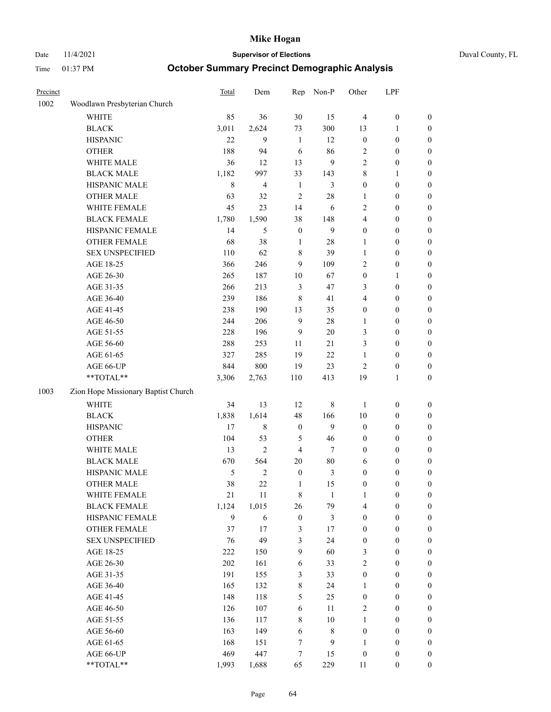Date 11/4/2021 **Supervisor of Elections** Duval County, FL

| Precinct |                                     | <b>Total</b> | Dem            | Rep              | Non-P          | Other            | LPF              |                  |
|----------|-------------------------------------|--------------|----------------|------------------|----------------|------------------|------------------|------------------|
| 1002     | Woodlawn Presbyterian Church        |              |                |                  |                |                  |                  |                  |
|          | <b>WHITE</b>                        | 85           | 36             | 30               | 15             | $\overline{4}$   | $\boldsymbol{0}$ | 0                |
|          | <b>BLACK</b>                        | 3,011        | 2,624          | 73               | 300            | 13               | $\mathbf{1}$     | 0                |
|          | <b>HISPANIC</b>                     | 22           | 9              | $\mathbf{1}$     | 12             | $\boldsymbol{0}$ | $\boldsymbol{0}$ | $\boldsymbol{0}$ |
|          | <b>OTHER</b>                        | 188          | 94             | 6                | 86             | 2                | $\boldsymbol{0}$ | $\boldsymbol{0}$ |
|          | WHITE MALE                          | 36           | 12             | 13               | 9              | 2                | $\boldsymbol{0}$ | $\boldsymbol{0}$ |
|          | <b>BLACK MALE</b>                   | 1,182        | 997            | 33               | 143            | 8                | 1                | $\boldsymbol{0}$ |
|          | HISPANIC MALE                       | $\,$ 8 $\,$  | $\overline{4}$ | $\mathbf{1}$     | 3              | $\boldsymbol{0}$ | $\boldsymbol{0}$ | $\boldsymbol{0}$ |
|          | <b>OTHER MALE</b>                   | 63           | 32             | $\overline{c}$   | $28\,$         | $\mathbf{1}$     | $\boldsymbol{0}$ | $\boldsymbol{0}$ |
|          | WHITE FEMALE                        | 45           | 23             | 14               | 6              | 2                | $\boldsymbol{0}$ | $\boldsymbol{0}$ |
|          | <b>BLACK FEMALE</b>                 | 1,780        | 1,590          | 38               | 148            | 4                | $\boldsymbol{0}$ | $\boldsymbol{0}$ |
|          | HISPANIC FEMALE                     | 14           | 5              | $\boldsymbol{0}$ | 9              | $\boldsymbol{0}$ | $\boldsymbol{0}$ | 0                |
|          | <b>OTHER FEMALE</b>                 | 68           | 38             | $\mathbf{1}$     | $28\,$         | $\mathbf{1}$     | $\boldsymbol{0}$ | $\boldsymbol{0}$ |
|          | <b>SEX UNSPECIFIED</b>              | 110          | 62             | 8                | 39             | $\mathbf{1}$     | $\boldsymbol{0}$ | $\boldsymbol{0}$ |
|          | AGE 18-25                           | 366          | 246            | 9                | 109            | 2                | $\boldsymbol{0}$ | $\boldsymbol{0}$ |
|          | AGE 26-30                           | 265          | 187            | $10\,$           | 67             | $\boldsymbol{0}$ | $\mathbf{1}$     | $\boldsymbol{0}$ |
|          | AGE 31-35                           | 266          | 213            | 3                | 47             | 3                | $\boldsymbol{0}$ | $\boldsymbol{0}$ |
|          | AGE 36-40                           | 239          | 186            | $\,8\,$          | 41             | 4                | $\boldsymbol{0}$ | $\boldsymbol{0}$ |
|          | AGE 41-45                           | 238          | 190            | 13               | 35             | $\boldsymbol{0}$ | $\boldsymbol{0}$ | $\boldsymbol{0}$ |
|          | AGE 46-50                           | 244          | 206            | $\overline{9}$   | $28\,$         | 1                | $\boldsymbol{0}$ | $\boldsymbol{0}$ |
|          | AGE 51-55                           | 228          | 196            | $\overline{9}$   | $20\,$         | 3                | $\boldsymbol{0}$ | $\boldsymbol{0}$ |
|          | AGE 56-60                           | 288          | 253            | 11               | 21             | 3                | $\boldsymbol{0}$ | 0                |
|          | AGE 61-65                           | 327          | 285            | 19               | 22             | $\mathbf{1}$     | $\boldsymbol{0}$ | 0                |
|          | AGE 66-UP                           | 844          | 800            | 19               | 23             | $\overline{2}$   | $\boldsymbol{0}$ | $\boldsymbol{0}$ |
|          | **TOTAL**                           | 3,306        | 2,763          | 110              | 413            | 19               | $\mathbf{1}$     | $\boldsymbol{0}$ |
| 1003     | Zion Hope Missionary Baptist Church |              |                |                  |                |                  |                  |                  |
|          | <b>WHITE</b>                        | 34           | 13             | 12               | $\,$ 8 $\,$    | $\mathbf{1}$     | $\boldsymbol{0}$ | $\boldsymbol{0}$ |
|          | <b>BLACK</b>                        | 1,838        | 1,614          | 48               | 166            | 10               | $\boldsymbol{0}$ | $\boldsymbol{0}$ |
|          | <b>HISPANIC</b>                     | 17           | $\,8\,$        | $\boldsymbol{0}$ | 9              | $\boldsymbol{0}$ | $\boldsymbol{0}$ | $\boldsymbol{0}$ |
|          | <b>OTHER</b>                        | 104          | 53             | 5                | 46             | $\boldsymbol{0}$ | $\boldsymbol{0}$ | $\boldsymbol{0}$ |
|          | WHITE MALE                          | 13           | $\overline{2}$ | $\overline{4}$   | $\tau$         | $\boldsymbol{0}$ | $\boldsymbol{0}$ | $\boldsymbol{0}$ |
|          | <b>BLACK MALE</b>                   | 670          | 564            | $20\,$           | $80\,$         | 6                | $\boldsymbol{0}$ | $\boldsymbol{0}$ |
|          | HISPANIC MALE                       | 5            | $\sqrt{2}$     | $\boldsymbol{0}$ | $\mathfrak{Z}$ | $\boldsymbol{0}$ | $\boldsymbol{0}$ | 0                |
|          | <b>OTHER MALE</b>                   | 38           | 22             | $\mathbf{1}$     | 15             | $\boldsymbol{0}$ | $\boldsymbol{0}$ | $\boldsymbol{0}$ |
|          | <b>WHITE FEMALE</b>                 | 21           | 11             | 8                | 1              | 1                | 0                | 0                |
|          | <b>BLACK FEMALE</b>                 | 1,124        | 1,015          | 26               | 79             | 4                | $\boldsymbol{0}$ | $\boldsymbol{0}$ |
|          | HISPANIC FEMALE                     | 9            | 6              | $\boldsymbol{0}$ | $\mathfrak{Z}$ | $\boldsymbol{0}$ | $\boldsymbol{0}$ | $\overline{0}$   |
|          | <b>OTHER FEMALE</b>                 | 37           | 17             | 3                | 17             | $\boldsymbol{0}$ | $\boldsymbol{0}$ | $\overline{0}$   |
|          | <b>SEX UNSPECIFIED</b>              | $76\,$       | 49             | 3                | 24             | $\boldsymbol{0}$ | $\boldsymbol{0}$ | $\overline{0}$   |
|          | AGE 18-25                           | 222          | 150            | 9                | 60             | 3                | $\boldsymbol{0}$ | $\overline{0}$   |
|          | AGE 26-30                           | 202          | 161            | $\sqrt{6}$       | 33             | 2                | $\boldsymbol{0}$ | $\overline{0}$   |
|          | AGE 31-35                           | 191          | 155            | 3                | 33             | $\boldsymbol{0}$ | $\boldsymbol{0}$ | 0                |
|          | AGE 36-40                           | 165          | 132            | 8                | 24             | $\mathbf{1}$     | $\boldsymbol{0}$ | 0                |
|          | AGE 41-45                           | 148          | 118            | 5                | 25             | $\boldsymbol{0}$ | $\boldsymbol{0}$ | 0                |
|          | AGE 46-50                           | 126          | 107            | $\sqrt{6}$       | 11             | 2                | $\boldsymbol{0}$ | $\boldsymbol{0}$ |
|          | AGE 51-55                           | 136          | 117            | 8                | $10\,$         | $\mathbf{1}$     | $\boldsymbol{0}$ | $\boldsymbol{0}$ |
|          | AGE 56-60                           | 163          | 149            | 6                | 8              | $\boldsymbol{0}$ | $\boldsymbol{0}$ | $\boldsymbol{0}$ |
|          | AGE 61-65                           | 168          | 151            | 7                | 9              | $\mathbf{1}$     | $\boldsymbol{0}$ | $\overline{0}$   |
|          | AGE 66-UP                           | 469          | 447            | 7                | 15             | $\boldsymbol{0}$ | $\boldsymbol{0}$ | $\boldsymbol{0}$ |
|          | **TOTAL**                           | 1,993        | 1,688          | 65               | 229            | 11               | $\boldsymbol{0}$ | $\boldsymbol{0}$ |
|          |                                     |              |                |                  |                |                  |                  |                  |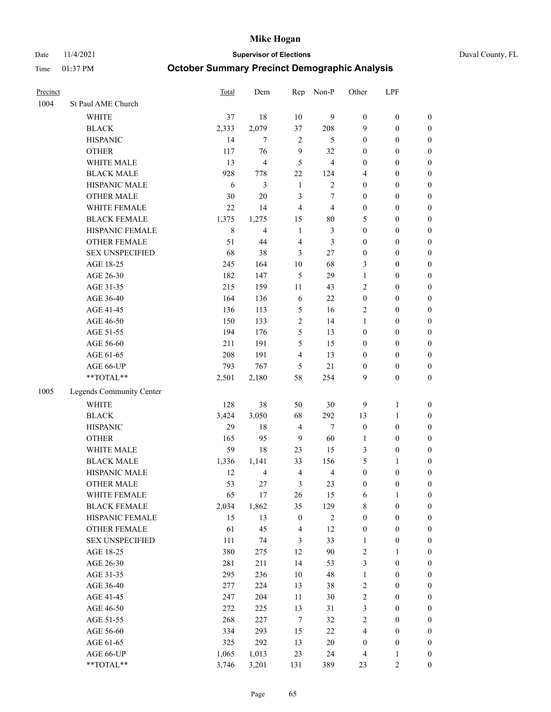Date 11/4/2021 **Supervisor of Elections** Duval County, FL

| Precinct |                          | Total | Dem            | Rep              | Non-P          | Other            | LPF              |                  |
|----------|--------------------------|-------|----------------|------------------|----------------|------------------|------------------|------------------|
| 1004     | St Paul AME Church       |       |                |                  |                |                  |                  |                  |
|          | <b>WHITE</b>             | 37    | 18             | 10               | 9              | $\boldsymbol{0}$ | $\boldsymbol{0}$ | $\boldsymbol{0}$ |
|          | <b>BLACK</b>             | 2,333 | 2,079          | 37               | 208            | 9                | $\boldsymbol{0}$ | $\boldsymbol{0}$ |
|          | <b>HISPANIC</b>          | 14    | $\tau$         | 2                | 5              | 0                | $\boldsymbol{0}$ | $\boldsymbol{0}$ |
|          | <b>OTHER</b>             | 117   | 76             | 9                | 32             | 0                | $\boldsymbol{0}$ | $\boldsymbol{0}$ |
|          | WHITE MALE               | 13    | $\overline{4}$ | 5                | $\overline{4}$ | 0                | $\boldsymbol{0}$ | $\boldsymbol{0}$ |
|          | <b>BLACK MALE</b>        | 928   | 778            | 22               | 124            | 4                | $\boldsymbol{0}$ | $\boldsymbol{0}$ |
|          | HISPANIC MALE            | 6     | 3              | $\mathbf{1}$     | $\overline{2}$ | 0                | $\boldsymbol{0}$ | $\boldsymbol{0}$ |
|          | <b>OTHER MALE</b>        | 30    | 20             | 3                | 7              | $\boldsymbol{0}$ | $\boldsymbol{0}$ | $\boldsymbol{0}$ |
|          | WHITE FEMALE             | 22    | 14             | $\overline{4}$   | $\overline{4}$ | 0                | $\boldsymbol{0}$ | $\boldsymbol{0}$ |
|          | <b>BLACK FEMALE</b>      | 1,375 | 1,275          | 15               | 80             | 5                | $\boldsymbol{0}$ | $\boldsymbol{0}$ |
|          | HISPANIC FEMALE          | 8     | $\overline{4}$ | $\mathbf{1}$     | 3              | $\boldsymbol{0}$ | $\boldsymbol{0}$ | $\boldsymbol{0}$ |
|          | <b>OTHER FEMALE</b>      | 51    | 44             | $\overline{4}$   | 3              | 0                | $\boldsymbol{0}$ | $\boldsymbol{0}$ |
|          | <b>SEX UNSPECIFIED</b>   | 68    | 38             | 3                | 27             | $\boldsymbol{0}$ | $\boldsymbol{0}$ | $\boldsymbol{0}$ |
|          | AGE 18-25                | 245   | 164            | $10\,$           | 68             | 3                | $\boldsymbol{0}$ | $\boldsymbol{0}$ |
|          | AGE 26-30                | 182   | 147            | 5                | 29             | 1                | $\boldsymbol{0}$ | $\boldsymbol{0}$ |
|          | AGE 31-35                | 215   | 159            | 11               | 43             | $\overline{c}$   | $\boldsymbol{0}$ | $\boldsymbol{0}$ |
|          | AGE 36-40                | 164   | 136            | 6                | 22             | $\boldsymbol{0}$ | $\boldsymbol{0}$ | $\boldsymbol{0}$ |
|          | AGE 41-45                | 136   | 113            | 5                | 16             | 2                | $\boldsymbol{0}$ | $\boldsymbol{0}$ |
|          | AGE 46-50                | 150   | 133            | $\overline{c}$   | 14             | 1                | $\boldsymbol{0}$ | $\boldsymbol{0}$ |
|          | AGE 51-55                | 194   | 176            | 5                | 13             | $\boldsymbol{0}$ | $\boldsymbol{0}$ | $\boldsymbol{0}$ |
|          | AGE 56-60                | 211   | 191            | 5                | 15             | 0                | $\boldsymbol{0}$ | 0                |
|          | AGE 61-65                | 208   | 191            | 4                | 13             | $\boldsymbol{0}$ | $\boldsymbol{0}$ | $\boldsymbol{0}$ |
|          | AGE 66-UP                | 793   | 767            | 5                | 21             | $\boldsymbol{0}$ | $\boldsymbol{0}$ | $\boldsymbol{0}$ |
|          | $**TOTAL**$              | 2,501 | 2,180          | 58               | 254            | 9                | $\boldsymbol{0}$ | $\boldsymbol{0}$ |
| 1005     | Legends Community Center |       |                |                  |                |                  |                  |                  |
|          | WHITE                    |       |                |                  |                |                  |                  |                  |
|          |                          | 128   | 38             | 50               | 30             | 9                | $\mathbf{1}$     | $\boldsymbol{0}$ |
|          | <b>BLACK</b>             | 3,424 | 3,050          | 68               | 292            | 13               | $\mathbf{1}$     | $\boldsymbol{0}$ |
|          | <b>HISPANIC</b>          | 29    | 18             | $\overline{4}$   | $\tau$         | $\boldsymbol{0}$ | $\boldsymbol{0}$ | $\boldsymbol{0}$ |
|          | <b>OTHER</b>             | 165   | 95             | $\boldsymbol{9}$ | 60             | 1                | $\boldsymbol{0}$ | $\boldsymbol{0}$ |
|          | WHITE MALE               | 59    | 18             | 23               | 15             | 3                | $\boldsymbol{0}$ | $\boldsymbol{0}$ |
|          | <b>BLACK MALE</b>        | 1,336 | 1,141          | 33               | 156            | 5                | 1                | $\boldsymbol{0}$ |
|          | HISPANIC MALE            | 12    | $\overline{4}$ | $\overline{4}$   | $\overline{4}$ | $\boldsymbol{0}$ | $\boldsymbol{0}$ | $\boldsymbol{0}$ |
|          | <b>OTHER MALE</b>        | 53    | 27             | 3                | 23             | $\boldsymbol{0}$ | $\boldsymbol{0}$ | $\boldsymbol{0}$ |
|          | WHITE FEMALE             | 65    | 17             | 26               | 15             | 6                | 1                | 0                |
|          | <b>BLACK FEMALE</b>      | 2,034 | 1,862          | 35               | 129            | 8                | $\boldsymbol{0}$ | $\boldsymbol{0}$ |
|          | HISPANIC FEMALE          | 15    | 13             | $\boldsymbol{0}$ | $\sqrt{2}$     | $\boldsymbol{0}$ | $\boldsymbol{0}$ | $\overline{0}$   |
|          | OTHER FEMALE             | 61    | 45             | 4                | 12             | $\boldsymbol{0}$ | $\boldsymbol{0}$ | $\overline{0}$   |
|          | <b>SEX UNSPECIFIED</b>   | 111   | 74             | 3                | 33             | 1                | $\boldsymbol{0}$ | 0                |
|          | AGE 18-25                | 380   | 275            | 12               | 90             | $\overline{c}$   | $\mathbf{1}$     | $\overline{0}$   |
|          | AGE 26-30                | 281   | 211            | 14               | 53             | 3                | $\boldsymbol{0}$ | 0                |
|          | AGE 31-35                | 295   | 236            | 10               | 48             | 1                | $\boldsymbol{0}$ | 0                |
|          | AGE 36-40                | 277   | 224            | 13               | 38             | 2                | $\boldsymbol{0}$ | 0                |
|          | AGE 41-45                | 247   | 204            | 11               | 30             | $\mathbf{2}$     | $\boldsymbol{0}$ | 0                |
|          | AGE 46-50                | 272   | 225            | 13               | 31             | 3                | $\boldsymbol{0}$ | 0                |
|          | AGE 51-55                | 268   | 227            | $\tau$           | 32             | 2                | $\boldsymbol{0}$ | $\boldsymbol{0}$ |
|          | AGE 56-60                | 334   | 293            | 15               | 22             | 4                | $\boldsymbol{0}$ | $\boldsymbol{0}$ |
|          | AGE 61-65                | 325   | 292            | 13               | 20             | $\boldsymbol{0}$ | $\boldsymbol{0}$ | $\overline{0}$   |
|          | AGE 66-UP                | 1,065 | 1,013          | 23               | 24             | 4                | $\mathbf{1}$     | 0                |
|          | **TOTAL**                | 3,746 | 3,201          | 131              | 389            | 23               | $\sqrt{2}$       | $\boldsymbol{0}$ |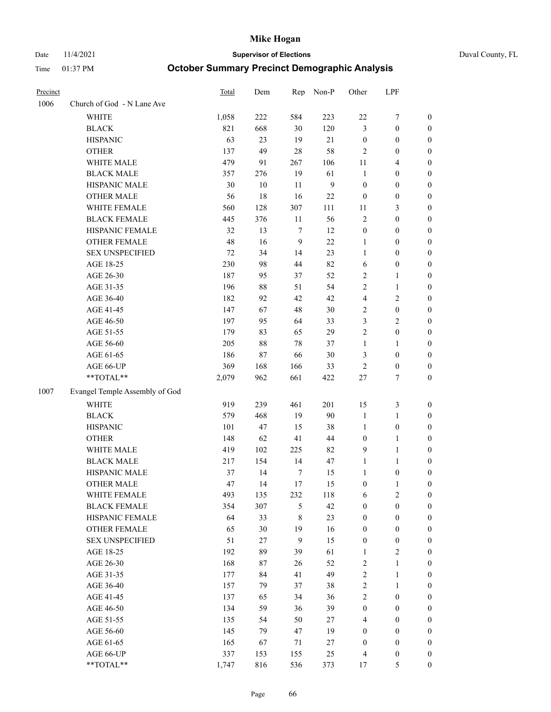#### Date 11/4/2021 **Supervisor of Elections** Duval County, FL

| Precinct |                                | Total | Dem    | Rep         | Non-P          | Other            | LPF              |                  |
|----------|--------------------------------|-------|--------|-------------|----------------|------------------|------------------|------------------|
| 1006     | Church of God - N Lane Ave     |       |        |             |                |                  |                  |                  |
|          | <b>WHITE</b>                   | 1,058 | 222    | 584         | 223            | $22\,$           | $\boldsymbol{7}$ | 0                |
|          | <b>BLACK</b>                   | 821   | 668    | 30          | 120            | 3                | $\boldsymbol{0}$ | $\boldsymbol{0}$ |
|          | <b>HISPANIC</b>                | 63    | 23     | 19          | 21             | $\boldsymbol{0}$ | $\boldsymbol{0}$ | $\boldsymbol{0}$ |
|          | <b>OTHER</b>                   | 137   | 49     | 28          | 58             | $\overline{2}$   | $\boldsymbol{0}$ | $\boldsymbol{0}$ |
|          | WHITE MALE                     | 479   | 91     | 267         | 106            | 11               | $\overline{4}$   | $\boldsymbol{0}$ |
|          | <b>BLACK MALE</b>              | 357   | 276    | 19          | 61             | $\mathbf{1}$     | $\boldsymbol{0}$ | $\boldsymbol{0}$ |
|          | HISPANIC MALE                  | 30    | 10     | $11\,$      | $\overline{9}$ | $\boldsymbol{0}$ | $\boldsymbol{0}$ | $\boldsymbol{0}$ |
|          | <b>OTHER MALE</b>              | 56    | 18     | 16          | $22\,$         | $\boldsymbol{0}$ | $\boldsymbol{0}$ | $\boldsymbol{0}$ |
|          | WHITE FEMALE                   | 560   | 128    | 307         | 111            | 11               | $\mathfrak{Z}$   | $\boldsymbol{0}$ |
|          | <b>BLACK FEMALE</b>            | 445   | 376    | $11\,$      | 56             | $\sqrt{2}$       | $\boldsymbol{0}$ | $\boldsymbol{0}$ |
|          | HISPANIC FEMALE                | 32    | 13     | $\tau$      | 12             | $\boldsymbol{0}$ | $\boldsymbol{0}$ | 0                |
|          | OTHER FEMALE                   | 48    | 16     | 9           | 22             | $\mathbf{1}$     | $\boldsymbol{0}$ | 0                |
|          | <b>SEX UNSPECIFIED</b>         | 72    | 34     | 14          | 23             | $\mathbf{1}$     | $\boldsymbol{0}$ | $\boldsymbol{0}$ |
|          | AGE 18-25                      | 230   | 98     | 44          | 82             | 6                | $\boldsymbol{0}$ | $\boldsymbol{0}$ |
|          | AGE 26-30                      | 187   | 95     | 37          | 52             | 2                | $\mathbf{1}$     | $\boldsymbol{0}$ |
|          | AGE 31-35                      | 196   | $88\,$ | 51          | 54             | $\overline{c}$   | $\mathbf{1}$     | $\boldsymbol{0}$ |
|          | AGE 36-40                      | 182   | 92     | 42          | 42             | 4                | $\sqrt{2}$       | $\boldsymbol{0}$ |
|          | AGE 41-45                      | 147   | 67     | 48          | $30\,$         | $\sqrt{2}$       | $\boldsymbol{0}$ | $\boldsymbol{0}$ |
|          | AGE 46-50                      | 197   | 95     | 64          | 33             | 3                | $\overline{2}$   | $\boldsymbol{0}$ |
|          | AGE 51-55                      | 179   | 83     | 65          | 29             | $\sqrt{2}$       | $\boldsymbol{0}$ | $\boldsymbol{0}$ |
|          | AGE 56-60                      | 205   | $88\,$ | 78          | 37             | $\mathbf{1}$     | $\mathbf{1}$     | 0                |
|          | AGE 61-65                      | 186   | 87     | 66          | $30\,$         | 3                | $\boldsymbol{0}$ | 0                |
|          | AGE 66-UP                      | 369   | 168    | 166         | 33             | $\sqrt{2}$       | $\boldsymbol{0}$ | 0                |
|          | **TOTAL**                      | 2,079 | 962    | 661         | 422            | $27\,$           | $\tau$           | $\boldsymbol{0}$ |
| 1007     | Evangel Temple Assembly of God |       |        |             |                |                  |                  |                  |
|          | <b>WHITE</b>                   | 919   | 239    | 461         | 201            | 15               | $\mathfrak{Z}$   | $\boldsymbol{0}$ |
|          | <b>BLACK</b>                   | 579   | 468    | 19          | 90             | $\mathbf{1}$     | $\mathbf{1}$     | $\boldsymbol{0}$ |
|          | <b>HISPANIC</b>                | 101   | 47     | 15          | 38             | $\mathbf{1}$     | $\boldsymbol{0}$ | $\boldsymbol{0}$ |
|          | <b>OTHER</b>                   | 148   | 62     | 41          | $44\,$         | $\boldsymbol{0}$ | $\mathbf{1}$     | $\boldsymbol{0}$ |
|          | WHITE MALE                     | 419   | 102    | 225         | 82             | 9                | $\mathbf{1}$     | $\boldsymbol{0}$ |
|          | <b>BLACK MALE</b>              | 217   | 154    | 14          | 47             | $\mathbf{1}$     | $\mathbf{1}$     | $\boldsymbol{0}$ |
|          | HISPANIC MALE                  | 37    | 14     | $\tau$      | 15             | 1                | $\boldsymbol{0}$ | 0                |
|          | OTHER MALE                     | 47    | 14     | 17          | 15             | $\boldsymbol{0}$ | $\mathbf{1}$     | 0                |
|          | WHITE FEMALE                   | 493   | 135    | 232         | 118            | 6                | 2                | 0                |
|          | <b>BLACK FEMALE</b>            | 354   | 307    | 5           | 42             | $\boldsymbol{0}$ | $\boldsymbol{0}$ | $\overline{0}$   |
|          | HISPANIC FEMALE                | 64    | 33     | $\,$ 8 $\,$ | 23             | $\boldsymbol{0}$ | $\boldsymbol{0}$ | $\overline{0}$   |
|          | OTHER FEMALE                   | 65    | 30     | 19          | 16             | $\boldsymbol{0}$ | $\boldsymbol{0}$ | $\overline{0}$   |
|          | <b>SEX UNSPECIFIED</b>         | 51    | 27     | 9           | 15             | $\boldsymbol{0}$ | $\boldsymbol{0}$ | 0                |
|          | AGE 18-25                      | 192   | 89     | 39          | 61             | $\mathbf{1}$     | $\mathbf{2}$     | 0                |
|          | AGE 26-30                      | 168   | 87     | 26          | 52             | $\overline{c}$   | $\mathbf{1}$     | 0                |
|          | AGE 31-35                      | 177   | 84     | 41          | 49             | $\overline{2}$   | $\mathbf{1}$     | 0                |
|          | AGE 36-40                      | 157   | 79     | 37          | 38             | 2                | $\mathbf{1}$     | 0                |
|          | AGE 41-45                      | 137   | 65     | 34          | 36             | $\overline{c}$   | $\boldsymbol{0}$ | 0                |
|          | AGE 46-50                      | 134   | 59     | 36          | 39             | $\boldsymbol{0}$ | $\boldsymbol{0}$ | 0                |
|          | AGE 51-55                      | 135   | 54     | 50          | 27             | $\overline{4}$   | $\boldsymbol{0}$ | $\overline{0}$   |
|          | AGE 56-60                      | 145   | 79     | 47          | 19             | $\boldsymbol{0}$ | $\boldsymbol{0}$ | $\overline{0}$   |
|          | AGE 61-65                      | 165   | 67     | 71          | 27             | $\boldsymbol{0}$ | $\boldsymbol{0}$ | $\overline{0}$   |
|          | AGE 66-UP                      | 337   | 153    | 155         | 25             | 4                | $\boldsymbol{0}$ | 0                |
|          | **TOTAL**                      | 1,747 | 816    | 536         | 373            | 17               | 5                | $\boldsymbol{0}$ |
|          |                                |       |        |             |                |                  |                  |                  |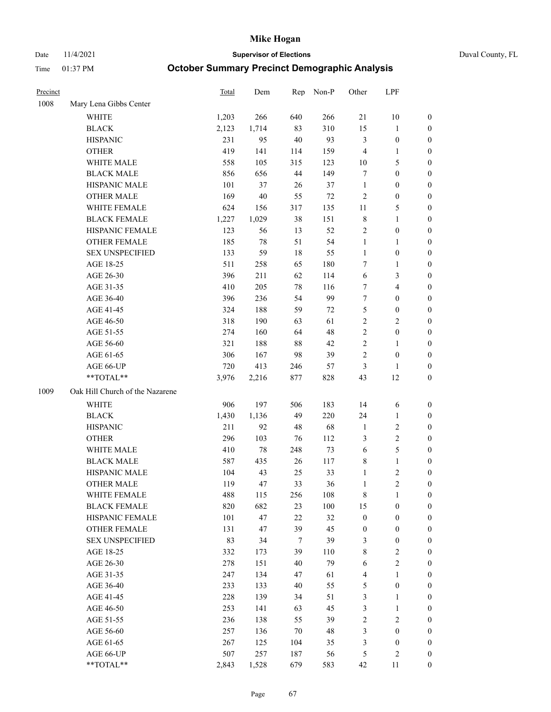Date 11/4/2021 **Supervisor of Elections** Duval County, FL

| Precinct |                                 | <b>Total</b> | Dem    | Rep    | Non-P   | Other            | LPF              |                  |
|----------|---------------------------------|--------------|--------|--------|---------|------------------|------------------|------------------|
| 1008     | Mary Lena Gibbs Center          |              |        |        |         |                  |                  |                  |
|          | <b>WHITE</b>                    | 1,203        | 266    | 640    | 266     | 21               | 10               | 0                |
|          | <b>BLACK</b>                    | 2,123        | 1,714  | 83     | 310     | 15               | $\mathbf{1}$     | 0                |
|          | <b>HISPANIC</b>                 | 231          | 95     | 40     | 93      | 3                | $\boldsymbol{0}$ | $\boldsymbol{0}$ |
|          | <b>OTHER</b>                    | 419          | 141    | 114    | 159     | 4                | 1                | $\boldsymbol{0}$ |
|          | WHITE MALE                      | 558          | 105    | 315    | 123     | 10               | $\mathfrak s$    | $\boldsymbol{0}$ |
|          | <b>BLACK MALE</b>               | 856          | 656    | 44     | 149     | 7                | $\boldsymbol{0}$ | $\boldsymbol{0}$ |
|          | HISPANIC MALE                   | 101          | 37     | 26     | 37      | $\mathbf{1}$     | $\boldsymbol{0}$ | $\boldsymbol{0}$ |
|          | <b>OTHER MALE</b>               | 169          | $40\,$ | 55     | $72\,$  | $\mathbf{2}$     | $\boldsymbol{0}$ | $\boldsymbol{0}$ |
|          | WHITE FEMALE                    | 624          | 156    | 317    | 135     | 11               | $\mathfrak s$    | $\boldsymbol{0}$ |
|          | <b>BLACK FEMALE</b>             | 1,227        | 1,029  | 38     | 151     | 8                | $\mathbf{1}$     | 0                |
|          | HISPANIC FEMALE                 | 123          | 56     | 13     | 52      | 2                | $\boldsymbol{0}$ | 0                |
|          | <b>OTHER FEMALE</b>             | 185          | 78     | 51     | 54      | $\mathbf{1}$     | $\mathbf{1}$     | 0                |
|          | <b>SEX UNSPECIFIED</b>          | 133          | 59     | 18     | 55      | $\mathbf{1}$     | $\boldsymbol{0}$ | $\boldsymbol{0}$ |
|          | AGE 18-25                       | 511          | 258    | 65     | 180     | 7                | 1                | $\boldsymbol{0}$ |
|          | AGE 26-30                       | 396          | 211    | 62     | 114     | 6                | $\mathfrak{Z}$   | $\boldsymbol{0}$ |
|          | AGE 31-35                       | 410          | 205    | 78     | 116     | 7                | $\overline{4}$   | $\boldsymbol{0}$ |
|          | AGE 36-40                       | 396          | 236    | 54     | 99      | $\boldsymbol{7}$ | $\boldsymbol{0}$ | $\boldsymbol{0}$ |
|          | AGE 41-45                       | 324          | 188    | 59     | 72      | 5                | $\boldsymbol{0}$ | $\boldsymbol{0}$ |
|          | AGE 46-50                       | 318          | 190    | 63     | 61      | $\overline{c}$   | $\mathbf{2}$     | $\boldsymbol{0}$ |
|          | AGE 51-55                       | 274          | 160    | 64     | 48      | $\overline{c}$   | $\boldsymbol{0}$ | 0                |
|          | AGE 56-60                       | 321          | 188    | 88     | 42      | $\overline{c}$   | 1                | 0                |
|          | AGE 61-65                       | 306          | 167    | 98     | 39      | $\overline{c}$   | $\boldsymbol{0}$ | 0                |
|          | AGE 66-UP                       | 720          | 413    | 246    | 57      | 3                | 1                | $\boldsymbol{0}$ |
|          | **TOTAL**                       | 3,976        | 2,216  | 877    | 828     | 43               | 12               | $\boldsymbol{0}$ |
| 1009     | Oak Hill Church of the Nazarene |              |        |        |         |                  |                  |                  |
|          | <b>WHITE</b>                    | 906          | 197    | 506    | 183     | 14               | 6                | $\boldsymbol{0}$ |
|          | <b>BLACK</b>                    | 1,430        | 1,136  | 49     | 220     | 24               | $\mathbf{1}$     | $\boldsymbol{0}$ |
|          | <b>HISPANIC</b>                 | 211          | 92     | 48     | 68      | $\mathbf{1}$     | $\sqrt{2}$       | $\boldsymbol{0}$ |
|          | <b>OTHER</b>                    | 296          | 103    | 76     | 112     | 3                | $\sqrt{2}$       | $\boldsymbol{0}$ |
|          | WHITE MALE                      | 410          | $78\,$ | 248    | 73      | $\sqrt{6}$       | 5                | $\boldsymbol{0}$ |
|          | <b>BLACK MALE</b>               | 587          | 435    | 26     | 117     | 8                | $\mathbf{1}$     | $\boldsymbol{0}$ |
|          | HISPANIC MALE                   | 104          | 43     | 25     | 33      | $\mathbf{1}$     | $\sqrt{2}$       | 0                |
|          | <b>OTHER MALE</b>               | 119          | 47     | 33     | 36      | $\mathbf{1}$     | $\overline{2}$   | 0                |
|          | WHITE FEMALE                    | 488          | 115    | 256    | 108     | 8                | 1                | 0                |
|          | <b>BLACK FEMALE</b>             | 820          | 682    | 23     | $100\,$ | 15               | $\boldsymbol{0}$ | $\overline{0}$   |
|          | HISPANIC FEMALE                 | 101          | 47     | $22\,$ | 32      | $\boldsymbol{0}$ | $\boldsymbol{0}$ | $\overline{0}$   |
|          | <b>OTHER FEMALE</b>             | 131          | 47     | 39     | 45      | $\boldsymbol{0}$ | $\boldsymbol{0}$ | $\overline{0}$   |
|          | <b>SEX UNSPECIFIED</b>          | 83           | 34     | 7      | 39      | 3                | $\boldsymbol{0}$ | 0                |
|          | AGE 18-25                       | 332          | 173    | 39     | 110     | 8                | $\sqrt{2}$       | 0                |
|          | AGE 26-30                       | 278          | 151    | 40     | 79      | 6                | $\mathbf{2}$     | 0                |
|          | AGE 31-35                       | 247          | 134    | 47     | 61      | 4                | $\mathbf{1}$     | 0                |
|          | AGE 36-40                       | 233          | 133    | 40     | 55      | 5                | $\boldsymbol{0}$ | 0                |
|          | AGE 41-45                       | 228          | 139    | 34     | 51      | 3                | $\mathbf{1}$     | 0                |
|          | AGE 46-50                       | 253          | 141    | 63     | 45      | 3                | $\mathbf{1}$     | 0                |
|          | AGE 51-55                       | 236          | 138    | 55     | 39      | 2                | $\mathfrak{2}$   | 0                |
|          | AGE 56-60                       | 257          | 136    | $70\,$ | 48      | 3                | $\boldsymbol{0}$ | $\overline{0}$   |
|          | AGE 61-65                       | 267          | 125    | 104    | 35      | 3                | $\boldsymbol{0}$ | $\overline{0}$   |
|          | AGE 66-UP                       | 507          | 257    | 187    | 56      | 5                | $\mathfrak{2}$   | 0                |
|          | **TOTAL**                       | 2,843        | 1,528  | 679    | 583     | 42               | 11               | $\boldsymbol{0}$ |
|          |                                 |              |        |        |         |                  |                  |                  |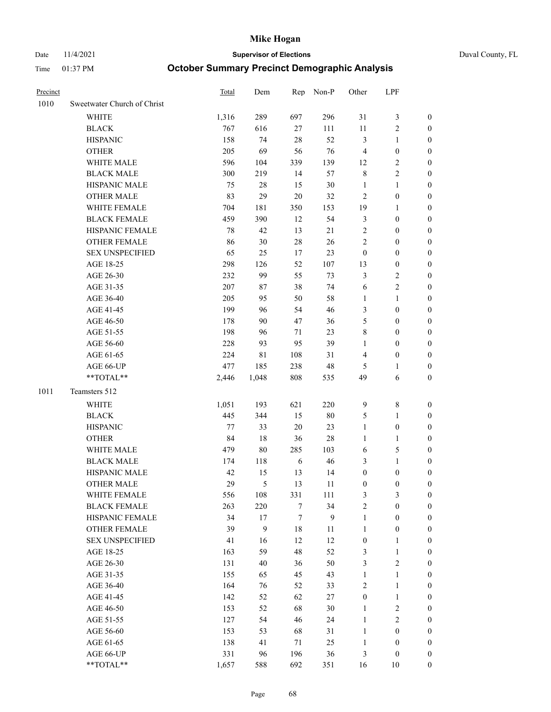#### Date 11/4/2021 **Supervisor of Elections** Duval County, FL

| Precinct |                             | <b>Total</b> | Dem    | Rep    | Non-P  | Other            | LPF              |                  |
|----------|-----------------------------|--------------|--------|--------|--------|------------------|------------------|------------------|
| 1010     | Sweetwater Church of Christ |              |        |        |        |                  |                  |                  |
|          | <b>WHITE</b>                | 1,316        | 289    | 697    | 296    | 31               | $\mathfrak{Z}$   | 0                |
|          | <b>BLACK</b>                | 767          | 616    | 27     | 111    | 11               | $\sqrt{2}$       | 0                |
|          | <b>HISPANIC</b>             | 158          | 74     | 28     | 52     | 3                | $\mathbf{1}$     | 0                |
|          | <b>OTHER</b>                | 205          | 69     | 56     | 76     | 4                | $\boldsymbol{0}$ | $\boldsymbol{0}$ |
|          | WHITE MALE                  | 596          | 104    | 339    | 139    | 12               | $\sqrt{2}$       | $\boldsymbol{0}$ |
|          | <b>BLACK MALE</b>           | 300          | 219    | 14     | 57     | $\,$ $\,$        | $\sqrt{2}$       | $\boldsymbol{0}$ |
|          | HISPANIC MALE               | 75           | 28     | 15     | 30     | $\mathbf{1}$     | $\mathbf{1}$     | $\boldsymbol{0}$ |
|          | <b>OTHER MALE</b>           | 83           | 29     | $20\,$ | 32     | $\mathfrak{2}$   | $\boldsymbol{0}$ | $\boldsymbol{0}$ |
|          | WHITE FEMALE                | 704          | 181    | 350    | 153    | 19               | $\mathbf{1}$     | $\boldsymbol{0}$ |
|          | <b>BLACK FEMALE</b>         | 459          | 390    | 12     | 54     | 3                | $\boldsymbol{0}$ | 0                |
|          | HISPANIC FEMALE             | 78           | 42     | 13     | 21     | $\sqrt{2}$       | $\boldsymbol{0}$ | 0                |
|          | OTHER FEMALE                | 86           | 30     | $28\,$ | 26     | $\mathfrak{2}$   | $\boldsymbol{0}$ | $\boldsymbol{0}$ |
|          | <b>SEX UNSPECIFIED</b>      | 65           | 25     | 17     | 23     | $\boldsymbol{0}$ | $\boldsymbol{0}$ | $\boldsymbol{0}$ |
|          | AGE 18-25                   | 298          | 126    | 52     | 107    | 13               | $\boldsymbol{0}$ | $\boldsymbol{0}$ |
|          | AGE 26-30                   | 232          | 99     | 55     | 73     | 3                | $\sqrt{2}$       | $\boldsymbol{0}$ |
|          | AGE 31-35                   | 207          | 87     | 38     | 74     | 6                | $\sqrt{2}$       | $\boldsymbol{0}$ |
|          | AGE 36-40                   | 205          | 95     | 50     | 58     | $\mathbf{1}$     | $\mathbf{1}$     | $\boldsymbol{0}$ |
|          | AGE 41-45                   | 199          | 96     | 54     | 46     | 3                | $\boldsymbol{0}$ | $\boldsymbol{0}$ |
|          | AGE 46-50                   | 178          | 90     | 47     | 36     | 5                | $\boldsymbol{0}$ | $\boldsymbol{0}$ |
|          | AGE 51-55                   | 198          | 96     | 71     | 23     | 8                | $\boldsymbol{0}$ | $\boldsymbol{0}$ |
|          | AGE 56-60                   | 228          | 93     | 95     | 39     | $\mathbf{1}$     | $\boldsymbol{0}$ | 0                |
|          | AGE 61-65                   | 224          | 81     | 108    | 31     | 4                | $\boldsymbol{0}$ | 0                |
|          | AGE 66-UP                   | 477          | 185    | 238    | $48\,$ | 5                | $\mathbf{1}$     | $\boldsymbol{0}$ |
|          | **TOTAL**                   | 2,446        | 1,048  | 808    | 535    | 49               | 6                | $\boldsymbol{0}$ |
| 1011     | Teamsters 512               |              |        |        |        |                  |                  |                  |
|          | <b>WHITE</b>                | 1,051        | 193    | 621    | 220    | $\mathbf{9}$     | $\,$ 8 $\,$      | $\boldsymbol{0}$ |
|          | <b>BLACK</b>                | 445          | 344    | 15     | $80\,$ | 5                | $\mathbf{1}$     | $\boldsymbol{0}$ |
|          | <b>HISPANIC</b>             | 77           | 33     | 20     | 23     | $\mathbf{1}$     | $\boldsymbol{0}$ | $\boldsymbol{0}$ |
|          | <b>OTHER</b>                | 84           | $18\,$ | 36     | $28\,$ | $\mathbf{1}$     | $\mathbf{1}$     | $\boldsymbol{0}$ |
|          | WHITE MALE                  | 479          | 80     | 285    | 103    | 6                | $\mathfrak{S}$   | $\boldsymbol{0}$ |
|          | <b>BLACK MALE</b>           | 174          | 118    | 6      | 46     | 3                | $\mathbf{1}$     | $\boldsymbol{0}$ |
|          | HISPANIC MALE               | 42           | 15     | 13     | 14     | $\boldsymbol{0}$ | $\boldsymbol{0}$ | 0                |
|          | <b>OTHER MALE</b>           | 29           | 5      | 13     | 11     | $\boldsymbol{0}$ | $\boldsymbol{0}$ | 0                |
|          | WHITE FEMALE                | 556          | 108    | 331    | 111    | 3                | 3                | 0                |
|          | <b>BLACK FEMALE</b>         | 263          | 220    | 7      | 34     | 2                | $\boldsymbol{0}$ | $\boldsymbol{0}$ |
|          | HISPANIC FEMALE             | 34           | $17\,$ | $\tau$ | 9      | $\mathbf{1}$     | $\boldsymbol{0}$ | $\overline{0}$   |
|          | OTHER FEMALE                | 39           | 9      | 18     | 11     | $\mathbf{1}$     | $\boldsymbol{0}$ | $\overline{0}$   |
|          | <b>SEX UNSPECIFIED</b>      | 41           | 16     | 12     | 12     | $\boldsymbol{0}$ | $\mathbf{1}$     | 0                |
|          | AGE 18-25                   | 163          | 59     | 48     | 52     | 3                | $\mathbf{1}$     | 0                |
|          | AGE 26-30                   | 131          | 40     | 36     | 50     | 3                | $\overline{2}$   | 0                |
|          | AGE 31-35                   | 155          | 65     | 45     | 43     | $\mathbf{1}$     | $\mathbf{1}$     | 0                |
|          | AGE 36-40                   | 164          | 76     | 52     | 33     | 2                | $\mathbf{1}$     | 0                |
|          | AGE 41-45                   | 142          | 52     | 62     | 27     | $\boldsymbol{0}$ | $\mathbf{1}$     | 0                |
|          | AGE 46-50                   | 153          | 52     | 68     | $30\,$ | $\mathbf{1}$     | $\sqrt{2}$       | 0                |
|          | AGE 51-55                   | 127          | 54     | 46     | 24     | $\mathbf{1}$     | $\overline{2}$   | 0                |
|          | AGE 56-60                   | 153          | 53     | 68     | 31     | $\mathbf{1}$     | $\boldsymbol{0}$ | $\overline{0}$   |
|          | AGE 61-65                   | 138          | 41     | 71     | 25     | $\mathbf{1}$     | $\boldsymbol{0}$ | $\overline{0}$   |
|          | AGE 66-UP                   | 331          | 96     | 196    | 36     | 3                | $\boldsymbol{0}$ | 0                |
|          | **TOTAL**                   | 1,657        | 588    | 692    | 351    | 16               | 10               | $\boldsymbol{0}$ |
|          |                             |              |        |        |        |                  |                  |                  |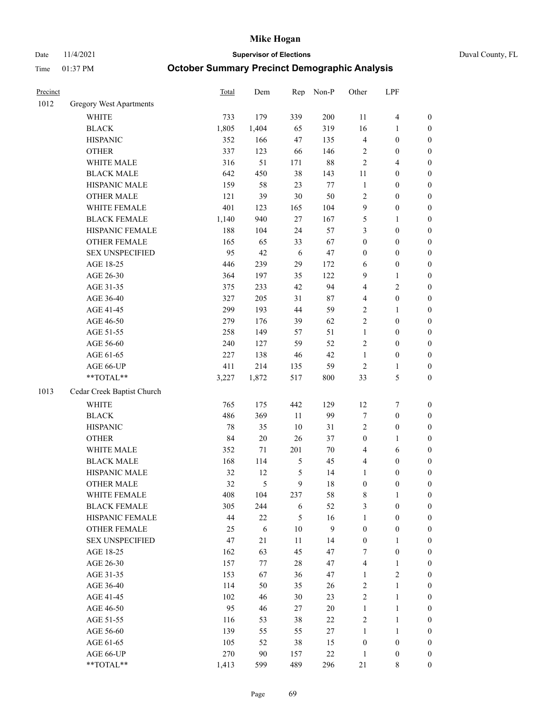Date 11/4/2021 **Supervisor of Elections** Duval County, FL

| Precinct |                                | Total | Dem    | Rep           | Non-P  | Other                   | LPF                     |                  |
|----------|--------------------------------|-------|--------|---------------|--------|-------------------------|-------------------------|------------------|
| 1012     | <b>Gregory West Apartments</b> |       |        |               |        |                         |                         |                  |
|          | <b>WHITE</b>                   | 733   | 179    | 339           | 200    | 11                      | $\overline{\mathbf{4}}$ | 0                |
|          | <b>BLACK</b>                   | 1,805 | 1,404  | 65            | 319    | 16                      | $\mathbf{1}$            | $\boldsymbol{0}$ |
|          | <b>HISPANIC</b>                | 352   | 166    | 47            | 135    | 4                       | $\boldsymbol{0}$        | $\boldsymbol{0}$ |
|          | <b>OTHER</b>                   | 337   | 123    | 66            | 146    | 2                       | $\boldsymbol{0}$        | $\boldsymbol{0}$ |
|          | WHITE MALE                     | 316   | 51     | 171           | $88\,$ | $\overline{c}$          | $\overline{4}$          | $\boldsymbol{0}$ |
|          | <b>BLACK MALE</b>              | 642   | 450    | 38            | 143    | 11                      | $\boldsymbol{0}$        | $\boldsymbol{0}$ |
|          | HISPANIC MALE                  | 159   | 58     | 23            | 77     | $\mathbf{1}$            | $\boldsymbol{0}$        | $\boldsymbol{0}$ |
|          | <b>OTHER MALE</b>              | 121   | 39     | 30            | 50     | $\mathfrak{2}$          | $\boldsymbol{0}$        | $\boldsymbol{0}$ |
|          | WHITE FEMALE                   | 401   | 123    | 165           | 104    | $\mathbf{9}$            | $\boldsymbol{0}$        | $\boldsymbol{0}$ |
|          | <b>BLACK FEMALE</b>            | 1,140 | 940    | $27\,$        | 167    | 5                       | $\mathbf{1}$            | $\boldsymbol{0}$ |
|          | HISPANIC FEMALE                | 188   | 104    | 24            | 57     | 3                       | $\boldsymbol{0}$        | $\boldsymbol{0}$ |
|          | OTHER FEMALE                   | 165   | 65     | 33            | 67     | $\boldsymbol{0}$        | $\boldsymbol{0}$        | $\boldsymbol{0}$ |
|          | <b>SEX UNSPECIFIED</b>         | 95    | 42     | 6             | 47     | $\boldsymbol{0}$        | $\boldsymbol{0}$        | $\boldsymbol{0}$ |
|          | AGE 18-25                      | 446   | 239    | 29            | 172    | 6                       | $\boldsymbol{0}$        | $\boldsymbol{0}$ |
|          | AGE 26-30                      | 364   | 197    | 35            | 122    | 9                       | $\mathbf{1}$            | $\boldsymbol{0}$ |
|          | AGE 31-35                      | 375   | 233    | 42            | 94     | 4                       | $\sqrt{2}$              | $\boldsymbol{0}$ |
|          | AGE 36-40                      | 327   | 205    | 31            | 87     | 4                       | $\boldsymbol{0}$        | $\boldsymbol{0}$ |
|          | AGE 41-45                      | 299   | 193    | 44            | 59     | $\mathbf{2}$            | $\mathbf{1}$            | $\boldsymbol{0}$ |
|          | AGE 46-50                      | 279   | 176    | 39            | 62     | $\overline{c}$          | $\boldsymbol{0}$        | $\boldsymbol{0}$ |
|          | AGE 51-55                      | 258   | 149    | 57            | 51     | $\mathbf{1}$            | $\boldsymbol{0}$        | $\boldsymbol{0}$ |
|          | AGE 56-60                      | 240   | 127    | 59            | 52     | $\mathbf{2}$            | $\boldsymbol{0}$        | 0                |
|          | AGE 61-65                      | 227   | 138    | 46            | 42     | $\mathbf{1}$            | $\boldsymbol{0}$        | $\boldsymbol{0}$ |
|          | AGE 66-UP                      | 411   | 214    | 135           | 59     | $\sqrt{2}$              | $\mathbf{1}$            | $\boldsymbol{0}$ |
|          | **TOTAL**                      | 3,227 | 1,872  | 517           | 800    | 33                      | $\mathfrak{S}$          | $\boldsymbol{0}$ |
| 1013     | Cedar Creek Baptist Church     |       |        |               |        |                         |                         |                  |
|          | <b>WHITE</b>                   | 765   | 175    | 442           | 129    | 12                      | $\boldsymbol{7}$        | $\boldsymbol{0}$ |
|          | <b>BLACK</b>                   | 486   | 369    | 11            | 99     | 7                       | $\boldsymbol{0}$        | $\boldsymbol{0}$ |
|          | <b>HISPANIC</b>                | 78    | 35     | 10            | 31     | 2                       | $\boldsymbol{0}$        | $\boldsymbol{0}$ |
|          | <b>OTHER</b>                   | 84    | $20\,$ | 26            | 37     | $\boldsymbol{0}$        | $\mathbf{1}$            | $\boldsymbol{0}$ |
|          | WHITE MALE                     | 352   | 71     | 201           | $70\,$ | $\overline{4}$          | 6                       | $\boldsymbol{0}$ |
|          | <b>BLACK MALE</b>              | 168   | 114    | $\mathfrak s$ | 45     | 4                       | $\boldsymbol{0}$        | $\boldsymbol{0}$ |
|          | HISPANIC MALE                  | 32    | 12     | 5             | 14     | $\mathbf{1}$            | $\boldsymbol{0}$        | $\boldsymbol{0}$ |
|          | <b>OTHER MALE</b>              | 32    | 5      | 9             | 18     | $\boldsymbol{0}$        | $\boldsymbol{0}$        | $\boldsymbol{0}$ |
|          | WHITE FEMALE                   | 408   | 104    | 237           | 58     | 8                       | 1                       | 0                |
|          | <b>BLACK FEMALE</b>            | 305   | 244    | 6             | 52     | 3                       | $\boldsymbol{0}$        | $\boldsymbol{0}$ |
|          | HISPANIC FEMALE                | 44    | 22     | 5             | 16     | $\mathbf{1}$            | $\boldsymbol{0}$        | $\overline{0}$   |
|          | OTHER FEMALE                   | 25    | 6      | 10            | 9      | $\boldsymbol{0}$        | $\boldsymbol{0}$        | $\overline{0}$   |
|          | <b>SEX UNSPECIFIED</b>         | 47    | 21     | 11            | 14     | $\boldsymbol{0}$        | $\mathbf{1}$            | 0                |
|          | AGE 18-25                      | 162   | 63     | 45            | 47     | 7                       | $\boldsymbol{0}$        | 0                |
|          | AGE 26-30                      | 157   | 77     | 28            | 47     | $\overline{\mathbf{4}}$ | $\mathbf{1}$            | 0                |
|          | AGE 31-35                      | 153   | 67     | 36            | 47     | $\mathbf{1}$            | $\overline{c}$          | 0                |
|          | AGE 36-40                      | 114   | 50     | 35            | 26     | 2                       | $\mathbf{1}$            | 0                |
|          | AGE 41-45                      | 102   | 46     | 30            | 23     | $\overline{c}$          | $\mathbf{1}$            | 0                |
|          | AGE 46-50                      | 95    | 46     | 27            | $20\,$ | $\mathbf{1}$            | $\mathbf{1}$            | 0                |
|          | AGE 51-55                      | 116   | 53     | 38            | 22     | $\mathfrak{2}$          | $\mathbf{1}$            | 0                |
|          | AGE 56-60                      | 139   | 55     | 55            | 27     | 1                       | $\mathbf{1}$            | 0                |
|          | AGE 61-65                      | 105   | 52     | 38            | 15     | $\boldsymbol{0}$        | $\boldsymbol{0}$        | $\overline{0}$   |
|          | AGE 66-UP                      | 270   | 90     | 157           | $22\,$ | $\mathbf{1}$            | $\boldsymbol{0}$        | 0                |
|          | **TOTAL**                      | 1,413 | 599    | 489           | 296    | 21                      | 8                       | $\boldsymbol{0}$ |
|          |                                |       |        |               |        |                         |                         |                  |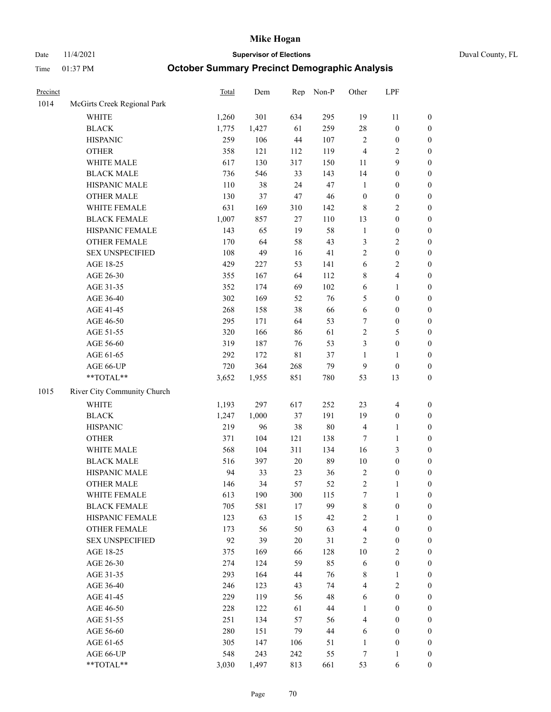Date 11/4/2021 **Supervisor of Elections** Duval County, FL

| Precinct |                             | Total | Dem   | Rep         | Non-P  | Other                   | LPF                     |                  |
|----------|-----------------------------|-------|-------|-------------|--------|-------------------------|-------------------------|------------------|
| 1014     | McGirts Creek Regional Park |       |       |             |        |                         |                         |                  |
|          | <b>WHITE</b>                | 1,260 | 301   | 634         | 295    | 19                      | 11                      | 0                |
|          | <b>BLACK</b>                | 1,775 | 1,427 | 61          | 259    | 28                      | $\boldsymbol{0}$        | $\boldsymbol{0}$ |
|          | <b>HISPANIC</b>             | 259   | 106   | 44          | 107    | $\sqrt{2}$              | $\boldsymbol{0}$        | $\boldsymbol{0}$ |
|          | <b>OTHER</b>                | 358   | 121   | 112         | 119    | 4                       | $\sqrt{2}$              | $\boldsymbol{0}$ |
|          | WHITE MALE                  | 617   | 130   | 317         | 150    | 11                      | 9                       | $\boldsymbol{0}$ |
|          | <b>BLACK MALE</b>           | 736   | 546   | 33          | 143    | 14                      | $\boldsymbol{0}$        | $\boldsymbol{0}$ |
|          | HISPANIC MALE               | 110   | 38    | 24          | 47     | $\mathbf{1}$            | $\boldsymbol{0}$        | $\boldsymbol{0}$ |
|          | <b>OTHER MALE</b>           | 130   | 37    | 47          | 46     | $\boldsymbol{0}$        | $\boldsymbol{0}$        | $\boldsymbol{0}$ |
|          | WHITE FEMALE                | 631   | 169   | 310         | 142    | $\,$ 8 $\,$             | $\overline{2}$          | $\boldsymbol{0}$ |
|          | <b>BLACK FEMALE</b>         | 1,007 | 857   | 27          | 110    | 13                      | $\boldsymbol{0}$        | $\boldsymbol{0}$ |
|          | HISPANIC FEMALE             | 143   | 65    | 19          | 58     | $\mathbf{1}$            | $\boldsymbol{0}$        | 0                |
|          | OTHER FEMALE                | 170   | 64    | 58          | 43     | 3                       | $\sqrt{2}$              | $\boldsymbol{0}$ |
|          | <b>SEX UNSPECIFIED</b>      | 108   | 49    | 16          | 41     | $\sqrt{2}$              | $\boldsymbol{0}$        | $\boldsymbol{0}$ |
|          | AGE 18-25                   | 429   | 227   | 53          | 141    | 6                       | $\sqrt{2}$              | $\boldsymbol{0}$ |
|          | AGE 26-30                   | 355   | 167   | 64          | 112    | 8                       | $\overline{\mathbf{4}}$ | $\boldsymbol{0}$ |
|          | AGE 31-35                   | 352   | 174   | 69          | 102    | 6                       | $\mathbf{1}$            | $\boldsymbol{0}$ |
|          | AGE 36-40                   | 302   | 169   | 52          | 76     | 5                       | $\boldsymbol{0}$        | $\boldsymbol{0}$ |
|          | AGE 41-45                   | 268   | 158   | 38          | 66     | $\sqrt{6}$              | $\boldsymbol{0}$        | $\boldsymbol{0}$ |
|          | AGE 46-50                   | 295   | 171   | 64          | 53     | 7                       | $\boldsymbol{0}$        | $\boldsymbol{0}$ |
|          | AGE 51-55                   | 320   | 166   | 86          | 61     | $\sqrt{2}$              | $\mathfrak{S}$          | $\boldsymbol{0}$ |
|          | AGE 56-60                   | 319   | 187   | 76          | 53     | 3                       | $\boldsymbol{0}$        | 0                |
|          | AGE 61-65                   | 292   | 172   | $8\sqrt{1}$ | 37     | $\mathbf{1}$            | $\mathbf{1}$            | $\boldsymbol{0}$ |
|          | AGE 66-UP                   | 720   | 364   | 268         | 79     | 9                       | $\boldsymbol{0}$        | $\boldsymbol{0}$ |
|          | **TOTAL**                   | 3,652 | 1,955 | 851         | 780    | 53                      | 13                      | $\boldsymbol{0}$ |
| 1015     | River City Community Church |       |       |             |        |                         |                         |                  |
|          | <b>WHITE</b>                | 1,193 | 297   | 617         | 252    | 23                      | $\overline{4}$          | $\boldsymbol{0}$ |
|          | <b>BLACK</b>                | 1,247 | 1,000 | 37          | 191    | 19                      | $\boldsymbol{0}$        | $\boldsymbol{0}$ |
|          | <b>HISPANIC</b>             | 219   | 96    | 38          | $80\,$ | 4                       | $\mathbf{1}$            | $\boldsymbol{0}$ |
|          | <b>OTHER</b>                | 371   | 104   | 121         | 138    | 7                       | $\mathbf{1}$            | $\boldsymbol{0}$ |
|          | WHITE MALE                  | 568   | 104   | 311         | 134    | 16                      | $\mathfrak{Z}$          | $\boldsymbol{0}$ |
|          | <b>BLACK MALE</b>           | 516   | 397   | $20\,$      | 89     | $10\,$                  | $\boldsymbol{0}$        | $\boldsymbol{0}$ |
|          | HISPANIC MALE               | 94    | 33    | 23          | 36     | $\sqrt{2}$              | $\boldsymbol{0}$        | $\boldsymbol{0}$ |
|          | <b>OTHER MALE</b>           | 146   | 34    | 57          | 52     | $\sqrt{2}$              | $\mathbf{1}$            | $\boldsymbol{0}$ |
|          | WHITE FEMALE                | 613   | 190   | 300         | 115    | 7                       | 1                       | 0                |
|          | <b>BLACK FEMALE</b>         | 705   | 581   | 17          | 99     | 8                       | $\boldsymbol{0}$        | $\boldsymbol{0}$ |
|          | HISPANIC FEMALE             | 123   | 63    | 15          | 42     | $\overline{c}$          | 1                       | $\overline{0}$   |
|          | OTHER FEMALE                | 173   | 56    | 50          | 63     | 4                       | $\boldsymbol{0}$        | $\overline{0}$   |
|          | <b>SEX UNSPECIFIED</b>      | 92    | 39    | 20          | 31     | $\overline{c}$          | $\boldsymbol{0}$        | $\overline{0}$   |
|          | AGE 18-25                   | 375   | 169   | 66          | 128    | 10                      | $\mathfrak{2}$          | $\theta$         |
|          | AGE 26-30                   | 274   | 124   | 59          | 85     | 6                       | $\boldsymbol{0}$        | 0                |
|          | AGE 31-35                   | 293   | 164   | 44          | 76     | 8                       | $\mathbf{1}$            | 0                |
|          | AGE 36-40                   | 246   | 123   | 43          | 74     | $\overline{\mathbf{4}}$ | $\sqrt{2}$              | 0                |
|          | AGE 41-45                   | 229   | 119   | 56          | 48     | 6                       | $\boldsymbol{0}$        | 0                |
|          | AGE 46-50                   | 228   | 122   | 61          | 44     | 1                       | $\boldsymbol{0}$        | 0                |
|          | AGE 51-55                   | 251   | 134   | 57          | 56     | 4                       | $\boldsymbol{0}$        | $\overline{0}$   |
|          | AGE 56-60                   | 280   | 151   | 79          | 44     | 6                       | $\boldsymbol{0}$        | $\overline{0}$   |
|          | AGE 61-65                   | 305   | 147   | 106         | 51     | $\mathbf{1}$            | $\boldsymbol{0}$        | $\overline{0}$   |
|          | AGE 66-UP                   | 548   | 243   | 242         | 55     | 7                       | $\mathbf{1}$            | $\boldsymbol{0}$ |
|          | **TOTAL**                   | 3,030 | 1,497 | 813         | 661    | 53                      | 6                       | $\boldsymbol{0}$ |
|          |                             |       |       |             |        |                         |                         |                  |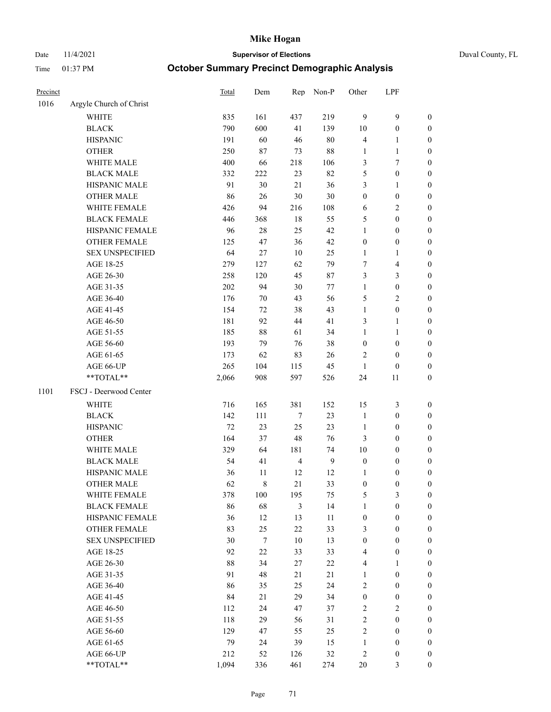Date 11/4/2021 **Supervisor of Elections** Duval County, FL

| Precinct |                                    | <b>Total</b> | Dem              | Rep            | Non-P          | Other            | LPF                     |                  |
|----------|------------------------------------|--------------|------------------|----------------|----------------|------------------|-------------------------|------------------|
| 1016     | Argyle Church of Christ            |              |                  |                |                |                  |                         |                  |
|          | <b>WHITE</b>                       | 835          | 161              | 437            | 219            | 9                | $\mathbf{9}$            | 0                |
|          | <b>BLACK</b>                       | 790          | 600              | 41             | 139            | $10\,$           | $\boldsymbol{0}$        | 0                |
|          | <b>HISPANIC</b>                    | 191          | 60               | 46             | $80\,$         | 4                | 1                       | $\boldsymbol{0}$ |
|          | <b>OTHER</b>                       | 250          | 87               | 73             | $88\,$         | 1                | $\mathbf{1}$            | $\boldsymbol{0}$ |
|          | WHITE MALE                         | 400          | 66               | 218            | 106            | 3                | 7                       | $\boldsymbol{0}$ |
|          | <b>BLACK MALE</b>                  | 332          | 222              | 23             | 82             | 5                | $\boldsymbol{0}$        | $\boldsymbol{0}$ |
|          | HISPANIC MALE                      | 91           | 30               | 21             | 36             | 3                | $\mathbf{1}$            | $\boldsymbol{0}$ |
|          | <b>OTHER MALE</b>                  | 86           | 26               | 30             | $30\,$         | $\boldsymbol{0}$ | $\boldsymbol{0}$        | $\boldsymbol{0}$ |
|          | WHITE FEMALE                       | 426          | 94               | 216            | 108            | 6                | $\overline{2}$          | $\boldsymbol{0}$ |
|          | <b>BLACK FEMALE</b>                | 446          | 368              | 18             | 55             | 5                | $\boldsymbol{0}$        | $\boldsymbol{0}$ |
|          | HISPANIC FEMALE                    | 96           | $28\,$           | 25             | 42             | $\mathbf{1}$     | $\boldsymbol{0}$        | 0                |
|          | <b>OTHER FEMALE</b>                | 125          | 47               | 36             | 42             | $\boldsymbol{0}$ | $\boldsymbol{0}$        | 0                |
|          | <b>SEX UNSPECIFIED</b>             | 64           | 27               | 10             | 25             | $\mathbf{1}$     | $\mathbf{1}$            | $\boldsymbol{0}$ |
|          | AGE 18-25                          | 279          | 127              | 62             | 79             | 7                | $\overline{\mathbf{4}}$ | $\boldsymbol{0}$ |
|          | AGE 26-30                          | 258          | 120              | 45             | 87             | 3                | $\mathfrak{Z}$          | $\boldsymbol{0}$ |
|          | AGE 31-35                          | 202          | 94               | 30             | $77\,$         | $\mathbf{1}$     | $\boldsymbol{0}$        | $\boldsymbol{0}$ |
|          | AGE 36-40                          | 176          | $70\,$           | 43             | 56             | 5                | $\mathbf{2}$            | $\boldsymbol{0}$ |
|          | AGE 41-45                          | 154          | 72               | 38             | 43             | $\mathbf{1}$     | $\boldsymbol{0}$        | $\boldsymbol{0}$ |
|          | AGE 46-50                          | 181          | 92               | 44             | 41             | 3                | $\mathbf{1}$            | $\boldsymbol{0}$ |
|          | AGE 51-55                          | 185          | 88               | 61             | 34             | $\mathbf{1}$     | $\mathbf{1}$            | $\boldsymbol{0}$ |
|          | AGE 56-60                          | 193          | 79               | 76             | 38             | $\boldsymbol{0}$ | $\boldsymbol{0}$        | 0                |
|          | AGE 61-65                          | 173          | 62               | 83             | 26             | 2                | $\boldsymbol{0}$        | 0                |
|          | AGE 66-UP                          | 265          | 104              | 115            | 45             | $\mathbf{1}$     | $\boldsymbol{0}$        | $\boldsymbol{0}$ |
|          | **TOTAL**                          | 2,066        | 908              | 597            | 526            | 24               | 11                      | $\boldsymbol{0}$ |
| 1101     | FSCJ - Deerwood Center             |              |                  |                |                |                  |                         |                  |
|          |                                    |              |                  |                |                |                  |                         |                  |
|          | <b>WHITE</b>                       | 716          | 165              | 381            | 152            | 15               | $\mathfrak{Z}$          | $\boldsymbol{0}$ |
|          | <b>BLACK</b>                       | 142          | 111              | 7              | 23             | $\mathbf{1}$     | $\boldsymbol{0}$        | $\boldsymbol{0}$ |
|          | <b>HISPANIC</b>                    | 72           | 23               | 25             | 23             | $\mathbf{1}$     | $\boldsymbol{0}$        | $\boldsymbol{0}$ |
|          | <b>OTHER</b>                       | 164          | 37               | 48             | 76             | 3                | $\boldsymbol{0}$        | $\boldsymbol{0}$ |
|          | WHITE MALE                         | 329          | 64               | 181            | 74             | $10\,$           | $\boldsymbol{0}$        | $\boldsymbol{0}$ |
|          | <b>BLACK MALE</b>                  | 54           | 41               | $\overline{4}$ | $\overline{9}$ | $\boldsymbol{0}$ | $\boldsymbol{0}$        | $\boldsymbol{0}$ |
|          | HISPANIC MALE<br><b>OTHER MALE</b> | 36           | 11               | 12             | 12             | 1                | $\boldsymbol{0}$        | 0                |
|          |                                    | 62           | 8                | 21             | 33             | $\boldsymbol{0}$ | $\boldsymbol{0}$        | $\boldsymbol{0}$ |
|          | WHITE FEMALE                       | 378          | 100              | 195            | 75             | 5                | 3                       | 0                |
|          | <b>BLACK FEMALE</b>                | 86           | 68               | 3              | 14             | $\mathbf{1}$     | $\boldsymbol{0}$        | $\boldsymbol{0}$ |
|          | HISPANIC FEMALE                    | 36           | 12               | 13             | $11\,$         | $\boldsymbol{0}$ | $\boldsymbol{0}$        | $\overline{0}$   |
|          | OTHER FEMALE                       | 83           | 25               | 22             | 33             | 3                | $\boldsymbol{0}$        | $\overline{0}$   |
|          | <b>SEX UNSPECIFIED</b>             | 30           | $\boldsymbol{7}$ | 10             | 13             | $\boldsymbol{0}$ | $\boldsymbol{0}$        | 0                |
|          | AGE 18-25                          | 92           | 22               | 33             | 33             | 4                | $\boldsymbol{0}$        | 0                |
|          | AGE 26-30                          | 88           | 34               | 27             | $22\,$         | 4                | $\mathbf{1}$            | 0                |
|          | AGE 31-35                          | 91           | 48               | 21             | 21             | $\mathbf{1}$     | $\boldsymbol{0}$        | 0                |
|          | AGE 36-40                          | 86           | 35               | 25             | 24             | 2                | $\boldsymbol{0}$        | 0                |
|          | AGE 41-45                          | 84           | 21               | 29             | 34             | $\boldsymbol{0}$ | $\boldsymbol{0}$        | 0                |
|          | AGE 46-50                          | 112          | 24               | 47             | 37             | 2                | $\overline{c}$          | 0                |
|          | AGE 51-55                          | 118          | 29               | 56             | 31             | $\overline{c}$   | $\boldsymbol{0}$        | $\overline{0}$   |
|          | AGE 56-60                          | 129          | 47               | 55             | 25             | 2                | $\boldsymbol{0}$        | $\overline{0}$   |
|          | AGE 61-65                          | 79           | 24               | 39             | 15             | $\mathbf{1}$     | $\boldsymbol{0}$        | 0                |
|          | AGE 66-UP                          | 212          | 52               | 126            | $32\,$         | 2                | $\boldsymbol{0}$        | 0                |
|          | **TOTAL**                          | 1,094        | 336              | 461            | 274            | $20\,$           | 3                       | $\boldsymbol{0}$ |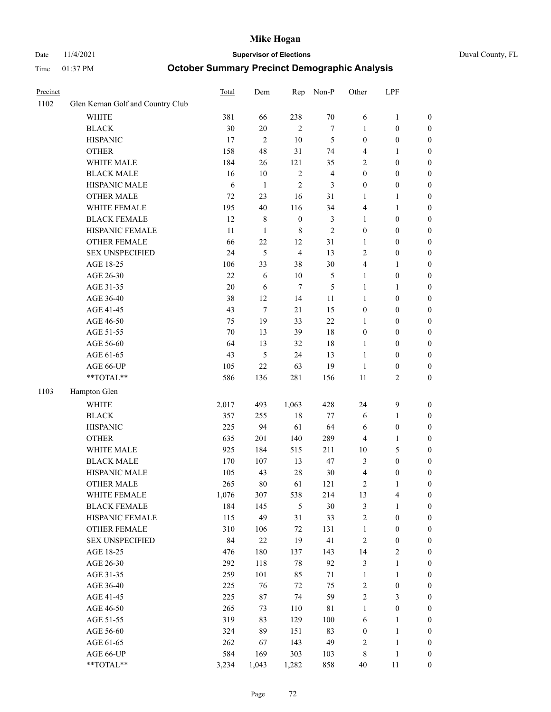#### Date 11/4/2021 **Supervisor of Elections** Duval County, FL

| Precinct |                                   | Total  | Dem            | Rep              | Non-P                   | Other            | LPF              |                  |
|----------|-----------------------------------|--------|----------------|------------------|-------------------------|------------------|------------------|------------------|
| 1102     | Glen Kernan Golf and Country Club |        |                |                  |                         |                  |                  |                  |
|          | <b>WHITE</b>                      | 381    | 66             | 238              | $70\,$                  | 6                | $\mathbf{1}$     | 0                |
|          | <b>BLACK</b>                      | 30     | $20\,$         | $\mathbf{2}$     | $\tau$                  | 1                | $\boldsymbol{0}$ | 0                |
|          | <b>HISPANIC</b>                   | 17     | $\mathfrak{2}$ | 10               | 5                       | $\boldsymbol{0}$ | $\boldsymbol{0}$ | $\boldsymbol{0}$ |
|          | <b>OTHER</b>                      | 158    | 48             | 31               | 74                      | 4                | 1                | $\boldsymbol{0}$ |
|          | WHITE MALE                        | 184    | 26             | 121              | 35                      | 2                | $\boldsymbol{0}$ | $\boldsymbol{0}$ |
|          | <b>BLACK MALE</b>                 | 16     | 10             | $\sqrt{2}$       | $\overline{\mathbf{4}}$ | $\boldsymbol{0}$ | $\boldsymbol{0}$ | $\boldsymbol{0}$ |
|          | HISPANIC MALE                     | 6      | $\mathbf{1}$   | $\mathfrak{2}$   | 3                       | $\boldsymbol{0}$ | $\boldsymbol{0}$ | $\boldsymbol{0}$ |
|          | <b>OTHER MALE</b>                 | 72     | 23             | 16               | 31                      | $\mathbf{1}$     | $\mathbf{1}$     | $\boldsymbol{0}$ |
|          | WHITE FEMALE                      | 195    | 40             | 116              | 34                      | 4                | 1                | $\boldsymbol{0}$ |
|          | <b>BLACK FEMALE</b>               | 12     | $\,$ 8 $\,$    | $\boldsymbol{0}$ | 3                       | $\mathbf{1}$     | $\boldsymbol{0}$ | 0                |
|          | HISPANIC FEMALE                   | 11     | $\mathbf{1}$   | $\,8\,$          | $\overline{2}$          | $\boldsymbol{0}$ | $\boldsymbol{0}$ | 0                |
|          | OTHER FEMALE                      | 66     | 22             | 12               | 31                      | $\mathbf{1}$     | $\boldsymbol{0}$ | $\boldsymbol{0}$ |
|          | <b>SEX UNSPECIFIED</b>            | 24     | 5              | $\overline{4}$   | 13                      | $\overline{2}$   | $\boldsymbol{0}$ | $\boldsymbol{0}$ |
|          | AGE 18-25                         | 106    | 33             | 38               | 30                      | 4                | 1                | $\boldsymbol{0}$ |
|          | AGE 26-30                         | $22\,$ | 6              | 10               | $\mathfrak{S}$          | $\mathbf{1}$     | $\boldsymbol{0}$ | $\boldsymbol{0}$ |
|          | AGE 31-35                         | 20     | 6              | $\tau$           | 5                       | $\mathbf{1}$     | $\mathbf{1}$     | $\boldsymbol{0}$ |
|          | AGE 36-40                         | 38     | 12             | 14               | 11                      | $\mathbf{1}$     | $\boldsymbol{0}$ | $\boldsymbol{0}$ |
|          | AGE 41-45                         | 43     | $\tau$         | 21               | 15                      | $\boldsymbol{0}$ | $\boldsymbol{0}$ | $\boldsymbol{0}$ |
|          | AGE 46-50                         | 75     | 19             | 33               | 22                      | 1                | $\boldsymbol{0}$ | $\boldsymbol{0}$ |
|          | AGE 51-55                         | 70     | 13             | 39               | 18                      | $\boldsymbol{0}$ | $\boldsymbol{0}$ | $\boldsymbol{0}$ |
|          | AGE 56-60                         | 64     | 13             | 32               | 18                      | 1                | $\boldsymbol{0}$ | 0                |
|          | AGE 61-65                         | 43     | 5              | 24               | 13                      | $\mathbf{1}$     | $\boldsymbol{0}$ | 0                |
|          | AGE 66-UP                         | 105    | 22             | 63               | 19                      | $\mathbf{1}$     | $\boldsymbol{0}$ | $\boldsymbol{0}$ |
|          | **TOTAL**                         | 586    | 136            | 281              | 156                     | $11\,$           | $\sqrt{2}$       | $\boldsymbol{0}$ |
| 1103     | Hampton Glen                      |        |                |                  |                         |                  |                  |                  |
|          | <b>WHITE</b>                      | 2,017  | 493            | 1,063            | 428                     | 24               | $\mathbf{9}$     | $\boldsymbol{0}$ |
|          | <b>BLACK</b>                      | 357    | 255            | 18               | $77 \,$                 | 6                | $\mathbf{1}$     | $\boldsymbol{0}$ |
|          | <b>HISPANIC</b>                   | 225    | 94             | 61               | 64                      | 6                | $\boldsymbol{0}$ | $\boldsymbol{0}$ |
|          | <b>OTHER</b>                      | 635    | 201            | 140              | 289                     | 4                | $\mathbf{1}$     | $\boldsymbol{0}$ |
|          | WHITE MALE                        | 925    | 184            | 515              | 211                     | $10\,$           | $\mathfrak{S}$   | $\boldsymbol{0}$ |
|          | <b>BLACK MALE</b>                 | 170    | 107            | 13               | 47                      | 3                | $\boldsymbol{0}$ | $\boldsymbol{0}$ |
|          | HISPANIC MALE                     | 105    | 43             | 28               | $30\,$                  | 4                | $\boldsymbol{0}$ | 0                |
|          | OTHER MALE                        | 265    | 80             | 61               | 121                     | 2                | $\mathbf{1}$     | $\boldsymbol{0}$ |
|          | WHITE FEMALE                      | 1,076  | 307            | 538              | 214                     | 13               | 4                | 0                |
|          | <b>BLACK FEMALE</b>               | 184    | 145            | 5                | $30\,$                  | 3                | $\mathbf{1}$     | $\boldsymbol{0}$ |
|          | HISPANIC FEMALE                   | 115    | 49             | 31               | 33                      | $\overline{c}$   | $\boldsymbol{0}$ | $\overline{0}$   |
|          | OTHER FEMALE                      | 310    | 106            | 72               | 131                     | $\mathbf{1}$     | $\boldsymbol{0}$ | $\overline{0}$   |
|          | <b>SEX UNSPECIFIED</b>            | 84     | $22\,$         | 19               | 41                      | 2                | $\boldsymbol{0}$ | 0                |
|          | AGE 18-25                         | 476    | 180            | 137              | 143                     | 14               | $\sqrt{2}$       | 0                |
|          | AGE 26-30                         | 292    | 118            | 78               | 92                      | 3                | $\mathbf{1}$     | 0                |
|          | AGE 31-35                         | 259    | 101            | 85               | $71\,$                  | $\mathbf{1}$     | $\mathbf{1}$     | 0                |
|          | AGE 36-40                         | 225    | 76             | 72               | 75                      | 2                | $\boldsymbol{0}$ | 0                |
|          | AGE 41-45                         | 225    | 87             | 74               | 59                      | $\overline{c}$   | 3                | 0                |
|          | AGE 46-50                         | 265    | 73             | 110              | $8\sqrt{1}$             | $\mathbf{1}$     | $\boldsymbol{0}$ | 0                |
|          | AGE 51-55                         | 319    | 83             | 129              | 100                     | 6                | $\mathbf{1}$     | 0                |
|          | AGE 56-60                         | 324    | 89             | 151              | 83                      | $\boldsymbol{0}$ | $\mathbf{1}$     | $\boldsymbol{0}$ |
|          | AGE 61-65                         | 262    | 67             | 143              | 49                      | 2                | $\mathbf{1}$     | $\boldsymbol{0}$ |
|          | AGE 66-UP                         | 584    | 169            | 303              | 103                     | 8                | $\mathbf{1}$     | $\boldsymbol{0}$ |
|          | **TOTAL**                         | 3,234  | 1,043          | 1,282            | 858                     | 40               | 11               | $\boldsymbol{0}$ |
|          |                                   |        |                |                  |                         |                  |                  |                  |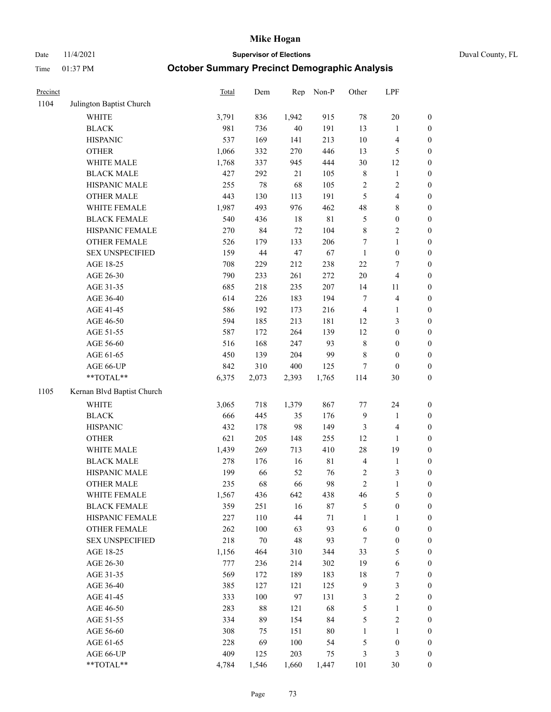Date 11/4/2021 **Supervisor of Elections** Duval County, FL

| Precinct |                            | Total | Dem    | Rep    | Non-P       | Other                   | LPF                     |                  |
|----------|----------------------------|-------|--------|--------|-------------|-------------------------|-------------------------|------------------|
| 1104     | Julington Baptist Church   |       |        |        |             |                         |                         |                  |
|          | <b>WHITE</b>               | 3,791 | 836    | 1,942  | 915         | 78                      | $20\,$                  | 0                |
|          | <b>BLACK</b>               | 981   | 736    | 40     | 191         | 13                      | $\mathbf{1}$            | $\boldsymbol{0}$ |
|          | <b>HISPANIC</b>            | 537   | 169    | 141    | 213         | $10\,$                  | $\overline{\mathbf{4}}$ | $\boldsymbol{0}$ |
|          | <b>OTHER</b>               | 1,066 | 332    | 270    | 446         | 13                      | 5                       | $\boldsymbol{0}$ |
|          | WHITE MALE                 | 1,768 | 337    | 945    | 444         | 30                      | 12                      | $\boldsymbol{0}$ |
|          | <b>BLACK MALE</b>          | 427   | 292    | 21     | 105         | 8                       | 1                       | $\boldsymbol{0}$ |
|          | HISPANIC MALE              | 255   | $78\,$ | 68     | 105         | $\sqrt{2}$              | $\sqrt{2}$              | $\boldsymbol{0}$ |
|          | <b>OTHER MALE</b>          | 443   | 130    | 113    | 191         | 5                       | $\overline{\mathbf{4}}$ | $\boldsymbol{0}$ |
|          | WHITE FEMALE               | 1,987 | 493    | 976    | 462         | 48                      | $\,$ 8 $\,$             | $\boldsymbol{0}$ |
|          | <b>BLACK FEMALE</b>        | 540   | 436    | $18\,$ | $8\sqrt{1}$ | 5                       | $\boldsymbol{0}$        | $\boldsymbol{0}$ |
|          | HISPANIC FEMALE            | 270   | 84     | $72\,$ | 104         | $\,8\,$                 | $\sqrt{2}$              | $\boldsymbol{0}$ |
|          | OTHER FEMALE               | 526   | 179    | 133    | 206         | $\tau$                  | $\mathbf{1}$            | $\boldsymbol{0}$ |
|          | <b>SEX UNSPECIFIED</b>     | 159   | $44\,$ | 47     | 67          | $\mathbf{1}$            | $\boldsymbol{0}$        | $\boldsymbol{0}$ |
|          | AGE 18-25                  | 708   | 229    | 212    | 238         | $22\,$                  | $\tau$                  | $\boldsymbol{0}$ |
|          | AGE 26-30                  | 790   | 233    | 261    | 272         | $20\,$                  | $\overline{\mathbf{4}}$ | $\boldsymbol{0}$ |
|          | AGE 31-35                  | 685   | 218    | 235    | 207         | 14                      | 11                      | $\boldsymbol{0}$ |
|          | AGE 36-40                  | 614   | 226    | 183    | 194         | 7                       | $\overline{\mathbf{4}}$ | $\boldsymbol{0}$ |
|          | AGE 41-45                  | 586   | 192    | 173    | 216         | $\overline{4}$          | $\mathbf{1}$            | $\boldsymbol{0}$ |
|          | AGE 46-50                  | 594   | 185    | 213    | 181         | 12                      | $\mathfrak{Z}$          | $\boldsymbol{0}$ |
|          | AGE 51-55                  | 587   | 172    | 264    | 139         | 12                      | $\boldsymbol{0}$        | $\boldsymbol{0}$ |
|          | AGE 56-60                  | 516   | 168    | 247    | 93          | 8                       | $\boldsymbol{0}$        | 0                |
|          | AGE 61-65                  | 450   | 139    | 204    | 99          | 8                       | $\boldsymbol{0}$        | $\boldsymbol{0}$ |
|          | AGE 66-UP                  | 842   | 310    | 400    | 125         | 7                       | $\boldsymbol{0}$        | $\boldsymbol{0}$ |
|          | **TOTAL**                  | 6,375 | 2,073  | 2,393  | 1,765       | 114                     | 30                      | $\boldsymbol{0}$ |
| 1105     | Kernan Blvd Baptist Church |       |        |        |             |                         |                         |                  |
|          | <b>WHITE</b>               | 3,065 | 718    | 1,379  | 867         | $77\,$                  | 24                      | $\boldsymbol{0}$ |
|          | <b>BLACK</b>               | 666   | 445    | 35     | 176         | 9                       | $\mathbf{1}$            | $\boldsymbol{0}$ |
|          | <b>HISPANIC</b>            | 432   | 178    | 98     | 149         | 3                       | $\overline{\mathbf{4}}$ | $\boldsymbol{0}$ |
|          | <b>OTHER</b>               | 621   | 205    | 148    | 255         | 12                      | $\mathbf{1}$            | $\boldsymbol{0}$ |
|          | WHITE MALE                 | 1,439 | 269    | 713    | 410         | 28                      | 19                      | $\boldsymbol{0}$ |
|          | <b>BLACK MALE</b>          | 278   | 176    | 16     | 81          | $\overline{\mathbf{4}}$ | $\mathbf{1}$            | $\boldsymbol{0}$ |
|          | HISPANIC MALE              | 199   | 66     | 52     | 76          | $\overline{c}$          | 3                       | 0                |
|          | <b>OTHER MALE</b>          | 235   | 68     | 66     | 98          | $\overline{c}$          | $\mathbf{1}$            | $\boldsymbol{0}$ |
|          | WHITE FEMALE               | 1,567 | 436    | 642    | 438         | 46                      | 5                       | 0                |
|          | <b>BLACK FEMALE</b>        | 359   | 251    | 16     | $87\,$      | 5                       | $\boldsymbol{0}$        | $\boldsymbol{0}$ |
|          | HISPANIC FEMALE            | 227   | 110    | 44     | $71\,$      | $\mathbf{1}$            | 1                       | $\overline{0}$   |
|          | <b>OTHER FEMALE</b>        | 262   | 100    | 63     | 93          | 6                       | $\boldsymbol{0}$        | $\overline{0}$   |
|          | <b>SEX UNSPECIFIED</b>     | 218   | $70\,$ | 48     | 93          | 7                       | $\boldsymbol{0}$        | 0                |
|          | AGE 18-25                  | 1,156 | 464    | 310    | 344         | 33                      | $\mathfrak{S}$          | 0                |
|          | AGE 26-30                  | 777   | 236    | 214    | 302         | 19                      | $\sqrt{6}$              | 0                |
|          | AGE 31-35                  | 569   | 172    | 189    | 183         | 18                      | $\boldsymbol{7}$        | 0                |
|          | AGE 36-40                  | 385   | 127    | 121    | 125         | $\overline{9}$          | $\mathfrak{Z}$          | 0                |
|          | AGE 41-45                  | 333   | 100    | 97     | 131         | 3                       | $\sqrt{2}$              | 0                |
|          | AGE 46-50                  | 283   | 88     | 121    | 68          | 5                       | $\mathbf{1}$            | 0                |
|          | AGE 51-55                  | 334   | 89     | 154    | 84          | 5                       | $\sqrt{2}$              | 0                |
|          | AGE 56-60                  | 308   | 75     | 151    | $80\,$      | 1                       | 1                       | 0                |
|          | AGE 61-65                  | 228   | 69     | 100    | 54          | 5                       | $\boldsymbol{0}$        | 0                |
|          | AGE 66-UP                  | 409   | 125    | 203    | 75          | 3                       | 3                       | 0                |
|          | $**TOTAL**$                | 4,784 | 1,546  | 1,660  | 1,447       | 101                     | 30                      | $\boldsymbol{0}$ |
|          |                            |       |        |        |             |                         |                         |                  |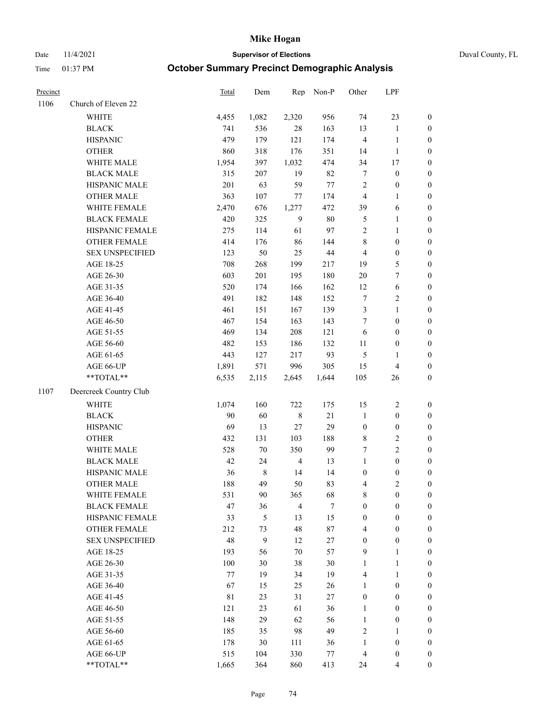Date 11/4/2021 **Supervisor of Elections** Duval County, FL

| Precinct |                        | Total   | Dem         | Rep            | Non-P  | Other            | LPF                     |                  |
|----------|------------------------|---------|-------------|----------------|--------|------------------|-------------------------|------------------|
| 1106     | Church of Eleven 22    |         |             |                |        |                  |                         |                  |
|          | <b>WHITE</b>           | 4,455   | 1,082       | 2,320          | 956    | 74               | 23                      | $\boldsymbol{0}$ |
|          | <b>BLACK</b>           | 741     | 536         | 28             | 163    | 13               | $\mathbf{1}$            | $\boldsymbol{0}$ |
|          | <b>HISPANIC</b>        | 479     | 179         | 121            | 174    | $\overline{4}$   | $\mathbf{1}$            | $\boldsymbol{0}$ |
|          | <b>OTHER</b>           | 860     | 318         | 176            | 351    | 14               | $\mathbf{1}$            | $\boldsymbol{0}$ |
|          | WHITE MALE             | 1,954   | 397         | 1,032          | 474    | 34               | 17                      | $\boldsymbol{0}$ |
|          | <b>BLACK MALE</b>      | 315     | 207         | 19             | 82     | $\boldsymbol{7}$ | $\boldsymbol{0}$        | $\boldsymbol{0}$ |
|          | HISPANIC MALE          | 201     | 63          | 59             | 77     | $\overline{c}$   | $\boldsymbol{0}$        | $\boldsymbol{0}$ |
|          | <b>OTHER MALE</b>      | 363     | 107         | 77             | 174    | $\overline{4}$   | $\mathbf{1}$            | $\boldsymbol{0}$ |
|          | WHITE FEMALE           | 2,470   | 676         | 1,277          | 472    | 39               | 6                       | $\boldsymbol{0}$ |
|          | <b>BLACK FEMALE</b>    | 420     | 325         | 9              | $80\,$ | 5                | $\mathbf{1}$            | $\boldsymbol{0}$ |
|          | HISPANIC FEMALE        | 275     | 114         | 61             | 97     | $\sqrt{2}$       | $\mathbf{1}$            | 0                |
|          | OTHER FEMALE           | 414     | 176         | 86             | 144    | $\,$ 8 $\,$      | $\boldsymbol{0}$        | 0                |
|          | <b>SEX UNSPECIFIED</b> | 123     | 50          | 25             | $44\,$ | $\overline{4}$   | $\boldsymbol{0}$        | $\boldsymbol{0}$ |
|          | AGE 18-25              | 708     | 268         | 199            | 217    | 19               | $\mathfrak{S}$          | $\boldsymbol{0}$ |
|          | AGE 26-30              | 603     | 201         | 195            | 180    | 20               | $\tau$                  | $\boldsymbol{0}$ |
|          | AGE 31-35              | 520     | 174         | 166            | 162    | 12               | $\sqrt{6}$              | $\boldsymbol{0}$ |
|          | AGE 36-40              | 491     | 182         | 148            | 152    | $\boldsymbol{7}$ | $\sqrt{2}$              | $\boldsymbol{0}$ |
|          | AGE 41-45              | 461     | 151         | 167            | 139    | $\mathfrak{Z}$   | $\mathbf{1}$            | $\boldsymbol{0}$ |
|          | AGE 46-50              | 467     | 154         | 163            | 143    | 7                | $\boldsymbol{0}$        | $\boldsymbol{0}$ |
|          | AGE 51-55              | 469     | 134         | 208            | 121    | 6                | $\boldsymbol{0}$        | $\boldsymbol{0}$ |
|          | AGE 56-60              | 482     | 153         | 186            | 132    | 11               | $\boldsymbol{0}$        | 0                |
|          | AGE 61-65              | 443     | 127         | 217            | 93     | 5                | $\mathbf{1}$            | 0                |
|          | AGE 66-UP              | 1,891   | 571         | 996            | 305    | 15               | $\overline{\mathbf{4}}$ | $\boldsymbol{0}$ |
|          | $**TOTAL**$            | 6,535   | 2,115       | 2,645          | 1,644  | 105              | 26                      | $\boldsymbol{0}$ |
| 1107     | Deercreek Country Club |         |             |                |        |                  |                         |                  |
|          | <b>WHITE</b>           | 1,074   | 160         | 722            | 175    | 15               | $\sqrt{2}$              | $\boldsymbol{0}$ |
|          | <b>BLACK</b>           | 90      | 60          | $\,$ 8 $\,$    | 21     | $\mathbf{1}$     | $\boldsymbol{0}$        | $\boldsymbol{0}$ |
|          | <b>HISPANIC</b>        | 69      | 13          | $27\,$         | 29     | $\boldsymbol{0}$ | $\boldsymbol{0}$        | $\boldsymbol{0}$ |
|          | <b>OTHER</b>           | 432     | 131         | 103            | 188    | $\,$ 8 $\,$      | $\sqrt{2}$              | $\boldsymbol{0}$ |
|          | WHITE MALE             | 528     | 70          | 350            | 99     | 7                | $\overline{2}$          | $\boldsymbol{0}$ |
|          | <b>BLACK MALE</b>      | 42      | 24          | $\overline{4}$ | 13     | $\mathbf{1}$     | $\boldsymbol{0}$        | $\boldsymbol{0}$ |
|          | HISPANIC MALE          | 36      | $\,$ 8 $\,$ | 14             | 14     | $\boldsymbol{0}$ | $\boldsymbol{0}$        | $\boldsymbol{0}$ |
|          | <b>OTHER MALE</b>      | 188     | 49          | 50             | 83     | 4                | $\mathbf{2}$            | $\boldsymbol{0}$ |
|          | WHITE FEMALE           | 531     | 90          | 365            | 68     | 8                | $\boldsymbol{0}$        | 0                |
|          | <b>BLACK FEMALE</b>    | 47      | 36          | $\overline{4}$ | $\tau$ | $\boldsymbol{0}$ | $\boldsymbol{0}$        | $\overline{0}$   |
|          | HISPANIC FEMALE        | 33      | 5           | 13             | 15     | $\boldsymbol{0}$ | $\boldsymbol{0}$        | $\overline{0}$   |
|          | OTHER FEMALE           | 212     | 73          | 48             | 87     | 4                | $\boldsymbol{0}$        | $\overline{0}$   |
|          | <b>SEX UNSPECIFIED</b> | 48      | 9           | 12             | 27     | $\boldsymbol{0}$ | $\boldsymbol{0}$        | 0                |
|          | AGE 18-25              | 193     | 56          | $70\,$         | 57     | 9                | $\mathbf{1}$            | 0                |
|          | AGE 26-30              | 100     | 30          | 38             | 30     | $\mathbf{1}$     | $\mathbf{1}$            | 0                |
|          | AGE 31-35              | $77 \,$ | 19          | 34             | 19     | 4                | $\mathbf{1}$            | 0                |
|          | AGE 36-40              | 67      | 15          | 25             | 26     | $\mathbf{1}$     | $\boldsymbol{0}$        | 0                |
|          | AGE 41-45              | 81      | 23          | 31             | 27     | $\boldsymbol{0}$ | $\boldsymbol{0}$        | 0                |
|          | AGE 46-50              | 121     | 23          | 61             | 36     | $\mathbf{1}$     | $\boldsymbol{0}$        | 0                |
|          | AGE 51-55              | 148     | 29          | 62             | 56     | $\mathbf{1}$     | $\boldsymbol{0}$        | 0                |
|          | AGE 56-60              | 185     | 35          | 98             | 49     | $\overline{c}$   | $\mathbf{1}$            | 0                |
|          | AGE 61-65              | 178     | 30          | 111            | 36     | $\mathbf{1}$     | $\boldsymbol{0}$        | 0                |
|          | AGE 66-UP              | 515     | 104         | 330            | 77     | $\overline{4}$   | $\boldsymbol{0}$        | 0                |
|          | **TOTAL**              | 1,665   | 364         | 860            | 413    | 24               | $\overline{4}$          | $\boldsymbol{0}$ |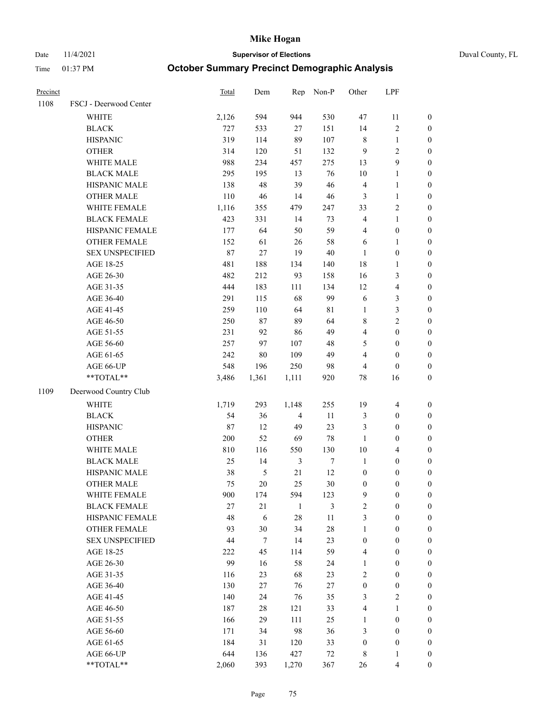Date 11/4/2021 **Supervisor of Elections** Duval County, FL

| Precinct |                        | Total | Dem            | Rep            | Non-P            | Other            | LPF              |                  |
|----------|------------------------|-------|----------------|----------------|------------------|------------------|------------------|------------------|
| 1108     | FSCJ - Deerwood Center |       |                |                |                  |                  |                  |                  |
|          | <b>WHITE</b>           | 2,126 | 594            | 944            | 530              | 47               | 11               | 0                |
|          | <b>BLACK</b>           | 727   | 533            | 27             | 151              | 14               | $\sqrt{2}$       | $\boldsymbol{0}$ |
|          | <b>HISPANIC</b>        | 319   | 114            | 89             | 107              | 8                | $\mathbf{1}$     | $\boldsymbol{0}$ |
|          | <b>OTHER</b>           | 314   | 120            | 51             | 132              | 9                | $\sqrt{2}$       | $\boldsymbol{0}$ |
|          | WHITE MALE             | 988   | 234            | 457            | 275              | 13               | 9                | $\boldsymbol{0}$ |
|          | <b>BLACK MALE</b>      | 295   | 195            | 13             | 76               | $10\,$           | $\mathbf{1}$     | $\boldsymbol{0}$ |
|          | HISPANIC MALE          | 138   | 48             | 39             | 46               | 4                | $\mathbf{1}$     | $\boldsymbol{0}$ |
|          | <b>OTHER MALE</b>      | 110   | 46             | 14             | 46               | 3                | $\mathbf{1}$     | $\boldsymbol{0}$ |
|          | WHITE FEMALE           | 1,116 | 355            | 479            | 247              | 33               | $\sqrt{2}$       | $\boldsymbol{0}$ |
|          | <b>BLACK FEMALE</b>    | 423   | 331            | 14             | 73               | 4                | $\mathbf{1}$     | $\boldsymbol{0}$ |
|          | HISPANIC FEMALE        | 177   | 64             | 50             | 59               | 4                | $\boldsymbol{0}$ | 0                |
|          | <b>OTHER FEMALE</b>    | 152   | 61             | 26             | 58               | 6                | $\mathbf{1}$     | $\boldsymbol{0}$ |
|          | <b>SEX UNSPECIFIED</b> | 87    | 27             | 19             | $40\,$           | $\mathbf{1}$     | $\boldsymbol{0}$ | $\boldsymbol{0}$ |
|          | AGE 18-25              | 481   | 188            | 134            | 140              | 18               | $\mathbf{1}$     | $\boldsymbol{0}$ |
|          | AGE 26-30              | 482   | 212            | 93             | 158              | 16               | $\mathfrak{Z}$   | $\boldsymbol{0}$ |
|          | AGE 31-35              | 444   | 183            | 111            | 134              | 12               | $\overline{4}$   | $\boldsymbol{0}$ |
|          | AGE 36-40              | 291   | 115            | 68             | 99               | 6                | $\mathfrak{Z}$   | $\boldsymbol{0}$ |
|          | AGE 41-45              | 259   | 110            | 64             | $8\sqrt{1}$      | $\mathbf{1}$     | 3                | $\boldsymbol{0}$ |
|          | AGE 46-50              | 250   | $87\,$         | 89             | 64               | 8                | $\overline{c}$   | $\boldsymbol{0}$ |
|          | AGE 51-55              | 231   | 92             | 86             | 49               | 4                | $\boldsymbol{0}$ | $\boldsymbol{0}$ |
|          | AGE 56-60              | 257   | 97             | 107            | 48               | 5                | $\boldsymbol{0}$ | 0                |
|          | AGE 61-65              | 242   | 80             | 109            | 49               | 4                | $\boldsymbol{0}$ | $\boldsymbol{0}$ |
|          | AGE 66-UP              | 548   | 196            | 250            | 98               | 4                | $\boldsymbol{0}$ | $\boldsymbol{0}$ |
|          | $**TOTAL**$            | 3,486 | 1,361          | 1,111          | 920              | 78               | 16               | $\boldsymbol{0}$ |
| 1109     | Deerwood Country Club  |       |                |                |                  |                  |                  |                  |
|          | <b>WHITE</b>           | 1,719 | 293            | 1,148          | 255              | 19               | $\overline{4}$   | $\boldsymbol{0}$ |
|          | <b>BLACK</b>           | 54    | 36             | $\overline{4}$ | 11               | 3                | $\boldsymbol{0}$ | $\boldsymbol{0}$ |
|          | <b>HISPANIC</b>        | 87    | 12             | 49             | 23               | 3                | $\boldsymbol{0}$ | $\boldsymbol{0}$ |
|          | <b>OTHER</b>           | 200   | 52             | 69             | $78\,$           | $\mathbf{1}$     | $\boldsymbol{0}$ | $\boldsymbol{0}$ |
|          | WHITE MALE             | 810   | 116            | 550            | 130              | $10\,$           | $\overline{4}$   | $\boldsymbol{0}$ |
|          | <b>BLACK MALE</b>      | 25    | 14             | $\mathfrak{Z}$ | $\boldsymbol{7}$ | $\mathbf{1}$     | $\boldsymbol{0}$ | $\boldsymbol{0}$ |
|          | HISPANIC MALE          | 38    | $\mathfrak{S}$ | 21             | 12               | $\boldsymbol{0}$ | $\boldsymbol{0}$ | $\boldsymbol{0}$ |
|          | <b>OTHER MALE</b>      | 75    | 20             | 25             | $30\,$           | $\boldsymbol{0}$ | $\boldsymbol{0}$ | $\boldsymbol{0}$ |
|          | WHITE FEMALE           | 900   | 174            | 594            | 123              | 9                | 0                | 0                |
|          | <b>BLACK FEMALE</b>    | 27    | 21             | $\mathbf{1}$   | 3                | $\overline{c}$   | $\boldsymbol{0}$ | $\overline{0}$   |
|          | HISPANIC FEMALE        | 48    | 6              | 28             | $11\,$           | 3                | $\boldsymbol{0}$ | $\overline{0}$   |
|          | <b>OTHER FEMALE</b>    | 93    | $30\,$         | 34             | $28\,$           | 1                | $\boldsymbol{0}$ | $\overline{0}$   |
|          | <b>SEX UNSPECIFIED</b> | 44    | $\tau$         | 14             | 23               | $\boldsymbol{0}$ | $\boldsymbol{0}$ | 0                |
|          | AGE 18-25              | 222   | 45             | 114            | 59               | 4                | $\boldsymbol{0}$ | $\theta$         |
|          | AGE 26-30              | 99    | 16             | 58             | 24               | $\mathbf{1}$     | $\boldsymbol{0}$ | 0                |
|          | AGE 31-35              | 116   | 23             | 68             | 23               | 2                | $\boldsymbol{0}$ | 0                |
|          | AGE 36-40              | 130   | 27             | 76             | $27\,$           | $\boldsymbol{0}$ | $\boldsymbol{0}$ | 0                |
|          | AGE 41-45              | 140   | 24             | 76             | 35               | 3                | $\mathfrak{2}$   | 0                |
|          | AGE 46-50              | 187   | 28             | 121            | 33               | 4                | $\mathbf{1}$     | 0                |
|          | AGE 51-55              | 166   | 29             | 111            | 25               | $\mathbf{1}$     | $\boldsymbol{0}$ | 0                |
|          | AGE 56-60              | 171   | 34             | 98             | 36               | 3                | $\boldsymbol{0}$ | $\overline{0}$   |
|          | AGE 61-65              | 184   | 31             | 120            | 33               | $\boldsymbol{0}$ | $\boldsymbol{0}$ | 0                |
|          | AGE 66-UP              | 644   | 136            | 427            | $72\,$           | 8                | $\mathbf{1}$     | 0                |
|          | **TOTAL**              | 2,060 | 393            | 1,270          | 367              | 26               | $\overline{4}$   | $\boldsymbol{0}$ |
|          |                        |       |                |                |                  |                  |                  |                  |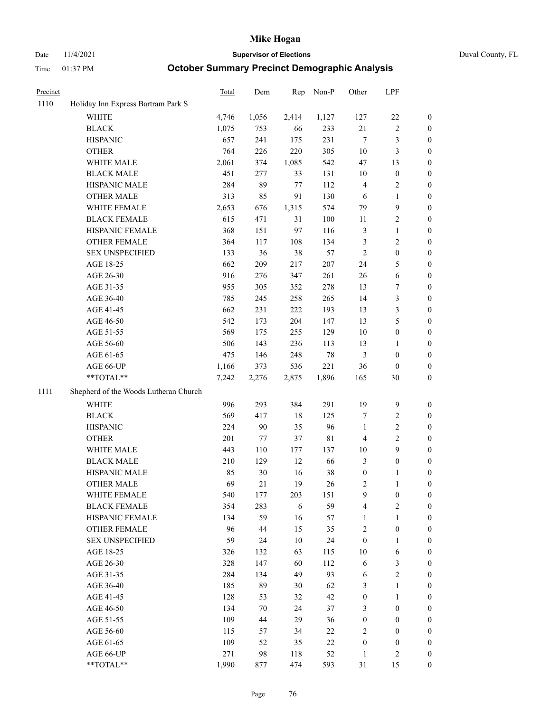Date 11/4/2021 **Supervisor of Elections** Duval County, FL

| Precinct |                                       | Total | Dem   | Rep   | Non-P       | Other            | LPF              |                  |
|----------|---------------------------------------|-------|-------|-------|-------------|------------------|------------------|------------------|
| 1110     | Holiday Inn Express Bartram Park S    |       |       |       |             |                  |                  |                  |
|          | <b>WHITE</b>                          | 4,746 | 1,056 | 2,414 | 1,127       | 127              | $22\,$           | 0                |
|          | <b>BLACK</b>                          | 1,075 | 753   | 66    | 233         | $21\,$           | $\sqrt{2}$       | 0                |
|          | <b>HISPANIC</b>                       | 657   | 241   | 175   | 231         | $\tau$           | $\mathfrak{Z}$   | 0                |
|          | <b>OTHER</b>                          | 764   | 226   | 220   | 305         | $10\,$           | $\mathfrak{Z}$   | $\boldsymbol{0}$ |
|          | WHITE MALE                            | 2,061 | 374   | 1,085 | 542         | 47               | 13               | $\boldsymbol{0}$ |
|          | <b>BLACK MALE</b>                     | 451   | 277   | 33    | 131         | 10               | $\boldsymbol{0}$ | 0                |
|          | HISPANIC MALE                         | 284   | 89    | 77    | 112         | 4                | $\sqrt{2}$       | $\boldsymbol{0}$ |
|          | <b>OTHER MALE</b>                     | 313   | 85    | 91    | 130         | 6                | $\mathbf{1}$     | $\boldsymbol{0}$ |
|          | WHITE FEMALE                          | 2,653 | 676   | 1,315 | 574         | 79               | $\mathbf{9}$     | $\boldsymbol{0}$ |
|          | <b>BLACK FEMALE</b>                   | 615   | 471   | 31    | $100\,$     | 11               | $\sqrt{2}$       | 0                |
|          | HISPANIC FEMALE                       | 368   | 151   | 97    | 116         | 3                | $\mathbf{1}$     | 0                |
|          | OTHER FEMALE                          | 364   | 117   | 108   | 134         | 3                | $\sqrt{2}$       | 0                |
|          | <b>SEX UNSPECIFIED</b>                | 133   | 36    | 38    | 57          | $\sqrt{2}$       | $\boldsymbol{0}$ | $\boldsymbol{0}$ |
|          | AGE 18-25                             | 662   | 209   | 217   | 207         | 24               | $\mathfrak{S}$   | $\boldsymbol{0}$ |
|          | AGE 26-30                             | 916   | 276   | 347   | 261         | 26               | 6                | $\boldsymbol{0}$ |
|          | AGE 31-35                             | 955   | 305   | 352   | 278         | 13               | $\boldsymbol{7}$ | $\boldsymbol{0}$ |
|          | AGE 36-40                             | 785   | 245   | 258   | 265         | 14               | $\mathfrak{Z}$   | $\boldsymbol{0}$ |
|          | AGE 41-45                             | 662   | 231   | 222   | 193         | 13               | $\mathfrak{Z}$   | $\boldsymbol{0}$ |
|          | AGE 46-50                             | 542   | 173   | 204   | 147         | 13               | $\mathfrak s$    | $\boldsymbol{0}$ |
|          | AGE 51-55                             | 569   | 175   | 255   | 129         | 10               | $\boldsymbol{0}$ | 0                |
|          | AGE 56-60                             | 506   | 143   | 236   | 113         | 13               | $\mathbf{1}$     | 0                |
|          | AGE 61-65                             | 475   | 146   | 248   | $78\,$      | $\mathfrak{Z}$   | $\boldsymbol{0}$ | 0                |
|          | AGE 66-UP                             | 1,166 | 373   | 536   | 221         | 36               | $\boldsymbol{0}$ | 0                |
|          | **TOTAL**                             | 7,242 | 2,276 | 2,875 | 1,896       | 165              | $30\,$           | $\boldsymbol{0}$ |
| 1111     | Shepherd of the Woods Lutheran Church |       |       |       |             |                  |                  |                  |
|          | <b>WHITE</b>                          | 996   | 293   | 384   | 291         | 19               | $\mathbf{9}$     | $\boldsymbol{0}$ |
|          | <b>BLACK</b>                          | 569   | 417   | 18    | 125         | 7                | $\sqrt{2}$       | $\boldsymbol{0}$ |
|          | <b>HISPANIC</b>                       | 224   | 90    | 35    | 96          | $\mathbf{1}$     | $\sqrt{2}$       | $\boldsymbol{0}$ |
|          | <b>OTHER</b>                          | 201   | 77    | 37    | $8\sqrt{1}$ | 4                | $\sqrt{2}$       | $\boldsymbol{0}$ |
|          | WHITE MALE                            | 443   | 110   | 177   | 137         | $10\,$           | 9                | $\boldsymbol{0}$ |
|          | <b>BLACK MALE</b>                     | 210   | 129   | 12    | 66          | 3                | $\boldsymbol{0}$ | 0                |
|          | HISPANIC MALE                         | 85    | 30    | 16    | 38          | $\boldsymbol{0}$ | 1                | 0                |
|          | <b>OTHER MALE</b>                     | 69    | 21    | 19    | 26          | 2                | $\mathbf{1}$     | 0                |
|          | WHITE FEMALE                          | 540   | 177   | 203   | 151         | 9                | $\boldsymbol{0}$ | 0                |
|          | <b>BLACK FEMALE</b>                   | 354   | 283   | 6     | 59          | 4                | $\sqrt{2}$       | $\boldsymbol{0}$ |
|          | HISPANIC FEMALE                       | 134   | 59    | 16    | 57          | 1                | $\mathbf{1}$     | $\overline{0}$   |
|          | OTHER FEMALE                          | 96    | 44    | 15    | 35          | 2                | $\boldsymbol{0}$ | $\overline{0}$   |
|          | <b>SEX UNSPECIFIED</b>                | 59    | 24    | 10    | 24          | $\boldsymbol{0}$ | $\mathbf{1}$     | 0                |
|          | AGE 18-25                             | 326   | 132   | 63    | 115         | $10\,$           | 6                | 0                |
|          | AGE 26-30                             | 328   | 147   | 60    | 112         | 6                | $\mathfrak{Z}$   | 0                |
|          | AGE 31-35                             | 284   | 134   | 49    | 93          | 6                | $\sqrt{2}$       | 0                |
|          | AGE 36-40                             | 185   | 89    | 30    | 62          | 3                | $\mathbf{1}$     | 0                |
|          | AGE 41-45                             | 128   | 53    | 32    | 42          | $\boldsymbol{0}$ | $\mathbf{1}$     | 0                |
|          | AGE 46-50                             | 134   | 70    | 24    | 37          | 3                | $\boldsymbol{0}$ | 0                |
|          | AGE 51-55                             | 109   | 44    | 29    | 36          | $\boldsymbol{0}$ | $\boldsymbol{0}$ | 0                |
|          | AGE 56-60                             | 115   | 57    | 34    | 22          | $\mathbf{2}$     | $\boldsymbol{0}$ | $\overline{0}$   |
|          | AGE 61-65                             | 109   | 52    | 35    | $22\,$      | $\boldsymbol{0}$ | $\boldsymbol{0}$ | $\overline{0}$   |
|          | AGE 66-UP                             | 271   | 98    | 118   | 52          | $\mathbf{1}$     | $\mathbf{2}$     | 0                |
|          | **TOTAL**                             | 1,990 | 877   | 474   | 593         | 31               | 15               | $\boldsymbol{0}$ |
|          |                                       |       |       |       |             |                  |                  |                  |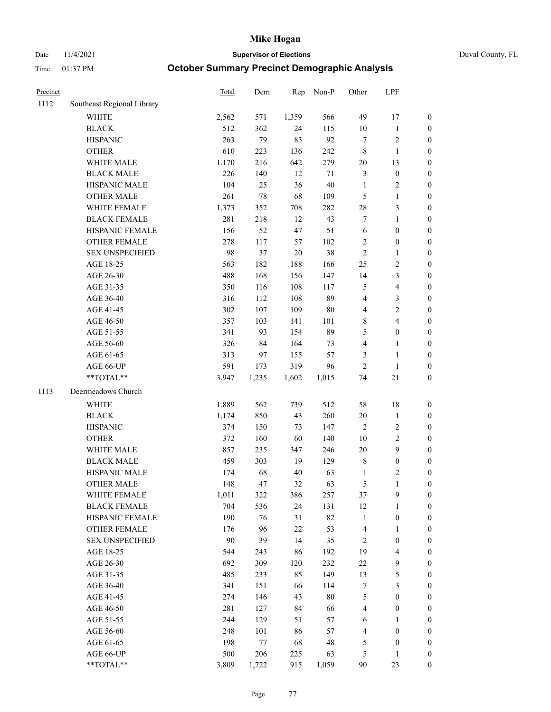Date 11/4/2021 **Supervisor of Elections** Duval County, FL

| Precinct |                            | <b>Total</b> | Dem   | Rep    | Non-P  | Other                   | LPF                     |                  |
|----------|----------------------------|--------------|-------|--------|--------|-------------------------|-------------------------|------------------|
| 1112     | Southeast Regional Library |              |       |        |        |                         |                         |                  |
|          | <b>WHITE</b>               | 2,562        | 571   | 1,359  | 566    | 49                      | 17                      | 0                |
|          | <b>BLACK</b>               | 512          | 362   | 24     | 115    | $10\,$                  | $\mathbf{1}$            | 0                |
|          | <b>HISPANIC</b>            | 263          | 79    | 83     | 92     | $\tau$                  | $\sqrt{2}$              | $\boldsymbol{0}$ |
|          | <b>OTHER</b>               | 610          | 223   | 136    | 242    | 8                       | $\mathbf{1}$            | $\boldsymbol{0}$ |
|          | WHITE MALE                 | 1,170        | 216   | 642    | 279    | $20\,$                  | 13                      | $\boldsymbol{0}$ |
|          | <b>BLACK MALE</b>          | 226          | 140   | 12     | 71     | 3                       | $\boldsymbol{0}$        | $\boldsymbol{0}$ |
|          | HISPANIC MALE              | 104          | 25    | 36     | $40\,$ | $\mathbf{1}$            | $\sqrt{2}$              | $\boldsymbol{0}$ |
|          | <b>OTHER MALE</b>          | 261          | 78    | 68     | 109    | 5                       | $\mathbf{1}$            | $\boldsymbol{0}$ |
|          | WHITE FEMALE               | 1,373        | 352   | 708    | 282    | 28                      | $\mathfrak{Z}$          | $\boldsymbol{0}$ |
|          | <b>BLACK FEMALE</b>        | 281          | 218   | 12     | 43     | 7                       | $\mathbf{1}$            | $\boldsymbol{0}$ |
|          | HISPANIC FEMALE            | 156          | 52    | 47     | 51     | $\sqrt{6}$              | $\boldsymbol{0}$        | 0                |
|          | OTHER FEMALE               | 278          | 117   | 57     | 102    | 2                       | $\boldsymbol{0}$        | $\boldsymbol{0}$ |
|          | <b>SEX UNSPECIFIED</b>     | 98           | 37    | 20     | 38     | $\sqrt{2}$              | $\mathbf{1}$            | $\boldsymbol{0}$ |
|          | AGE 18-25                  | 563          | 182   | 188    | 166    | $25\,$                  | $\sqrt{2}$              | $\boldsymbol{0}$ |
|          | AGE 26-30                  | 488          | 168   | 156    | 147    | 14                      | $\mathfrak{Z}$          | $\boldsymbol{0}$ |
|          | AGE 31-35                  | 350          | 116   | 108    | 117    | 5                       | $\overline{\mathbf{4}}$ | $\boldsymbol{0}$ |
|          | AGE 36-40                  | 316          | 112   | 108    | 89     | 4                       | $\mathfrak{Z}$          | $\boldsymbol{0}$ |
|          | AGE 41-45                  | 302          | 107   | 109    | $80\,$ | $\overline{4}$          | $\sqrt{2}$              | $\boldsymbol{0}$ |
|          | AGE 46-50                  | 357          | 103   | 141    | 101    | 8                       | $\overline{4}$          | $\boldsymbol{0}$ |
|          | AGE 51-55                  | 341          | 93    | 154    | 89     | 5                       | $\boldsymbol{0}$        | $\boldsymbol{0}$ |
|          | AGE 56-60                  | 326          | 84    | 164    | 73     | $\overline{\mathbf{4}}$ | $\mathbf{1}$            | 0                |
|          | AGE 61-65                  | 313          | 97    | 155    | 57     | 3                       | $\mathbf{1}$            | $\boldsymbol{0}$ |
|          | AGE 66-UP                  | 591          | 173   | 319    | 96     | $\mathbf{2}$            | $\mathbf{1}$            | $\boldsymbol{0}$ |
|          | **TOTAL**                  | 3,947        | 1,235 | 1,602  | 1,015  | 74                      | $21\,$                  | $\boldsymbol{0}$ |
| 1113     | Deermeadows Church         |              |       |        |        |                         |                         |                  |
|          | <b>WHITE</b>               | 1,889        | 562   | 739    | 512    | 58                      | $18\,$                  | $\boldsymbol{0}$ |
|          | <b>BLACK</b>               | 1,174        | 850   | 43     | 260    | $20\,$                  | $\mathbf{1}$            | $\boldsymbol{0}$ |
|          | <b>HISPANIC</b>            | 374          | 150   | 73     | 147    | $\sqrt{2}$              | $\sqrt{2}$              | $\boldsymbol{0}$ |
|          | <b>OTHER</b>               | 372          | 160   | 60     | 140    | $10\,$                  | $\sqrt{2}$              | $\boldsymbol{0}$ |
|          | WHITE MALE                 | 857          | 235   | 347    | 246    | $20\,$                  | 9                       | $\boldsymbol{0}$ |
|          | <b>BLACK MALE</b>          | 459          | 303   | 19     | 129    | $\,$ 8 $\,$             | $\boldsymbol{0}$        | $\boldsymbol{0}$ |
|          | HISPANIC MALE              | 174          | 68    | $40\,$ | 63     | 1                       | $\sqrt{2}$              | $\boldsymbol{0}$ |
|          | OTHER MALE                 | 148          | 47    | 32     | 63     | 5                       | $\mathbf{1}$            | $\boldsymbol{0}$ |
|          | WHITE FEMALE               | 1,011        | 322   | 386    | 257    | 37                      | 9                       | 0                |
|          | <b>BLACK FEMALE</b>        | 704          | 536   | 24     | 131    | 12                      | $\mathbf{1}$            | $\boldsymbol{0}$ |
|          | HISPANIC FEMALE            | 190          | 76    | 31     | 82     | $\mathbf{1}$            | $\boldsymbol{0}$        | $\overline{0}$   |
|          | <b>OTHER FEMALE</b>        | 176          | 96    | 22     | 53     | 4                       | $\mathbf{1}$            | $\overline{0}$   |
|          | <b>SEX UNSPECIFIED</b>     | 90           | 39    | 14     | 35     | 2                       | $\boldsymbol{0}$        | 0                |
|          | AGE 18-25                  | 544          | 243   | 86     | 192    | 19                      | $\overline{\mathbf{4}}$ | 0                |
|          | AGE 26-30                  | 692          | 309   | 120    | 232    | $22\,$                  | $\mathbf{9}$            | 0                |
|          | AGE 31-35                  | 485          | 233   | 85     | 149    | 13                      | $\mathfrak s$           | 0                |
|          | AGE 36-40                  | 341          | 151   | 66     | 114    | 7                       | $\mathfrak{Z}$          | 0                |
|          | AGE 41-45                  | 274          | 146   | 43     | $80\,$ | 5                       | $\boldsymbol{0}$        | 0                |
|          | AGE 46-50                  | 281          | 127   | 84     | 66     | 4                       | $\boldsymbol{0}$        | 0                |
|          | AGE 51-55                  | 244          | 129   | 51     | 57     | 6                       | 1                       | 0                |
|          | AGE 56-60                  | 248          | 101   | 86     | 57     | 4                       | $\boldsymbol{0}$        | 0                |
|          | AGE 61-65                  | 198          | 77    | 68     | 48     | 5                       | $\boldsymbol{0}$        | $\overline{0}$   |
|          | AGE 66-UP                  | 500          | 206   | 225    | 63     | 5                       | $\mathbf{1}$            | 0                |
|          | **TOTAL**                  | 3,809        | 1,722 | 915    | 1,059  | 90                      | 23                      | $\boldsymbol{0}$ |
|          |                            |              |       |        |        |                         |                         |                  |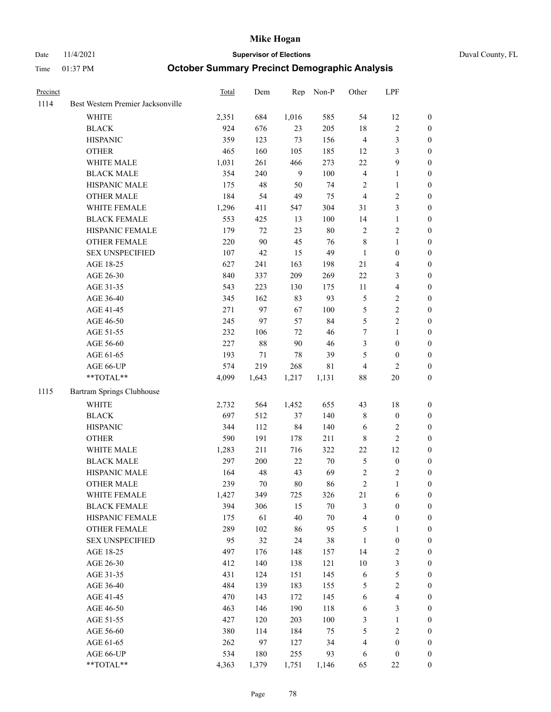Date 11/4/2021 **Supervisor of Elections** Duval County, FL

| Precinct |                                   | Total | Dem    | Rep   | Non-P       | Other          | LPF                     |                  |
|----------|-----------------------------------|-------|--------|-------|-------------|----------------|-------------------------|------------------|
| 1114     | Best Western Premier Jacksonville |       |        |       |             |                |                         |                  |
|          | <b>WHITE</b>                      | 2,351 | 684    | 1,016 | 585         | 54             | 12                      | 0                |
|          | <b>BLACK</b>                      | 924   | 676    | 23    | 205         | $18\,$         | $\sqrt{2}$              | 0                |
|          | <b>HISPANIC</b>                   | 359   | 123    | 73    | 156         | $\overline{4}$ | $\mathfrak{Z}$          | $\boldsymbol{0}$ |
|          | <b>OTHER</b>                      | 465   | 160    | 105   | 185         | 12             | $\mathfrak{Z}$          | $\boldsymbol{0}$ |
|          | WHITE MALE                        | 1,031 | 261    | 466   | 273         | $22\,$         | 9                       | $\boldsymbol{0}$ |
|          | <b>BLACK MALE</b>                 | 354   | 240    | 9     | 100         | 4              | $\mathbf{1}$            | $\boldsymbol{0}$ |
|          | HISPANIC MALE                     | 175   | 48     | 50    | 74          | $\overline{c}$ | $\mathbf{1}$            | $\boldsymbol{0}$ |
|          | <b>OTHER MALE</b>                 | 184   | 54     | 49    | 75          | $\overline{4}$ | $\overline{2}$          | $\boldsymbol{0}$ |
|          | WHITE FEMALE                      | 1,296 | 411    | 547   | 304         | 31             | $\mathfrak{Z}$          | 0                |
|          | <b>BLACK FEMALE</b>               | 553   | 425    | 13    | 100         | 14             | $\mathbf{1}$            | 0                |
|          | HISPANIC FEMALE                   | 179   | 72     | 23    | 80          | $\sqrt{2}$     | $\sqrt{2}$              | 0                |
|          | OTHER FEMALE                      | 220   | 90     | 45    | 76          | $\,$ 8 $\,$    | $\mathbf{1}$            | 0                |
|          | <b>SEX UNSPECIFIED</b>            | 107   | 42     | 15    | 49          | $\mathbf{1}$   | $\boldsymbol{0}$        | $\boldsymbol{0}$ |
|          | AGE 18-25                         | 627   | 241    | 163   | 198         | 21             | $\overline{\mathbf{4}}$ | $\boldsymbol{0}$ |
|          | AGE 26-30                         | 840   | 337    | 209   | 269         | 22             | $\mathfrak{Z}$          | $\boldsymbol{0}$ |
|          | AGE 31-35                         | 543   | 223    | 130   | 175         | 11             | $\overline{\mathbf{4}}$ | $\boldsymbol{0}$ |
|          | AGE 36-40                         | 345   | 162    | 83    | 93          | $\mathfrak s$  | $\sqrt{2}$              | $\boldsymbol{0}$ |
|          | AGE 41-45                         | 271   | 97     | 67    | 100         | $\mathfrak{S}$ | $\sqrt{2}$              | $\boldsymbol{0}$ |
|          | AGE 46-50                         | 245   | 97     | 57    | 84          | 5              | $\overline{2}$          | $\boldsymbol{0}$ |
|          | AGE 51-55                         | 232   | 106    | 72    | 46          | 7              | $\mathbf{1}$            | $\boldsymbol{0}$ |
|          | AGE 56-60                         | 227   | $88\,$ | 90    | 46          | 3              | $\boldsymbol{0}$        | 0                |
|          | AGE 61-65                         | 193   | 71     | 78    | 39          | 5              | $\boldsymbol{0}$        | 0                |
|          | AGE 66-UP                         | 574   | 219    | 268   | $8\sqrt{1}$ | $\overline{4}$ | 2                       | $\boldsymbol{0}$ |
|          | **TOTAL**                         | 4,099 | 1,643  | 1,217 | 1,131       | 88             | $20\,$                  | $\boldsymbol{0}$ |
| 1115     | Bartram Springs Clubhouse         |       |        |       |             |                |                         |                  |
|          | <b>WHITE</b>                      | 2,732 | 564    | 1,452 | 655         | 43             | 18                      | $\boldsymbol{0}$ |
|          | <b>BLACK</b>                      | 697   | 512    | 37    | 140         | 8              | $\boldsymbol{0}$        | $\boldsymbol{0}$ |
|          | <b>HISPANIC</b>                   | 344   | 112    | 84    | 140         | 6              | $\sqrt{2}$              | $\boldsymbol{0}$ |
|          | <b>OTHER</b>                      | 590   | 191    | 178   | 211         | $\,$ 8 $\,$    | $\sqrt{2}$              | $\boldsymbol{0}$ |
|          | WHITE MALE                        | 1,283 | 211    | 716   | 322         | $22\,$         | 12                      | $\boldsymbol{0}$ |
|          | <b>BLACK MALE</b>                 | 297   | 200    | 22    | $70\,$      | 5              | $\boldsymbol{0}$        | $\boldsymbol{0}$ |
|          | HISPANIC MALE                     | 164   | 48     | 43    | 69          | $\sqrt{2}$     | $\overline{c}$          | 0                |
|          | <b>OTHER MALE</b>                 | 239   | 70     | 80    | 86          | $\sqrt{2}$     | $\mathbf{1}$            | 0                |
|          | WHITE FEMALE                      | 1,427 | 349    | 725   | 326         | 21             | 6                       | 0                |
|          | <b>BLACK FEMALE</b>               | 394   | 306    | 15    | $70\,$      | 3              | $\boldsymbol{0}$        | $\boldsymbol{0}$ |
|          | HISPANIC FEMALE                   | 175   | 61     | 40    | $70\,$      | 4              | $\boldsymbol{0}$        | $\overline{0}$   |
|          | OTHER FEMALE                      | 289   | 102    | 86    | 95          | 5              | $\mathbf{1}$            | $\overline{0}$   |
|          | <b>SEX UNSPECIFIED</b>            | 95    | 32     | 24    | 38          | $\mathbf{1}$   | $\boldsymbol{0}$        | 0                |
|          | AGE 18-25                         | 497   | 176    | 148   | 157         | 14             | $\sqrt{2}$              | 0                |
|          | AGE 26-30                         | 412   | 140    | 138   | 121         | $10\,$         | $\mathfrak{Z}$          | 0                |
|          | AGE 31-35                         | 431   | 124    | 151   | 145         | 6              | $\mathfrak s$           | 0                |
|          | AGE 36-40                         | 484   | 139    | 183   | 155         | 5              | $\sqrt{2}$              | 0                |
|          | AGE 41-45                         | 470   | 143    | 172   | 145         | 6              | $\overline{\mathbf{4}}$ | 0                |
|          | AGE 46-50                         | 463   | 146    | 190   | 118         | 6              | $\mathfrak{Z}$          | 0                |
|          | AGE 51-55                         | 427   | 120    | 203   | 100         | 3              | $\mathbf{1}$            | $\boldsymbol{0}$ |
|          | AGE 56-60                         | 380   | 114    | 184   | 75          | 5              | $\sqrt{2}$              | $\boldsymbol{0}$ |
|          | AGE 61-65                         | 262   | 97     | 127   | 34          | 4              | $\boldsymbol{0}$        | $\boldsymbol{0}$ |
|          | AGE 66-UP                         | 534   | 180    | 255   | 93          | 6              | $\boldsymbol{0}$        | 0                |
|          | **TOTAL**                         | 4,363 | 1,379  | 1,751 | 1,146       | 65             | $22\,$                  | $\boldsymbol{0}$ |
|          |                                   |       |        |       |             |                |                         |                  |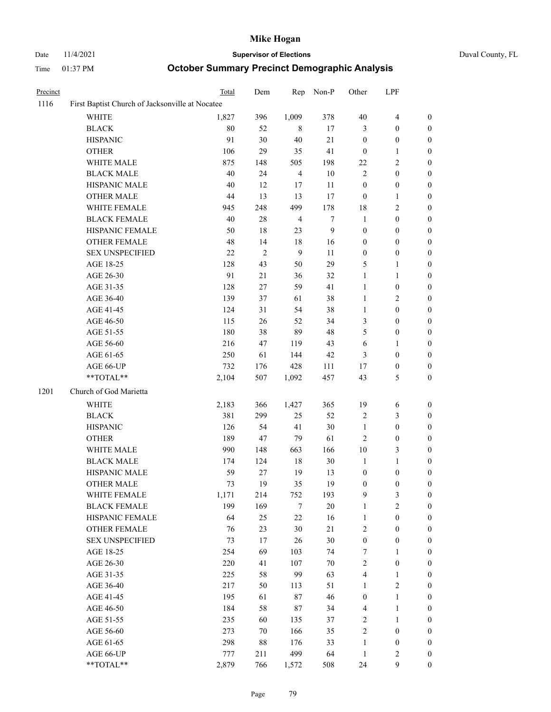#### Date 11/4/2021 **Supervisor of Elections** Duval County, FL

| Precinct |                                                            | Total  | Dem        | Rep              | Non-P  | Other            | LPF              |                  |
|----------|------------------------------------------------------------|--------|------------|------------------|--------|------------------|------------------|------------------|
| 1116     | First Baptist Church of Jacksonville at Nocatee            |        |            |                  |        |                  |                  |                  |
|          | <b>WHITE</b>                                               | 1,827  | 396        | 1,009            | 378    | 40               | $\overline{4}$   | $\boldsymbol{0}$ |
|          | <b>BLACK</b>                                               | $80\,$ | 52         | $\,$ 8 $\,$      | 17     | 3                | $\boldsymbol{0}$ | $\boldsymbol{0}$ |
|          | <b>HISPANIC</b>                                            | 91     | 30         | 40               | 21     | $\boldsymbol{0}$ | $\boldsymbol{0}$ | $\boldsymbol{0}$ |
|          | <b>OTHER</b>                                               | 106    | 29         | 35               | 41     | $\boldsymbol{0}$ | 1                | $\boldsymbol{0}$ |
|          | WHITE MALE                                                 | 875    | 148        | 505              | 198    | 22               | $\sqrt{2}$       | $\boldsymbol{0}$ |
|          | <b>BLACK MALE</b>                                          | 40     | 24         | $\overline{4}$   | 10     | $\overline{c}$   | $\boldsymbol{0}$ | $\boldsymbol{0}$ |
|          | HISPANIC MALE                                              | 40     | 12         | 17               | 11     | $\boldsymbol{0}$ | $\boldsymbol{0}$ | $\boldsymbol{0}$ |
|          | <b>OTHER MALE</b>                                          | 44     | 13         | 13               | 17     | $\boldsymbol{0}$ | 1                | 0                |
|          | WHITE FEMALE                                               | 945    | 248        | 499              | 178    | 18               | $\sqrt{2}$       | 0                |
|          | <b>BLACK FEMALE</b>                                        | 40     | 28         | $\overline{4}$   | $\tau$ | $\mathbf{1}$     | $\boldsymbol{0}$ | $\boldsymbol{0}$ |
|          | HISPANIC FEMALE                                            | 50     | 18         | 23               | 9      | $\boldsymbol{0}$ | $\boldsymbol{0}$ | $\boldsymbol{0}$ |
|          | OTHER FEMALE                                               | 48     | 14         | 18               | 16     | 0                | $\boldsymbol{0}$ | $\boldsymbol{0}$ |
|          | <b>SEX UNSPECIFIED</b>                                     | 22     | $\sqrt{2}$ | $\boldsymbol{9}$ | 11     | $\boldsymbol{0}$ | $\boldsymbol{0}$ | $\boldsymbol{0}$ |
|          | AGE 18-25                                                  | 128    | 43         | 50               | 29     | 5                | $\mathbf{1}$     | $\boldsymbol{0}$ |
|          | AGE 26-30                                                  | 91     | $21\,$     | 36               | 32     | 1                | $\mathbf{1}$     | $\boldsymbol{0}$ |
|          | AGE 31-35                                                  | 128    | $27\,$     | 59               | 41     | $\mathbf{1}$     | $\boldsymbol{0}$ | $\boldsymbol{0}$ |
|          | AGE 36-40                                                  | 139    | 37         | 61               | 38     | 1                | $\sqrt{2}$       | 0                |
|          | AGE 41-45                                                  | 124    | 31         | 54               | 38     | $\mathbf{1}$     | $\boldsymbol{0}$ | 0                |
|          | AGE 46-50                                                  | 115    | 26         | 52               | 34     | 3                | $\boldsymbol{0}$ | 0                |
|          | AGE 51-55                                                  | 180    | 38         | 89               | 48     | 5                | $\boldsymbol{0}$ | $\boldsymbol{0}$ |
|          | AGE 56-60                                                  | 216    | 47         | 119              | 43     | 6                | 1                | $\boldsymbol{0}$ |
|          | AGE 61-65                                                  | 250    | 61         | 144              | 42     | 3                | $\boldsymbol{0}$ | $\boldsymbol{0}$ |
|          | AGE 66-UP                                                  | 732    | 176        | 428              | 111    | 17               | $\boldsymbol{0}$ | 0                |
|          | $\mathrm{*}\mathrm{*} \mathrm{TOTAL} \mathrm{*}\mathrm{*}$ | 2,104  | 507        | 1,092            | 457    | 43               | 5                | $\boldsymbol{0}$ |
| 1201     | Church of God Marietta                                     |        |            |                  |        |                  |                  |                  |
|          | WHITE                                                      | 2,183  | 366        | 1,427            | 365    | 19               | 6                | $\boldsymbol{0}$ |
|          | <b>BLACK</b>                                               | 381    | 299        | 25               | 52     | 2                | 3                | $\boldsymbol{0}$ |
|          | <b>HISPANIC</b>                                            | 126    | 54         | 41               | 30     | $\mathbf{1}$     | $\boldsymbol{0}$ | $\boldsymbol{0}$ |
|          | <b>OTHER</b>                                               | 189    | 47         | 79               | 61     | $\overline{c}$   | $\boldsymbol{0}$ | 0                |
|          | WHITE MALE                                                 | 990    | 148        | 663              | 166    | 10               | 3                | 0                |
|          | <b>BLACK MALE</b>                                          | 174    | 124        | $18\,$           | $30\,$ | $\mathbf{1}$     | $\mathbf{1}$     | 0                |
|          | HISPANIC MALE                                              | 59     | $27\,$     | 19               | 13     | $\boldsymbol{0}$ | $\boldsymbol{0}$ | 0                |
|          | <b>OTHER MALE</b>                                          | 73     | 19         | 35               | 19     | 0                | $\boldsymbol{0}$ | $\boldsymbol{0}$ |
|          | WHITE FEMALE                                               | 1,171  | 214        | 752              | 193    | 9                | $\mathfrak{Z}$   | $\boldsymbol{0}$ |
|          | <b>BLACK FEMALE</b>                                        | 199    | 169        | $\tau$           | 20     | $\mathbf{1}$     | $\sqrt{2}$       | $\overline{0}$   |
|          | HISPANIC FEMALE                                            | 64     | 25         | 22               | 16     | $\mathbf{1}$     | $\boldsymbol{0}$ | $\overline{0}$   |
|          | <b>OTHER FEMALE</b>                                        | 76     | 23         | 30               | $21\,$ | $\mathbf{2}$     | $\boldsymbol{0}$ | $\theta$         |
|          | <b>SEX UNSPECIFIED</b>                                     | 73     | 17         | 26               | 30     | $\boldsymbol{0}$ | $\boldsymbol{0}$ | 0                |
|          | AGE 18-25                                                  | 254    | 69         | 103              | 74     | 7                | $\mathbf{1}$     | 0                |
|          | AGE 26-30                                                  | 220    | 41         | 107              | 70     | 2                | $\boldsymbol{0}$ | 0                |
|          | AGE 31-35                                                  | 225    | 58         | 99               | 63     | 4                | 1                | 0                |
|          | AGE 36-40                                                  | 217    | 50         | 113              | 51     | 1                | $\sqrt{2}$       | 0                |
|          | AGE 41-45                                                  | 195    | 61         | 87               | 46     | $\boldsymbol{0}$ | $\mathbf{1}$     | $\overline{0}$   |
|          | AGE 46-50                                                  | 184    | 58         | 87               | 34     | 4                | $\mathbf{1}$     | $\boldsymbol{0}$ |
|          | AGE 51-55                                                  | 235    | 60         | 135              | 37     | 2                | $\mathbf{1}$     | $\overline{0}$   |
|          | AGE 56-60                                                  | 273    | 70         | 166              | 35     | $\overline{c}$   | $\boldsymbol{0}$ | 0                |
|          | AGE 61-65                                                  | 298    | 88         | 176              | 33     | $\mathbf{1}$     | $\boldsymbol{0}$ | $\overline{0}$   |
|          | AGE 66-UP                                                  | 777    | 211        | 499              | 64     | $\mathbf{1}$     | $\mathbf{2}$     | $\boldsymbol{0}$ |
|          | **TOTAL**                                                  | 2,879  | 766        | 1,572            | 508    | 24               | $\mathbf{9}$     | $\boldsymbol{0}$ |
|          |                                                            |        |            |                  |        |                  |                  |                  |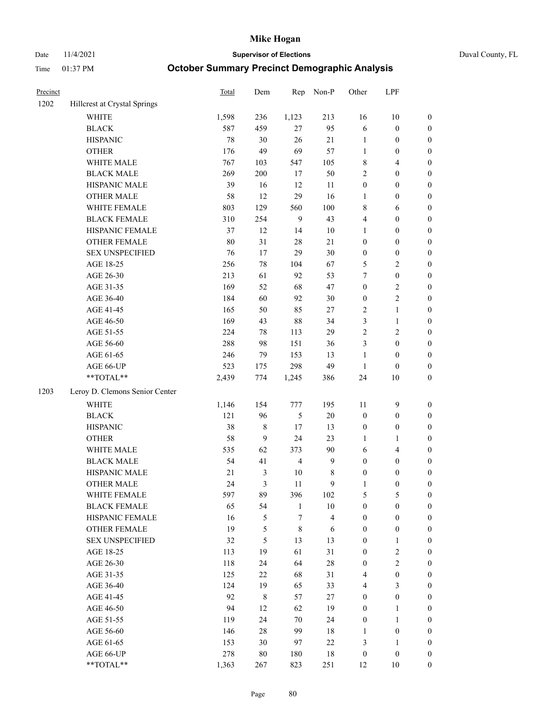Date 11/4/2021 **Supervisor of Elections** Duval County, FL

| Precinct |                                | Total  | Dem         | Rep            | Non-P                   | Other            | LPF              |                  |
|----------|--------------------------------|--------|-------------|----------------|-------------------------|------------------|------------------|------------------|
| 1202     | Hillcrest at Crystal Springs   |        |             |                |                         |                  |                  |                  |
|          | <b>WHITE</b>                   | 1,598  | 236         | 1,123          | 213                     | 16               | $10\,$           | 0                |
|          | <b>BLACK</b>                   | 587    | 459         | 27             | 95                      | 6                | $\boldsymbol{0}$ | $\boldsymbol{0}$ |
|          | <b>HISPANIC</b>                | 78     | 30          | 26             | 21                      | $\mathbf{1}$     | $\boldsymbol{0}$ | $\boldsymbol{0}$ |
|          | <b>OTHER</b>                   | 176    | 49          | 69             | 57                      | 1                | $\boldsymbol{0}$ | $\boldsymbol{0}$ |
|          | WHITE MALE                     | 767    | 103         | 547            | 105                     | 8                | $\overline{4}$   | $\boldsymbol{0}$ |
|          | <b>BLACK MALE</b>              | 269    | 200         | 17             | 50                      | $\overline{c}$   | $\boldsymbol{0}$ | $\boldsymbol{0}$ |
|          | HISPANIC MALE                  | 39     | 16          | 12             | 11                      | $\boldsymbol{0}$ | $\boldsymbol{0}$ | $\boldsymbol{0}$ |
|          | <b>OTHER MALE</b>              | 58     | 12          | 29             | 16                      | $\mathbf{1}$     | $\boldsymbol{0}$ | $\boldsymbol{0}$ |
|          | WHITE FEMALE                   | 803    | 129         | 560            | $100\,$                 | 8                | 6                | $\boldsymbol{0}$ |
|          | <b>BLACK FEMALE</b>            | 310    | 254         | $\overline{9}$ | 43                      | 4                | $\boldsymbol{0}$ | $\boldsymbol{0}$ |
|          | HISPANIC FEMALE                | 37     | 12          | 14             | $10\,$                  | $\mathbf{1}$     | $\boldsymbol{0}$ | 0                |
|          | OTHER FEMALE                   | 80     | 31          | 28             | 21                      | $\boldsymbol{0}$ | $\boldsymbol{0}$ | $\boldsymbol{0}$ |
|          | <b>SEX UNSPECIFIED</b>         | 76     | 17          | 29             | $30\,$                  | $\boldsymbol{0}$ | $\boldsymbol{0}$ | $\boldsymbol{0}$ |
|          | AGE 18-25                      | 256    | $78\,$      | 104            | 67                      | 5                | $\sqrt{2}$       | $\boldsymbol{0}$ |
|          | AGE 26-30                      | 213    | 61          | 92             | 53                      | 7                | $\boldsymbol{0}$ | $\boldsymbol{0}$ |
|          | AGE 31-35                      | 169    | 52          | 68             | 47                      | $\boldsymbol{0}$ | $\sqrt{2}$       | $\boldsymbol{0}$ |
|          | AGE 36-40                      | 184    | 60          | 92             | $30\,$                  | $\boldsymbol{0}$ | $\sqrt{2}$       | $\boldsymbol{0}$ |
|          | AGE 41-45                      | 165    | 50          | 85             | $27\,$                  | 2                | $\mathbf{1}$     | $\boldsymbol{0}$ |
|          | AGE 46-50                      | 169    | 43          | 88             | 34                      | 3                | $\mathbf{1}$     | $\boldsymbol{0}$ |
|          | AGE 51-55                      | 224    | 78          | 113            | 29                      | $\overline{c}$   | $\sqrt{2}$       | $\boldsymbol{0}$ |
|          | AGE 56-60                      | 288    | 98          | 151            | 36                      | 3                | $\boldsymbol{0}$ | 0                |
|          | AGE 61-65                      | 246    | 79          | 153            | 13                      | $\mathbf{1}$     | $\boldsymbol{0}$ | 0                |
|          | AGE 66-UP                      | 523    | 175         | 298            | 49                      | $\mathbf{1}$     | $\boldsymbol{0}$ | $\boldsymbol{0}$ |
|          | **TOTAL**                      | 2,439  | 774         | 1,245          | 386                     | 24               | $10\,$           | $\boldsymbol{0}$ |
| 1203     | Leroy D. Clemons Senior Center |        |             |                |                         |                  |                  |                  |
|          | <b>WHITE</b>                   | 1,146  | 154         | 777            | 195                     | $11\,$           | $\mathbf{9}$     | $\boldsymbol{0}$ |
|          | <b>BLACK</b>                   | 121    | 96          | 5              | $20\,$                  | $\boldsymbol{0}$ | $\boldsymbol{0}$ | $\boldsymbol{0}$ |
|          | <b>HISPANIC</b>                | 38     | $\,$ 8 $\,$ | $17$           | 13                      | $\boldsymbol{0}$ | $\boldsymbol{0}$ | $\boldsymbol{0}$ |
|          | <b>OTHER</b>                   | 58     | 9           | 24             | 23                      | 1                | $\mathbf{1}$     | $\boldsymbol{0}$ |
|          | WHITE MALE                     | 535    | 62          | 373            | $90\,$                  | 6                | $\overline{4}$   | $\boldsymbol{0}$ |
|          | <b>BLACK MALE</b>              | 54     | 41          | $\overline{4}$ | $\mathbf{9}$            | $\boldsymbol{0}$ | $\boldsymbol{0}$ | $\boldsymbol{0}$ |
|          | HISPANIC MALE                  | $21\,$ | 3           | 10             | 8                       | $\boldsymbol{0}$ | $\boldsymbol{0}$ | $\boldsymbol{0}$ |
|          | OTHER MALE                     | 24     | 3           | 11             | 9                       | $\mathbf{1}$     | $\boldsymbol{0}$ | $\boldsymbol{0}$ |
|          | WHITE FEMALE                   | 597    | 89          | 396            | 102                     | 5                | 5                | 0                |
|          | <b>BLACK FEMALE</b>            | 65     | 54          | $\mathbf{1}$   | $10\,$                  | $\boldsymbol{0}$ | $\boldsymbol{0}$ | $\overline{0}$   |
|          | HISPANIC FEMALE                | 16     | 5           | 7              | $\overline{\mathbf{4}}$ | $\boldsymbol{0}$ | $\boldsymbol{0}$ | $\overline{0}$   |
|          | OTHER FEMALE                   | 19     | 5           | $\,$ $\,$      | 6                       | $\boldsymbol{0}$ | $\boldsymbol{0}$ | $\overline{0}$   |
|          | <b>SEX UNSPECIFIED</b>         | 32     | 5           | 13             | 13                      | $\boldsymbol{0}$ | $\mathbf{1}$     | 0                |
|          | AGE 18-25                      | 113    | 19          | 61             | 31                      | $\boldsymbol{0}$ | $\sqrt{2}$       | 0                |
|          | AGE 26-30                      | 118    | 24          | 64             | $28\,$                  | $\boldsymbol{0}$ | $\overline{2}$   | 0                |
|          | AGE 31-35                      | 125    | 22          | 68             | 31                      | 4                | $\boldsymbol{0}$ | 0                |
|          | AGE 36-40                      | 124    | 19          | 65             | 33                      | 4                | $\mathfrak{Z}$   | 0                |
|          | AGE 41-45                      | 92     | $\,$ 8 $\,$ | 57             | 27                      | $\boldsymbol{0}$ | $\boldsymbol{0}$ | 0                |
|          | AGE 46-50                      | 94     | 12          | 62             | 19                      | $\boldsymbol{0}$ | $\mathbf{1}$     | 0                |
|          | AGE 51-55                      | 119    | 24          | 70             | 24                      | $\boldsymbol{0}$ | $\mathbf{1}$     | 0                |
|          | AGE 56-60                      | 146    | $28\,$      | 99             | 18                      | 1                | $\boldsymbol{0}$ | $\overline{0}$   |
|          | AGE 61-65                      | 153    | 30          | 97             | $22\,$                  | 3                | 1                | $\overline{0}$   |
|          | AGE 66-UP                      | 278    | $80\,$      | 180            | 18                      | $\boldsymbol{0}$ | $\boldsymbol{0}$ | 0                |
|          | **TOTAL**                      | 1,363  | 267         | 823            | 251                     | 12               | 10               | $\boldsymbol{0}$ |
|          |                                |        |             |                |                         |                  |                  |                  |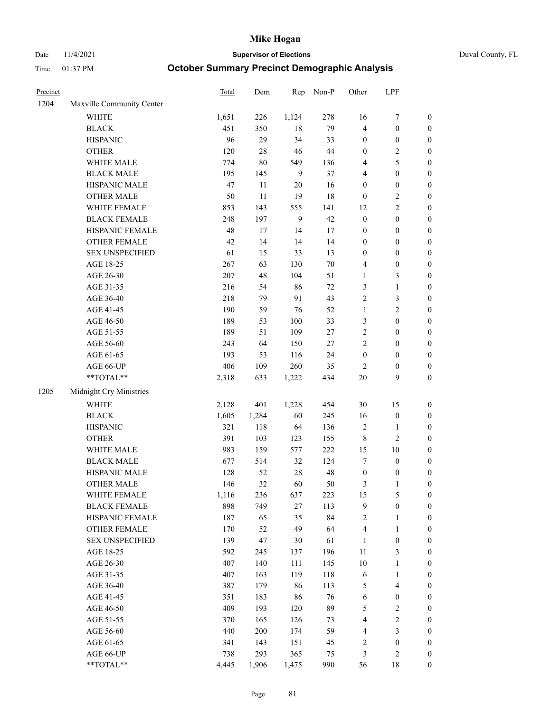Date 11/4/2021 **Supervisor of Elections** Duval County, FL

| Precinct |                                                           | Total | Dem    | Rep     | Non-P  | Other            | LPF                     |                  |
|----------|-----------------------------------------------------------|-------|--------|---------|--------|------------------|-------------------------|------------------|
| 1204     | Maxville Community Center                                 |       |        |         |        |                  |                         |                  |
|          | <b>WHITE</b>                                              | 1,651 | 226    | 1,124   | 278    | 16               | $\boldsymbol{7}$        | 0                |
|          | <b>BLACK</b>                                              | 451   | 350    | 18      | 79     | 4                | $\boldsymbol{0}$        | $\boldsymbol{0}$ |
|          | <b>HISPANIC</b>                                           | 96    | 29     | 34      | 33     | $\boldsymbol{0}$ | $\boldsymbol{0}$        | $\boldsymbol{0}$ |
|          | <b>OTHER</b>                                              | 120   | $28\,$ | $46\,$  | $44\,$ | $\boldsymbol{0}$ | $\sqrt{2}$              | $\boldsymbol{0}$ |
|          | WHITE MALE                                                | 774   | $80\,$ | 549     | 136    | 4                | $\mathfrak{S}$          | $\boldsymbol{0}$ |
|          | <b>BLACK MALE</b>                                         | 195   | 145    | 9       | 37     | 4                | $\boldsymbol{0}$        | $\boldsymbol{0}$ |
|          | HISPANIC MALE                                             | 47    | 11     | 20      | 16     | $\boldsymbol{0}$ | $\boldsymbol{0}$        | $\boldsymbol{0}$ |
|          | <b>OTHER MALE</b>                                         | 50    | 11     | 19      | 18     | $\boldsymbol{0}$ | $\sqrt{2}$              | $\boldsymbol{0}$ |
|          | WHITE FEMALE                                              | 853   | 143    | 555     | 141    | 12               | $\overline{2}$          | $\boldsymbol{0}$ |
|          | <b>BLACK FEMALE</b>                                       | 248   | 197    | 9       | 42     | $\boldsymbol{0}$ | $\boldsymbol{0}$        | $\boldsymbol{0}$ |
|          | HISPANIC FEMALE                                           | 48    | $17\,$ | 14      | 17     | $\boldsymbol{0}$ | $\boldsymbol{0}$        | 0                |
|          | <b>OTHER FEMALE</b>                                       | 42    | 14     | 14      | 14     | $\boldsymbol{0}$ | $\boldsymbol{0}$        | $\boldsymbol{0}$ |
|          | <b>SEX UNSPECIFIED</b>                                    | 61    | 15     | 33      | 13     | $\boldsymbol{0}$ | $\boldsymbol{0}$        | $\boldsymbol{0}$ |
|          | AGE 18-25                                                 | 267   | 63     | 130     | $70\,$ | 4                | $\boldsymbol{0}$        | $\boldsymbol{0}$ |
|          | AGE 26-30                                                 | 207   | 48     | 104     | 51     | $\mathbf{1}$     | $\mathfrak{Z}$          | $\boldsymbol{0}$ |
|          | AGE 31-35                                                 | 216   | 54     | 86      | $72\,$ | 3                | $\mathbf{1}$            | $\boldsymbol{0}$ |
|          | AGE 36-40                                                 | 218   | 79     | 91      | 43     | $\sqrt{2}$       | $\mathfrak{Z}$          | $\boldsymbol{0}$ |
|          | AGE 41-45                                                 | 190   | 59     | 76      | 52     | $\mathbf{1}$     | $\sqrt{2}$              | $\boldsymbol{0}$ |
|          | AGE 46-50                                                 | 189   | 53     | $100\,$ | 33     | 3                | $\boldsymbol{0}$        | $\boldsymbol{0}$ |
|          | AGE 51-55                                                 | 189   | 51     | 109     | $27\,$ | $\sqrt{2}$       | $\boldsymbol{0}$        | $\boldsymbol{0}$ |
|          | AGE 56-60                                                 | 243   | 64     | 150     | 27     | $\overline{c}$   | $\boldsymbol{0}$        | 0                |
|          | AGE 61-65                                                 | 193   | 53     | 116     | 24     | $\boldsymbol{0}$ | $\boldsymbol{0}$        | 0                |
|          | AGE 66-UP                                                 | 406   | 109    | 260     | 35     | $\overline{2}$   | $\boldsymbol{0}$        | $\boldsymbol{0}$ |
|          | $\mathrm{*}\mathrm{*}\mathrm{TOTAL} \mathrm{*}\mathrm{*}$ | 2,318 | 633    | 1,222   | 434    | $20\,$           | 9                       | $\boldsymbol{0}$ |
| 1205     | Midnight Cry Ministries                                   |       |        |         |        |                  |                         |                  |
|          | <b>WHITE</b>                                              | 2,128 | 401    | 1,228   | 454    | 30               | 15                      | $\boldsymbol{0}$ |
|          | <b>BLACK</b>                                              | 1,605 | 1,284  | 60      | 245    | 16               | $\boldsymbol{0}$        | $\boldsymbol{0}$ |
|          | <b>HISPANIC</b>                                           | 321   | 118    | 64      | 136    | $\overline{c}$   | $\mathbf{1}$            | $\boldsymbol{0}$ |
|          | <b>OTHER</b>                                              | 391   | 103    | 123     | 155    | $\,$ 8 $\,$      | $\sqrt{2}$              | $\boldsymbol{0}$ |
|          | WHITE MALE                                                | 983   | 159    | 577     | 222    | 15               | $10\,$                  | $\boldsymbol{0}$ |
|          | <b>BLACK MALE</b>                                         | 677   | 514    | 32      | 124    | 7                | $\boldsymbol{0}$        | $\boldsymbol{0}$ |
|          | HISPANIC MALE                                             | 128   | 52     | $28\,$  | 48     | $\boldsymbol{0}$ | $\boldsymbol{0}$        | 0                |
|          | <b>OTHER MALE</b>                                         | 146   | 32     | 60      | 50     | 3                | $\mathbf{1}$            | $\boldsymbol{0}$ |
|          | WHITE FEMALE                                              | 1,116 | 236    | 637     | 223    | 15               | 5                       | 0                |
|          | <b>BLACK FEMALE</b>                                       | 898   | 749    | $27\,$  | 113    | 9                | $\boldsymbol{0}$        | $\boldsymbol{0}$ |
|          | HISPANIC FEMALE                                           | 187   | 65     | 35      | 84     | $\sqrt{2}$       | $\mathbf{1}$            | $\boldsymbol{0}$ |
|          | OTHER FEMALE                                              | 170   | 52     | 49      | 64     | 4                | $\mathbf{1}$            | $\overline{0}$   |
|          | <b>SEX UNSPECIFIED</b>                                    | 139   | 47     | 30      | 61     | $\mathbf{1}$     | $\boldsymbol{0}$        | 0                |
|          | AGE 18-25                                                 | 592   | 245    | 137     | 196    | $11\,$           | $\mathfrak{Z}$          | 0                |
|          | AGE 26-30                                                 | 407   | 140    | 111     | 145    | $10\,$           | $\mathbf{1}$            | 0                |
|          | AGE 31-35                                                 | 407   | 163    | 119     | 118    | 6                | $\mathbf{1}$            | 0                |
|          | AGE 36-40                                                 | 387   | 179    | 86      | 113    | 5                | $\overline{\mathbf{4}}$ | 0                |
|          | AGE 41-45                                                 | 351   | 183    | 86      | 76     | 6                | $\boldsymbol{0}$        | 0                |
|          | AGE 46-50                                                 | 409   | 193    | 120     | 89     | 5                | $\sqrt{2}$              | 0                |
|          | AGE 51-55                                                 | 370   | 165    | 126     | 73     | 4                | $\sqrt{2}$              | $\boldsymbol{0}$ |
|          | AGE 56-60                                                 | 440   | 200    | 174     | 59     | 4                | $\mathfrak{Z}$          | $\boldsymbol{0}$ |
|          | AGE 61-65                                                 | 341   | 143    | 151     | 45     | $\overline{c}$   | $\boldsymbol{0}$        | $\overline{0}$   |
|          | AGE 66-UP                                                 | 738   | 293    | 365     | 75     | 3                | $\mathbf{2}$            | $\boldsymbol{0}$ |
|          | **TOTAL**                                                 | 4,445 | 1,906  | 1,475   | 990    | 56               | 18                      | $\boldsymbol{0}$ |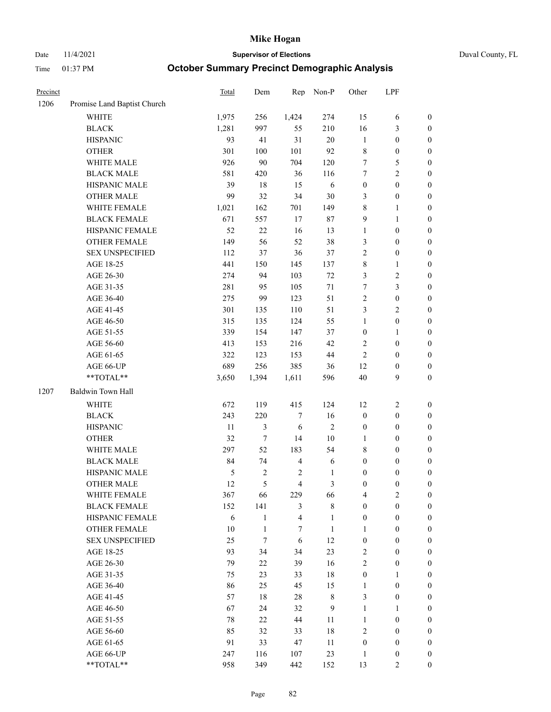Date 11/4/2021 **Supervisor of Elections** Duval County, FL

| Precinct |                             | Total      | Dem          | Rep              | Non-P        | Other            | LPF              |                  |
|----------|-----------------------------|------------|--------------|------------------|--------------|------------------|------------------|------------------|
| 1206     | Promise Land Baptist Church |            |              |                  |              |                  |                  |                  |
|          | <b>WHITE</b>                | 1,975      | 256          | 1,424            | 274          | 15               | 6                | 0                |
|          | <b>BLACK</b>                | 1,281      | 997          | 55               | 210          | 16               | $\mathfrak{Z}$   | $\boldsymbol{0}$ |
|          | <b>HISPANIC</b>             | 93         | 41           | 31               | $20\,$       | $\mathbf{1}$     | $\boldsymbol{0}$ | $\boldsymbol{0}$ |
|          | <b>OTHER</b>                | 301        | 100          | 101              | 92           | 8                | $\boldsymbol{0}$ | $\boldsymbol{0}$ |
|          | WHITE MALE                  | 926        | 90           | 704              | 120          | 7                | 5                | $\boldsymbol{0}$ |
|          | <b>BLACK MALE</b>           | 581        | 420          | 36               | 116          | 7                | $\sqrt{2}$       | $\boldsymbol{0}$ |
|          | HISPANIC MALE               | 39         | 18           | 15               | 6            | $\boldsymbol{0}$ | $\boldsymbol{0}$ | $\boldsymbol{0}$ |
|          | <b>OTHER MALE</b>           | 99         | 32           | 34               | 30           | 3                | $\boldsymbol{0}$ | $\boldsymbol{0}$ |
|          | WHITE FEMALE                | 1,021      | 162          | 701              | 149          | $\,$ $\,$        | $\mathbf{1}$     | $\boldsymbol{0}$ |
|          | <b>BLACK FEMALE</b>         | 671        | 557          | 17               | 87           | 9                | $\mathbf{1}$     | 0                |
|          | HISPANIC FEMALE             | 52         | 22           | 16               | 13           | $\mathbf{1}$     | $\boldsymbol{0}$ | 0                |
|          | OTHER FEMALE                | 149        | 56           | 52               | 38           | 3                | $\boldsymbol{0}$ | $\boldsymbol{0}$ |
|          | <b>SEX UNSPECIFIED</b>      | 112        | 37           | 36               | 37           | 2                | $\boldsymbol{0}$ | $\boldsymbol{0}$ |
|          | AGE 18-25                   | 441        | 150          | 145              | 137          | 8                | $\mathbf{1}$     | $\boldsymbol{0}$ |
|          | AGE 26-30                   | 274        | 94           | 103              | $72\,$       | 3                | $\sqrt{2}$       | $\boldsymbol{0}$ |
|          | AGE 31-35                   | 281        | 95           | 105              | 71           | $\boldsymbol{7}$ | $\mathfrak{Z}$   | $\boldsymbol{0}$ |
|          | AGE 36-40                   | 275        | 99           | 123              | 51           | $\sqrt{2}$       | $\boldsymbol{0}$ | $\boldsymbol{0}$ |
|          | AGE 41-45                   | 301        | 135          | 110              | 51           | 3                | $\overline{2}$   | $\boldsymbol{0}$ |
|          | AGE 46-50                   | 315        | 135          | 124              | 55           | $\mathbf{1}$     | $\boldsymbol{0}$ | $\boldsymbol{0}$ |
|          | AGE 51-55                   | 339        | 154          | 147              | 37           | $\boldsymbol{0}$ | $\mathbf{1}$     | $\boldsymbol{0}$ |
|          | AGE 56-60                   | 413        | 153          | 216              | 42           | $\sqrt{2}$       | $\boldsymbol{0}$ | 0                |
|          | AGE 61-65                   | 322        | 123          | 153              | $44\,$       | $\mathbf{2}$     | $\boldsymbol{0}$ | 0                |
|          | AGE 66-UP                   | 689        | 256          | 385              | 36           | 12               | $\boldsymbol{0}$ | $\boldsymbol{0}$ |
|          | **TOTAL**                   | 3,650      | 1,394        | 1,611            | 596          | 40               | $\boldsymbol{9}$ | $\boldsymbol{0}$ |
| 1207     | Baldwin Town Hall           |            |              |                  |              |                  |                  |                  |
|          | <b>WHITE</b>                | 672        | 119          | 415              | 124          | 12               | $\sqrt{2}$       | $\boldsymbol{0}$ |
|          | <b>BLACK</b>                | 243        | 220          | $\boldsymbol{7}$ | 16           | $\boldsymbol{0}$ | $\boldsymbol{0}$ | $\boldsymbol{0}$ |
|          | <b>HISPANIC</b>             | 11         | 3            | 6                | $\sqrt{2}$   | $\boldsymbol{0}$ | $\boldsymbol{0}$ | $\boldsymbol{0}$ |
|          | <b>OTHER</b>                | 32         | $\tau$       | 14               | $10\,$       | $\mathbf{1}$     | $\boldsymbol{0}$ | $\boldsymbol{0}$ |
|          | WHITE MALE                  | 297        | 52           | 183              | 54           | 8                | $\boldsymbol{0}$ | $\boldsymbol{0}$ |
|          | <b>BLACK MALE</b>           | 84         | 74           | $\overline{4}$   | 6            | $\boldsymbol{0}$ | $\boldsymbol{0}$ | $\boldsymbol{0}$ |
|          | HISPANIC MALE               | $\sqrt{5}$ | $\sqrt{2}$   | $\boldsymbol{2}$ | 1            | $\boldsymbol{0}$ | $\boldsymbol{0}$ | $\boldsymbol{0}$ |
|          | <b>OTHER MALE</b>           | 12         | 5            | $\overline{4}$   | 3            | $\boldsymbol{0}$ | $\boldsymbol{0}$ | $\boldsymbol{0}$ |
|          | WHITE FEMALE                | 367        | 66           | 229              | 66           | 4                | 2                | 0                |
|          | <b>BLACK FEMALE</b>         | 152        | 141          | 3                | $8\,$        | $\boldsymbol{0}$ | $\boldsymbol{0}$ | $\overline{0}$   |
|          | HISPANIC FEMALE             | 6          | $\mathbf{1}$ | $\overline{4}$   | $\mathbf{1}$ | $\boldsymbol{0}$ | $\boldsymbol{0}$ | $\overline{0}$   |
|          | <b>OTHER FEMALE</b>         | $10\,$     | $\mathbf{1}$ | $\tau$           | $\mathbf{1}$ | 1                | $\boldsymbol{0}$ | $\overline{0}$   |
|          | <b>SEX UNSPECIFIED</b>      | 25         | $\tau$       | 6                | 12           | $\boldsymbol{0}$ | $\boldsymbol{0}$ | $\overline{0}$   |
|          | AGE 18-25                   | 93         | 34           | 34               | 23           | 2                | $\boldsymbol{0}$ | $\theta$         |
|          | AGE 26-30                   | 79         | 22           | 39               | 16           | $\overline{c}$   | $\boldsymbol{0}$ | $\overline{0}$   |
|          | AGE 31-35                   | 75         | 23           | 33               | $18\,$       | $\boldsymbol{0}$ | $\mathbf{1}$     | 0                |
|          | AGE 36-40                   | 86         | 25           | 45               | 15           | $\mathbf{1}$     | $\boldsymbol{0}$ | 0                |
|          | AGE 41-45                   | 57         | 18           | 28               | $\,$ 8 $\,$  | 3                | $\boldsymbol{0}$ | 0                |
|          | AGE 46-50                   | 67         | 24           | 32               | 9            | $\mathbf{1}$     | $\mathbf{1}$     | 0                |
|          | AGE 51-55                   | 78         | 22           | 44               | 11           | $\mathbf{1}$     | $\boldsymbol{0}$ | $\overline{0}$   |
|          | AGE 56-60                   | 85         | 32           | 33               | $18\,$       | 2                | $\boldsymbol{0}$ | $\overline{0}$   |
|          | AGE 61-65                   | 91         | 33           | 47               | 11           | $\boldsymbol{0}$ | $\boldsymbol{0}$ | $\overline{0}$   |
|          | AGE 66-UP                   | 247        | 116          | 107              | 23           | $\mathbf{1}$     | $\boldsymbol{0}$ | 0                |
|          | **TOTAL**                   | 958        | 349          | 442              | 152          | 13               | $\overline{2}$   | $\boldsymbol{0}$ |
|          |                             |            |              |                  |              |                  |                  |                  |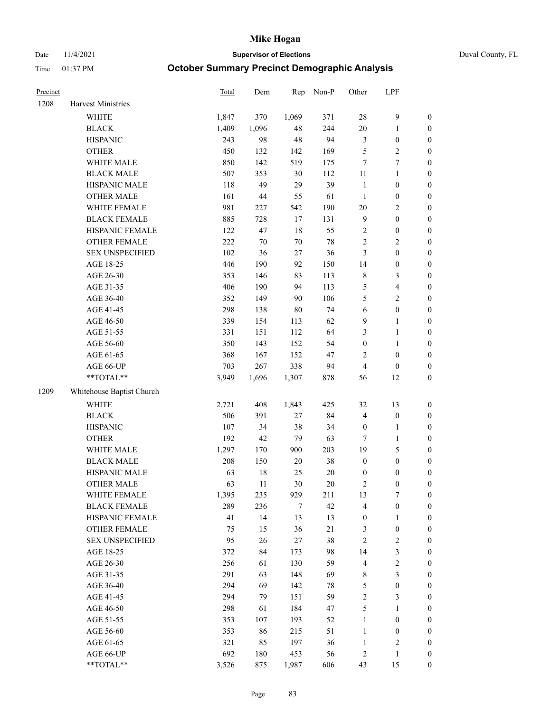Date 11/4/2021 **Supervisor of Elections** Duval County, FL

| Precinct |                                 | Total        | Dem        | Rep          | Non-P     | Other                  | LPF                               |                  |
|----------|---------------------------------|--------------|------------|--------------|-----------|------------------------|-----------------------------------|------------------|
| 1208     | Harvest Ministries              |              |            |              |           |                        |                                   |                  |
|          | <b>WHITE</b>                    | 1,847        | 370        | 1,069        | 371       | $28\,$                 | $\mathbf{9}$                      | 0                |
|          | <b>BLACK</b>                    | 1,409        | 1,096      | 48           | 244       | $20\,$                 | $\mathbf{1}$                      | $\boldsymbol{0}$ |
|          | <b>HISPANIC</b>                 | 243          | 98         | 48           | 94        | 3                      | $\boldsymbol{0}$                  | $\boldsymbol{0}$ |
|          | <b>OTHER</b>                    | 450          | 132        | 142          | 169       | 5                      | $\sqrt{2}$                        | $\boldsymbol{0}$ |
|          | WHITE MALE                      | 850          | 142        | 519          | 175       | 7                      | $\tau$                            | $\boldsymbol{0}$ |
|          | <b>BLACK MALE</b>               | 507          | 353        | 30           | 112       | $11\,$                 | $\mathbf{1}$                      | $\boldsymbol{0}$ |
|          | HISPANIC MALE                   | 118          | 49         | 29           | 39        | $\mathbf{1}$           | $\boldsymbol{0}$                  | $\boldsymbol{0}$ |
|          | <b>OTHER MALE</b>               | 161          | $44\,$     | 55           | 61        | $\mathbf{1}$           | $\boldsymbol{0}$                  | $\boldsymbol{0}$ |
|          | WHITE FEMALE                    | 981          | 227        | 542          | 190       | $20\,$                 | $\sqrt{2}$                        | $\boldsymbol{0}$ |
|          | <b>BLACK FEMALE</b>             | 885          | 728        | 17           | 131       | 9                      | $\boldsymbol{0}$                  | $\boldsymbol{0}$ |
|          | HISPANIC FEMALE                 | 122          | 47         | 18           | 55        | $\overline{c}$         | $\boldsymbol{0}$                  | $\boldsymbol{0}$ |
|          | <b>OTHER FEMALE</b>             | 222          | $70\,$     | $70\,$       | $78\,$    | $\overline{c}$         | $\sqrt{2}$                        | $\boldsymbol{0}$ |
|          | <b>SEX UNSPECIFIED</b>          | 102          | 36         | 27           | 36        | 3                      | $\boldsymbol{0}$                  | $\boldsymbol{0}$ |
|          | AGE 18-25                       | 446          | 190        | 92           | 150       | 14                     | $\boldsymbol{0}$                  | $\boldsymbol{0}$ |
|          | AGE 26-30                       | 353          | 146        | 83           | 113       | 8                      | $\mathfrak{Z}$                    | $\boldsymbol{0}$ |
|          | AGE 31-35                       | 406          | 190        | 94           | 113       | 5                      | $\overline{4}$                    | $\boldsymbol{0}$ |
|          | AGE 36-40                       | 352          | 149        | 90           | 106       | 5                      | $\sqrt{2}$                        | $\boldsymbol{0}$ |
|          | AGE 41-45                       | 298          | 138        | $80\,$       | 74        | $\sqrt{6}$             | $\boldsymbol{0}$                  | $\boldsymbol{0}$ |
|          | AGE 46-50                       | 339          | 154        | 113          | 62        | 9                      | $\mathbf{1}$                      | $\boldsymbol{0}$ |
|          | AGE 51-55                       | 331          | 151        | 112          | 64        | 3                      | $\mathbf{1}$                      | $\boldsymbol{0}$ |
|          | AGE 56-60                       | 350          | 143        | 152          | 54        | $\boldsymbol{0}$       | $\mathbf{1}$                      | 0                |
|          | AGE 61-65                       | 368          | 167        | 152          | 47        | 2                      | $\boldsymbol{0}$                  | $\boldsymbol{0}$ |
|          | AGE 66-UP                       | 703          | 267        | 338          | 94        | 4                      | $\boldsymbol{0}$                  | $\boldsymbol{0}$ |
|          | $**TOTAL**$                     | 3,949        | 1,696      | 1,307        | 878       | 56                     | 12                                | $\boldsymbol{0}$ |
| 1209     | Whitehouse Baptist Church       |              |            |              |           |                        |                                   |                  |
|          | <b>WHITE</b>                    |              | 408        |              | 425       |                        | 13                                |                  |
|          |                                 | 2,721<br>506 | 391        | 1,843        | 84        | 32                     |                                   | $\boldsymbol{0}$ |
|          | <b>BLACK</b><br><b>HISPANIC</b> | 107          | 34         | $27\,$<br>38 | 34        | 4<br>$\boldsymbol{0}$  | $\boldsymbol{0}$                  | $\boldsymbol{0}$ |
|          |                                 |              |            |              |           |                        | $\mathbf{1}$                      | $\boldsymbol{0}$ |
|          | <b>OTHER</b>                    | 192          | 42         | 79           | 63        | $\tau$                 | $\mathbf{1}$                      | $\boldsymbol{0}$ |
|          | WHITE MALE                      | 1,297<br>208 | 170<br>150 | 900<br>20    | 203<br>38 | 19<br>$\boldsymbol{0}$ | $\mathfrak s$<br>$\boldsymbol{0}$ | $\boldsymbol{0}$ |
|          | <b>BLACK MALE</b>               |              |            |              |           |                        |                                   | $\boldsymbol{0}$ |
|          | HISPANIC MALE                   | 63           | 18         | 25           | $20\,$    | $\boldsymbol{0}$       | $\boldsymbol{0}$                  | $\boldsymbol{0}$ |
|          | <b>OTHER MALE</b>               | 63           | 11         | 30           | $20\,$    | 2                      | $\boldsymbol{0}$                  | $\boldsymbol{0}$ |
|          | WHITE FEMALE                    | 1,395        | 235        | 929          | 211       | 13                     | 7                                 | 0                |
|          | <b>BLACK FEMALE</b>             | 289          | 236        | 7            | 42        | 4                      | $\boldsymbol{0}$                  | $\overline{0}$   |
|          | HISPANIC FEMALE                 | 41           | 14         | 13           | 13        | $\boldsymbol{0}$       | 1                                 | $\overline{0}$   |
|          | <b>OTHER FEMALE</b>             | 75           | 15         | 36           | $21\,$    | 3                      | $\boldsymbol{0}$                  | 0                |
|          | <b>SEX UNSPECIFIED</b>          | 95           | 26         | 27           | 38        | 2                      | $\sqrt{2}$                        | 0                |
|          | AGE 18-25                       | 372          | 84         | 173          | 98        | 14                     | 3                                 | 0                |
|          | AGE 26-30                       | 256<br>291   | 61<br>63   | 130<br>148   | 59<br>69  | 4                      | $\sqrt{2}$<br>$\mathfrak{Z}$      | 0<br>0           |
|          | AGE 31-35                       |              |            |              |           | 8                      |                                   |                  |
|          | AGE 36-40                       | 294<br>294   | 69<br>79   | 142<br>151   | 78<br>59  | 5<br>$\overline{c}$    | $\boldsymbol{0}$                  | 0                |
|          | AGE 41-45                       |              |            |              |           |                        | 3                                 | 0                |
|          | AGE 46-50                       | 298          | 61         | 184          | 47        | 5                      | $\mathbf{1}$                      | 0                |
|          | AGE 51-55                       | 353          | 107        | 193          | 52        | $\mathbf{1}$           | $\boldsymbol{0}$                  | 0                |
|          | AGE 56-60                       | 353          | 86         | 215          | 51        | $\mathbf{1}$           | $\boldsymbol{0}$                  | 0                |
|          | AGE 61-65                       | 321          | 85         | 197          | 36        | $\mathbf{1}$           | $\sqrt{2}$                        | 0                |
|          | AGE 66-UP                       | 692          | 180        | 453          | 56        | 2                      | $\mathbf{1}$                      | 0                |
|          | **TOTAL**                       | 3,526        | 875        | 1,987        | 606       | 43                     | 15                                | $\boldsymbol{0}$ |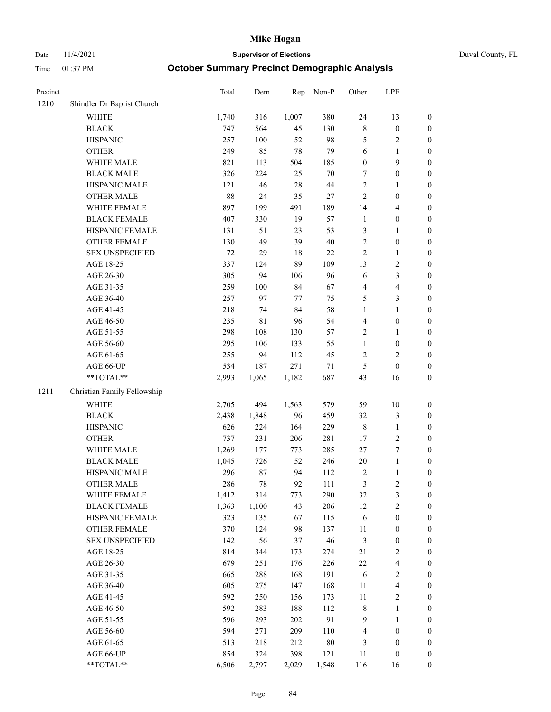Date 11/4/2021 **Supervisor of Elections** Duval County, FL

| Precinct |                             | <b>Total</b> | Dem   | Rep   | Non-P  | Other                   | LPF                     |                  |
|----------|-----------------------------|--------------|-------|-------|--------|-------------------------|-------------------------|------------------|
| 1210     | Shindler Dr Baptist Church  |              |       |       |        |                         |                         |                  |
|          | <b>WHITE</b>                | 1,740        | 316   | 1,007 | 380    | 24                      | 13                      | 0                |
|          | <b>BLACK</b>                | 747          | 564   | 45    | 130    | $\,$ 8 $\,$             | $\boldsymbol{0}$        | $\boldsymbol{0}$ |
|          | <b>HISPANIC</b>             | 257          | 100   | 52    | 98     | 5                       | $\sqrt{2}$              | $\boldsymbol{0}$ |
|          | <b>OTHER</b>                | 249          | 85    | 78    | 79     | 6                       | 1                       | $\boldsymbol{0}$ |
|          | WHITE MALE                  | 821          | 113   | 504   | 185    | $10\,$                  | 9                       | $\boldsymbol{0}$ |
|          | <b>BLACK MALE</b>           | 326          | 224   | 25    | $70\,$ | 7                       | $\boldsymbol{0}$        | $\boldsymbol{0}$ |
|          | HISPANIC MALE               | 121          | 46    | 28    | 44     | $\sqrt{2}$              | $\mathbf{1}$            | $\boldsymbol{0}$ |
|          | <b>OTHER MALE</b>           | 88           | 24    | 35    | $27\,$ | $\mathbf{2}$            | $\boldsymbol{0}$        | $\boldsymbol{0}$ |
|          | WHITE FEMALE                | 897          | 199   | 491   | 189    | 14                      | $\overline{\mathbf{4}}$ | $\boldsymbol{0}$ |
|          | <b>BLACK FEMALE</b>         | 407          | 330   | 19    | 57     | $\mathbf{1}$            | $\boldsymbol{0}$        | $\boldsymbol{0}$ |
|          | HISPANIC FEMALE             | 131          | 51    | 23    | 53     | 3                       | $\mathbf{1}$            | 0                |
|          | OTHER FEMALE                | 130          | 49    | 39    | $40\,$ | $\mathbf{2}$            | $\boldsymbol{0}$        | $\boldsymbol{0}$ |
|          | <b>SEX UNSPECIFIED</b>      | 72           | 29    | 18    | $22\,$ | $\overline{2}$          | $\mathbf{1}$            | $\boldsymbol{0}$ |
|          | AGE 18-25                   | 337          | 124   | 89    | 109    | 13                      | $\sqrt{2}$              | $\boldsymbol{0}$ |
|          | AGE 26-30                   | 305          | 94    | 106   | 96     | 6                       | $\mathfrak{Z}$          | $\boldsymbol{0}$ |
|          | AGE 31-35                   | 259          | 100   | 84    | 67     | 4                       | $\overline{\mathbf{4}}$ | $\boldsymbol{0}$ |
|          | AGE 36-40                   | 257          | 97    | 77    | 75     | 5                       | $\mathfrak{Z}$          | $\boldsymbol{0}$ |
|          | AGE 41-45                   | 218          | 74    | 84    | 58     | $\mathbf{1}$            | $\mathbf{1}$            | $\boldsymbol{0}$ |
|          | AGE 46-50                   | 235          | 81    | 96    | 54     | $\overline{\mathbf{4}}$ | $\boldsymbol{0}$        | $\boldsymbol{0}$ |
|          | AGE 51-55                   | 298          | 108   | 130   | 57     | 2                       | $\mathbf{1}$            | $\boldsymbol{0}$ |
|          | AGE 56-60                   | 295          | 106   | 133   | 55     | $\mathbf{1}$            | $\boldsymbol{0}$        | 0                |
|          | AGE 61-65                   | 255          | 94    | 112   | 45     | 2                       | $\overline{2}$          | $\boldsymbol{0}$ |
|          | AGE 66-UP                   | 534          | 187   | 271   | 71     | 5                       | $\boldsymbol{0}$        | $\boldsymbol{0}$ |
|          | **TOTAL**                   | 2,993        | 1,065 | 1,182 | 687    | 43                      | 16                      | $\boldsymbol{0}$ |
| 1211     | Christian Family Fellowship |              |       |       |        |                         |                         |                  |
|          | WHITE                       | 2,705        | 494   | 1,563 | 579    | 59                      | $10\,$                  | $\boldsymbol{0}$ |
|          | <b>BLACK</b>                | 2,438        | 1,848 | 96    | 459    | 32                      | $\mathfrak{Z}$          | $\boldsymbol{0}$ |
|          | <b>HISPANIC</b>             | 626          | 224   | 164   | 229    | $\,$ $\,$               | $\mathbf{1}$            | $\boldsymbol{0}$ |
|          | <b>OTHER</b>                | 737          | 231   | 206   | 281    | 17                      | $\sqrt{2}$              | $\boldsymbol{0}$ |
|          | WHITE MALE                  | 1,269        | 177   | 773   | 285    | 27                      | $\boldsymbol{7}$        | $\boldsymbol{0}$ |
|          | <b>BLACK MALE</b>           | 1,045        | 726   | 52    | 246    | 20                      | $\mathbf{1}$            | $\boldsymbol{0}$ |
|          | HISPANIC MALE               | 296          | 87    | 94    | 112    | 2                       | $\mathbf{1}$            | $\boldsymbol{0}$ |
|          | OTHER MALE                  | 286          | 78    | 92    | 111    | 3                       | $\overline{c}$          | $\boldsymbol{0}$ |
|          | WHITE FEMALE                | 1,412        | 314   | 773   | 290    | 32                      | 3                       | 0                |
|          | <b>BLACK FEMALE</b>         | 1,363        | 1,100 | 43    | 206    | 12                      | $\sqrt{2}$              | 0                |
|          | HISPANIC FEMALE             | 323          | 135   | 67    | 115    | 6                       | $\boldsymbol{0}$        | 0                |
|          | <b>OTHER FEMALE</b>         | 370          | 124   | 98    | 137    | $11\,$                  | $\boldsymbol{0}$        | $\overline{0}$   |
|          | <b>SEX UNSPECIFIED</b>      | 142          | 56    | 37    | $46\,$ | 3                       | $\boldsymbol{0}$        | 0                |
|          | AGE 18-25                   | 814          | 344   | 173   | 274    | $21\,$                  | $\sqrt{2}$              | 0                |
|          | AGE 26-30                   | 679          | 251   | 176   | 226    | $22\,$                  | $\overline{\mathbf{4}}$ | 0                |
|          | AGE 31-35                   | 665          | 288   | 168   | 191    | 16                      | $\sqrt{2}$              | 0                |
|          | AGE 36-40                   | 605          | 275   | 147   | 168    | 11                      | $\overline{\mathbf{4}}$ | 0                |
|          | AGE 41-45                   | 592          | 250   | 156   | 173    | 11                      | $\sqrt{2}$              | 0                |
|          | AGE 46-50                   | 592          | 283   | 188   | 112    | $\,$ 8 $\,$             | $\mathbf{1}$            | 0                |
|          | AGE 51-55                   | 596          | 293   | 202   | 91     | 9                       | $\mathbf{1}$            | 0                |
|          | AGE 56-60                   | 594          | 271   | 209   | 110    | 4                       | $\boldsymbol{0}$        | 0                |
|          | AGE 61-65                   | 513          | 218   | 212   | $80\,$ | 3                       | $\boldsymbol{0}$        | 0                |
|          | AGE 66-UP                   | 854          | 324   | 398   | 121    | 11                      | $\boldsymbol{0}$        | 0                |
|          | **TOTAL**                   | 6,506        | 2,797 | 2,029 | 1,548  | 116                     | 16                      | $\boldsymbol{0}$ |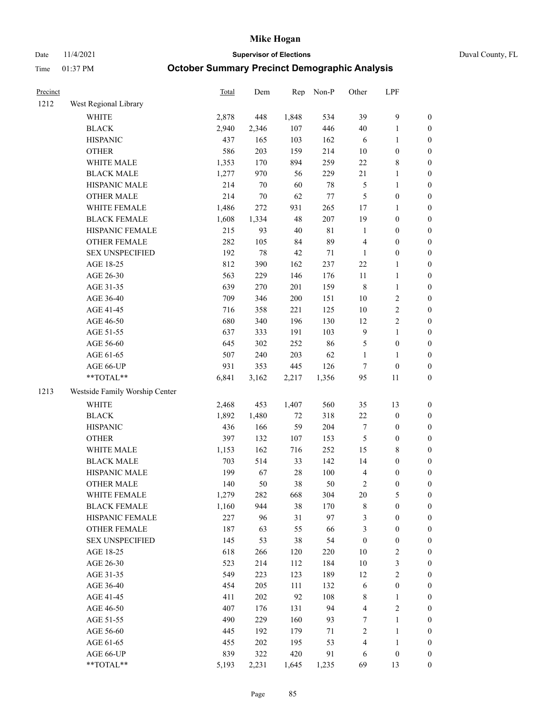Date 11/4/2021 **Supervisor of Elections** Duval County, FL

| Precinct |                                | <b>Total</b> | Dem   | Rep    | Non-P       | Other            | LPF              |                  |
|----------|--------------------------------|--------------|-------|--------|-------------|------------------|------------------|------------------|
| 1212     | West Regional Library          |              |       |        |             |                  |                  |                  |
|          | <b>WHITE</b>                   | 2,878        | 448   | 1,848  | 534         | 39               | $\mathbf{9}$     | 0                |
|          | <b>BLACK</b>                   | 2,940        | 2,346 | 107    | 446         | $40\,$           | $\mathbf{1}$     | $\boldsymbol{0}$ |
|          | <b>HISPANIC</b>                | 437          | 165   | 103    | 162         | 6                | $\mathbf{1}$     | $\boldsymbol{0}$ |
|          | <b>OTHER</b>                   | 586          | 203   | 159    | 214         | $10\,$           | $\boldsymbol{0}$ | $\boldsymbol{0}$ |
|          | WHITE MALE                     | 1,353        | 170   | 894    | 259         | $22\,$           | $8\,$            | $\boldsymbol{0}$ |
|          | <b>BLACK MALE</b>              | 1,277        | 970   | 56     | 229         | 21               | 1                | $\boldsymbol{0}$ |
|          | HISPANIC MALE                  | 214          | 70    | 60     | $78\,$      | 5                | $\mathbf{1}$     | $\boldsymbol{0}$ |
|          | <b>OTHER MALE</b>              | 214          | 70    | 62     | $77\,$      | $\mathfrak{S}$   | $\boldsymbol{0}$ | $\boldsymbol{0}$ |
|          | WHITE FEMALE                   | 1,486        | 272   | 931    | 265         | 17               | $\mathbf{1}$     | $\boldsymbol{0}$ |
|          | <b>BLACK FEMALE</b>            | 1,608        | 1,334 | 48     | 207         | 19               | $\boldsymbol{0}$ | $\boldsymbol{0}$ |
|          | HISPANIC FEMALE                | 215          | 93    | 40     | $8\sqrt{1}$ | $\mathbf{1}$     | $\boldsymbol{0}$ | 0                |
|          | OTHER FEMALE                   | 282          | 105   | 84     | 89          | 4                | $\boldsymbol{0}$ | $\boldsymbol{0}$ |
|          | <b>SEX UNSPECIFIED</b>         | 192          | 78    | 42     | $71\,$      | $\mathbf{1}$     | $\boldsymbol{0}$ | $\boldsymbol{0}$ |
|          | AGE 18-25                      | 812          | 390   | 162    | 237         | $22\,$           | 1                | $\boldsymbol{0}$ |
|          | AGE 26-30                      | 563          | 229   | 146    | 176         | 11               | $\mathbf{1}$     | $\boldsymbol{0}$ |
|          | AGE 31-35                      | 639          | 270   | 201    | 159         | $\,8\,$          | $\mathbf{1}$     | $\boldsymbol{0}$ |
|          | AGE 36-40                      | 709          | 346   | 200    | 151         | 10               | $\sqrt{2}$       | $\boldsymbol{0}$ |
|          | AGE 41-45                      | 716          | 358   | 221    | 125         | $10\,$           | $\sqrt{2}$       | $\boldsymbol{0}$ |
|          | AGE 46-50                      | 680          | 340   | 196    | 130         | 12               | $\sqrt{2}$       | $\boldsymbol{0}$ |
|          | AGE 51-55                      | 637          | 333   | 191    | 103         | $\overline{9}$   | $\mathbf{1}$     | $\boldsymbol{0}$ |
|          | AGE 56-60                      | 645          | 302   | 252    | 86          | 5                | $\boldsymbol{0}$ | 0                |
|          | AGE 61-65                      | 507          | 240   | 203    | 62          | $\mathbf{1}$     | $\mathbf{1}$     | 0                |
|          | AGE 66-UP                      | 931          | 353   | 445    | 126         | 7                | $\boldsymbol{0}$ | $\boldsymbol{0}$ |
|          | **TOTAL**                      | 6,841        | 3,162 | 2,217  | 1,356       | 95               | 11               | $\boldsymbol{0}$ |
| 1213     | Westside Family Worship Center |              |       |        |             |                  |                  |                  |
|          | <b>WHITE</b>                   | 2,468        | 453   | 1,407  | 560         | 35               | 13               | $\boldsymbol{0}$ |
|          | <b>BLACK</b>                   | 1,892        | 1,480 | $72\,$ | 318         | $22\,$           | $\boldsymbol{0}$ | $\boldsymbol{0}$ |
|          | <b>HISPANIC</b>                | 436          | 166   | 59     | 204         | 7                | $\boldsymbol{0}$ | $\boldsymbol{0}$ |
|          | <b>OTHER</b>                   | 397          | 132   | 107    | 153         | 5                | $\boldsymbol{0}$ | $\boldsymbol{0}$ |
|          | WHITE MALE                     | 1,153        | 162   | 716    | 252         | 15               | $8\,$            | $\boldsymbol{0}$ |
|          | <b>BLACK MALE</b>              | 703          | 514   | 33     | 142         | 14               | $\boldsymbol{0}$ | $\boldsymbol{0}$ |
|          | HISPANIC MALE                  | 199          | 67    | 28     | 100         | 4                | $\boldsymbol{0}$ | $\boldsymbol{0}$ |
|          | <b>OTHER MALE</b>              | 140          | 50    | 38     | 50          | 2                | $\boldsymbol{0}$ | $\boldsymbol{0}$ |
|          | WHITE FEMALE                   | 1,279        | 282   | 668    | 304         | 20               | 5                | 0                |
|          | <b>BLACK FEMALE</b>            | 1,160        | 944   | 38     | 170         | 8                | $\boldsymbol{0}$ | $\boldsymbol{0}$ |
|          | HISPANIC FEMALE                | 227          | 96    | 31     | 97          | 3                | $\boldsymbol{0}$ | $\overline{0}$   |
|          | <b>OTHER FEMALE</b>            | 187          | 63    | 55     | 66          | 3                | $\boldsymbol{0}$ | $\overline{0}$   |
|          | <b>SEX UNSPECIFIED</b>         | 145          | 53    | 38     | 54          | $\boldsymbol{0}$ | $\boldsymbol{0}$ | 0                |
|          | AGE 18-25                      | 618          | 266   | 120    | 220         | $10\,$           | $\sqrt{2}$       | 0                |
|          | AGE 26-30                      | 523          | 214   | 112    | 184         | $10\,$           | 3                | 0                |
|          | AGE 31-35                      | 549          | 223   | 123    | 189         | 12               | $\sqrt{2}$       | 0                |
|          | AGE 36-40                      | 454          | 205   | 111    | 132         | 6                | $\boldsymbol{0}$ | 0                |
|          | AGE 41-45                      | 411          | 202   | 92     | 108         | 8                | $\mathbf{1}$     | 0                |
|          | AGE 46-50                      | 407          | 176   | 131    | 94          | 4                | $\sqrt{2}$       | 0                |
|          | AGE 51-55                      | 490          | 229   | 160    | 93          | 7                | $\mathbf{1}$     | $\boldsymbol{0}$ |
|          | AGE 56-60                      | 445          | 192   | 179    | 71          | 2                | $\mathbf{1}$     | $\boldsymbol{0}$ |
|          | AGE 61-65                      | 455          | 202   | 195    | 53          | 4                | $\mathbf{1}$     | $\boldsymbol{0}$ |
|          | AGE 66-UP                      | 839          | 322   | 420    | 91          | 6                | $\boldsymbol{0}$ | 0                |
|          | **TOTAL**                      | 5,193        | 2,231 | 1,645  | 1,235       | 69               | 13               | $\boldsymbol{0}$ |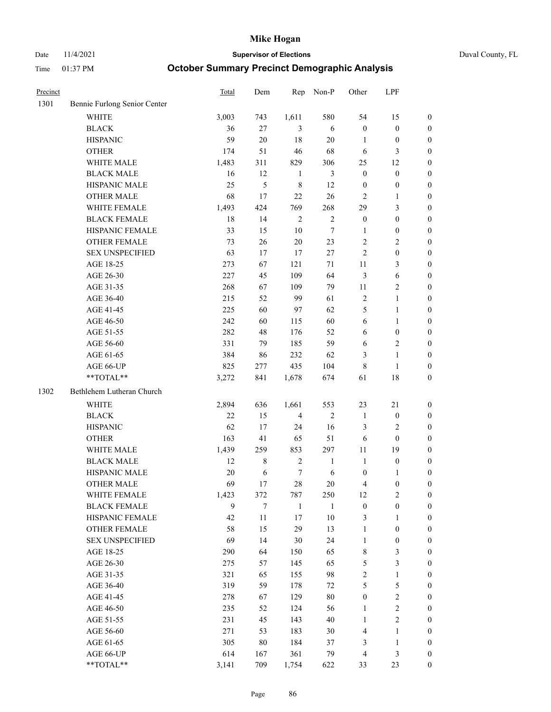Date 11/4/2021 **Supervisor of Elections** Duval County, FL

| Precinct |                              | Total  | Dem        | Rep            | Non-P          | Other            | LPF              |                  |
|----------|------------------------------|--------|------------|----------------|----------------|------------------|------------------|------------------|
| 1301     | Bennie Furlong Senior Center |        |            |                |                |                  |                  |                  |
|          | <b>WHITE</b>                 | 3,003  | 743        | 1,611          | 580            | 54               | 15               | 0                |
|          | <b>BLACK</b>                 | 36     | 27         | 3              | 6              | $\boldsymbol{0}$ | $\boldsymbol{0}$ | 0                |
|          | <b>HISPANIC</b>              | 59     | 20         | 18             | $20\,$         | 1                | $\boldsymbol{0}$ | $\boldsymbol{0}$ |
|          | <b>OTHER</b>                 | 174    | 51         | 46             | 68             | 6                | 3                | $\boldsymbol{0}$ |
|          | WHITE MALE                   | 1,483  | 311        | 829            | 306            | 25               | 12               | $\boldsymbol{0}$ |
|          | <b>BLACK MALE</b>            | 16     | 12         | $\mathbf{1}$   | $\mathfrak{Z}$ | $\boldsymbol{0}$ | $\boldsymbol{0}$ | $\boldsymbol{0}$ |
|          | HISPANIC MALE                | 25     | 5          | $\,$ 8 $\,$    | 12             | $\boldsymbol{0}$ | $\boldsymbol{0}$ | $\boldsymbol{0}$ |
|          | <b>OTHER MALE</b>            | 68     | 17         | 22             | 26             | $\mathfrak{2}$   | $\mathbf{1}$     | $\boldsymbol{0}$ |
|          | WHITE FEMALE                 | 1,493  | 424        | 769            | 268            | 29               | $\mathfrak{Z}$   | $\boldsymbol{0}$ |
|          | <b>BLACK FEMALE</b>          | 18     | 14         | $\sqrt{2}$     | $\sqrt{2}$     | $\boldsymbol{0}$ | $\boldsymbol{0}$ | 0                |
|          | HISPANIC FEMALE              | 33     | 15         | 10             | $\tau$         | 1                | $\boldsymbol{0}$ | 0                |
|          | OTHER FEMALE                 | 73     | 26         | 20             | 23             | $\mathfrak{2}$   | $\sqrt{2}$       | 0                |
|          | <b>SEX UNSPECIFIED</b>       | 63     | 17         | 17             | 27             | $\mathbf{2}$     | $\boldsymbol{0}$ | $\boldsymbol{0}$ |
|          | AGE 18-25                    | 273    | 67         | 121            | 71             | 11               | $\mathfrak{Z}$   | $\boldsymbol{0}$ |
|          | AGE 26-30                    | 227    | 45         | 109            | 64             | 3                | 6                | $\boldsymbol{0}$ |
|          | AGE 31-35                    | 268    | 67         | 109            | 79             | 11               | $\sqrt{2}$       | $\boldsymbol{0}$ |
|          | AGE 36-40                    | 215    | 52         | 99             | 61             | $\mathbf{2}$     | $\mathbf{1}$     | $\boldsymbol{0}$ |
|          | AGE 41-45                    | 225    | 60         | 97             | 62             | 5                | $\mathbf{1}$     | $\boldsymbol{0}$ |
|          | AGE 46-50                    | 242    | 60         | 115            | 60             | 6                | $\mathbf{1}$     | $\boldsymbol{0}$ |
|          | AGE 51-55                    | 282    | 48         | 176            | 52             | 6                | $\boldsymbol{0}$ | 0                |
|          | AGE 56-60                    | 331    | 79         | 185            | 59             | 6                | $\sqrt{2}$       | 0                |
|          | AGE 61-65                    | 384    | 86         | 232            | 62             | 3                | $\mathbf{1}$     | 0                |
|          | AGE 66-UP                    | 825    | 277        | 435            | 104            | 8                | $\mathbf{1}$     | $\boldsymbol{0}$ |
|          | **TOTAL**                    | 3,272  | 841        | 1,678          | 674            | 61               | $18\,$           | $\boldsymbol{0}$ |
| 1302     | Bethlehem Lutheran Church    |        |            |                |                |                  |                  |                  |
|          | <b>WHITE</b>                 | 2,894  | 636        | 1,661          | 553            | 23               | $21\,$           | $\boldsymbol{0}$ |
|          | <b>BLACK</b>                 | $22\,$ | 15         | $\overline{4}$ | $\sqrt{2}$     | $\mathbf{1}$     | $\boldsymbol{0}$ | $\boldsymbol{0}$ |
|          | <b>HISPANIC</b>              | 62     | 17         | 24             | 16             | 3                | $\mathbf{2}$     | $\boldsymbol{0}$ |
|          | <b>OTHER</b>                 | 163    | 41         | 65             | 51             | 6                | $\boldsymbol{0}$ | $\boldsymbol{0}$ |
|          | WHITE MALE                   | 1,439  | 259        | 853            | 297            | 11               | 19               | $\boldsymbol{0}$ |
|          | <b>BLACK MALE</b>            | 12     | $\,8\,$    | $\sqrt{2}$     | $\mathbf{1}$   | $\mathbf{1}$     | $\boldsymbol{0}$ | $\boldsymbol{0}$ |
|          | HISPANIC MALE                | $20\,$ | $\sqrt{6}$ | 7              | $\sqrt{6}$     | $\boldsymbol{0}$ | 1                | 0                |
|          | <b>OTHER MALE</b>            | 69     | 17         | 28             | 20             | 4                | $\boldsymbol{0}$ | $\boldsymbol{0}$ |
|          | WHITE FEMALE                 | 1,423  | 372        | 787            | 250            | 12               | 2                | 0                |
|          | <b>BLACK FEMALE</b>          | 9      | $\tau$     | $\mathbf{1}$   | 1              | $\boldsymbol{0}$ | $\boldsymbol{0}$ | $\boldsymbol{0}$ |
|          | HISPANIC FEMALE              | 42     | $11\,$     | 17             | $10\,$         | 3                | $\mathbf{1}$     | $\overline{0}$   |
|          | <b>OTHER FEMALE</b>          | 58     | 15         | 29             | 13             | $\mathbf{1}$     | $\boldsymbol{0}$ | $\overline{0}$   |
|          | <b>SEX UNSPECIFIED</b>       | 69     | 14         | 30             | 24             | $\mathbf{1}$     | $\boldsymbol{0}$ | 0                |
|          | AGE 18-25                    | 290    | 64         | 150            | 65             | $\,$ 8 $\,$      | $\mathfrak{Z}$   | 0                |
|          | AGE 26-30                    | 275    | 57         | 145            | 65             | 5                | $\mathfrak{Z}$   | 0                |
|          | AGE 31-35                    | 321    | 65         | 155            | 98             | $\overline{c}$   | $\mathbf{1}$     | 0                |
|          | AGE 36-40                    | 319    | 59         | 178            | 72             | 5                | $\mathfrak{S}$   | 0                |
|          | AGE 41-45                    | 278    | 67         | 129            | 80             | $\boldsymbol{0}$ | $\sqrt{2}$       | 0                |
|          | AGE 46-50                    | 235    | 52         | 124            | 56             | $\mathbf{1}$     | $\sqrt{2}$       | 0                |
|          | AGE 51-55                    | 231    | 45         | 143            | 40             | $\mathbf{1}$     | $\overline{2}$   | $\overline{0}$   |
|          | AGE 56-60                    | 271    | 53         | 183            | 30             | 4                | 1                | $\overline{0}$   |
|          | AGE 61-65                    | 305    | 80         | 184            | 37             | 3                | $\mathbf{1}$     | $\overline{0}$   |
|          | AGE 66-UP                    | 614    | 167        | 361            | 79             | $\overline{4}$   | $\mathfrak{Z}$   | $\boldsymbol{0}$ |
|          | **TOTAL**                    | 3,141  | 709        | 1,754          | 622            | 33               | 23               | $\boldsymbol{0}$ |
|          |                              |        |            |                |                |                  |                  |                  |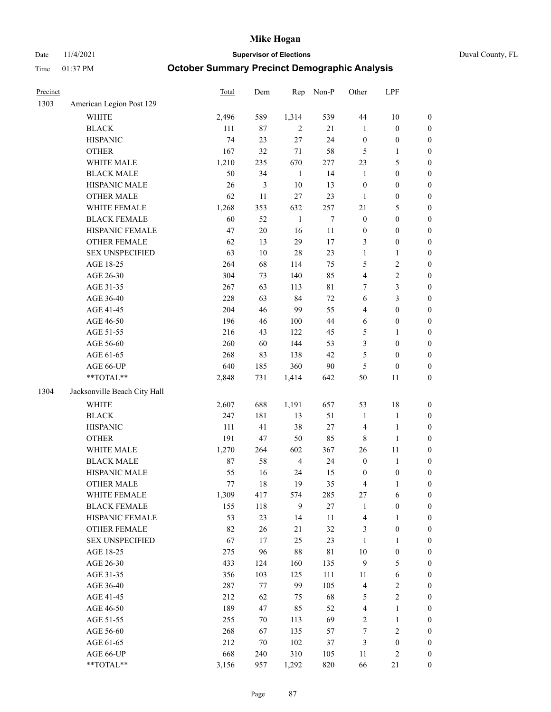Date 11/4/2021 **Supervisor of Elections** Duval County, FL

| Precinct |                              | Total  | Dem    | Rep            | Non-P  | Other                   | LPF              |                  |
|----------|------------------------------|--------|--------|----------------|--------|-------------------------|------------------|------------------|
| 1303     | American Legion Post 129     |        |        |                |        |                         |                  |                  |
|          | <b>WHITE</b>                 | 2,496  | 589    | 1,314          | 539    | $44\,$                  | $10\,$           | 0                |
|          | <b>BLACK</b>                 | 111    | $87\,$ | $\overline{2}$ | 21     | $\mathbf{1}$            | $\boldsymbol{0}$ | 0                |
|          | <b>HISPANIC</b>              | 74     | 23     | 27             | 24     | $\boldsymbol{0}$        | $\boldsymbol{0}$ | $\boldsymbol{0}$ |
|          | <b>OTHER</b>                 | 167    | 32     | $71\,$         | 58     | 5                       | $\mathbf{1}$     | $\boldsymbol{0}$ |
|          | WHITE MALE                   | 1,210  | 235    | 670            | 277    | 23                      | $\mathfrak{S}$   | $\boldsymbol{0}$ |
|          | <b>BLACK MALE</b>            | 50     | 34     | $\mathbf{1}$   | 14     | $\mathbf{1}$            | $\boldsymbol{0}$ | $\boldsymbol{0}$ |
|          | HISPANIC MALE                | 26     | 3      | 10             | 13     | $\boldsymbol{0}$        | $\boldsymbol{0}$ | $\boldsymbol{0}$ |
|          | <b>OTHER MALE</b>            | 62     | 11     | $27\,$         | 23     | $\mathbf{1}$            | $\boldsymbol{0}$ | $\boldsymbol{0}$ |
|          | WHITE FEMALE                 | 1,268  | 353    | 632            | 257    | 21                      | $\mathfrak{S}$   | $\boldsymbol{0}$ |
|          | <b>BLACK FEMALE</b>          | 60     | 52     | $\mathbf{1}$   | $\tau$ | $\boldsymbol{0}$        | $\boldsymbol{0}$ | 0                |
|          | HISPANIC FEMALE              | 47     | $20\,$ | 16             | $11\,$ | $\boldsymbol{0}$        | $\boldsymbol{0}$ | 0                |
|          | OTHER FEMALE                 | 62     | 13     | 29             | $17\,$ | 3                       | $\boldsymbol{0}$ | $\boldsymbol{0}$ |
|          | <b>SEX UNSPECIFIED</b>       | 63     | $10\,$ | 28             | 23     | $\mathbf{1}$            | $\mathbf{1}$     | $\boldsymbol{0}$ |
|          | AGE 18-25                    | 264    | 68     | 114            | 75     | 5                       | $\sqrt{2}$       | $\boldsymbol{0}$ |
|          | AGE 26-30                    | 304    | 73     | 140            | 85     | 4                       | $\sqrt{2}$       | $\boldsymbol{0}$ |
|          | AGE 31-35                    | 267    | 63     | 113            | 81     | 7                       | $\mathfrak{Z}$   | $\boldsymbol{0}$ |
|          | AGE 36-40                    | 228    | 63     | 84             | 72     | $\sqrt{6}$              | $\mathfrak{Z}$   | $\boldsymbol{0}$ |
|          | AGE 41-45                    | 204    | 46     | 99             | 55     | $\overline{\mathbf{4}}$ | $\boldsymbol{0}$ | $\boldsymbol{0}$ |
|          | AGE 46-50                    | 196    | 46     | $100\,$        | 44     | 6                       | $\boldsymbol{0}$ | $\boldsymbol{0}$ |
|          | AGE 51-55                    | 216    | 43     | 122            | 45     | 5                       | $\mathbf{1}$     | $\boldsymbol{0}$ |
|          | AGE 56-60                    | 260    | 60     | 144            | 53     | 3                       | $\boldsymbol{0}$ | 0                |
|          | AGE 61-65                    | 268    | 83     | 138            | 42     | 5                       | $\boldsymbol{0}$ | 0                |
|          | AGE 66-UP                    | 640    | 185    | 360            | $90\,$ | 5                       | $\boldsymbol{0}$ | $\boldsymbol{0}$ |
|          | **TOTAL**                    | 2,848  | 731    | 1,414          | 642    | 50                      | 11               | $\boldsymbol{0}$ |
| 1304     | Jacksonville Beach City Hall |        |        |                |        |                         |                  |                  |
|          | <b>WHITE</b>                 | 2,607  | 688    | 1,191          | 657    | 53                      | $18\,$           | $\boldsymbol{0}$ |
|          | <b>BLACK</b>                 | 247    | 181    | 13             | 51     | $\mathbf{1}$            | $\mathbf{1}$     | $\boldsymbol{0}$ |
|          | <b>HISPANIC</b>              | 111    | 41     | 38             | 27     | 4                       | $\mathbf{1}$     | $\boldsymbol{0}$ |
|          | <b>OTHER</b>                 | 191    | 47     | 50             | 85     | $\,$ 8 $\,$             | $\mathbf{1}$     | $\boldsymbol{0}$ |
|          | WHITE MALE                   | 1,270  | 264    | 602            | 367    | 26                      | 11               | $\boldsymbol{0}$ |
|          | <b>BLACK MALE</b>            | $87\,$ | 58     | $\overline{4}$ | 24     | $\boldsymbol{0}$        | $\mathbf{1}$     | $\boldsymbol{0}$ |
|          | HISPANIC MALE                | 55     | 16     | 24             | 15     | $\boldsymbol{0}$        | $\boldsymbol{0}$ | 0                |
|          | <b>OTHER MALE</b>            | 77     | 18     | 19             | 35     | 4                       | $\mathbf{1}$     | $\boldsymbol{0}$ |
|          | WHITE FEMALE                 | 1,309  | 417    | 574            | 285    | 27                      | 6                | 0                |
|          | <b>BLACK FEMALE</b>          | 155    | 118    | 9              | 27     | $\mathbf{1}$            | $\boldsymbol{0}$ | $\overline{0}$   |
|          | HISPANIC FEMALE              | 53     | 23     | 14             | 11     | 4                       | $\mathbf{1}$     | $\overline{0}$   |
|          | OTHER FEMALE                 | 82     | 26     | $21\,$         | 32     | 3                       | $\boldsymbol{0}$ | $\overline{0}$   |
|          | <b>SEX UNSPECIFIED</b>       | 67     | 17     | 25             | 23     | $\mathbf{1}$            | $\mathbf{1}$     | 0                |
|          | AGE 18-25                    | 275    | 96     | 88             | 81     | 10                      | $\boldsymbol{0}$ | 0                |
|          | AGE 26-30                    | 433    | 124    | 160            | 135    | $\overline{9}$          | $\mathfrak{S}$   | 0                |
|          | AGE 31-35                    | 356    | 103    | 125            | 111    | 11                      | 6                | 0                |
|          | AGE 36-40                    | 287    | 77     | 99             | 105    | $\overline{\mathbf{4}}$ | $\sqrt{2}$       | 0                |
|          | AGE 41-45                    | 212    | 62     | 75             | 68     | 5                       | $\sqrt{2}$       | 0                |
|          | AGE 46-50                    | 189    | 47     | 85             | 52     | 4                       | $\mathbf{1}$     | 0                |
|          | AGE 51-55                    | 255    | 70     | 113            | 69     | 2                       | $\mathbf{1}$     | 0                |
|          | AGE 56-60                    | 268    | 67     | 135            | 57     | 7                       | $\sqrt{2}$       | 0                |
|          | AGE 61-65                    | 212    | 70     | 102            | 37     | 3                       | $\boldsymbol{0}$ | $\overline{0}$   |
|          | AGE 66-UP                    | 668    | 240    | 310            | 105    | 11                      | $\mathbf{2}$     | 0                |
|          | **TOTAL**                    | 3,156  | 957    | 1,292          | 820    | 66                      | 21               | $\boldsymbol{0}$ |
|          |                              |        |        |                |        |                         |                  |                  |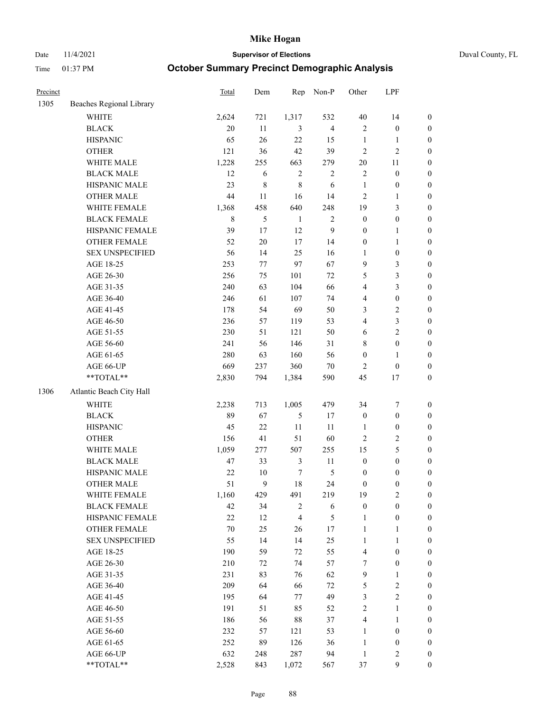Date 11/4/2021 **Supervisor of Elections** Duval County, FL

| Precinct |                                     | <b>Total</b> | Dem            | Rep                                       | Non-P               | Other                            | LPF                                |                  |
|----------|-------------------------------------|--------------|----------------|-------------------------------------------|---------------------|----------------------------------|------------------------------------|------------------|
| 1305     | Beaches Regional Library            |              |                |                                           |                     |                                  |                                    |                  |
|          | <b>WHITE</b>                        | 2,624        | 721            | 1,317                                     | 532                 | $40\,$                           | 14                                 | 0                |
|          | <b>BLACK</b>                        | 20           | 11             | 3                                         | $\overline{4}$      | $\mathbf{2}$                     | $\boldsymbol{0}$                   | $\boldsymbol{0}$ |
|          | <b>HISPANIC</b>                     | 65           | 26             | 22                                        | 15                  | $\mathbf{1}$                     | $\mathbf{1}$                       | $\boldsymbol{0}$ |
|          | <b>OTHER</b>                        | 121          | 36             | 42                                        | 39                  | $\mathbf{2}$                     | $\sqrt{2}$                         | $\boldsymbol{0}$ |
|          | WHITE MALE                          | 1,228        | 255            | 663                                       | 279                 | $20\,$                           | 11                                 | $\boldsymbol{0}$ |
|          | <b>BLACK MALE</b>                   | 12           | 6              | $\sqrt{2}$                                | $\sqrt{2}$          | $\overline{c}$                   | $\boldsymbol{0}$                   | $\boldsymbol{0}$ |
|          | HISPANIC MALE                       | 23           | $\,$ $\,$      | $\,$ $\,$                                 | 6                   | $\mathbf{1}$                     | $\boldsymbol{0}$                   | $\boldsymbol{0}$ |
|          | <b>OTHER MALE</b>                   | 44           | 11             | 16                                        | 14                  | $\mathbf{2}$                     | $\mathbf{1}$                       | $\boldsymbol{0}$ |
|          | WHITE FEMALE                        | 1,368        | 458            | 640                                       | 248                 | 19                               | $\mathfrak{Z}$                     | $\boldsymbol{0}$ |
|          | <b>BLACK FEMALE</b>                 | 8            | $\mathfrak{S}$ | $\mathbf{1}$                              | $\sqrt{2}$          | $\boldsymbol{0}$                 | $\boldsymbol{0}$                   | 0                |
|          | HISPANIC FEMALE                     | 39           | 17             | 12                                        | $\mathbf{9}$        | $\boldsymbol{0}$                 | $\mathbf{1}$                       | 0                |
|          | <b>OTHER FEMALE</b>                 | 52           | $20\,$         | 17                                        | 14                  | $\boldsymbol{0}$                 | $\mathbf{1}$                       | $\boldsymbol{0}$ |
|          | <b>SEX UNSPECIFIED</b>              | 56           | 14             | 25                                        | 16                  | $\mathbf{1}$                     | $\boldsymbol{0}$                   | $\boldsymbol{0}$ |
|          | AGE 18-25                           | 253          | $77\,$         | 97                                        | 67                  | 9                                | $\mathfrak{Z}$                     | $\boldsymbol{0}$ |
|          | AGE 26-30                           | 256          | 75             | 101                                       | $72\,$              | 5                                | $\mathfrak{Z}$                     | $\boldsymbol{0}$ |
|          | AGE 31-35                           | 240          | 63             | 104                                       | 66                  | 4                                | $\mathfrak{Z}$                     | $\boldsymbol{0}$ |
|          | AGE 36-40                           | 246          | 61             | 107                                       | 74                  | 4                                | $\boldsymbol{0}$                   | $\boldsymbol{0}$ |
|          | AGE 41-45                           | 178          | 54             | 69                                        | 50                  | 3                                | $\sqrt{2}$                         | $\boldsymbol{0}$ |
|          | AGE 46-50                           | 236          | 57             | 119                                       | 53                  | 4                                | $\mathfrak{Z}$                     | $\boldsymbol{0}$ |
|          | AGE 51-55                           | 230          | 51             | 121                                       | 50                  | 6                                | $\sqrt{2}$                         | $\boldsymbol{0}$ |
|          | AGE 56-60                           | 241          | 56             | 146                                       | 31                  | 8                                | $\boldsymbol{0}$                   | 0                |
|          | AGE 61-65                           | 280          | 63             | 160                                       | 56                  | $\boldsymbol{0}$                 | $\mathbf{1}$                       | 0                |
|          | AGE 66-UP                           | 669          | 237            | 360                                       | $70\,$              | $\overline{2}$                   | $\boldsymbol{0}$                   | $\boldsymbol{0}$ |
|          | $**TOTAL**$                         | 2,830        | 794            | 1,384                                     | 590                 | 45                               | 17                                 | $\boldsymbol{0}$ |
| 1306     | Atlantic Beach City Hall            |              |                |                                           |                     |                                  |                                    |                  |
|          | <b>WHITE</b>                        | 2,238        | 713            | 1,005                                     | 479                 | 34                               | $\boldsymbol{7}$                   | $\boldsymbol{0}$ |
|          | <b>BLACK</b>                        | 89           | 67             | 5                                         | 17                  | $\boldsymbol{0}$                 | $\boldsymbol{0}$                   | $\boldsymbol{0}$ |
|          | <b>HISPANIC</b>                     | 45           | 22             | 11                                        | 11                  | $\mathbf{1}$                     | $\boldsymbol{0}$                   | $\boldsymbol{0}$ |
|          | <b>OTHER</b>                        | 156          | 41             | 51                                        | 60                  | 2                                | $\sqrt{2}$                         | $\boldsymbol{0}$ |
|          | WHITE MALE                          | 1,059        | 277            | 507                                       | 255                 | 15                               | $\mathfrak s$                      | $\boldsymbol{0}$ |
|          | <b>BLACK MALE</b>                   | 47           | 33             | $\mathfrak{Z}$                            | $11\,$              | $\boldsymbol{0}$                 | $\boldsymbol{0}$                   | $\boldsymbol{0}$ |
|          | HISPANIC MALE                       | $22\,$       | $10\,$         | $\boldsymbol{7}$                          | $\mathfrak{S}$      | $\boldsymbol{0}$                 | $\boldsymbol{0}$                   | $\boldsymbol{0}$ |
|          | <b>OTHER MALE</b>                   | 51           | 9              | 18                                        | 24                  | $\boldsymbol{0}$                 | $\boldsymbol{0}$                   | $\boldsymbol{0}$ |
|          |                                     |              |                |                                           |                     |                                  |                                    | 0                |
|          | WHITE FEMALE<br><b>BLACK FEMALE</b> | 1,160        | 429            | 491                                       | 219                 | 19                               | $\overline{c}$<br>$\boldsymbol{0}$ | $\overline{0}$   |
|          | HISPANIC FEMALE                     | 42<br>22     | 34<br>12       | $\overline{c}$<br>$\overline{\mathbf{4}}$ | 6<br>$\mathfrak{S}$ | $\boldsymbol{0}$<br>$\mathbf{1}$ | $\boldsymbol{0}$                   | $\overline{0}$   |
|          | <b>OTHER FEMALE</b>                 | $70\,$       | 25             | 26                                        | 17                  | $\mathbf{1}$                     | $\mathbf{1}$                       | 0                |
|          | <b>SEX UNSPECIFIED</b>              | 55           | 14             | 14                                        | 25                  | $\mathbf{1}$                     | $\mathbf{1}$                       | 0                |
|          | AGE 18-25                           | 190          | 59             | 72                                        | 55                  | 4                                | $\boldsymbol{0}$                   | 0                |
|          | AGE 26-30                           | 210          | 72             | 74                                        | 57                  | 7                                | $\boldsymbol{0}$                   | 0                |
|          | AGE 31-35                           | 231          | 83             | 76                                        | 62                  | 9                                | $\mathbf{1}$                       | 0                |
|          | AGE 36-40                           | 209          | 64             | 66                                        | $72\,$              | 5                                | $\sqrt{2}$                         | 0                |
|          | AGE 41-45                           | 195          | 64             | 77                                        | 49                  | 3                                | $\mathbf{2}$                       | 0                |
|          | AGE 46-50                           | 191          | 51             | 85                                        | 52                  | 2                                | $\mathbf{1}$                       | 0                |
|          |                                     |              |                |                                           |                     |                                  |                                    |                  |
|          | AGE 51-55                           | 186<br>232   | 56             | 88                                        | 37                  | 4                                | $\mathbf{1}$<br>$\boldsymbol{0}$   | 0<br>0           |
|          | AGE 56-60<br>AGE 61-65              | 252          | 57<br>89       | 121<br>126                                | 53<br>36            | 1<br>$\mathbf{1}$                | $\boldsymbol{0}$                   | 0                |
|          | AGE 66-UP                           | 632          |                | 287                                       | 94                  | $\mathbf{1}$                     | $\mathfrak{2}$                     | 0                |
|          | **TOTAL**                           | 2,528        | 248            |                                           |                     |                                  | $\mathbf{9}$                       | $\boldsymbol{0}$ |
|          |                                     |              | 843            | 1,072                                     | 567                 | 37                               |                                    |                  |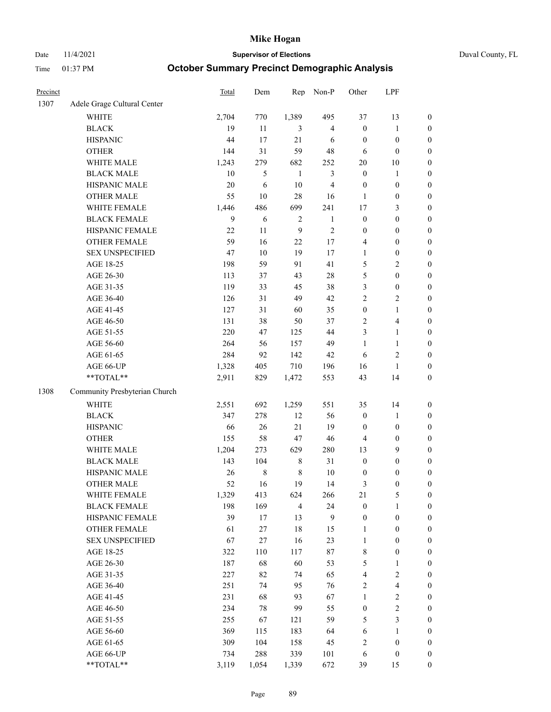Date 11/4/2021 **Supervisor of Elections** Duval County, FL

| Precinct |                                 | <b>Total</b> | Dem       | Rep            | Non-P                   | Other                                | LPF                                   |                  |
|----------|---------------------------------|--------------|-----------|----------------|-------------------------|--------------------------------------|---------------------------------------|------------------|
| 1307     | Adele Grage Cultural Center     |              |           |                |                         |                                      |                                       |                  |
|          | <b>WHITE</b>                    | 2,704        | 770       | 1,389          | 495                     | 37                                   | 13                                    | 0                |
|          | <b>BLACK</b>                    | 19           | 11        | 3              | $\overline{\mathbf{4}}$ | $\boldsymbol{0}$                     | $\mathbf{1}$                          | $\boldsymbol{0}$ |
|          | <b>HISPANIC</b>                 | 44           | 17        | 21             | 6                       | $\boldsymbol{0}$                     | $\boldsymbol{0}$                      | $\boldsymbol{0}$ |
|          | <b>OTHER</b>                    | 144          | 31        | 59             | 48                      | 6                                    | $\boldsymbol{0}$                      | $\boldsymbol{0}$ |
|          | WHITE MALE                      | 1,243        | 279       | 682            | 252                     | $20\,$                               | 10                                    | $\boldsymbol{0}$ |
|          | <b>BLACK MALE</b>               | 10           | 5         | $\mathbf{1}$   | $\mathfrak{Z}$          | $\boldsymbol{0}$                     | 1                                     | $\boldsymbol{0}$ |
|          | HISPANIC MALE                   | 20           | 6         | 10             | $\overline{4}$          | $\boldsymbol{0}$                     | $\boldsymbol{0}$                      | $\boldsymbol{0}$ |
|          | <b>OTHER MALE</b>               | 55           | 10        | 28             | 16                      | $\mathbf{1}$                         | $\boldsymbol{0}$                      | $\boldsymbol{0}$ |
|          | WHITE FEMALE                    | 1,446        | 486       | 699            | 241                     | 17                                   | $\mathfrak{Z}$                        | $\boldsymbol{0}$ |
|          | <b>BLACK FEMALE</b>             | 9            | 6         | $\overline{2}$ | $\mathbf{1}$            | $\boldsymbol{0}$                     | $\boldsymbol{0}$                      | $\boldsymbol{0}$ |
|          | HISPANIC FEMALE                 | 22           | 11        | 9              | $\sqrt{2}$              | $\boldsymbol{0}$                     | $\boldsymbol{0}$                      | 0                |
|          | <b>OTHER FEMALE</b>             | 59           | 16        | 22             | 17                      | 4                                    | $\boldsymbol{0}$                      | $\boldsymbol{0}$ |
|          | <b>SEX UNSPECIFIED</b>          | 47           | 10        | 19             | 17                      | $\mathbf{1}$                         | $\boldsymbol{0}$                      | $\boldsymbol{0}$ |
|          | AGE 18-25                       | 198          | 59        | 91             | 41                      | 5                                    | $\sqrt{2}$                            | $\boldsymbol{0}$ |
|          | AGE 26-30                       | 113          | 37        | 43             | $28\,$                  | 5                                    | $\boldsymbol{0}$                      | $\boldsymbol{0}$ |
|          | AGE 31-35                       | 119          | 33        | 45             | 38                      | 3                                    | $\boldsymbol{0}$                      | $\boldsymbol{0}$ |
|          | AGE 36-40                       | 126          | 31        | 49             | 42                      | 2                                    | $\sqrt{2}$                            | $\boldsymbol{0}$ |
|          | AGE 41-45                       | 127          | 31        | 60             | 35                      | $\boldsymbol{0}$                     | $\mathbf{1}$                          | $\boldsymbol{0}$ |
|          | AGE 46-50                       | 131          | 38        | 50             | 37                      | 2                                    | $\overline{\mathbf{4}}$               | $\boldsymbol{0}$ |
|          | AGE 51-55                       | 220          | 47        | 125            | 44                      | 3                                    | $\mathbf{1}$                          | $\boldsymbol{0}$ |
|          | AGE 56-60                       | 264          | 56        | 157            | 49                      | $\mathbf{1}$                         | $\mathbf{1}$                          | 0                |
|          | AGE 61-65                       | 284          | 92        | 142            | $42\,$                  | 6                                    | $\sqrt{2}$                            | 0                |
|          | AGE 66-UP                       | 1,328        | 405       | 710            | 196                     | 16                                   | $\mathbf{1}$                          | $\boldsymbol{0}$ |
|          | **TOTAL**                       | 2,911        | 829       | 1,472          | 553                     | 43                                   | 14                                    | $\boldsymbol{0}$ |
| 1308     | Community Presbyterian Church   |              |           |                |                         |                                      |                                       |                  |
|          | WHITE                           |              |           |                |                         |                                      |                                       |                  |
|          |                                 | 2,551        | 692       | 1,259          | 551                     | 35                                   | 14                                    | $\boldsymbol{0}$ |
|          | <b>BLACK</b><br><b>HISPANIC</b> | 347<br>66    | 278<br>26 | 12<br>21       | 56<br>19                | $\boldsymbol{0}$<br>$\boldsymbol{0}$ | $\mathbf{1}$<br>$\boldsymbol{0}$      | $\boldsymbol{0}$ |
|          |                                 |              |           |                |                         |                                      |                                       | $\boldsymbol{0}$ |
|          | <b>OTHER</b>                    | 155          | 58        | 47             | 46                      | 4                                    | $\boldsymbol{0}$                      | $\boldsymbol{0}$ |
|          | WHITE MALE                      | 1,204        | 273       | 629            | 280                     | 13                                   | 9                                     | $\boldsymbol{0}$ |
|          | <b>BLACK MALE</b>               | 143          | 104       | $\,$ 8 $\,$    | 31                      | $\boldsymbol{0}$                     | $\boldsymbol{0}$                      | $\boldsymbol{0}$ |
|          | HISPANIC MALE                   | 26           | $\,$ $\,$ | $\,$ 8 $\,$    | $10\,$                  | $\boldsymbol{0}$                     | $\boldsymbol{0}$                      | $\boldsymbol{0}$ |
|          | OTHER MALE                      | 52           | 16        | 19             | 14                      | 3                                    | $\boldsymbol{0}$                      | $\boldsymbol{0}$ |
|          | WHITE FEMALE                    | 1,329        | 413       | 624            | 266                     | 21                                   | 5                                     | 0                |
|          | <b>BLACK FEMALE</b>             | 198          | 169       | $\overline{4}$ | 24                      | $\boldsymbol{0}$                     | $\mathbf{1}$                          | $\boldsymbol{0}$ |
|          | HISPANIC FEMALE                 | 39           | 17        | 13             | 9                       | $\boldsymbol{0}$                     | $\boldsymbol{0}$                      | $\overline{0}$   |
|          | OTHER FEMALE                    | 61           | 27        | 18             | 15                      | $\mathbf{1}$                         | $\boldsymbol{0}$                      | $\overline{0}$   |
|          | <b>SEX UNSPECIFIED</b>          | 67           | 27        | 16             | 23                      | $\mathbf{1}$                         | $\boldsymbol{0}$                      | 0                |
|          | AGE 18-25<br>AGE 26-30          | 322          | 110       | 117            | 87                      | $\,$ 8 $\,$                          | $\boldsymbol{0}$                      | 0                |
|          |                                 | 187<br>227   | 68<br>82  | 60             | 53<br>65                | 5                                    | $\mathbf{1}$<br>$\sqrt{2}$            | 0                |
|          | AGE 31-35                       |              |           | 74             |                         | 4                                    |                                       | 0                |
|          | AGE 36-40                       | 251<br>231   | 74<br>68  | 95<br>93       | 76<br>67                | 2<br>$\mathbf{1}$                    | $\overline{\mathbf{4}}$<br>$\sqrt{2}$ | 0                |
|          | AGE 41-45                       |              |           |                |                         |                                      | $\sqrt{2}$                            | 0                |
|          | AGE 46-50                       | 234          | 78        | 99             | 55                      | $\boldsymbol{0}$                     |                                       | 0                |
|          | AGE 51-55                       | 255          | 67        | 121            | 59                      | 5                                    | $\mathfrak{Z}$                        | $\overline{0}$   |
|          | AGE 56-60                       | 369          | 115       | 183            | 64                      | 6                                    | 1                                     | $\overline{0}$   |
|          | AGE 61-65                       | 309          | 104       | 158            | 45                      | 2                                    | $\boldsymbol{0}$                      | $\overline{0}$   |
|          | AGE 66-UP                       | 734          | 288       | 339            | 101                     | 6                                    | $\boldsymbol{0}$                      | 0                |
|          | **TOTAL**                       | 3,119        | 1,054     | 1,339          | 672                     | 39                                   | 15                                    | $\boldsymbol{0}$ |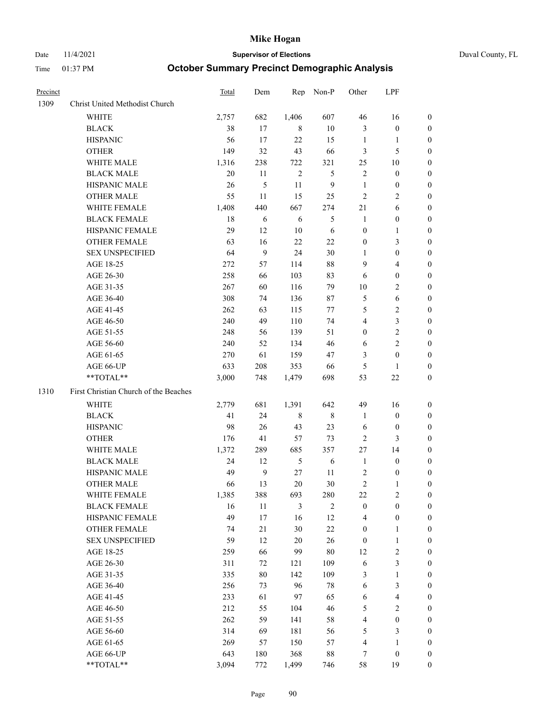Date 11/4/2021 **Supervisor of Elections** Duval County, FL

| Precinct |                                       | <b>Total</b> | Dem                | Rep            | Non-P                 | Other                                | LPF                              |                                    |
|----------|---------------------------------------|--------------|--------------------|----------------|-----------------------|--------------------------------------|----------------------------------|------------------------------------|
| 1309     | Christ United Methodist Church        |              |                    |                |                       |                                      |                                  |                                    |
|          | <b>WHITE</b>                          | 2,757        | 682                | 1,406          | 607                   | 46                                   | 16                               | 0                                  |
|          | <b>BLACK</b>                          | 38           | 17                 | 8              | $10\,$                | 3                                    | $\boldsymbol{0}$                 | 0                                  |
|          | <b>HISPANIC</b>                       | 56           | 17                 | 22             | 15                    | $\mathbf{1}$                         | $\mathbf{1}$                     | 0                                  |
|          | <b>OTHER</b>                          | 149          | 32                 | 43             | 66                    | 3                                    | $\mathfrak{S}$                   | $\boldsymbol{0}$                   |
|          | WHITE MALE                            | 1,316        | 238                | 722            | 321                   | 25                                   | 10                               | $\boldsymbol{0}$                   |
|          | <b>BLACK MALE</b>                     | 20           | 11                 | $\overline{2}$ | 5                     | $\overline{c}$                       | $\boldsymbol{0}$                 | 0                                  |
|          | HISPANIC MALE                         | 26           | 5                  | 11             | 9                     | $\mathbf{1}$                         | $\boldsymbol{0}$                 | 0                                  |
|          | <b>OTHER MALE</b>                     | 55           | 11                 | 15             | 25                    | $\overline{2}$                       | $\overline{2}$                   | $\boldsymbol{0}$                   |
|          | WHITE FEMALE                          | 1,408        | 440                | 667            | 274                   | 21                                   | 6                                | 0                                  |
|          | <b>BLACK FEMALE</b>                   | 18           | 6                  | 6              | 5                     | $\mathbf{1}$                         | $\boldsymbol{0}$                 | 0                                  |
|          | HISPANIC FEMALE                       | 29           | 12                 | 10             | 6                     | $\boldsymbol{0}$                     | $\mathbf{1}$                     | 0                                  |
|          | OTHER FEMALE                          | 63           | 16                 | 22             | 22                    | $\boldsymbol{0}$                     | $\mathfrak{Z}$                   | 0                                  |
|          | <b>SEX UNSPECIFIED</b>                | 64           | 9                  | 24             | 30                    | $\mathbf{1}$                         | $\boldsymbol{0}$                 | $\boldsymbol{0}$                   |
|          | AGE 18-25                             | 272          | 57                 | 114            | $88\,$                | 9                                    | $\overline{\mathbf{4}}$          | $\boldsymbol{0}$                   |
|          | AGE 26-30                             | 258          | 66                 | 103            | 83                    | 6                                    | $\boldsymbol{0}$                 | $\boldsymbol{0}$                   |
|          | AGE 31-35                             | 267          | 60                 | 116            | 79                    | 10                                   | $\sqrt{2}$                       | 0                                  |
|          | AGE 36-40                             | 308          | 74                 | 136            | 87                    | $\mathfrak{S}$                       | $\sqrt{6}$                       | $\boldsymbol{0}$                   |
|          | AGE 41-45                             | 262          | 63                 | 115            | 77                    | 5                                    | $\sqrt{2}$                       | $\boldsymbol{0}$                   |
|          | AGE 46-50                             | 240          | 49                 | 110            | 74                    | 4                                    | $\mathfrak{Z}$                   | $\boldsymbol{0}$                   |
|          | AGE 51-55                             | 248          | 56                 | 139            | 51                    | $\boldsymbol{0}$                     | $\sqrt{2}$                       | 0                                  |
|          | AGE 56-60                             | 240          | 52                 | 134            | 46                    | 6                                    | $\overline{2}$                   | 0                                  |
|          | AGE 61-65                             | 270          | 61                 | 159            | 47                    | 3                                    | $\boldsymbol{0}$                 | 0                                  |
|          | AGE 66-UP                             | 633          | 208                | 353            | 66                    | $\mathfrak{S}$                       | $\mathbf{1}$                     | 0                                  |
|          | **TOTAL**                             | 3,000        | 748                | 1,479          | 698                   | 53                                   | $22\,$                           | $\boldsymbol{0}$                   |
| 1310     | First Christian Church of the Beaches |              |                    |                |                       |                                      |                                  |                                    |
|          |                                       |              |                    |                |                       |                                      |                                  |                                    |
|          | <b>WHITE</b>                          | 2,779        | 681                | 1,391          | 642                   | 49                                   | 16                               | $\boldsymbol{0}$                   |
|          | <b>BLACK</b>                          | 41           | 24                 | $\,$ 8 $\,$    | $\,$ 8 $\,$           | $\mathbf{1}$                         | $\boldsymbol{0}$                 | $\boldsymbol{0}$                   |
|          | <b>HISPANIC</b>                       | 98           | 26                 | 43             | 23                    | 6                                    | $\boldsymbol{0}$                 | 0                                  |
|          | <b>OTHER</b>                          | 176          | 41                 | 57             | 73                    | $\overline{c}$                       | $\mathfrak{Z}$                   | $\boldsymbol{0}$                   |
|          | WHITE MALE                            | 1,372        | 289                | 685            | 357                   | 27                                   | 14                               | $\boldsymbol{0}$                   |
|          | <b>BLACK MALE</b>                     | 24           | 12                 | $\sqrt{5}$     | $\sqrt{6}$            | $\mathbf{1}$                         | $\boldsymbol{0}$                 | 0                                  |
|          | HISPANIC MALE                         | 49<br>66     | $\mathbf{9}$<br>13 | 27<br>20       | 11<br>30              | 2<br>$\sqrt{2}$                      | $\boldsymbol{0}$                 | 0                                  |
|          | <b>OTHER MALE</b>                     |              |                    |                |                       |                                      | 1                                | 0                                  |
|          | WHITE FEMALE<br><b>BLACK FEMALE</b>   | 1,385        | 388                | 693<br>3       | 280<br>$\overline{c}$ | 22                                   | 2<br>$\boldsymbol{0}$            | 0                                  |
|          | HISPANIC FEMALE                       | 16<br>49     | 11<br>17           | 16             | 12                    | $\boldsymbol{0}$<br>4                |                                  | $\boldsymbol{0}$<br>$\overline{0}$ |
|          | <b>OTHER FEMALE</b>                   | 74           | 21                 | 30             | 22                    |                                      | $\boldsymbol{0}$<br>$\mathbf{1}$ | $\overline{0}$                     |
|          | <b>SEX UNSPECIFIED</b>                | 59           | 12                 | 20             | 26                    | $\boldsymbol{0}$<br>$\boldsymbol{0}$ | $\mathbf{1}$                     | 0                                  |
|          | AGE 18-25                             | 259          | 66                 | 99             | $80\,$                | 12                                   | $\sqrt{2}$                       | $\theta$                           |
|          | AGE 26-30                             | 311          | 72                 | 121            | 109                   | 6                                    | $\mathfrak{Z}$                   | 0                                  |
|          | AGE 31-35                             | 335          | $80\,$             | 142            | 109                   | 3                                    | $\mathbf{1}$                     | 0                                  |
|          | AGE 36-40                             | 256          | 73                 | 96             | $78\,$                | 6                                    | $\mathfrak{Z}$                   | 0                                  |
|          | AGE 41-45                             | 233          | 61                 | 97             | 65                    | 6                                    | $\overline{\mathbf{4}}$          | 0                                  |
|          | AGE 46-50                             | 212          | 55                 | 104            | 46                    | 5                                    | $\sqrt{2}$                       | 0                                  |
|          |                                       |              |                    |                |                       |                                      |                                  |                                    |
|          | AGE 51-55<br>AGE 56-60                | 262<br>314   | 59<br>69           | 141<br>181     | 58<br>56              | 4<br>5                               | $\boldsymbol{0}$<br>3            | $\overline{0}$<br>$\overline{0}$   |
|          | AGE 61-65                             | 269          | 57                 | 150            | 57                    | 4                                    | $\mathbf{1}$                     | $\boldsymbol{0}$                   |
|          | AGE 66-UP                             | 643          | 180                | 368            | 88                    | 7                                    | $\boldsymbol{0}$                 | $\boldsymbol{0}$                   |
|          | **TOTAL**                             | 3,094        | 772                | 1,499          | 746                   | 58                                   | 19                               | $\boldsymbol{0}$                   |
|          |                                       |              |                    |                |                       |                                      |                                  |                                    |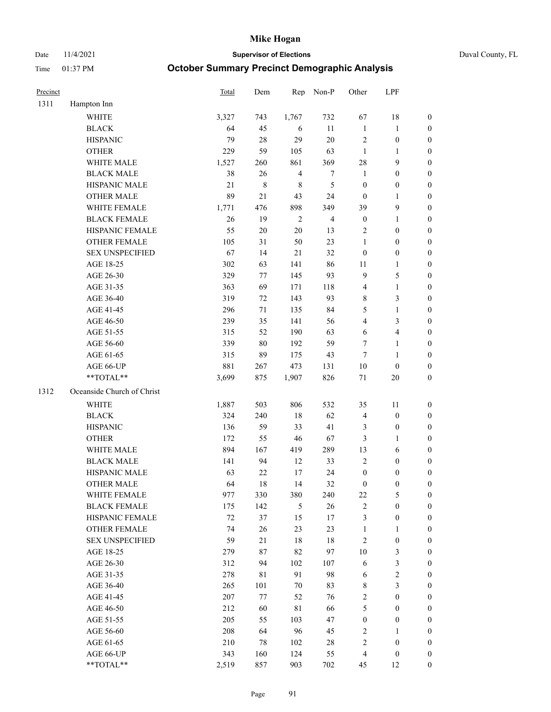Date 11/4/2021 **Supervisor of Elections** Duval County, FL

| Precinct |                            | Total  | Dem       | Rep                     | Non-P          | Other                   | LPF              |                  |
|----------|----------------------------|--------|-----------|-------------------------|----------------|-------------------------|------------------|------------------|
| 1311     | Hampton Inn                |        |           |                         |                |                         |                  |                  |
|          | <b>WHITE</b>               | 3,327  | 743       | 1,767                   | 732            | 67                      | 18               | 0                |
|          | <b>BLACK</b>               | 64     | 45        | 6                       | 11             | $\mathbf{1}$            | $\mathbf{1}$     | 0                |
|          | <b>HISPANIC</b>            | 79     | 28        | 29                      | 20             | 2                       | $\boldsymbol{0}$ | $\boldsymbol{0}$ |
|          | <b>OTHER</b>               | 229    | 59        | 105                     | 63             | $\mathbf{1}$            | 1                | $\boldsymbol{0}$ |
|          | WHITE MALE                 | 1,527  | 260       | 861                     | 369            | 28                      | 9                | $\boldsymbol{0}$ |
|          | <b>BLACK MALE</b>          | 38     | 26        | $\overline{\mathbf{4}}$ | 7              | $\mathbf{1}$            | $\boldsymbol{0}$ | $\boldsymbol{0}$ |
|          | HISPANIC MALE              | 21     | $\,$ $\,$ | 8                       | 5              | $\boldsymbol{0}$        | $\boldsymbol{0}$ | $\boldsymbol{0}$ |
|          | <b>OTHER MALE</b>          | 89     | 21        | 43                      | 24             | $\boldsymbol{0}$        | $\mathbf{1}$     | $\boldsymbol{0}$ |
|          | WHITE FEMALE               | 1,771  | 476       | 898                     | 349            | 39                      | $\boldsymbol{9}$ | $\boldsymbol{0}$ |
|          | <b>BLACK FEMALE</b>        | 26     | 19        | $\sqrt{2}$              | $\overline{4}$ | $\boldsymbol{0}$        | $\mathbf{1}$     | $\boldsymbol{0}$ |
|          | HISPANIC FEMALE            | 55     | 20        | 20                      | 13             | 2                       | $\boldsymbol{0}$ | $\boldsymbol{0}$ |
|          | OTHER FEMALE               | 105    | 31        | 50                      | 23             | $\mathbf{1}$            | $\boldsymbol{0}$ | $\boldsymbol{0}$ |
|          | <b>SEX UNSPECIFIED</b>     | 67     | 14        | 21                      | 32             | $\boldsymbol{0}$        | $\boldsymbol{0}$ | $\boldsymbol{0}$ |
|          | AGE 18-25                  | 302    | 63        | 141                     | 86             | 11                      | $\mathbf{1}$     | $\boldsymbol{0}$ |
|          | AGE 26-30                  | 329    | 77        | 145                     | 93             | 9                       | $\mathfrak s$    | $\boldsymbol{0}$ |
|          | AGE 31-35                  | 363    | 69        | 171                     | 118            | 4                       | $\mathbf{1}$     | $\boldsymbol{0}$ |
|          | AGE 36-40                  | 319    | 72        | 143                     | 93             | 8                       | 3                | $\boldsymbol{0}$ |
|          | AGE 41-45                  | 296    | $71\,$    | 135                     | 84             | 5                       | $\mathbf{1}$     | $\boldsymbol{0}$ |
|          | AGE 46-50                  | 239    | 35        | 141                     | 56             | 4                       | $\mathfrak{Z}$   | $\boldsymbol{0}$ |
|          | AGE 51-55                  | 315    | 52        | 190                     | 63             | 6                       | $\overline{4}$   | 0                |
|          | AGE 56-60                  | 339    | 80        | 192                     | 59             | 7                       | $\mathbf{1}$     | 0                |
|          | AGE 61-65                  | 315    | 89        | 175                     | 43             | $\tau$                  | 1                | $\boldsymbol{0}$ |
|          | AGE 66-UP                  | 881    | 267       | 473                     | 131            | 10                      | $\boldsymbol{0}$ | $\boldsymbol{0}$ |
|          | $**TOTAL**$                | 3,699  | 875       | 1,907                   | 826            | $71\,$                  | 20               | $\boldsymbol{0}$ |
| 1312     | Oceanside Church of Christ |        |           |                         |                |                         |                  |                  |
|          | <b>WHITE</b>               | 1,887  | 503       | 806                     | 532            | 35                      | 11               | $\boldsymbol{0}$ |
|          | <b>BLACK</b>               | 324    | 240       | 18                      | 62             | 4                       | $\boldsymbol{0}$ | $\boldsymbol{0}$ |
|          | <b>HISPANIC</b>            | 136    | 59        | 33                      | 41             | 3                       | $\boldsymbol{0}$ | $\boldsymbol{0}$ |
|          | <b>OTHER</b>               | 172    | 55        | 46                      | 67             | 3                       | $\mathbf{1}$     | $\boldsymbol{0}$ |
|          | WHITE MALE                 | 894    | 167       | 419                     | 289            | 13                      | 6                | $\boldsymbol{0}$ |
|          | <b>BLACK MALE</b>          | 141    | 94        | 12                      | 33             | $\overline{c}$          | $\boldsymbol{0}$ | $\boldsymbol{0}$ |
|          | HISPANIC MALE              | 63     | 22        | 17                      | 24             | $\boldsymbol{0}$        | $\boldsymbol{0}$ | $\boldsymbol{0}$ |
|          | <b>OTHER MALE</b>          | 64     | 18        | 14                      | 32             | $\boldsymbol{0}$        | $\boldsymbol{0}$ | $\boldsymbol{0}$ |
|          | WHITE FEMALE               | 977    | 330       | 380                     | 240            | 22                      | 5                | 0                |
|          | <b>BLACK FEMALE</b>        | 175    | 142       | 5                       | 26             | $\overline{c}$          | $\boldsymbol{0}$ | $\overline{0}$   |
|          | HISPANIC FEMALE            | $72\,$ | 37        | 15                      | 17             | 3                       | $\boldsymbol{0}$ | $\overline{0}$   |
|          | OTHER FEMALE               | 74     | 26        | 23                      | 23             | $\mathbf{1}$            | $\mathbf{1}$     | $\overline{0}$   |
|          | <b>SEX UNSPECIFIED</b>     | 59     | 21        | 18                      | 18             | 2                       | $\boldsymbol{0}$ | 0                |
|          | AGE 18-25                  | 279    | 87        | 82                      | 97             | 10                      | $\mathfrak{Z}$   | 0                |
|          | AGE 26-30                  | 312    | 94        | 102                     | 107            | 6                       | 3                | 0                |
|          | AGE 31-35                  | 278    | 81        | 91                      | 98             | 6                       | $\sqrt{2}$       | 0                |
|          | AGE 36-40                  | 265    | 101       | 70                      | 83             | 8                       | $\mathfrak{Z}$   | 0                |
|          | AGE 41-45                  | 207    | 77        | 52                      | 76             | $\overline{c}$          | $\boldsymbol{0}$ | 0                |
|          | AGE 46-50                  | 212    | 60        | 81                      | 66             | 5                       | $\boldsymbol{0}$ | 0                |
|          | AGE 51-55                  | 205    | 55        | 103                     | 47             | $\boldsymbol{0}$        | $\boldsymbol{0}$ | $\overline{0}$   |
|          | AGE 56-60                  | 208    | 64        | 96                      | 45             | 2                       | 1                | $\overline{0}$   |
|          | AGE 61-65                  | 210    | 78        | 102                     | 28             | $\overline{\mathbf{c}}$ | $\boldsymbol{0}$ | $\overline{0}$   |
|          | AGE 66-UP                  | 343    | 160       | 124                     | 55             | 4                       | $\boldsymbol{0}$ | 0                |
|          | **TOTAL**                  | 2,519  | 857       | 903                     | 702            | 45                      | 12               | $\boldsymbol{0}$ |
|          |                            |        |           |                         |                |                         |                  |                  |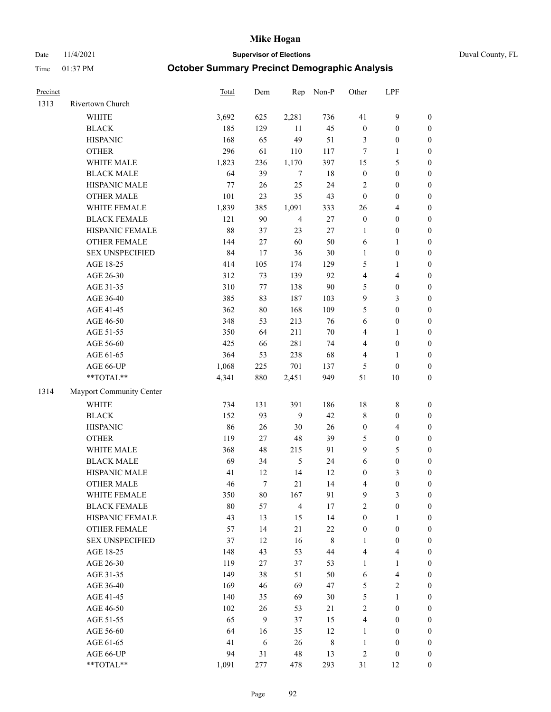Date 11/4/2021 **Supervisor of Elections** Duval County, FL

| Precinct |                          | <b>Total</b> | Dem    | Rep            | Non-P       | Other            | LPF              |                  |
|----------|--------------------------|--------------|--------|----------------|-------------|------------------|------------------|------------------|
| 1313     | Rivertown Church         |              |        |                |             |                  |                  |                  |
|          | <b>WHITE</b>             | 3,692        | 625    | 2,281          | 736         | 41               | $\mathbf{9}$     | $\boldsymbol{0}$ |
|          | <b>BLACK</b>             | 185          | 129    | 11             | 45          | $\boldsymbol{0}$ | $\boldsymbol{0}$ | $\boldsymbol{0}$ |
|          | <b>HISPANIC</b>          | 168          | 65     | 49             | 51          | 3                | $\boldsymbol{0}$ | $\boldsymbol{0}$ |
|          | <b>OTHER</b>             | 296          | 61     | 110            | 117         | 7                | 1                | $\boldsymbol{0}$ |
|          | WHITE MALE               | 1,823        | 236    | 1,170          | 397         | 15               | $\mathfrak s$    | $\boldsymbol{0}$ |
|          | <b>BLACK MALE</b>        | 64           | 39     | $\tau$         | 18          | $\boldsymbol{0}$ | $\boldsymbol{0}$ | $\boldsymbol{0}$ |
|          | HISPANIC MALE            | 77           | 26     | 25             | 24          | 2                | $\boldsymbol{0}$ | $\boldsymbol{0}$ |
|          | <b>OTHER MALE</b>        | 101          | 23     | 35             | 43          | $\boldsymbol{0}$ | $\boldsymbol{0}$ | $\boldsymbol{0}$ |
|          | WHITE FEMALE             | 1,839        | 385    | 1,091          | 333         | 26               | $\overline{4}$   | $\boldsymbol{0}$ |
|          | <b>BLACK FEMALE</b>      | 121          | 90     | $\overline{4}$ | $27\,$      | $\boldsymbol{0}$ | $\boldsymbol{0}$ | $\boldsymbol{0}$ |
|          | HISPANIC FEMALE          | 88           | 37     | 23             | $27\,$      | 1                | $\boldsymbol{0}$ | 0                |
|          | <b>OTHER FEMALE</b>      | 144          | $27\,$ | 60             | 50          | $\sqrt{6}$       | $\mathbf{1}$     | $\boldsymbol{0}$ |
|          | <b>SEX UNSPECIFIED</b>   | 84           | 17     | 36             | $30\,$      | $\mathbf{1}$     | $\boldsymbol{0}$ | $\boldsymbol{0}$ |
|          | AGE 18-25                | 414          | 105    | 174            | 129         | 5                | 1                | $\boldsymbol{0}$ |
|          | AGE 26-30                | 312          | 73     | 139            | 92          | 4                | $\overline{4}$   | $\boldsymbol{0}$ |
|          | AGE 31-35                | 310          | $77\,$ | 138            | 90          | 5                | $\boldsymbol{0}$ | $\boldsymbol{0}$ |
|          | AGE 36-40                | 385          | 83     | 187            | 103         | 9                | $\mathfrak{Z}$   | $\boldsymbol{0}$ |
|          | AGE 41-45                | 362          | $80\,$ | 168            | 109         | 5                | $\boldsymbol{0}$ | $\boldsymbol{0}$ |
|          | AGE 46-50                | 348          | 53     | 213            | 76          | 6                | $\boldsymbol{0}$ | $\boldsymbol{0}$ |
|          | AGE 51-55                | 350          | 64     | 211            | $70\,$      | 4                | 1                | $\boldsymbol{0}$ |
|          | AGE 56-60                | 425          | 66     | 281            | 74          | 4                | $\boldsymbol{0}$ | 0                |
|          | AGE 61-65                | 364          | 53     | 238            | 68          | 4                | $\mathbf{1}$     | 0                |
|          | AGE 66-UP                | 1,068        | 225    | 701            | 137         | 5                | $\boldsymbol{0}$ | $\boldsymbol{0}$ |
|          | $**TOTAL**$              | 4,341        | 880    | 2,451          | 949         | 51               | 10               | $\boldsymbol{0}$ |
| 1314     | Mayport Community Center |              |        |                |             |                  |                  |                  |
|          | <b>WHITE</b>             | 734          | 131    | 391            | 186         | 18               | $\,$ 8 $\,$      | $\boldsymbol{0}$ |
|          | <b>BLACK</b>             | 152          | 93     | 9              | 42          | 8                | $\boldsymbol{0}$ | $\boldsymbol{0}$ |
|          | <b>HISPANIC</b>          | 86           | 26     | 30             | 26          | $\boldsymbol{0}$ | $\overline{4}$   | $\boldsymbol{0}$ |
|          | <b>OTHER</b>             | 119          | 27     | $48\,$         | 39          | 5                | $\boldsymbol{0}$ | $\boldsymbol{0}$ |
|          | WHITE MALE               | 368          | 48     | 215            | 91          | 9                | 5                | $\boldsymbol{0}$ |
|          | <b>BLACK MALE</b>        | 69           | 34     | $\sqrt{5}$     | 24          | $\sqrt{6}$       | $\boldsymbol{0}$ | $\boldsymbol{0}$ |
|          | HISPANIC MALE            | 41           | 12     | 14             | 12          | $\boldsymbol{0}$ | $\mathfrak{Z}$   | $\boldsymbol{0}$ |
|          | <b>OTHER MALE</b>        | 46           | $\tau$ | 21             | 14          | 4                | $\boldsymbol{0}$ | $\boldsymbol{0}$ |
|          | WHITE FEMALE             | 350          | 80     | 167            | 91          | 9                | 3                | 0                |
|          | <b>BLACK FEMALE</b>      | $80\,$       | 57     | $\overline{4}$ | 17          | $\overline{c}$   | $\boldsymbol{0}$ | $\overline{0}$   |
|          | HISPANIC FEMALE          | 43           | 13     | 15             | 14          | $\boldsymbol{0}$ | 1                | $\overline{0}$   |
|          | OTHER FEMALE             | 57           | 14     | 21             | $22\,$      | $\boldsymbol{0}$ | $\boldsymbol{0}$ | 0                |
|          | <b>SEX UNSPECIFIED</b>   | 37           | 12     | 16             | $\,$ 8 $\,$ | $\mathbf{1}$     | $\boldsymbol{0}$ | 0                |
|          | AGE 18-25                | 148          | 43     | 53             | $44\,$      | 4                | $\overline{4}$   | 0                |
|          | AGE 26-30                | 119          | 27     | 37             | 53          | $\mathbf{1}$     | $\mathbf{1}$     | 0                |
|          | AGE 31-35                | 149          | 38     | 51             | 50          | 6                | $\overline{4}$   | 0                |
|          | AGE 36-40                | 169          | 46     | 69             | 47          | 5                | $\sqrt{2}$       | 0                |
|          | AGE 41-45                | 140          | 35     | 69             | $30\,$      | 5                | $\mathbf{1}$     | 0                |
|          | AGE 46-50                | 102          | 26     | 53             | 21          | 2                | $\boldsymbol{0}$ | 0                |
|          | AGE 51-55                | 65           | 9      | 37             | 15          | 4                | $\boldsymbol{0}$ | 0                |
|          | AGE 56-60                | 64           | 16     | 35             | 12          | 1                | $\boldsymbol{0}$ | 0                |
|          | AGE 61-65                | 41           | 6      | 26             | 8           | $\mathbf{1}$     | $\boldsymbol{0}$ | 0                |
|          | AGE 66-UP                | 94           | 31     | $\sqrt{48}$    | 13          | 2                | $\boldsymbol{0}$ | 0                |
|          | **TOTAL**                | 1,091        | 277    | 478            | 293         | 31               | 12               | $\boldsymbol{0}$ |
|          |                          |              |        |                |             |                  |                  |                  |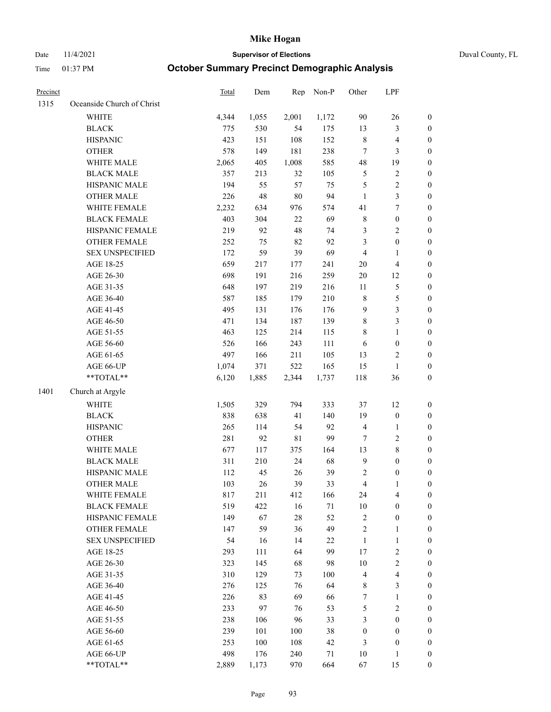Date 11/4/2021 **Supervisor of Elections** Duval County, FL

| Precinct |                            | Total | Dem   | Rep         | Non-P  | Other                   | LPF                     |                  |
|----------|----------------------------|-------|-------|-------------|--------|-------------------------|-------------------------|------------------|
| 1315     | Oceanside Church of Christ |       |       |             |        |                         |                         |                  |
|          | <b>WHITE</b>               | 4,344 | 1,055 | 2,001       | 1,172  | 90                      | 26                      | 0                |
|          | <b>BLACK</b>               | 775   | 530   | 54          | 175    | 13                      | $\mathfrak{Z}$          | $\boldsymbol{0}$ |
|          | <b>HISPANIC</b>            | 423   | 151   | 108         | 152    | $\,$ 8 $\,$             | $\overline{\mathbf{4}}$ | $\boldsymbol{0}$ |
|          | <b>OTHER</b>               | 578   | 149   | 181         | 238    | 7                       | 3                       | $\boldsymbol{0}$ |
|          | WHITE MALE                 | 2,065 | 405   | 1,008       | 585    | 48                      | 19                      | $\boldsymbol{0}$ |
|          | <b>BLACK MALE</b>          | 357   | 213   | 32          | 105    | 5                       | $\sqrt{2}$              | $\boldsymbol{0}$ |
|          | HISPANIC MALE              | 194   | 55    | 57          | 75     | 5                       | $\sqrt{2}$              | $\boldsymbol{0}$ |
|          | <b>OTHER MALE</b>          | 226   | 48    | $80\,$      | 94     | $\mathbf{1}$            | $\mathfrak{Z}$          | $\boldsymbol{0}$ |
|          | WHITE FEMALE               | 2,232 | 634   | 976         | 574    | 41                      | $\boldsymbol{7}$        | $\boldsymbol{0}$ |
|          | <b>BLACK FEMALE</b>        | 403   | 304   | $22\,$      | 69     | 8                       | $\boldsymbol{0}$        | 0                |
|          | HISPANIC FEMALE            | 219   | 92    | 48          | 74     | 3                       | $\sqrt{2}$              | 0                |
|          | OTHER FEMALE               | 252   | 75    | 82          | 92     | 3                       | $\boldsymbol{0}$        | $\boldsymbol{0}$ |
|          | <b>SEX UNSPECIFIED</b>     | 172   | 59    | 39          | 69     | 4                       | $\mathbf{1}$            | $\boldsymbol{0}$ |
|          | AGE 18-25                  | 659   | 217   | 177         | 241    | $20\,$                  | $\overline{\mathbf{4}}$ | $\boldsymbol{0}$ |
|          | AGE 26-30                  | 698   | 191   | 216         | 259    | $20\,$                  | 12                      | $\boldsymbol{0}$ |
|          | AGE 31-35                  | 648   | 197   | 219         | 216    | $11\,$                  | $\mathfrak s$           | $\boldsymbol{0}$ |
|          | AGE 36-40                  | 587   | 185   | 179         | 210    | $\,$ 8 $\,$             | $\mathfrak s$           | $\boldsymbol{0}$ |
|          | AGE 41-45                  | 495   | 131   | 176         | 176    | 9                       | $\mathfrak{Z}$          | $\boldsymbol{0}$ |
|          | AGE 46-50                  | 471   | 134   | 187         | 139    | $\,$ $\,$               | $\mathfrak{Z}$          | $\boldsymbol{0}$ |
|          | AGE 51-55                  | 463   | 125   | 214         | 115    | 8                       | $\mathbf{1}$            | $\boldsymbol{0}$ |
|          | AGE 56-60                  | 526   | 166   | 243         | 111    | 6                       | $\boldsymbol{0}$        | 0                |
|          | AGE 61-65                  | 497   | 166   | 211         | 105    | 13                      | $\overline{c}$          | 0                |
|          | AGE 66-UP                  | 1,074 | 371   | 522         | 165    | 15                      | $\mathbf{1}$            | $\boldsymbol{0}$ |
|          | **TOTAL**                  | 6,120 | 1,885 | 2,344       | 1,737  | 118                     | 36                      | $\boldsymbol{0}$ |
| 1401     | Church at Argyle           |       |       |             |        |                         |                         |                  |
|          | <b>WHITE</b>               | 1,505 | 329   | 794         | 333    | 37                      | 12                      | $\boldsymbol{0}$ |
|          | <b>BLACK</b>               | 838   | 638   | 41          | 140    | 19                      | $\boldsymbol{0}$        | $\boldsymbol{0}$ |
|          | <b>HISPANIC</b>            | 265   | 114   | 54          | 92     | $\overline{\mathbf{4}}$ | $\mathbf{1}$            | $\boldsymbol{0}$ |
|          | <b>OTHER</b>               | 281   | 92    | $8\sqrt{1}$ | 99     | 7                       | $\sqrt{2}$              | $\boldsymbol{0}$ |
|          | WHITE MALE                 | 677   | 117   | 375         | 164    | 13                      | $8\,$                   | $\boldsymbol{0}$ |
|          | <b>BLACK MALE</b>          | 311   | 210   | 24          | 68     | $\overline{9}$          | $\boldsymbol{0}$        | $\boldsymbol{0}$ |
|          | HISPANIC MALE              | 112   | 45    | 26          | 39     | $\overline{c}$          | $\boldsymbol{0}$        | 0                |
|          | <b>OTHER MALE</b>          | 103   | 26    | 39          | 33     | $\overline{4}$          | $\mathbf{1}$            | $\boldsymbol{0}$ |
|          | WHITE FEMALE               | 817   | 211   | 412         | 166    | 24                      | 4                       | 0                |
|          | <b>BLACK FEMALE</b>        | 519   | 422   | 16          | 71     | 10                      | $\boldsymbol{0}$        | $\boldsymbol{0}$ |
|          | HISPANIC FEMALE            | 149   | 67    | 28          | 52     | 2                       | $\boldsymbol{0}$        | $\overline{0}$   |
|          | <b>OTHER FEMALE</b>        | 147   | 59    | 36          | 49     | 2                       | $\mathbf{1}$            | $\overline{0}$   |
|          | <b>SEX UNSPECIFIED</b>     | 54    | 16    | 14          | $22\,$ | $\mathbf{1}$            | $\mathbf{1}$            | 0                |
|          | AGE 18-25                  | 293   | 111   | 64          | 99     | 17                      | $\sqrt{2}$              | 0                |
|          | AGE 26-30                  | 323   | 145   | 68          | 98     | $10\,$                  | $\overline{2}$          | 0                |
|          | AGE 31-35                  | 310   | 129   | 73          | 100    | 4                       | $\overline{\mathbf{4}}$ | 0                |
|          | AGE 36-40                  | 276   | 125   | 76          | 64     | 8                       | $\mathfrak{Z}$          | 0                |
|          | AGE 41-45                  | 226   | 83    | 69          | 66     | 7                       | $\mathbf{1}$            | 0                |
|          | AGE 46-50                  | 233   | 97    | 76          | 53     | 5                       | $\sqrt{2}$              | 0                |
|          | AGE 51-55                  | 238   | 106   | 96          | 33     | 3                       | $\boldsymbol{0}$        | 0                |
|          | AGE 56-60                  | 239   | 101   | 100         | 38     | $\boldsymbol{0}$        | $\boldsymbol{0}$        | 0                |
|          | AGE 61-65                  | 253   | 100   | 108         | 42     | 3                       | $\boldsymbol{0}$        | $\overline{0}$   |
|          | AGE 66-UP                  | 498   | 176   | 240         | 71     | 10                      | $\mathbf{1}$            | 0                |
|          | $**TOTAL**$                | 2,889 | 1,173 | 970         | 664    | 67                      | 15                      | $\boldsymbol{0}$ |
|          |                            |       |       |             |        |                         |                         |                  |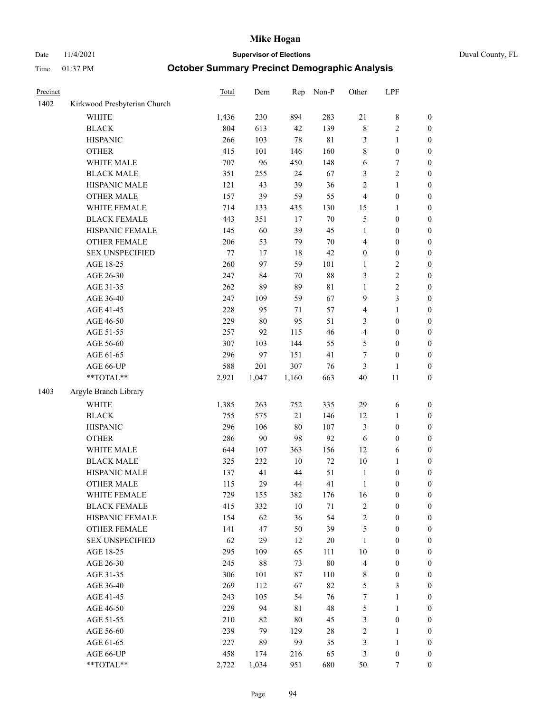#### Date 11/4/2021 **Supervisor of Elections** Duval County, FL

| Precinct |                              | Total   | Dem     | Rep    | Non-P       | Other            | LPF              |                  |
|----------|------------------------------|---------|---------|--------|-------------|------------------|------------------|------------------|
| 1402     | Kirkwood Presbyterian Church |         |         |        |             |                  |                  |                  |
|          | <b>WHITE</b>                 | 1,436   | 230     | 894    | 283         | $21\,$           | $\,$ 8 $\,$      | 0                |
|          | <b>BLACK</b>                 | 804     | 613     | 42     | 139         | $\,$ 8 $\,$      | $\sqrt{2}$       | $\boldsymbol{0}$ |
|          | <b>HISPANIC</b>              | 266     | 103     | 78     | $8\sqrt{1}$ | 3                | $\mathbf{1}$     | $\boldsymbol{0}$ |
|          | <b>OTHER</b>                 | 415     | 101     | 146    | 160         | 8                | $\boldsymbol{0}$ | $\boldsymbol{0}$ |
|          | WHITE MALE                   | 707     | 96      | 450    | 148         | 6                | $\boldsymbol{7}$ | $\boldsymbol{0}$ |
|          | <b>BLACK MALE</b>            | 351     | 255     | 24     | 67          | 3                | $\sqrt{2}$       | $\boldsymbol{0}$ |
|          | HISPANIC MALE                | 121     | 43      | 39     | 36          | $\overline{c}$   | $\mathbf{1}$     | $\boldsymbol{0}$ |
|          | <b>OTHER MALE</b>            | 157     | 39      | 59     | 55          | 4                | $\boldsymbol{0}$ | $\boldsymbol{0}$ |
|          | WHITE FEMALE                 | 714     | 133     | 435    | 130         | 15               | 1                | $\boldsymbol{0}$ |
|          | <b>BLACK FEMALE</b>          | 443     | 351     | 17     | 70          | 5                | $\boldsymbol{0}$ | $\boldsymbol{0}$ |
|          | HISPANIC FEMALE              | 145     | 60      | 39     | 45          | $\mathbf{1}$     | $\boldsymbol{0}$ | $\boldsymbol{0}$ |
|          | OTHER FEMALE                 | 206     | 53      | 79     | 70          | 4                | $\boldsymbol{0}$ | $\boldsymbol{0}$ |
|          | <b>SEX UNSPECIFIED</b>       | $77 \,$ | 17      | 18     | 42          | $\boldsymbol{0}$ | $\boldsymbol{0}$ | $\boldsymbol{0}$ |
|          | AGE 18-25                    | 260     | 97      | 59     | 101         | $\mathbf{1}$     | $\sqrt{2}$       | $\boldsymbol{0}$ |
|          | AGE 26-30                    | 247     | 84      | 70     | 88          | 3                | $\sqrt{2}$       | $\boldsymbol{0}$ |
|          | AGE 31-35                    | 262     | 89      | 89     | $8\sqrt{1}$ | 1                | $\sqrt{2}$       | $\boldsymbol{0}$ |
|          | AGE 36-40                    | 247     | 109     | 59     | 67          | 9                | 3                | $\boldsymbol{0}$ |
|          | AGE 41-45                    | 228     | 95      | $71\,$ | 57          | 4                | $\mathbf{1}$     | $\boldsymbol{0}$ |
|          | AGE 46-50                    | 229     | 80      | 95     | 51          | 3                | $\boldsymbol{0}$ | $\boldsymbol{0}$ |
|          | AGE 51-55                    | 257     | 92      | 115    | 46          | 4                | $\boldsymbol{0}$ | $\boldsymbol{0}$ |
|          | AGE 56-60                    | 307     | 103     | 144    | 55          | 5                | $\boldsymbol{0}$ | 0                |
|          | AGE 61-65                    | 296     | 97      | 151    | 41          | $\boldsymbol{7}$ | $\boldsymbol{0}$ | $\boldsymbol{0}$ |
|          | AGE 66-UP                    | 588     | 201     | 307    | 76          | 3                | $\mathbf{1}$     | $\boldsymbol{0}$ |
|          | $**TOTAL**$                  | 2,921   | 1,047   | 1,160  | 663         | 40               | 11               | $\boldsymbol{0}$ |
| 1403     | Argyle Branch Library        |         |         |        |             |                  |                  |                  |
|          | <b>WHITE</b>                 | 1,385   | 263     | 752    | 335         | 29               | 6                | $\boldsymbol{0}$ |
|          | <b>BLACK</b>                 | 755     | 575     | 21     | 146         | 12               | $\mathbf{1}$     | $\boldsymbol{0}$ |
|          | <b>HISPANIC</b>              | 296     | 106     | 80     | 107         | 3                | $\boldsymbol{0}$ | $\boldsymbol{0}$ |
|          | <b>OTHER</b>                 | 286     | 90      | 98     | 92          | 6                | $\boldsymbol{0}$ | $\boldsymbol{0}$ |
|          | WHITE MALE                   | 644     | $107\,$ | 363    | 156         | 12               | 6                | $\boldsymbol{0}$ |
|          | <b>BLACK MALE</b>            | 325     | 232     | $10\,$ | $72\,$      | 10               | 1                | $\boldsymbol{0}$ |
|          | HISPANIC MALE                | 137     | 41      | 44     | 51          | $\mathbf{1}$     | $\boldsymbol{0}$ | 0                |
|          | <b>OTHER MALE</b>            | 115     | 29      | 44     | 41          | $\mathbf{1}$     | $\boldsymbol{0}$ | $\boldsymbol{0}$ |
|          | WHITE FEMALE                 | 729     | 155     | 382    | 176         | 16               | 0                | 0                |
|          | <b>BLACK FEMALE</b>          | 415     | 332     | $10\,$ | $71\,$      | 2                | $\boldsymbol{0}$ | $\overline{0}$   |
|          | HISPANIC FEMALE              | 154     | 62      | 36     | 54          | $\overline{c}$   | $\boldsymbol{0}$ | $\overline{0}$   |
|          | OTHER FEMALE                 | 141     | 47      | 50     | 39          | 5                | $\boldsymbol{0}$ | $\overline{0}$   |
|          | <b>SEX UNSPECIFIED</b>       | 62      | 29      | 12     | 20          | $\mathbf{1}$     | $\boldsymbol{0}$ | 0                |
|          | AGE 18-25                    | 295     | 109     | 65     | 111         | 10               | $\boldsymbol{0}$ | 0                |
|          | AGE 26-30                    | 245     | 88      | 73     | 80          | 4                | $\boldsymbol{0}$ | 0                |
|          | AGE 31-35                    | 306     | 101     | 87     | 110         | 8                | $\boldsymbol{0}$ | 0                |
|          | AGE 36-40                    | 269     | 112     | 67     | 82          | 5                | $\mathfrak{Z}$   | 0                |
|          | AGE 41-45                    | 243     | 105     | 54     | 76          | $\boldsymbol{7}$ | $\mathbf{1}$     | 0                |
|          | AGE 46-50                    | 229     | 94      | 81     | 48          | 5                | $\mathbf{1}$     | 0                |
|          | AGE 51-55                    | 210     | 82      | 80     | 45          | 3                | $\boldsymbol{0}$ | 0                |
|          | AGE 56-60                    | 239     | 79      | 129    | 28          | $\overline{c}$   | 1                | 0                |
|          | AGE 61-65                    | 227     | 89      | 99     | 35          | 3                | $\mathbf{1}$     | 0                |
|          | AGE 66-UP                    | 458     | 174     | 216    | 65          | 3                | $\boldsymbol{0}$ | 0                |
|          | **TOTAL**                    | 2,722   | 1,034   | 951    | 680         | 50               | 7                | $\boldsymbol{0}$ |
|          |                              |         |         |        |             |                  |                  |                  |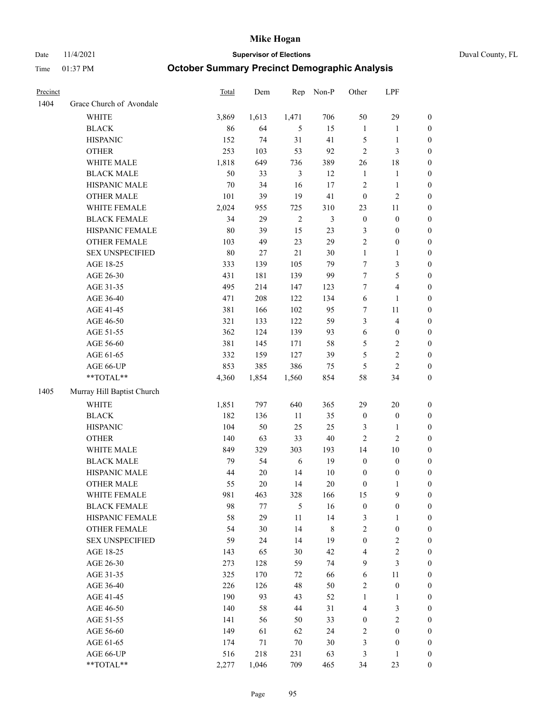Date 11/4/2021 **Supervisor of Elections** Duval County, FL

| Precinct |                            | <b>Total</b> | Dem    | Rep            | Non-P          | Other            | LPF                     |                  |
|----------|----------------------------|--------------|--------|----------------|----------------|------------------|-------------------------|------------------|
| 1404     | Grace Church of Avondale   |              |        |                |                |                  |                         |                  |
|          | <b>WHITE</b>               | 3,869        | 1,613  | 1,471          | 706            | 50               | 29                      | 0                |
|          | <b>BLACK</b>               | 86           | 64     | 5              | 15             | $\mathbf{1}$     | $\mathbf{1}$            | 0                |
|          | <b>HISPANIC</b>            | 152          | 74     | 31             | 41             | 5                | $\mathbf{1}$            | $\boldsymbol{0}$ |
|          | <b>OTHER</b>               | 253          | 103    | 53             | 92             | $\mathbf{2}$     | $\mathfrak{Z}$          | $\boldsymbol{0}$ |
|          | WHITE MALE                 | 1,818        | 649    | 736            | 389            | 26               | $18\,$                  | $\boldsymbol{0}$ |
|          | <b>BLACK MALE</b>          | 50           | 33     | $\mathfrak{Z}$ | 12             | $\mathbf{1}$     | 1                       | $\boldsymbol{0}$ |
|          | HISPANIC MALE              | $70\,$       | 34     | 16             | 17             | $\overline{c}$   | $\mathbf{1}$            | $\boldsymbol{0}$ |
|          | <b>OTHER MALE</b>          | 101          | 39     | 19             | 41             | $\boldsymbol{0}$ | $\mathbf{2}$            | $\boldsymbol{0}$ |
|          | WHITE FEMALE               | 2,024        | 955    | 725            | 310            | 23               | 11                      | $\boldsymbol{0}$ |
|          | <b>BLACK FEMALE</b>        | 34           | 29     | $\sqrt{2}$     | $\mathfrak{Z}$ | $\boldsymbol{0}$ | $\boldsymbol{0}$        | 0                |
|          | HISPANIC FEMALE            | 80           | 39     | 15             | 23             | 3                | $\boldsymbol{0}$        | 0                |
|          | OTHER FEMALE               | 103          | 49     | 23             | 29             | $\overline{2}$   | $\boldsymbol{0}$        | $\boldsymbol{0}$ |
|          | <b>SEX UNSPECIFIED</b>     | 80           | 27     | 21             | $30\,$         | $\mathbf{1}$     | $\mathbf{1}$            | $\boldsymbol{0}$ |
|          | AGE 18-25                  | 333          | 139    | 105            | 79             | 7                | $\mathfrak{Z}$          | $\boldsymbol{0}$ |
|          | AGE 26-30                  | 431          | 181    | 139            | 99             | 7                | 5                       | $\boldsymbol{0}$ |
|          | AGE 31-35                  | 495          | 214    | 147            | 123            | 7                | $\overline{\mathbf{4}}$ | $\boldsymbol{0}$ |
|          | AGE 36-40                  | 471          | 208    | 122            | 134            | 6                | $\mathbf{1}$            | $\boldsymbol{0}$ |
|          | AGE 41-45                  | 381          | 166    | 102            | 95             | 7                | $11\,$                  | $\boldsymbol{0}$ |
|          | AGE 46-50                  | 321          | 133    | 122            | 59             | 3                | $\overline{\mathbf{4}}$ | $\boldsymbol{0}$ |
|          | AGE 51-55                  | 362          | 124    | 139            | 93             | $\sqrt{6}$       | $\boldsymbol{0}$        | $\boldsymbol{0}$ |
|          | AGE 56-60                  | 381          | 145    | 171            | 58             | 5                | $\sqrt{2}$              | 0                |
|          | AGE 61-65                  | 332          | 159    | 127            | 39             | 5                | $\sqrt{2}$              | 0                |
|          | AGE 66-UP                  | 853          | 385    | 386            | 75             | $\mathfrak{S}$   | $\overline{2}$          | $\boldsymbol{0}$ |
|          | **TOTAL**                  | 4,360        | 1,854  | 1,560          | 854            | 58               | 34                      | $\boldsymbol{0}$ |
| 1405     | Murray Hill Baptist Church |              |        |                |                |                  |                         |                  |
|          | WHITE                      | 1,851        | 797    | 640            | 365            | 29               | $20\,$                  | $\boldsymbol{0}$ |
|          | <b>BLACK</b>               | 182          | 136    | $11\,$         | 35             | $\boldsymbol{0}$ | $\boldsymbol{0}$        | $\boldsymbol{0}$ |
|          | <b>HISPANIC</b>            | 104          | 50     | 25             | 25             | 3                | $\mathbf{1}$            | $\boldsymbol{0}$ |
|          | <b>OTHER</b>               | 140          | 63     | 33             | $40\,$         | $\overline{c}$   | $\overline{c}$          | $\boldsymbol{0}$ |
|          | WHITE MALE                 | 849          | 329    | 303            | 193            | 14               | $10\,$                  | $\boldsymbol{0}$ |
|          | <b>BLACK MALE</b>          | 79           | 54     | $\sqrt{6}$     | 19             | $\boldsymbol{0}$ | $\boldsymbol{0}$        | $\boldsymbol{0}$ |
|          | HISPANIC MALE              | 44           | $20\,$ | 14             | $10\,$         | $\boldsymbol{0}$ | $\boldsymbol{0}$        | 0                |
|          | <b>OTHER MALE</b>          | 55           | 20     | 14             | $20\,$         | $\boldsymbol{0}$ | $\mathbf{1}$            | $\boldsymbol{0}$ |
|          | WHITE FEMALE               | 981          | 463    | 328            | 166            | 15               | 9                       | 0                |
|          | <b>BLACK FEMALE</b>        | 98           | 77     | 5              | 16             | $\boldsymbol{0}$ | $\boldsymbol{0}$        | $\boldsymbol{0}$ |
|          | HISPANIC FEMALE            | 58           | 29     | $11\,$         | 14             | 3                | 1                       | $\overline{0}$   |
|          | OTHER FEMALE               | 54           | 30     | 14             | 8              | 2                | $\boldsymbol{0}$        | $\overline{0}$   |
|          | <b>SEX UNSPECIFIED</b>     | 59           | 24     | 14             | 19             | $\boldsymbol{0}$ | $\mathbf{2}$            | 0                |
|          | AGE 18-25                  | 143          | 65     | 30             | 42             | 4                | $\sqrt{2}$              | 0                |
|          | AGE 26-30                  | 273          | 128    | 59             | 74             | $\mathbf{9}$     | 3                       | 0                |
|          | AGE 31-35                  | 325          | 170    | 72             | 66             | $\sqrt{6}$       | $11\,$                  | 0                |
|          | AGE 36-40                  | 226          | 126    | 48             | 50             | 2                | $\boldsymbol{0}$        | 0                |
|          | AGE 41-45                  | 190          | 93     | 43             | 52             | $\mathbf{1}$     | $\mathbf{1}$            | 0                |
|          | AGE 46-50                  | 140          | 58     | 44             | 31             | 4                | $\mathfrak{Z}$          | 0                |
|          | AGE 51-55                  | 141          | 56     | 50             | 33             | $\boldsymbol{0}$ | $\sqrt{2}$              | 0                |
|          | AGE 56-60                  | 149          | 61     | 62             | 24             | 2                | $\boldsymbol{0}$        | $\overline{0}$   |
|          | AGE 61-65                  | 174          | 71     | $70\,$         | $30\,$         | 3                | $\boldsymbol{0}$        | $\overline{0}$   |
|          | AGE 66-UP                  | 516          | 218    | 231            | 63             | 3                | $\mathbf{1}$            | 0                |
|          | **TOTAL**                  | 2,277        | 1,046  | 709            | 465            | 34               | 23                      | $\boldsymbol{0}$ |
|          |                            |              |        |                |                |                  |                         |                  |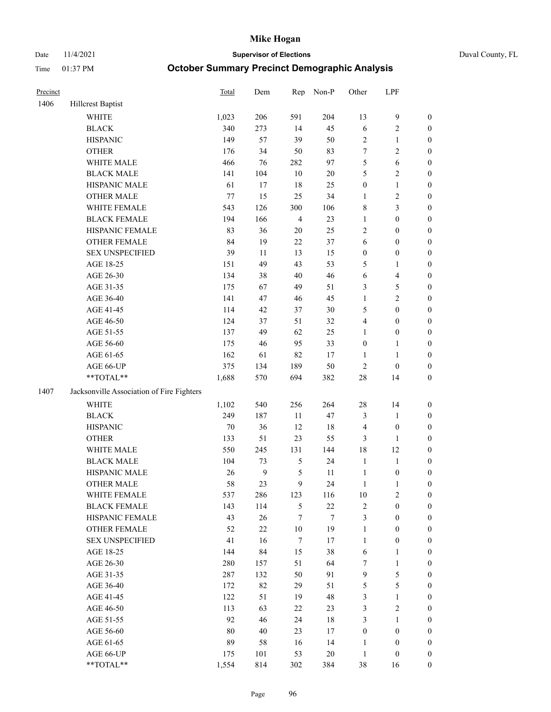Date 11/4/2021 **Supervisor of Elections** Duval County, FL

| Precinct |                                                           | <b>Total</b> | Dem              | Rep              | Non-P  | Other            | LPF              |                  |
|----------|-----------------------------------------------------------|--------------|------------------|------------------|--------|------------------|------------------|------------------|
| 1406     | Hillcrest Baptist                                         |              |                  |                  |        |                  |                  |                  |
|          | <b>WHITE</b>                                              | 1,023        | 206              | 591              | 204    | 13               | $\mathbf{9}$     | 0                |
|          | <b>BLACK</b>                                              | 340          | 273              | 14               | 45     | $\sqrt{6}$       | $\sqrt{2}$       | $\boldsymbol{0}$ |
|          | <b>HISPANIC</b>                                           | 149          | 57               | 39               | 50     | 2                | $\mathbf{1}$     | $\boldsymbol{0}$ |
|          | <b>OTHER</b>                                              | 176          | 34               | 50               | 83     | 7                | $\sqrt{2}$       | $\boldsymbol{0}$ |
|          | WHITE MALE                                                | 466          | 76               | 282              | 97     | 5                | 6                | $\boldsymbol{0}$ |
|          | <b>BLACK MALE</b>                                         | 141          | 104              | $10\,$           | $20\,$ | 5                | $\sqrt{2}$       | $\boldsymbol{0}$ |
|          | HISPANIC MALE                                             | 61           | 17               | 18               | 25     | $\boldsymbol{0}$ | $\mathbf{1}$     | $\boldsymbol{0}$ |
|          | <b>OTHER MALE</b>                                         | $77\,$       | 15               | 25               | 34     | $\mathbf{1}$     | $\sqrt{2}$       | $\boldsymbol{0}$ |
|          | WHITE FEMALE                                              | 543          | 126              | 300              | 106    | 8                | 3                | $\boldsymbol{0}$ |
|          | <b>BLACK FEMALE</b>                                       | 194          | 166              | $\overline{4}$   | 23     | $\mathbf{1}$     | $\boldsymbol{0}$ | $\boldsymbol{0}$ |
|          | HISPANIC FEMALE                                           | 83           | 36               | $20\,$           | 25     | $\overline{c}$   | $\boldsymbol{0}$ | $\boldsymbol{0}$ |
|          | <b>OTHER FEMALE</b>                                       | 84           | 19               | $22\,$           | 37     | 6                | $\boldsymbol{0}$ | $\boldsymbol{0}$ |
|          | <b>SEX UNSPECIFIED</b>                                    | 39           | 11               | 13               | 15     | $\boldsymbol{0}$ | $\boldsymbol{0}$ | $\boldsymbol{0}$ |
|          | AGE 18-25                                                 | 151          | 49               | 43               | 53     | 5                | 1                | $\boldsymbol{0}$ |
|          | AGE 26-30                                                 | 134          | 38               | $40\,$           | 46     | 6                | $\overline{4}$   | $\boldsymbol{0}$ |
|          | AGE 31-35                                                 | 175          | 67               | 49               | 51     | 3                | $\mathfrak s$    | $\boldsymbol{0}$ |
|          | AGE 36-40                                                 | 141          | 47               | 46               | 45     | $\mathbf{1}$     | $\sqrt{2}$       | $\boldsymbol{0}$ |
|          | AGE 41-45                                                 | 114          | 42               | 37               | $30\,$ | 5                | $\boldsymbol{0}$ | $\boldsymbol{0}$ |
|          | AGE 46-50                                                 | 124          | 37               | 51               | 32     | 4                | $\boldsymbol{0}$ | $\boldsymbol{0}$ |
|          | AGE 51-55                                                 | 137          | 49               | 62               | 25     | $\mathbf{1}$     | $\boldsymbol{0}$ | $\boldsymbol{0}$ |
|          | AGE 56-60                                                 | 175          | 46               | 95               | 33     | $\boldsymbol{0}$ | 1                | 0                |
|          | AGE 61-65                                                 | 162          | 61               | 82               | 17     | 1                | $\mathbf{1}$     | $\boldsymbol{0}$ |
|          | AGE 66-UP                                                 | 375          | 134              | 189              | 50     | $\sqrt{2}$       | $\boldsymbol{0}$ | $\boldsymbol{0}$ |
|          | $\mathrm{*}\mathrm{*}\mathrm{TOTAL} \mathrm{*}\mathrm{*}$ | 1,688        | 570              | 694              | 382    | $28\,$           | 14               | $\boldsymbol{0}$ |
| 1407     | Jacksonville Association of Fire Fighters                 |              |                  |                  |        |                  |                  |                  |
|          | <b>WHITE</b>                                              | 1,102        | 540              | 256              | 264    | $28\,$           | 14               | $\boldsymbol{0}$ |
|          | <b>BLACK</b>                                              | 249          | 187              | $11\,$           | 47     | 3                | $\mathbf{1}$     | $\boldsymbol{0}$ |
|          | <b>HISPANIC</b>                                           | $70\,$       | 36               | 12               | 18     | 4                | $\boldsymbol{0}$ | $\boldsymbol{0}$ |
|          | <b>OTHER</b>                                              | 133          | 51               | 23               | 55     | 3                | $\mathbf{1}$     | $\boldsymbol{0}$ |
|          | WHITE MALE                                                | 550          | 245              | 131              | 144    | 18               | 12               | $\boldsymbol{0}$ |
|          | <b>BLACK MALE</b>                                         | 104          | 73               | $\mathfrak{S}$   | 24     | $\mathbf{1}$     | $\mathbf{1}$     | $\boldsymbol{0}$ |
|          | HISPANIC MALE                                             | 26           | $\boldsymbol{9}$ | $\mathfrak{S}$   | 11     | $\mathbf{1}$     | $\boldsymbol{0}$ | 0                |
|          | <b>OTHER MALE</b>                                         | 58           | 23               | 9                | 24     | $\mathbf{1}$     | $\mathbf{1}$     | $\boldsymbol{0}$ |
|          | WHITE FEMALE                                              | 537          | 286              | 123              | 116    | 10               | 2                | 0                |
|          | <b>BLACK FEMALE</b>                                       | 143          | 114              | 5                | $22\,$ | 2                | $\boldsymbol{0}$ | $\overline{0}$   |
|          | HISPANIC FEMALE                                           | 43           | 26               | 7                | 7      | 3                | $\boldsymbol{0}$ | $\overline{0}$   |
|          | OTHER FEMALE                                              | 52           | 22               | $10\,$           | 19     | $\mathbf{1}$     | $\boldsymbol{0}$ | $\overline{0}$   |
|          | <b>SEX UNSPECIFIED</b>                                    | 41           | 16               | $\boldsymbol{7}$ | 17     | $\mathbf{1}$     | $\boldsymbol{0}$ | 0                |
|          | AGE 18-25                                                 | 144          | 84               | 15               | 38     | 6                | $\mathbf{1}$     | 0                |
|          | AGE 26-30                                                 | 280          | 157              | 51               | 64     | 7                | $\mathbf{1}$     | 0                |
|          | AGE 31-35                                                 | 287          | 132              | 50               | 91     | 9                | 5                | 0                |
|          | AGE 36-40                                                 | 172          | 82               | 29               | 51     | 5                | 5                | 0                |
|          | AGE 41-45                                                 | 122          | 51               | 19               | 48     | 3                | $\mathbf{1}$     | 0                |
|          | AGE 46-50                                                 | 113          | 63               | 22               | 23     | 3                | $\sqrt{2}$       | 0                |
|          | AGE 51-55                                                 | 92           | 46               | 24               | 18     | 3                | $\mathbf{1}$     | 0                |
|          | AGE 56-60                                                 | $80\,$       | 40               | 23               | 17     | $\boldsymbol{0}$ | $\boldsymbol{0}$ | $\overline{0}$   |
|          | AGE 61-65                                                 | 89           | 58               | 16               | 14     | 1                | $\boldsymbol{0}$ | $\overline{0}$   |
|          | AGE 66-UP                                                 | 175          | 101              | 53               | $20\,$ | $\mathbf{1}$     | $\boldsymbol{0}$ | $\boldsymbol{0}$ |
|          | **TOTAL**                                                 | 1,554        | 814              | 302              | 384    | 38               | 16               | $\boldsymbol{0}$ |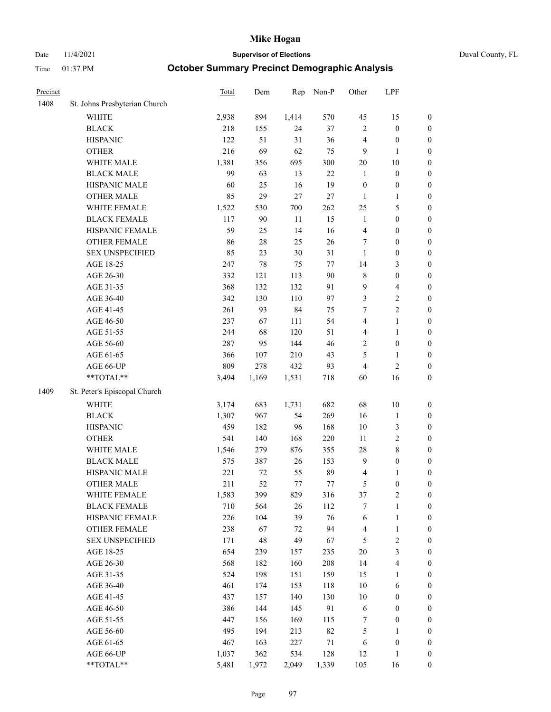Date 11/4/2021 **Supervisor of Elections** Duval County, FL

| Precinct |                               | <b>Total</b> | Dem    | Rep    | Non-P  | Other                   | LPF                     |                  |
|----------|-------------------------------|--------------|--------|--------|--------|-------------------------|-------------------------|------------------|
| 1408     | St. Johns Presbyterian Church |              |        |        |        |                         |                         |                  |
|          | <b>WHITE</b>                  | 2,938        | 894    | 1,414  | 570    | 45                      | 15                      | 0                |
|          | <b>BLACK</b>                  | 218          | 155    | 24     | 37     | $\sqrt{2}$              | $\boldsymbol{0}$        | 0                |
|          | <b>HISPANIC</b>               | 122          | 51     | 31     | 36     | 4                       | $\boldsymbol{0}$        | $\boldsymbol{0}$ |
|          | <b>OTHER</b>                  | 216          | 69     | 62     | 75     | 9                       | 1                       | $\boldsymbol{0}$ |
|          | WHITE MALE                    | 1,381        | 356    | 695    | 300    | $20\,$                  | $10\,$                  | $\boldsymbol{0}$ |
|          | <b>BLACK MALE</b>             | 99           | 63     | 13     | 22     | $\mathbf{1}$            | $\boldsymbol{0}$        | $\boldsymbol{0}$ |
|          | HISPANIC MALE                 | 60           | 25     | 16     | 19     | $\boldsymbol{0}$        | $\boldsymbol{0}$        | $\boldsymbol{0}$ |
|          | <b>OTHER MALE</b>             | 85           | 29     | 27     | $27\,$ | $\mathbf{1}$            | $\mathbf{1}$            | $\boldsymbol{0}$ |
|          | WHITE FEMALE                  | 1,522        | 530    | 700    | 262    | 25                      | $\mathfrak{S}$          | $\boldsymbol{0}$ |
|          | <b>BLACK FEMALE</b>           | 117          | 90     | $11\,$ | 15     | $\mathbf{1}$            | $\boldsymbol{0}$        | $\boldsymbol{0}$ |
|          | HISPANIC FEMALE               | 59           | 25     | 14     | 16     | $\overline{\mathbf{4}}$ | $\boldsymbol{0}$        | 0                |
|          | OTHER FEMALE                  | 86           | $28\,$ | 25     | 26     | 7                       | $\boldsymbol{0}$        | $\boldsymbol{0}$ |
|          | <b>SEX UNSPECIFIED</b>        | 85           | 23     | 30     | 31     | $\mathbf{1}$            | $\boldsymbol{0}$        | $\boldsymbol{0}$ |
|          | AGE 18-25                     | 247          | $78\,$ | 75     | $77\,$ | 14                      | $\mathfrak{Z}$          | $\boldsymbol{0}$ |
|          | AGE 26-30                     | 332          | 121    | 113    | 90     | 8                       | $\boldsymbol{0}$        | $\boldsymbol{0}$ |
|          | AGE 31-35                     | 368          | 132    | 132    | 91     | 9                       | $\overline{\mathbf{4}}$ | $\boldsymbol{0}$ |
|          | AGE 36-40                     | 342          | 130    | 110    | 97     | 3                       | $\sqrt{2}$              | $\boldsymbol{0}$ |
|          | AGE 41-45                     | 261          | 93     | 84     | 75     | 7                       | $\overline{2}$          | $\boldsymbol{0}$ |
|          | AGE 46-50                     | 237          | 67     | 111    | 54     | $\overline{4}$          | $\mathbf{1}$            | $\boldsymbol{0}$ |
|          | AGE 51-55                     | 244          | 68     | 120    | 51     | 4                       | $\mathbf{1}$            | $\boldsymbol{0}$ |
|          | AGE 56-60                     | 287          | 95     | 144    | 46     | $\overline{c}$          | $\boldsymbol{0}$        | 0                |
|          | AGE 61-65                     | 366          | 107    | 210    | 43     | 5                       | $\mathbf{1}$            | 0                |
|          | AGE 66-UP                     | 809          | 278    | 432    | 93     | 4                       | $\sqrt{2}$              | $\boldsymbol{0}$ |
|          | **TOTAL**                     | 3,494        | 1,169  | 1,531  | 718    | 60                      | 16                      | $\boldsymbol{0}$ |
| 1409     | St. Peter's Episcopal Church  |              |        |        |        |                         |                         |                  |
|          | <b>WHITE</b>                  | 3,174        | 683    | 1,731  | 682    | 68                      | $10\,$                  | $\boldsymbol{0}$ |
|          | <b>BLACK</b>                  | 1,307        | 967    | 54     | 269    | 16                      | $\mathbf{1}$            | $\boldsymbol{0}$ |
|          | <b>HISPANIC</b>               | 459          | 182    | 96     | 168    | 10                      | $\mathfrak{Z}$          | $\boldsymbol{0}$ |
|          | <b>OTHER</b>                  | 541          | 140    | 168    | 220    | 11                      | $\sqrt{2}$              | $\boldsymbol{0}$ |
|          | WHITE MALE                    | 1,546        | 279    | 876    | 355    | 28                      | $8\,$                   | $\boldsymbol{0}$ |
|          | <b>BLACK MALE</b>             | 575          | 387    | 26     | 153    | $\overline{9}$          | $\boldsymbol{0}$        | $\boldsymbol{0}$ |
|          | HISPANIC MALE                 | 221          | 72     | 55     | 89     | $\overline{\mathbf{4}}$ | 1                       | $\boldsymbol{0}$ |
|          | <b>OTHER MALE</b>             | 211          | 52     | 77     | 77     | 5                       | $\boldsymbol{0}$        | $\boldsymbol{0}$ |
|          | WHITE FEMALE                  | 1,583        | 399    | 829    | 316    | 37                      | 2                       | 0                |
|          | <b>BLACK FEMALE</b>           | 710          | 564    | 26     | 112    | 7                       | $\mathbf{1}$            | $\boldsymbol{0}$ |
|          | HISPANIC FEMALE               | 226          | 104    | 39     | 76     | 6                       | $\mathbf{1}$            | $\boldsymbol{0}$ |
|          | <b>OTHER FEMALE</b>           | 238          | 67     | 72     | 94     | 4                       | $\mathbf{1}$            | $\overline{0}$   |
|          | <b>SEX UNSPECIFIED</b>        | 171          | 48     | 49     | 67     | 5                       | $\sqrt{2}$              | 0                |
|          | AGE 18-25                     | 654          | 239    | 157    | 235    | $20\,$                  | $\mathfrak{Z}$          | $\theta$         |
|          | AGE 26-30                     | 568          | 182    | 160    | 208    | 14                      | $\overline{\mathbf{4}}$ | 0                |
|          | AGE 31-35                     | 524          | 198    | 151    | 159    | 15                      | 1                       | 0                |
|          | AGE 36-40                     | 461          | 174    | 153    | 118    | 10                      | 6                       | 0                |
|          | AGE 41-45                     | 437          | 157    | 140    | 130    | 10                      | $\boldsymbol{0}$        | 0                |
|          | AGE 46-50                     | 386          | 144    | 145    | 91     | 6                       | $\boldsymbol{0}$        | 0                |
|          | AGE 51-55                     | 447          | 156    | 169    | 115    | 7                       | $\boldsymbol{0}$        | $\boldsymbol{0}$ |
|          | AGE 56-60                     | 495          | 194    | 213    | 82     | 5                       | 1                       | $\boldsymbol{0}$ |
|          | AGE 61-65                     | 467          | 163    | 227    | 71     | 6                       | $\boldsymbol{0}$        | $\boldsymbol{0}$ |
|          | AGE 66-UP                     | 1,037        | 362    | 534    | 128    | 12                      | $\mathbf{1}$            | $\boldsymbol{0}$ |
|          | $**TOTAL**$                   | 5,481        | 1,972  | 2,049  | 1,339  | 105                     | 16                      | $\boldsymbol{0}$ |
|          |                               |              |        |        |        |                         |                         |                  |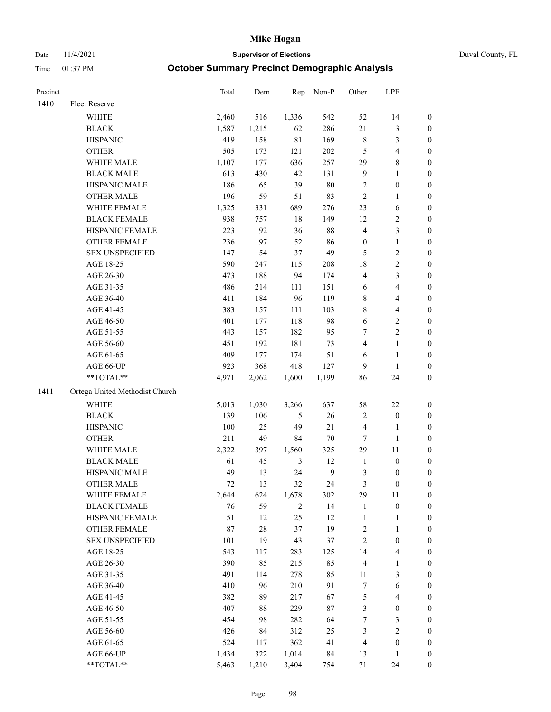Date 11/4/2021 **Supervisor of Elections** Duval County, FL

| Precinct |                                | <b>Total</b> | Dem    | Rep            | Non-P            | Other            | LPF              |                  |
|----------|--------------------------------|--------------|--------|----------------|------------------|------------------|------------------|------------------|
| 1410     | Fleet Reserve                  |              |        |                |                  |                  |                  |                  |
|          | <b>WHITE</b>                   | 2,460        | 516    | 1,336          | 542              | 52               | 14               | 0                |
|          | <b>BLACK</b>                   | 1,587        | 1,215  | 62             | 286              | 21               | $\mathfrak{Z}$   | 0                |
|          | <b>HISPANIC</b>                | 419          | 158    | $8\sqrt{1}$    | 169              | $\,$ 8 $\,$      | $\mathfrak{Z}$   | $\boldsymbol{0}$ |
|          | <b>OTHER</b>                   | 505          | 173    | 121            | $202\,$          | 5                | $\overline{4}$   | $\boldsymbol{0}$ |
|          | WHITE MALE                     | 1,107        | 177    | 636            | 257              | 29               | $\,$ 8 $\,$      | $\boldsymbol{0}$ |
|          | <b>BLACK MALE</b>              | 613          | 430    | 42             | 131              | 9                | 1                | $\boldsymbol{0}$ |
|          | HISPANIC MALE                  | 186          | 65     | 39             | $80\,$           | 2                | $\boldsymbol{0}$ | $\boldsymbol{0}$ |
|          | <b>OTHER MALE</b>              | 196          | 59     | 51             | 83               | $\overline{2}$   | $\mathbf{1}$     | $\boldsymbol{0}$ |
|          | WHITE FEMALE                   | 1,325        | 331    | 689            | 276              | 23               | 6                | $\boldsymbol{0}$ |
|          | <b>BLACK FEMALE</b>            | 938          | 757    | $18\,$         | 149              | 12               | $\sqrt{2}$       | 0                |
|          | HISPANIC FEMALE                | 223          | 92     | 36             | $88\,$           | 4                | $\mathfrak{Z}$   | 0                |
|          | <b>OTHER FEMALE</b>            | 236          | 97     | 52             | 86               | $\boldsymbol{0}$ | $\mathbf{1}$     | 0                |
|          | <b>SEX UNSPECIFIED</b>         | 147          | 54     | 37             | 49               | 5                | $\sqrt{2}$       | $\boldsymbol{0}$ |
|          | AGE 18-25                      | 590          | 247    | 115            | 208              | 18               | $\sqrt{2}$       | $\boldsymbol{0}$ |
|          | AGE 26-30                      | 473          | 188    | 94             | 174              | 14               | $\mathfrak{Z}$   | $\boldsymbol{0}$ |
|          | AGE 31-35                      | 486          | 214    | 111            | 151              | 6                | $\overline{4}$   | $\boldsymbol{0}$ |
|          | AGE 36-40                      | 411          | 184    | 96             | 119              | 8                | $\overline{4}$   | $\boldsymbol{0}$ |
|          | AGE 41-45                      | 383          | 157    | 111            | 103              | 8                | $\overline{4}$   | $\boldsymbol{0}$ |
|          | AGE 46-50                      | 401          | 177    | 118            | 98               | 6                | $\sqrt{2}$       | $\boldsymbol{0}$ |
|          | AGE 51-55                      | 443          | 157    | 182            | 95               | 7                | $\sqrt{2}$       | 0                |
|          | AGE 56-60                      | 451          | 192    | 181            | 73               | 4                | $\mathbf{1}$     | 0                |
|          | AGE 61-65                      | 409          | 177    | 174            | 51               | 6                | $\mathbf{1}$     | 0                |
|          | AGE 66-UP                      | 923          | 368    | 418            | 127              | 9                | $\mathbf{1}$     | $\boldsymbol{0}$ |
|          | $**TOTAL**$                    | 4,971        | 2,062  | 1,600          | 1,199            | 86               | 24               | $\boldsymbol{0}$ |
| 1411     | Ortega United Methodist Church |              |        |                |                  |                  |                  |                  |
|          | <b>WHITE</b>                   | 5,013        | 1,030  | 3,266          | 637              | 58               | $22\,$           | $\boldsymbol{0}$ |
|          | <b>BLACK</b>                   | 139          | 106    | 5              | 26               | 2                | $\boldsymbol{0}$ | $\boldsymbol{0}$ |
|          | <b>HISPANIC</b>                | 100          | 25     | 49             | 21               | 4                | $\mathbf{1}$     | $\boldsymbol{0}$ |
|          | <b>OTHER</b>                   | 211          | 49     | 84             | $70\,$           | 7                | $\mathbf{1}$     | $\boldsymbol{0}$ |
|          | WHITE MALE                     | 2,322        | 397    | 1,560          | 325              | 29               | $11\,$           | $\boldsymbol{0}$ |
|          | <b>BLACK MALE</b>              | 61           | 45     | 3              | 12               | $\mathbf{1}$     | $\boldsymbol{0}$ | $\boldsymbol{0}$ |
|          | HISPANIC MALE                  | 49           | 13     | 24             | $\boldsymbol{9}$ | 3                | $\boldsymbol{0}$ | 0                |
|          | <b>OTHER MALE</b>              | 72           | 13     | 32             | 24               | 3                | $\boldsymbol{0}$ | $\boldsymbol{0}$ |
|          | WHITE FEMALE                   | 2,644        | 624    | 1,678          | 302              | 29               | 11               | 0                |
|          | <b>BLACK FEMALE</b>            | 76           | 59     | $\overline{c}$ | 14               | $\mathbf{1}$     | $\boldsymbol{0}$ | $\boldsymbol{0}$ |
|          | HISPANIC FEMALE                | 51           | 12     | 25             | 12               | $\mathbf{1}$     | $\mathbf{1}$     | $\boldsymbol{0}$ |
|          | <b>OTHER FEMALE</b>            | 87           | $28\,$ | 37             | 19               | 2                | $\mathbf{1}$     | $\overline{0}$   |
|          | <b>SEX UNSPECIFIED</b>         | 101          | 19     | 43             | 37               | $\overline{c}$   | $\boldsymbol{0}$ | 0                |
|          | AGE 18-25                      | 543          | 117    | 283            | 125              | 14               | $\overline{4}$   | 0                |
|          | AGE 26-30                      | 390          | 85     | 215            | 85               | 4                | $\mathbf{1}$     | 0                |
|          | AGE 31-35                      | 491          | 114    | 278            | 85               | 11               | $\mathfrak{Z}$   | 0                |
|          | AGE 36-40                      | 410          | 96     | 210            | 91               | 7                | 6                | 0                |
|          | AGE 41-45                      | 382          | 89     | 217            | 67               | 5                | $\overline{4}$   | 0                |
|          | AGE 46-50                      | 407          | 88     | 229            | $87\,$           | 3                | $\boldsymbol{0}$ | 0                |
|          | AGE 51-55                      | 454          | 98     | 282            | 64               | 7                | 3                | 0                |
|          | AGE 56-60                      | 426          | 84     | 312            | 25               | 3                | $\sqrt{2}$       | $\overline{0}$   |
|          | AGE 61-65                      | 524          | 117    | 362            | 41               | 4                | $\boldsymbol{0}$ | $\overline{0}$   |
|          | AGE 66-UP                      | 1,434        | 322    | 1,014          | 84               | 13               | $\mathbf{1}$     | 0                |
|          | **TOTAL**                      | 5,463        | 1,210  | 3,404          | 754              | 71               | 24               | $\boldsymbol{0}$ |
|          |                                |              |        |                |                  |                  |                  |                  |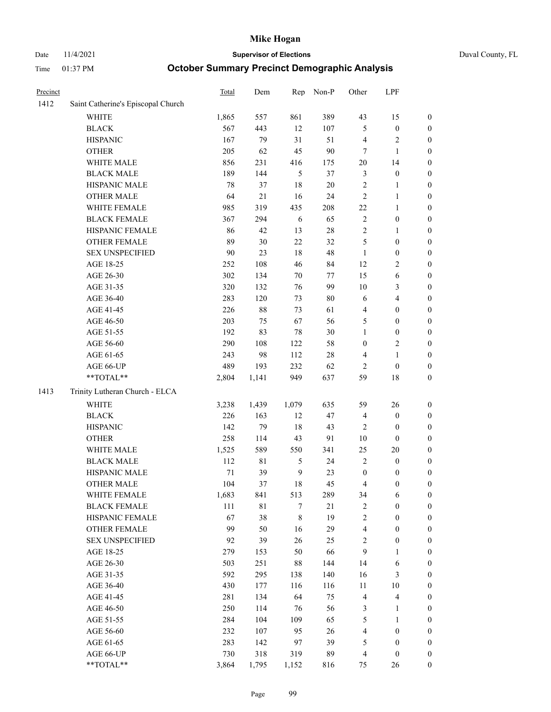Date 11/4/2021 **Supervisor of Elections** Duval County, FL

| Precinct |                                    | <b>Total</b> | Dem         | Rep            | Non-P  | Other            | LPF              |                  |
|----------|------------------------------------|--------------|-------------|----------------|--------|------------------|------------------|------------------|
| 1412     | Saint Catherine's Episcopal Church |              |             |                |        |                  |                  |                  |
|          | <b>WHITE</b>                       | 1,865        | 557         | 861            | 389    | 43               | 15               | 0                |
|          | <b>BLACK</b>                       | 567          | 443         | 12             | 107    | 5                | $\boldsymbol{0}$ | 0                |
|          | <b>HISPANIC</b>                    | 167          | 79          | 31             | 51     | 4                | $\sqrt{2}$       | $\boldsymbol{0}$ |
|          | <b>OTHER</b>                       | 205          | 62          | 45             | 90     | 7                | $\mathbf{1}$     | $\boldsymbol{0}$ |
|          | WHITE MALE                         | 856          | 231         | 416            | 175    | $20\,$           | 14               | $\boldsymbol{0}$ |
|          | <b>BLACK MALE</b>                  | 189          | 144         | 5              | 37     | 3                | $\boldsymbol{0}$ | $\boldsymbol{0}$ |
|          | HISPANIC MALE                      | 78           | 37          | 18             | $20\,$ | $\overline{c}$   | $\mathbf{1}$     | $\boldsymbol{0}$ |
|          | <b>OTHER MALE</b>                  | 64           | 21          | 16             | 24     | $\overline{2}$   | $\mathbf{1}$     | $\boldsymbol{0}$ |
|          | WHITE FEMALE                       | 985          | 319         | 435            | 208    | 22               | 1                | $\boldsymbol{0}$ |
|          | <b>BLACK FEMALE</b>                | 367          | 294         | 6              | 65     | $\overline{c}$   | $\boldsymbol{0}$ | $\boldsymbol{0}$ |
|          | HISPANIC FEMALE                    | 86           | 42          | 13             | $28\,$ | $\overline{c}$   | 1                | $\boldsymbol{0}$ |
|          | <b>OTHER FEMALE</b>                | 89           | $30\,$      | 22             | 32     | 5                | $\boldsymbol{0}$ | $\boldsymbol{0}$ |
|          | <b>SEX UNSPECIFIED</b>             | 90           | 23          | 18             | 48     | $\mathbf{1}$     | $\boldsymbol{0}$ | $\boldsymbol{0}$ |
|          | AGE 18-25                          | 252          | 108         | 46             | 84     | 12               | $\sqrt{2}$       | $\boldsymbol{0}$ |
|          | AGE 26-30                          | 302          | 134         | 70             | 77     | 15               | 6                | $\boldsymbol{0}$ |
|          | AGE 31-35                          | 320          | 132         | 76             | 99     | 10               | 3                | $\boldsymbol{0}$ |
|          | AGE 36-40                          | 283          | 120         | 73             | $80\,$ | 6                | $\overline{4}$   | $\boldsymbol{0}$ |
|          | AGE 41-45                          | 226          | $88\,$      | 73             | 61     | 4                | $\boldsymbol{0}$ | $\boldsymbol{0}$ |
|          | AGE 46-50                          | 203          | 75          | 67             | 56     | 5                | $\boldsymbol{0}$ | $\boldsymbol{0}$ |
|          | AGE 51-55                          | 192          | 83          | 78             | $30\,$ | $\mathbf{1}$     | $\boldsymbol{0}$ | $\boldsymbol{0}$ |
|          | AGE 56-60                          | 290          | 108         | 122            | 58     | $\boldsymbol{0}$ | $\sqrt{2}$       | 0                |
|          | AGE 61-65                          | 243          | 98          | 112            | $28\,$ | 4                | $\mathbf{1}$     | $\boldsymbol{0}$ |
|          | AGE 66-UP                          | 489          | 193         | 232            | 62     | $\overline{2}$   | $\boldsymbol{0}$ | $\boldsymbol{0}$ |
|          | **TOTAL**                          | 2,804        | 1,141       | 949            | 637    | 59               | 18               | $\boldsymbol{0}$ |
| 1413     | Trinity Lutheran Church - ELCA     |              |             |                |        |                  |                  |                  |
|          | <b>WHITE</b>                       | 3,238        | 1,439       | 1,079          | 635    | 59               | 26               | $\boldsymbol{0}$ |
|          | <b>BLACK</b>                       | 226          | 163         | 12             | 47     | 4                | $\boldsymbol{0}$ | $\boldsymbol{0}$ |
|          | <b>HISPANIC</b>                    | 142          | 79          | 18             | 43     | 2                | $\boldsymbol{0}$ | $\boldsymbol{0}$ |
|          | <b>OTHER</b>                       | 258          | 114         | 43             | 91     | $10\,$           | $\boldsymbol{0}$ | $\boldsymbol{0}$ |
|          | WHITE MALE                         | 1,525        | 589         | 550            | 341    | 25               | 20               | $\boldsymbol{0}$ |
|          | <b>BLACK MALE</b>                  | 112          | $8\sqrt{1}$ | 5              | 24     | $\overline{2}$   | $\boldsymbol{0}$ | $\boldsymbol{0}$ |
|          | HISPANIC MALE                      | $71\,$       | 39          | $\overline{9}$ | 23     | $\boldsymbol{0}$ | $\boldsymbol{0}$ | $\boldsymbol{0}$ |
|          | <b>OTHER MALE</b>                  | 104          | 37          | 18             | 45     | 4                | $\boldsymbol{0}$ | $\boldsymbol{0}$ |
|          | WHITE FEMALE                       | 1,683        | 841         | 513            | 289    | 34               | 6                | 0                |
|          | <b>BLACK FEMALE</b>                | 111          | $8\sqrt{1}$ | 7              | 21     | 2                | $\boldsymbol{0}$ | $\boldsymbol{0}$ |
|          | HISPANIC FEMALE                    | 67           | 38          | $\,$ $\,$      | 19     | $\overline{c}$   | $\boldsymbol{0}$ | $\overline{0}$   |
|          | <b>OTHER FEMALE</b>                | 99           | 50          | 16             | 29     | 4                | $\boldsymbol{0}$ | $\overline{0}$   |
|          | <b>SEX UNSPECIFIED</b>             | 92           | 39          | 26             | 25     | 2                | $\boldsymbol{0}$ | 0                |
|          | AGE 18-25                          | 279          | 153         | 50             | 66     | 9                | $\mathbf{1}$     | $\overline{0}$   |
|          | AGE 26-30                          | 503          | 251         | 88             | 144    | 14               | 6                | 0                |
|          | AGE 31-35                          | 592          | 295         | 138            | 140    | 16               | $\mathfrak{Z}$   | 0                |
|          | AGE 36-40                          | 430          | 177         | 116            | 116    | 11               | $10\,$           | 0                |
|          | AGE 41-45                          | 281          | 134         | 64             | 75     | 4                | $\overline{4}$   | 0                |
|          | AGE 46-50                          | 250          | 114         | 76             | 56     | 3                | $\mathbf{1}$     | 0                |
|          | AGE 51-55                          | 284          | 104         | 109            | 65     | 5                | $\mathbf{1}$     | 0                |
|          | AGE 56-60                          | 232          | 107         | 95             | 26     | 4                | $\boldsymbol{0}$ | $\overline{0}$   |
|          | AGE 61-65                          | 283          | 142         | 97             | 39     | 5                | $\boldsymbol{0}$ | $\overline{0}$   |
|          | AGE 66-UP                          | 730          | 318         | 319            | 89     | 4                | $\boldsymbol{0}$ | 0                |
|          | **TOTAL**                          | 3,864        | 1,795       | 1,152          | 816    | 75               | 26               | $\boldsymbol{0}$ |
|          |                                    |              |             |                |        |                  |                  |                  |